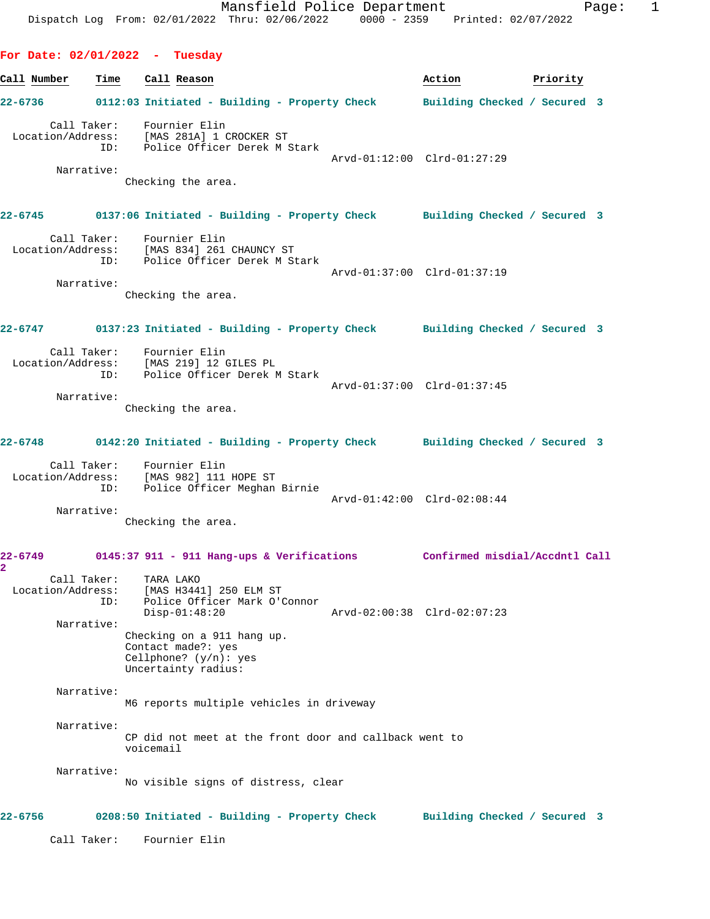**For Date: 02/01/2022 - Tuesday Call Number Time Call Reason Action Priority 22-6736 0112:03 Initiated - Building - Property Check Building Checked / Secured 3** Call Taker: Fournier Elin Location/Address: [MAS 281A] 1 CROCKER ST ID: Police Officer Derek M Stark Arvd-01:12:00 Clrd-01:27:29 Narrative: Checking the area. **22-6745 0137:06 Initiated - Building - Property Check Building Checked / Secured 3** Call Taker: Fournier Elin Location/Address: [MAS 834] 261 CHAUNCY ST ID: Police Officer Derek M Stark Arvd-01:37:00 Clrd-01:37:19 Narrative: Checking the area. **22-6747 0137:23 Initiated - Building - Property Check Building Checked / Secured 3** Call Taker: Fournier Elin Location/Address: [MAS 219] 12 GILES PL ID: Police Officer Derek M Stark Arvd-01:37:00 Clrd-01:37:45 Narrative: Checking the area. **22-6748 0142:20 Initiated - Building - Property Check Building Checked / Secured 3** Call Taker: Fournier Elin Location/Address: [MAS 982] 111 HOPE ST ID: Police Officer Meghan Birnie Arvd-01:42:00 Clrd-02:08:44 Narrative: Checking the area. **22-6749 0145:37 911 - 911 Hang-ups & Verifications Confirmed misdial/Accdntl Call 2**  Call Taker: TARA LAKO Location/Address: [MAS H3441] 250 ELM ST ID: Police Officer Mark O'Connor Disp-01:48:20 Arvd-02:00:38 Clrd-02:07:23 Narrative: Checking on a 911 hang up. Contact made?: yes Cellphone? (y/n): yes Uncertainty radius: Narrative: M6 reports multiple vehicles in driveway Narrative: CP did not meet at the front door and callback went to voicemail Narrative: No visible signs of distress, clear **22-6756 0208:50 Initiated - Building - Property Check Building Checked / Secured 3** Call Taker: Fournier Elin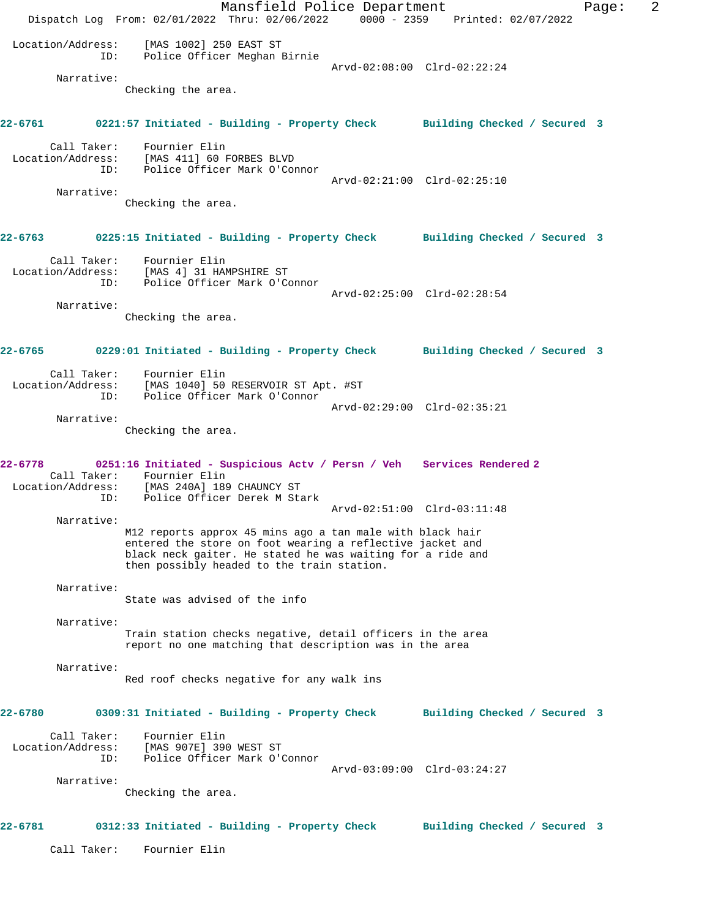Mansfield Police Department Fage: 2 Dispatch Log From: 02/01/2022 Thru: 02/06/2022 0000 - 2359 Printed: 02/07/2022 Location/Address: [MAS 1002] 250 EAST ST ID: Police Officer Meghan Birnie Arvd-02:08:00 Clrd-02:22:24 Narrative: Checking the area. **22-6761 0221:57 Initiated - Building - Property Check Building Checked / Secured 3** Call Taker: Fournier Elin Location/Address: [MAS 411] 60 FORBES BLVD ID: Police Officer Mark O'Connor Arvd-02:21:00 Clrd-02:25:10 Narrative: Checking the area. **22-6763 0225:15 Initiated - Building - Property Check Building Checked / Secured 3** Call Taker: Fournier Elin Location/Address: [MAS 4] 31 HAMPSHIRE ST<br>ID: Police Officer Mark O'Co Police Officer Mark O'Connor Arvd-02:25:00 Clrd-02:28:54 Narrative: Checking the area. **22-6765 0229:01 Initiated - Building - Property Check Building Checked / Secured 3** Call Taker: Fournier Elin Location/Address: [MAS 1040] 50 RESERVOIR ST Apt. #ST ID: Police Officer Mark O'Connor Arvd-02:29:00 Clrd-02:35:21 Narrative: Checking the area. **22-6778 0251:16 Initiated - Suspicious Actv / Persn / Veh Services Rendered 2**  Call Taker: Fournier Elin Location/Address: [MAS 240A] 189 CHAUNCY ST ID: Police Officer Derek M Stark Arvd-02:51:00 Clrd-03:11:48 Narrative: M12 reports approx 45 mins ago a tan male with black hair entered the store on foot wearing a reflective jacket and black neck gaiter. He stated he was waiting for a ride and then possibly headed to the train station. Narrative: State was advised of the info Narrative: Train station checks negative, detail officers in the area report no one matching that description was in the area Narrative: Red roof checks negative for any walk ins **22-6780 0309:31 Initiated - Building - Property Check Building Checked / Secured 3** Call Taker: Fournier Elin Location/Address: [MAS 907E] 390 WEST ST ID: Police Officer Mark O'Connor Police Officer Mark O'Connor<br>Police Officer Mark O'Connor<br>Arvd-03:09:00 Clrd-03:24:27 Narrative: Checking the area. **22-6781 0312:33 Initiated - Building - Property Check Building Checked / Secured 3** Call Taker: Fournier Elin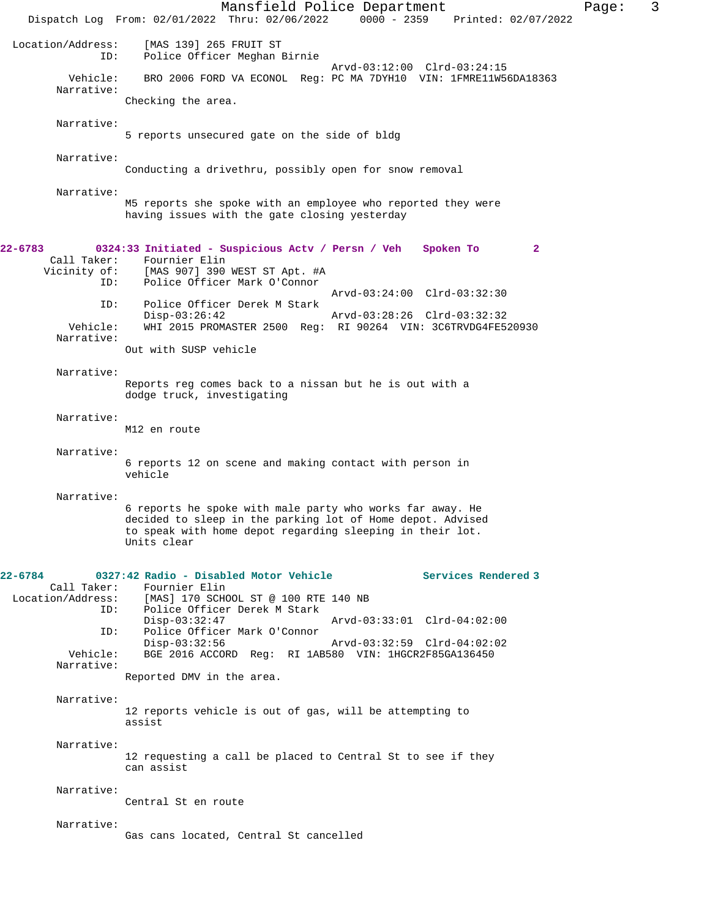|                                                                | Mansfield Police Department<br>Dispatch Log From: 02/01/2022 Thru: 02/06/2022                                                                                                                                                                                                                                 | $0000 - 2359$                                              | Printed: 02/07/2022 |              | Page: | 3 |
|----------------------------------------------------------------|---------------------------------------------------------------------------------------------------------------------------------------------------------------------------------------------------------------------------------------------------------------------------------------------------------------|------------------------------------------------------------|---------------------|--------------|-------|---|
| Location/Address:<br>ID:                                       | [MAS 139] 265 FRUIT ST<br>Police Officer Meghan Birnie                                                                                                                                                                                                                                                        |                                                            |                     |              |       |   |
| Vehicle:<br>Narrative:                                         | BRO 2006 FORD VA ECONOL Req: PC MA 7DYH10 VIN: 1FMRE11W56DA18363                                                                                                                                                                                                                                              | Arvd-03:12:00 Clrd-03:24:15                                |                     |              |       |   |
| Narrative:                                                     | Checking the area.                                                                                                                                                                                                                                                                                            |                                                            |                     |              |       |   |
| Narrative:                                                     | 5 reports unsecured gate on the side of bldg                                                                                                                                                                                                                                                                  |                                                            |                     |              |       |   |
| Narrative:                                                     | Conducting a drivethru, possibly open for snow removal                                                                                                                                                                                                                                                        |                                                            |                     |              |       |   |
|                                                                | M5 reports she spoke with an employee who reported they were<br>having issues with the gate closing yesterday                                                                                                                                                                                                 |                                                            |                     |              |       |   |
| 22-6783<br>Call Taker:<br>Vicinity of:<br>ID:                  | 0324:33 Initiated - Suspicious Actv / Persn / Veh<br>Fournier Elin<br>[MAS 907] 390 WEST ST Apt. #A<br>Police Officer Mark O'Connor                                                                                                                                                                           |                                                            | Spoken To           | $\mathbf{2}$ |       |   |
| ID:                                                            | Police Officer Derek M Stark                                                                                                                                                                                                                                                                                  | Arvd-03:24:00 Clrd-03:32:30                                |                     |              |       |   |
| Vehicle:<br>Narrative:                                         | $Disp-03:26:42$<br>WHI 2015 PROMASTER 2500 Req: RI 90264 VIN: 3C6TRVDG4FE520930                                                                                                                                                                                                                               | Arvd-03:28:26 Clrd-03:32:32                                |                     |              |       |   |
|                                                                | Out with SUSP vehicle                                                                                                                                                                                                                                                                                         |                                                            |                     |              |       |   |
| Narrative:                                                     | Reports reg comes back to a nissan but he is out with a<br>dodge truck, investigating                                                                                                                                                                                                                         |                                                            |                     |              |       |   |
| Narrative:                                                     | M12 en route                                                                                                                                                                                                                                                                                                  |                                                            |                     |              |       |   |
| Narrative:                                                     | 6 reports 12 on scene and making contact with person in<br>vehicle                                                                                                                                                                                                                                            |                                                            |                     |              |       |   |
| Narrative:                                                     |                                                                                                                                                                                                                                                                                                               |                                                            |                     |              |       |   |
|                                                                | 6 reports he spoke with male party who works far away. He<br>decided to sleep in the parking lot of Home depot. Advised<br>to speak with home depot regarding sleeping in their lot.<br>Units clear                                                                                                           |                                                            |                     |              |       |   |
| 22-6784<br>Call Taker:<br>ID:<br>ID:<br>Vehicle:<br>Narrative: | 0327:42 Radio - Disabled Motor Vehicle<br>Fournier Elin<br>Location/Address: [MAS] 170 SCHOOL ST @ 100 RTE 140 NB<br>Police Officer Derek M Stark<br>$Disp-03:32:47$<br>Police Officer Mark O'Connor<br>$Disp-03:32:56$<br>BGE 2016 ACCORD Reg: RI 1AB580 VIN: 1HGCR2F85GA136450<br>Reported DMV in the area. | Arvd-03:33:01 Clrd-04:02:00<br>Arvd-03:32:59 Clrd-04:02:02 | Services Rendered 3 |              |       |   |
| Narrative:                                                     | 12 reports vehicle is out of gas, will be attempting to<br>assist                                                                                                                                                                                                                                             |                                                            |                     |              |       |   |
| Narrative:                                                     | 12 requesting a call be placed to Central St to see if they<br>can assist                                                                                                                                                                                                                                     |                                                            |                     |              |       |   |
| Narrative:                                                     | Central St en route                                                                                                                                                                                                                                                                                           |                                                            |                     |              |       |   |
| Narrative:                                                     | Gas cans located, Central St cancelled                                                                                                                                                                                                                                                                        |                                                            |                     |              |       |   |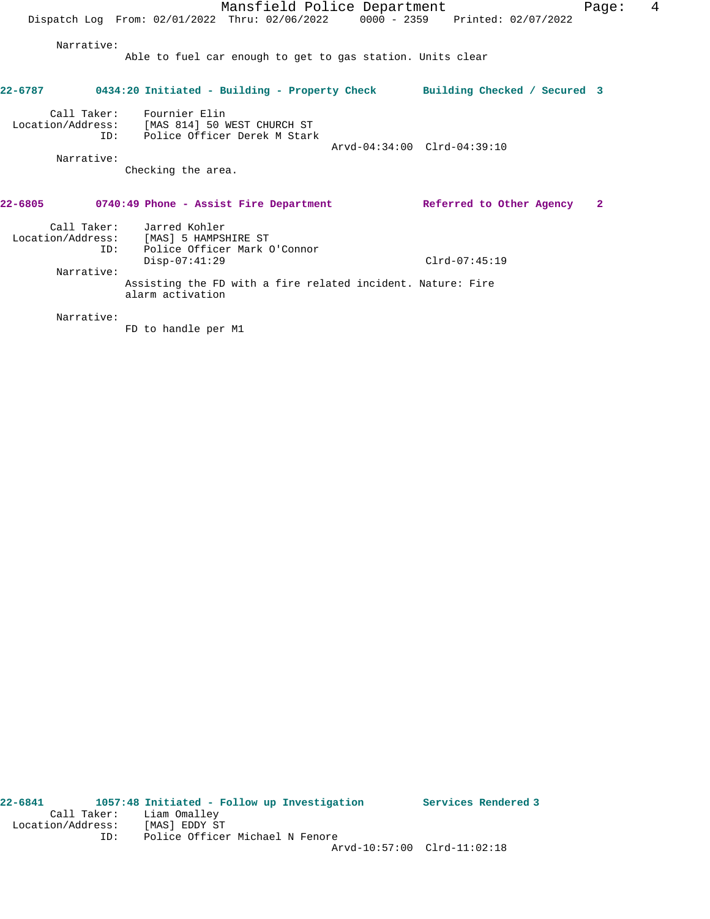Mansfield Police Department Fage: 4 Dispatch Log From: 02/01/2022 Thru: 02/06/2022 0000 - 2359 Printed: 02/07/2022 Narrative: Able to fuel car enough to get to gas station. Units clear **22-6787 0434:20 Initiated - Building - Property Check Building Checked / Secured 3** Call Taker: Fournier Elin Location/Address: [MAS 814] 50 WEST CHURCH ST ID: Police Officer Derek M Stark Arvd-04:34:00 Clrd-04:39:10 Narrative: Checking the area. **22-6805 0740:49 Phone - Assist Fire Department Referred to Other Agency 2** Call Taker: Jarred Kohler Location/Address: [MAS] 5 HAMPSHIRE ST ID: Police Officer Mark O'Connor Disp-07:41:29 Clrd-07:45:19 Narrative: Assisting the FD with a fire related incident. Nature: Fire

Narrative:

FD to handle per M1

alarm activation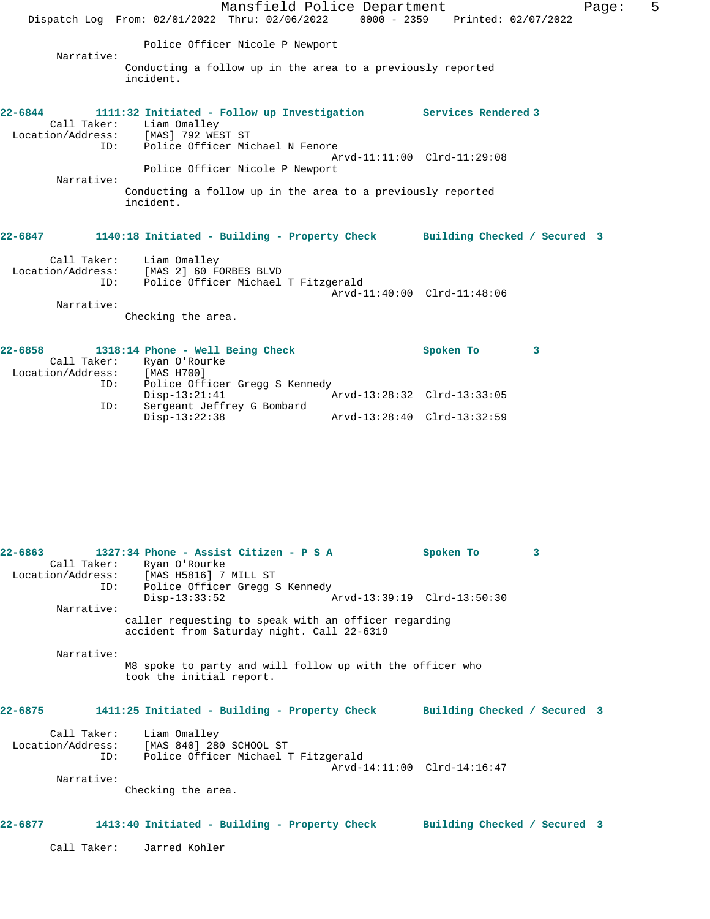|                                                        | Mansfield Police Department                                                                                            | 5<br>Page:                  |
|--------------------------------------------------------|------------------------------------------------------------------------------------------------------------------------|-----------------------------|
|                                                        | Dispatch Log From: 02/01/2022 Thru: 02/06/2022 0000 - 2359 Printed: 02/07/2022                                         |                             |
| Narrative:                                             | Police Officer Nicole P Newport                                                                                        |                             |
|                                                        | Conducting a follow up in the area to a previously reported<br>incident.                                               |                             |
| $22 - 6844$<br>Call Taker:                             | 1111:32 Initiated - Follow up Investigation Services Rendered 3<br>Liam Omalley<br>Location/Address: [MAS] 792 WEST ST |                             |
| ID:                                                    | Police Officer Michael N Fenore<br>Police Officer Nicole P Newport                                                     | Arvd-11:11:00 Clrd-11:29:08 |
| Narrative:                                             | Conducting a follow up in the area to a previously reported<br>incident.                                               |                             |
| $22 - 6847$                                            | 1140:18 Initiated - Building - Property Check Building Checked / Secured 3                                             |                             |
| Call Taker:<br>Location/Address:<br>ID:<br>Narrative:  | Liam Omalley<br>[MAS 2] 60 FORBES BLVD<br>Police Officer Michael T Fitzgerald                                          | Arvd-11:40:00 Clrd-11:48:06 |
|                                                        | Checking the area.                                                                                                     |                             |
| $22 - 6858$<br>Call Taker:<br>Location/Address:<br>ID: | 1318:14 Phone - Well Being Check<br>Ryan O'Rourke<br>[MAS H700]<br>Police Officer Gregg S Kennedy                      | Spoken To<br>3              |

|            | Call Taker: Ryan O'Rourke<br>Location/Address: [MAS H5816] 7 MILL ST<br>ID: Police Officer Gregg S Kennedy   |                             | Spoken To                   | 3 |  |
|------------|--------------------------------------------------------------------------------------------------------------|-----------------------------|-----------------------------|---|--|
| Narrative: | $Disp-13:33:52$                                                                                              | Arvd-13:39:19 Clrd-13:50:30 |                             |   |  |
|            | caller requesting to speak with an officer regarding<br>accident from Saturday night. Call 22-6319           |                             |                             |   |  |
| Narrative: | M8 spoke to party and will follow up with the officer who<br>took the initial report.                        |                             |                             |   |  |
| 22-6875    | 1411:25 Initiated - Building - Property Check Building Checked / Secured 3                                   |                             |                             |   |  |
| ID:        | Call Taker: Liam Omalley<br>Location/Address: [MAS 840] 280 SCHOOL ST<br>Police Officer Michael T Fitzgerald |                             |                             |   |  |
| Narrative: |                                                                                                              |                             | Arvd-14:11:00 Clrd-14:16:47 |   |  |
|            | Checking the area.                                                                                           |                             |                             |   |  |
| 22-6877    | 1413:40 Initiated - Building - Property Check Building Checked / Secured 3                                   |                             |                             |   |  |

Disp-13:21:41 Arvd-13:28:32 Clrd-13:33:05

Disp-13:22:38 Arvd-13:28:40 Clrd-13:32:59

ID: Sergeant Jeffrey G Bombard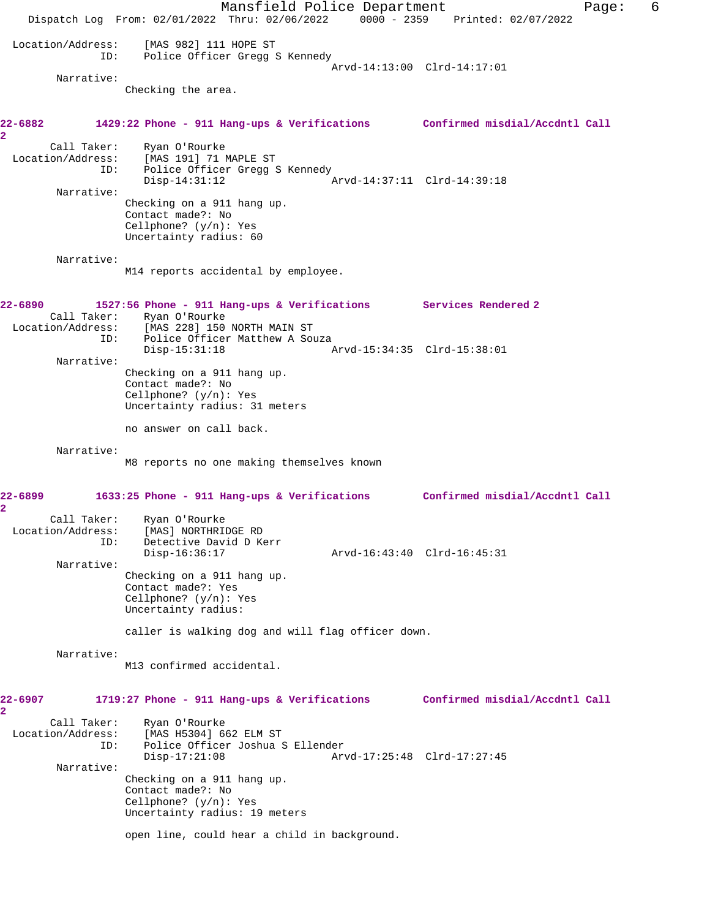Mansfield Police Department Form Page: 6 Dispatch Log From: 02/01/2022 Thru: 02/06/2022 0000 - 2359 Printed: 02/07/2022 Location/Address: [MAS 982] 111 HOPE ST ID: Police Officer Gregg S Kennedy Arvd-14:13:00 Clrd-14:17:01 Narrative: Checking the area. **22-6882 1429:22 Phone - 911 Hang-ups & Verifications Confirmed misdial/Accdntl Call 2**  Call Taker: Ryan O'Rourke Location/Address: [MAS 191] 71 MAPLE ST ID: Police Officer Gregg S Kennedy Disp-14:31:12 Arvd-14:37:11 Clrd-14:39:18 Narrative: Checking on a 911 hang up. Contact made?: No Cellphone? (y/n): Yes Uncertainty radius: 60 Narrative: M14 reports accidental by employee. **22-6890 1527:56 Phone - 911 Hang-ups & Verifications Services Rendered 2**  Call Taker: Ryan O'Rourke<br>Location/Address: [MAS 228] 150 [MAS 228] 150 NORTH MAIN ST ID: Police Officer Matthew A Souza<br>Disp-15:31:18 Disp-15:31:18 Arvd-15:34:35 Clrd-15:38:01 Narrative: Checking on a 911 hang up. Contact made?: No Cellphone? (y/n): Yes Uncertainty radius: 31 meters no answer on call back. Narrative: M8 reports no one making themselves known **22-6899 1633:25 Phone - 911 Hang-ups & Verifications Confirmed misdial/Accdntl Call 2**  Call Taker: Ryan O'Rourke Location/Address: [MAS] NORTHRIDGE RD ID: Detective David D Kerr Disp-16:36:17 Arvd-16:43:40 Clrd-16:45:31 Narrative: Checking on a 911 hang up. Contact made?: Yes Cellphone? (y/n): Yes Uncertainty radius: caller is walking dog and will flag officer down. Narrative: M13 confirmed accidental. **22-6907 1719:27 Phone - 911 Hang-ups & Verifications Confirmed misdial/Accdntl Call 2**  Call Taker: Ryan O'Rourke Location/Address: [MAS H5304] 662 ELM ST ID: Police Officer Joshua S Ellender Disp-17:21:08 Arvd-17:25:48 Clrd-17:27:45 Narrative: Checking on a 911 hang up. Contact made?: No Cellphone? (y/n): Yes Uncertainty radius: 19 meters open line, could hear a child in background.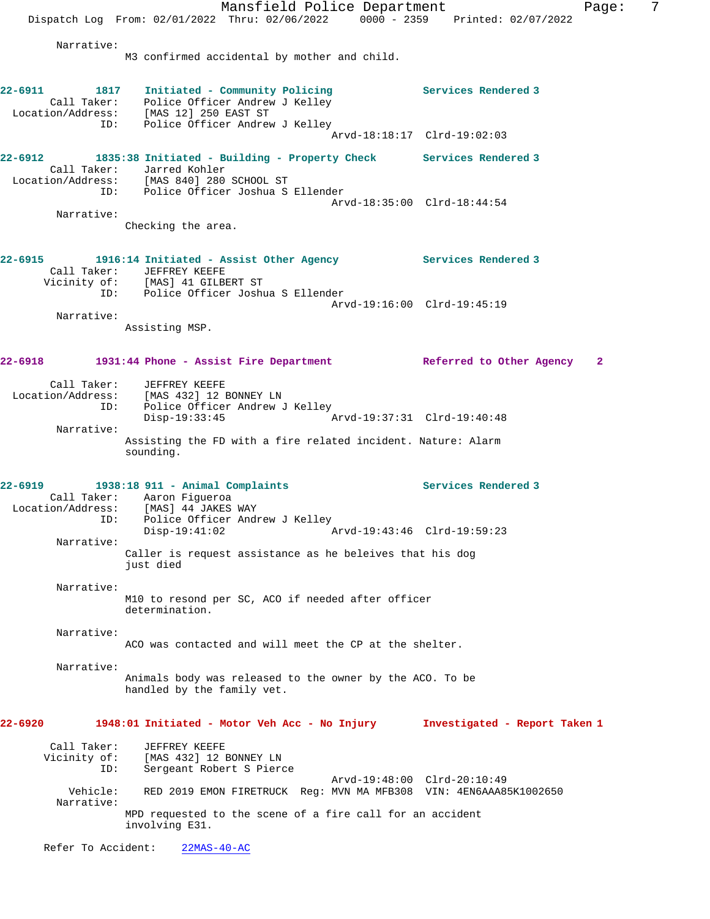Mansfield Police Department Fage: 7 Dispatch Log From: 02/01/2022 Thru: 02/06/2022 0000 - 2359 Printed: 02/07/2022 Narrative: M3 confirmed accidental by mother and child. **22-6911 1817 Initiated - Community Policing Services Rendered 3**  Call Taker: Police Officer Andrew J Kelley Location/Address: [MAS 12] 250 EAST ST ID: Police Officer Andrew J Kelley Arvd-18:18:17 Clrd-19:02:03 **22-6912 1835:38 Initiated - Building - Property Check Services Rendered 3**  Call Taker: Jarred Kohler Location/Address: [MAS 840] 280 SCHOOL ST ID: Police Officer Joshua S Ellender Arvd-18:35:00 Clrd-18:44:54 Narrative: Checking the area. **22-6915 1916:14 Initiated - Assist Other Agency Services Rendered 3**  Call Taker: JEFFREY KEEFE Vicinity of: [MAS] 41 GILBERT ST ID: Police Officer Joshua S Ellender Arvd-19:16:00 Clrd-19:45:19 Narrative: Assisting MSP. **22-6918 1931:44 Phone - Assist Fire Department Referred to Other Agency 2** Call Taker: JEFFREY KEEFE Location/Address: [MAS 432] 12 BONNEY LN ID: Police Officer Andrew J Kelley<br>Disp-19:33:45 Disp-19:33:45 Arvd-19:37:31 Clrd-19:40:48 Narrative: Assisting the FD with a fire related incident. Nature: Alarm sounding. **22-6919 1938:18 911 - Animal Complaints Services Rendered 3**  Call Taker: Aaron Figueroa Location/Address: [MAS] 44 JAKES WAY ess: IMAS] 44 JAKES WAY<br>ID: Police Officer Andrew J Kelley<br>Disp-19:41:02 Arvd-19:43:46 Clrd-19:59:23 Narrative: Caller is request assistance as he beleives that his dog just died Narrative: M10 to resond per SC, ACO if needed after officer determination. Narrative: ACO was contacted and will meet the CP at the shelter. Narrative: Animals body was released to the owner by the ACO. To be handled by the family vet. **22-6920 1948:01 Initiated - Motor Veh Acc - No Injury Investigated - Report Taken 1** Call Taker: JEFFREY KEEFE<br>Vicinity of: [MAS 432] 12 of: [MAS 432] 12 BONNEY LN<br>ID: Sergeant Robert S Piero Sergeant Robert S Pierce Arvd-19:48:00 Clrd-20:10:49<br>Vehicle: RED 2019 EMON FIRETRUCK Reg: MVN MA MER308 VIN: 4EN6AAA8 RED 2019 EMON FIRETRUCK Reg: MVN MA MFB308 VIN: 4EN6AAA85K1002650 Narrative: MPD requested to the scene of a fire call for an accident involving E31. Refer To Accident: 22MAS-40-AC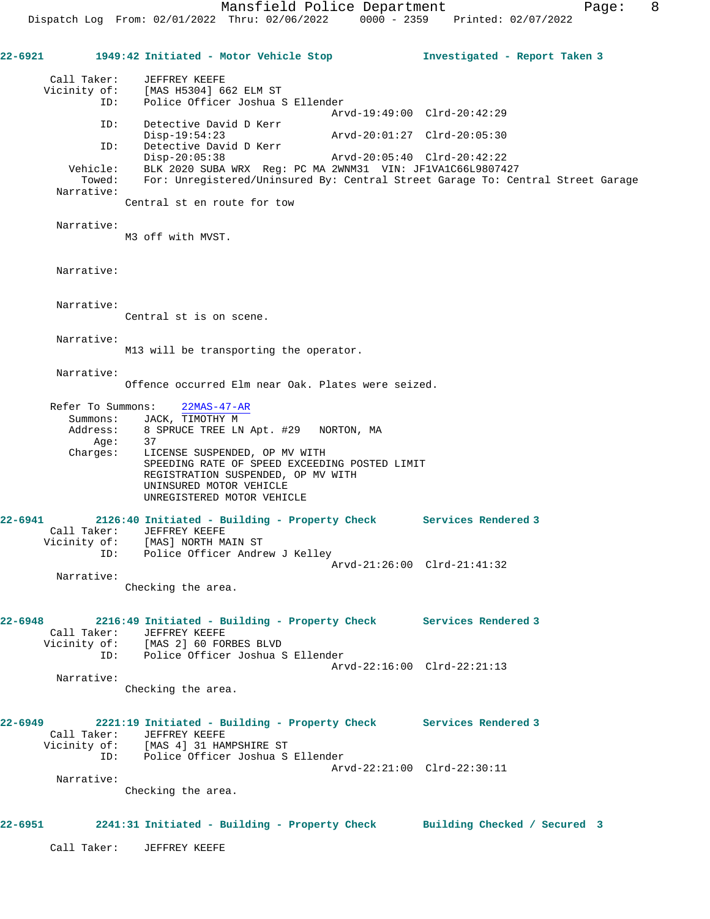**22-6921 1949:42 Initiated - Motor Vehicle Stop Investigated - Report Taken 3** Call Taker: JEFFREY KEEFE Vicinity of: [MAS H5304] 662 ELM ST ID: Police Officer Joshua S Ellender Arvd-19:49:00 Clrd-20:42:29 ID: Detective David D Kerr Disp-19:54:23 Arvd-20:01:27 Clrd-20:05:30<br>ID: Detective David D Kerr Disp-19:54:23<br>Detective David D Kerr<br>Disp-20:05:38 Disp-20:05:38 Arvd-20:05:40 Clrd-20:42:22 Vehicle: BLK 2020 SUBA WRX Reg: PC MA 2WNM31 VIN: JF1VA1C66L9807427 Towed: For: Unregistered/Uninsured By: Central Street Garage To: Central Street Garage Narrative: Central st en route for tow Narrative: M3 off with MVST. Narrative: Narrative: Central st is on scene. Narrative: M13 will be transporting the operator. Narrative: Offence occurred Elm near Oak. Plates were seized. Refer To Summons: 22MAS-47-AR Summons: JACK, TIMOTHY M<br>Address: 8 SPRUCE TREE LN 8 SPRUCE TREE LN Apt. #29 NORTON, MA<br>37<br>LICENSE SUSPENDED --Age:<br>:Charges LICENSE SUSPENDED, OP MV WITH SPEEDING RATE OF SPEED EXCEEDING POSTED LIMIT REGISTRATION SUSPENDED, OP MV WITH UNINSURED MOTOR VEHICLE UNREGISTERED MOTOR VEHICLE **22-6941 2126:40 Initiated - Building - Property Check Services Rendered 3**  Call Taker: JEFFREY KEEFE Vicinity of: [MAS] NORTH MAIN ST ID: Police Officer Andrew J Kelley Arvd-21:26:00 Clrd-21:41:32 Narrative: Checking the area. **22-6948 2216:49 Initiated - Building - Property Check Services Rendered 3**  Call Taker: JEFFREY KEEFE Vicinity of: [MAS 2] 60 FORBES BLVD ID: Police Officer Joshua S Ellender Arvd-22:16:00 Clrd-22:21:13 Narrative: Checking the area. **22-6949 2221:19 Initiated - Building - Property Check Services Rendered 3**  Call Taker: JEFFREY KEEFE Vicinity of: [MAS 4] 31 HAMPSHIRE ST ID: Police Officer Joshua S Ellender Arvd-22:21:00 Clrd-22:30:11 Narrative: Checking the area. **22-6951 2241:31 Initiated - Building - Property Check Building Checked / Secured 3**

Call Taker: JEFFREY KEEFE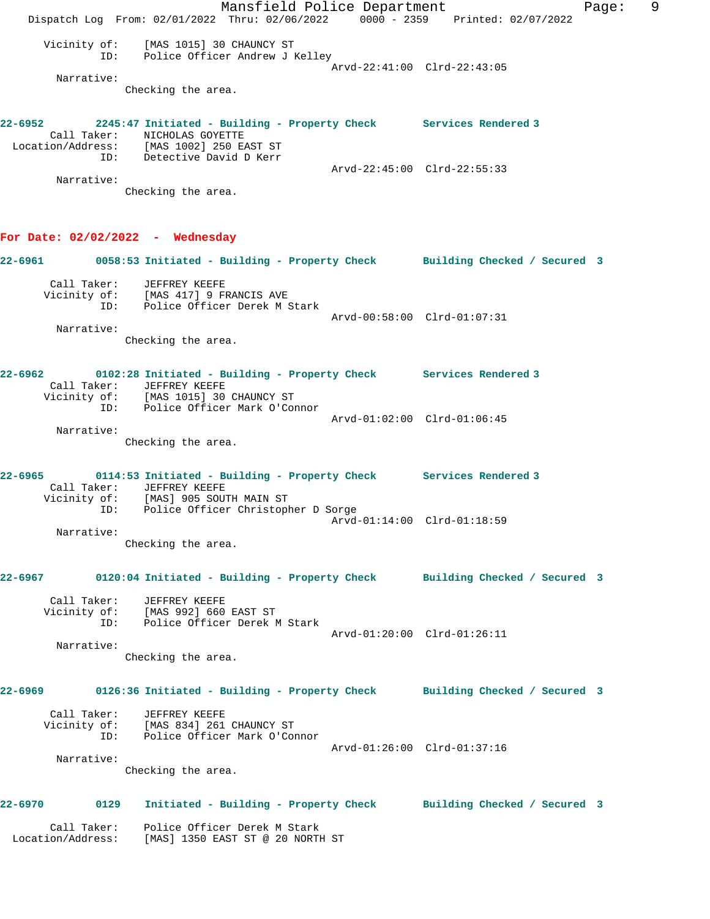Mansfield Police Department Fage: 9 Dispatch Log From: 02/01/2022 Thru: 02/06/2022 0000 - 2359 Printed: 02/07/2022 Vicinity of: [MAS 1015] 30 CHAUNCY ST ID: Police Officer Andrew J Kelley Arvd-22:41:00 Clrd-22:43:05 Narrative: Checking the area. **22-6952 2245:47 Initiated - Building - Property Check Services Rendered 3**  Call Taker: NICHOLAS GOYETTE Location/Address: [MAS 1002] 250 EAST ST ID: Detective David D Kerr Arvd-22:45:00 Clrd-22:55:33 Narrative: Checking the area. **For Date: 02/02/2022 - Wednesday 22-6961 0058:53 Initiated - Building - Property Check Building Checked / Secured 3** Call Taker: JEFFREY KEEFE Vicinity of: [MAS 417] 9 FRANCIS AVE ID: Police Officer Derek M Stark Arvd-00:58:00 Clrd-01:07:31 Narrative: Checking the area. **22-6962 0102:28 Initiated - Building - Property Check Services Rendered 3**  Call Taker: JEFFREY KEEFE Vicinity of: [MAS 1015] 30 CHAUNCY ST ID: Police Officer Mark O'Connor Arvd-01:02:00 Clrd-01:06:45 Narrative: Checking the area. **22-6965 0114:53 Initiated - Building - Property Check Services Rendered 3**  Call Taker: JEFFREY KEEFE Vicinity of: [MAS] 905 SOUTH MAIN ST ID: Police Officer Christopher D Sorge Arvd-01:14:00 Clrd-01:18:59 Narrative: Checking the area. **22-6967 0120:04 Initiated - Building - Property Check Building Checked / Secured 3** Call Taker: JEFFREY KEEFE Vicinity of: [MAS 992] 660 EAST ST ID: Police Officer Derek M Stark Arvd-01:20:00 Clrd-01:26:11 Narrative: Checking the area. **22-6969 0126:36 Initiated - Building - Property Check Building Checked / Secured 3** Call Taker: JEFFREY KEEFE Vicinity of: [MAS 834] 261 CHAUNCY ST ID: Police Officer Mark O'Connor Arvd-01:26:00 Clrd-01:37:16 Narrative: Checking the area. **22-6970 0129 Initiated - Building - Property Check Building Checked / Secured 3** Call Taker: Police Officer Derek M Stark Location/Address: [MAS] 1350 EAST ST @ 20 NORTH ST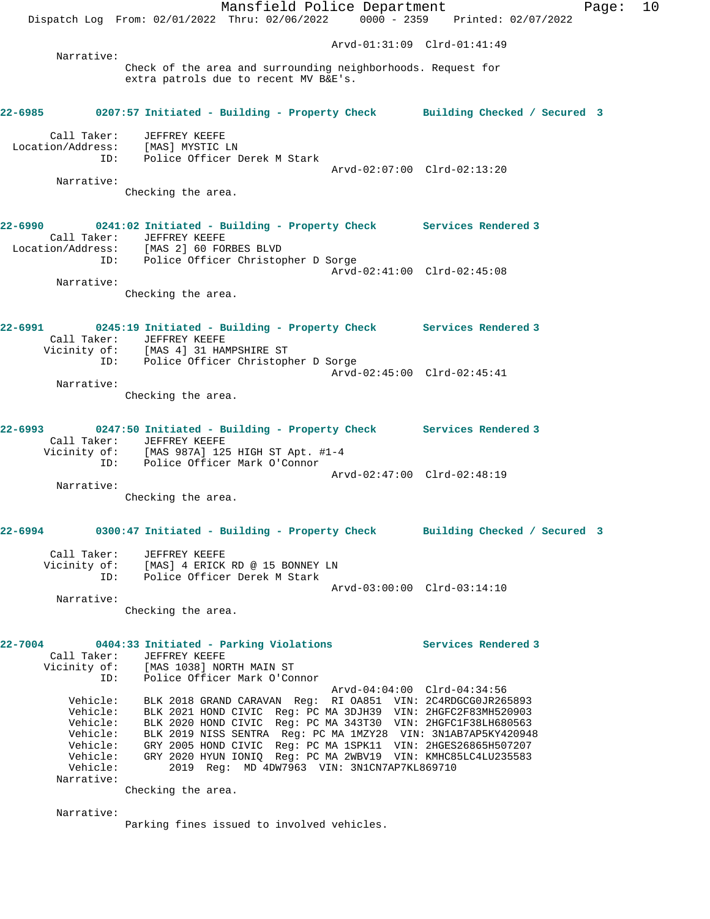Mansfield Police Department Fage: 10 Dispatch Log From: 02/01/2022 Thru: 02/06/2022 0000 - 2359 Printed: 02/07/2022 Arvd-01:31:09 Clrd-01:41:49 Narrative: Check of the area and surrounding neighborhoods. Request for extra patrols due to recent MV B&E's. **22-6985 0207:57 Initiated - Building - Property Check Building Checked / Secured 3** Call Taker: JEFFREY KEEFE<br>ion/Address: [MAS] MYSTIC LN Location/Address:<br>ID: Police Officer Derek M Stark Arvd-02:07:00 Clrd-02:13:20 Narrative: Checking the area. **22-6990 0241:02 Initiated - Building - Property Check Services Rendered 3**  Call Taker: JEFFREY KEEFE Location/Address: [MAS 2] 60 FORBES BLVD ID: Police Officer Christopher D Sorge Arvd-02:41:00 Clrd-02:45:08 Narrative: Checking the area. **22-6991 0245:19 Initiated - Building - Property Check Services Rendered 3**  Call Taker: JEFFREY KEEFE Vicinity of: [MAS 4] 31 HAMPSHIRE ST ID: Police Officer Christopher D Sorge Arvd-02:45:00 Clrd-02:45:41 Narrative: Checking the area. **22-6993 0247:50 Initiated - Building - Property Check Services Rendered 3**  Call Taker: JEFFREY KEEFE Vicinity of: [MAS 987A] 125 HIGH ST Apt. #1-4 ID: Police Officer Mark O'Connor Arvd-02:47:00 Clrd-02:48:19 Narrative: Checking the area. **22-6994 0300:47 Initiated - Building - Property Check Building Checked / Secured 3** Call Taker: JEFFREY KEEFE Vicinity of: [MAS] 4 ERICK RD @ 15 BONNEY LN ID: Police Officer Derek M Stark Arvd-03:00:00 Clrd-03:14:10 Narrative: Checking the area. **22-7004 0404:33 Initiated - Parking Violations Services Rendered 3**  Call Taker: JEFFREY KEEFE Vicinity of: [MAS 1038] NORTH MAIN ST ID: Police Officer Mark O'Connor Arvd-04:04:00 Clrd-04:34:56 Vehicle: BLK 2018 GRAND CARAVAN Reg: RI OA851 VIN: 2C4RDGCG0JR265893 Vehicle: BLK 2021 HOND CIVIC Reg: PC MA 3DJH39 VIN: 2HGFC2F83MH520903 Vehicle: BLK 2020 HOND CIVIC Reg: PC MA 343T30 VIN: 2HGFC1F38LH680563 Vehicle: BLK 2019 NISS SENTRA Reg: PC MA 1MZY28 VIN: 3N1AB7AP5KY420948 Vehicle: GRY 2005 HOND CIVIC Reg: PC MA 1SPK11 VIN: 2HGES26865H507207 Vehicle: GRY 2020 HYUN IONIQ Reg: PC MA 2WBV19 VIN: KMHC85LC4LU235583<br>Vehicle: 2019 Reg: MD 4DW7963 VIN: 3N1CN7AP7KL869710 2019 Reg: MD 4DW7963 VIN: 3N1CN7AP7KL869710 Narrative: Checking the area. Narrative:

Parking fines issued to involved vehicles.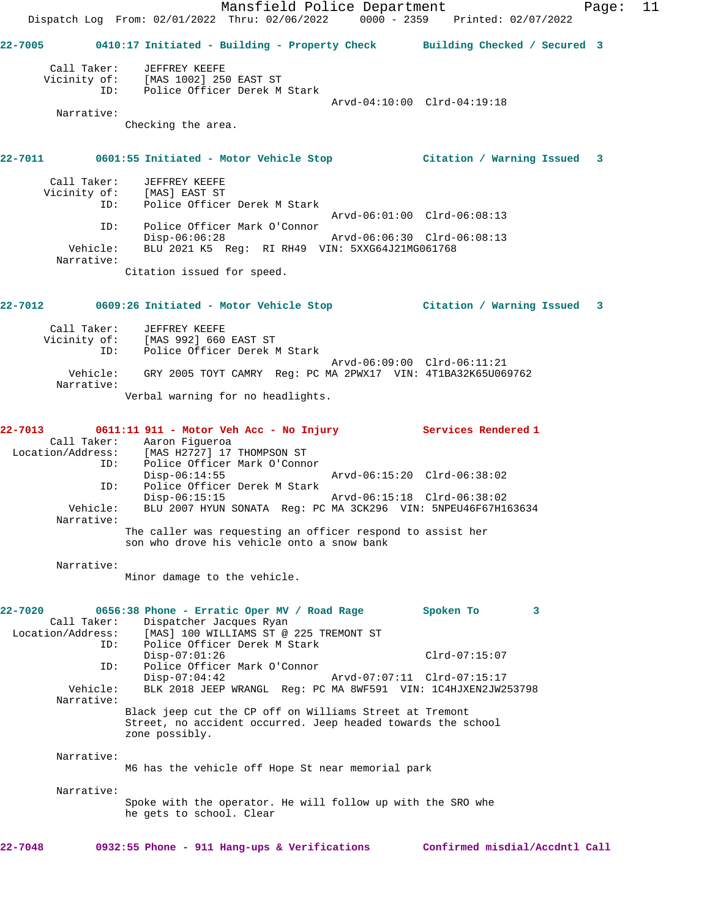Mansfield Police Department Fage: 11 Dispatch Log From: 02/01/2022 Thru: 02/06/2022 0000 - 2359 Printed: 02/07/2022 **22-7005 0410:17 Initiated - Building - Property Check Building Checked / Secured 3** Call Taker: JEFFREY KEEFE Vicinity of: [MAS 1002] 250 EAST ST ID: Police Officer Derek M Stark Arvd-04:10:00 Clrd-04:19:18 Narrative: Checking the area. **22-7011 0601:55 Initiated - Motor Vehicle Stop Citation / Warning Issued 3** Call Taker: JEFFREY KEEFE Vicinity of: [MAS] EAST ST ID: Police Officer Derek M Stark Arvd-06:01:00 Clrd-06:08:13 ID: Police Officer Mark O'Connor Disp-06:06:28 Arvd-06:06:30 Clrd-06:08:13 Vehicle: BLU 2021 K5 Reg: RI RH49 VIN: 5XXG64J21MG061768 Narrative: Citation issued for speed. **22-7012 0609:26 Initiated - Motor Vehicle Stop Citation / Warning Issued 3** Call Taker: JEFFREY KEEFE Vicinity of: [MAS 992] 660 EAST ST ID: Police Officer Derek M Stark Arvd-06:09:00 Clrd-06:11:21 Vehicle: GRY 2005 TOYT CAMRY Reg: PC MA 2PWX17 VIN: 4T1BA32K65U069762 Narrative: Verbal warning for no headlights. **22-7013 0611:11 911 - Motor Veh Acc - No Injury Services Rendered 1**  Call Taker: Aaron Figueroa<br>Location/Address: [MAS H2727] 17 [MAS H2727] 17 THOMPSON ST ID: Police Officer Mark O'Connor<br>Disp-06:14:55 Disp-06:14:55 Arvd-06:15:20 Clrd-06:38:02 ID: Police Officer Derek M Stark Disp-06:15:15 Arvd-06:15:18 Clrd-06:38:02 BLU 2007 HYUN SONATA Reg: PC MA 3CK296 VIN: 5NPEU46F67H163634 Narrative: The caller was requesting an officer respond to assist her son who drove his vehicle onto a snow bank Narrative: Minor damage to the vehicle. **22-7020 0656:38 Phone - Erratic Oper MV / Road Rage Spoken To 3**  Call Taker: Dispatcher Jacques Ryan Location/Address: [MAS] 100 WILLIAMS ST @ 225 TREMONT ST<br>TD: Police Officer Derek M Stark Police Officer Derek M Stark Disp-07:01:26 Clrd-07:15:07 ID: Police Officer Mark O'Connor Disp-07:04:42 Arvd-07:07:11 Clrd-07:15:17 Vehicle: BLK 2018 JEEP WRANGL Reg: PC MA 8WF591 VIN: 1C4HJXEN2JW253798 Narrative: Black jeep cut the CP off on Williams Street at Tremont Street, no accident occurred. Jeep headed towards the school zone possibly. Narrative: M6 has the vehicle off Hope St near memorial park Narrative: Spoke with the operator. He will follow up with the SRO whe he gets to school. Clear **22-7048 0932:55 Phone - 911 Hang-ups & Verifications Confirmed misdial/Accdntl Call**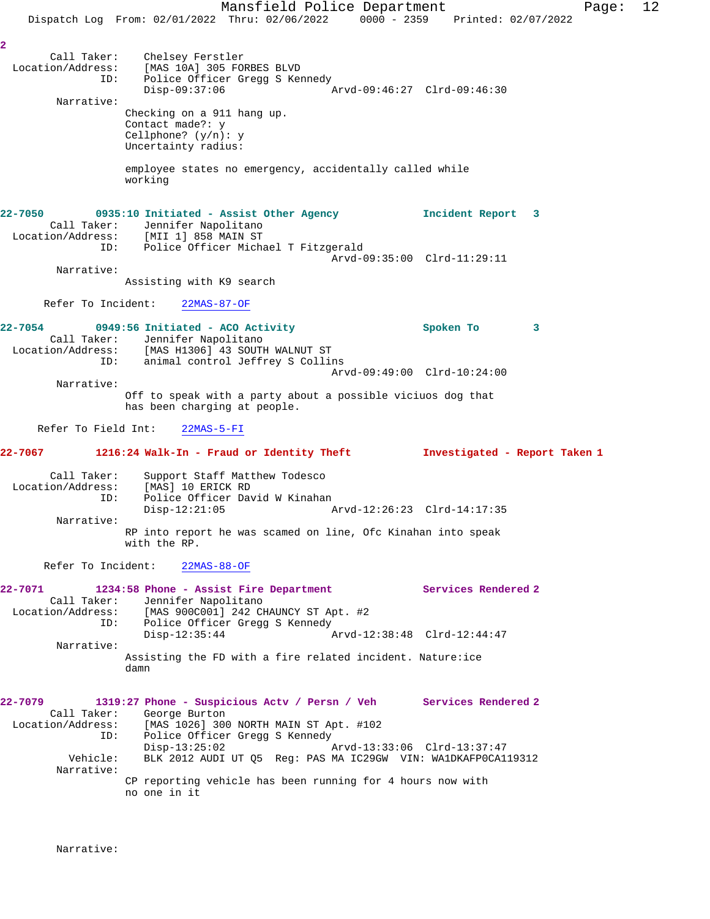Mansfield Police Department Fage: 12 Dispatch Log From: 02/01/2022 Thru: 02/06/2022 0000 - 2359 Printed: 02/07/2022 **2**  Call Taker: Chelsey Ferstler Location/Address: [MAS 10A] 305 FORBES BLVD ID: Police Officer Gregg S Kennedy Disp-09:37:06 Arvd-09:46:27 Clrd-09:46:30 Narrative: Checking on a 911 hang up. Contact made?: y Cellphone? (y/n): y Uncertainty radius: employee states no emergency, accidentally called while working **22-7050 0935:10 Initiated - Assist Other Agency Incident Report 3**  Call Taker: Jennifer Napolitano Location/Address: [MII 1] 858 MAIN ST ID: Police Officer Michael T Fitzgerald Arvd-09:35:00 Clrd-11:29:11 Narrative: Assisting with K9 search Refer To Incident: 22MAS-87-OF **22-7054 0949:56 Initiated - ACO Activity Spoken To 3**  Call Taker: Jennifer Napolitano Location/Address: [MAS H1306] 43 SOUTH WALNUT ST ID: animal control Jeffrey S Collins Arvd-09:49:00 Clrd-10:24:00 Narrative: Off to speak with a party about a possible viciuos dog that has been charging at people. Refer To Field Int: 22MAS-5-FI **22-7067 1216:24 Walk-In - Fraud or Identity Theft Investigated - Report Taken 1** Call Taker: Support Staff Matthew Todesco Location/Address: [MAS] 10 ERICK RD ID: Police Officer David W Kinahan<br>Disp-12:21:05 Disp-12:21:05 Arvd-12:26:23 Clrd-14:17:35 Narrative: RP into report he was scamed on line, Ofc Kinahan into speak with the RP. Refer To Incident: 22MAS-88-OF **22-7071 1234:58 Phone - Assist Fire Department Services Rendered 2**  Call Taker: Jennifer Napolitano Location/Address: [MAS 900C001] 242 CHAUNCY ST Apt. #2 Tess. TWAS 900C0011 242 CHAONCY SI ALLY TO: Police Officer Gregg S Kennedy<br>Disp-12:35:44 Disp-12:35:44 Arvd-12:38:48 Clrd-12:44:47 Narrative: Assisting the FD with a fire related incident. Nature:ice damn **22-7079 1319:27 Phone - Suspicious Actv / Persn / Veh Services Rendered 2**  Call Taker: George Burton Location/Address: [MAS 1026] 300 NORTH MAIN ST Apt. #102 ID: Police Officer Gregg S Kennedy Disp-13:25:02 Arvd-13:33:06 Clrd-13:37:47 Vehicle: BLK 2012 AUDI UT Q5 Reg: PAS MA IC29GW VIN: WA1DKAFP0CA119312 Narrative: CP reporting vehicle has been running for 4 hours now with no one in it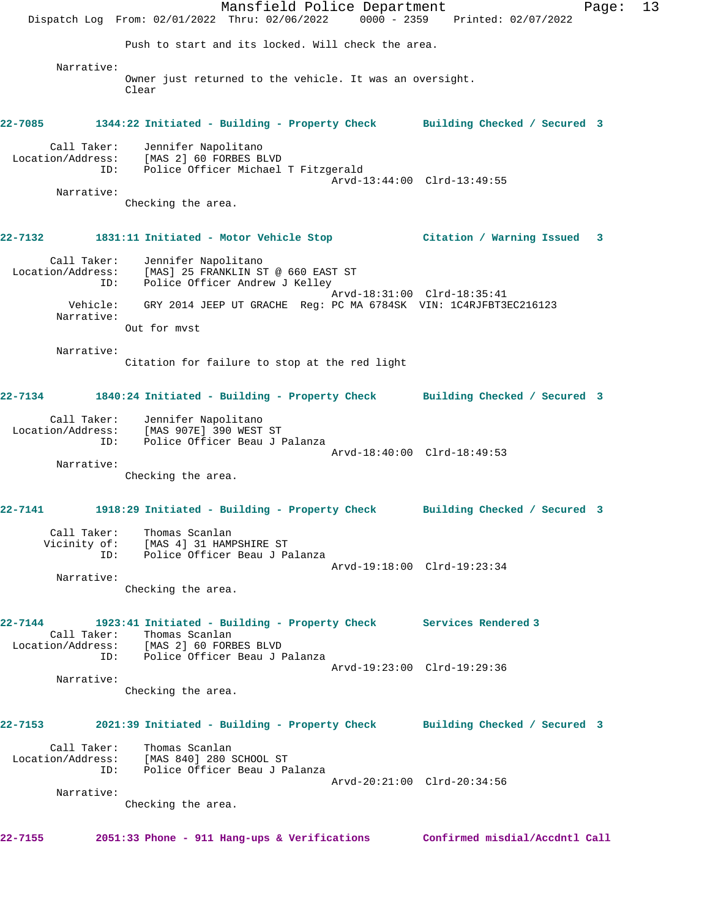Mansfield Police Department Fage: 13 Dispatch Log From: 02/01/2022 Thru: 02/06/2022 0000 - 2359 Printed: 02/07/2022 Push to start and its locked. Will check the area. Narrative: Owner just returned to the vehicle. It was an oversight. Clear **22-7085 1344:22 Initiated - Building - Property Check Building Checked / Secured 3** Call Taker: Jennifer Napolitano Location/Address: [MAS 2] 60 FORBES BLVD ID: Police Officer Michael T Fitzgerald Arvd-13:44:00 Clrd-13:49:55 Narrative: Checking the area. **22-7132 1831:11 Initiated - Motor Vehicle Stop Citation / Warning Issued 3** Call Taker: Jennifer Napolitano Location/Address: [MAS] 25 FRANKLIN ST @ 660 EAST ST ID: Police Officer Andrew J Kelley Arvd-18:31:00 Clrd-18:35:41 Vehicle: GRY 2014 JEEP UT GRACHE Reg: PC MA 6784SK VIN: 1C4RJFBT3EC216123 Narrative: Out for mvst Narrative: Citation for failure to stop at the red light **22-7134 1840:24 Initiated - Building - Property Check Building Checked / Secured 3** Call Taker: Jennifer Napolitano Location/Address: [MAS 907E] 390 WEST ST ID: Police Officer Beau J Palanza Arvd-18:40:00 Clrd-18:49:53 Narrative: Checking the area. **22-7141 1918:29 Initiated - Building - Property Check Building Checked / Secured 3** Call Taker: Thomas Scanlan Vicinity of: [MAS 4] 31 HAMPSHIRE ST ID: Police Officer Beau J Palanza Arvd-19:18:00 Clrd-19:23:34 Narrative: Checking the area. **22-7144 1923:41 Initiated - Building - Property Check Services Rendered 3**  Call Taker: Thomas Scanlan Location/Address: [MAS 2] 60 FORBES BLVD ID: Police Officer Beau J Palanza Arvd-19:23:00 Clrd-19:29:36 Narrative: Checking the area. **22-7153 2021:39 Initiated - Building - Property Check Building Checked / Secured 3** Call Taker: Thomas Scanlan Location/Address: [MAS 840] 280 SCHOOL ST ID: Police Officer Beau J Palanza Arvd-20:21:00 Clrd-20:34:56 Narrative: Checking the area. **22-7155 2051:33 Phone - 911 Hang-ups & Verifications Confirmed misdial/Accdntl Call**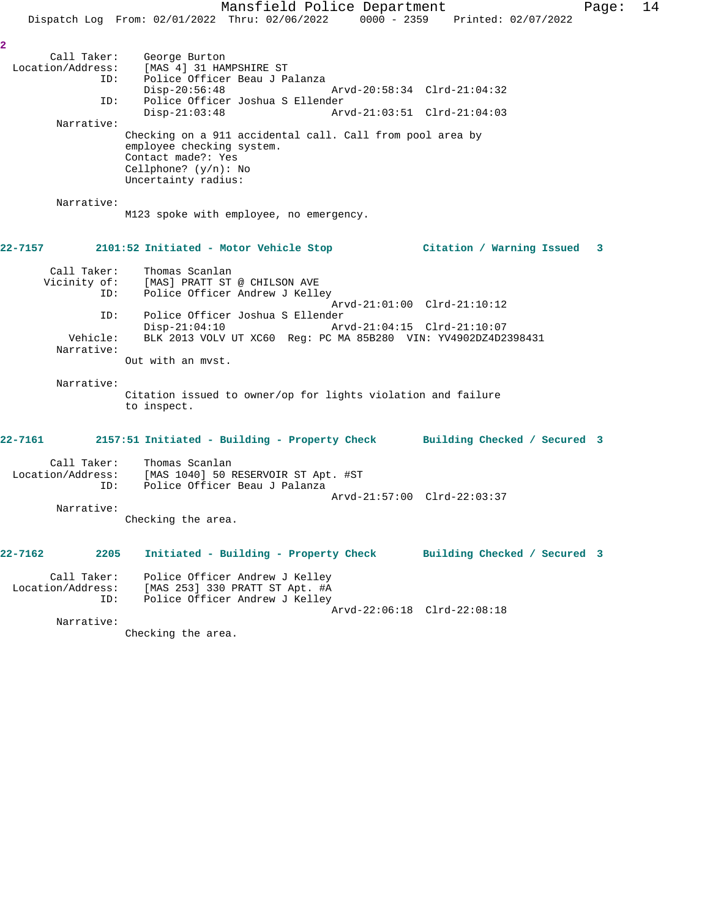Mansfield Police Department Fage: 14 Dispatch Log From: 02/01/2022 Thru: 02/06/2022 0000 - 2359 Printed: 02/07/2022 **2**  Call Taker: George Burton<br>Location/Address: [MAS 4] 31 HAM ess: [MAS 4] 31 HAMPSHIRE ST<br>ID: Police Officer Beau J Pa Police Officer Beau J Palanza Disp-20:56:48 Arvd-20:58:34 Clrd-21:04:32<br>ID: Police Officer Joshua S Ellender Police Officer Joshua S Ellender<br>Disp-21:03:48 Arv Disp-21:03:48 Arvd-21:03:51 Clrd-21:04:03 Narrative: Checking on a 911 accidental call. Call from pool area by employee checking system. Contact made?: Yes Cellphone? (y/n): No Uncertainty radius: Narrative: M123 spoke with employee, no emergency. **22-7157 2101:52 Initiated - Motor Vehicle Stop Citation / Warning Issued 3** Call Taker: Thomas Scanlan<br>Vicinity of: [MAS] PRATT ST of: [MAS] PRATT ST @ CHILSON AVE<br>ID: Police Officer Andrew J Kell Police Officer Andrew J Kelley Arvd-21:01:00 Clrd-21:10:12 ID: Police Officer Joshua S Ellender Disp-21:04:10 Arvd-21:04:15 Clrd-21:10:07<br>Vehicle: BLK 2013 VOLV UT XC60 Reg: PC MA 85B280 VIN: YV4902DZ4D2 BLK 2013 VOLV UT XC60 Reg: PC MA 85B280 VIN: YV4902DZ4D2398431 Narrative: Out with an mvst. Narrative: Citation issued to owner/op for lights violation and failure to inspect. **22-7161 2157:51 Initiated - Building - Property Check Building Checked / Secured 3** Call Taker: Thomas Scanlan Location/Address: [MAS 1040] 50 RESERVOIR ST Apt. #ST ID: Police Officer Beau J Palanza Arvd-21:57:00 Clrd-22:03:37 Narrative: Checking the area. **22-7162 2205 Initiated - Building - Property Check Building Checked / Secured 3** Call Taker: Police Officer Andrew J Kelley Location/Address: [MAS 253] 330 PRATT ST Apt. #A ID: Police Officer Andrew J Kelley Arvd-22:06:18 Clrd-22:08:18

Narrative:

Checking the area.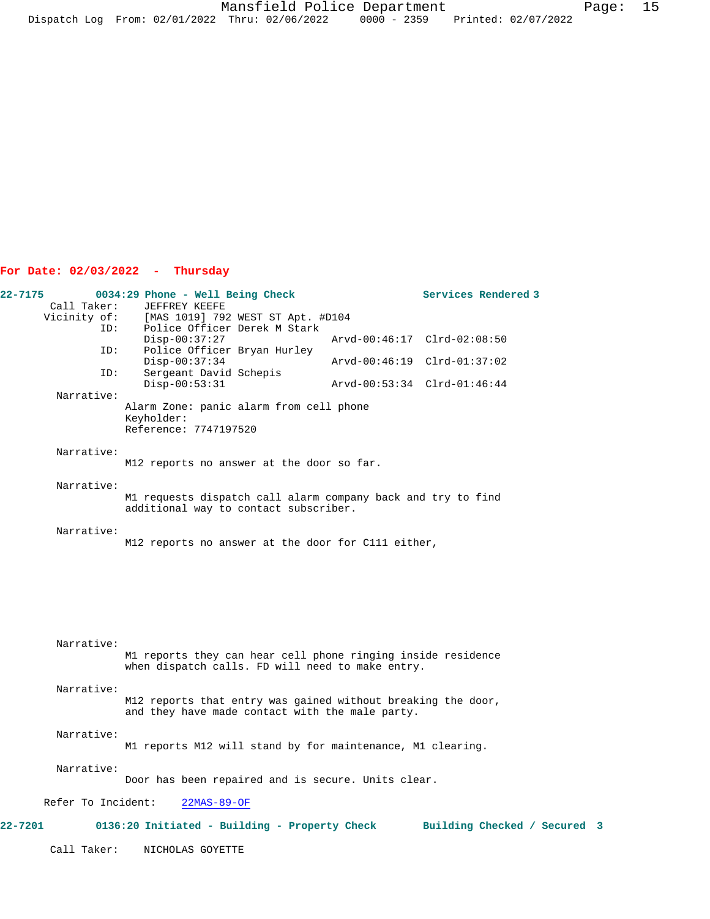## **For Date: 02/03/2022 - Thursday**

| 22-7175            | 0034:29 Phone - Well Being Check                                                                                | Services Rendered 3          |
|--------------------|-----------------------------------------------------------------------------------------------------------------|------------------------------|
| Call Taker:        | JEFFREY KEEFE                                                                                                   |                              |
|                    | Vicinity of: [MAS 1019] 792 WEST ST Apt. #D104<br>ID: Police Officer Derek M Stark                              |                              |
| ID:                | Police Officer Derek M Stark                                                                                    |                              |
|                    | $Disp-00:37:27$                                                                                                 | Arvd-00:46:17 Clrd-02:08:50  |
| ID:<br>ID:         | Police Officer Bryan Hurley<br>$Disp-00:37:34$<br>Sergeant David Schepis                                        | Arvd-00:46:19 Clrd-01:37:02  |
| Narrative:         | $Disp-00:53:31$                                                                                                 | Arvd-00:53:34 Clrd-01:46:44  |
|                    | Alarm Zone: panic alarm from cell phone<br>Keyholder:<br>Reference: 7747197520                                  |                              |
| Narrative:         | M12 reports no answer at the door so far.                                                                       |                              |
| Narrative:         |                                                                                                                 |                              |
|                    | M1 requests dispatch call alarm company back and try to find<br>additional way to contact subscriber.           |                              |
| Narrative:         | M12 reports no answer at the door for C111 either,                                                              |                              |
|                    |                                                                                                                 |                              |
| Narrative:         | M1 reports they can hear cell phone ringing inside residence                                                    |                              |
|                    | when dispatch calls. FD will need to make entry.                                                                |                              |
| Narrative:         |                                                                                                                 |                              |
|                    | M12 reports that entry was gained without breaking the door,<br>and they have made contact with the male party. |                              |
| Narrative:         |                                                                                                                 |                              |
|                    | M1 reports M12 will stand by for maintenance, M1 clearing.                                                      |                              |
| Narrative:         | Door has been repaired and is secure. Units clear.                                                              |                              |
| Refer To Incident: | $22MAS-89-OF$                                                                                                   |                              |
| <b>22-7201</b>     | 0136:20 Initiated - Building - Property Check                                                                   | Building Checked / Secured 3 |
| Call Taker:        | NICHOLAS GOYETTE                                                                                                |                              |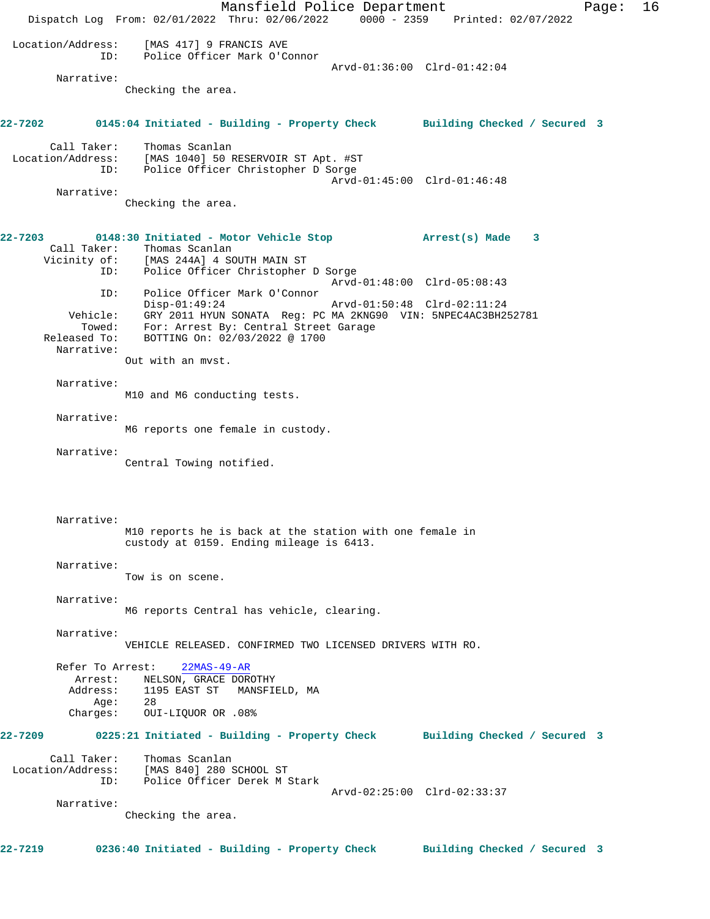Mansfield Police Department Fage: 16 Dispatch Log From: 02/01/2022 Thru: 02/06/2022 0000 - 2359 Printed: 02/07/2022 Location/Address: [MAS 417] 9 FRANCIS AVE ID: Police Officer Mark O'Connor Arvd-01:36:00 Clrd-01:42:04 Narrative: Checking the area. **22-7202 0145:04 Initiated - Building - Property Check Building Checked / Secured 3** Call Taker: Thomas Scanlan Location/Address: [MAS 1040] 50 RESERVOIR ST Apt. #ST ID: Police Officer Christopher D Sorge Arvd-01:45:00 Clrd-01:46:48 Narrative: Checking the area. **22-7203 0148:30 Initiated - Motor Vehicle Stop Arrest(s) Made 3**  Call Taker: Thomas Scanlan Vicinity of: [MAS 244A] 4 SOUTH MAIN ST ID: Police Officer Christopher D Sorge Arvd-01:48:00 Clrd-05:08:43 ID: Police Officer Mark O'Connor Disp-01:49:24 Arvd-01:50:48 Clrd-02:11:24 Vehicle: GRY 2011 HYUN SONATA Reg: PC MA 2KNG90 VIN: 5NPEC4AC3BH252781 Towed: For: Arrest By: Central Street Garage Released To: BOTTING On: 02/03/2022 @ 1700 Narrative: Out with an mvst. Narrative: M10 and M6 conducting tests. Narrative: M6 reports one female in custody. Narrative: Central Towing notified. Narrative: M10 reports he is back at the station with one female in custody at 0159. Ending mileage is 6413. Narrative: Tow is on scene. Narrative: M6 reports Central has vehicle, clearing. Narrative: VEHICLE RELEASED. CONFIRMED TWO LICENSED DRIVERS WITH RO. Refer To Arrest: 22MAS-49-AR Arrest: NELSON, GRACE DOROTHY Address: 1195 EAST ST MANSFIELD, MA<br>Add: 28  $A$ ge: Charges: OUI-LIQUOR OR .08% **22-7209 0225:21 Initiated - Building - Property Check Building Checked / Secured 3** Call Taker: Thomas Scanlan Location/Address: [MAS 840] 280 SCHOOL ST ID: Police Officer Derek M Stark Arvd-02:25:00 Clrd-02:33:37 Narrative: Checking the area. **22-7219 0236:40 Initiated - Building - Property Check Building Checked / Secured 3**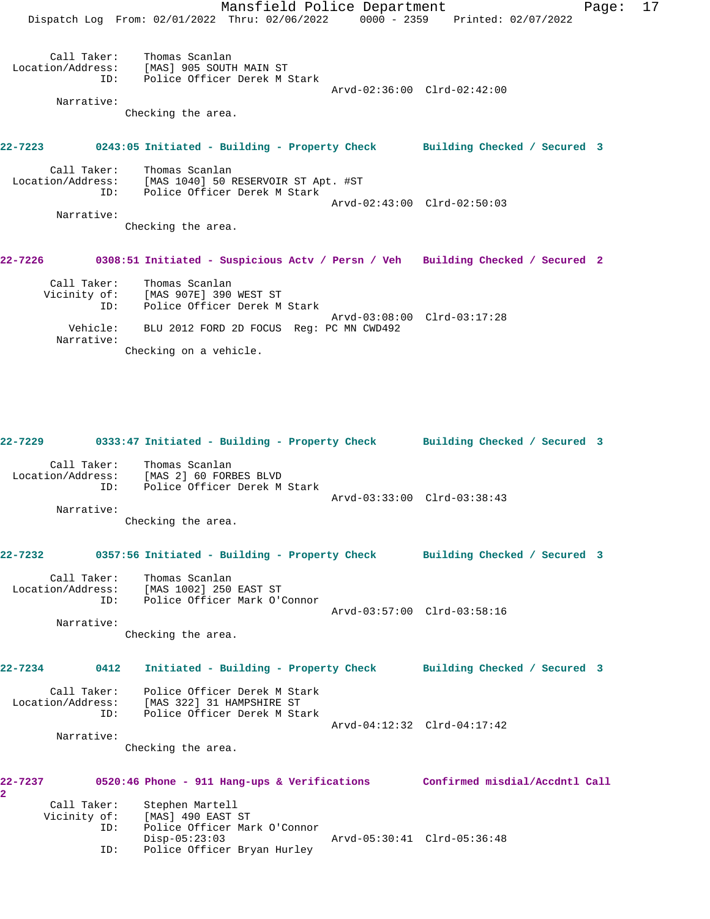Mansfield Police Department Fage: 17 Dispatch Log From: 02/01/2022 Thru: 02/06/2022 0000 - 2359 Printed: 02/07/2022 Call Taker: Thomas Scanlan Location/Address: [MAS] 905 SOUTH MAIN ST ID: Police Officer Derek M Stark Arvd-02:36:00 Clrd-02:42:00 Narrative: Checking the area. **22-7223 0243:05 Initiated - Building - Property Check Building Checked / Secured 3** Call Taker: Thomas Scanlan Location/Address: [MAS 1040] 50 RESERVOIR ST Apt. #ST ID: Police Officer Derek M Stark Arvd-02:43:00 Clrd-02:50:03 Narrative: Checking the area. **22-7226 0308:51 Initiated - Suspicious Actv / Persn / Veh Building Checked / Secured 2** Call Taker: Thomas Scanlan Vicinity of: [MAS 907E] 390 WEST ST

 ID: Police Officer Derek M Stark Arvd-03:08:00 Clrd-03:17:28 Vehicle: BLU 2012 FORD 2D FOCUS Reg: PC MN CWD492 Narrative: Checking on a vehicle.

**22-7229 0333:47 Initiated - Building - Property Check Building Checked / Secured 3**

| Call Taker:       | Thomas Scanlan               |                             |  |
|-------------------|------------------------------|-----------------------------|--|
| Location/Address: | [MAS 2] 60 FORBES BLVD       |                             |  |
| TD:               | Police Officer Derek M Stark |                             |  |
|                   |                              | Arvd-03:33:00 Clrd-03:38:43 |  |
| Narrative:        |                              |                             |  |

Checking the area.

```
22-7232 0357:56 Initiated - Building - Property Check Building Checked / Secured 3
       Call Taker: Thomas Scanlan
Location/Address: [MAS 1002] 250 EAST ST<br>ID: Police Officer Mark O'O
                      Police Officer Mark O'Connor
                                                     Arvd-03:57:00 Clrd-03:58:16
```
Narrative:

Checking the area.

**22-7234 0412 Initiated - Building - Property Check Building Checked / Secured 3**

 Call Taker: Police Officer Derek M Stark Location/Address: [MAS 322] 31 HAMPSHIRE ST ID: Police Officer Derek M Stark Arvd-04:12:32 Clrd-04:17:42 Narrative:

Checking the area.

| 22-7237 |              | 0520:46 Phone - 911 Hang-ups & Verifications | Confirmed misdial/Accdntl Call |  |
|---------|--------------|----------------------------------------------|--------------------------------|--|
| 2.      |              |                                              |                                |  |
|         | Call Taker:  | Stephen Martell                              |                                |  |
|         | Vicinity of: | [MAS] 490 EAST ST                            |                                |  |
|         | ID:          | Police Officer Mark O'Connor                 |                                |  |
|         |              | $Disp-05:23:03$                              | Arvd-05:30:41 Clrd-05:36:48    |  |
|         | ID:          | Police Officer Bryan Hurley                  |                                |  |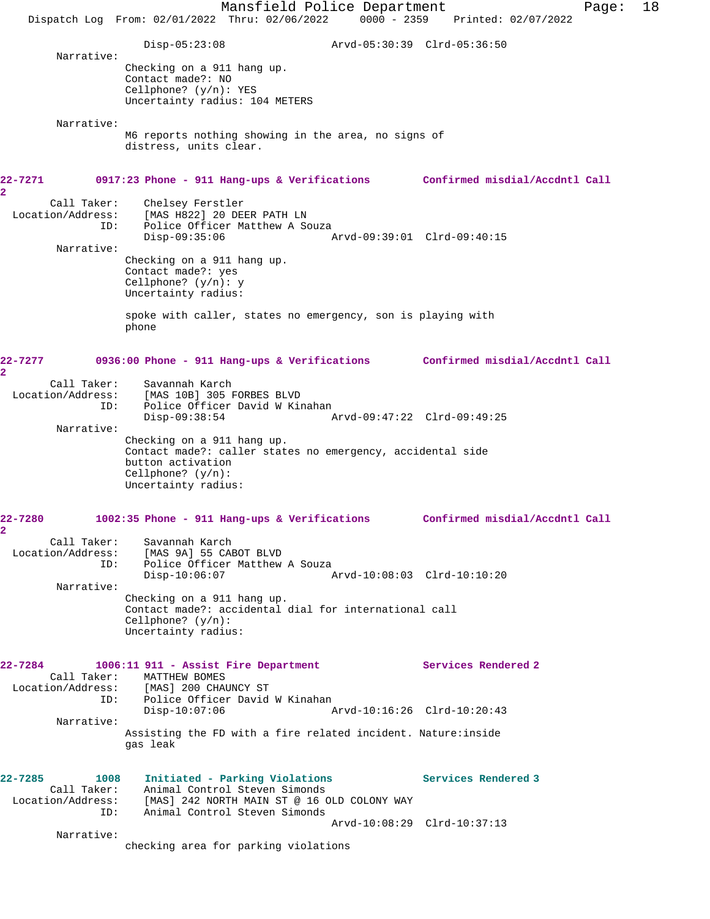Mansfield Police Department Fage: 18 Dispatch Log From: 02/01/2022 Thru: 02/06/2022 0000 - 2359 Printed: 02/07/2022 Disp-05:23:08 Arvd-05:30:39 Clrd-05:36:50 Narrative: Checking on a 911 hang up. Contact made?: NO Cellphone? (y/n): YES Uncertainty radius: 104 METERS Narrative: M6 reports nothing showing in the area, no signs of distress, units clear. **22-7271 0917:23 Phone - 911 Hang-ups & Verifications Confirmed misdial/Accdntl Call 2**  Call Taker: Chelsey Ferstler<br>Location/Address: [MAS H822] 20 DE  $[MAS H822]$  20 DEER PATH LN ID: Police Officer Matthew A Souza<br>Disp-09:35:06 P Disp-09:35:06 Arvd-09:39:01 Clrd-09:40:15 Narrative: Checking on a 911 hang up. Contact made?: yes Cellphone? (y/n): y Uncertainty radius: spoke with caller, states no emergency, son is playing with phone **22-7277 0936:00 Phone - 911 Hang-ups & Verifications Confirmed misdial/Accdntl Call 2**  Call Taker: Savannah Karch Location/Address: [MAS 10B] 305 FORBES BLVD ID: Police Officer David W Kinahan Disp-09:38:54 Arvd-09:47:22 Clrd-09:49:25 Narrative: Checking on a 911 hang up. Contact made?: caller states no emergency, accidental side button activation Cellphone? (y/n): Uncertainty radius: **22-7280 1002:35 Phone - 911 Hang-ups & Verifications Confirmed misdial/Accdntl Call 2**  Call Taker: Savannah Karch Location/Address: [MAS 9A] 55 CABOT BLVD Police Officer Matthew A Souza<br>Disp-10:06:07 Disp-10:06:07 Arvd-10:08:03 Clrd-10:10:20 Narrative: Checking on a 911 hang up. Contact made?: accidental dial for international call Cellphone? (y/n): Uncertainty radius: **22-7284 1006:11 911 - Assist Fire Department Services Rendered 2**  Call Taker: MATTHEW BOMES Location/Address: [MAS] 200 CHAUNCY ST ID: Police Officer David W Kinahan Disp-10:07:06 Arvd-10:16:26 Clrd-10:20:43 Narrative: Assisting the FD with a fire related incident. Nature:inside gas leak **22-7285 1008 Initiated - Parking Violations Services Rendered 3**  Call Taker: Animal Control Steven Simonds Location/Address: [MAS] 242 NORTH MAIN ST @ 16 OLD COLONY WAY ID: Animal Control Steven Simonds Arvd-10:08:29 Clrd-10:37:13 Narrative: checking area for parking violations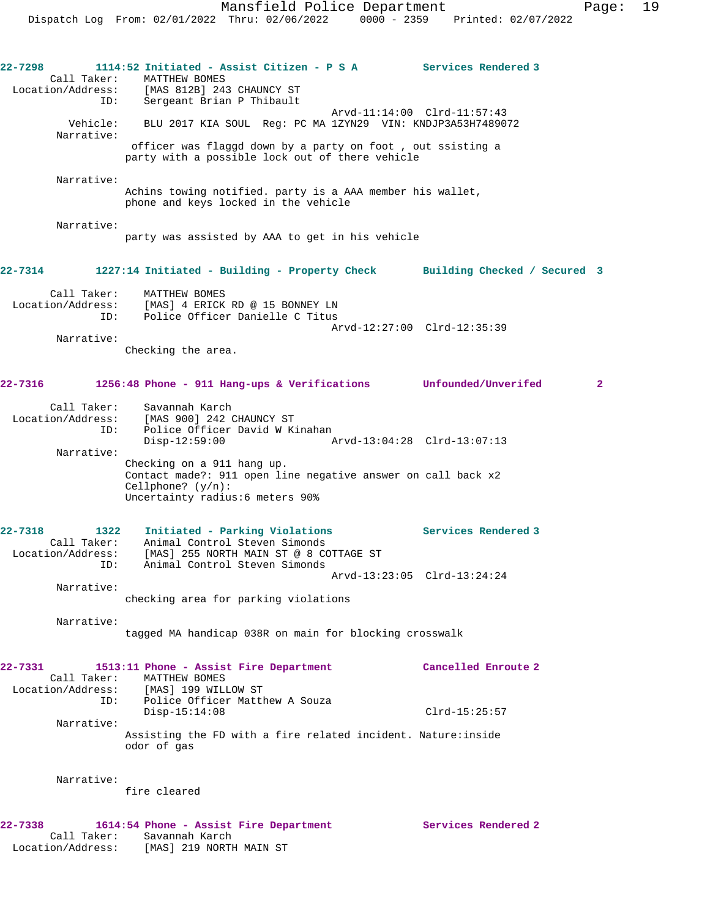**22-7298 1114:52 Initiated - Assist Citizen - P S A Services Rendered 3**  Call Taker: MATTHEW BOMES Location/Address: [MAS 812B] 243 CHAUNCY ST ID: Sergeant Brian P Thibault Arvd-11:14:00 Clrd-11:57:43 Vehicle: BLU 2017 KIA SOUL Reg: PC MA 1ZYN29 VIN: KNDJP3A53H7489072 Narrative: officer was flaggd down by a party on foot , out ssisting a party with a possible lock out of there vehicle Narrative: Achins towing notified. party is a AAA member his wallet, phone and keys locked in the vehicle Narrative: party was assisted by AAA to get in his vehicle **22-7314 1227:14 Initiated - Building - Property Check Building Checked / Secured 3** Call Taker: MATTHEW BOMES Location/Address: [MAS] 4 ERICK RD @ 15 BONNEY LN ID: Police Officer Danielle C Titus Arvd-12:27:00 Clrd-12:35:39 Narrative: Checking the area. **22-7316 1256:48 Phone - 911 Hang-ups & Verifications Unfounded/Unverifed 2** Call Taker: Savannah Karch Location/Address: [MAS 900] 242 CHAUNCY ST ID: Police Officer David W Kinahan<br>Disp-12:59:00 Disp-12:59:00 Arvd-13:04:28 Clrd-13:07:13 Narrative: Checking on a 911 hang up. Contact made?: 911 open line negative answer on call back x2 Cellphone? (y/n): Uncertainty radius:6 meters 90% **22-7318 1322 Initiated - Parking Violations Services Rendered 3**  Call Taker: Animal Control Steven Simonds Location/Address: [MAS] 255 NORTH MAIN ST @ 8 COTTAGE ST ID: Animal Control Steven Simonds Arvd-13:23:05 Clrd-13:24:24 Narrative: checking area for parking violations Narrative: tagged MA handicap 038R on main for blocking crosswalk **22-7331 1513:11 Phone - Assist Fire Department Cancelled Enroute 2**  Call Taker: MATTHEW BOMES Location/Address: [MAS] 199 WILLOW ST ID: Police Officer Matthew A Souza Disp-15:14:08 Clrd-15:25:57 Narrative: Assisting the FD with a fire related incident. Nature:inside odor of gas Narrative: fire cleared **22-7338 1614:54 Phone - Assist Fire Department Services Rendered 2**  Call Taker: Savannah Karch Location/Address: [MAS] 219 NORTH MAIN ST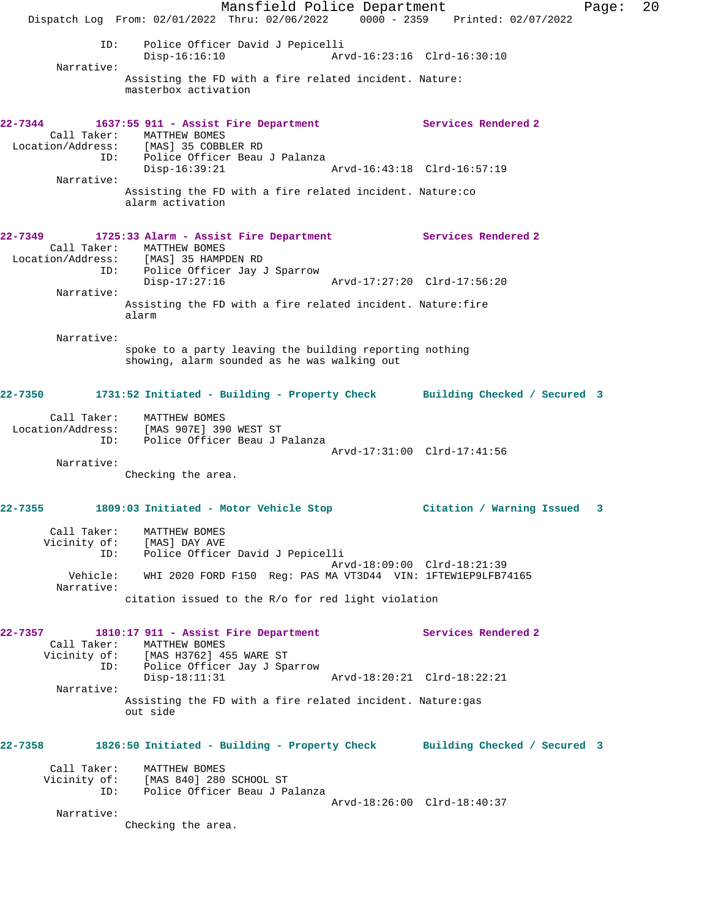Mansfield Police Department Fage: 20 Dispatch Log From: 02/01/2022 Thru: 02/06/2022 0000 - 2359 Printed: 02/07/2022 ID: Police Officer David J Pepicelli Disp-16:16:10 Arvd-16:23:16 Clrd-16:30:10 Narrative: Assisting the FD with a fire related incident. Nature: masterbox activation **22-7344 1637:55 911 - Assist Fire Department Services Rendered 2**  Call Taker: MATTHEW BOMES Location/Address: [MAS] 35 COBBLER RD ress: [MAS] 35 COBBLER RD<br>ID: Police Officer Beau J Palanza<br>Disp-16:39:21 Disp-16:39:21 Arvd-16:43:18 Clrd-16:57:19 Narrative: Assisting the FD with a fire related incident. Nature:co alarm activation **22-7349 1725:33 Alarm - Assist Fire Department Services Rendered 2**  Call Taker: MATTHEW BOMES Location/Address: [MAS] 35 HAMPDEN RD ID: Police Officer Jay J Sparrow Disp-17:27:16 Arvd-17:27:20 Clrd-17:56:20 Narrative: Assisting the FD with a fire related incident. Nature:fire alarm Narrative: spoke to a party leaving the building reporting nothing showing, alarm sounded as he was walking out **22-7350 1731:52 Initiated - Building - Property Check Building Checked / Secured 3** Call Taker: MATTHEW BOMES Location/Address: [MAS 907E] 390 WEST ST ID: Police Officer Beau J Palanza Arvd-17:31:00 Clrd-17:41:56 Narrative: Checking the area. **22-7355 1809:03 Initiated - Motor Vehicle Stop Citation / Warning Issued 3** Call Taker: MATTHEW BOMES Vicinity of: [MAS] DAY AVE ID: Police Officer David J Pepicelli Arvd-18:09:00 Clrd-18:21:39 Vehicle: WHI 2020 FORD F150 Reg: PAS MA VT3D44 VIN: 1FTEW1EP9LFB74165 Narrative: citation issued to the R/o for red light violation **22-7357 1810:17 911 - Assist Fire Department Services Rendered 2**  Call Taker: MATTHEW BOMES Vicinity of: [MAS H3762] 455 WARE ST ID: Police Officer Jay J Sparrow Disp-18:11:31 Arvd-18:20:21 Clrd-18:22:21 Narrative: Assisting the FD with a fire related incident. Nature:gas out side **22-7358 1826:50 Initiated - Building - Property Check Building Checked / Secured 3** Call Taker: MATTHEW BOMES Vicinity of: [MAS 840] 280 SCHOOL ST ID: Police Officer Beau J Palanza Arvd-18:26:00 Clrd-18:40:37 Narrative: Checking the area.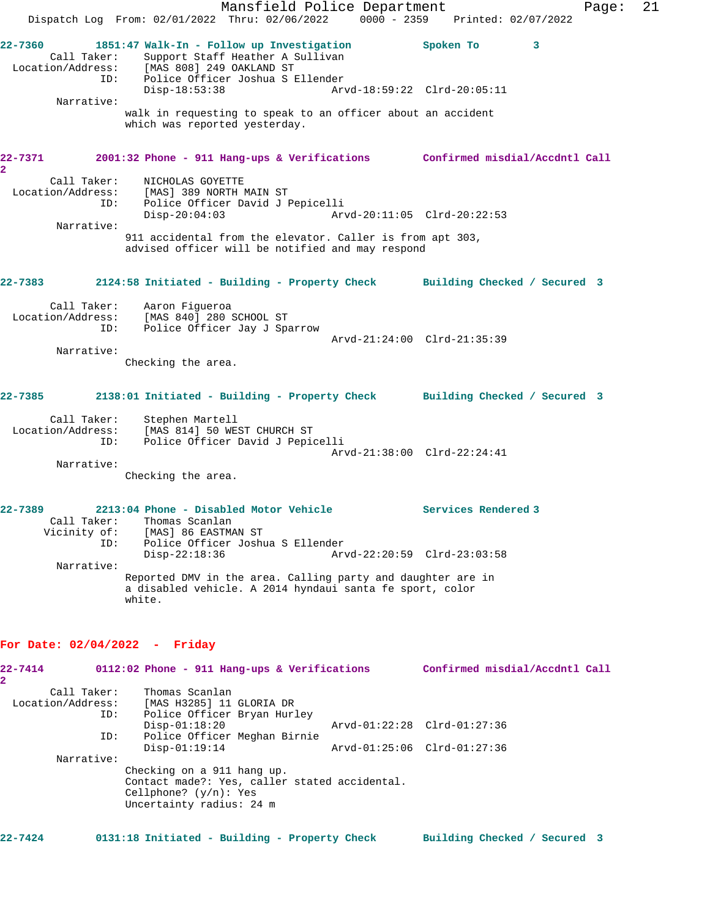Mansfield Police Department Fage: 21 Dispatch Log From: 02/01/2022 Thru: 02/06/2022 0000 - 2359 Printed: 02/07/2022 **22-7360 1851:47 Walk-In - Follow up Investigation Spoken To 3**  Call Taker: Support Staff Heather A Sullivan Location/Address: [MAS 808] 249 OAKLAND ST ID: Police Officer Joshua S Ellender Disp-18:53:38 Arvd-18:59:22 Clrd-20:05:11 Narrative: walk in requesting to speak to an officer about an accident which was reported yesterday. **22-7371 2001:32 Phone - 911 Hang-ups & Verifications Confirmed misdial/Accdntl Call 2**  Call Taker: NICHOLAS GOYETTE Location/Address: [MAS] 389 NORTH MAIN ST ID: Police Officer David J Pepicelli Disp-20:04:03 Arvd-20:11:05 Clrd-20:22:53 Narrative: 911 accidental from the elevator. Caller is from apt 303, advised officer will be notified and may respond **22-7383 2124:58 Initiated - Building - Property Check Building Checked / Secured 3** Call Taker: Aaron Figueroa Location/Address: [MAS 840] 280 SCHOOL ST ID: Police Officer Jay J Sparrow Arvd-21:24:00 Clrd-21:35:39 Narrative: Checking the area. **22-7385 2138:01 Initiated - Building - Property Check Building Checked / Secured 3** Call Taker: Stephen Martell Location/Address: [MAS 814] 50 WEST CHURCH ST ID: Police Officer David J Pepicelli Arvd-21:38:00 Clrd-22:24:41 Narrative: Checking the area. **22-7389 2213:04 Phone - Disabled Motor Vehicle Services Rendered 3**  Call Taker: Thomas Scanlan Vicinity of: [MAS] 86 EASTMAN ST ID: Police Officer Joshua S Ellender<br>Disp-22:18:36 Arw Disp-22:18:36 Arvd-22:20:59 Clrd-23:03:58 Narrative: Reported DMV in the area. Calling party and daughter are in a disabled vehicle. A 2014 hyndaui santa fe sport, color white. **For Date: 02/04/2022 - Friday 22-7414 0112:02 Phone - 911 Hang-ups & Verifications Confirmed misdial/Accdntl Call 2**  Call Taker: Thomas Scanlan Location/Address: [MAS H3285] 11 GLORIA DR ID: Police Officer Bryan Hurley Disp-01:18:20 Arvd-01:22:28 Clrd-01:27:36 ID: Police Officer Meghan Birnie Disp-01:19:14 Arvd-01:25:06 Clrd-01:27:36 Narrative:

Checking on a 911 hang up. Contact made?: Yes, caller stated accidental. Cellphone? (y/n): Yes Uncertainty radius: 24 m

**22-7424 0131:18 Initiated - Building - Property Check Building Checked / Secured 3**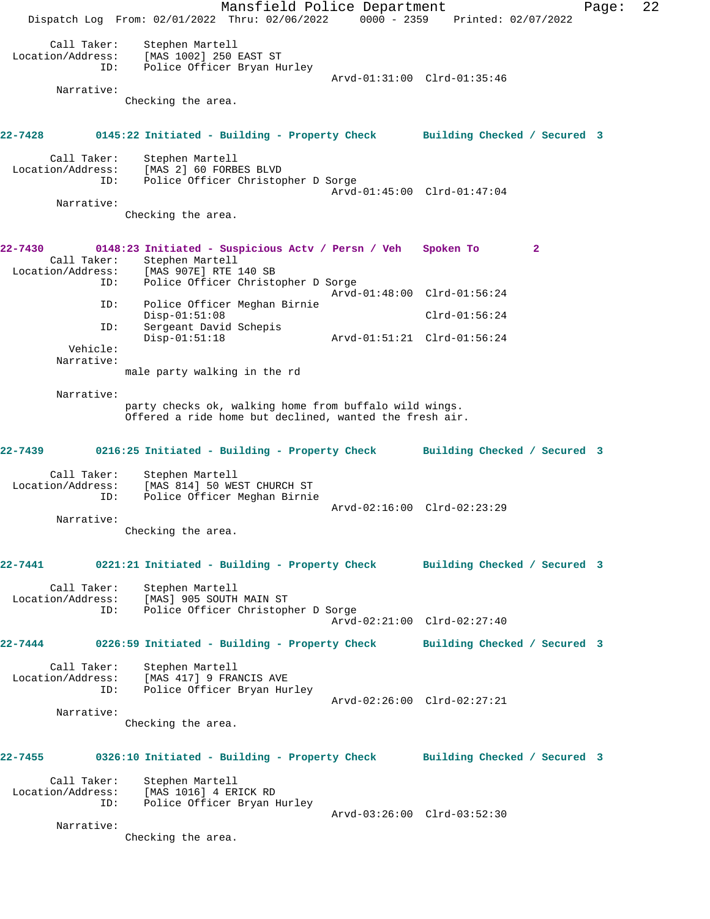Mansfield Police Department Page: 22 Dispatch Log From: 02/01/2022 Thru: 02/06/2022 0000 - 2359 Printed: 02/07/2022 Call Taker: Stephen Martell Location/Address: [MAS 1002] 250 EAST ST ID: Police Officer Bryan Hurley Arvd-01:31:00 Clrd-01:35:46 Narrative: Checking the area. **22-7428 0145:22 Initiated - Building - Property Check Building Checked / Secured 3** Call Taker: Stephen Martell Location/Address: [MAS 2] 60 FORBES BLVD ID: Police Officer Christopher D Sorge Arvd-01:45:00 Clrd-01:47:04 Narrative: Checking the area. **22-7430 0148:23 Initiated - Suspicious Actv / Persn / Veh Spoken To 2**  Call Taker: Stephen Martell Location/Address: [MAS 907E] RTE 140 SB Police Officer Christopher D Sorge Arvd-01:48:00 Clrd-01:56:24 ID: Police Officer Meghan Birnie Disp-01:51:08 Clrd-01:56:24 ID: Sergeant David Schepis Disp-01:51:18 Arvd-01:51:21 Clrd-01:56:24 Vehicle: Narrative: male party walking in the rd Narrative: party checks ok, walking home from buffalo wild wings. Offered a ride home but declined, wanted the fresh air. **22-7439 0216:25 Initiated - Building - Property Check Building Checked / Secured 3** Call Taker: Stephen Martell Location/Address: [MAS 814] 50 WEST CHURCH ST ID: Police Officer Meghan Birnie Arvd-02:16:00 Clrd-02:23:29 Narrative: Checking the area. **22-7441 0221:21 Initiated - Building - Property Check Building Checked / Secured 3** Call Taker: Stephen Martell Location/Address: [MAS] 905 SOUTH MAIN ST ID: Police Officer Christopher D Sorge Arvd-02:21:00 Clrd-02:27:40 **22-7444 0226:59 Initiated - Building - Property Check Building Checked / Secured 3** Call Taker: Stephen Martell Location/Address: [MAS 417] 9 FRANCIS AVE ID: Police Officer Bryan Hurley Arvd-02:26:00 Clrd-02:27:21 Narrative: Checking the area. **22-7455 0326:10 Initiated - Building - Property Check Building Checked / Secured 3** Call Taker: Stephen Martell Location/Address: [MAS 1016] 4 ERICK RD ID: Police Officer Bryan Hurley Arvd-03:26:00 Clrd-03:52:30 Narrative: Checking the area.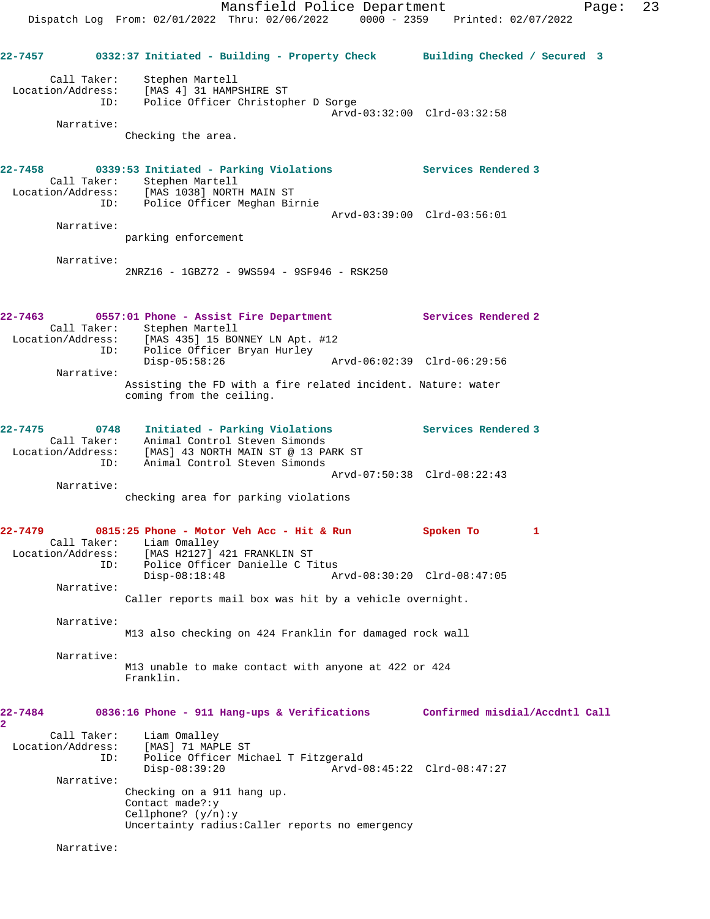**22-7457 0332:37 Initiated - Building - Property Check Building Checked / Secured 3** Call Taker: Stephen Martell Location/Address: [MAS 4] 31 HAMPSHIRE ST ID: Police Officer Christopher D Sorge Arvd-03:32:00 Clrd-03:32:58 Narrative: Checking the area. **22-7458 0339:53 Initiated - Parking Violations Services Rendered 3**  Call Taker: Stephen Martell Location/Address: [MAS 1038] NORTH MAIN ST ID: Police Officer Meghan Birnie Arvd-03:39:00 Clrd-03:56:01 Narrative: parking enforcement Narrative: 2NRZ16 - 1GBZ72 - 9WS594 - 9SF946 - RSK250 **22-7463 0557:01 Phone - Assist Fire Department Services Rendered 2**  Call Taker: Stephen Martell Location/Address: [MAS 435] 15 BONNEY LN Apt. #12 ID: Police Officer Bryan Hurley Disp-05:58:26 Arvd-06:02:39 Clrd-06:29:56 Narrative: Assisting the FD with a fire related incident. Nature: water coming from the ceiling. **22-7475 0748 Initiated - Parking Violations Services Rendered 3**  Call Taker: Animal Control Steven Simonds Location/Address: [MAS] 43 NORTH MAIN ST @ 13 PARK ST ID: Animal Control Steven Simonds Arvd-07:50:38 Clrd-08:22:43 Narrative: checking area for parking violations **22-7479 0815:25 Phone - Motor Veh Acc - Hit & Run Spoken To 1**  Call Taker: Liam Omalley Location/Address: [MAS H2127] 421 FRANKLIN ST ID: Police Officer Danielle C Titus Disp-08:18:48 Arvd-08:30:20 Clrd-08:47:05 Narrative: Caller reports mail box was hit by a vehicle overnight. Narrative: M13 also checking on 424 Franklin for damaged rock wall Narrative: M13 unable to make contact with anyone at 422 or 424 Franklin. **22-7484 0836:16 Phone - 911 Hang-ups & Verifications Confirmed misdial/Accdntl Call 2**  Call Taker: Liam Omalley Location/Address: [MAS] 71 MAPLE ST ID: Police Officer Michael T Fitzgerald Disp-08:39:20 Arvd-08:45:22 Clrd-08:47:27 Narrative: Checking on a 911 hang up. Contact made?:y Cellphone? (y/n):y Uncertainty radius:Caller reports no emergency

Narrative: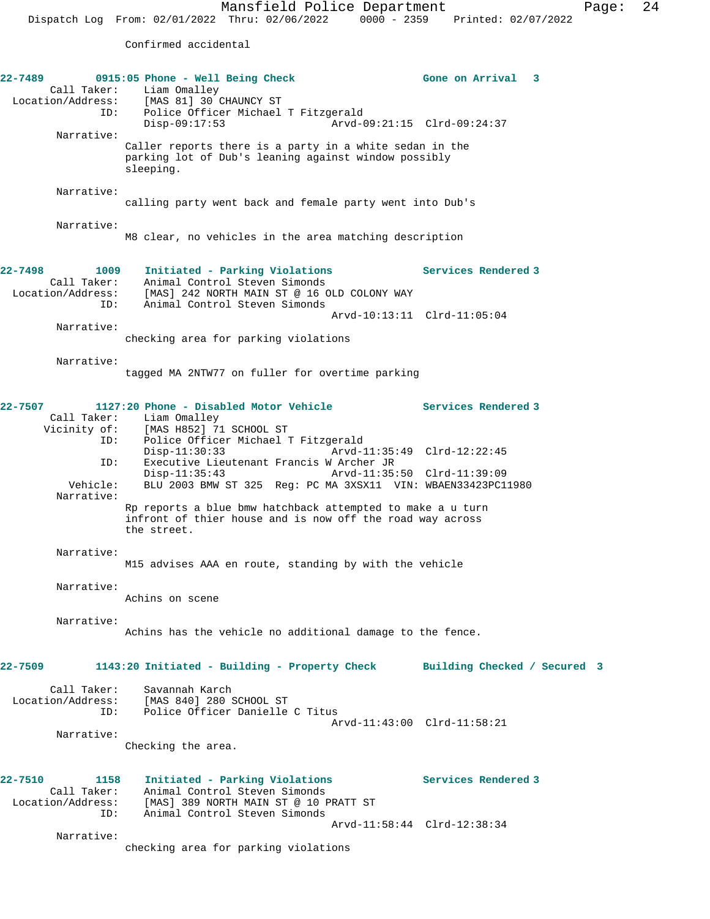Confirmed accidental

| 22-7489<br>Liam Omalley<br>Location/Address: [MAG 01]<br>ID: | 0915:05 Phone - Well Being Check<br>[MAS 81] 30 CHAUNCY ST<br>Police Officer Michael T Fitzgerald                                               | Gone on Arrival 3           |
|--------------------------------------------------------------|-------------------------------------------------------------------------------------------------------------------------------------------------|-----------------------------|
| Narrative:                                                   | $Disp-09:17:53$<br>Caller reports there is a party in a white sedan in the                                                                      | Arvd-09:21:15 Clrd-09:24:37 |
|                                                              | parking lot of Dub's leaning against window possibly<br>sleeping.                                                                               |                             |
| Narrative:                                                   | calling party went back and female party went into Dub's                                                                                        |                             |
| Narrative:                                                   | M8 clear, no vehicles in the area matching description                                                                                          |                             |
| 22-7498<br>1009<br>Call Taker:<br>Location/Address:<br>ID:   | Initiated - Parking Violations<br>Animal Control Steven Simonds<br>[MAS] 242 NORTH MAIN ST @ 16 OLD COLONY WAY<br>Animal Control Steven Simonds | <b>Services Rendered 3</b>  |
| Narrative:                                                   |                                                                                                                                                 | Arvd-10:13:11 Clrd-11:05:04 |
|                                                              | checking area for parking violations                                                                                                            |                             |
| Narrative:                                                   | tagged MA 2NTW77 on fuller for overtime parking                                                                                                 |                             |
| 22-7507<br>Call Taker:<br>Vicinity of:<br>ID:                | 1127:20 Phone - Disabled Motor Vehicle<br>Liam Omalley<br>[MAS H852] 71 SCHOOL ST<br>Police Officer Michael T Fitzgerald                        | <b>Services Rendered 3</b>  |
| ID:                                                          | $Disp-11:30:33$<br>Executive Lieutenant Francis W Archer JR                                                                                     | Arvd-11:35:49 Clrd-12:22:45 |
| Vehicle:<br>Narrative:                                       | $Disp-11:35:43$<br>BLU 2003 BMW ST 325 Reg: PC MA 3XSX11 VIN: WBAEN33423PC11980                                                                 |                             |
|                                                              | Rp reports a blue bmw hatchback attempted to make a u turn<br>infront of thier house and is now off the road way across<br>the street.          |                             |
| Narrative:                                                   | M15 advises AAA en route, standing by with the vehicle                                                                                          |                             |
| Narrative:                                                   | Achins on scene                                                                                                                                 |                             |
| Narrative:                                                   | Achins has the vehicle no additional damage to the fence.                                                                                       |                             |
| 22-7509                                                      | 1143:20 Initiated - Building - Property Check Building Checked / Secured 3                                                                      |                             |
| Call Taker:<br>Location/Address:<br>ID:                      | Savannah Karch<br>[MAS 840] 280 SCHOOL ST<br>Police Officer Danielle C Titus                                                                    | Arvd-11:43:00 Clrd-11:58:21 |
| Narrative:                                                   | Checking the area.                                                                                                                              |                             |
| 22-7510<br>1158                                              | Initiated - Parking Violations                                                                                                                  | Services Rendered 3         |
| Call Taker:<br>ID:                                           | Animal Control Steven Simonds<br>Location/Address: [MAS] 389 NORTH MAIN ST @ 10 PRATT ST<br>Animal Control Steven Simonds                       |                             |
| Narrative:                                                   | checking area for parking violations                                                                                                            | Arvd-11:58:44 Clrd-12:38:34 |
|                                                              |                                                                                                                                                 |                             |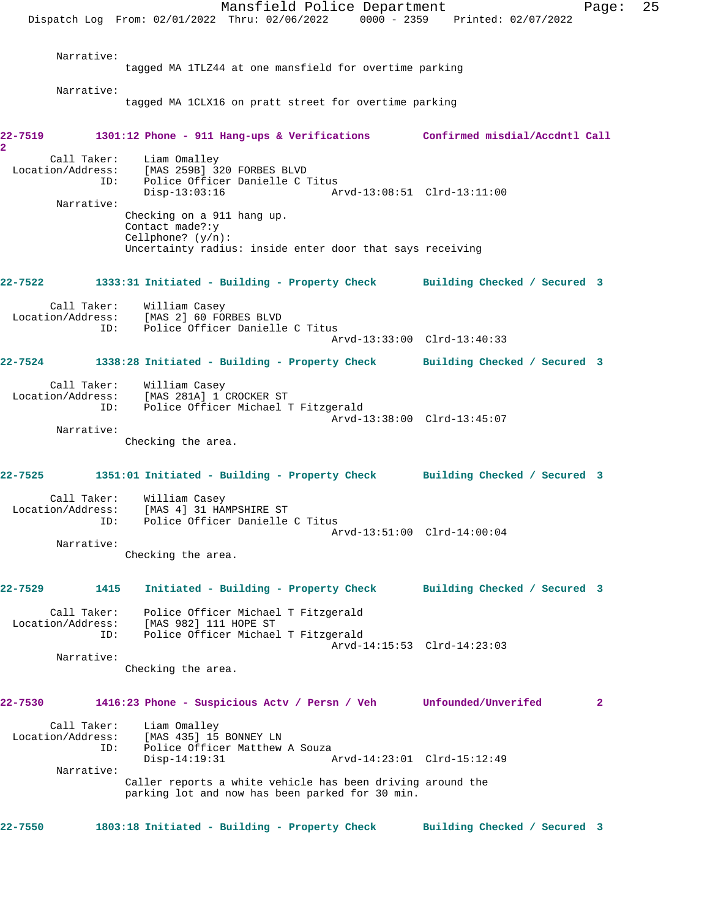Mansfield Police Department Fage: 25 Dispatch Log From: 02/01/2022 Thru: 02/06/2022 0000 - 2359 Printed: 02/07/2022 Narrative: tagged MA 1TLZ44 at one mansfield for overtime parking Narrative: tagged MA 1CLX16 on pratt street for overtime parking **22-7519 1301:12 Phone - 911 Hang-ups & Verifications Confirmed misdial/Accdntl Call 2**  Call Taker: Liam Omalley Location/Address: [MAS 259B] 320 FORBES BLVD ID: Police Officer Danielle C Titus<br>Disp-13:03:16 Am Disp-13:03:16 Arvd-13:08:51 Clrd-13:11:00 Narrative: Checking on a 911 hang up. Contact made?:y Cellphone? (y/n): Uncertainty radius: inside enter door that says receiving **22-7522 1333:31 Initiated - Building - Property Check Building Checked / Secured 3** Call Taker: William Casey Location/Address: [MAS 2] 60 FORBES BLVD ID: Police Officer Danielle C Titus Arvd-13:33:00 Clrd-13:40:33 **22-7524 1338:28 Initiated - Building - Property Check Building Checked / Secured 3** Call Taker: William Casey Location/Address: [MAS 281A] 1 CROCKER ST ID: Police Officer Michael T Fitzgerald Arvd-13:38:00 Clrd-13:45:07 Narrative: Checking the area. **22-7525 1351:01 Initiated - Building - Property Check Building Checked / Secured 3** Call Taker: William Casey Location/Address: [MAS 4] 31 HAMPSHIRE ST ID: Police Officer Danielle C Titus Arvd-13:51:00 Clrd-14:00:04 Narrative: Checking the area. **22-7529 1415 Initiated - Building - Property Check Building Checked / Secured 3** Call Taker: Police Officer Michael T Fitzgerald Location/Address: [MAS 982] 111 HOPE ST ID: Police Officer Michael T Fitzgerald Arvd-14:15:53 Clrd-14:23:03 Narrative: Checking the area. **22-7530 1416:23 Phone - Suspicious Actv / Persn / Veh Unfounded/Unverifed 2** Call Taker: Liam Omalley Location/Address: [MAS 435] 15 BONNEY LN ID: Police Officer Matthew A Souza<br>Disp-14:19:31 Disp-14:19:31 Arvd-14:23:01 Clrd-15:12:49 Narrative: Caller reports a white vehicle has been driving around the parking lot and now has been parked for 30 min. **22-7550 1803:18 Initiated - Building - Property Check Building Checked / Secured 3**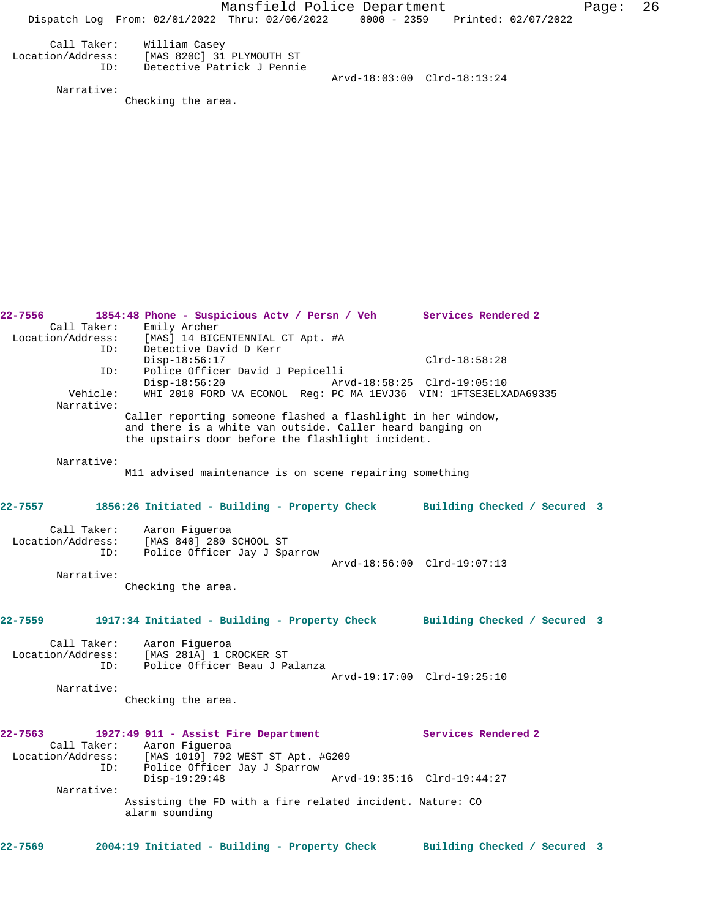Mansfield Police Department Fage: 26 Dispatch Log From: 02/01/2022 Thru: 02/06/2022 0000 - 2359 Printed: 02/07/2022 Call Taker: William Casey Location/Address: [MAS 820C] 31 PLYMOUTH ST ID: Detective Patrick J Pennie Arvd-18:03:00 Clrd-18:13:24 Narrative: Checking the area. **22-7556 1854:48 Phone - Suspicious Actv / Persn / Veh Services Rendered 2**  Call Taker: Emily Archer<br>Location/Address: [MAS] 14 BICI ess: [MAS] 14 BICENTENNIAL CT Apt. #A<br>ID: Detective David D Kerr Detective David D Kerr Disp-18:56:17 Clrd-18:58:28 ID: Police Officer David J Pepicelli Disp-18:56:20 Arvd-18:58:25 Clrd-19:05:10<br>Vehicle: WHI 2010 FORD VA ECONOL Reg: PC MA 1EVJ36 VIN: 1ETSE3ELX WHI 2010 FORD VA ECONOL Reg: PC MA 1EVJ36 VIN: 1FTSE3ELXADA69335 Narrative: Caller reporting someone flashed a flashlight in her window, and there is a white van outside. Caller heard banging on the upstairs door before the flashlight incident. Narrative: M11 advised maintenance is on scene repairing something **22-7557 1856:26 Initiated - Building - Property Check Building Checked / Secured 3** Call Taker: Aaron Figueroa Location/Address: [MAS 840] 280 SCHOOL ST ID: Police Officer Jay J Sparrow Arvd-18:56:00 Clrd-19:07:13 Narrative: Checking the area. **22-7559 1917:34 Initiated - Building - Property Check Building Checked / Secured 3** Call Taker: Aaron Figueroa Location/Address: [MAS 281A] 1 CROCKER ST ID: Police Officer Beau J Palanza Arvd-19:17:00 Clrd-19:25:10 Narrative: Checking the area. **22-7563 1927:49 911 - Assist Fire Department Services Rendered 2**  Call Taker: Aaron Figueroa Location/Address: [MAS 1019] 792 WEST ST Apt. #G209 ID: Police Officer Jay J Sparrow Disp-19:29:48 Arvd-19:35:16 Clrd-19:44:27 Narrative: Assisting the FD with a fire related incident. Nature: CO alarm sounding **22-7569 2004:19 Initiated - Building - Property Check Building Checked / Secured 3**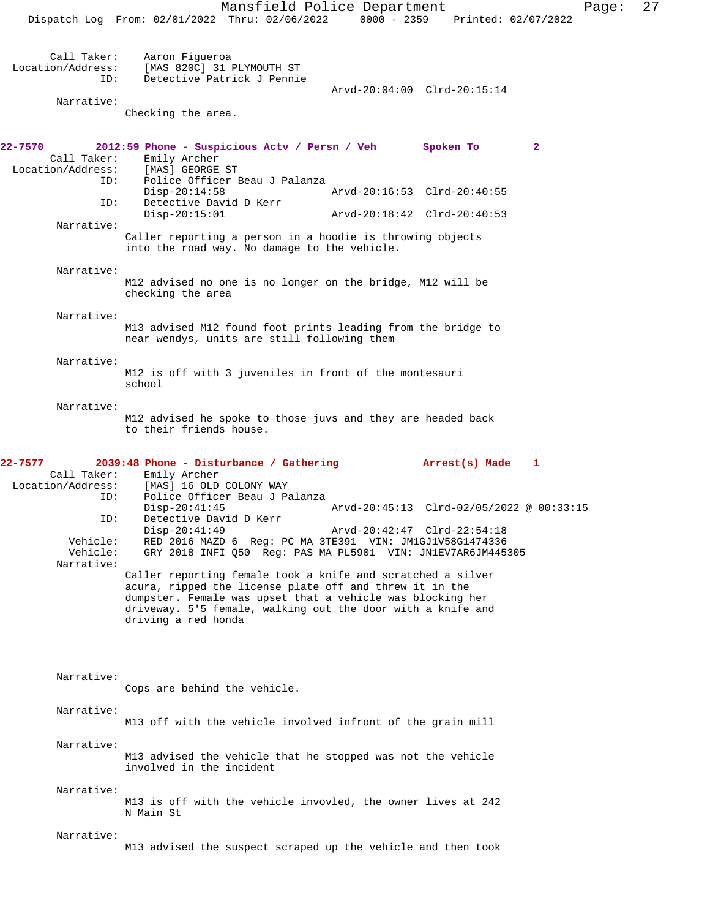| Call Taker:<br>Location/Address:<br>ID: | Aaron Figueroa<br>[MAS 820C] 31 PLYMOUTH ST<br>Detective Patrick J Pennie                                                                        |                                          |              |
|-----------------------------------------|--------------------------------------------------------------------------------------------------------------------------------------------------|------------------------------------------|--------------|
| Narrative:                              |                                                                                                                                                  | Arvd-20:04:00 Clrd-20:15:14              |              |
|                                         | Checking the area.                                                                                                                               |                                          |              |
| 22-7570<br>Call Taker:                  | 2012:59 Phone - Suspicious Actv / Persn / Veh Spoken To<br>Emily Archer                                                                          |                                          | $\mathbf{2}$ |
| Location/Address:<br>ID:                | [MAS] GEORGE ST<br>Police Officer Beau J Palanza                                                                                                 |                                          |              |
| ID:                                     | $Disp-20:14:58$<br>Detective David D Kerr                                                                                                        | Arvd-20:16:53 Clrd-20:40:55              |              |
| Narrative:                              | $Disp-20:15:01$                                                                                                                                  | Arvd-20:18:42 Clrd-20:40:53              |              |
|                                         | Caller reporting a person in a hoodie is throwing objects<br>into the road way. No damage to the vehicle.                                        |                                          |              |
| Narrative:                              |                                                                                                                                                  |                                          |              |
|                                         | M12 advised no one is no longer on the bridge, M12 will be<br>checking the area                                                                  |                                          |              |
| Narrative:                              | M13 advised M12 found foot prints leading from the bridge to<br>near wendys, units are still following them                                      |                                          |              |
| Narrative:                              | M12 is off with 3 juveniles in front of the montesauri<br>school                                                                                 |                                          |              |
| Narrative:                              | M12 advised he spoke to those juvs and they are headed back                                                                                      |                                          |              |
|                                         | to their friends house.                                                                                                                          |                                          |              |
| 22-7577<br>Call Taker:                  | 2039:48 Phone - Disturbance / Gathering<br>Emily Archer                                                                                          | Arrest(s) Made                           | 1            |
| Location/Address:<br>ID:                | [MAS] 16 OLD COLONY WAY<br>Police Officer Beau J Palanza                                                                                         |                                          |              |
| ID:                                     | $Disp-20:41:45$<br>Detective David D Kerr                                                                                                        | Arvd-20:45:13 Clrd-02/05/2022 @ 00:33:15 |              |
| Vehicle:<br>Vehicle:                    | $Disp-20:41:49$<br>RED 2016 MAZD 6 Req: PC MA 3TE391 VIN: JM1GJ1V58G1474336<br>GRY 2018 INFI Q50 Req: PAS MA PL5901 VIN: JN1EV7AR6JM445305       | Arvd-20:42:47 Clrd-22:54:18              |              |
| Narrative:                              | Caller reporting female took a knife and scratched a silver<br>acura, ripped the license plate off and threw it in the                           |                                          |              |
|                                         | dumpster. Female was upset that a vehicle was blocking her<br>driveway. 5'5 female, walking out the door with a knife and<br>driving a red honda |                                          |              |
| Narrative:                              |                                                                                                                                                  |                                          |              |
|                                         | Cops are behind the vehicle.                                                                                                                     |                                          |              |
| Narrative:                              | M13 off with the vehicle involved infront of the grain mill                                                                                      |                                          |              |
| Narrative:                              | M13 advised the vehicle that he stopped was not the vehicle<br>involved in the incident                                                          |                                          |              |
| Narrative:                              | M13 is off with the vehicle invovled, the owner lives at 242<br>N Main St                                                                        |                                          |              |
| Narrative:                              | M13 advised the suspect scraped up the vehicle and then took                                                                                     |                                          |              |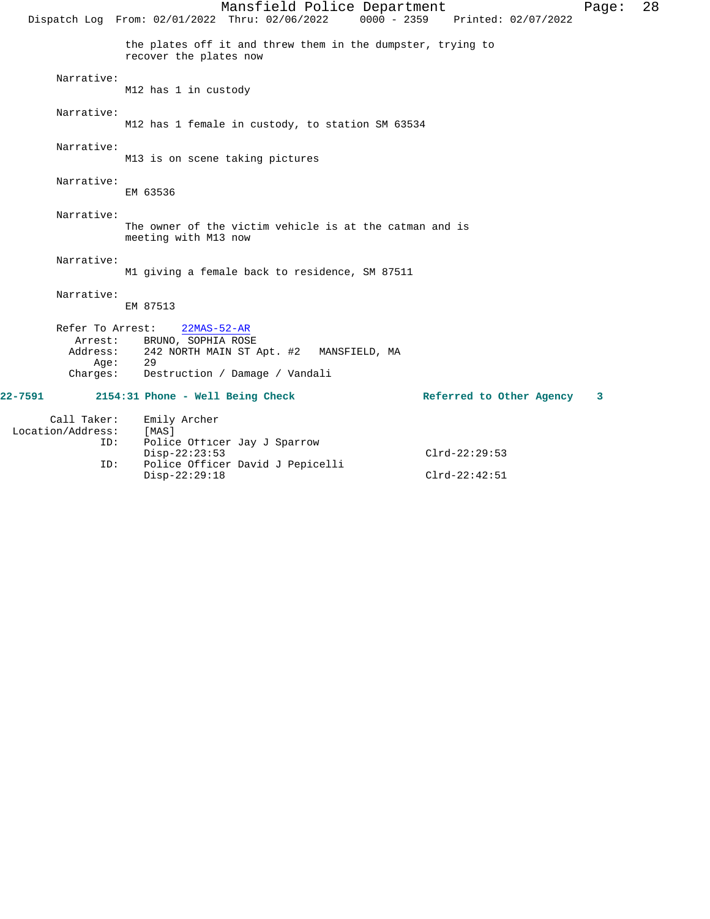Mansfield Police Department Fage: 28 Dispatch Log From: 02/01/2022 Thru: 02/06/2022 0000 - 2359 Printed: 02/07/2022 the plates off it and threw them in the dumpster, trying to recover the plates now Narrative: M12 has 1 in custody Narrative: M12 has 1 female in custody, to station SM 63534 Narrative: M13 is on scene taking pictures Narrative: EM 63536 Narrative: The owner of the victim vehicle is at the catman and is meeting with M13 now Narrative: M1 giving a female back to residence, SM 87511 Narrative: EM 87513 Refer To Arrest: 22MAS-52-AR Arrest: BRUNO, SOPHIA ROSE Address: 242 NORTH MAIN ST Apt. #2 MANSFIELD, MA Age: 29 Charges: Destruction / Damage / Vandali **22-7591 2154:31 Phone - Well Being Check Referred to Other Agency 3** Call Taker: Emily Archer Location/Address: [MAS] ID: Police Officer Jay J Sparrow Disp-22:23:53 Clrd-22:29:53<br>ID: Police Officer David J Pepicelli

Disp-22:29:18 Clrd-22:42:51

Police Officer David J Pepicelli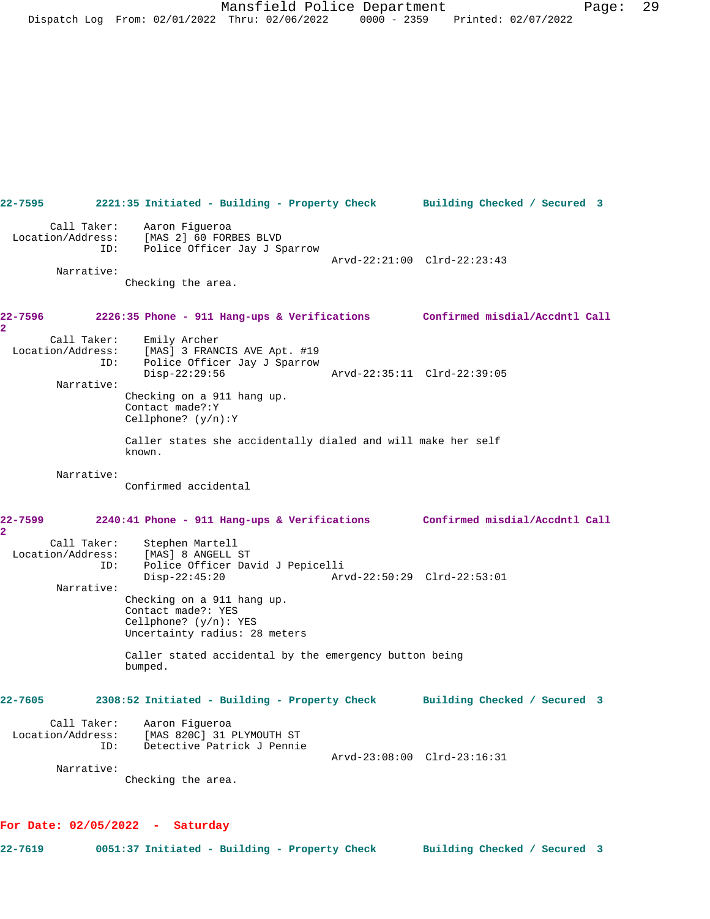| 22-7595                                 | 2221:35 Initiated - Building - Property Check Building Checked / Secured 3                                                       |                              |
|-----------------------------------------|----------------------------------------------------------------------------------------------------------------------------------|------------------------------|
| Narrative:                              | Call Taker: Aaron Fiqueroa<br>Location/Address: [MAS 2] 60 FORBES BLVD<br>ID: Police Officer Jay J Sparrow<br>Checking the area. | Arvd-22:21:00 Clrd-22:23:43  |
| 22-7596<br>$\overline{\mathbf{2}}$      | 2226:35 Phone - 911 Hang-ups & Verifications Confirmed misdial/Accdntl Call                                                      |                              |
| Call Taker:<br>ID:                      | Emily Archer<br>Location/Address: [MAS] 3 FRANCIS AVE Apt. #19<br>Police Officer Jay J Sparrow<br>Disp-22:29:56                  | Arvd-22:35:11 Clrd-22:39:05  |
| Narrative:                              | Checking on a 911 hang up.<br>Contact made?: Y<br>Cellphone? $(y/n):Y$                                                           |                              |
|                                         | Caller states she accidentally dialed and will make her self<br>known.                                                           |                              |
| Narrative:                              | Confirmed accidental                                                                                                             |                              |
| 22-7599<br>$\overline{\mathbf{2}}$      | 2240:41 Phone - 911 Hang-ups & Verifications Confirmed misdial/Accdntl Call                                                      |                              |
| Call Taker:<br>ID:                      | Stephen Martell<br>Location/Address: [MAS] 8 ANGELL ST<br>Police Officer David J Pepicelli<br>$Disp-22:45:20$                    |                              |
| Narrative:                              | Checking on a 911 hang up.<br>Contact made?: YES<br>Cellphone? $(y/n): YES$<br>Uncertainty radius: 28 meters                     |                              |
|                                         | Caller stated accidental by the emergency button being<br>bumped.                                                                |                              |
| $22 - 7605$                             | 2308:52 Initiated - Building - Property Check                                                                                    | Building Checked / Secured 3 |
|                                         | Aaron Figueroa                                                                                                                   |                              |
| Call Taker:<br>Location/Address:<br>ID: | [MAS 820C] 31 PLYMOUTH ST<br>Detective Patrick J Pennie                                                                          | Arvd-23:08:00 Clrd-23:16:31  |

## **For Date: 02/05/2022 - Saturday**

**22-7619 0051:37 Initiated - Building - Property Check Building Checked / Secured 3**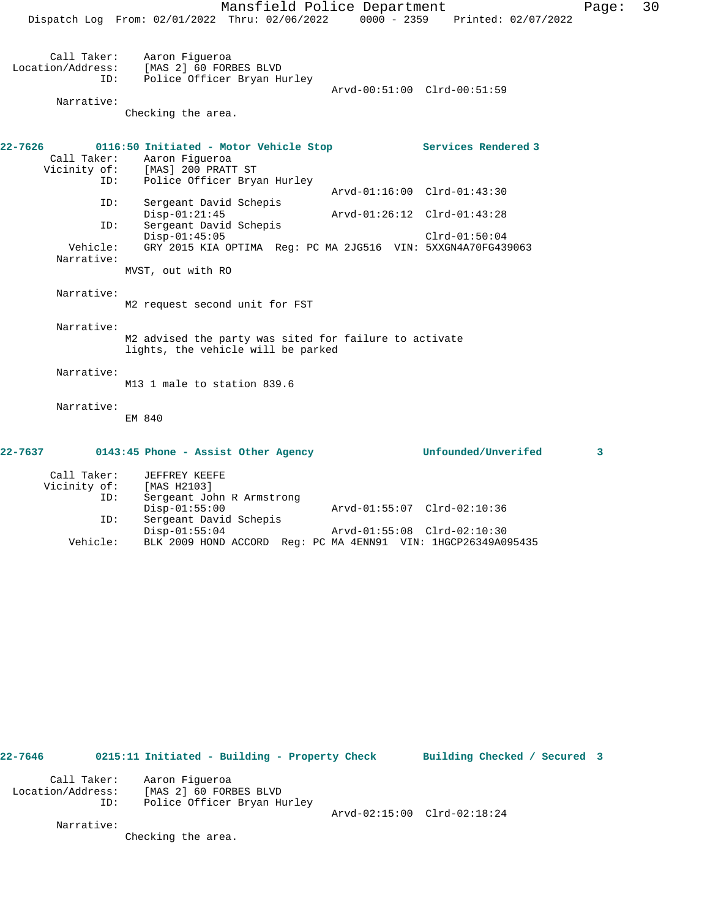Mansfield Police Department Page: 30

Dispatch Log From: 02/01/2022 Thru: 02/06/2022 0000 - 2359 Printed: 02/07/2022

Disp-01:55:04 Arvd-01:55:08 Clrd-02:10:30

 Call Taker: Aaron Figueroa Location/Address: [MAS 2] 60 FORBES BLVD ID: Police Officer Bryan Hurley Arvd-00:51:00 Clrd-00:51:59 Narrative: Checking the area. **22-7626 0116:50 Initiated - Motor Vehicle Stop Services Rendered 3**  Call Taker: Aaron Figueroa Vicinity of: [MAS] 200 PRATT ST ID: Police Officer Bryan Hurley Arvd-01:16:00 Clrd-01:43:30 ID: Sergeant David Schepis Disp-01:21:45 Arvd-01:26:12 Clrd-01:43:28<br>ID: Sergeant David Schepis Sergeant David Schepis Disp-01:45:05 Clrd-01:50:04 Vehicle: GRY 2015 KIA OPTIMA Reg: PC MA 2JG516 VIN: 5XXGN4A70FG439063 Narrative: MVST, out with RO Narrative: M2 request second unit for FST Narrative: M2 advised the party was sited for failure to activate lights, the vehicle will be parked Narrative: M13 1 male to station 839.6 Narrative: EM 840 **22-7637 0143:45 Phone - Assist Other Agency Unfounded/Unverifed 3** Call Taker: JEFFREY KEEFE Vicinity of: [MAS H2103] ID: Sergeant John R Armstrong Disp-01:55:00 Arvd-01:55:07 Clrd-02:10:36 ID: Sergeant David Schepis<br>Disp-01:55:04

**22-7646 0215:11 Initiated - Building - Property Check Building Checked / Secured 3** Call Taker: Aaron Figueroa Location/Address: [MAS 2] 60 FORBES BLVD ID: Police Officer Bryan Hurley Arvd-02:15:00 Clrd-02:18:24 Narrative: Checking the area.

Vehicle: BLK 2009 HOND ACCORD Reg: PC MA 4ENN91 VIN: 1HGCP26349A095435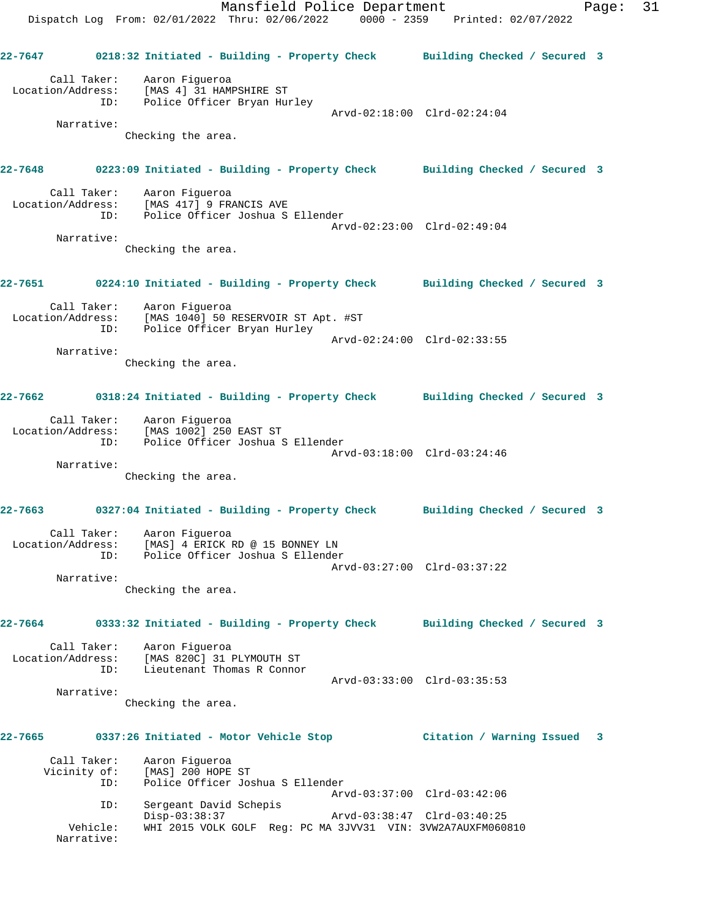Mansfield Police Department Page: 31 Dispatch Log From: 02/01/2022 Thru: 02/06/2022 0000 - 2359 Printed: 02/07/2022 **22-7647 0218:32 Initiated - Building - Property Check Building Checked / Secured 3** Call Taker: Aaron Figueroa Location/Address: [MAS 4] 31 HAMPSHIRE ST ID: Police Officer Bryan Hurley Arvd-02:18:00 Clrd-02:24:04 Narrative: Checking the area. **22-7648 0223:09 Initiated - Building - Property Check Building Checked / Secured 3** Call Taker: Aaron Figueroa Location/Address: [MAS 417] 9 FRANCIS AVE ID: Police Officer Joshua S Ellender Arvd-02:23:00 Clrd-02:49:04 Narrative: Checking the area. **22-7651 0224:10 Initiated - Building - Property Check Building Checked / Secured 3** Call Taker: Aaron Figueroa Location/Address: [MAS 1040] 50 RESERVOIR ST Apt. #ST ID: Police Officer Bryan Hurley Arvd-02:24:00 Clrd-02:33:55 Narrative: Checking the area. **22-7662 0318:24 Initiated - Building - Property Check Building Checked / Secured 3** Call Taker: Aaron Figueroa Location/Address: [MAS 1002] 250 EAST ST ID: Police Officer Joshua S Ellender Arvd-03:18:00 Clrd-03:24:46 Narrative: Checking the area. **22-7663 0327:04 Initiated - Building - Property Check Building Checked / Secured 3** Call Taker: Aaron Figueroa Location/Address: [MAS] 4 ERICK RD @ 15 BONNEY LN ID: Police Officer Joshua S Ellender Arvd-03:27:00 Clrd-03:37:22 Narrative: Checking the area. **22-7664 0333:32 Initiated - Building - Property Check Building Checked / Secured 3** Call Taker: Aaron Figueroa Location/Address: [MAS 820C] 31 PLYMOUTH ST ID: Lieutenant Thomas R Connor Arvd-03:33:00 Clrd-03:35:53 Narrative: Checking the area. **22-7665 0337:26 Initiated - Motor Vehicle Stop Citation / Warning Issued 3** Call Taker: Aaron Figueroa<br>Vicinity of: [MAS] 200 HOPE [MAS] 200 HOPE ST ID: Police Officer Joshua S Ellender Arvd-03:37:00 Clrd-03:42:06 ID: Sergeant David Schepis Disp-03:38:37 Arvd-03:38:47 Clrd-03:40:25<br>Vehicle: WHI 2015 VOLK GOLF Req: PC MA 3JVV31 VIN: 3VW2A7AUXFM0608

Vehicle: WHI 2015 VOLK GOLF Reg: PC MA 3JVV31 VIN: 3VW2A7AUXFM060810

Narrative: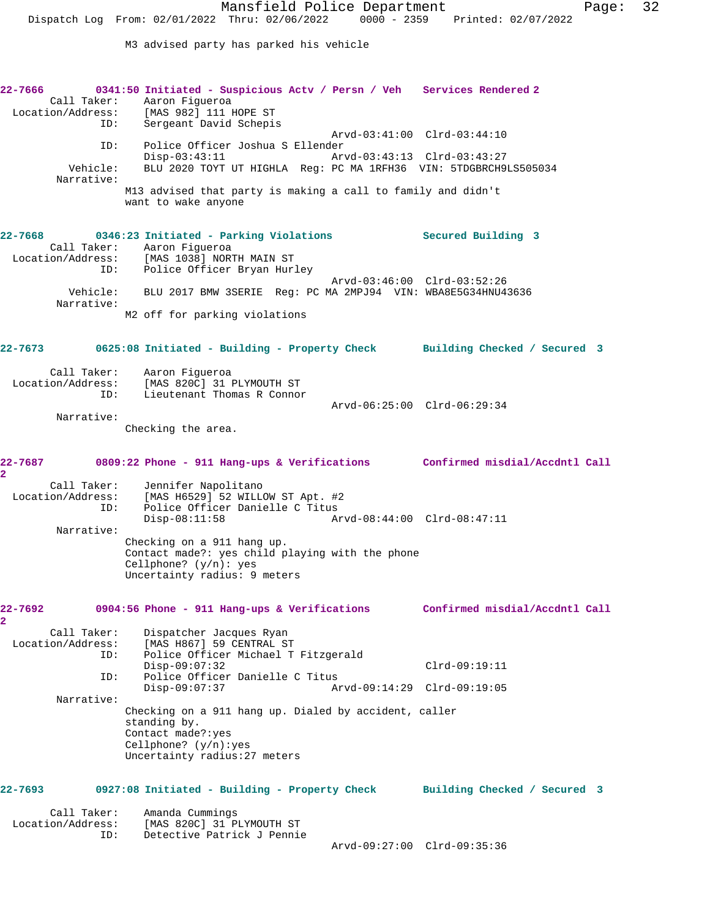M3 advised party has parked his vehicle

**22-7666 0341:50 Initiated - Suspicious Actv / Persn / Veh Services Rendered 2**  Call Taker: Aaron Figueroa<br>Location/Address: [MAS 982] 111 [MAS 982] 111 HOPE ST ID: Sergeant David Schepis Arvd-03:41:00 Clrd-03:44:10 ID: Police Officer Joshua S Ellender Disp-03:43:11 Arvd-03:43:13 Clrd-03:43:27 Vehicle: BLU 2020 TOYT UT HIGHLA Reg: PC MA 1RFH36 VIN: 5TDGBRCH9LS505034 Narrative: M13 advised that party is making a call to family and didn't want to wake anyone **22-7668 0346:23 Initiated - Parking Violations Secured Building 3**  Call Taker: Aaron Figueroa Location/Address: [MAS 1038] NORTH MAIN ST ID: Police Officer Bryan Hurley Arvd-03:46:00 Clrd-03:52:26 Vehicle: BLU 2017 BMW 3SERIE Reg: PC MA 2MPJ94 VIN: WBA8E5G34HNU43636 Narrative: M2 off for parking violations **22-7673 0625:08 Initiated - Building - Property Check Building Checked / Secured 3** Call Taker: Aaron Figueroa Location/Address: [MAS 820C] 31 PLYMOUTH ST ID: Lieutenant Thomas R Connor Arvd-06:25:00 Clrd-06:29:34 Narrative: Checking the area. **22-7687 0809:22 Phone - 911 Hang-ups & Verifications Confirmed misdial/Accdntl Call 2**  Call Taker: Jennifer Napolitano Location/Address: [MAS H6529] 52 WILLOW ST Apt. #2 ID: Police Officer Danielle C Titus Disp-08:11:58 Arvd-08:44:00 Clrd-08:47:11 Narrative: Checking on a 911 hang up. Contact made?: yes child playing with the phone Cellphone? (y/n): yes Uncertainty radius: 9 meters **22-7692 0904:56 Phone - 911 Hang-ups & Verifications Confirmed misdial/Accdntl Call 2**  Call Taker: Dispatcher Jacques Ryan<br>Location/Address: [MAS H867] 59 CENTRAL ST [MAS H867] 59 CENTRAL ST ID: Police Officer Michael T Fitzgerald Disp-09:07:32 Clrd-09:19:11 ID: Police Officer Danielle C Titus Disp-09:07:37 Arvd-09:14:29 Clrd-09:19:05 Narrative: Checking on a 911 hang up. Dialed by accident, caller standing by. Contact made?:yes Cellphone? (y/n):yes Uncertainty radius:27 meters **22-7693 0927:08 Initiated - Building - Property Check Building Checked / Secured 3** Call Taker: Amanda Cummings Location/Address: [MAS 820C] 31 PLYMOUTH ST ID: Detective Patrick J Pennie Arvd-09:27:00 Clrd-09:35:36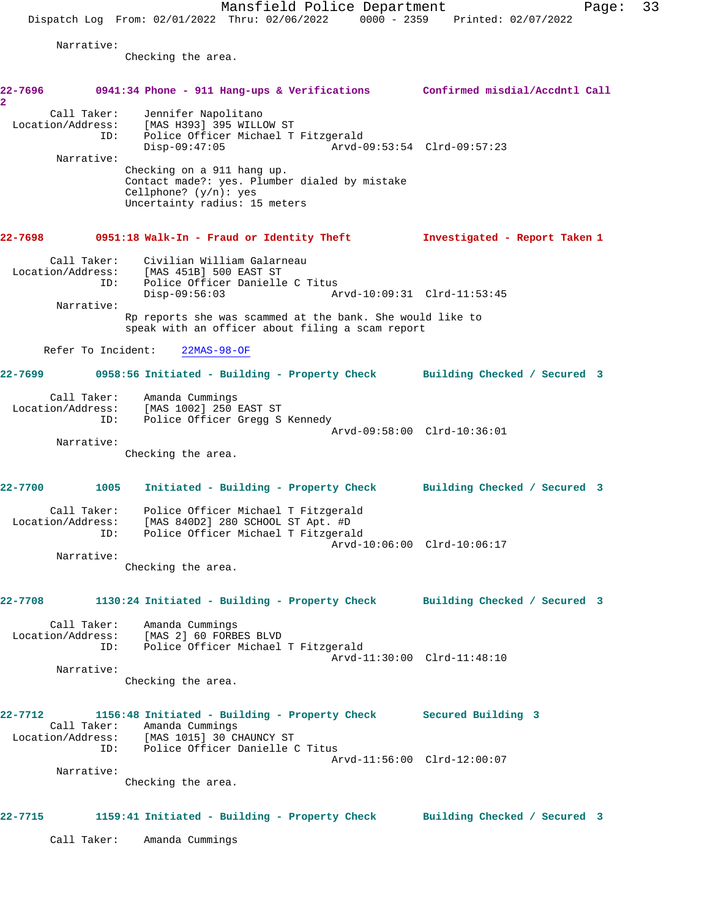Narrative:

Checking the area.

| 22-7696<br>$\overline{\mathbf{2}}$ |                    | 0941:34 Phone - 911 Hang-ups & Verifications Confirmed misdial/Accdntl Call                                                                                                      |                               |
|------------------------------------|--------------------|----------------------------------------------------------------------------------------------------------------------------------------------------------------------------------|-------------------------------|
|                                    | Call Taker:<br>ID: | Jennifer Napolitano<br>Location/Address: [MAS H393] 395 WILLOW ST<br>Police Officer Michael T Fitzgerald<br>$Disp-09:47:05$                                                      |                               |
|                                    | Narrative:         | Checking on a 911 hang up.<br>Contact made?: yes. Plumber dialed by mistake<br>Cellphone? $(y/n):$ yes<br>Uncertainty radius: 15 meters                                          |                               |
| 22-7698                            |                    | 0951:18 Walk-In - Fraud or Identity Theft                                                                                                                                        | Investigated - Report Taken 1 |
|                                    | ID:                | Call Taker: Civilian William Galarneau<br>Location/Address: [MAS 451B] 500 EAST ST<br>Police Officer Danielle C Titus                                                            |                               |
|                                    | Narrative:         | $Disp-09:56:03$                                                                                                                                                                  | Arvd-10:09:31 Clrd-11:53:45   |
|                                    |                    | Rp reports she was scammed at the bank. She would like to<br>speak with an officer about filing a scam report                                                                    |                               |
|                                    | Refer To Incident: | $22MAS-98-OF$                                                                                                                                                                    |                               |
|                                    |                    | 0958:56 Initiated - Building - Property Check Building Checked / Secured 3                                                                                                       |                               |
|                                    | ID:                | Call Taker: Amanda Cummings<br>Location/Address: [MAS 1002] 250 EAST ST<br>Police Officer Gregg S Kennedy                                                                        | Arvd-09:58:00 Clrd-10:36:01   |
|                                    | Narrative:         | Checking the area.                                                                                                                                                               |                               |
| 22-7700                            | 1005               | Initiated - Building - Property Check Building Checked / Secured 3                                                                                                               |                               |
|                                    | ID:                | Call Taker: Police Officer Michael T Fitzgerald<br>Location/Address: [MAS 840D2] 280 SCHOOL ST Apt. #D<br>Police Officer Michael T Fitzgerald                                    | Arvd-10:06:00 Clrd-10:06:17   |
|                                    | Narrative:         | Checking the area.                                                                                                                                                               |                               |
| 22-7708                            |                    | 1130:24 Initiated - Building - Property Check Building Checked / Secured 3                                                                                                       |                               |
|                                    | Call Taker:        | Amanda Cummings<br>Location/Address: [MAS 2] 60 FORBES BLVD<br>ID: Police Officer Michael T Fitzgerald                                                                           | Arvd-11:30:00 Clrd-11:48:10   |
|                                    | Narrative:         | Checking the area.                                                                                                                                                               |                               |
| $22 - 7712$                        | ID:                | 1156:48 Initiated - Building - Property Check Secured Building 3<br>Call Taker: Amanda Cummings<br>Location/Address: [MAS 1015] 30 CHAUNCY ST<br>Police Officer Danielle C Titus |                               |
|                                    | Narrative:         | Checking the area.                                                                                                                                                               | Arvd-11:56:00 Clrd-12:00:07   |
| 22-7715                            |                    | 1159:41 Initiated - Building - Property Check                                                                                                                                    | Building Checked / Secured 3  |
|                                    | Call Taker:        | Amanda Cummings                                                                                                                                                                  |                               |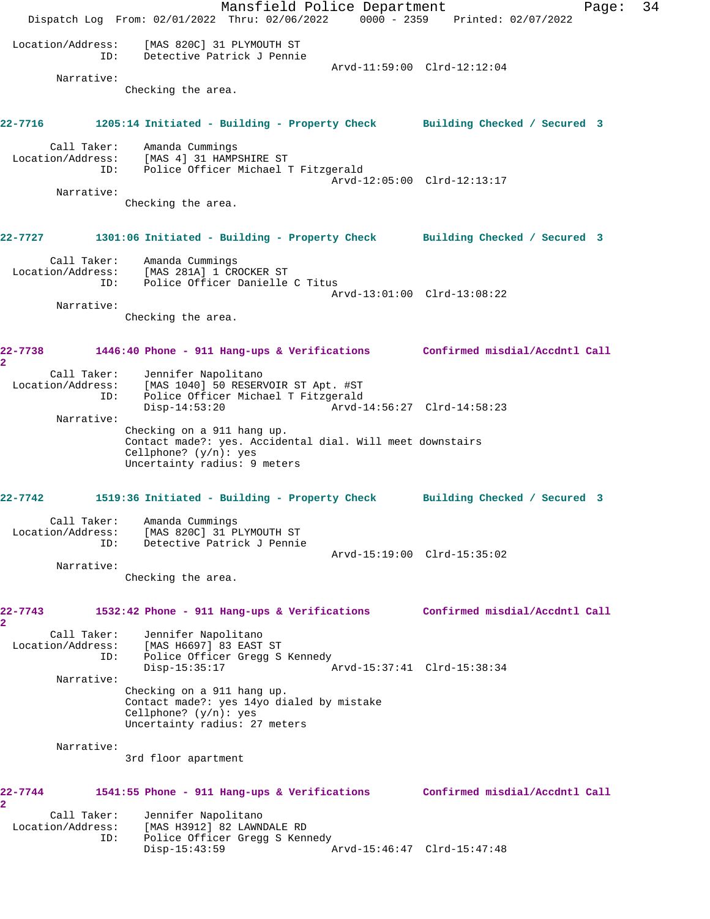Mansfield Police Department Fage: 34 Dispatch Log From: 02/01/2022 Thru: 02/06/2022 0000 - 2359 Printed: 02/07/2022 Location/Address: [MAS 820C] 31 PLYMOUTH ST ID: Detective Patrick J Pennie Arvd-11:59:00 Clrd-12:12:04 Narrative: Checking the area. **22-7716 1205:14 Initiated - Building - Property Check Building Checked / Secured 3** Call Taker: Amanda Cummings Location/Address: [MAS 4] 31 HAMPSHIRE ST ID: Police Officer Michael T Fitzgerald Arvd-12:05:00 Clrd-12:13:17 Narrative: Checking the area. **22-7727 1301:06 Initiated - Building - Property Check Building Checked / Secured 3** Call Taker: Amanda Cummings Location/Address: [MAS 281A] 1 CROCKER ST ID: Police Officer Danielle C Titus Arvd-13:01:00 Clrd-13:08:22 Narrative: Checking the area. **22-7738 1446:40 Phone - 911 Hang-ups & Verifications Confirmed misdial/Accdntl Call 2**  Call Taker: Jennifer Napolitano Location/Address: [MAS 1040] 50 RESERVOIR ST Apt. #ST ID: Police Officer Michael T Fitzgerald Disp-14:53:20 Arvd-14:56:27 Clrd-14:58:23 Narrative: Checking on a 911 hang up. Contact made?: yes. Accidental dial. Will meet downstairs Cellphone? (y/n): yes Uncertainty radius: 9 meters **22-7742 1519:36 Initiated - Building - Property Check Building Checked / Secured 3** Call Taker: Amanda Cummings Location/Address: [MAS 820C] 31 PLYMOUTH ST ID: Detective Patrick J Pennie Arvd-15:19:00 Clrd-15:35:02 Narrative: Checking the area. **22-7743 1532:42 Phone - 911 Hang-ups & Verifications Confirmed misdial/Accdntl Call 2**  Call Taker: Jennifer Napolitano Location/Address: [MAS H6697] 83 EAST ST ID: Police Officer Gregg S Kennedy<br>Disp-15:35:17 A Disp-15:35:17 Arvd-15:37:41 Clrd-15:38:34 Narrative: Checking on a 911 hang up. Contact made?: yes 14yo dialed by mistake Cellphone? (y/n): yes Uncertainty radius: 27 meters Narrative: 3rd floor apartment **22-7744 1541:55 Phone - 911 Hang-ups & Verifications Confirmed misdial/Accdntl Call 2**  Call Taker: Jennifer Napolitano<br>Location/Address: [MAS H3912] 82 LAWNI<br>ID: Police Officer Gregg [MAS H3912] 82 LAWNDALE RD Police Officer Gregg S Kennedy Disp-15:43:59 Arvd-15:46:47 Clrd-15:47:48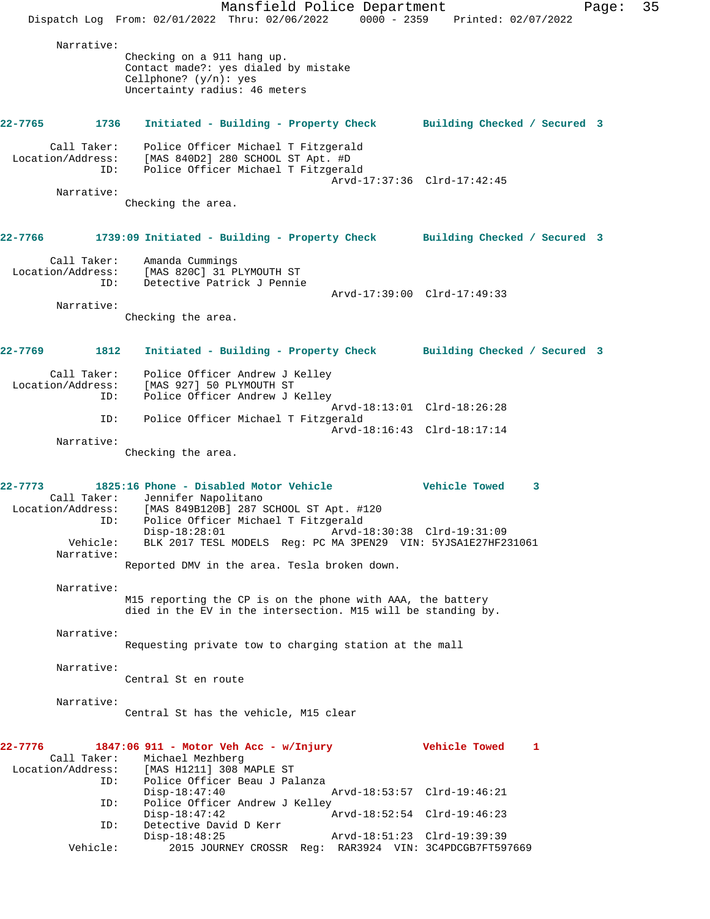Mansfield Police Department Fage: 35 Dispatch Log From: 02/01/2022 Thru: 02/06/2022 0000 - 2359 Printed: 02/07/2022 Narrative: Checking on a 911 hang up. Contact made?: yes dialed by mistake Cellphone? (y/n): yes Uncertainty radius: 46 meters **22-7765 1736 Initiated - Building - Property Check Building Checked / Secured 3** Call Taker: Police Officer Michael T Fitzgerald Location/Address: [MAS 840D2] 280 SCHOOL ST Apt. #D ID: Police Officer Michael T Fitzgerald Arvd-17:37:36 Clrd-17:42:45 Narrative: Checking the area. **22-7766 1739:09 Initiated - Building - Property Check Building Checked / Secured 3** Call Taker: Amanda Cummings Location/Address: [MAS 820C] 31 PLYMOUTH ST<br>ID: Detective Patrick J Pennie Detective Patrick J Pennie Arvd-17:39:00 Clrd-17:49:33 Narrative: Checking the area. **22-7769 1812 Initiated - Building - Property Check Building Checked / Secured 3** Call Taker: Police Officer Andrew J Kelley Location/Address: [MAS 927] 50 PLYMOUTH ST ID: Police Officer Andrew J Kelley Arvd-18:13:01 Clrd-18:26:28 ID: Police Officer Michael T Fitzgerald Arvd-18:16:43 Clrd-18:17:14 Narrative: Checking the area. **22-7773 1825:16 Phone - Disabled Motor Vehicle Vehicle Towed 3**  Call Taker: Jennifer Napolitano Location/Address: [MAS 849B120B] 287 SCHOOL ST Apt. #120 ID: Police Officer Michael T Fitzgerald Disp-18:28:01 Arvd-18:30:38 Clrd-19:31:09 Vehicle: BLK 2017 TESL MODELS Reg: PC MA 3PEN29 VIN: 5YJSA1E27HF231061 Narrative: Reported DMV in the area. Tesla broken down. Narrative: M15 reporting the CP is on the phone with AAA, the battery died in the EV in the intersection. M15 will be standing by. Narrative: Requesting private tow to charging station at the mall Narrative: Central St en route Narrative: Central St has the vehicle, M15 clear **22-7776 1847:06 911 - Motor Veh Acc - w/Injury Vehicle Towed 1**  Call Taker: Michael Mezhberg Location/Address: [MAS H1211] 308 MAPLE ST ID: Police Officer Beau J Palanza Disp-18:47:40 Arvd-18:53:57 Clrd-19:46:21 ID: Police Officer Andrew J Kelley Disp-18:47:42 Arvd-18:52:54 Clrd-19:46:23 ID: Detective David D Kerr<br>Disp-18:48:25 Disp-18:48:25 Arvd-18:51:23 Clrd-19:39:39<br>Vehicle: 2015 JOURNEY CROSSR Req: RAR3924 VIN: 3C4PDCGB7FT59 2015 JOURNEY CROSSR Reg: RAR3924 VIN: 3C4PDCGB7FT597669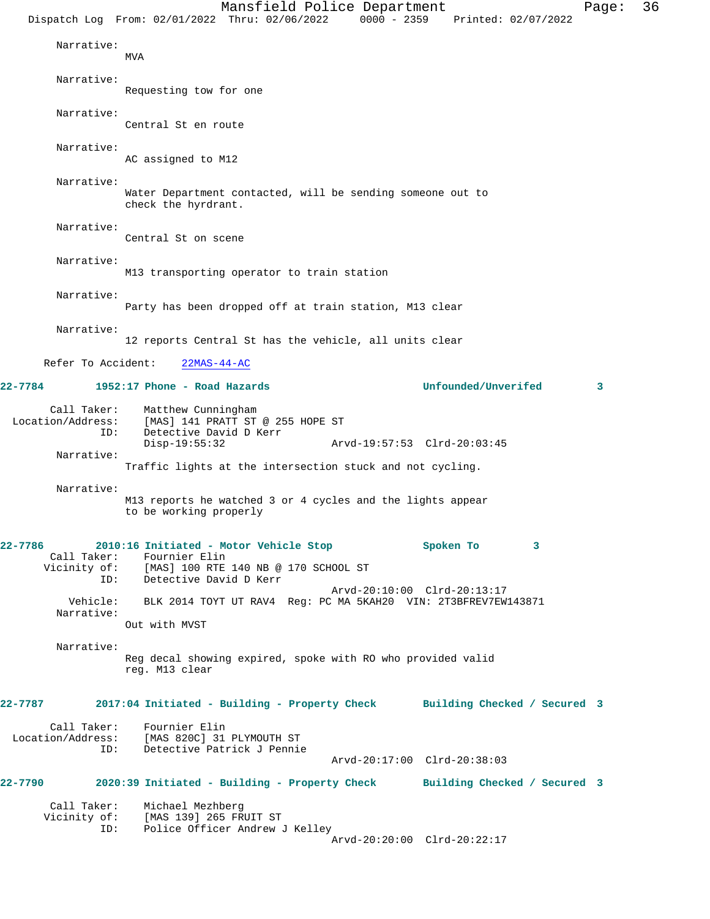Mansfield Police Department Page: 36 Dispatch Log From: 02/01/2022 Thru: 02/06/2022 0000 - 2359 Printed: 02/07/2022 Narrative: MV<sub>A</sub> Narrative: Requesting tow for one Narrative: Central St en route Narrative: AC assigned to M12 Narrative: Water Department contacted, will be sending someone out to check the hyrdrant. Narrative: Central St on scene Narrative: M13 transporting operator to train station Narrative: Party has been dropped off at train station, M13 clear Narrative: 12 reports Central St has the vehicle, all units clear Refer To Accident: 22MAS-44-AC **22-7784 1952:17 Phone - Road Hazards Unfounded/Unverifed 3** Call Taker: Matthew Cunningham Location/Address: [MAS] 141 PRATT ST @ 255 HOPE ST ID: Detective David D Kerr Disp-19:55:32 Arvd-19:57:53 Clrd-20:03:45 Narrative: Traffic lights at the intersection stuck and not cycling. Narrative: M13 reports he watched 3 or 4 cycles and the lights appear to be working properly **22-7786 2010:16 Initiated - Motor Vehicle Stop Spoken To 3**  Call Taker: Fournier Elin<br>Vicinity of: [MAS] 100 RTE [MAS] 100 RTE 140 NB @ 170 SCHOOL ST ID: Detective David D Kerr Arvd-20:10:00 Clrd-20:13:17 Vehicle: BLK 2014 TOYT UT RAV4 Reg: PC MA 5KAH20 VIN: 2T3BFREV7EW143871 Narrative: Out with MVST Narrative: Reg decal showing expired, spoke with RO who provided valid reg. M13 clear **22-7787 2017:04 Initiated - Building - Property Check Building Checked / Secured 3** Call Taker: Fournier Elin<br>Location/Address: [MAS 820C] 31 [MAS 820C] 31 PLYMOUTH ST ID: Detective Patrick J Pennie Arvd-20:17:00 Clrd-20:38:03 **22-7790 2020:39 Initiated - Building - Property Check Building Checked / Secured 3** Call Taker: Michael Mezhberg Vicinity of: [MAS 139] 265 FRUIT ST ID: Police Officer Andrew J Kelley Arvd-20:20:00 Clrd-20:22:17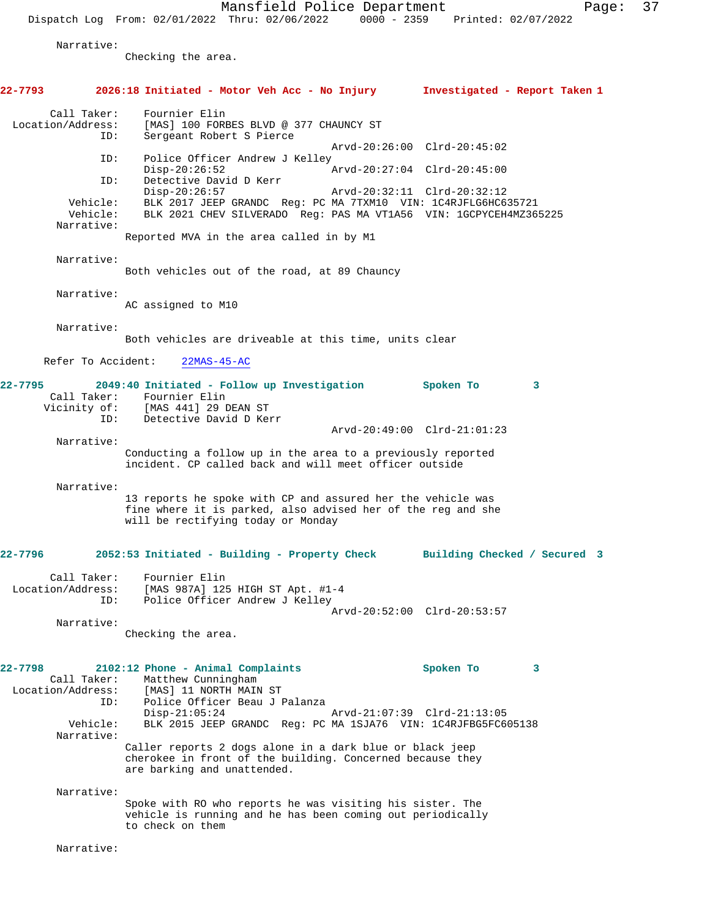Mansfield Police Department Page: 37

Dispatch Log From: 02/01/2022 Thru: 02/06/2022 0000 - 2359 Printed: 02/07/2022

Narrative:

Checking the area.

**22-7793 2026:18 Initiated - Motor Veh Acc - No Injury Investigated - Report Taken 1** Call Taker: Fournier Elin Location/Address: [MAS] 100 FORBES BLVD @ 377 CHAUNCY ST<br>TD: Sergeant Robert S Pierce Sergeant Robert S Pierce Arvd-20:26:00 Clrd-20:45:02<br>TD: Police Officer Andrew J Kelley Police Officer Andrew J Kelley<br>Disp-20:26:52 Disp-20:26:52 Arvd-20:27:04 Clrd-20:45:00 ID: Detective David D Kerr Disp-20:26:57 Arvd-20:32:11 Clrd-20:32:12<br>Vehicle: BLK 2017 JEEP GRANDC Reg: PC MA 7TXM10 VIN: 1C4RJFLG6HC6 Vehicle: BLK 2017 JEEP GRANDC Reg: PC MA 7TXM10 VIN: 1C4RJFLG6HC635721 BLK 2021 CHEV SILVERADO Reg: PAS MA VT1A56 VIN: 1GCPYCEH4MZ365225 Narrative: Reported MVA in the area called in by M1 Narrative: Both vehicles out of the road, at 89 Chauncy Narrative: AC assigned to M10 Narrative: Both vehicles are driveable at this time, units clear Refer To Accident: 22MAS-45-AC **22-7795 2049:40 Initiated - Follow up Investigation Spoken To 3**  Call Taker: Fournier Elin<br>Vicinity of: [MAS 441] 29 I [MAS 441] 29 DEAN ST ID: Detective David D Kerr Arvd-20:49:00 Clrd-21:01:23 Narrative: Conducting a follow up in the area to a previously reported incident. CP called back and will meet officer outside Narrative: 13 reports he spoke with CP and assured her the vehicle was fine where it is parked, also advised her of the reg and she will be rectifying today or Monday **22-7796 2052:53 Initiated - Building - Property Check Building Checked / Secured 3** Call Taker: Fournier Elin Location/Address: [MAS 987A] 125 HIGH ST Apt. #1-4 ID: Police Officer Andrew J Kelley Arvd-20:52:00 Clrd-20:53:57 Narrative: Checking the area. **22-7798 2102:12 Phone - Animal Complaints Spoken To 3**  Call Taker: Matthew Cunningham Location/Address: [MAS] 11 NORTH MAIN ST Police Officer Beau J Palanza<br>Disp-21:05:24 Disp-21:05:24 Arvd-21:07:39 Clrd-21:13:05 Vehicle: BLK 2015 JEEP GRANDC Reg: PC MA 1SJA76 VIN: 1C4RJFBG5FC605138 Narrative: Caller reports 2 dogs alone in a dark blue or black jeep cherokee in front of the building. Concerned because they are barking and unattended. Narrative: Spoke with RO who reports he was visiting his sister. The vehicle is running and he has been coming out periodically to check on them Narrative: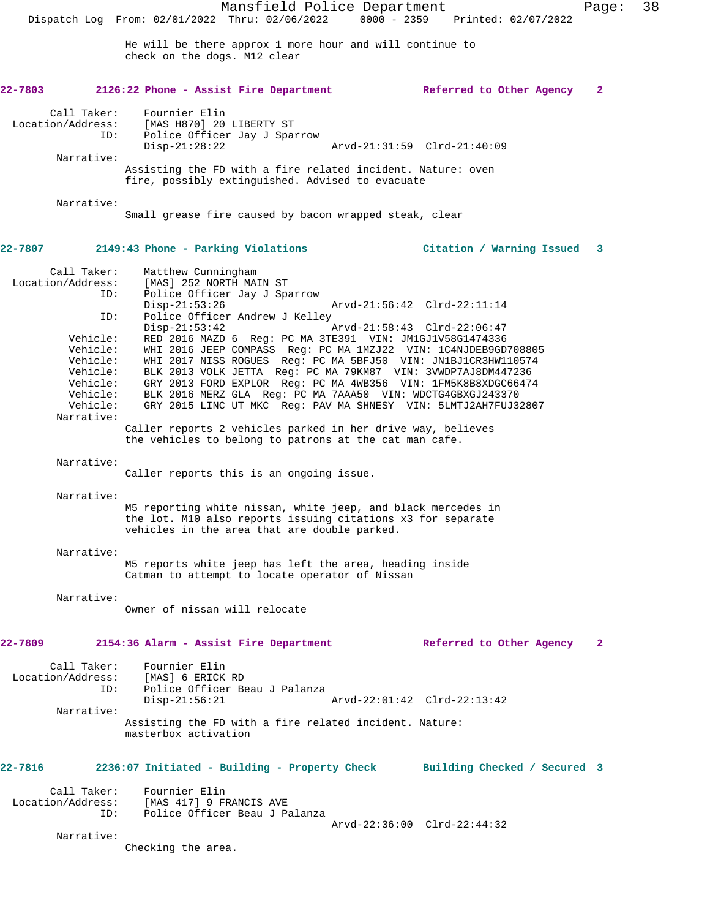He will be there approx 1 more hour and will continue to check on the dogs. M12 clear

## **22-7803 2126:22 Phone - Assist Fire Department Referred to Other Agency 2**

 Call Taker: Fournier Elin Location/Address: [MAS H870] 20 LIBERTY ST ID: Police Officer Jay J Sparrow Disp-21:28:22 Arvd-21:31:59 Clrd-21:40:09 Narrative: Assisting the FD with a fire related incident. Nature: oven

fire, possibly extinguished. Advised to evacuate

Narrative:

Small grease fire caused by bacon wrapped steak, clear

## **22-7807 2149:43 Phone - Parking Violations Citation / Warning Issued 3**

 Call Taker: Matthew Cunningham Location/Address: [MAS] 252 NORTH MAIN ST<br>ID: Police Officer Jay J Spa Police Officer Jay J Sparrow<br>Disp-21:53:26 Disp-21:53:26 Arvd-21:56:42 Clrd-22:11:14<br>ID: Police Officer Andrew J Kelley Police Officer Andrew J Kelley<br>Disp-21:53:42 Disp-21:53:42 Arvd-21:58:43 Clrd-22:06:47 Vehicle: RED 2016 MAZD 6 Reg: PC MA 3TE391 VIN: JM1GJ1V58G1474336 Vehicle: WHI 2016 JEEP COMPASS Reg: PC MA 1MZJ22 VIN: 1C4NJDEB9GD708805 Vehicle: WHI 2017 NISS ROGUES Reg: PC MA 5BFJ50 VIN: JN1BJ1CR3HW110574 Vehicle: BLK 2013 VOLK JETTA Reg: PC MA 79KM87 VIN: 3VWDP7AJ8DM447236 Vehicle: GRY 2013 FORD EXPLOR Reg: PC MA 4WB356 VIN: 1FM5K8B8XDGC66474 Vehicle: BLK 2016 MERZ GLA Reg: PC MA 7AAA50 VIN: WDCTG4GBXGJ243370 Vehicle: GRY 2015 LINC UT MKC Reg: PAV MA SHNESY VIN: 5LMTJ2AH7FUJ32807 Narrative:

> Caller reports 2 vehicles parked in her drive way, believes the vehicles to belong to patrons at the cat man cafe.

#### Narrative:

Caller reports this is an ongoing issue.

Narrative:

M5 reporting white nissan, white jeep, and black mercedes in the lot. M10 also reports issuing citations x3 for separate vehicles in the area that are double parked.

#### Narrative:

M5 reports white jeep has left the area, heading inside Catman to attempt to locate operator of Nissan

Narrative:

Owner of nissan will relocate

## **22-7809 2154:36 Alarm - Assist Fire Department Referred to Other Agency 2**

| Call Taker:<br>Location/Address:<br>ID: | Fournier Elin<br>[MAS] 6 ERICK RD<br>Police Officer Beau J Palanza             |                             |
|-----------------------------------------|--------------------------------------------------------------------------------|-----------------------------|
|                                         | $Disp-21:56:21$                                                                | Arvd-22:01:42 Clrd-22:13:42 |
| Narrative:                              |                                                                                |                             |
|                                         | Assisting the FD with a fire related incident. Nature:<br>masterbox activation |                             |

## **22-7816 2236:07 Initiated - Building - Property Check Building Checked / Secured 3**

 Call Taker: Fournier Elin Location/Address: [MAS 417] 9 FRANCIS AVE ID: Police Officer Beau J Palanza Arvd-22:36:00 Clrd-22:44:32

Narrative:

Checking the area.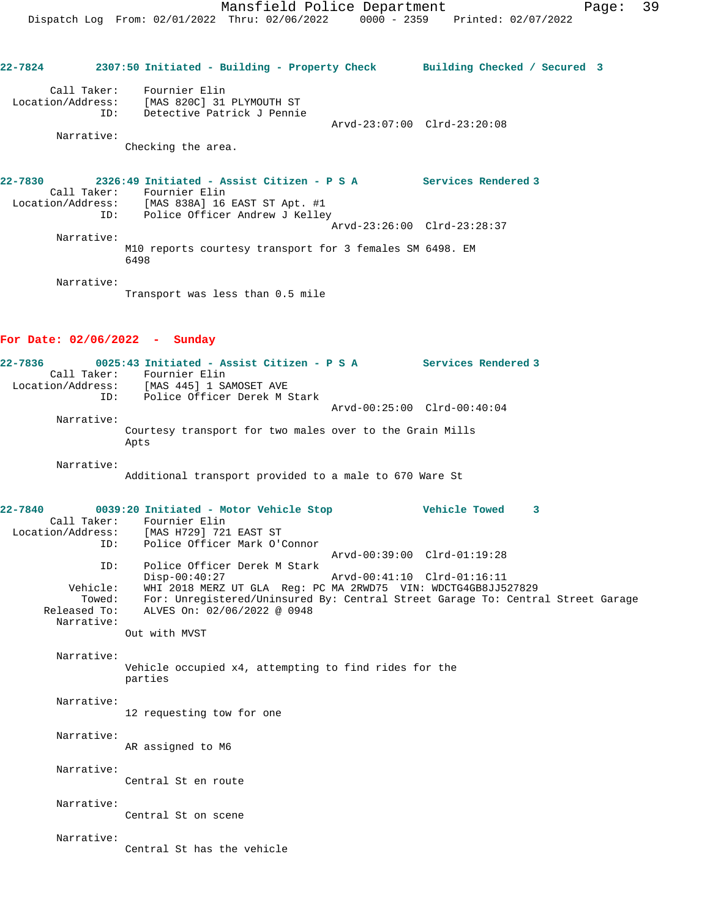**22-7824 2307:50 Initiated - Building - Property Check Building Checked / Secured 3** Call Taker: Fournier Elin Location/Address: [MAS 820C] 31 PLYMOUTH ST ID: Detective Patrick J Pennie Arvd-23:07:00 Clrd-23:20:08 Narrative: Checking the area. **22-7830 2326:49 Initiated - Assist Citizen - P S A Services Rendered 3**  Call Taker: Fournier Elin Location/Address: [MAS 838A] 16 EAST ST Apt. #1 ID: Police Officer Andrew J Kelley Arvd-23:26:00 Clrd-23:28:37 Narrative: M10 reports courtesy transport for 3 females SM 6498. EM 6498 Narrative: Transport was less than 0.5 mile **For Date: 02/06/2022 - Sunday 22-7836 0025:43 Initiated - Assist Citizen - P S A Services Rendered 3**  Call Taker: Fournier Elin Location/Address: [MAS 445] 1 SAMOSET AVE ID: Police Officer Derek M Stark Arvd-00:25:00 Clrd-00:40:04 Narrative: Courtesy transport for two males over to the Grain Mills Apts Narrative: Additional transport provided to a male to 670 Ware St **22-7840 0039:20 Initiated - Motor Vehicle Stop Vehicle Towed 3**  Call Taker: Fournier Elin Location/Address: [MAS H729] 721 EAST ST ID: Police Officer Mark O'Connor Arvd-00:39:00 Clrd-01:19:28 ID: Police Officer Derek M Stark Disp-00:40:27 Arvd-00:41:10 Clrd-01:16:11 Vehicle: WHI 2018 MERZ UT GLA Reg: PC MA 2RWD75 VIN: WDCTG4GB8JJ527829 Towed: For: Unregistered/Uninsured By: Central Street Garage To: Central Street Garage Released To: ALVES On: 02/06/2022 @ 0948 Narrative: Out with MVST Narrative: Vehicle occupied x4, attempting to find rides for the parties Narrative: 12 requesting tow for one Narrative: AR assigned to M6 Narrative: Central St en route Narrative: Central St on scene Narrative: Central St has the vehicle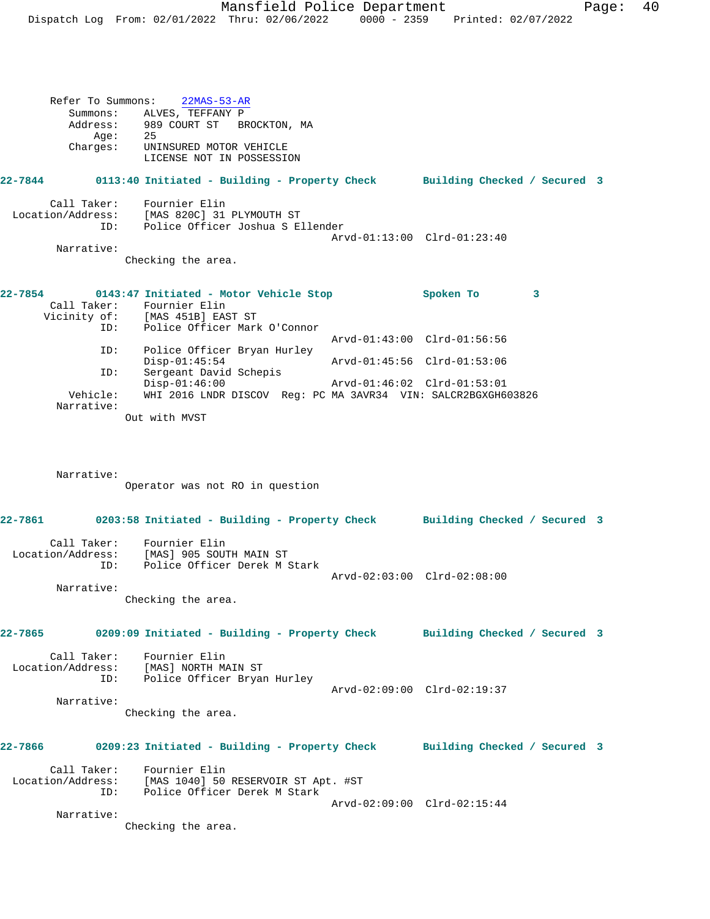Refer To Summons: 22MAS-53-AR Summons: ALVES, TEFFANY P Address: 989 COURT ST BROCKTON, MA Age: 25<br>Charges: UNI UNINSURED MOTOR VEHICLE LICENSE NOT IN POSSESSION **22-7844 0113:40 Initiated - Building - Property Check Building Checked / Secured 3** Call Taker: Fournier Elin Location/Address: [MAS 820C] 31 PLYMOUTH ST ID: Police Officer Joshua S Ellender Arvd-01:13:00 Clrd-01:23:40 Narrative: Checking the area. **22-7854 0143:47 Initiated - Motor Vehicle Stop Spoken To 3**  Call Taker: Fournier Elin Vicinity of: [MAS 451B] EAST ST ID: Police Officer Mark O'Connor Arvd-01:43:00 Clrd-01:56:56 ID: Police Officer Bryan Hurley Disp-01:45:54 Arvd-01:45:56 Clrd-01:53:06<br>ID: Sergeant David Schepis .<br>Sergeant David Schepis<br>Disp-01:46:00 Disp-01:46:00 Arvd-01:46:02 Clrd-01:53:01 Vehicle: WHI 2016 LNDR DISCOV Reg: PC MA 3AVR34 VIN: SALCR2BGXGH603826 Narrative: Out with MVST Narrative: Operator was not RO in question **22-7861 0203:58 Initiated - Building - Property Check Building Checked / Secured 3** Call Taker: Fournier Elin Location/Address: [MAS] 905 SOUTH MAIN ST ID: Police Officer Derek M Stark Arvd-02:03:00 Clrd-02:08:00 Narrative: Checking the area. **22-7865 0209:09 Initiated - Building - Property Check Building Checked / Secured 3** Call Taker: Fournier Elin Location/Address: [MAS] NORTH MAIN ST ID: Police Officer Bryan Hurley Arvd-02:09:00 Clrd-02:19:37 Narrative: Checking the area. **22-7866 0209:23 Initiated - Building - Property Check Building Checked / Secured 3** Call Taker: Fournier Elin Location/Address: [MAS 1040] 50 RESERVOIR ST Apt. #ST ID: Police Officer Derek M Stark Arvd-02:09:00 Clrd-02:15:44 Narrative: Checking the area.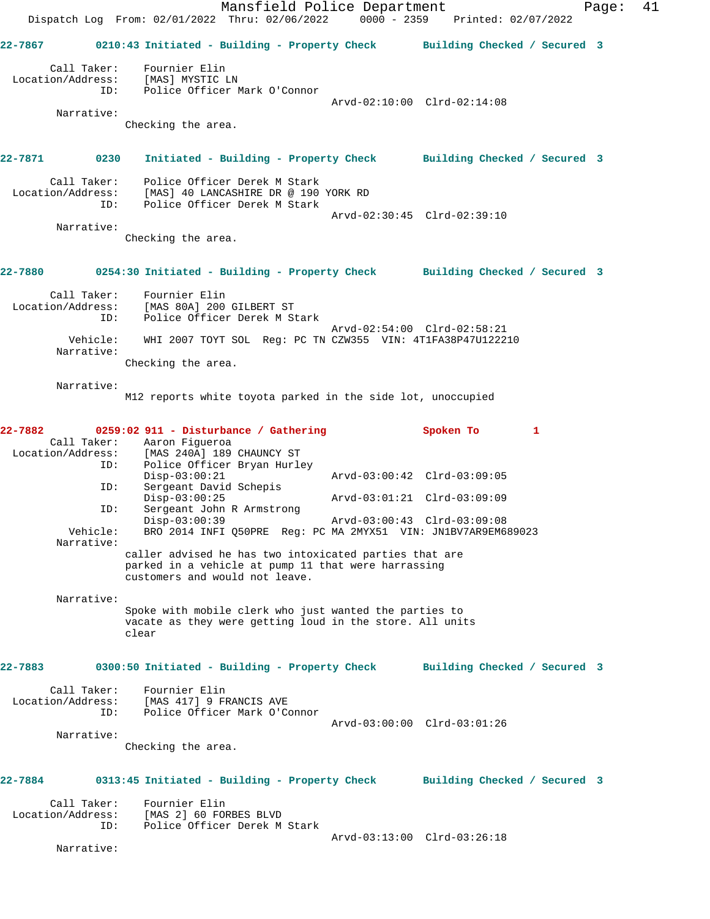Mansfield Police Department Fage: 41 Dispatch Log From: 02/01/2022 Thru: 02/06/2022 0000 - 2359 Printed: 02/07/2022 **22-7867 0210:43 Initiated - Building - Property Check Building Checked / Secured 3** Call Taker: Fournier Elin Location/Address: [MAS] MYSTIC LN ID: Police Officer Mark O'Connor Arvd-02:10:00 Clrd-02:14:08 Narrative: Checking the area. **22-7871 0230 Initiated - Building - Property Check Building Checked / Secured 3** Call Taker: Police Officer Derek M Stark Location/Address: [MAS] 40 LANCASHIRE DR @ 190 YORK RD ID: Police Officer Derek M Stark Arvd-02:30:45 Clrd-02:39:10 Narrative: Checking the area. **22-7880 0254:30 Initiated - Building - Property Check Building Checked / Secured 3** Call Taker: Fournier Elin Location/Address: [MAS 80A] 200 GILBERT ST ID: Police Officer Derek M Stark Arvd-02:54:00 Clrd-02:58:21 Vehicle: WHI 2007 TOYT SOL Reg: PC TN CZW355 VIN: 4T1FA38P47U122210 Narrative: Checking the area. Narrative: M12 reports white toyota parked in the side lot, unoccupied **22-7882 0259:02 911 - Disturbance / Gathering Spoken To 1**  Call Taker: Aaron Figueroa<br>Location/Address: [MAS 240A] 189 Location/Address: [MAS 240A] 189 CHAUNCY ST ID: Police Officer Bryan Hurley (MAS 240A) 189 CHAONOL --<br>
Police Officer Bryan Hurley<br>
Disp-03:00:21 Arvd-03:00:42 Clrd-03:09:05 ID: Sergeant David Schepis Disp-03:00:25 Arvd-03:01:21 Clrd-03:09:09 ID: Sergeant John R Armstrong Disp-03:00:39 Arvd-03:00:43 Clrd-03:09:08<br>Vehicle: BRO 2014 INFI Q50PRE Reg: PC MA 2MYX51 VIN: JN1BV7AR9EM6 BRO 2014 INFI Q50PRE Reg: PC MA 2MYX51 VIN: JN1BV7AR9EM689023 Narrative: caller advised he has two intoxicated parties that are parked in a vehicle at pump 11 that were harrassing customers and would not leave. Narrative: Spoke with mobile clerk who just wanted the parties to vacate as they were getting loud in the store. All units clear **22-7883 0300:50 Initiated - Building - Property Check Building Checked / Secured 3** Call Taker: Fournier Elin Location/Address: [MAS 417] 9 FRANCIS AVE ID: Police Officer Mark O'Connor Arvd-03:00:00 Clrd-03:01:26 Narrative: Checking the area. **22-7884 0313:45 Initiated - Building - Property Check Building Checked / Secured 3** Call Taker: Fournier Elin Location/Address: [MAS 2] 60 FORBES BLVD ID: Police Officer Derek M Stark Arvd-03:13:00 Clrd-03:26:18 Narrative: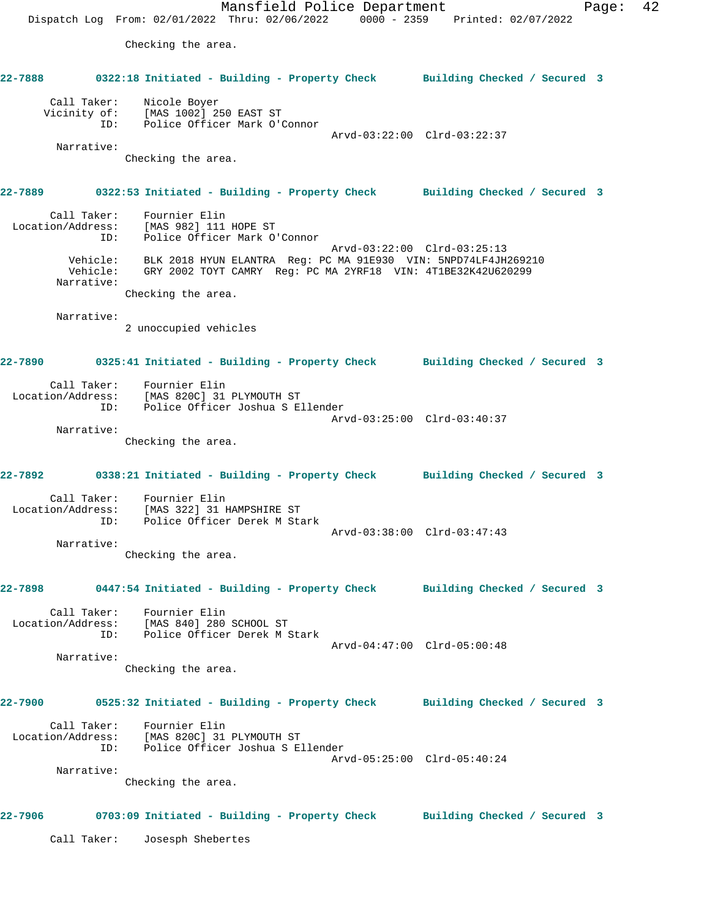Mansfield Police Department Fage: 42 Dispatch Log From: 02/01/2022 Thru: 02/06/2022 0000 - 2359 Printed: 02/07/2022 Checking the area. **22-7888 0322:18 Initiated - Building - Property Check Building Checked / Secured 3** Call Taker: Nicole Boyer Vicinity of: [MAS 1002] 250 EAST ST ID: Police Officer Mark O'Connor Arvd-03:22:00 Clrd-03:22:37 Narrative: Checking the area. **22-7889 0322:53 Initiated - Building - Property Check Building Checked / Secured 3** Call Taker: Fournier Elin Location/Address: [MAS 982] 111 HOPE ST ID: Police Officer Mark O'Connor Arvd-03:22:00 Clrd-03:25:13 Vehicle: BLK 2018 HYUN ELANTRA Reg: PC MA 91E930 VIN: 5NPD74LF4JH269210 Vehicle: GRY 2002 TOYT CAMRY Reg: PC MA 2YRF18 VIN: 4T1BE32K42U620299 Narrative: Checking the area. Narrative: 2 unoccupied vehicles **22-7890 0325:41 Initiated - Building - Property Check Building Checked / Secured 3** Call Taker: Fournier Elin Location/Address: [MAS 820C] 31 PLYMOUTH ST ID: Police Officer Joshua S Ellender Arvd-03:25:00 Clrd-03:40:37 Narrative: Checking the area. **22-7892 0338:21 Initiated - Building - Property Check Building Checked / Secured 3** Call Taker: Fournier Elin Location/Address: [MAS 322] 31 HAMPSHIRE ST ID: Police Officer Derek M Stark Arvd-03:38:00 Clrd-03:47:43 Narrative: Checking the area. **22-7898 0447:54 Initiated - Building - Property Check Building Checked / Secured 3** Call Taker: Fournier Elin Location/Address: [MAS 840] 280 SCHOOL ST ID: Police Officer Derek M Stark Arvd-04:47:00 Clrd-05:00:48 Narrative: Checking the area. **22-7900 0525:32 Initiated - Building - Property Check Building Checked / Secured 3** Call Taker: Fournier Elin Location/Address: [MAS 820C] 31 PLYMOUTH ST ID: Police Officer Joshua S Ellender Arvd-05:25:00 Clrd-05:40:24 Narrative: Checking the area. **22-7906 0703:09 Initiated - Building - Property Check Building Checked / Secured 3** Call Taker: Josesph Shebertes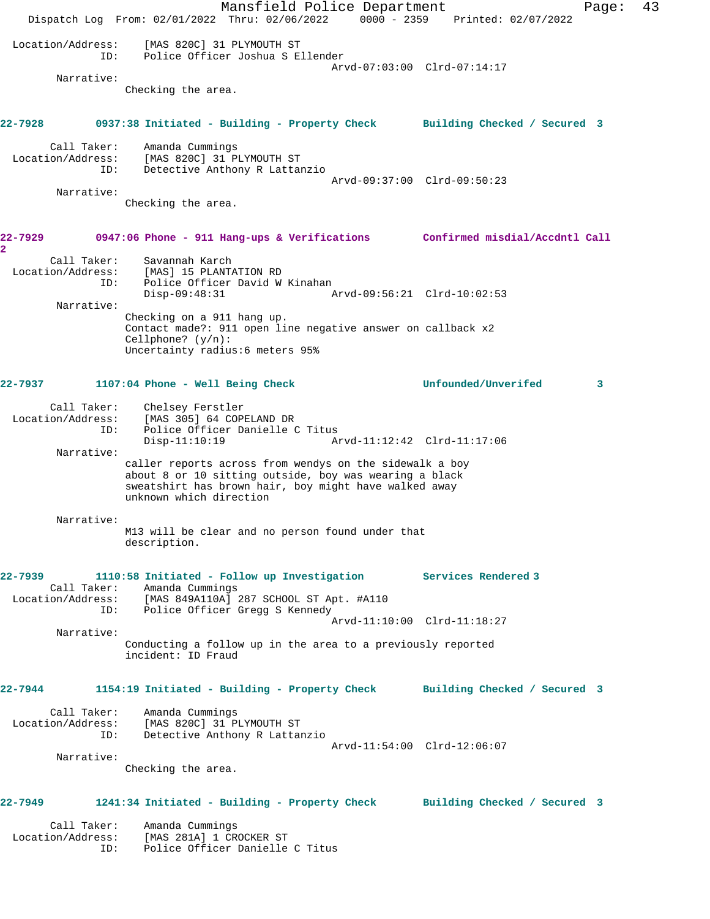Mansfield Police Department Fage: 43 Dispatch Log From: 02/01/2022 Thru: 02/06/2022 0000 - 2359 Printed: 02/07/2022 Location/Address: [MAS 820C] 31 PLYMOUTH ST ID: Police Officer Joshua S Ellender Arvd-07:03:00 Clrd-07:14:17 Narrative: Checking the area. **22-7928 0937:38 Initiated - Building - Property Check Building Checked / Secured 3** Call Taker: Amanda Cummings Location/Address: [MAS 820C] 31 PLYMOUTH ST ID: Detective Anthony R Lattanzio Arvd-09:37:00 Clrd-09:50:23 Narrative: Checking the area. **22-7929 0947:06 Phone - 911 Hang-ups & Verifications Confirmed misdial/Accdntl Call 2**  Call Taker: Savannah Karch Location/Address: [MAS] 15 PLANTATION RD ID: Police Officer David W Kinahan Disp-09:48:31 Arvd-09:56:21 Clrd-10:02:53 Narrative: Checking on a 911 hang up. Contact made?: 911 open line negative answer on callback x2 Cellphone? (y/n): Uncertainty radius:6 meters 95% **22-7937 1107:04 Phone - Well Being Check Unfounded/Unverifed 3** Call Taker: Chelsey Ferstler Location/Address: [MAS 305] 64 COPELAND DR ID: Police Officer Danielle C Titus Disp-11:10:19 Arvd-11:12:42 Clrd-11:17:06 Narrative: caller reports across from wendys on the sidewalk a boy about 8 or 10 sitting outside, boy was wearing a black sweatshirt has brown hair, boy might have walked away unknown which direction Narrative: M13 will be clear and no person found under that description. **22-7939 1110:58 Initiated - Follow up Investigation Services Rendered 3**  Call Taker: Amanda Cummings Location/Address: [MAS 849A110A] 287 SCHOOL ST Apt. #A110 ID: Police Officer Gregg S Kennedy Arvd-11:10:00 Clrd-11:18:27 Narrative: Conducting a follow up in the area to a previously reported incident: ID Fraud **22-7944 1154:19 Initiated - Building - Property Check Building Checked / Secured 3** Call Taker: Amanda Cummings Location/Address: [MAS 820C] 31 PLYMOUTH ST Detective Anthony R Lattanzio Arvd-11:54:00 Clrd-12:06:07 Narrative: Checking the area. **22-7949 1241:34 Initiated - Building - Property Check Building Checked / Secured 3** Call Taker: Amanda Cummings Location/Address: [MAS 281A] 1 CROCKER ST ID: Police Officer Danielle C Titus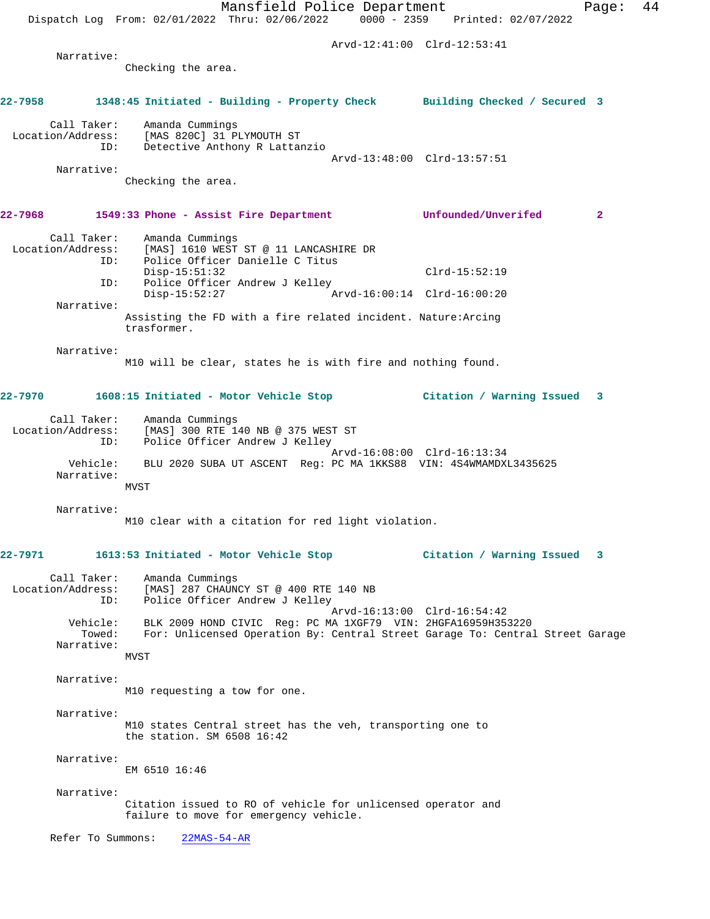Mansfield Police Department Fage: 44 Dispatch Log From: 02/01/2022 Thru: 02/06/2022 0000 - 2359 Printed: 02/07/2022 Arvd-12:41:00 Clrd-12:53:41 Narrative: Checking the area. **22-7958 1348:45 Initiated - Building - Property Check Building Checked / Secured 3** Call Taker: Amanda Cummings Location/Address: [MAS 820C] 31 PLYMOUTH ST<br>TD: Detective Anthony R Lattar Detective Anthony R Lattanzio Arvd-13:48:00 Clrd-13:57:51 Narrative: Checking the area. **22-7968 1549:33 Phone - Assist Fire Department Unfounded/Unverifed 2** Call Taker: Amanda Cummings Location/Address: [MAS] 1610 WEST ST @ 11 LANCASHIRE DR ID: Police Officer Danielle C Titus Disp-15:51:32 Clrd-15:52:19 ID: Police Officer Andrew J Kelley<br>Disp-15:52:27 Ar Disp-15:52:27 Arvd-16:00:14 Clrd-16:00:20 Narrative: Assisting the FD with a fire related incident. Nature:Arcing trasformer. Narrative: M10 will be clear, states he is with fire and nothing found. **22-7970 1608:15 Initiated - Motor Vehicle Stop Citation / Warning Issued 3** Call Taker: Amanda Cummings Location/Address: [MAS] 300 RTE 140 NB @ 375 WEST ST ID: Police Officer Andrew J Kelley Arvd-16:08:00 Clrd-16:13:34 Vehicle: BLU 2020 SUBA UT ASCENT Reg: PC MA 1KKS88 VIN: 4S4WMAMDXL3435625 Narrative: MVST Narrative: M10 clear with a citation for red light violation. **22-7971 1613:53 Initiated - Motor Vehicle Stop Citation / Warning Issued 3** Call Taker: Amanda Cummings Location/Address: [MAS] 287 CHAUNCY ST @ 400 RTE 140 NB<br>ID: Police Officer Andrew J Kelley Police Officer Andrew J Kelley Arvd-16:13:00 Clrd-16:54:42 Vehicle: BLK 2009 HOND CIVIC Reg: PC MA 1XGF79 VIN: 2HGFA16959H353220 Towed: For: Unlicensed Operation By: Central Street Garage To: Central Street Garage Narrative: MVST Narrative: M10 requesting a tow for one. Narrative: M10 states Central street has the veh, transporting one to the station. SM 6508 16:42 Narrative: EM 6510 16:46 Narrative: Citation issued to RO of vehicle for unlicensed operator and failure to move for emergency vehicle. Refer To Summons: 22MAS-54-AR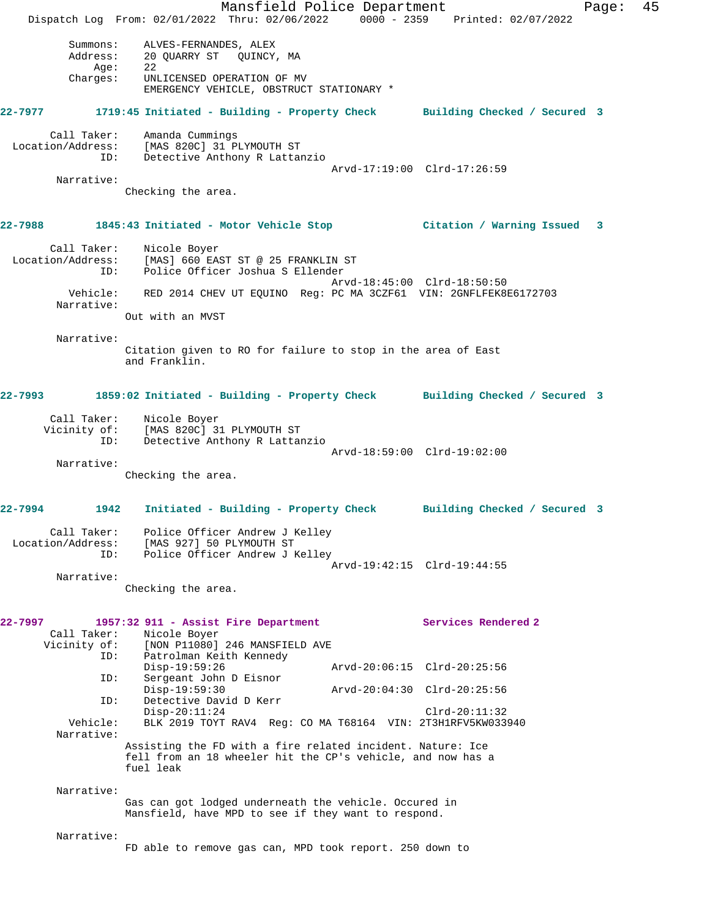Mansfield Police Department Fage: 45 Dispatch Log From: 02/01/2022 Thru: 02/06/2022 0000 - 2359 Printed: 02/07/2022 Summons: ALVES-FERNANDES, ALEX Address: 20 QUARRY ST QUINCY, MA<br>Age: 22 Age:<br>:Charges UNLICENSED OPERATION OF MV EMERGENCY VEHICLE, OBSTRUCT STATIONARY \* **22-7977 1719:45 Initiated - Building - Property Check Building Checked / Secured 3** Call Taker: Amanda Cummings Location/Address: [MAS 820C] 31 PLYMOUTH ST ID: Detective Anthony R Lattanzio Arvd-17:19:00 Clrd-17:26:59 Narrative: Checking the area. **22-7988 1845:43 Initiated - Motor Vehicle Stop Citation / Warning Issued 3** Call Taker: Nicole Boyer Location/Address: [MAS] 660 EAST ST @ 25 FRANKLIN ST ID: Police Officer Joshua S Ellender Arvd-18:45:00 Clrd-18:50:50 Vehicle: RED 2014 CHEV UT EQUINO Reg: PC MA 3CZF61 VIN: 2GNFLFEK8E6172703 Narrative: Out with an MVST Narrative: Citation given to RO for failure to stop in the area of East and Franklin. **22-7993 1859:02 Initiated - Building - Property Check Building Checked / Secured 3** Call Taker: Nicole Boyer Vicinity of: [MAS 820C] 31 PLYMOUTH ST<br>ID: Detective Anthony R Lattar Detective Anthony R Lattanzio Arvd-18:59:00 Clrd-19:02:00 Narrative: Checking the area. **22-7994 1942 Initiated - Building - Property Check Building Checked / Secured 3** Call Taker: Police Officer Andrew J Kelley Location/Address: [MAS 927] 50 PLYMOUTH ST ID: Police Officer Andrew J Kelley Arvd-19:42:15 Clrd-19:44:55 Narrative: Checking the area. **22-7997 1957:32 911 - Assist Fire Department Services Rendered 2**  Call Taker: Nicole Boyer Vicinity of: [NON P11080] 246 MANSFIELD AVE<br>ID: Patrolman Keith Kennedy Patrolman Keith Kennedy<br>Disp-19:59:26 Arvd-20:06:15 Clrd-20:25:56 ID: Sergeant John D Eisnor Disp-19:59:30 Arvd-20:04:30 Clrd-20:25:56 ID: Detective David D Kerr Disp-20:11:24 Clrd-20:11:32<br>Vehicle: BLK 2019 TOYT RAV4 Reg: CO MA T68164 VIN: 2T3H1RFV5KW033 BLK 2019 TOYT RAV4 Reg: CO MA T68164 VIN: 2T3H1RFV5KW033940 Narrative: Assisting the FD with a fire related incident. Nature: Ice fell from an 18 wheeler hit the CP's vehicle, and now has a fuel leak Narrative: Gas can got lodged underneath the vehicle. Occured in Mansfield, have MPD to see if they want to respond. Narrative: FD able to remove gas can, MPD took report. 250 down to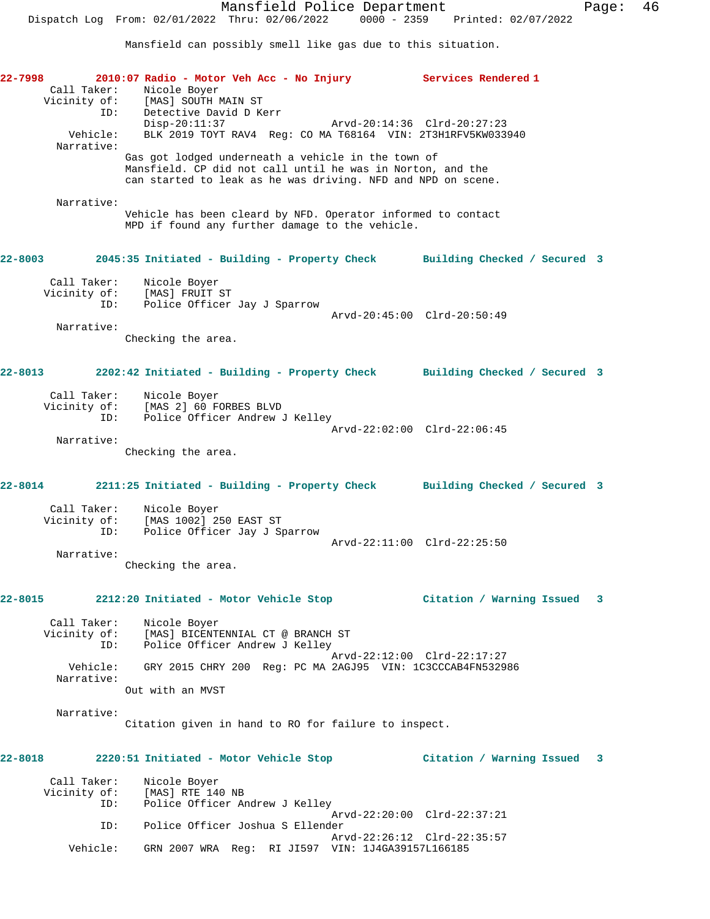Mansfield can possibly smell like gas due to this situation.

| 22–7998 – 1990 | Call Taker:                        | 2010:07 Radio - Motor Veh Acc - No Injury Services Rendered 1<br>Nicole Boyer<br>Call Taker: Nicole Boyer<br>Vicinity of: [MAS] SOUTH MAIN ST                                    |                                |
|----------------|------------------------------------|----------------------------------------------------------------------------------------------------------------------------------------------------------------------------------|--------------------------------|
|                | Vehicle:<br>Narrative:             | ID:<br>Detective David D Kerr<br>Disp-20:11:37<br>Arvd-20:14:36 Clrd-20:27:23<br>BLK 2019 TOYT RAV4 Reg: CO MA T68164 VIN: 2T3H1RFV5KW033940                                     |                                |
|                |                                    | Gas got lodged underneath a vehicle in the town of<br>Mansfield. CP did not call until he was in Norton, and the<br>can started to leak as he was driving. NFD and NPD on scene. |                                |
|                | Narrative:                         | Vehicle has been cleard by NFD. Operator informed to contact<br>MPD if found any further damage to the vehicle.                                                                  |                                |
|                | $22 - 8003$                        | 2045:35 Initiated - Building - Property Check Building Checked / Secured 3                                                                                                       |                                |
|                | Call Taker:<br>ID:                 | Nicole Boyer<br>Vicinity of: [MAS] FRUIT ST<br>Police Officer Jay J Sparrow                                                                                                      |                                |
|                | Narrative:                         | Checking the area.                                                                                                                                                               | Arvd-20:45:00 Clrd-20:50:49    |
|                | 22-8013                            | 2202:42 Initiated - Building - Property Check Building Checked / Secured 3                                                                                                       |                                |
|                |                                    | Call Taker: Nicole Boyer<br>Vicinity of: [MAS 2] 60 FORBES BLVD<br>ID: Police Officer Andrew J Kelley                                                                            |                                |
|                | Narrative:                         | Checking the area.                                                                                                                                                               | Arvd-22:02:00 Clrd-22:06:45    |
| 22-8014        |                                    | 2211:25 Initiated - Building - Property Check Building Checked / Secured 3                                                                                                       |                                |
|                |                                    | Call Taker: Nicole Boyer<br>Vicinity of: [MAS 1002] 250 EAST ST<br>ID: Police Officer Jay J Sparrow                                                                              |                                |
|                | Narrative:                         | Checking the area.                                                                                                                                                               | Arvd-22:11:00 Clrd-22:25:50    |
| 22-8015        |                                    | 2212:20 Initiated - Motor Vehicle Stop                                                                                                                                           | Citation / Warning Issued<br>3 |
|                | Call Taker:<br>Vicinity of:<br>ID: | Nicole Boyer<br>[MAS] BICENTENNIAL CT @ BRANCH ST<br>Police Officer Andrew J Kelley                                                                                              |                                |
|                | Vehicle:<br>Narrative:             | GRY 2015 CHRY 200 Reg: PC MA 2AGJ95 VIN: 1C3CCCAB4FN532986                                                                                                                       | Arvd-22:12:00 Clrd-22:17:27    |
|                | Narrative:                         | Out with an MVST                                                                                                                                                                 |                                |
|                |                                    | Citation given in hand to RO for failure to inspect.                                                                                                                             |                                |
| 22-8018        |                                    | 2220:51 Initiated - Motor Vehicle Stop                                                                                                                                           | Citation / Warning Issued 3    |
|                | Call Taker:<br>Vicinity of:<br>ID: | Nicole Boyer<br>[MAS] RTE 140 NB<br>Police Officer Andrew J Kelley                                                                                                               |                                |
|                | ID:                                | Police Officer Joshua S Ellender                                                                                                                                                 | Arvd-22:20:00 Clrd-22:37:21    |
|                | Vehicle:                           | GRN 2007 WRA Reg: RI JI597 VIN: 1J4GA39157L166185                                                                                                                                | Arvd-22:26:12 Clrd-22:35:57    |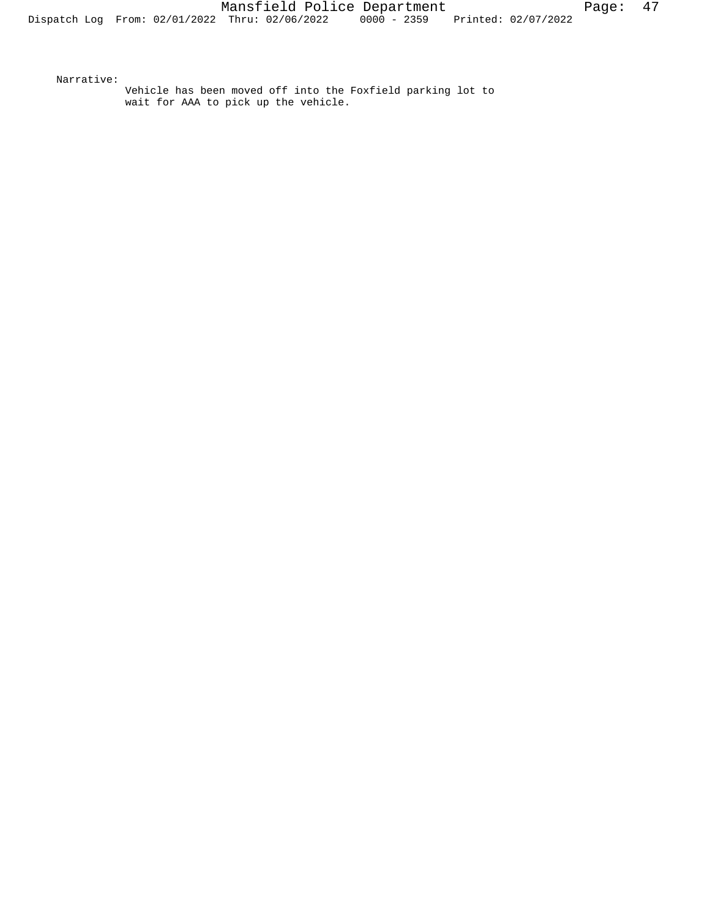Narrative:

Vehicle has been moved off into the Foxfield parking lot to wait for AAA to pick up the vehicle.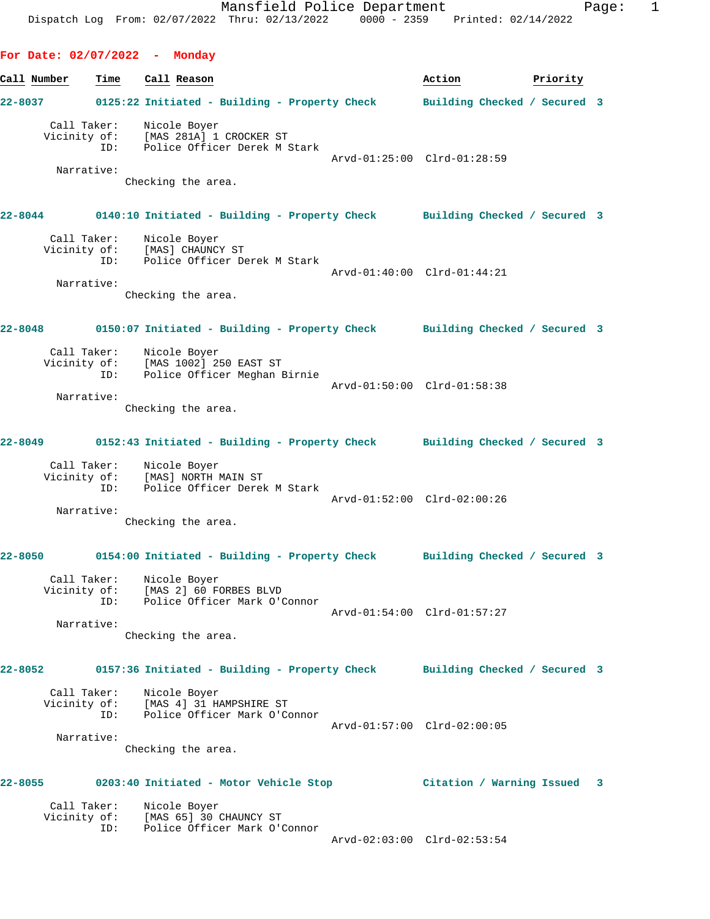**For Date: 02/07/2022 - Monday Call Number Time Call Reason Action Priority 22-8037 0125:22 Initiated - Building - Property Check Building Checked / Secured 3** Call Taker: Nicole Boyer Vicinity of: [MAS 281A] 1 CROCKER ST ID: Police Officer Derek M Stark Arvd-01:25:00 Clrd-01:28:59 Narrative: Checking the area. **22-8044 0140:10 Initiated - Building - Property Check Building Checked / Secured 3** Call Taker: Nicole Boyer Vicinity of: [MAS] CHAUNCY ST ID: Police Officer Derek M Stark Arvd-01:40:00 Clrd-01:44:21 Narrative: Checking the area. **22-8048 0150:07 Initiated - Building - Property Check Building Checked / Secured 3** Call Taker: Nicole Boyer Vicinity of: [MAS 1002] 250 EAST ST ID: Police Officer Meghan Birnie Arvd-01:50:00 Clrd-01:58:38 Narrative: Checking the area. **22-8049 0152:43 Initiated - Building - Property Check Building Checked / Secured 3** Call Taker: Nicole Boyer Vicinity of: [MAS] NORTH MAIN ST ID: Police Officer Derek M Stark Arvd-01:52:00 Clrd-02:00:26 Narrative: Checking the area. **22-8050 0154:00 Initiated - Building - Property Check Building Checked / Secured 3** Call Taker: Nicole Boyer Vicinity of: [MAS 2] 60 FORBES BLVD ID: Police Officer Mark O'Connor Arvd-01:54:00 Clrd-01:57:27 Narrative: Checking the area. **22-8052 0157:36 Initiated - Building - Property Check Building Checked / Secured 3** Call Taker: Nicole Boyer Vicinity of: [MAS 4] 31 HAMPSHIRE ST ID: Police Officer Mark O'Connor Arvd-01:57:00 Clrd-02:00:05 Narrative: Checking the area. **22-8055 0203:40 Initiated - Motor Vehicle Stop Citation / Warning Issued 3** Call Taker: Nicole Boyer Vicinity of: [MAS 65] 30 CHAUNCY ST ID: Police Officer Mark O'Connor Arvd-02:03:00 Clrd-02:53:54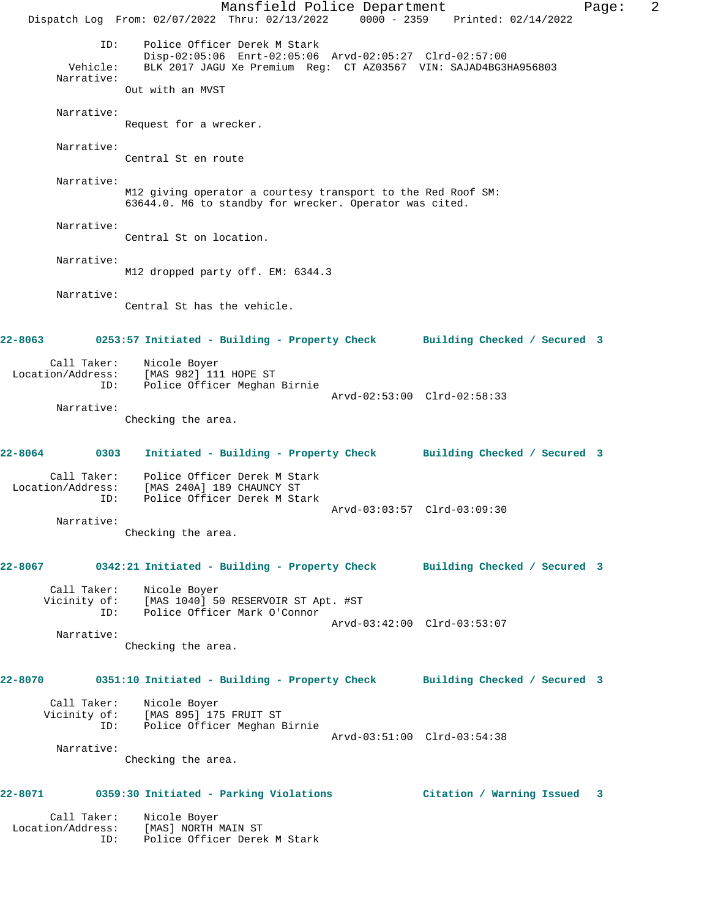Mansfield Police Department Fage: 2 Dispatch Log From: 02/07/2022 Thru: 02/13/2022 0000 - 2359 Printed: 02/14/2022 ID: Police Officer Derek M Stark Disp-02:05:06 Enrt-02:05:06 Arvd-02:05:27 Clrd-02:57:00 Vehicle: BLK 2017 JAGU Xe Premium Reg: CT AZ03567 VIN: SAJAD4BG3HA956803 Narrative: Out with an MVST Narrative: Request for a wrecker. Narrative: Central St en route Narrative: M12 giving operator a courtesy transport to the Red Roof SM: 63644.0. M6 to standby for wrecker. Operator was cited. Narrative: Central St on location. Narrative: M12 dropped party off. EM: 6344.3 Narrative: Central St has the vehicle. **22-8063 0253:57 Initiated - Building - Property Check Building Checked / Secured 3** Call Taker: Nicole Boyer Location/Address: [MAS 982] 111 HOPE ST ID: Police Officer Meghan Birnie Arvd-02:53:00 Clrd-02:58:33 Narrative: Checking the area. **22-8064 0303 Initiated - Building - Property Check Building Checked / Secured 3** Call Taker: Police Officer Derek M Stark Location/Address: [MAS 240A] 189 CHAUNCY ST ID: Police Officer Derek M Stark Arvd-03:03:57 Clrd-03:09:30 Narrative: Checking the area. **22-8067 0342:21 Initiated - Building - Property Check Building Checked / Secured 3** Call Taker: Nicole Boyer<br>Vicinity of: [MAS 1040] 50 [MAS 1040] 50 RESERVOIR ST Apt. #ST ID: Police Officer Mark O'Connor Arvd-03:42:00 Clrd-03:53:07 Narrative: Checking the area. **22-8070 0351:10 Initiated - Building - Property Check Building Checked / Secured 3** Call Taker: Nicole Boyer Vicinity of: [MAS 895] 175 FRUIT ST ID: Police Officer Meghan Birnie Arvd-03:51:00 Clrd-03:54:38 Narrative: Checking the area. **22-8071 0359:30 Initiated - Parking Violations Citation / Warning Issued 3** Call Taker: Nicole Boyer Location/Address: [MAS] NORTH MAIN ST

ID: Police Officer Derek M Stark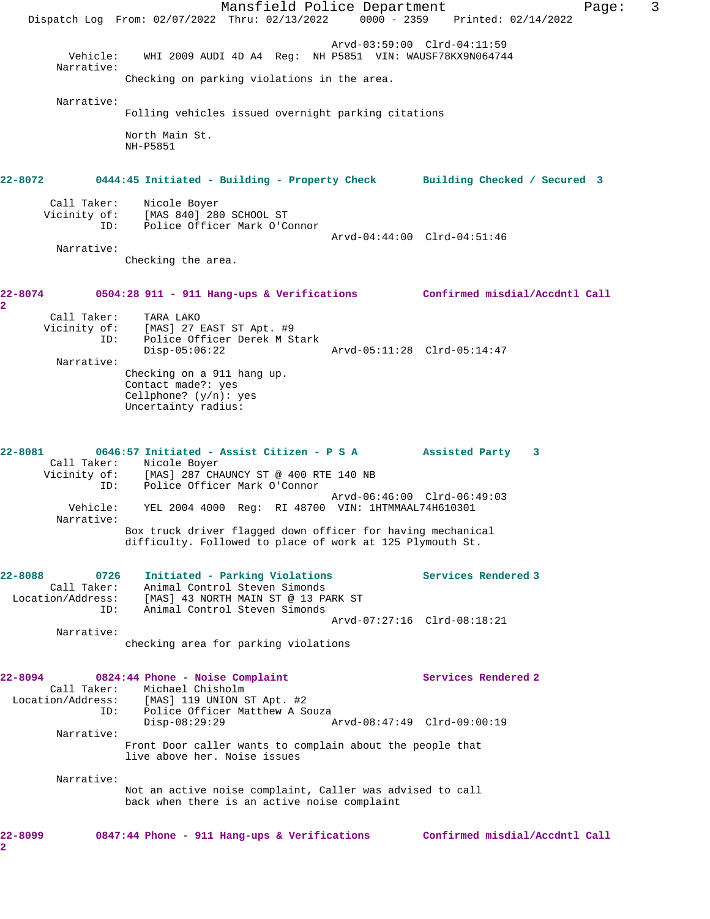Mansfield Police Department Fage: 3 Dispatch Log From: 02/07/2022 Thru: 02/13/2022 0000 - 2359 Printed: 02/14/2022 Arvd-03:59:00 Clrd-04:11:59 Vehicle: WHI 2009 AUDI 4D A4 Reg: NH P5851 VIN: WAUSF78KX9N064744 Narrative: Checking on parking violations in the area. Narrative: Folling vehicles issued overnight parking citations North Main St. NH-P5851 **22-8072 0444:45 Initiated - Building - Property Check Building Checked / Secured 3** Call Taker: Nicole Boyer Vicinity of: [MAS 840] 280 SCHOOL ST ID: Police Officer Mark O'Connor Arvd-04:44:00 Clrd-04:51:46 Narrative: Checking the area. **22-8074 0504:28 911 - 911 Hang-ups & Verifications Confirmed misdial/Accdntl Call 2**  Call Taker: TARA LAKO Vicinity of: [MAS] 27 EAST ST Apt. #9 ID: Police Officer Derek M Stark Disp-05:06:22 Arvd-05:11:28 Clrd-05:14:47 Narrative: Checking on a 911 hang up. Contact made?: yes Cellphone? (y/n): yes Uncertainty radius: **22-8081 0646:57 Initiated - Assist Citizen - P S A Assisted Party 3**  Call Taker: Nicole Boyer Vicinity of: [MAS] 287 CHAUNCY ST @ 400 RTE 140 NB ID: Police Officer Mark O'Connor Arvd-06:46:00 Clrd-06:49:03 Vehicle: YEL 2004 4000 Reg: RI 48700 VIN: 1HTMMAAL74H610301 Narrative: Box truck driver flagged down officer for having mechanical difficulty. Followed to place of work at 125 Plymouth St. **22-8088 0726 Initiated - Parking Violations Services Rendered 3**  Call Taker: Animal Control Steven Simonds Location/Address: [MAS] 43 NORTH MAIN ST @ 13 PARK ST ID: Animal Control Steven Simonds Arvd-07:27:16 Clrd-08:18:21 Narrative: checking area for parking violations **22-8094 0824:44 Phone - Noise Complaint Services Rendered 2**  Call Taker: Michael Chisholm Location/Address: [MAS] 119 UNION ST Apt. #2 ID: Police Officer Matthew A Souza Disp-08:29:29 Arvd-08:47:49 Clrd-09:00:19 Narrative: Front Door caller wants to complain about the people that live above her. Noise issues Narrative: Not an active noise complaint, Caller was advised to call back when there is an active noise complaint **22-8099 0847:44 Phone - 911 Hang-ups & Verifications Confirmed misdial/Accdntl Call 2**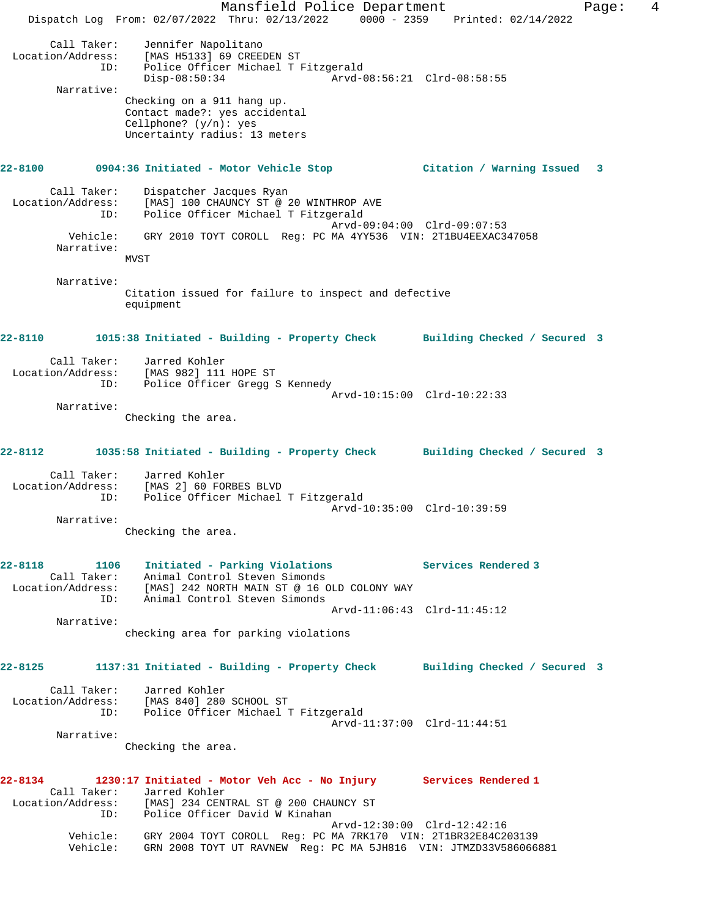Mansfield Police Department Fage: 4 Dispatch Log From: 02/07/2022 Thru: 02/13/2022 0000 - 2359 Printed: 02/14/2022 Call Taker: Jennifer Napolitano Location/Address: [MAS H5133] 69 CREEDEN ST ID: Police Officer Michael T Fitzgerald Disp-08:50:34 Arvd-08:56:21 Clrd-08:58:55 Narrative: Checking on a 911 hang up. Contact made?: yes accidental Cellphone? (y/n): yes Uncertainty radius: 13 meters **22-8100 0904:36 Initiated - Motor Vehicle Stop Citation / Warning Issued 3** Call Taker: Dispatcher Jacques Ryan Location/Address: [MAS] 100 CHAUNCY ST @ 20 WINTHROP AVE ID: Police Officer Michael T Fitzgerald Arvd-09:04:00 Clrd-09:07:53 Vehicle: GRY 2010 TOYT COROLL Reg: PC MA 4YY536 VIN: 2T1BU4EEXAC347058 Narrative: MVST Narrative: Citation issued for failure to inspect and defective equipment **22-8110 1015:38 Initiated - Building - Property Check Building Checked / Secured 3** Call Taker: Jarred Kohler Location/Address: [MAS 982] 111 HOPE ST ID: Police Officer Gregg S Kennedy Arvd-10:15:00 Clrd-10:22:33 Narrative: Checking the area. **22-8112 1035:58 Initiated - Building - Property Check Building Checked / Secured 3** Call Taker: Jarred Kohler Location/Address: [MAS 2] 60 FORBES BLVD ID: Police Officer Michael T Fitzgerald Arvd-10:35:00 Clrd-10:39:59 Narrative: Checking the area. **22-8118 1106 Initiated - Parking Violations Services Rendered 3**  Call Taker: Animal Control Steven Simonds Location/Address: [MAS] 242 NORTH MAIN ST @ 16 OLD COLONY WAY ID: Animal Control Steven Simonds Arvd-11:06:43 Clrd-11:45:12 Narrative: checking area for parking violations **22-8125 1137:31 Initiated - Building - Property Check Building Checked / Secured 3** Call Taker: Jarred Kohler Location/Address: [MAS 840] 280 SCHOOL ST ID: Police Officer Michael T Fitzgerald Arvd-11:37:00 Clrd-11:44:51 Narrative: Checking the area. **22-8134 1230:17 Initiated - Motor Veh Acc - No Injury Services Rendered 1**  Call Taker: Jarred Kohler Location/Address: [MAS] 234 CENTRAL ST @ 200 CHAUNCY ST ID: Police Officer David W Kinahan Arvd-12:30:00 Clrd-12:42:16 Vehicle: GRY 2004 TOYT COROLL Reg: PC MA 7RK170 VIN: 2T1BR32E84C203139 Vehicle: GRN 2008 TOYT UT RAVNEW Reg: PC MA 5JH816 VIN: JTMZD33V586066881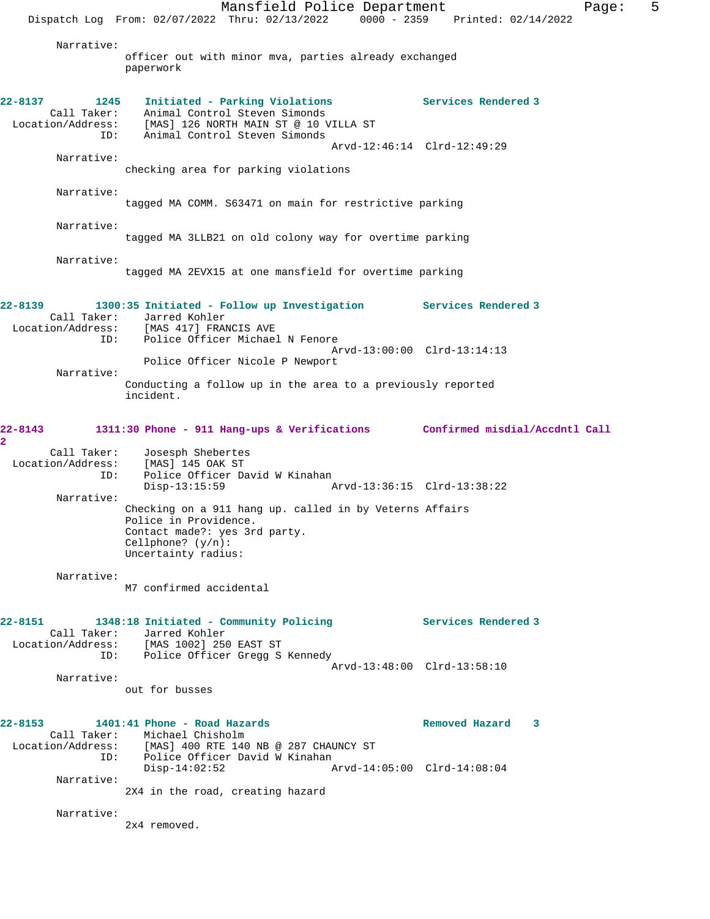Mansfield Police Department Fage: 5 Dispatch Log From: 02/07/2022 Thru: 02/13/2022 0000 - 2359 Printed: 02/14/2022 Narrative: officer out with minor mva, parties already exchanged paperwork **22-8137 1245 Initiated - Parking Violations Services Rendered 3**  Call Taker: Animal Control Steven Simonds Location/Address: [MAS] 126 NORTH MAIN ST @ 10 VILLA ST ID: Animal Control Steven Simonds Arvd-12:46:14 Clrd-12:49:29 Narrative: checking area for parking violations Narrative: tagged MA COMM. S63471 on main for restrictive parking Narrative: tagged MA 3LLB21 on old colony way for overtime parking Narrative: tagged MA 2EVX15 at one mansfield for overtime parking **22-8139 1300:35 Initiated - Follow up Investigation Services Rendered 3**  Call Taker: Jarred Kohler<br>ion/Address: [MAS 417] FRANCIS AVE Location/Address: ID: Police Officer Michael N Fenore Arvd-13:00:00 Clrd-13:14:13 Police Officer Nicole P Newport Narrative: Conducting a follow up in the area to a previously reported incident. **22-8143 1311:30 Phone - 911 Hang-ups & Verifications Confirmed misdial/Accdntl Call 2**  Call Taker: Josesph Shebertes Location/Address: [MAS] 145 OAK ST ID: Police Officer David W Kinahan<br>Disp-13:15:59 Arvd-13:36:15 Clrd-13:38:22 Narrative: Checking on a 911 hang up. called in by Veterns Affairs Police in Providence. Contact made?: yes 3rd party. Cellphone? (y/n): Uncertainty radius: Narrative: M7 confirmed accidental **22-8151 1348:18 Initiated - Community Policing Services Rendered 3**  Call Taker: Jarred Kohler Location/Address: [MAS 1002] 250 EAST ST ID: Police Officer Gregg S Kennedy Arvd-13:48:00 Clrd-13:58:10 Narrative: out for busses **22-8153 1401:41 Phone - Road Hazards Removed Hazard 3**  Call Taker: Michael Chisholm Location/Address: [MAS] 400 RTE 140 NB @ 287 CHAUNCY ST ID: Police Officer David W Kinahan<br>Disp-14:02:52 Disp-14:02:52 Arvd-14:05:00 Clrd-14:08:04 Narrative: 2X4 in the road, creating hazard Narrative: 2x4 removed.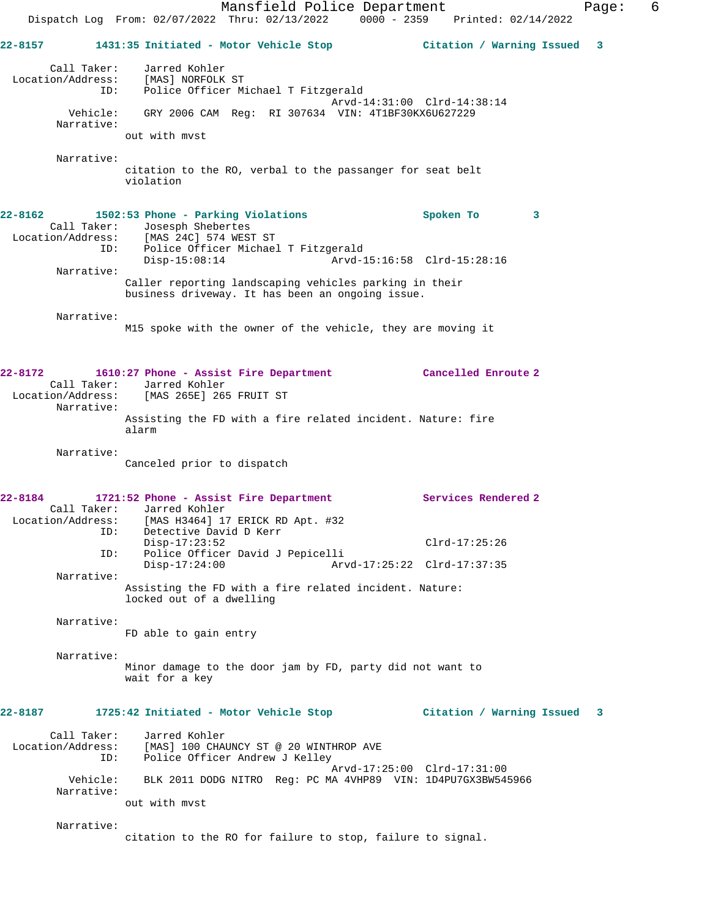Mansfield Police Department Fage: 6 Dispatch Log From: 02/07/2022 Thru: 02/13/2022 0000 - 2359 Printed: 02/14/2022 **22-8157 1431:35 Initiated - Motor Vehicle Stop Citation / Warning Issued 3** Call Taker: Jarred Kohler Location/Address: [MAS] NORFOLK ST ID: Police Officer Michael T Fitzgerald Arvd-14:31:00 Clrd-14:38:14 Vehicle: GRY 2006 CAM Reg: RI 307634 VIN: 4T1BF30KX6U627229 Narrative: out with mvst Narrative: citation to the RO, verbal to the passanger for seat belt violation **22-8162 1502:53 Phone - Parking Violations Spoken To 3**  Call Taker: Josesph Shebertes Location/Address: [MAS 24C] 574 WEST ST ID: Police Officer Michael T Fitzgerald Disp-15:08:14 Arvd-15:16:58 Clrd-15:28:16 Narrative: Caller reporting landscaping vehicles parking in their business driveway. It has been an ongoing issue. Narrative: M15 spoke with the owner of the vehicle, they are moving it **22-8172 1610:27 Phone - Assist Fire Department Cancelled Enroute 2**  Call Taker: Jarred Kohler Location/Address: [MAS 265E] 265 FRUIT ST Narrative: Assisting the FD with a fire related incident. Nature: fire alarm Narrative: Canceled prior to dispatch **22-8184 1721:52 Phone - Assist Fire Department Services Rendered 2**  Call Taker: Jarred Kohler Location/Address: [MAS H3464] 17 ERICK RD Apt. #32 ID: Detective David D Kerr Disp-17:23:52 Clrd-17:25:26 ID: Police Officer David J Pepicelli Disp-17:24:00 Arvd-17:25:22 Clrd-17:37:35 Narrative: Assisting the FD with a fire related incident. Nature: locked out of a dwelling Narrative: FD able to gain entry Narrative: Minor damage to the door jam by FD, party did not want to wait for a key **22-8187 1725:42 Initiated - Motor Vehicle Stop Citation / Warning Issued 3** Call Taker: Jarred Kohler<br>Location/Address: [MAS] 100 CHA [MAS] 100 CHAUNCY ST @ 20 WINTHROP AVE ID: Police Officer Andrew J Kelley Arvd-17:25:00 Clrd-17:31:00 Vehicle: BLK 2011 DODG NITRO Reg: PC MA 4VHP89 VIN: 1D4PU7GX3BW545966 Narrative: out with mvst Narrative: citation to the RO for failure to stop, failure to signal.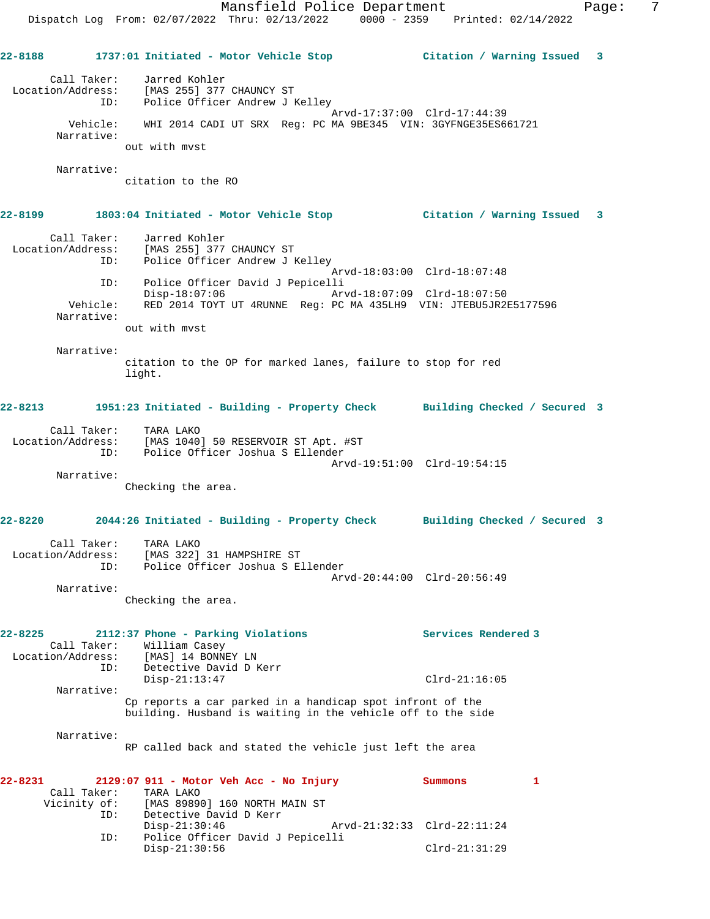Mansfield Police Department Fage: 7 Dispatch Log From: 02/07/2022 Thru: 02/13/2022 0000 - 2359 Printed: 02/14/2022 **22-8188 1737:01 Initiated - Motor Vehicle Stop Citation / Warning Issued 3** Call Taker: Jarred Kohler Location/Address: [MAS 255] 377 CHAUNCY ST ID: Police Officer Andrew J Kelley Arvd-17:37:00 Clrd-17:44:39 Vehicle: WHI 2014 CADI UT SRX Reg: PC MA 9BE345 VIN: 3GYFNGE35ES661721 Narrative: out with mvst Narrative: citation to the RO **22-8199 1803:04 Initiated - Motor Vehicle Stop Citation / Warning Issued 3** Call Taker: Jarred Kohler Location/Address: [MAS 255] 377 CHAUNCY ST ID: Police Officer Andrew J Kelley Arvd-18:03:00 Clrd-18:07:48 ID: Police Officer David J Pepicelli Disp-18:07:06 Arvd-18:07:09 Clrd-18:07:50 Vehicle: RED 2014 TOYT UT 4RUNNE Reg: PC MA 435LH9 VIN: JTEBU5JR2E5177596 Narrative: out with mvst Narrative: citation to the OP for marked lanes, failure to stop for red light. **22-8213 1951:23 Initiated - Building - Property Check Building Checked / Secured 3** Call Taker: TARA LAKO Location/Address: [MAS 1040] 50 RESERVOIR ST Apt. #ST ID: Police Officer Joshua S Ellender Arvd-19:51:00 Clrd-19:54:15 Narrative: Checking the area. **22-8220 2044:26 Initiated - Building - Property Check Building Checked / Secured 3** Call Taker: TARA LAKO Location/Address: [MAS 322] 31 HAMPSHIRE ST ID: Police Officer Joshua S Ellender Arvd-20:44:00 Clrd-20:56:49 Narrative: Checking the area. **22-8225 2112:37 Phone - Parking Violations Services Rendered 3**  Call Taker: William Casey Location/Address: [MAS] 14 BONNEY LN ID: Detective David D Kerr Disp-21:13:47 Clrd-21:16:05 Narrative: Cp reports a car parked in a handicap spot infront of the building. Husband is waiting in the vehicle off to the side Narrative: RP called back and stated the vehicle just left the area **22-8231 2129:07 911 - Motor Veh Acc - No Injury Summons 1**  Call Taker: TARA LAKO Vicinity of: [MAS 89890] 160 NORTH MAIN ST<br>ID: Detective David D Kerr Detective David D Kerr Disp-21:30:46 Arvd-21:32:33 Clrd-22:11:24 ID: Police Officer David J Pepicelli Disp-21:30:56 Clrd-21:31:29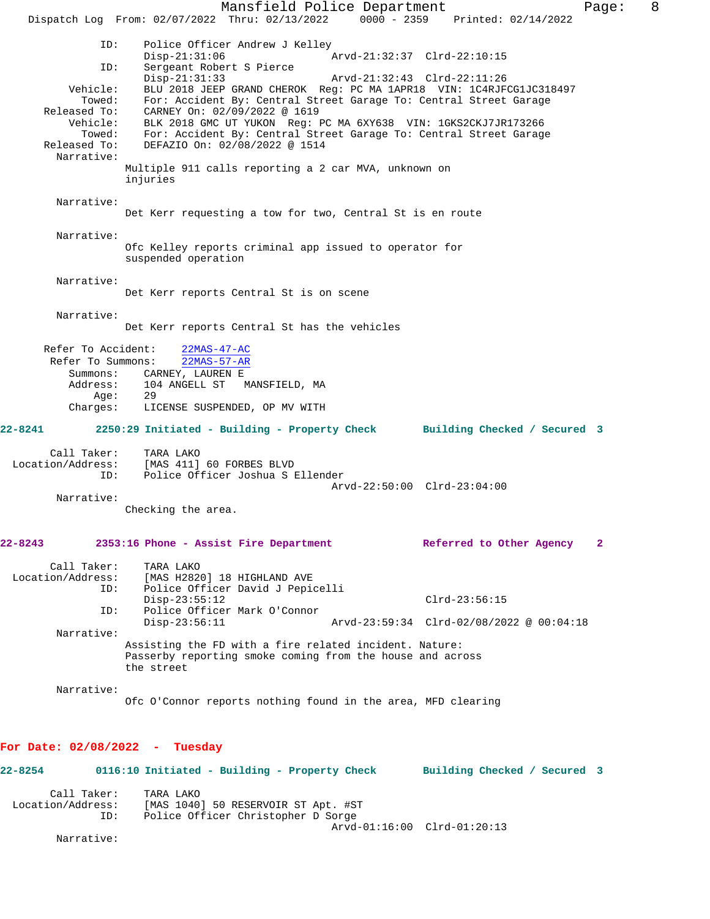Mansfield Police Department Form Page: 8 Dispatch Log From: 02/07/2022 Thru: 02/13/2022 0000 - 2359 Printed: 02/14/2022 ID: Police Officer Andrew J Kelley<br>Disp-21:31:06 A  $\bar{P}_{\text{Arvd}-21:32:37}$  Clrd-22:10:15 ID: Sergeant Robert S Pierce Disp-21:31:33 Arvd-21:32:43 Clrd-22:11:26 Vehicle: BLU 2018 JEEP GRAND CHEROK Reg: PC MA 1APR18 VIN: 1C4RJFCG1JC318497 Towed: For: Accident By: Central Street Garage To: Central Street Garage Released To: CARNEY On: 02/09/2022 @ 1619 Vehicle: BLK 2018 GMC UT YUKON Reg: PC MA 6XY638 VIN: 1GKS2CKJ7JR173266 Towed: For: Accident By: Central Street Garage To: Central Street Garage Released To: DEFAZIO On: 02/08/2022 @ 1514 Narrative: Multiple 911 calls reporting a 2 car MVA, unknown on injuries Narrative: Det Kerr requesting a tow for two, Central St is en route Narrative: Ofc Kelley reports criminal app issued to operator for suspended operation Narrative: Det Kerr reports Central St is on scene Narrative: Det Kerr reports Central St has the vehicles Refer To Accident: 22MAS-47-AC Refer To Summons: 22MAS-57-AR Summons: CARNEY, LAUREN E Address: 104 ANGELL ST MANSFIELD, MA<br>Aqe: 29 Age: Charges: LICENSE SUSPENDED, OP MV WITH **22-8241 2250:29 Initiated - Building - Property Check Building Checked / Secured 3** Call Taker: TARA LAKO Location/Address: [MAS 411] 60 FORBES BLVD ID: Police Officer Joshua S Ellender Arvd-22:50:00 Clrd-23:04:00 Narrative: Checking the area. **22-8243 2353:16 Phone - Assist Fire Department Referred to Other Agency 2** Call Taker: TARA LAKO Location/Address: [MAS H2820] 18 HIGHLAND AVE Police Officer David J Pepicelli Disp-23:55:12 Clrd-23:56:15<br>ID: Police Officer Mark O'Connor Police Officer Mark O'Connor<br>Disp-23:56:11 Disp-23:56:11 Arvd-23:59:34 Clrd-02/08/2022 @ 00:04:18 Narrative: Assisting the FD with a fire related incident. Nature: Passerby reporting smoke coming from the house and across the street Narrative: Ofc O'Connor reports nothing found in the area, MFD clearing **For Date: 02/08/2022 - Tuesday 22-8254 0116:10 Initiated - Building - Property Check Building Checked / Secured 3** Call Taker: TARA LAKO Location/Address: [MAS 1040] 50 RESERVOIR ST Apt. #ST ID: Police Officer Christopher D Sorge

Narrative:

Arvd-01:16:00 Clrd-01:20:13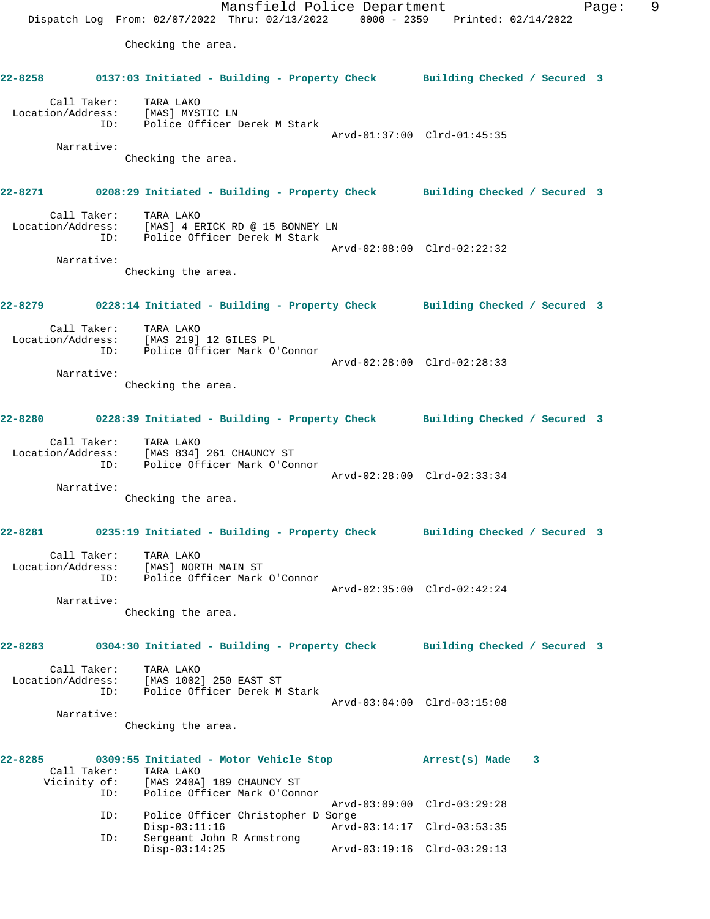Mansfield Police Department Fage: 9 Dispatch Log From: 02/07/2022 Thru: 02/13/2022 0000 - 2359 Printed: 02/14/2022 Checking the area. **22-8258 0137:03 Initiated - Building - Property Check Building Checked / Secured 3** Call Taker: TARA LAKO Location/Address: [MAS] MYSTIC LN ID: Police Officer Derek M Stark Arvd-01:37:00 Clrd-01:45:35 Narrative: Checking the area. **22-8271 0208:29 Initiated - Building - Property Check Building Checked / Secured 3** Call Taker: TARA LAKO Location/Address: [MAS] 4 ERICK RD @ 15 BONNEY LN ID: Police Officer Derek M Stark Arvd-02:08:00 Clrd-02:22:32 Narrative: Checking the area. **22-8279 0228:14 Initiated - Building - Property Check Building Checked / Secured 3** Call Taker: TARA LAKO Location/Address: [MAS 219] 12 GILES PL ID: Police Officer Mark O'Connor Arvd-02:28:00 Clrd-02:28:33 Narrative: Checking the area. **22-8280 0228:39 Initiated - Building - Property Check Building Checked / Secured 3** Call Taker: TARA LAKO Location/Address: [MAS 834] 261 CHAUNCY ST ID: Police Officer Mark O'Connor Arvd-02:28:00 Clrd-02:33:34 Narrative: Checking the area. **22-8281 0235:19 Initiated - Building - Property Check Building Checked / Secured 3** Call Taker: TARA LAKO Location/Address: [MAS] NORTH MAIN ST ID: Police Officer Mark O'Connor Arvd-02:35:00 Clrd-02:42:24 Narrative: Checking the area. **22-8283 0304:30 Initiated - Building - Property Check Building Checked / Secured 3** Call Taker: TARA LAKO Location/Address: [MAS 1002] 250 EAST ST ID: Police Officer Derek M Stark Arvd-03:04:00 Clrd-03:15:08 Narrative: Checking the area. **22-8285 0309:55 Initiated - Motor Vehicle Stop Arrest(s) Made 3**  Call Taker: TARA LAKO<br>Vicinity of: [MAS 240A] [MAS 240A] 189 CHAUNCY ST ID: Police Officer Mark O'Connor Arvd-03:09:00 Clrd-03:29:28 ID: Police Officer Christopher D Sorge Disp-03:11:16 Arvd-03:14:17 Clrd-03:53:35<br>ID: Sergeant John R Armstrong Sergeant John R Armstrong<br>Disp-03:14:25

Disp-03:14:25 Arvd-03:19:16 Clrd-03:29:13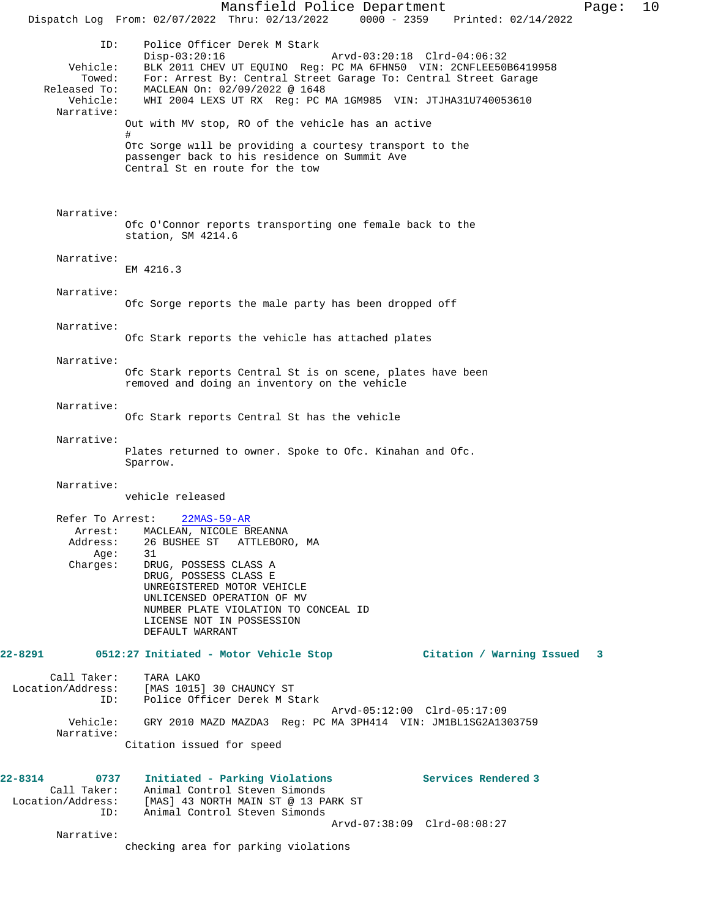Mansfield Police Department Form Page: 10 Dispatch Log From: 02/07/2022 Thru: 02/13/2022 0000 - 2359 Printed: 02/14/2022 ID: Police Officer Derek M Stark Disp-03:20:16 Arvd-03:20:18 Clrd-04:06:32 Vehicle: BLK 2011 CHEV UT EQUINO Reg: PC MA 6FHN50 VIN: 2CNFLEE50B6419958 Towed: For: Arrest By: Central Street Garage To: Central Street Garage Released To: MACLEAN On: 02/09/2022 @ 1648 Vehicle: WHI 2004 LEXS UT RX Reg: PC MA 1GM985 VIN: JTJHA31U740053610 Narrative: Out with MV stop, RO of the vehicle has an active # Ofc Sorge will be providing a courtesy transport to the passenger back to his residence on Summit Ave Central St en route for the tow Narrative: Ofc O'Connor reports transporting one female back to the station, SM 4214.6 Narrative: EM 4216.3 Narrative: Ofc Sorge reports the male party has been dropped off Narrative: Ofc Stark reports the vehicle has attached plates Narrative: Ofc Stark reports Central St is on scene, plates have been removed and doing an inventory on the vehicle Narrative: Ofc Stark reports Central St has the vehicle Narrative: Plates returned to owner. Spoke to Ofc. Kinahan and Ofc. Sparrow. Narrative: vehicle released Refer To Arrest: 22MAS-59-AR Arrest: MACLEAN, NICOLE BREANNA<br>Address: 26 BUSHEE ST ATTLEBOR 26 BUSHEE ST – ATTLEBORO, MA<br>31 Age: Charges: DRUG, POSSESS CLASS A DRUG, POSSESS CLASS E UNREGISTERED MOTOR VEHICLE UNLICENSED OPERATION OF MV NUMBER PLATE VIOLATION TO CONCEAL ID LICENSE NOT IN POSSESSION DEFAULT WARRANT **22-8291 0512:27 Initiated - Motor Vehicle Stop Citation / Warning Issued 3** Call Taker: TARA LAKO Location/Address: [MAS 1015] 30 CHAUNCY ST ID: Police Officer Derek M Stark Arvd-05:12:00 Clrd-05:17:09<br>Vehicle: GRY 2010 MAZD MAZDA3 Reg: PC MA 3PH414 VIN: JM1BL1SG2A13 GRY 2010 MAZD MAZDA3 Reg: PC MA 3PH414 VIN: JM1BL1SG2A1303759 Narrative: Citation issued for speed **22-8314 0737 Initiated - Parking Violations Services Rendered 3**  Call Taker: Animal Control Steven Simonds Location/Address: [MAS] 43 NORTH MAIN ST @ 13 PARK ST ID: Animal Control Steven Simonds Arvd-07:38:09 Clrd-08:08:27 Narrative: checking area for parking violations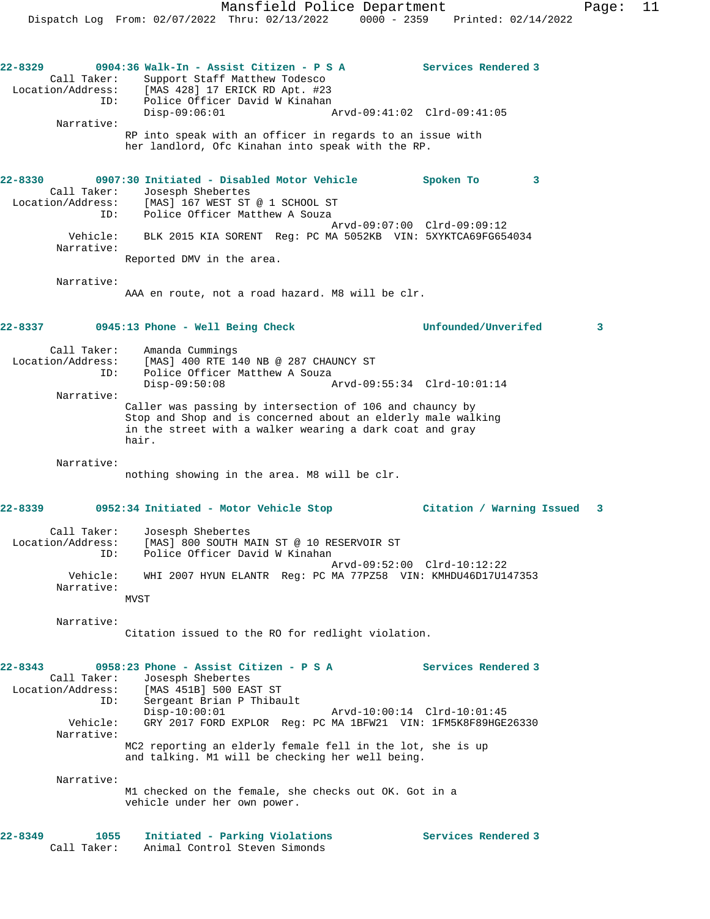Narrative: RP into speak with an officer in regards to an issue with her landlord, Ofc Kinahan into speak with the RP.

**22-8330 0907:30 Initiated - Disabled Motor Vehicle Spoken To 3**  Call Taker: Josesph Shebertes Location/Address: [MAS] 167 WEST ST @ 1 SCHOOL ST ID: Police Officer Matthew A Souza Arvd-09:07:00 Clrd-09:09:12 Vehicle: BLK 2015 KIA SORENT Reg: PC MA 5052KB VIN: 5XYKTCA69FG654034 Narrative:

Reported DMV in the area.

Narrative:

AAA en route, not a road hazard. M8 will be clr.

# **22-8337 0945:13 Phone - Well Being Check Unfounded/Unverifed 3**

 Call Taker: Amanda Cummings Location/Address: [MAS] 400 RTE 140 NB @ 287 CHAUNCY ST ID: Police Officer Matthew A Souza

 Disp-09:50:08 Arvd-09:55:34 Clrd-10:01:14 Narrative: Caller was passing by intersection of 106 and chauncy by

Stop and Shop and is concerned about an elderly male walking in the street with a walker wearing a dark coat and gray hair.

Narrative:

nothing showing in the area. M8 will be clr.

## **22-8339 0952:34 Initiated - Motor Vehicle Stop Citation / Warning Issued 3**

| Call Taker:       | Josesph Shebertes                                             |
|-------------------|---------------------------------------------------------------|
| Location/Address: | [MAS] 800 SOUTH MAIN ST @ 10 RESERVOIR ST                     |
| ID:               | Police Officer David W Kinahan                                |
|                   | Arvd-09:52:00 Clrd-10:12:22                                   |
| Vehicle:          | WHI 2007 HYUN ELANTR Req: PC MA 77PZ58 VIN: KMHDU46D17U147353 |
| Narrative:        |                                                               |
|                   | <b>MVST</b>                                                   |

Narrative:

Citation issued to the RO for redlight violation.

**22-8343 0958:23 Phone - Assist Citizen - P S A Services Rendered 3**  Call Taker: Josesph Shebertes Location/Address: [MAS 451B] 500 EAST ST ID: Sergeant Brian P Thibault Disp-10:00:01 Arvd-10:00:14 Clrd-10:01:45 Vehicle: GRY 2017 FORD EXPLOR Reg: PC MA 1BFW21 VIN: 1FM5K8F89HGE26330 Narrative: MC2 reporting an elderly female fell in the lot, she is up and talking. M1 will be checking her well being. Narrative: M1 checked on the female, she checks out OK. Got in a vehicle under her own power. **22-8349 1055 Initiated - Parking Violations Services Rendered 3** 

Call Taker: Animal Control Steven Simonds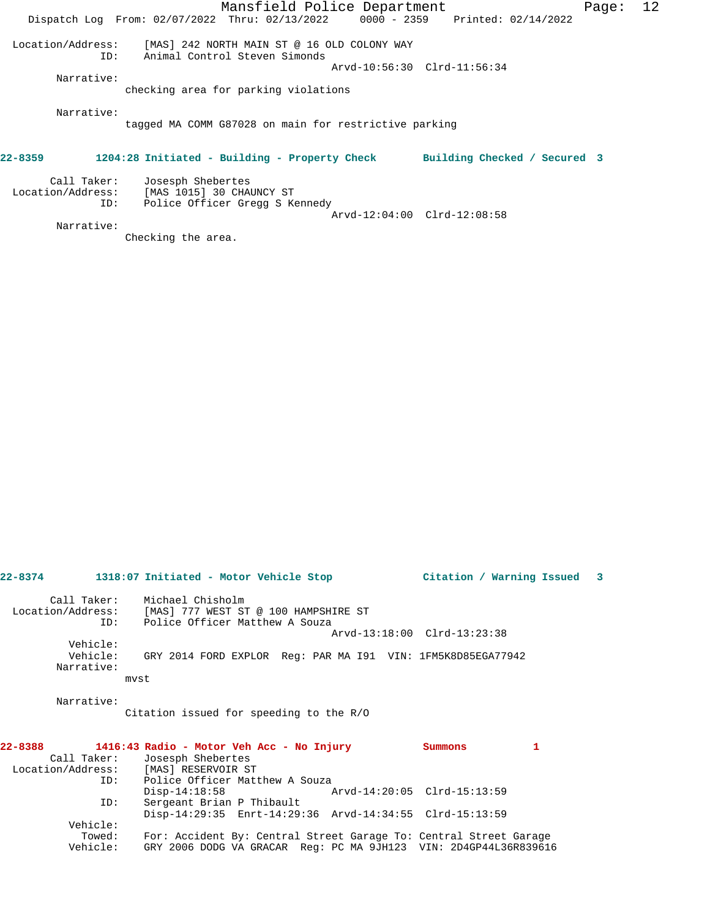|                                         | Mansfield Police Department                                                                                    | Page: | 12 |
|-----------------------------------------|----------------------------------------------------------------------------------------------------------------|-------|----|
|                                         | Dispatch Log From: 02/07/2022 Thru: 02/13/2022 0000 - 2359 Printed: 02/14/2022                                 |       |    |
| Location/Address:<br>ID:                | [MAS] 242 NORTH MAIN ST @ 16 OLD COLONY WAY<br>Animal Control Steven Simonds<br>Arvd-10:56:30 Clrd-11:56:34    |       |    |
| Narrative:                              | checking area for parking violations                                                                           |       |    |
| Narrative:                              | tagged MA COMM G87028 on main for restrictive parking                                                          |       |    |
| 22-8359                                 | 1204:28 Initiated - Building - Property Check<br>Building Checked / Secured 3                                  |       |    |
| Call Taker:<br>Location/Address:<br>ID: | Josesph Shebertes<br>[MAS 1015] 30 CHAUNCY ST<br>Police Officer Gregg S Kennedy<br>Arvd-12:04:00 Clrd-12:08:58 |       |    |
| Narrative:                              |                                                                                                                |       |    |

Checking the area.

| Call Taker:       | Michael Chisholm                                                     |
|-------------------|----------------------------------------------------------------------|
| Location/Address: | [MAS] 777 WEST ST @ 100 HAMPSHIRE ST                                 |
|                   | ID: Police Officer Matthew A Souza                                   |
|                   | Arvd-13:18:00 Clrd-13:23:38                                          |
| Vehicle:          |                                                                      |
|                   | Vehicle: GRY 2014 FORD EXPLOR Req: PAR MA I91 VIN: 1FM5K8D85EGA77942 |
| Narrative:        |                                                                      |
|                   | mvst                                                                 |
|                   |                                                                      |
| Narrative:        |                                                                      |
|                   | Citation issued for speeding to the R/O                              |
|                   |                                                                      |
|                   |                                                                      |
| 22-8388           | 1<br>1416:43 Radio - Motor Veh Acc - No Injury<br>Summons            |
| Call Taker:       | Josesph Shebertes                                                    |
|                   | Location/Address: [MAS] RESERVOIR ST                                 |
| ID:               | Police Officer Matthew A Souza                                       |
|                   | Arvd-14:20:05 Clrd-15:13:59<br>$Disp-14:18:58$                       |
| ID:               | Sergeant Brian P Thibault                                            |
|                   | Disp-14:29:35 Enrt-14:29:36 Arvd-14:34:55 Clrd-15:13:59              |
| Vehicle:          |                                                                      |
| Towed:            | For: Accident By: Central Street Garage To: Central Street Garage    |
| Vehicle:          |                                                                      |
|                   |                                                                      |
|                   | GRY 2006 DODG VA GRACAR Req: PC MA 9JH123 VIN: 2D4GP44L36R839616     |

**22-8374 1318:07 Initiated - Motor Vehicle Stop Citation / Warning Issued 3**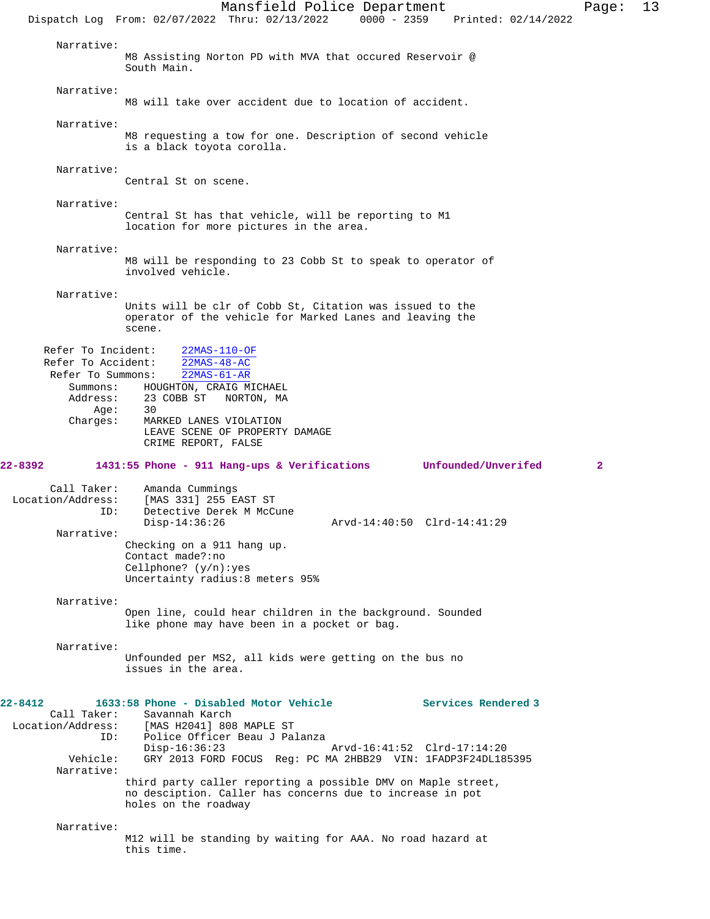Mansfield Police Department Page: 13 Dispatch Log From: 02/07/2022 Thru: 02/13/2022 0000 - 2359 Printed: 02/14/2022 Narrative: M8 Assisting Norton PD with MVA that occured Reservoir @ South Main. Narrative: M8 will take over accident due to location of accident. Narrative: M8 requesting a tow for one. Description of second vehicle is a black toyota corolla. Narrative: Central St on scene. Narrative: Central St has that vehicle, will be reporting to M1 location for more pictures in the area. Narrative: M8 will be responding to 23 Cobb St to speak to operator of involved vehicle. Narrative: Units will be clr of Cobb St, Citation was issued to the operator of the vehicle for Marked Lanes and leaving the scene. Refer To Incident: 22MAS-110-OF Refer To Accident: 22MAS-48-AC Refer To Summons: 22MAS-61-AR Summons: HOUGHTON, CRAIG MICHAEL<br>Address: 23 COBB ST NORTON, MA 23 COBB ST NORTON, MA Age: 30<br>Charges: MAI MARKED LANES VIOLATION LEAVE SCENE OF PROPERTY DAMAGE CRIME REPORT, FALSE **22-8392 1431:55 Phone - 911 Hang-ups & Verifications Unfounded/Unverifed 2** Call Taker: Amanda Cummings Location/Address: [MAS 331] 255 EAST ST<br>ID: Detective Derek M McC Detective Derek M McCune<br>Disp-14:36:26 Disp-14:36:26 Arvd-14:40:50 Clrd-14:41:29 Narrative: Checking on a 911 hang up. Contact made?:no Cellphone? (y/n):yes Uncertainty radius:8 meters 95% Narrative: Open line, could hear children in the background. Sounded like phone may have been in a pocket or bag. Narrative: Unfounded per MS2, all kids were getting on the bus no issues in the area. **22-8412 1633:58 Phone - Disabled Motor Vehicle Services Rendered 3**  Call Taker: Savannah Karch<br>Location/Address: [MAS H2041] 808 [MAS H2041] 808 MAPLE ST ID: Police Officer Beau J Palanza Disp-16:36:23 Arvd-16:41:52 Clrd-17:14:20<br>Vehicle: GRY 2013 FORD FOCUS Req: PC MA 2HBB29 VIN: 1FADP3F24DL18 GRY 2013 FORD FOCUS Reg: PC MA 2HBB29 VIN: 1FADP3F24DL185395 Narrative: third party caller reporting a possible DMV on Maple street, no desciption. Caller has concerns due to increase in pot holes on the roadway Narrative: M12 will be standing by waiting for AAA. No road hazard at this time.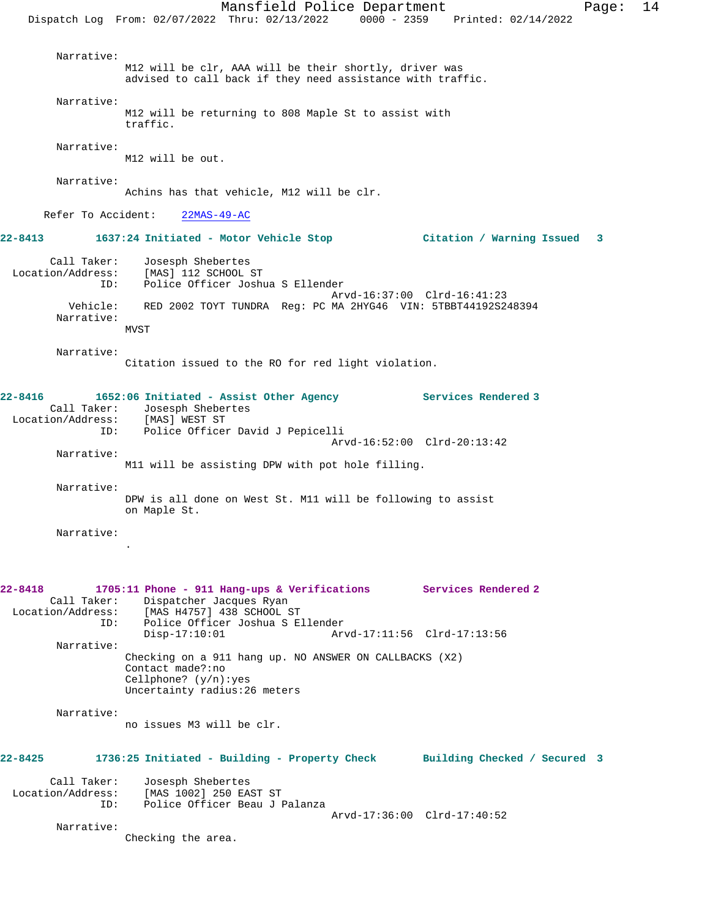Mansfield Police Department Form Page: 14 Dispatch Log From: 02/07/2022 Thru: 02/13/2022 0000 - 2359 Printed: 02/14/2022 Narrative: M12 will be clr, AAA will be their shortly, driver was advised to call back if they need assistance with traffic. Narrative: M12 will be returning to 808 Maple St to assist with traffic. Narrative: M12 will be out. Narrative: Achins has that vehicle, M12 will be clr. Refer To Accident: 22MAS-49-AC **22-8413 1637:24 Initiated - Motor Vehicle Stop Citation / Warning Issued 3** Call Taker: Josesph Shebertes Location/Address: [MAS] 112 SCHOOL ST ID: Police Officer Joshua S Ellender Arvd-16:37:00 Clrd-16:41:23<br>Vehicle: RED 2002 TOYT TUNDRA Req: PC MA 2HYG46 VIN: 5TBBT44192S2 RED 2002 TOYT TUNDRA Reg: PC MA 2HYG46 VIN: 5TBBT44192S248394 Narrative: **MVST**  Narrative: Citation issued to the RO for red light violation. **22-8416 1652:06 Initiated - Assist Other Agency Services Rendered 3**  Call Taker: Josesph Shebertes<br>ion/Address: [MAS] WEST ST Location/Address: ID: Police Officer David J Pepicelli Arvd-16:52:00 Clrd-20:13:42 Narrative: M11 will be assisting DPW with pot hole filling. Narrative: DPW is all done on West St. M11 will be following to assist on Maple St. Narrative: . **22-8418 1705:11 Phone - 911 Hang-ups & Verifications Services Rendered 2**  Call Taker: Dispatcher Jacques Ryan<br>Location/Address: [MAS H4757] 438 SCHOOL 9 [MAS H4757] 438 SCHOOL ST ID: Police Officer Joshua S Ellender Disp-17:10:01 Arvd-17:11:56 Clrd-17:13:56 Narrative: Checking on a 911 hang up. NO ANSWER ON CALLBACKS (X2) Contact made?:no Cellphone? (y/n):yes Uncertainty radius:26 meters Narrative: no issues M3 will be clr. **22-8425 1736:25 Initiated - Building - Property Check Building Checked / Secured 3** Call Taker: Josesph Shebertes Location/Address: [MAS 1002] 250 EAST ST ID: Police Officer Beau J Palanza Arvd-17:36:00 Clrd-17:40:52 Narrative: Checking the area.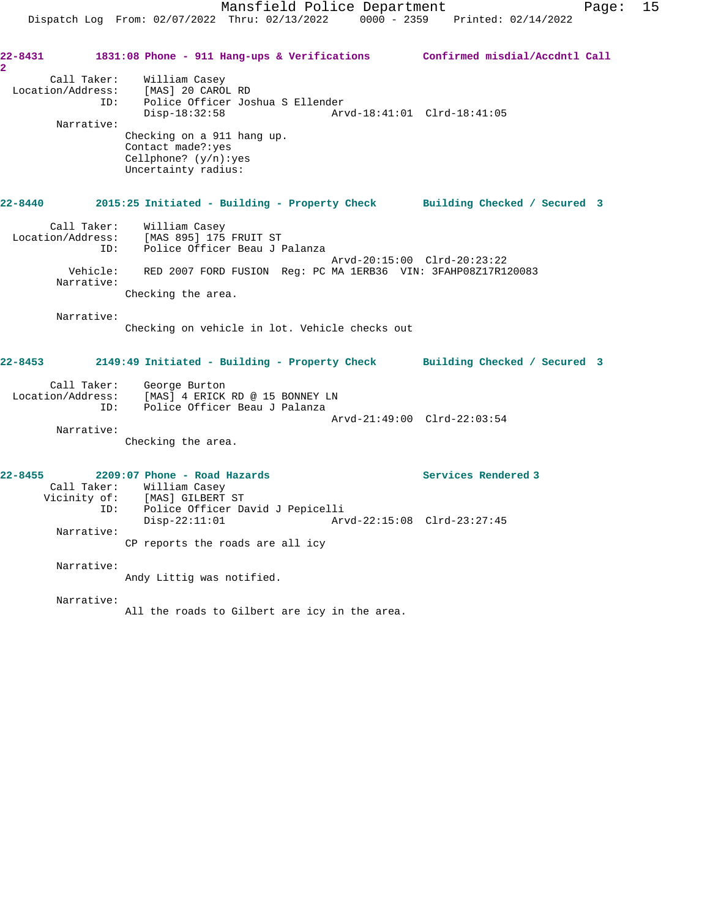Disp-18:32:58 Arvd-18:41:01 Clrd-18:41:05

 Narrative: Checking on a 911 hang up. Contact made?:yes Cellphone? (y/n):yes Uncertainty radius: **22-8440 2015:25 Initiated - Building - Property Check Building Checked / Secured 3** Call Taker: William Casey Location/Address: [MAS 895] 175 FRUIT ST ID: Police Officer Beau J Palanza Arvd-20:15:00 Clrd-20:23:22 Vehicle: RED 2007 FORD FUSION Reg: PC MA 1ERB36 VIN: 3FAHP08Z17R120083 Narrative: Checking the area.

Narrative:

**2** 

Checking on vehicle in lot. Vehicle checks out

**22-8453 2149:49 Initiated - Building - Property Check Building Checked / Secured 3**

| Call Taker:       | George Burton                   |                             |
|-------------------|---------------------------------|-----------------------------|
| Location/Address: | [MAS] 4 ERICK RD @ 15 BONNEY LN |                             |
| TD:               | Police Officer Beau J Palanza   |                             |
|                   |                                 | Arvd-21:49:00 Clrd-22:03:54 |

Narrative:

Checking the area.

ID: Police Officer Joshua S Ellender

| $22 - 8455$ |              | 2209:07 Phone - Road Hazards     |                             | Services Rendered 3 |
|-------------|--------------|----------------------------------|-----------------------------|---------------------|
|             | Call Taker:  | William Casey                    |                             |                     |
|             | Vicinity of: | [MAS] GILBERT ST                 |                             |                     |
|             | ID:          | Police Officer David J Pepicelli |                             |                     |
|             |              | $Disp-22:11:01$                  | Arvd-22:15:08 Clrd-23:27:45 |                     |
|             | Narrative:   |                                  |                             |                     |
|             |              | CP reports the roads are all icy |                             |                     |
|             | Narrative:   |                                  |                             |                     |
|             |              | Andy Littig was notified.        |                             |                     |

Narrative:

All the roads to Gilbert are icy in the area.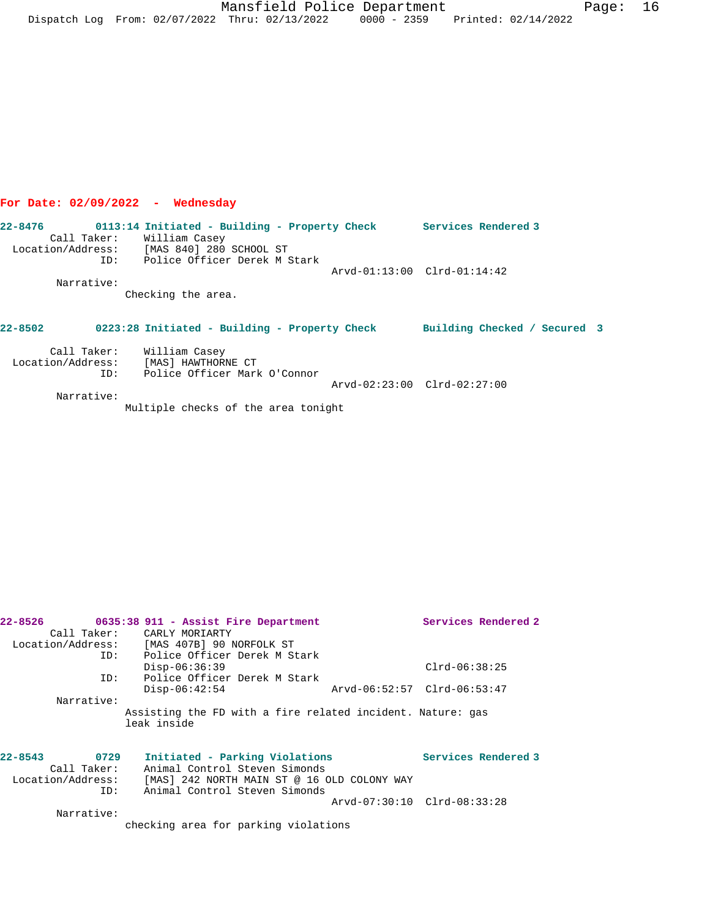Mansfield Police Department Fage: 16 Dispatch Log From: 02/07/2022 Thru: 02/13/2022 0000 - 2359 Printed: 02/14/2022

# **For Date: 02/09/2022 - Wednesday**

**22-8476 0113:14 Initiated - Building - Property Check Services Rendered 3**  Call Taker: William Casey Location/Address: [MAS 840] 280 SCHOOL ST ID: Police Officer Derek M Stark Arvd-01:13:00 Clrd-01:14:42 Narrative: Checking the area. **22-8502 0223:28 Initiated - Building - Property Check Building Checked / Secured 3** Call Taker: William Casey Location/Address: [MAS] HAWTHORNE CT

 ID: Police Officer Mark O'Connor Arvd-02:23:00 Clrd-02:27:00 Narrative: Multiple checks of the area tonight

| 22-8526             | 0635:38 911 - Assist Fire Department                                      | Services Rendered 2         |
|---------------------|---------------------------------------------------------------------------|-----------------------------|
|                     | Call Taker: CARLY MORIARTY                                                |                             |
|                     | Location/Address: [MAS 407B] 90 NORFOLK ST                                |                             |
| ID:                 | Police Officer Derek M Stark                                              |                             |
|                     | $Disp-06:36:39$                                                           | $Clrd-06:38:25$             |
| ID:                 | Police Officer Derek M Stark                                              |                             |
|                     | $Disp-06:42:54$                                                           | Arvd-06:52:57 Clrd-06:53:47 |
| Narrative:          |                                                                           |                             |
|                     | Assisting the FD with a fire related incident. Nature: gas<br>leak inside |                             |
|                     |                                                                           |                             |
| $22 - 8543$<br>0729 | Initiated - Parking Violations                                            | Services Rendered 3         |
| Call Taker:         | Animal Control Steven Simonds                                             |                             |
| Location/Address:   | [MAS] 242 NORTH MAIN ST @ 16 OLD COLONY WAY                               |                             |
| ID:                 | Animal Control Steven Simonds                                             |                             |
|                     |                                                                           | Arvd-07:30:10 Clrd-08:33:28 |
| Narrative:          |                                                                           |                             |

checking area for parking violations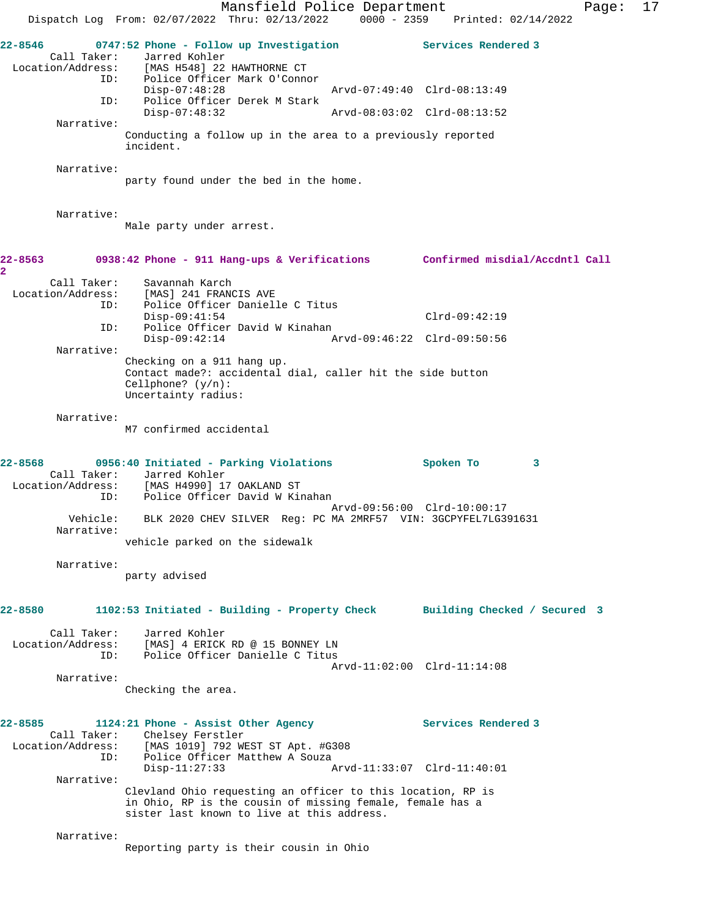Mansfield Police Department Page: 17 Dispatch Log From: 02/07/2022 Thru: 02/13/2022 0000 - 2359 Printed: 02/14/2022 **22-8546 0747:52 Phone - Follow up Investigation Services Rendered 3**  Call Taker: Jarred Kohler<br>Location/Address: [MAS H548] 22 ess: [MAS H548] 22 HAWTHORNE CT<br>ID: Police Officer Mark O'Conno Police Officer Mark O'Connor<br>Disp-07:48:28 Disp-07:48:28 Arvd-07:49:40 Clrd-08:13:49 ID: Police Officer Derek M Stark Disp-07:48:32 Arvd-08:03:02 Clrd-08:13:52 Narrative: Conducting a follow up in the area to a previously reported incident. Narrative: party found under the bed in the home. Narrative: Male party under arrest. **22-8563 0938:42 Phone - 911 Hang-ups & Verifications Confirmed misdial/Accdntl Call 2**  Call Taker: Savannah Karch<br>Location/Address: [MAS] 241 FRAN ess: [MAS] 241 FRANCIS AVE<br>ID: Police Officer Daniel Police Officer Danielle C Titus Disp-09:41:54 Clrd-09:42:19 ID: Police Officer David W Kinahan<br>Disp-09:42:14 A Disp-09:42:14 Arvd-09:46:22 Clrd-09:50:56 Narrative: Checking on a 911 hang up. Contact made?: accidental dial, caller hit the side button Cellphone? (y/n): Uncertainty radius: Narrative: M7 confirmed accidental **22-8568 0956:40 Initiated - Parking Violations Spoken To 3**  Call Taker: Jarred Kohler Location/Address: [MAS H4990] 17 OAKLAND ST ID: Police Officer David W Kinahan Arvd-09:56:00 Clrd-10:00:17 Vehicle: BLK 2020 CHEV SILVER Reg: PC MA 2MRF57 VIN: 3GCPYFEL7LG391631 Narrative: vehicle parked on the sidewalk Narrative: party advised **22-8580 1102:53 Initiated - Building - Property Check Building Checked / Secured 3** Call Taker: Jarred Kohler Location/Address: [MAS] 4 ERICK RD @ 15 BONNEY LN ID: Police Officer Danielle C Titus Arvd-11:02:00 Clrd-11:14:08 Narrative: Checking the area. 22-8585 1124:21 Phone - Assist Other Agency **Services Rendered 3**  Call Taker: Chelsey Ferstler Location/Address: [MAS 1019] 792 WEST ST Apt. #G308 ID: Police Officer Matthew A Souza<br>Disp-11:27:33 A Disp-11:27:33 Arvd-11:33:07 Clrd-11:40:01 Narrative: Clevland Ohio requesting an officer to this location, RP is in Ohio, RP is the cousin of missing female, female has a sister last known to live at this address. Narrative: Reporting party is their cousin in Ohio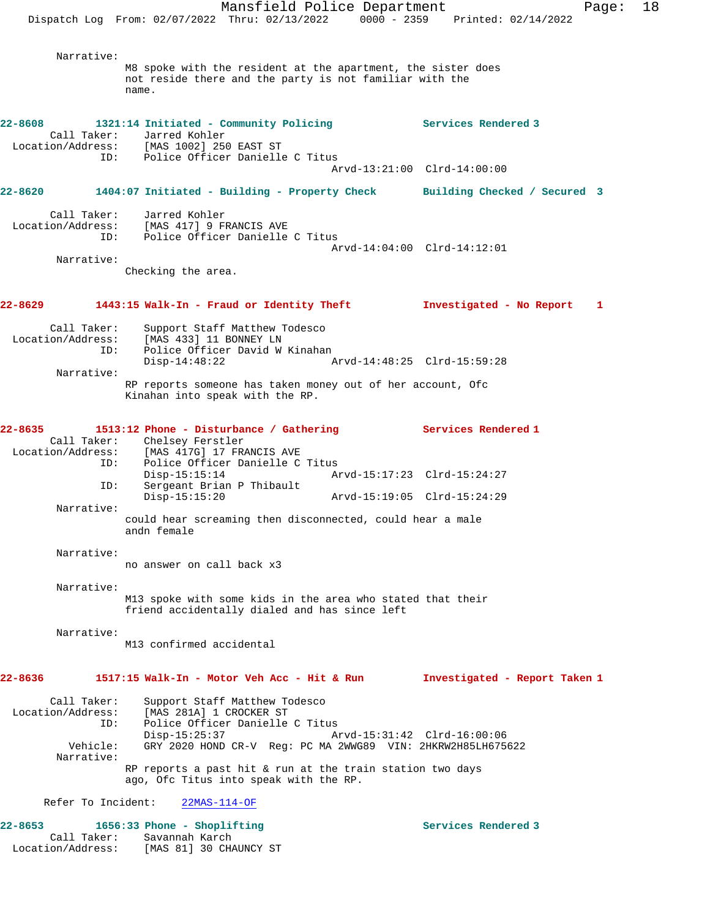Mansfield Police Department Fage: 18 Dispatch Log From: 02/07/2022 Thru: 02/13/2022 0000 - 2359 Printed: 02/14/2022 Narrative: M8 spoke with the resident at the apartment, the sister does not reside there and the party is not familiar with the name. **22-8608 1321:14 Initiated - Community Policing Services Rendered 3**  Call Taker: Jarred Kohler<br>Location/Address: [MAS 1002] 250 cess: [MAS 1002] 250 EAST ST<br>ID: Police Officer Daniell Police Officer Danielle C Titus Arvd-13:21:00 Clrd-14:00:00 **22-8620 1404:07 Initiated - Building - Property Check Building Checked / Secured 3** Call Taker: Jarred Kohler Location/Address: [MAS 417] 9 FRANCIS AVE ID: Police Officer Danielle C Titus Arvd-14:04:00 Clrd-14:12:01 Narrative: Checking the area. **22-8629 1443:15 Walk-In - Fraud or Identity Theft Investigated - No Report 1** Call Taker: Support Staff Matthew Todesco Location/Address: [MAS 433] 11 BONNEY LN ID: Police Officer David W Kinahan<br>Disp-14:48:22 Disp-14:48:22 Arvd-14:48:25 Clrd-15:59:28 Narrative: RP reports someone has taken money out of her account, Ofc Kinahan into speak with the RP. **22-8635 1513:12 Phone - Disturbance / Gathering Services Rendered 1**  Call Taker: Chelsey Ferstler Location/Address: [MAS 417G] 17 FRANCIS AVE ----<br>ID: Police Officer Danielle C Titus<br>Disp-15:15:14 Ar Disp-15:15:14 Arvd-15:17:23 Clrd-15:24:27 ID: Sergeant Brian P Thibault Disp-15:15:20 Arvd-15:19:05 Clrd-15:24:29 Narrative: could hear screaming then disconnected, could hear a male andn female Narrative: no answer on call back x3 Narrative: M13 spoke with some kids in the area who stated that their friend accidentally dialed and has since left Narrative: M13 confirmed accidental **22-8636 1517:15 Walk-In - Motor Veh Acc - Hit & Run Investigated - Report Taken 1** Call Taker: Support Staff Matthew Todesco Location/Address: [MAS 281A] 1 CROCKER ST ID: Police Officer Danielle C Titus<br>Disp-15:25:37 Am Disp-15:25:37 Arvd-15:31:42 Clrd-16:00:06<br>Vehicle: GRY 2020 HOND CR-V Req: PC MA 2WWG89 VIN: 2HKRW2H85LH675 GRY 2020 HOND CR-V Reg: PC MA 2WWG89 VIN: 2HKRW2H85LH675622 Narrative: RP reports a past hit & run at the train station two days ago, Ofc Titus into speak with the RP. Refer To Incident: 22MAS-114-OF 22-8653 1656:33 Phone - Shoplifting **1656:33 Phone - Shoplifting** Services Rendered 3 Call Taker: Savannah Karch Location/Address: [MAS 81] 30 CHAUNCY ST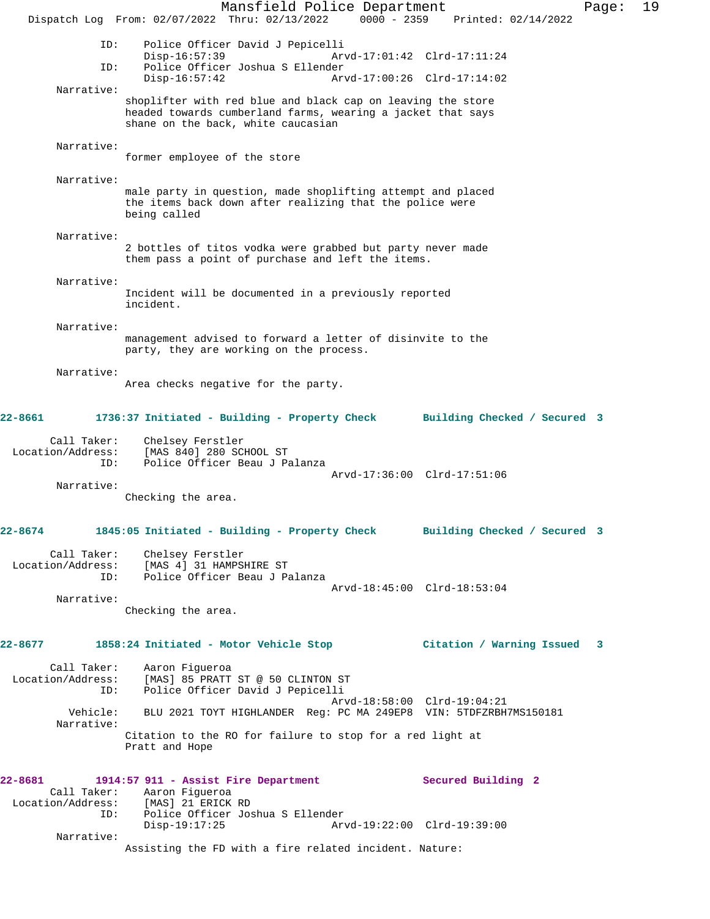Mansfield Police Department Page: 19 Dispatch Log From: 02/07/2022 Thru: 02/13/2022 0000 - 2359 Printed: 02/14/2022 ID: Police Officer David J Pepicelli Disp-16:57:39 Arvd-17:01:42 Clrd-17:11:24 ID: Police Officer Joshua S Ellender Disp-16:57:42 Arvd-17:00:26 Clrd-17:14:02 Narrative: shoplifter with red blue and black cap on leaving the store headed towards cumberland farms, wearing a jacket that says shane on the back, white caucasian Narrative: former employee of the store Narrative: male party in question, made shoplifting attempt and placed the items back down after realizing that the police were being called Narrative: 2 bottles of titos vodka were grabbed but party never made them pass a point of purchase and left the items. Narrative: Incident will be documented in a previously reported incident. Narrative: management advised to forward a letter of disinvite to the party, they are working on the process. Narrative: Area checks negative for the party. **22-8661 1736:37 Initiated - Building - Property Check Building Checked / Secured 3** Call Taker: Chelsey Ferstler<br>Location/Address: [MAS 840] 280 SC ess: [MAS 840] 280 SCHOOL ST<br>ID: Police Officer Beau J Pa Police Officer Beau J Palanza Arvd-17:36:00 Clrd-17:51:06 Narrative: Checking the area. **22-8674 1845:05 Initiated - Building - Property Check Building Checked / Secured 3** Call Taker: Chelsey Ferstler Location/Address: [MAS 4] 31 HAMPSHIRE ST<br>ID: Police Officer Beau J Pa Police Officer Beau J Palanza Arvd-18:45:00 Clrd-18:53:04 Narrative: Checking the area. **22-8677 1858:24 Initiated - Motor Vehicle Stop Citation / Warning Issued 3** Call Taker: Aaron Figueroa Location/Address: [MAS] 85 PRATT ST @ 50 CLINTON ST ID: Police Officer David J Pepicelli Arvd-18:58:00 Clrd-19:04:21<br>Vehicle: BLU 2021 TOYT HIGHLANDER Reg: PC MA 249EP8 VIN: 5TDFZRBH BLU 2021 TOYT HIGHLANDER Reg: PC MA 249EP8 VIN: 5TDFZRBH7MS150181 Narrative: Citation to the RO for failure to stop for a red light at Pratt and Hope **22-8681 1914:57 911 - Assist Fire Department Secured Building 2**  Call Taker: Aaron Figueroa<br>Location/Address: [MAS] 21 ERICK [MAS] 21 ERICK RD ID: Police Officer Joshua S Ellender Disp-19:17:25 Arvd-19:22:00 Clrd-19:39:00 Narrative: Assisting the FD with a fire related incident. Nature: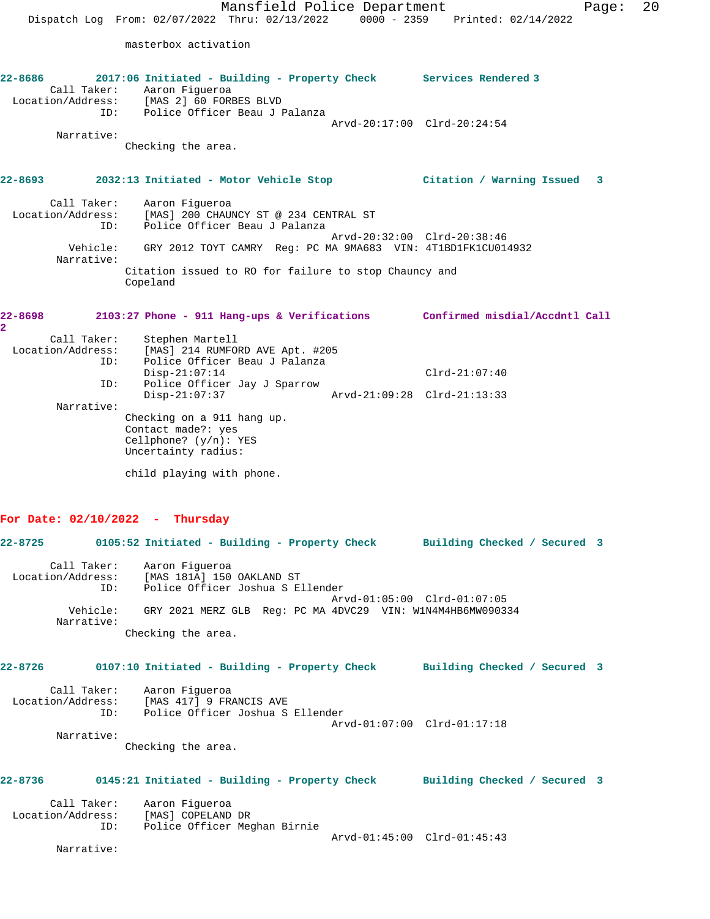**22-8686 2017:06 Initiated - Building - Property Check Services Rendered 3**  Call Taker: Aaron Figueroa Location/Address: [MAS 2] 60 FORBES BLVD ID: Police Officer Beau J Palanza Arvd-20:17:00 Clrd-20:24:54 Narrative: Checking the area. **22-8693 2032:13 Initiated - Motor Vehicle Stop Citation / Warning Issued 3** Call Taker: Aaron Figueroa Location/Address: [MAS] 200 CHAUNCY ST @ 234 CENTRAL ST ID: Police Officer Beau J Palanza Arvd-20:32:00 Clrd-20:38:46 Vehicle: GRY 2012 TOYT CAMRY Reg: PC MA 9MA683 VIN: 4T1BD1FK1CU014932 Narrative: Citation issued to RO for failure to stop Chauncy and Copeland

| 22-8698           |             | 2103:27 Phone - 911 Hang-ups & Verifications | Confirmed misdial/Accdntl Call |  |
|-------------------|-------------|----------------------------------------------|--------------------------------|--|
| $\mathbf{2}$      |             |                                              |                                |  |
|                   | Call Taker: | Stephen Martell                              |                                |  |
| Location/Address: |             | [MAS] 214 RUMFORD AVE Apt. #205              |                                |  |
|                   | ID:         | Police Officer Beau J Palanza                |                                |  |
|                   |             | $Disp-21:07:14$                              | $Clrd-21:07:40$                |  |
|                   | ID:         | Police Officer Jay J Sparrow                 |                                |  |
|                   |             | $Disp-21:07:37$                              | Arvd-21:09:28 Clrd-21:13:33    |  |
|                   | Narrative:  |                                              |                                |  |
|                   |             | Checking on a 911 hang up.                   |                                |  |
|                   |             | Contact made?: yes                           |                                |  |
|                   |             | Cellphone? $(y/n)$ : YES                     |                                |  |
|                   |             | Uncertainty radius:                          |                                |  |
|                   |             | child playing with phone.                    |                                |  |

## **For Date: 02/10/2022 - Thursday**

|         |            | 22-8725 0105:52 Initiated - Building - Property Check Building Checked / Secured 3                                |                             |  |  |
|---------|------------|-------------------------------------------------------------------------------------------------------------------|-----------------------------|--|--|
|         |            | Call Taker: Aaron Figueroa<br>Location/Address: [MAS 181A] 150 OAKLAND ST<br>ID: Police Officer Joshua S Ellender | Arvd-01:05:00 Clrd-01:07:05 |  |  |
|         | Narrative: | Vehicle: GRY 2021 MERZ GLB Req: PC MA 4DVC29 VIN: W1N4M4HB6MW090334<br>Checking the area.                         |                             |  |  |
|         |            | 22-8726 		 0107:10 Initiated - Building - Property Check 		 Building Checked / Secured 3                          |                             |  |  |
|         |            | Call Taker: Aaron Figueroa<br>Location/Address: [MAS 417] 9 FRANCIS AVE<br>ID: Police Officer Joshua S Ellender   | Arvd-01:07:00 Clrd-01:17:18 |  |  |
|         | Narrative: | Checking the area.                                                                                                |                             |  |  |
| 22-8736 |            | 0145:21 Initiated - Building - Property Check Building Checked / Secured 3                                        |                             |  |  |
|         | ID:        | Call Taker: Aaron Figueroa<br>Location/Address: [MAS] COPELAND DR<br>Police Officer Meghan Birnie                 |                             |  |  |
|         | Narrative: |                                                                                                                   | Arvd-01:45:00 Clrd-01:45:43 |  |  |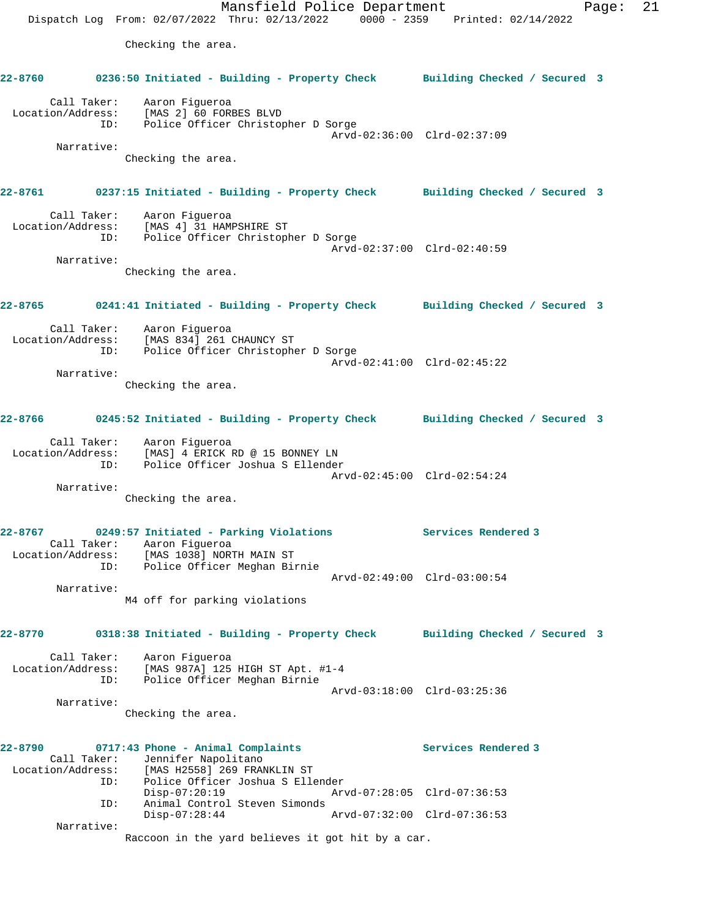Mansfield Police Department Fage: 21 Dispatch Log From: 02/07/2022 Thru: 02/13/2022 0000 - 2359 Printed: 02/14/2022 Checking the area. **22-8760 0236:50 Initiated - Building - Property Check Building Checked / Secured 3** Call Taker: Aaron Figueroa Location/Address: [MAS 2] 60 FORBES BLVD ID: Police Officer Christopher D Sorge Arvd-02:36:00 Clrd-02:37:09 Narrative: Checking the area. **22-8761 0237:15 Initiated - Building - Property Check Building Checked / Secured 3** Call Taker: Aaron Figueroa Location/Address: [MAS 4] 31 HAMPSHIRE ST ID: Police Officer Christopher D Sorge Arvd-02:37:00 Clrd-02:40:59 Narrative: Checking the area. **22-8765 0241:41 Initiated - Building - Property Check Building Checked / Secured 3** Call Taker: Aaron Figueroa Location/Address: [MAS 834] 261 CHAUNCY ST ID: Police Officer Christopher D Sorge Arvd-02:41:00 Clrd-02:45:22 Narrative: Checking the area. **22-8766 0245:52 Initiated - Building - Property Check Building Checked / Secured 3** Call Taker: Aaron Figueroa Location/Address: [MAS] 4 ERICK RD @ 15 BONNEY LN ID: Police Officer Joshua S Ellender Arvd-02:45:00 Clrd-02:54:24 Narrative: Checking the area. **22-8767 0249:57 Initiated - Parking Violations Services Rendered 3**  Call Taker: Aaron Figueroa Location/Address: [MAS 1038] NORTH MAIN ST ID: Police Officer Meghan Birnie Arvd-02:49:00 Clrd-03:00:54 Narrative: M4 off for parking violations **22-8770 0318:38 Initiated - Building - Property Check Building Checked / Secured 3** Call Taker: Aaron Figueroa Location/Address: [MAS 987A] 125 HIGH ST Apt. #1-4 ID: Police Officer Meghan Birnie Arvd-03:18:00 Clrd-03:25:36 Narrative: Checking the area. **22-8790 0717:43 Phone - Animal Complaints Services Rendered 3**  Call Taker: Jennifer Napolitano Location/Address: [MAS H2558] 269 FRANKLIN ST ID: Police Officer Joshua S Ellender Disp-07:20:19 Arvd-07:28:05 Clrd-07:36:53 ID: Animal Control Steven Simonds<br>Disp-07:28:44 Disp-07:28:44 Arvd-07:32:00 Clrd-07:36:53 Narrative: Raccoon in the yard believes it got hit by a car.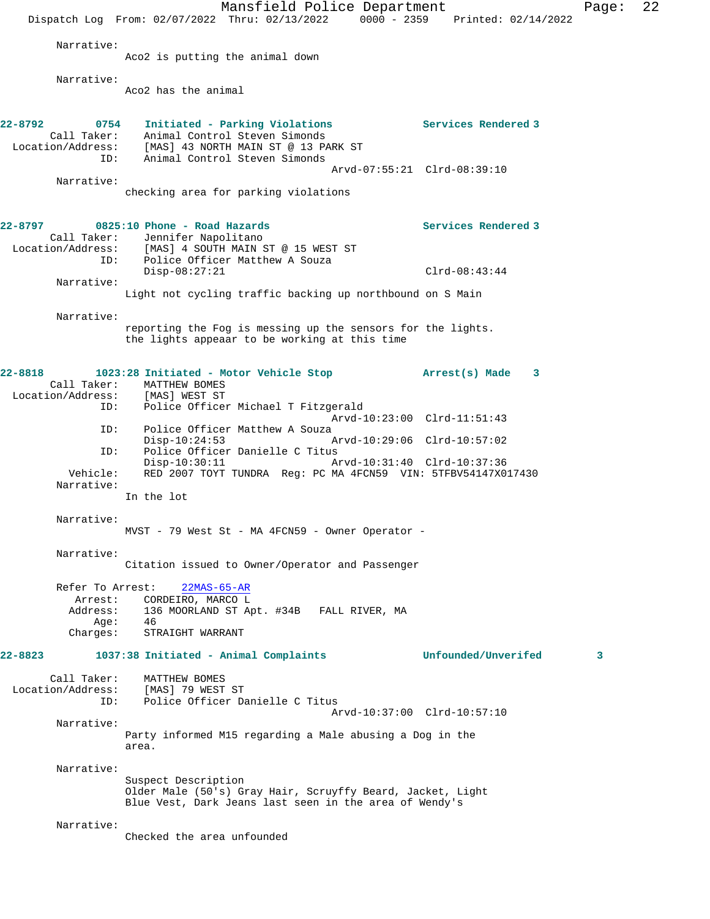Mansfield Police Department Page: 22 Dispatch Log From: 02/07/2022 Thru: 02/13/2022 0000 - 2359 Printed: 02/14/2022 Narrative: Aco2 is putting the animal down Narrative: Aco2 has the animal **22-8792 0754 Initiated - Parking Violations Services Rendered 3**  Call Taker: Animal Control Steven Simonds Location/Address: [MAS] 43 NORTH MAIN ST @ 13 PARK ST ID: Animal Control Steven Simonds Arvd-07:55:21 Clrd-08:39:10 Narrative: checking area for parking violations **22-8797 0825:10 Phone - Road Hazards Services Rendered 3**  Call Taker: Jennifer Napolitano Location/Address: [MAS] 4 SOUTH MAIN ST @ 15 WEST ST ID: Police Officer Matthew A Souza Disp-08:27:21 Clrd-08:43:44 Narrative: Light not cycling traffic backing up northbound on S Main Narrative: reporting the Fog is messing up the sensors for the lights. the lights appeaar to be working at this time **22-8818 1023:28 Initiated - Motor Vehicle Stop Arrest(s) Made 3**  Call Taker: MATTHEW BOMES<br>ion/Address: [MAS] WEST ST Location/Address: ID: Police Officer Michael T Fitzgerald Arvd-10:23:00 Clrd-11:51:43<br>ID: Police Officer Matthew A Souza Police Officer Matthew A Souza<br>Disp-10:24:53 Disp-10:24:53 Arvd-10:29:06 Clrd-10:57:02<br>TD: Police Officer Danielle C Titus Police Officer Danielle C Titus<br>Disp-10:30:11 A Disp-10:30:11 Arvd-10:31:40 Clrd-10:37:36 Vehicle: RED 2007 TOYT TUNDRA Reg: PC MA 4FCN59 VIN: 5TFBV54147X017430 Narrative: In the lot Narrative: MVST - 79 West St - MA 4FCN59 - Owner Operator - Narrative: Citation issued to Owner/Operator and Passenger Refer To Arrest: 22MAS-65-AR Arrest: CORDEIRO, MARCO L Address: 136 MOORLAND ST Apt. #34B FALL RIVER, MA Age:  $46$  Charges: STRAIGHT WARRANT **22-8823 1037:38 Initiated - Animal Complaints Unfounded/Unverifed 3** Call Taker: MATTHEW BOMES Location/Address: [MAS] 79 WEST ST ID: Police Officer Danielle C Titus Arvd-10:37:00 Clrd-10:57:10 Narrative: Party informed M15 regarding a Male abusing a Dog in the area. Narrative: Suspect Description Older Male (50's) Gray Hair, Scruyffy Beard, Jacket, Light Blue Vest, Dark Jeans last seen in the area of Wendy's Narrative: Checked the area unfounded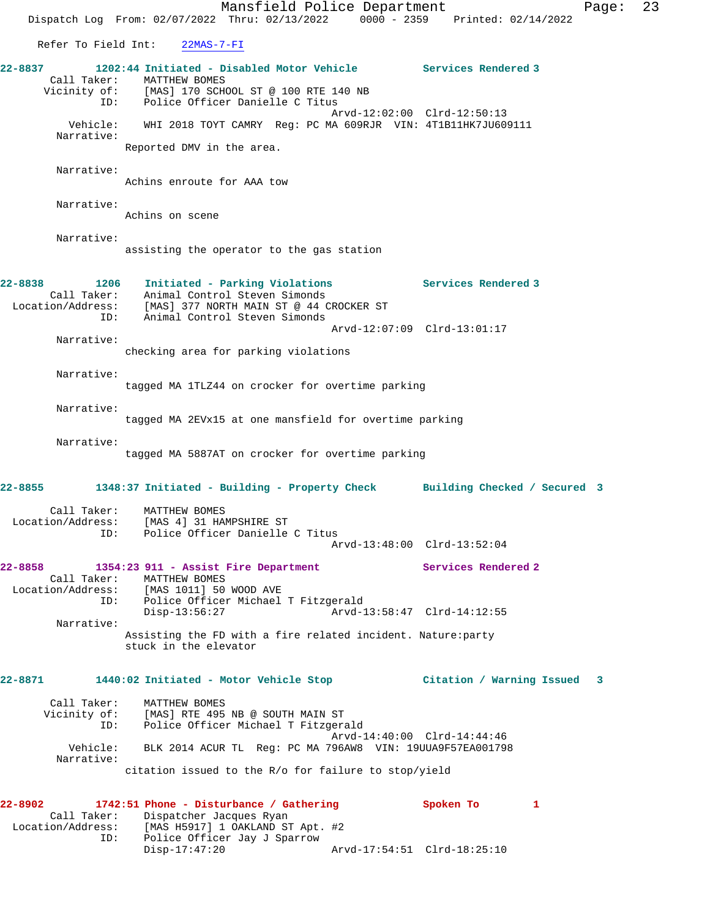Refer To Field Int: 22MAS-7-FI

**22-8837 1202:44 Initiated - Disabled Motor Vehicle Services Rendered 3**  Call Taker: MATTHEW BOMES<br>Vicinity of: [MAS] 170 SCH [MAS] 170 SCHOOL ST @ 100 RTE 140 NB ID: Police Officer Danielle C Titus Arvd-12:02:00 Clrd-12:50:13 Vehicle: WHI 2018 TOYT CAMRY Reg: PC MA 609RJR VIN: 4T1B11HK7JU609111 Narrative:

Reported DMV in the area.

Narrative:

Achins enroute for AAA tow

Narrative:

Achins on scene

 Narrative: assisting the operator to the gas station

#### **22-8838 1206 Initiated - Parking Violations Services Rendered 3**  Call Taker: Animal Control Steven Simonds Location/Address: [MAS] 377 NORTH MAIN ST @ 44 CROCKER ST

 ID: Animal Control Steven Simonds Arvd-12:07:09 Clrd-13:01:17 Narrative:

checking area for parking violations

Narrative:

tagged MA 1TLZ44 on crocker for overtime parking

Narrative:

tagged MA 2EVx15 at one mansfield for overtime parking

Narrative:

tagged MA 5887AT on crocker for overtime parking

# **22-8855 1348:37 Initiated - Building - Property Check Building Checked / Secured 3**

| Call Taker:       | MATTHEW BOMES                   |
|-------------------|---------------------------------|
| Location/Address: | [MAS 4] 31 HAMPSHIRE ST         |
| TD:               | Police Officer Danielle C Titus |
|                   | Arvd-13:48:00 Clrd-13:52:04     |

### **22-8858 1354:23 911 - Assist Fire Department Services Rendered 2**  Call Taker: MATTHEW BOMES Location/Address: [MAS 1011] 50 WOOD AVE Police Officer Michael T Fitzgerald<br>Disp-13:56:27 Arvd-1 Disp-13:56:27 Arvd-13:58:47 Clrd-14:12:55 Narrative: Assisting the FD with a fire related incident. Nature:party

stuck in the elevator

# **22-8871 1440:02 Initiated - Motor Vehicle Stop Citation / Warning Issued 3**

| Call Taker:  | MATTHEW BOMES                                             |
|--------------|-----------------------------------------------------------|
| Vicinity of: | [MAS] RTE 495 NB @ SOUTH MAIN ST                          |
| ID:          | Police Officer Michael T Fitzgerald                       |
| Vehicle:     | Arvd-14:40:00 Clrd-14:44:46                               |
| Narrative:   | BLK 2014 ACUR TL Reg: PC MA 796AW8 VIN: 19UUA9F57EA001798 |
|              | citation issued to the R/o for failure to stop/yield      |

## **22-8902 1742:51 Phone - Disturbance / Gathering Spoken To 1**  Call Taker: Dispatcher Jacques Ryan<br>Location/Address: [MAS H5917] 1 OAKLAND ST Exational MAS H5917] 1 OAKLAND ST Apt. #2<br>ID: Police Officer Jay J Sparrow Police Officer Jay J Sparrow<br>Disp-17:47:20 Disp-17:47:20 Arvd-17:54:51 Clrd-18:25:10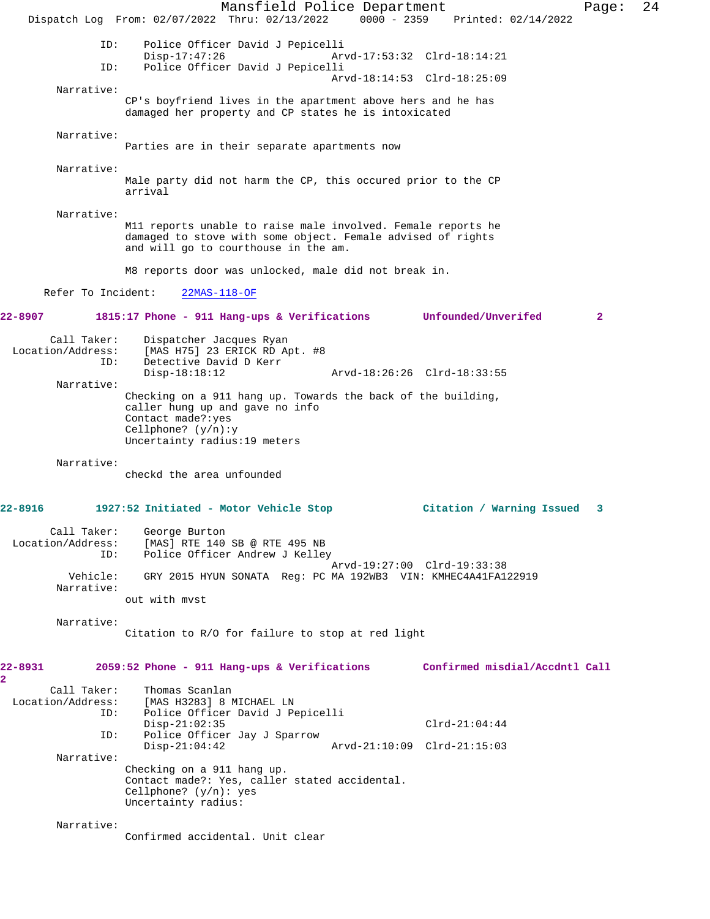Mansfield Police Department Page: 24 Dispatch Log From: 02/07/2022 Thru: 02/13/2022 0000 - 2359 Printed: 02/14/2022 ID: Police Officer David J Pepicelli Disp-17:47:26 Arvd-17:53:32 Clrd-18:14:21 ID: Police Officer David J Pepicelli Arvd-18:14:53 Clrd-18:25:09 Narrative: CP's boyfriend lives in the apartment above hers and he has damaged her property and CP states he is intoxicated Narrative: Parties are in their separate apartments now Narrative: Male party did not harm the CP, this occured prior to the CP arrival Narrative: M11 reports unable to raise male involved. Female reports he damaged to stove with some object. Female advised of rights and will go to courthouse in the am. M8 reports door was unlocked, male did not break in. Refer To Incident: 22MAS-118-OF **22-8907 1815:17 Phone - 911 Hang-ups & Verifications Unfounded/Unverifed 2** Call Taker: Dispatcher Jacques Ryan Location/Address: [MAS H75] 23 ERICK RD Apt. #8 Detective David D Kerr<br>Disp-18:18:12 Arvd-18:26:26 Clrd-18:33:55 Narrative: Checking on a 911 hang up. Towards the back of the building, caller hung up and gave no info Contact made?:yes Cellphone? (y/n):y Uncertainty radius:19 meters Narrative: checkd the area unfounded **22-8916 1927:52 Initiated - Motor Vehicle Stop Citation / Warning Issued 3** Call Taker: George Burton Location/Address: [MAS] RTE 140 SB @ RTE 495 NB ID: Police Officer Andrew J Kelley Arvd-19:27:00 Clrd-19:33:38<br>Vehicle: GRY 2015 HYUN SONATA Reg: PC MA 192WB3 VIN: KMHEC4A41FA1 Vehicle: GRY 2015 HYUN SONATA Reg: PC MA 192WB3 VIN: KMHEC4A41FA122919 Narrative: out with mvst Narrative: Citation to R/O for failure to stop at red light **22-8931 2059:52 Phone - 911 Hang-ups & Verifications Confirmed misdial/Accdntl Call** Call Taker: Thomas Scanlan<br>Location/Address: [MAS H3283] 8 1 [MAS H3283] 8 MICHAEL LN ID: Police Officer David J Pepicelli Disp-21:02:35 Clrd-21:04:44<br>ID: Police Officer Jay J Sparrow Police Officer Jay J Sparrow Disp-21:04:42 Arvd-21:10:09 Clrd-21:15:03 Narrative: Checking on a 911 hang up. Contact made?: Yes, caller stated accidental. Cellphone? (y/n): yes Uncertainty radius: Narrative: Confirmed accidental. Unit clear

**2**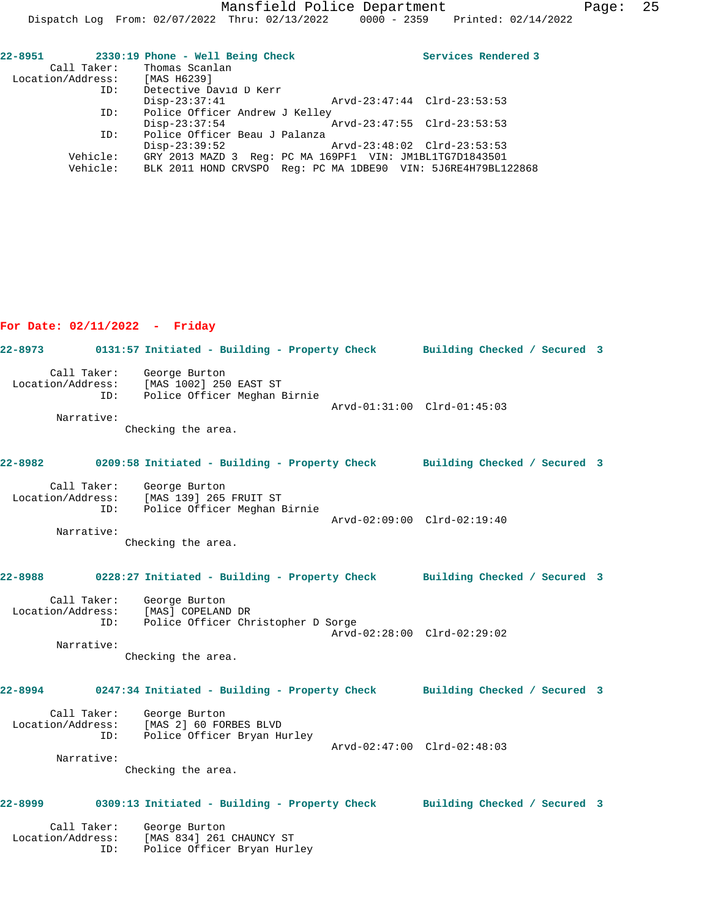| 22-8951                       | 2330:19 Phone - Well Being Check                              | Services Rendered 3 |
|-------------------------------|---------------------------------------------------------------|---------------------|
|                               | Call Taker: Thomas Scanlan                                    |                     |
| Location/Address: [MAS H6239] |                                                               |                     |
| ID:                           | Detective David D Kerr                                        |                     |
|                               | $Disp-23:37:41$<br>Arvd-23:47:44 Clrd-23:53:53                |                     |
| ID:                           | Police Officer Andrew J Kelley                                |                     |
|                               | $Disp-23:37:54$<br>Arvd-23:47:55 Clrd-23:53:53                |                     |
| ID:                           | Police Officer Beau J Palanza                                 |                     |
|                               | $Disp-23:39:52$<br>Arvd-23:48:02 Clrd-23:53:53                |                     |
| Vehicle:                      | GRY 2013 MAZD 3 Reg: PC MA 169PF1 VIN: JM1BL1TG7D1843501      |                     |
| Vehicle:                      | BLK 2011 HOND CRVSPO Req: PC MA 1DBE90 VIN: 5J6RE4H79BL122868 |                     |

## **For Date: 02/11/2022 - Friday**

**22-8973 0131:57 Initiated - Building - Property Check Building Checked / Secured 3** Call Taker: George Burton Location/Address: [MAS 1002] 250 EAST ST ID: Police Officer Meghan Birnie Arvd-01:31:00 Clrd-01:45:03 Narrative: Checking the area. **22-8982 0209:58 Initiated - Building - Property Check Building Checked / Secured 3** Call Taker: George Burton Location/Address: [MAS 139] 265 FRUIT ST ID: Police Officer Meghan Birnie Arvd-02:09:00 Clrd-02:19:40 Narrative: Checking the area. **22-8988 0228:27 Initiated - Building - Property Check Building Checked / Secured 3** Call Taker: George Burton Location/Address: [MAS] COPELAND DR ID: Police Officer Christopher D Sorge Arvd-02:28:00 Clrd-02:29:02 Narrative: Checking the area. **22-8994 0247:34 Initiated - Building - Property Check Building Checked / Secured 3** Call Taker: George Burton Location/Address: [MAS 2] 60 FORBES BLVD ID: Police Officer Bryan Hurley Arvd-02:47:00 Clrd-02:48:03 Narrative: Checking the area. **22-8999 0309:13 Initiated - Building - Property Check Building Checked / Secured 3** Call Taker: George Burton Location/Address: [MAS 834] 261 CHAUNCY ST ID: Police Officer Bryan Hurley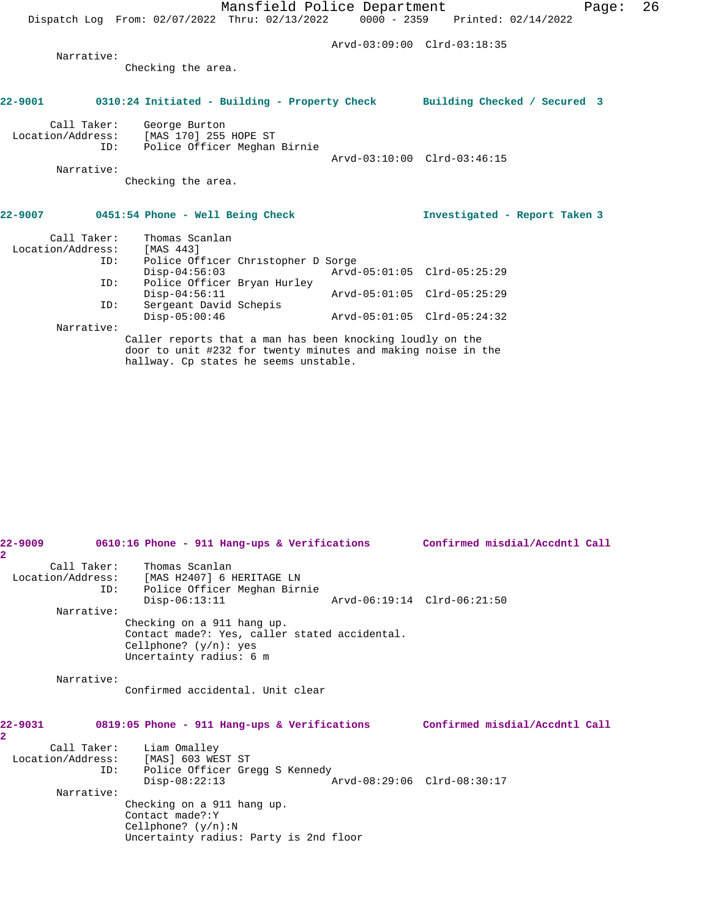Arvd-03:09:00 Clrd-03:18:35

 Narrative: Checking the area.

# **22-9001 0310:24 Initiated - Building - Property Check Building Checked / Secured 3**

| Call Taker:       | George Burton                |                             |  |
|-------------------|------------------------------|-----------------------------|--|
| Location/Address: | [MAS 170] 255 HOPE ST        |                             |  |
| ID:               | Police Officer Meghan Birnie |                             |  |
|                   |                              | Arvd-03:10:00 Clrd-03:46:15 |  |
| Narrative:        |                              |                             |  |

Checking the area.

#### **22-9007 0451:54 Phone - Well Being Check Investigated - Report Taken 3**

| Call Taker:       | Thomas Scanlan                     |                             |  |
|-------------------|------------------------------------|-----------------------------|--|
| Location/Address: | [MAS 443]                          |                             |  |
| ID:               | Police Officer Christopher D Sorge |                             |  |
|                   | $Disp-04:56:03$                    | Arvd-05:01:05 Clrd-05:25:29 |  |
| ID:               | Police Officer Bryan Hurley        |                             |  |
|                   | $Disp-04:56:11$                    | Arvd-05:01:05 Clrd-05:25:29 |  |
| ID:               | Sergeant David Schepis             |                             |  |
|                   | $Disp-05:00:46$                    | Arvd-05:01:05 Clrd-05:24:32 |  |
| Narrative:        |                                    |                             |  |

Narrative:

Caller reports that a man has been knocking loudly on the door to unit #232 for twenty minutes and making noise in the hallway. Cp states he seems unstable.

| 22-9009<br>$\mathbf{2}^-$ |     |                                                                  | 0610:16 Phone - 911 Hang-ups & Verifications                                                            |  | Confirmed misdial/Accdntl Call |  |
|---------------------------|-----|------------------------------------------------------------------|---------------------------------------------------------------------------------------------------------|--|--------------------------------|--|
| Location/Address:         | ID: | Call Taker: Thomas Scanlan<br>$Disp-06:13:11$                    | [MAS H2407] 6 HERITAGE LN<br>Police Officer Meghan Birnie                                               |  | Arvd-06:19:14 Clrd-06:21:50    |  |
| Narrative:                |     |                                                                  | Checking on a 911 hang up.<br>Contact made?: Yes, caller stated accidental.<br>Cellphone? $(y/n)$ : yes |  |                                |  |
| Narrative:                |     |                                                                  | Uncertainty radius: 6 m<br>Confirmed accidental, Unit clear                                             |  |                                |  |
| $22 - 9031$<br>2.         |     |                                                                  | 0819:05 Phone - 911 Hang-ups & Verifications                                                            |  | Confirmed misdial/Accdntl Call |  |
| Location/Address:         | ID: | Call Taker: Liam Omalley<br>[MAS] 603 WEST ST<br>$Disp-08:22:13$ | Police Officer Gregg S Kennedy                                                                          |  | Arvd-08:29:06 Clrd-08:30:17    |  |
| Narrative:                |     | Contact made?: Y<br>Cellphone? $(y/n):N$                         | Checking on a 911 hang up.<br>Uncertainty radius: Party is 2nd floor                                    |  |                                |  |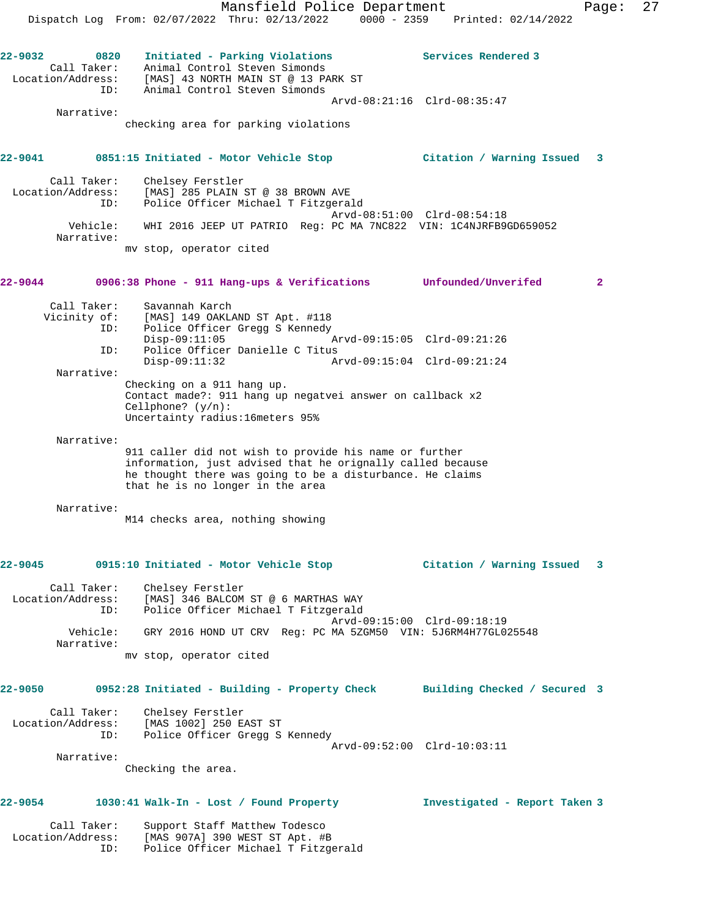Mansfield Police Department Page: 27 Dispatch Log From: 02/07/2022 Thru: 02/13/2022 0000 - 2359 Printed: 02/14/2022 **22-9032 0820 Initiated - Parking Violations Services Rendered 3**  Call Taker: Animal Control Steven Simonds Location/Address: [MAS] 43 NORTH MAIN ST @ 13 PARK ST ID: Animal Control Steven Simonds Arvd-08:21:16 Clrd-08:35:47 Narrative: checking area for parking violations **22-9041 0851:15 Initiated - Motor Vehicle Stop Citation / Warning Issued 3** Call Taker: Chelsey Ferstler Location/Address: [MAS] 285 PLAIN ST @ 38 BROWN AVE ID: Police Officer Michael T Fitzgerald Arvd-08:51:00 Clrd-08:54:18 Vehicle: WHI 2016 JEEP UT PATRIO Reg: PC MA 7NC822 VIN: 1C4NJRFB9GD659052

 ID: Police Officer Danielle C Titus Disp-09:11:32 Arvd-09:15:04 Clrd-09:21:24 Narrative: Checking on a 911 hang up. Contact made?: 911 hang up negatvei answer on callback x2 Cellphone? (y/n): Uncertainty radius:16meters 95%

Narrative:

Narrative:

Call Taker: Savannah Karch

911 caller did not wish to provide his name or further information, just advised that he orignally called because he thought there was going to be a disturbance. He claims that he is no longer in the area

**22-9044 0906:38 Phone - 911 Hang-ups & Verifications Unfounded/Unverifed 2**

ID: Police Officer Gregg S Kennedy<br>Disp-09:11:05 Mrvd-09:15:05 Clrd-09:21:26

Narrative:

M14 checks area, nothing showing

 $Disp-09:11:05$ 

mv stop, operator cited

Vicinity of: [MAS] 149 OAKLAND ST Apt. #118

#### **22-9045 0915:10 Initiated - Motor Vehicle Stop Citation / Warning Issued 3**

 Call Taker: Chelsey Ferstler Location/Address: [MAS] 346 BALCOM ST @ 6 MARTHAS WAY ID: Police Officer Michael T Fitzgerald Arvd-09:15:00 Clrd-09:18:19 Vehicle: GRY 2016 HOND UT CRV Reg: PC MA 5ZGM50 VIN: 5J6RM4H77GL025548 Narrative: mv stop, operator cited

### **22-9050 0952:28 Initiated - Building - Property Check Building Checked / Secured 3**

| Call Taker:       | Chelsev Ferstler               |
|-------------------|--------------------------------|
| Location/Address: | [MAS 1002] 250 EAST ST         |
| ID:               | Police Officer Gregg S Kennedy |
|                   | Arvd-09:52:00 Clrd-10:03:11    |

Narrative:

Checking the area.

# **22-9054 1030:41 Walk-In - Lost / Found Property Investigated - Report Taken 3**

| Call Taker:       | Support Staff Matthew Todesco       |
|-------------------|-------------------------------------|
| Location/Address: | [MAS 907A] 390 WEST ST Apt. #B      |
| TD:               | Police Officer Michael T Fitzgerald |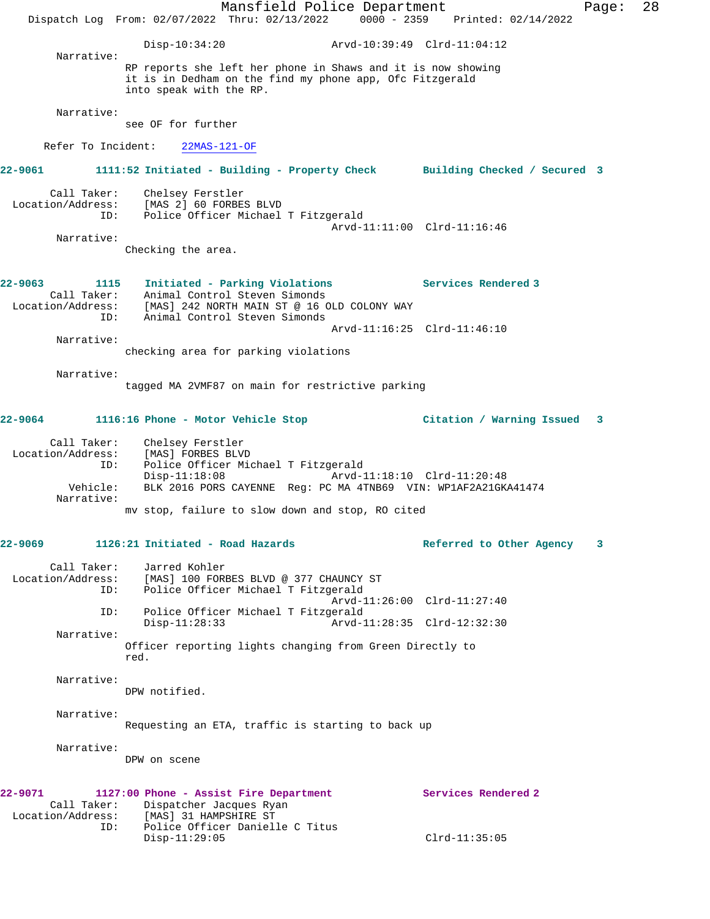Mansfield Police Department Form Page: 28 Dispatch Log From: 02/07/2022 Thru: 02/13/2022 0000 - 2359 Printed: 02/14/2022 Disp-10:34:20 Arvd-10:39:49 Clrd-11:04:12 Narrative: RP reports she left her phone in Shaws and it is now showing it is in Dedham on the find my phone app, Ofc Fitzgerald into speak with the RP. Narrative: see OF for further Refer To Incident: 22MAS-121-OF **22-9061 1111:52 Initiated - Building - Property Check Building Checked / Secured 3** Call Taker: Chelsey Ferstler Location/Address: [MAS 2] 60 FORBES BLVD ID: Police Officer Michael T Fitzgerald Arvd-11:11:00 Clrd-11:16:46 Narrative: Checking the area. **22-9063 1115 Initiated - Parking Violations Services Rendered 3**  Call Taker: Animal Control Steven Simonds<br>Location/Address: [MAS] 242 NORTH MAIN ST @ 16 O<br>ID: Animal Control Steven Simonds [MAS] 242 NORTH MAIN ST @ 16 OLD COLONY WAY Animal Control Steven Simonds Arvd-11:16:25 Clrd-11:46:10 Narrative: checking area for parking violations Narrative: tagged MA 2VMF87 on main for restrictive parking **22-9064 1116:16 Phone - Motor Vehicle Stop Citation / Warning Issued 3** Call Taker: Chelsey Ferstler<br>Location/Address: [MAS] FORBES BLV ess: [MAS] FORBES BLVD<br>ID: Police Officer Mi Police Officer Michael T Fitzgerald<br>Disp-11:18:08 Arvd-Arvd-11:18:10 Clrd-11:20:48 Vehicle: BLK 2016 PORS CAYENNE Reg: PC MA 4TNB69 VIN: WP1AF2A21GKA41474 Narrative: mv stop, failure to slow down and stop, RO cited **22-9069 1126:21 Initiated - Road Hazards Referred to Other Agency 3** Call Taker: Jarred Kohler Location/Address: [MAS] 100 FORBES BLVD @ 377 CHAUNCY ST ID: Police Officer Michael T Fitzgerald Arvd-11:26:00 Clrd-11:27:40 ID: Police Officer Michael T Fitzgerald Disp-11:28:33 Arvd-11:28:35 Clrd-12:32:30 Narrative: Officer reporting lights changing from Green Directly to red. Narrative: DPW notified. Narrative: Requesting an ETA, traffic is starting to back up Narrative: DPW on scene **22-9071 1127:00 Phone - Assist Fire Department Services Rendered 2**  Call Taker: Dispatcher Jacques Ryan Location/Address: [MAS] 31 HAMPSHIRE ST ID: Police Officer Danielle C Titus Disp-11:29:05 Clrd-11:35:05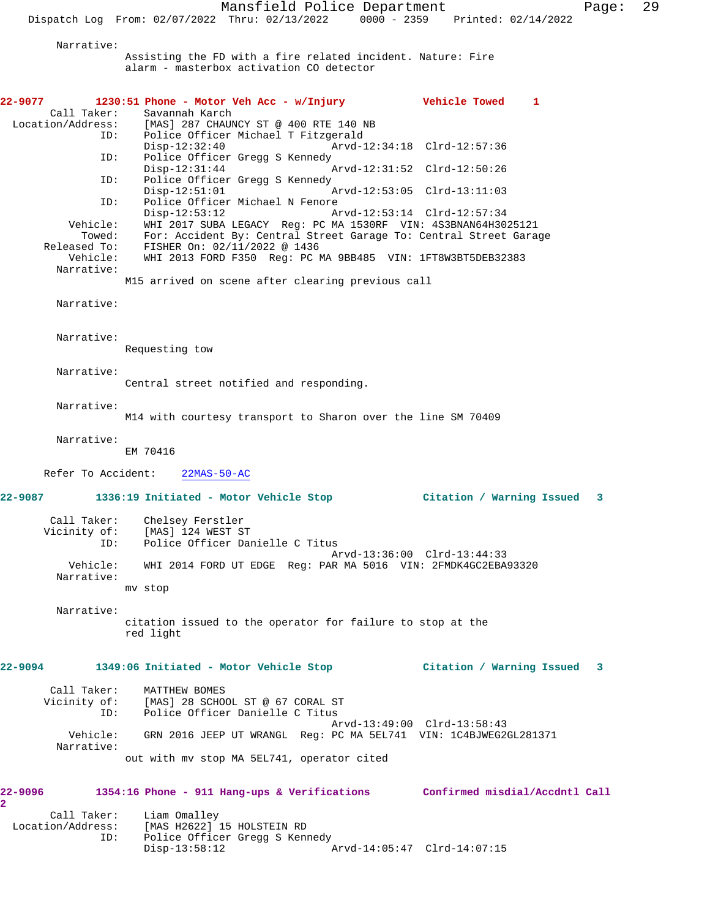Narrative:

Assisting the FD with a fire related incident. Nature: Fire alarm - masterbox activation CO detector

| 22-9077                   |                          | 1230:51 Phone - Motor Veh Acc - w/Injury                                         |                             | <b>Vehicle Towed</b>        | 1 |  |
|---------------------------|--------------------------|----------------------------------------------------------------------------------|-----------------------------|-----------------------------|---|--|
|                           | Call Taker:              | Savannah Karch<br>Location/Address: [MAS] 287 CHAUNCY ST @ 400 RTE 140 NB        |                             |                             |   |  |
|                           | ID:                      | Police Officer Michael T Fitzgerald                                              |                             |                             |   |  |
|                           |                          | $Disp-12:32:40$                                                                  | Arvd-12:34:18 Clrd-12:57:36 |                             |   |  |
|                           | ID:                      | Police Officer Gregg S Kennedy<br>$Disp-12:31:44$                                | Arvd-12:31:52 Clrd-12:50:26 |                             |   |  |
|                           | ID:                      | Police Officer Gregg S Kennedy<br>$Disp-12:51:01$                                | Arvd-12:53:05 Clrd-13:11:03 |                             |   |  |
|                           | ID:                      | Police Officer Michael N Fenore                                                  |                             |                             |   |  |
|                           | Vehicle:                 | $Disp-12:53:12$<br>WHI 2017 SUBA LEGACY Reg: PC MA 1530RF VIN: 4S3BNAN64H3025121 | Arvd-12:53:14 Clrd-12:57:34 |                             |   |  |
|                           | Towed:                   | For: Accident By: Central Street Garage To: Central Street Garage                |                             |                             |   |  |
|                           | Released To:             | FISHER On: 02/11/2022 @ 1436                                                     |                             |                             |   |  |
|                           | Vehicle:<br>Narrative:   | WHI 2013 FORD F350 Reg: PC MA 9BB485 VIN: 1FT8W3BT5DEB32383                      |                             |                             |   |  |
|                           |                          | M15 arrived on scene after clearing previous call                                |                             |                             |   |  |
|                           |                          |                                                                                  |                             |                             |   |  |
|                           | Narrative:               |                                                                                  |                             |                             |   |  |
|                           |                          |                                                                                  |                             |                             |   |  |
|                           | Narrative:               |                                                                                  |                             |                             |   |  |
|                           |                          | Requesting tow                                                                   |                             |                             |   |  |
|                           | Narrative:               |                                                                                  |                             |                             |   |  |
|                           |                          | Central street notified and responding.                                          |                             |                             |   |  |
|                           | Narrative:               |                                                                                  |                             |                             |   |  |
|                           |                          | M14 with courtesy transport to Sharon over the line SM 70409                     |                             |                             |   |  |
|                           | Narrative:               |                                                                                  |                             |                             |   |  |
|                           |                          | EM 70416                                                                         |                             |                             |   |  |
|                           | Refer To Accident:       | $22MAS-50-AC$                                                                    |                             |                             |   |  |
|                           |                          |                                                                                  |                             |                             |   |  |
|                           |                          | 22-9087 1336:19 Initiated - Motor Vehicle Stop 6 (itation / Warning Issued 3     |                             |                             |   |  |
|                           | Call Taker:              | Chelsey Ferstler                                                                 |                             |                             |   |  |
|                           | Vicinity of:             | [MAS] 124 WEST ST                                                                |                             |                             |   |  |
|                           | ID:                      | Police Officer Danielle C Titus                                                  | Arvd-13:36:00 Clrd-13:44:33 |                             |   |  |
|                           | Vehicle:                 | WHI 2014 FORD UT EDGE Req: PAR MA 5016 VIN: 2FMDK4GC2EBA93320                    |                             |                             |   |  |
|                           | Narrative:               |                                                                                  |                             |                             |   |  |
|                           |                          | mv stop                                                                          |                             |                             |   |  |
|                           | Narrative:               |                                                                                  |                             |                             |   |  |
|                           |                          | citation issued to the operator for failure to stop at the                       |                             |                             |   |  |
|                           |                          | red light                                                                        |                             |                             |   |  |
|                           |                          |                                                                                  |                             |                             |   |  |
| 22-9094                   |                          | 1349:06 Initiated - Motor Vehicle Stop                                           |                             | Citation / Warning Issued 3 |   |  |
|                           | Call Taker:              | MATTHEW BOMES                                                                    |                             |                             |   |  |
|                           |                          | Vicinity of: [MAS] 28 SCHOOL ST @ 67 CORAL ST                                    |                             |                             |   |  |
|                           | ID:                      | Police Officer Danielle C Titus                                                  | Arvd-13:49:00 Clrd-13:58:43 |                             |   |  |
|                           | Vehicle:                 | GRN 2016 JEEP UT WRANGL Req: PC MA 5EL741 VIN: 1C4BJWEG2GL281371                 |                             |                             |   |  |
|                           | Narrative:               |                                                                                  |                             |                             |   |  |
|                           |                          | out with my stop MA 5EL741, operator cited                                       |                             |                             |   |  |
|                           |                          |                                                                                  |                             |                             |   |  |
| 22–9096<br>$\mathbf{2}^-$ |                          | 1354:16 Phone - 911 Hang-ups & Verifications Confirmed misdial/Accdntl Call      |                             |                             |   |  |
|                           | Call Taker:              | Liam Omalley                                                                     |                             |                             |   |  |
|                           | Location/Address:<br>ID: | [MAS H2622] 15 HOLSTEIN RD<br>Police Officer Gregg S Kennedy                     |                             |                             |   |  |
|                           |                          | $Disp-13:58:12$                                                                  | Arvd-14:05:47 Clrd-14:07:15 |                             |   |  |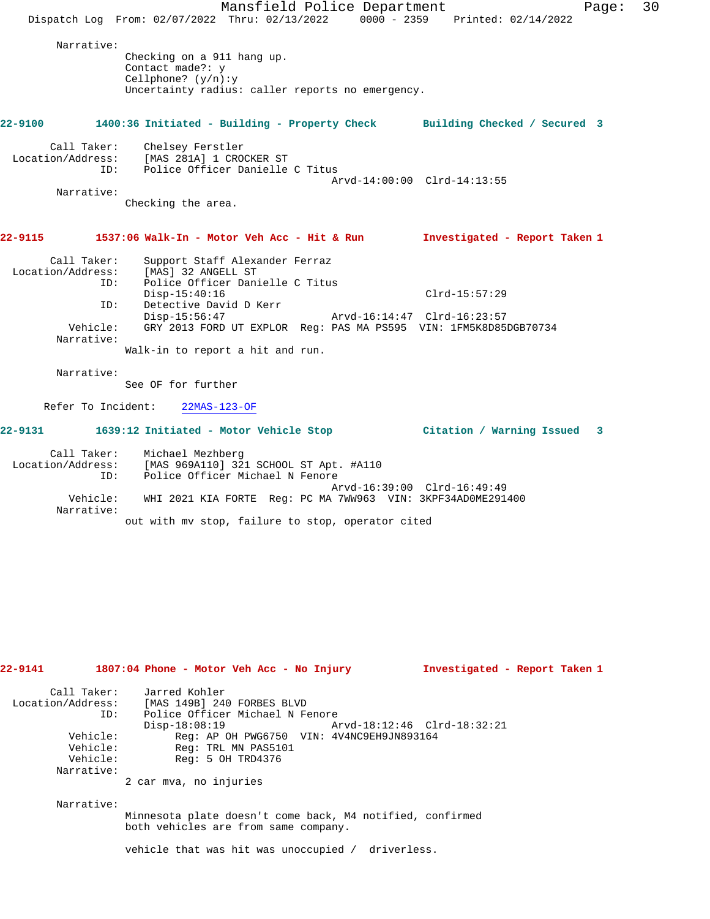Mansfield Police Department Fage: 30 Dispatch Log From: 02/07/2022 Thru: 02/13/2022 0000 - 2359 Printed: 02/14/2022 Narrative: Checking on a 911 hang up. Contact made?: y Cellphone? (y/n):y Uncertainty radius: caller reports no emergency. **22-9100 1400:36 Initiated - Building - Property Check Building Checked / Secured 3** Call Taker: Chelsey Ferstler Location/Address: [MAS 281A] 1 CROCKER ST ID: Police Officer Danielle C Titus Arvd-14:00:00 Clrd-14:13:55 Narrative: Checking the area. **22-9115 1537:06 Walk-In - Motor Veh Acc - Hit & Run Investigated - Report Taken 1** Call Taker: Support Staff Alexander Ferraz Location/Address: [MAS] 32 ANGELL ST ID: Police Officer Danielle C Titus Disp-15:40:16 Clrd-15:57:29 ID: Detective David D Kerr Disp-15:56:47 Arvd-16:14:47 Clrd-16:23:57 Vehicle: GRY 2013 FORD UT EXPLOR Reg: PAS MA PS595 VIN: 1FM5K8D85DGB70734 Narrative: Walk-in to report a hit and run. Narrative: See OF for further Refer To Incident: 22MAS-123-OF **22-9131 1639:12 Initiated - Motor Vehicle Stop Citation / Warning Issued 3** Call Taker: Michael Mezhberg<br>Location/Address: [MAS 969A110] 32 [MAS 969A110] 321 SCHOOL ST Apt. #A110 Cess: المحمد المحمد المحمد المحمد المحمد المحمد المحمد المحمد المحمد المحمد المحمد المحمد المحمد ال<br>محمد المحمد المحمد المحمد المحمد المحمد المحمد المحمد المحمد المحمد المحمد المحمد المحمد المحمد المحمد المحمد<br>محمد المحمد Arvd-16:39:00 Clrd-16:49:49 Vehicle: WHI 2021 KIA FORTE Reg: PC MA 7WW963 VIN: 3KPF34AD0ME291400 Narrative: out with mv stop, failure to stop, operator cited **22-9141 1807:04 Phone - Motor Veh Acc - No Injury Investigated - Report Taken 1**

| Call Taker:       | Jarred Kohler                             |                             |
|-------------------|-------------------------------------------|-----------------------------|
| Location/Address: | [MAS 149B] 240 FORBES BLVD                |                             |
| ID:               | Police Officer Michael N Fenore           |                             |
|                   | $Disp-18:08:19$                           | Arvd-18:12:46 Clrd-18:32:21 |
| Vehicle:          | Req: AP OH PWG6750 VIN: 4V4NC9EH9JN893164 |                             |
| Vehicle:          | Req: TRL MN PAS5101                       |                             |
| Vehicle:          | Reg: 5 OH TRD4376                         |                             |
| Narrative:        |                                           |                             |
|                   | 2 car mva, no injuries                    |                             |

Narrative:

Minnesota plate doesn't come back, M4 notified, confirmed both vehicles are from same company.

vehicle that was hit was unoccupied / driverless.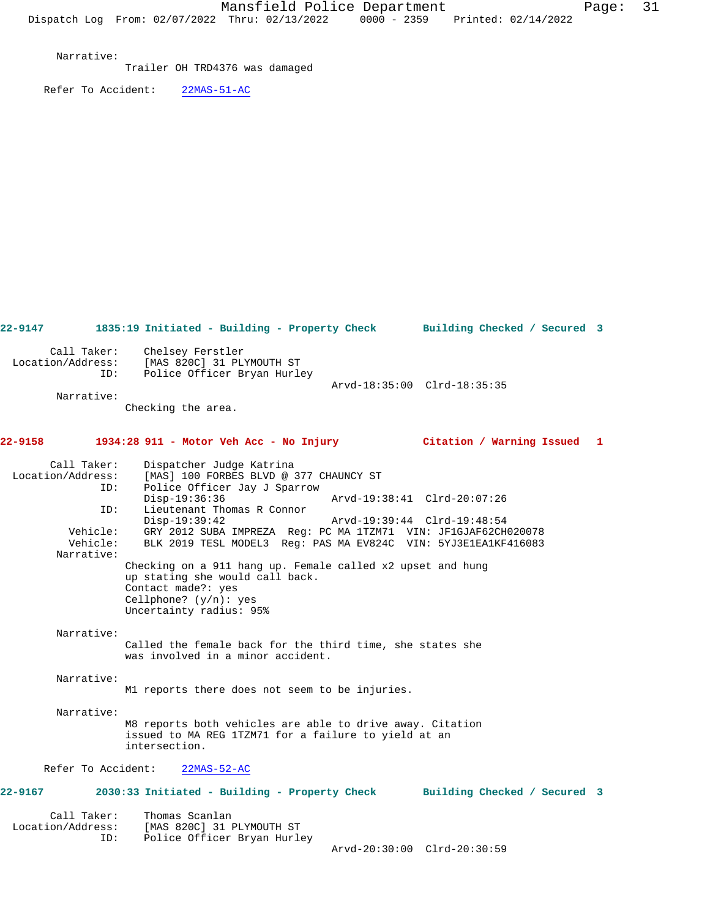Narrative:

Trailer OH TRD4376 was damaged

Refer To Accident: 22MAS-51-AC

**22-9147 1835:19 Initiated - Building - Property Check Building Checked / Secured 3** Call Taker: Chelsey Ferstler Location/Address: [MAS 820C] 31 PLYMOUTH ST ID: Police Officer Bryan Hurley Arvd-18:35:00 Clrd-18:35:35 Narrative: Checking the area. **22-9158 1934:28 911 - Motor Veh Acc - No Injury Citation / Warning Issued 1** Call Taker: Dispatcher Judge Katrina Location/Address: [MAS] 100 FORBES BLVD @ 377 CHAUNCY ST ID: Police Officer Jay J Sparrow Disp-19:36:36 Arvd-19:38:41 Clrd-20:07:26 ID: Lieutenant Thomas R Connor Disp-19:39:42 Arvd-19:39:44 Clrd-19:48:54<br>Vehicle: GRY 2012 SUBA IMPREZA Reg: PC MA 1TZM71 VIN: JF1GJAF62CH Vehicle: GRY 2012 SUBA IMPREZA Reg: PC MA 1TZM71 VIN: JF1GJAF62CH020078 Vehicle: BLK 2019 TESL MODEL3 Reg: PAS MA EV824C VIN: 5YJ3E1EA1KF416083 Narrative: Checking on a 911 hang up. Female called x2 upset and hung up stating she would call back. Contact made?: yes Cellphone? (y/n): yes Uncertainty radius: 95% Narrative: Called the female back for the third time, she states she was involved in a minor accident. Narrative: M1 reports there does not seem to be injuries. Narrative: M8 reports both vehicles are able to drive away. Citation issued to MA REG 1TZM71 for a failure to yield at an intersection. Refer To Accident: 22MAS-52-AC **22-9167 2030:33 Initiated - Building - Property Check Building Checked / Secured 3** Call Taker: Thomas Scanlan<br>Location/Address: [MAS 820C] 31 E Location/Address: [MAS 820C] 31 PLYMOUTH ST ID: Police Officer Bryan Hurley Arvd-20:30:00 Clrd-20:30:59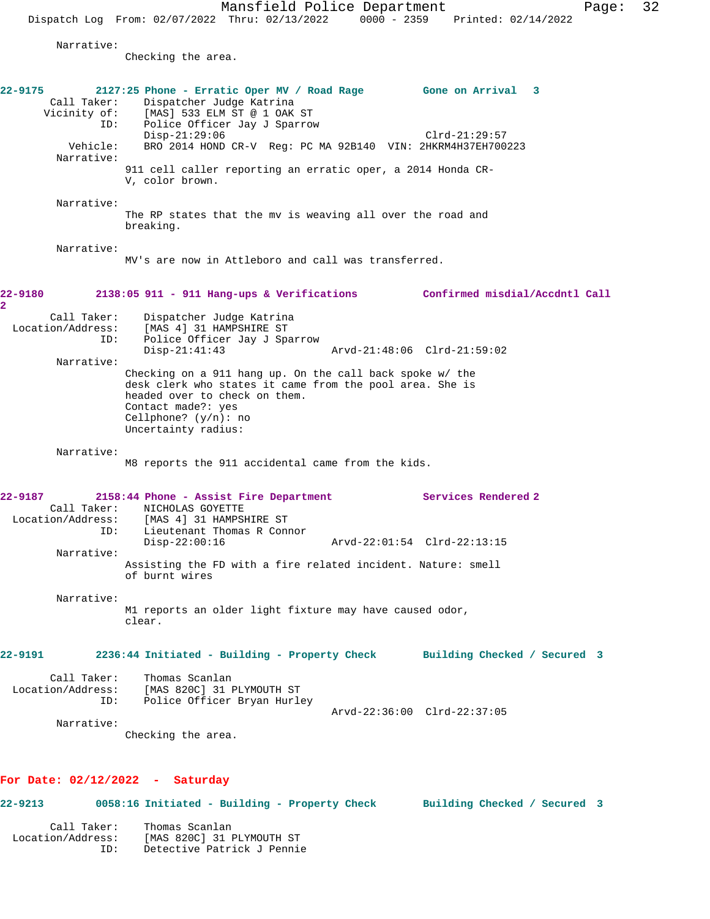Mansfield Police Department Page: 32 Dispatch Log From: 02/07/2022 Thru: 02/13/2022 0000 - 2359 Printed: 02/14/2022 Narrative: Checking the area. **22-9175 2127:25 Phone - Erratic Oper MV / Road Rage Gone on Arrival 3**  Call Taker: Dispatcher Judge Katrina Vicinity of: [MAS] 533 ELM ST @ 1 OAK ST ID: Police Officer Jay J Sparrow Disp-21:29:06 Clrd-21:29:57 Vehicle: BRO 2014 HOND CR-V Reg: PC MA 92B140 VIN: 2HKRM4H37EH700223 Narrative: 911 cell caller reporting an erratic oper, a 2014 Honda CR-V, color brown. Narrative: The RP states that the mv is weaving all over the road and breaking. Narrative: MV's are now in Attleboro and call was transferred. **22-9180 2138:05 911 - 911 Hang-ups & Verifications Confirmed misdial/Accdntl Call 2**  Call Taker: Dispatcher Judge Katrina Location/Address: [MAS 4] 31 HAMPSHIRE ST ID: Police Officer Jay J Sparrow Disp-21:41:43 Arvd-21:48:06 Clrd-21:59:02 Narrative: Checking on a 911 hang up. On the call back spoke w/ the desk clerk who states it came from the pool area. She is headed over to check on them. Contact made?: yes Cellphone? (y/n): no Uncertainty radius: Narrative: M8 reports the 911 accidental came from the kids. **22-9187 2158:44 Phone - Assist Fire Department Services Rendered 2**  Call Taker: NICHOLAS GOYETTE Location/Address: [MAS 4] 31 HAMPSHIRE ST ID: Lieutenant Thomas R Connor<br>Disp-22:00:16 Disp-22:00:16 Arvd-22:01:54 Clrd-22:13:15 Narrative: Assisting the FD with a fire related incident. Nature: smell of burnt wires Narrative: M1 reports an older light fixture may have caused odor, clear. **22-9191 2236:44 Initiated - Building - Property Check Building Checked / Secured 3** Call Taker: Thomas Scanlan Location/Address: [MAS 820C] 31 PLYMOUTH ST ID: Police Officer Bryan Hurley Arvd-22:36:00 Clrd-22:37:05 Narrative: Checking the area. **For Date: 02/12/2022 - Saturday 22-9213 0058:16 Initiated - Building - Property Check Building Checked / Secured 3**

Call Taker: Thomas Scanlan<br>Location/Address: [MAS 820C] 31 1 [MAS 820C] 31 PLYMOUTH ST ID: Detective Patrick J Pennie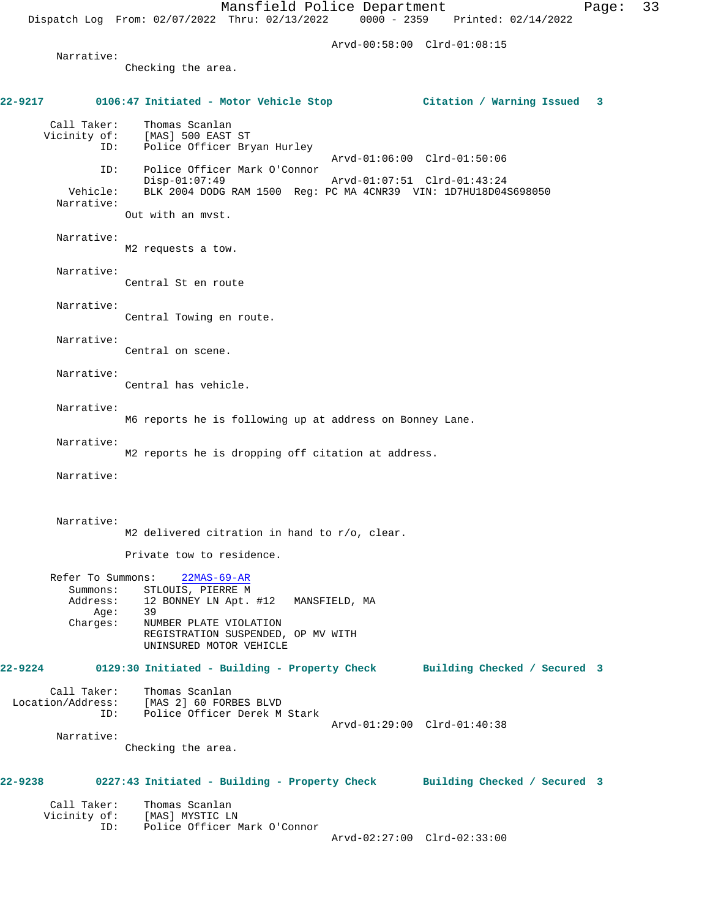Dispatch Log From: 02/07/2022 Thru: 02/13/2022 0000 - 2359 Printed: 02/14/2022

Arvd-00:58:00 Clrd-01:08:15

Narrative:

Checking the area.

**22-9217 0106:47 Initiated - Motor Vehicle Stop Citation / Warning Issued 3** Call Taker: Thomas Scanlan<br>Vicinity of: [MAS] 500 EAST of: [MAS] 500 EAST ST<br>ID: Police Officer Bry Police Officer Bryan Hurley Arvd-01:06:00 Clrd-01:50:06 ID: Police Officer Mark O'Connor Disp-01:07:49 Arvd-01:07:51 Clrd-01:43:24 Vehicle: BLK 2004 DODG RAM 1500 Reg: PC MA 4CNR39 VIN: 1D7HU18D04S698050 Narrative: Out with an mvst. Narrative: M2 requests a tow. Narrative: Central St en route Narrative: Central Towing en route. Narrative: Central on scene. Narrative: Central has vehicle. Narrative: M6 reports he is following up at address on Bonney Lane. Narrative: M2 reports he is dropping off citation at address. Narrative: Narrative: M2 delivered citration in hand to r/o, clear. Private tow to residence. Refer To Summons: 22MAS-69-AR Summons: STLOUIS, PIERRE M<br>Address: 12 BONNEY LN Apt. 12 BONNEY LN Apt. #12 MANSFIELD, MA<br>39 Age:<br>:Charges NUMBER PLATE VIOLATION REGISTRATION SUSPENDED, OP MV WITH UNINSURED MOTOR VEHICLE **22-9224 0129:30 Initiated - Building - Property Check Building Checked / Secured 3** Call Taker: Thomas Scanlan Location/Address: [MAS 2] 60 FORBES BLVD ID: Police Officer Derek M Stark Arvd-01:29:00 Clrd-01:40:38 Narrative: Checking the area. **22-9238 0227:43 Initiated - Building - Property Check Building Checked / Secured 3** Call Taker: Thomas Scanlan Vicinity of: [MAS] MYSTIC LN<br>ID: Police Officer 1 Police Officer Mark O'Connor Arvd-02:27:00 Clrd-02:33:00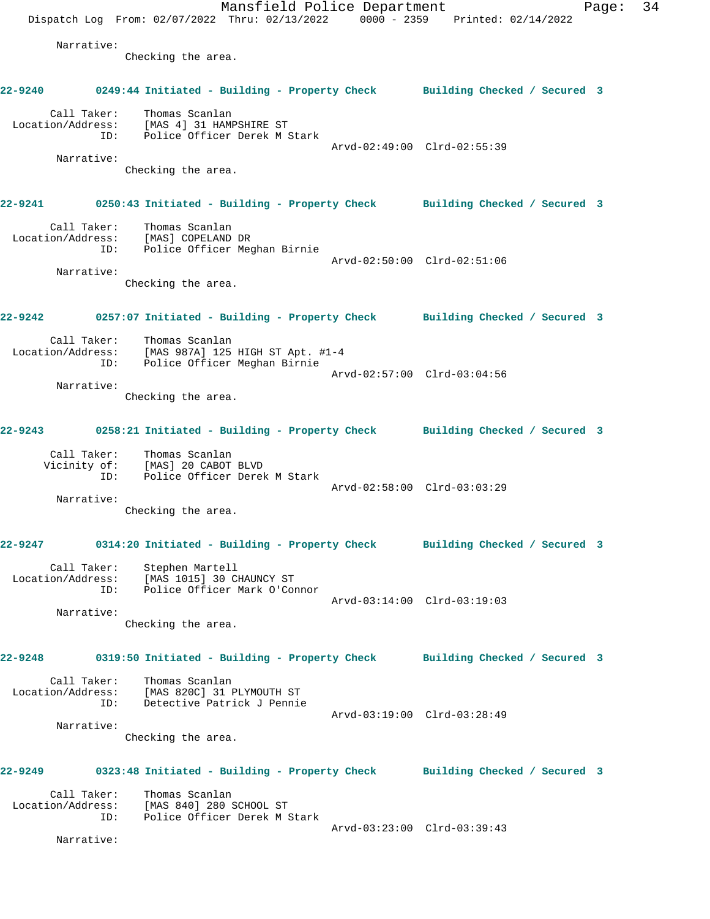Mansfield Police Department Fage: 34 Dispatch Log From: 02/07/2022 Thru: 02/13/2022 0000 - 2359 Printed: 02/14/2022 Narrative: Checking the area. **22-9240 0249:44 Initiated - Building - Property Check Building Checked / Secured 3** Call Taker: Thomas Scanlan Location/Address: [MAS 4] 31 HAMPSHIRE ST Police Officer Derek M Stark Arvd-02:49:00 Clrd-02:55:39 Narrative: Checking the area. **22-9241 0250:43 Initiated - Building - Property Check Building Checked / Secured 3** Call Taker: Thomas Scanlan Location/Address: [MAS] COPELAND DR ID: Police Officer Meghan Birnie Arvd-02:50:00 Clrd-02:51:06 Narrative: Checking the area. **22-9242 0257:07 Initiated - Building - Property Check Building Checked / Secured 3** Call Taker: Thomas Scanlan Location/Address: [MAS 987A] 125 HIGH ST Apt. #1-4 ID: Police Officer Meghan Birnie Arvd-02:57:00 Clrd-03:04:56 Narrative: Checking the area. **22-9243 0258:21 Initiated - Building - Property Check Building Checked / Secured 3** Call Taker: Thomas Scanlan Vicinity of: [MAS] 20 CABOT BLVD ID: Police Officer Derek M Stark Arvd-02:58:00 Clrd-03:03:29 Narrative: Checking the area. **22-9247 0314:20 Initiated - Building - Property Check Building Checked / Secured 3** Call Taker: Stephen Martell Location/Address: [MAS 1015] 30 CHAUNCY ST ID: Police Officer Mark O'Connor Arvd-03:14:00 Clrd-03:19:03 Narrative: Checking the area. **22-9248 0319:50 Initiated - Building - Property Check Building Checked / Secured 3** Call Taker: Thomas Scanlan Location/Address: [MAS 820C] 31 PLYMOUTH ST ID: Detective Patrick J Pennie Arvd-03:19:00 Clrd-03:28:49 Narrative: Checking the area. **22-9249 0323:48 Initiated - Building - Property Check Building Checked / Secured 3** Call Taker: Thomas Scanlan Location/Address: [MAS 840] 280 SCHOOL ST ID: Police Officer Derek M Stark Arvd-03:23:00 Clrd-03:39:43 Narrative: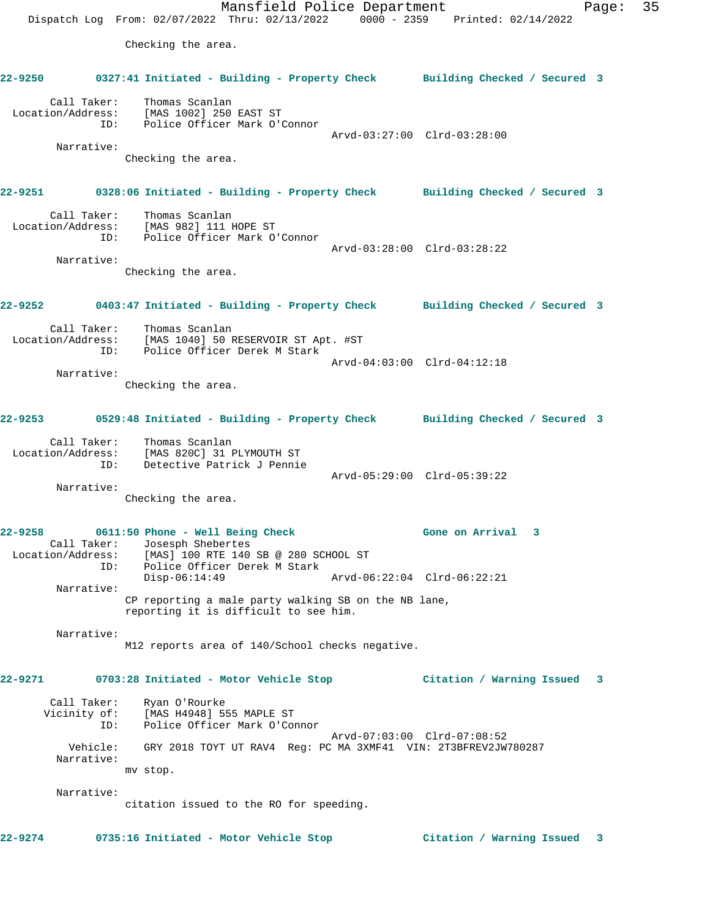Mansfield Police Department Fage: 35 Dispatch Log From: 02/07/2022 Thru: 02/13/2022 0000 - 2359 Printed: 02/14/2022 Checking the area. **22-9250 0327:41 Initiated - Building - Property Check Building Checked / Secured 3** Call Taker: Thomas Scanlan Location/Address: [MAS 1002] 250 EAST ST ID: Police Officer Mark O'Connor Arvd-03:27:00 Clrd-03:28:00 Narrative: Checking the area. **22-9251 0328:06 Initiated - Building - Property Check Building Checked / Secured 3** Call Taker: Thomas Scanlan Location/Address: [MAS 982] 111 HOPE ST ID: Police Officer Mark O'Connor Arvd-03:28:00 Clrd-03:28:22 Narrative: Checking the area. **22-9252 0403:47 Initiated - Building - Property Check Building Checked / Secured 3** Call Taker: Thomas Scanlan Location/Address: [MAS 1040] 50 RESERVOIR ST Apt. #ST ID: Police Officer Derek M Stark Arvd-04:03:00 Clrd-04:12:18 Narrative: Checking the area. **22-9253 0529:48 Initiated - Building - Property Check Building Checked / Secured 3** Call Taker: Thomas Scanlan Location/Address: [MAS 820C] 31 PLYMOUTH ST ID: Detective Patrick J Pennie Arvd-05:29:00 Clrd-05:39:22 Narrative: Checking the area. **22-9258 0611:50 Phone - Well Being Check Gone on Arrival 3**  Call Taker: Josesph Shebertes Location/Address: [MAS] 100 RTE 140 SB @ 280 SCHOOL ST ID: Police Officer Derek M Stark Disp-06:14:49 Arvd-06:22:04 Clrd-06:22:21 Narrative: CP reporting a male party walking SB on the NB lane, reporting it is difficult to see him. Narrative: M12 reports area of 140/School checks negative. **22-9271 0703:28 Initiated - Motor Vehicle Stop Citation / Warning Issued 3** Call Taker: Ryan O'Rourke Vicinity of: [MAS H4948] 555 MAPLE ST ID: Police Officer Mark O'Connor Arvd-07:03:00 Clrd-07:08:52 Vehicle: GRY 2018 TOYT UT RAV4 Reg: PC MA 3XMF41 VIN: 2T3BFREV2JW780287 Narrative: mv stop. Narrative: citation issued to the RO for speeding.

**22-9274 0735:16 Initiated - Motor Vehicle Stop Citation / Warning Issued 3**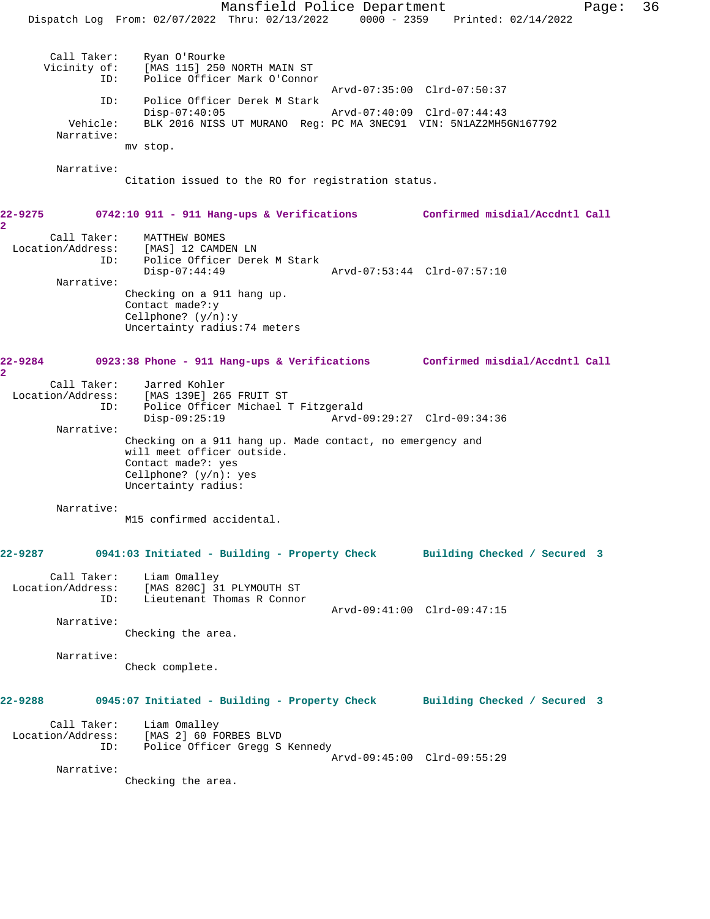Mansfield Police Department Page: 36 Dispatch Log From: 02/07/2022 Thru: 02/13/2022 0000 - 2359 Printed: 02/14/2022 Call Taker: Ryan O'Rourke<br>Vicinity of: [MAS 115] 250 vicing of: [MAS 115] 250 NORTH MAIN ST<br>ID: Police Officer Mark O'Connoi Police Officer Mark O'Connor Arvd-07:35:00 Clrd-07:50:37 ID: Police Officer Derek M Stark Disp-07:40:05 Arvd-07:40:09 Clrd-07:44:43 Vehicle: BLK 2016 NISS UT MURANO Reg: PC MA 3NEC91 VIN: 5N1AZ2MH5GN167792 Narrative: mv stop. Narrative: Citation issued to the RO for registration status. **22-9275 0742:10 911 - 911 Hang-ups & Verifications Confirmed misdial/Accdntl Call 2**  Call Taker: MATTHEW BOMES Location/Address: [MAS] 12 CAMDEN LN ID: Police Officer Derek M Stark Disp-07:44:49 Arvd-07:53:44 Clrd-07:57:10 Narrative: Checking on a 911 hang up. Contact made?:y Cellphone? (y/n):y Uncertainty radius:74 meters **22-9284 0923:38 Phone - 911 Hang-ups & Verifications Confirmed misdial/Accdntl Call 2**  Call Taker: Jarred Kohler Location/Address: [MAS 139E] 265 FRUIT ST ID: Police Officer Michael T Fitzgerald Disp-09:25:19 Arvd-09:29:27 Clrd-09:34:36 Narrative: Checking on a 911 hang up. Made contact, no emergency and will meet officer outside. Contact made?: yes Cellphone? (y/n): yes Uncertainty radius: Narrative: M15 confirmed accidental. **22-9287 0941:03 Initiated - Building - Property Check Building Checked / Secured 3** Call Taker: Liam Omalley Location/Address: [MAS 820C] 31 PLYMOUTH ST ID: Lieutenant Thomas R Connor Arvd-09:41:00 Clrd-09:47:15 Narrative: Checking the area. Narrative: Check complete. **22-9288 0945:07 Initiated - Building - Property Check Building Checked / Secured 3** Call Taker: Liam Omalley Location/Address: [MAS 2] 60 FORBES BLVD<br>ID: Police Officer Gregg S Police Officer Gregg S Kennedy Arvd-09:45:00 Clrd-09:55:29 Narrative: Checking the area.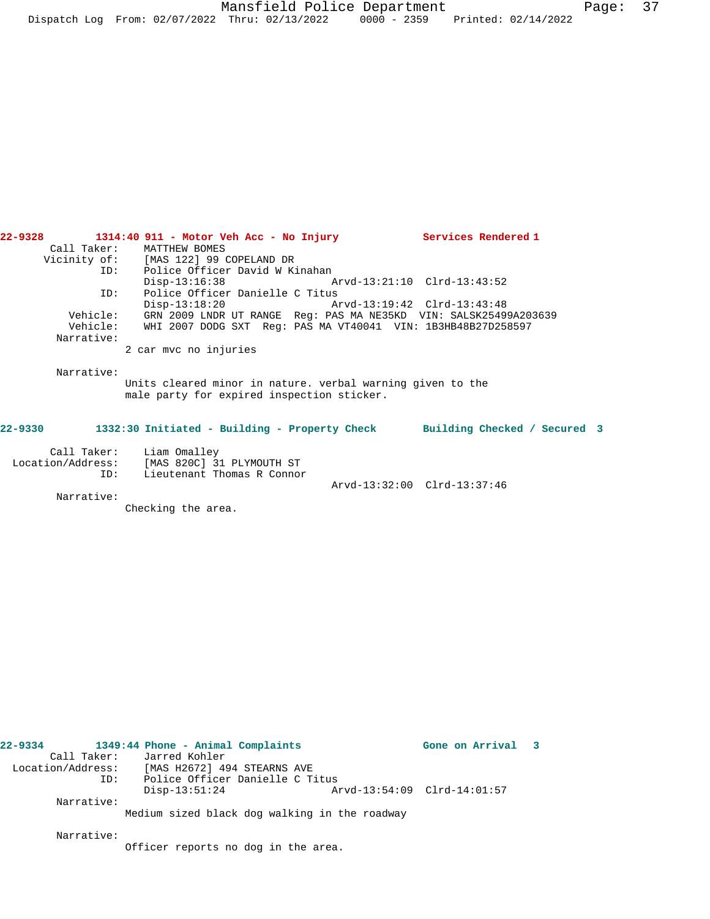| Building Checked / Secured 3 |
|------------------------------|
|                              |
|                              |
|                              |

Arvd-13:32:00 Clrd-13:37:46

**22-9328 1314:40 911 - Motor Veh Acc - No Injury Services Rendered 1** 

| ------------      | ==============             |  |  |  |
|-------------------|----------------------------|--|--|--|
| Location/Address: | [MAS 820C] 31 PLYMOUTH ST  |  |  |  |
| TD:               | Lieutenant Thomas R Connor |  |  |  |

Call Taker: MATTHEW BOMES

Narrative:

Checking the area.

| 22–9334 |                   | 1349:44 Phone - Animal Complaints             |                             | Gone on Arrival 3 |  |
|---------|-------------------|-----------------------------------------------|-----------------------------|-------------------|--|
|         |                   | Call Taker: Jarred Kohler                     |                             |                   |  |
|         | Location/Address: | [MAS H2672] 494 STEARNS AVE                   |                             |                   |  |
|         | ID:               | Police Officer Danielle C Titus               |                             |                   |  |
|         |                   | $Disp-13:51:24$                               | Arvd-13:54:09 Clrd-14:01:57 |                   |  |
|         | Narrative:        |                                               |                             |                   |  |
|         |                   | Medium sized black dog walking in the roadway |                             |                   |  |
|         | Narrative:        |                                               |                             |                   |  |
|         |                   | Officer reports no dog in the area.           |                             |                   |  |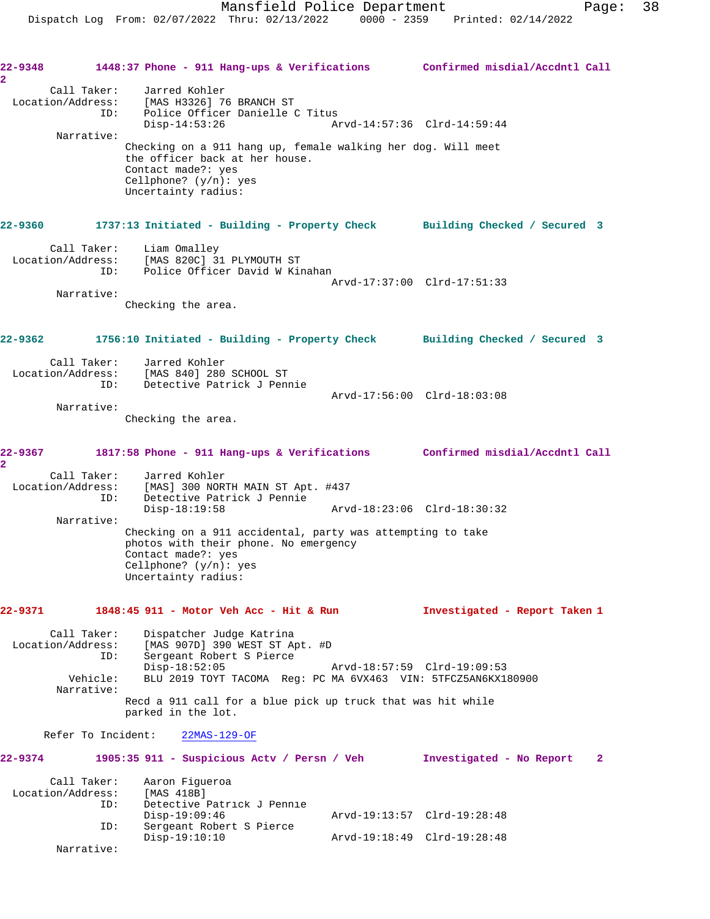Dispatch Log From: 02/07/2022 Thru: 02/13/2022 0000 - 2359 Printed: 02/14/2022

**22-9348 1448:37 Phone - 911 Hang-ups & Verifications Confirmed misdial/Accdntl Call 2**  Call Taker: Jarred Kohler Location/Address: [MAS H3326] 76 BRANCH ST ID: Police Officer Danielle C Titus Disp-14:53:26 Arvd-14:57:36 Clrd-14:59:44 Narrative: Checking on a 911 hang up, female walking her dog. Will meet the officer back at her house. Contact made?: yes Cellphone? (y/n): yes Uncertainty radius: **22-9360 1737:13 Initiated - Building - Property Check Building Checked / Secured 3** Call Taker: Liam Omalley Location/Address: [MAS 820C] 31 PLYMOUTH ST ID: Police Officer David W Kinahan Arvd-17:37:00 Clrd-17:51:33 Narrative: Checking the area. **22-9362 1756:10 Initiated - Building - Property Check Building Checked / Secured 3** Call Taker: Jarred Kohler Location/Address: [MAS 840] 280 SCHOOL ST ID: Detective Patrick J Pennie Arvd-17:56:00 Clrd-18:03:08 Narrative: Checking the area. **22-9367 1817:58 Phone - 911 Hang-ups & Verifications Confirmed misdial/Accdntl Call 2**  Call Taker: Jarred Kohler Location/Address: [MAS] 300 NORTH MAIN ST Apt. #437 ID: Detective Patrick J Pennie Disp-18:19:58 Arvd-18:23:06 Clrd-18:30:32 Narrative: Checking on a 911 accidental, party was attempting to take photos with their phone. No emergency Contact made?: yes Cellphone? (y/n): yes Uncertainty radius: **22-9371 1848:45 911 - Motor Veh Acc - Hit & Run Investigated - Report Taken 1** Call Taker: Dispatcher Judge Katrina<br>Location/Address: [MAS 907D] 390 WEST ST A ess: [MAS 907D] 390 WEST ST Apt. #D<br>ID: Sergeant Robert S Pierce Sergeant Robert S Pierce<br>Disp-18:52:05 Disp-18:52:05 Arvd-18:57:59 Clrd-19:09:53 Vehicle: BLU 2019 TOYT TACOMA Reg: PC MA 6VX463 VIN: 5TFCZ5AN6KX180900 Narrative: Recd a 911 call for a blue pick up truck that was hit while parked in the lot. Refer To Incident: 22MAS-129-OF **22-9374 1905:35 911 - Suspicious Actv / Persn / Veh Investigated - No Report 2** Call Taker: Aaron Figueroa Location/Address: [MAS 418B] ID: Detective Patrick J Pennie Disp-19:09:46 Arvd-19:13:57 Clrd-19:28:48 ID: Sergeant Robert S Pierce Disp-19:10:10 Arvd-19:18:49 Clrd-19:28:48 Narrative: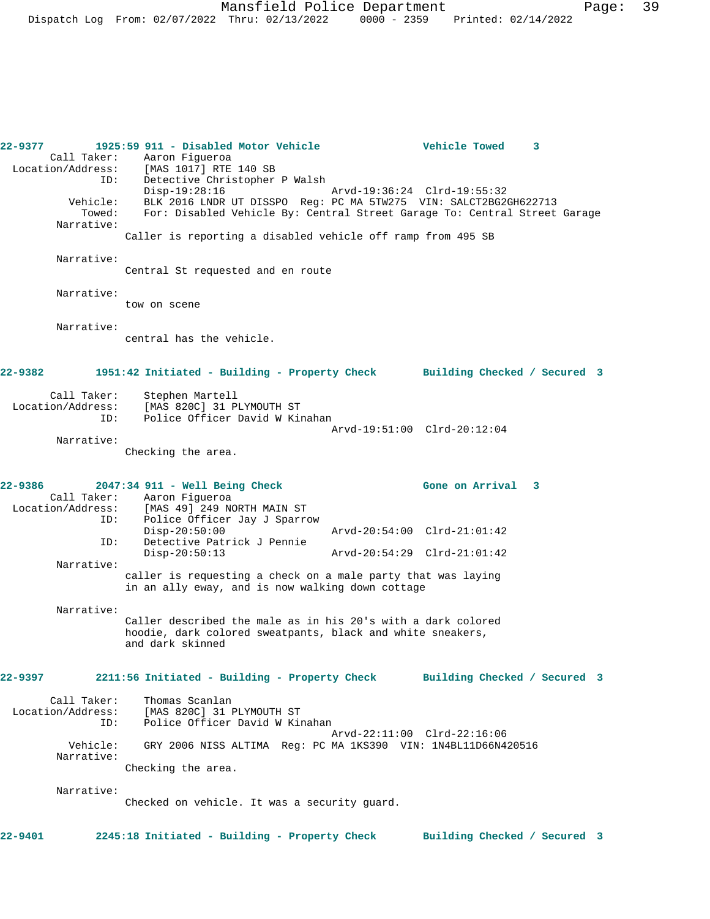**22-9377 1925:59 911 - Disabled Motor Vehicle Vehicle Towed 3**  Call Taker: Aaron Figueroa<br>cion/Address: [MAS 1017] RTE 140 SB Location/Address: ID: Detective Christopher P Walsh Disp-19:28:16 Arvd-19:36:24 Clrd-19:55:32 Vehicle: BLK 2016 LNDR UT DISSPO Reg: PC MA 5TW275 VIN: SALCT2BG2GH622713 Towed: For: Disabled Vehicle By: Central Street Garage To: Central Street Garage Narrative: Caller is reporting a disabled vehicle off ramp from 495 SB Narrative: Central St requested and en route Narrative: tow on scene Narrative: central has the vehicle. **22-9382 1951:42 Initiated - Building - Property Check Building Checked / Secured 3** Call Taker: Stephen Martell Location/Address: [MAS 820C] 31 PLYMOUTH ST ID: Police Officer David W Kinahan Arvd-19:51:00 Clrd-20:12:04 Narrative: Checking the area. **22-9386 2047:34 911 - Well Being Check Gone on Arrival 3**  Call Taker: Aaron Figueroa<br>Location/Address: [MAS 49] 249 N [MAS 49] 249 NORTH MAIN ST ID: Police Officer Jay J Sparrow Disp-20:50:00 Arvd-20:54:00 Clrd-21:01:42 ID: Detective Patrick J Pennie Disp-20:50:13 Arvd-20:54:29 Clrd-21:01:42 Narrative: caller is requesting a check on a male party that was laying in an ally eway, and is now walking down cottage Narrative: Caller described the male as in his 20's with a dark colored hoodie, dark colored sweatpants, black and white sneakers, and dark skinned **22-9397 2211:56 Initiated - Building - Property Check Building Checked / Secured 3** Call Taker: Thomas Scanlan Location/Address: [MAS 820C] 31 PLYMOUTH ST Police Officer David W Kinahan Arvd-22:11:00 Clrd-22:16:06 Vehicle: GRY 2006 NISS ALTIMA Reg: PC MA 1KS390 VIN: 1N4BL11D66N420516 Narrative: Checking the area. Narrative: Checked on vehicle. It was a security guard. **22-9401 2245:18 Initiated - Building - Property Check Building Checked / Secured 3**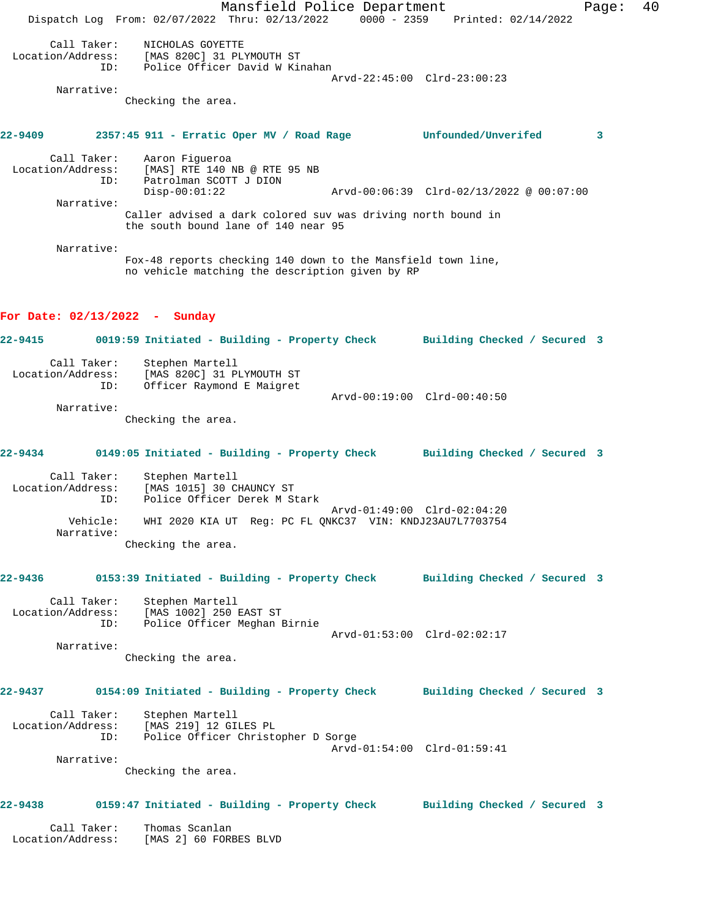Mansfield Police Department Fage: 40 Dispatch Log From: 02/07/2022 Thru: 02/13/2022 0000 - 2359 Printed: 02/14/2022 Call Taker: NICHOLAS GOYETTE Location/Address: [MAS 820C] 31 PLYMOUTH ST ID: Police Officer David W Kinahan Arvd-22:45:00 Clrd-23:00:23 Narrative: Checking the area. **22-9409 2357:45 911 - Erratic Oper MV / Road Rage Unfounded/Unverifed 3** Call Taker: Aaron Figueroa Location/Address: [MAS] RTE 140 NB @ RTE 95 NB ID: Patrolman SCOTT J DION Arvd-00:06:39 Clrd-02/13/2022 @ 00:07:00 Narrative: Caller advised a dark colored suv was driving north bound in the south bound lane of 140 near 95 Narrative: Fox-48 reports checking 140 down to the Mansfield town line, no vehicle matching the description given by RP **For Date: 02/13/2022 - Sunday 22-9415 0019:59 Initiated - Building - Property Check Building Checked / Secured 3** Call Taker: Stephen Martell Location/Address: [MAS 820C] 31 PLYMOUTH ST ID: Officer Raymond E Maigret Arvd-00:19:00 Clrd-00:40:50 Narrative: Checking the area. **22-9434 0149:05 Initiated - Building - Property Check Building Checked / Secured 3** Call Taker: Stephen Martell Location/Address: [MAS 1015] 30 CHAUNCY ST ID: Police Officer Derek M Stark Arvd-01:49:00 Clrd-02:04:20 Vehicle: WHI 2020 KIA UT Reg: PC FL QNKC37 VIN: KNDJ23AU7L7703754 Narrative: Checking the area. **22-9436 0153:39 Initiated - Building - Property Check Building Checked / Secured 3** Call Taker: Stephen Martell Location/Address: [MAS 1002] 250 EAST ST ID: Police Officer Meghan Birnie Arvd-01:53:00 Clrd-02:02:17 Narrative: Checking the area. **22-9437 0154:09 Initiated - Building - Property Check Building Checked / Secured 3** Call Taker: Stephen Martell Location/Address: [MAS 219] 12 GILES PL ID: Police Officer Christopher D Sorge Arvd-01:54:00 Clrd-01:59:41 Narrative: Checking the area. **22-9438 0159:47 Initiated - Building - Property Check Building Checked / Secured 3** Call Taker: Thomas Scanlan Location/Address: [MAS 2] 60 FORBES BLVD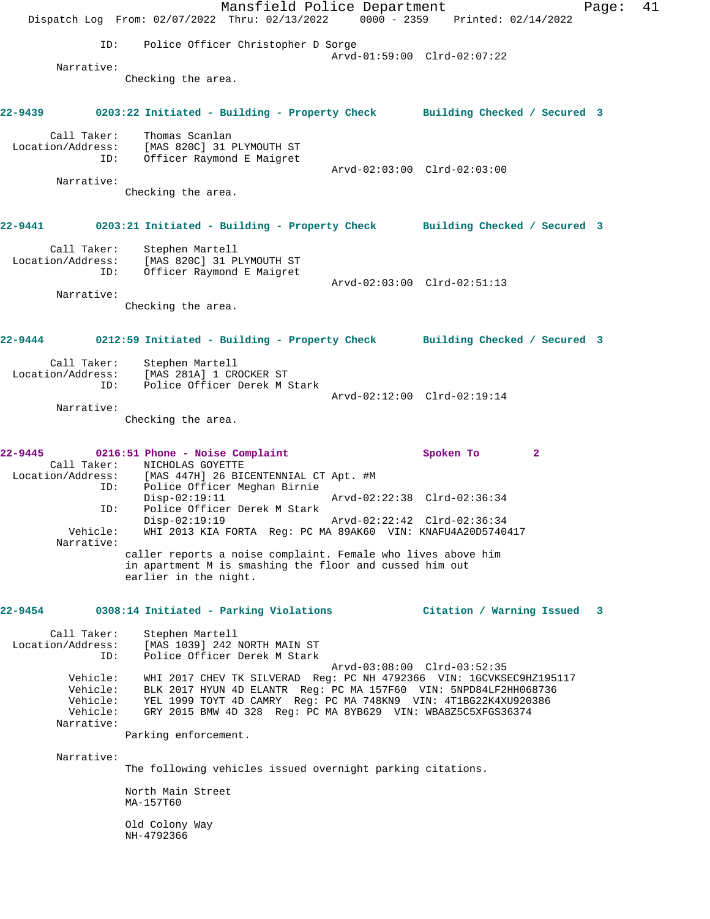Mansfield Police Department Page: 41 Dispatch Log From: 02/07/2022 Thru: 02/13/2022 0000 - 2359 Printed: 02/14/2022 ID: Police Officer Christopher D Sorge Arvd-01:59:00 Clrd-02:07:22 Narrative: Checking the area. **22-9439 0203:22 Initiated - Building - Property Check Building Checked / Secured 3** Call Taker: Thomas Scanlan Location/Address: [MAS 820C] 31 PLYMOUTH ST ID: Officer Raymond E Maigret Arvd-02:03:00 Clrd-02:03:00 Narrative: Checking the area. **22-9441 0203:21 Initiated - Building - Property Check Building Checked / Secured 3** Call Taker: Stephen Martell Location/Address: [MAS 820C] 31 PLYMOUTH ST ID: Officer Raymond E Maigret Arvd-02:03:00 Clrd-02:51:13 Narrative: Checking the area. **22-9444 0212:59 Initiated - Building - Property Check Building Checked / Secured 3** Call Taker: Stephen Martell Location/Address: [MAS 281A] 1 CROCKER ST ID: Police Officer Derek M Stark Arvd-02:12:00 Clrd-02:19:14 Narrative: Checking the area. **22-9445 0216:51 Phone - Noise Complaint Spoken To 2**  Call Taker: NICHOLAS GOYETTE Location/Address: [MAS 447H] 26 BICENTENNIAL CT Apt. #M ID: Police Officer Meghan Birnie Disp-02:19:11 Arvd-02:22:38 Clrd-02:36:34 ID: Police Officer Derek M Stark Arvd-02:22:42 Clrd-02:36:34 Vehicle: WHI 2013 KIA FORTA Reg: PC MA 89AK60 VIN: KNAFU4A20D5740417 Narrative: caller reports a noise complaint. Female who lives above him in apartment M is smashing the floor and cussed him out earlier in the night. **22-9454 0308:14 Initiated - Parking Violations Citation / Warning Issued 3** Call Taker: Stephen Martell Location/Address: [MAS 1039] 242 NORTH MAIN ST ID: Police Officer Derek M Stark Arvd-03:08:00 Clrd-03:52:35 Vehicle: WHI 2017 CHEV TK SILVERAD Reg: PC NH 4792366 VIN: 1GCVKSEC9HZ195117 Vehicle: BLK 2017 HYUN 4D ELANTR Reg: PC MA 157F60 VIN: 5NPD84LF2HH068736 Vehicle: YEL 1999 TOYT 4D CAMRY Reg: PC MA 748KN9 VIN: 4T1BG22K4XU920386 Vehicle: GRY 2015 BMW 4D 328 Reg: PC MA 8YB629 VIN: WBA8Z5C5XFGS36374 Narrative: Parking enforcement. Narrative: The following vehicles issued overnight parking citations. North Main Street MA-157T60 Old Colony Way NH-4792366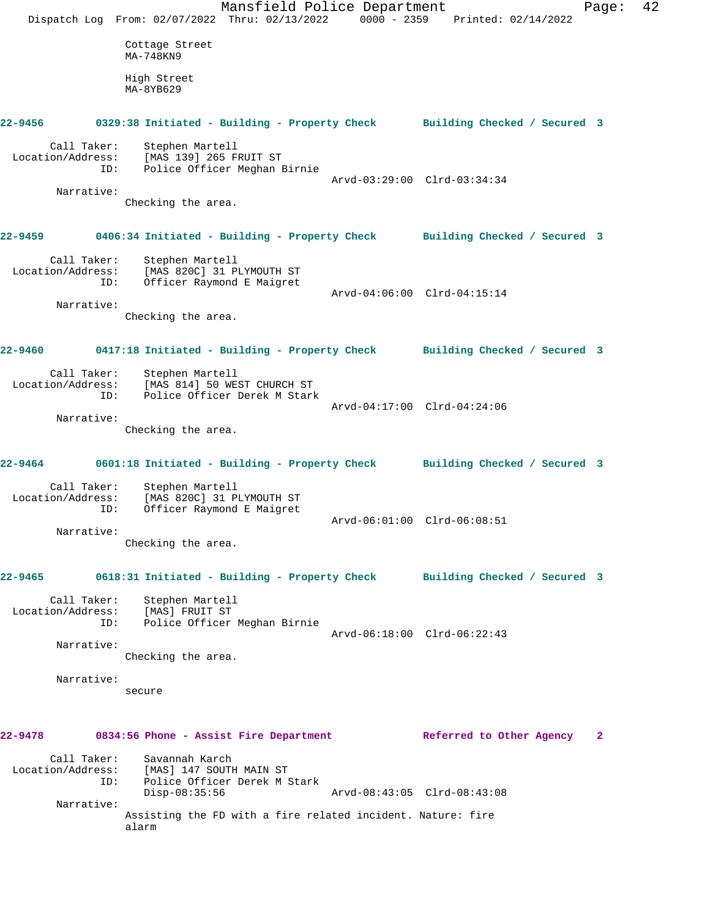Mansfield Police Department Page: 42 Dispatch Log From: 02/07/2022 Thru: 02/13/2022 0000 - 2359 Printed: 02/14/2022 Cottage Street MA-748KN9 High Street MA-8YB629 **22-9456 0329:38 Initiated - Building - Property Check Building Checked / Secured 3** Call Taker: Stephen Martell Location/Address: [MAS 139] 265 FRUIT ST ID: Police Officer Meghan Birnie Arvd-03:29:00 Clrd-03:34:34 Narrative: Checking the area. **22-9459 0406:34 Initiated - Building - Property Check Building Checked / Secured 3** Call Taker: Stephen Martell Location/Address: [MAS 820C] 31 PLYMOUTH ST<br>ID: Officer Raymond E Maigret Officer Raymond E Maigret Arvd-04:06:00 Clrd-04:15:14 Narrative: Checking the area. **22-9460 0417:18 Initiated - Building - Property Check Building Checked / Secured 3** Call Taker: Stephen Martell Location/Address: [MAS 814] 50 WEST CHURCH ST ID: Police Officer Derek M Stark Arvd-04:17:00 Clrd-04:24:06 Narrative: Checking the area. **22-9464 0601:18 Initiated - Building - Property Check Building Checked / Secured 3** Call Taker: Stephen Martell Location/Address: [MAS 820C] 31 PLYMOUTH ST ID: Officer Raymond E Maigret Arvd-06:01:00 Clrd-06:08:51 Narrative: Checking the area. **22-9465 0618:31 Initiated - Building - Property Check Building Checked / Secured 3** Call Taker: Stephen Martell Location/Address: [MAS] FRUIT ST ID: Police Officer Meghan Birnie Arvd-06:18:00 Clrd-06:22:43 Narrative: Checking the area. Narrative: secure **22-9478 0834:56 Phone - Assist Fire Department Referred to Other Agency 2** Call Taker: Savannah Karch Location/Address: [MAS] 147 SOUTH MAIN ST ID: Police Officer Derek M Stark Disp-08:35:56 Arvd-08:43:05 Clrd-08:43:08 Narrative: Assisting the FD with a fire related incident. Nature: fire alarm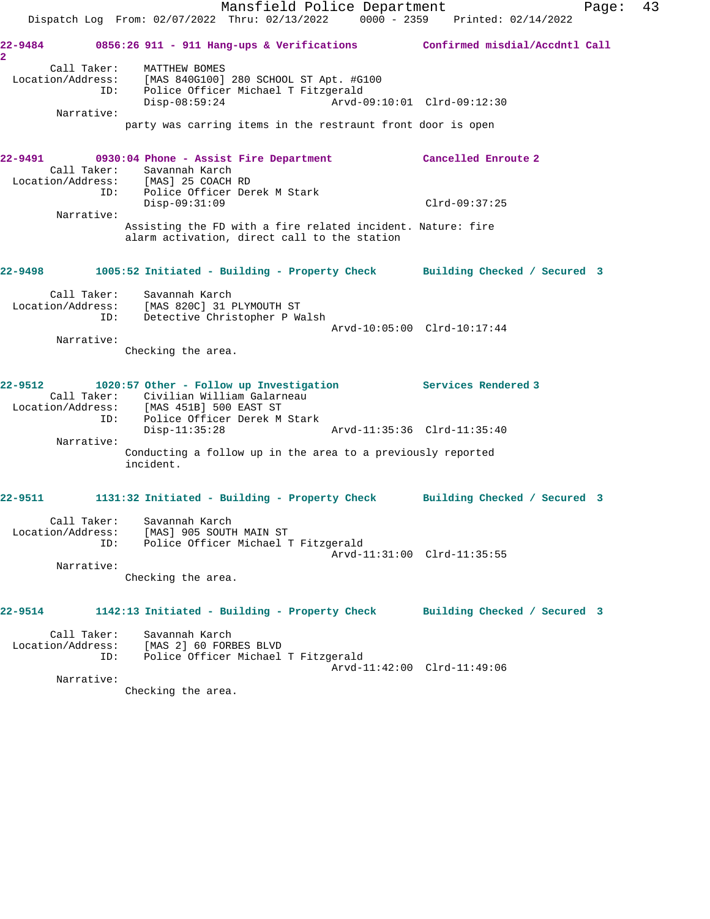Mansfield Police Department Fage: 43 Dispatch Log From: 02/07/2022 Thru: 02/13/2022 0000 - 2359 Printed: 02/14/2022 **22-9484 0856:26 911 - 911 Hang-ups & Verifications Confirmed misdial/Accdntl Call 2**  Call Taker: MATTHEW BOMES Location/Address: [MAS 840G100] 280 SCHOOL ST Apt. #G100 ID: Police Officer Michael T Fitzgerald Disp-08:59:24 Arvd-09:10:01 Clrd-09:12:30 Narrative: party was carring items in the restraunt front door is open **22-9491 0930:04 Phone - Assist Fire Department Cancelled Enroute 2**  Call Taker: Savannah Karch Location/Address: [MAS] 25 COACH RD ID: Police Officer Derek M Stark Disp-09:31:09 Clrd-09:37:25 Narrative: Assisting the FD with a fire related incident. Nature: fire alarm activation, direct call to the station **22-9498 1005:52 Initiated - Building - Property Check Building Checked / Secured 3** Call Taker: Savannah Karch Location/Address: [MAS 820C] 31 PLYMOUTH ST ID: Detective Christopher P Walsh Arvd-10:05:00 Clrd-10:17:44 Narrative: Checking the area. **22-9512 1020:57 Other - Follow up Investigation Services Rendered 3**  Call Taker: Civilian William Galarneau Location/Address: [MAS 451B] 500 EAST ST ID: Police Officer Derek M Stark Disp-11:35:28 Arvd-11:35:36 Clrd-11:35:40 Narrative: Conducting a follow up in the area to a previously reported incident. **22-9511 1131:32 Initiated - Building - Property Check Building Checked / Secured 3** Call Taker: Savannah Karch Location/Address: [MAS] 905 SOUTH MAIN ST ID: Police Officer Michael T Fitzgerald Arvd-11:31:00 Clrd-11:35:55 Narrative: Checking the area. **22-9514 1142:13 Initiated - Building - Property Check Building Checked / Secured 3** Call Taker: Savannah Karch Location/Address: [MAS 2] 60 FORBES BLVD ID: Police Officer Michael T Fitzgerald Arvd-11:42:00 Clrd-11:49:06 Narrative: Checking the area.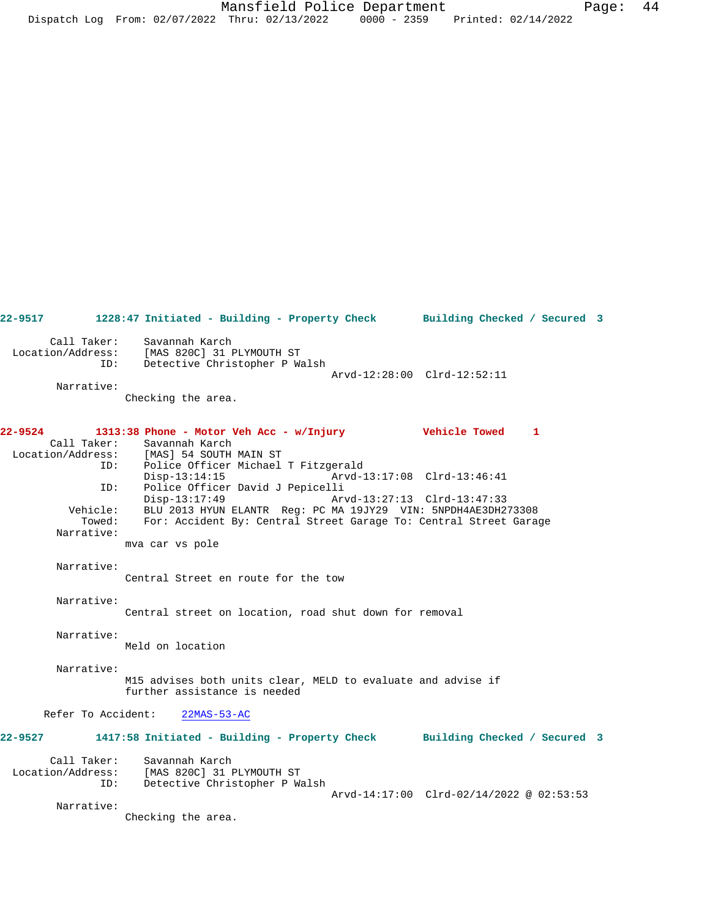**22-9517 1228:47 Initiated - Building - Property Check Building Checked / Secured 3** Call Taker: Savannah Karch Location/Address: [MAS 820C] 31 PLYMOUTH ST ID: Detective Christopher P Walsh Arvd-12:28:00 Clrd-12:52:11 Narrative: Checking the area. **22-9524 1313:38 Phone - Motor Veh Acc - w/Injury Vehicle Towed 1**  Call Taker: Savannah Karch Location/Address: [MAS] 54 SOUTH MAIN ST Police Officer Michael T Fitzgerald<br>Disp-13:14:15 Arvd-1 Disp-13:14:15 Arvd-13:17:08 Clrd-13:46:41 ID: Police Officer David J Pepicelli<br>Disp-13:17:49 Art Disp-13:17:49 Arvd-13:27:13 Clrd-13:47:33 Vehicle: BLU 2013 HYUN ELANTR Reg: PC MA 19JY29 VIN: 5NPDH4AE3DH273308 Towed: For: Accident By: Central Street Garage To: Central Street Garage Narrative: mva car vs pole Narrative: Central Street en route for the tow Narrative: Central street on location, road shut down for removal Narrative: Meld on location Narrative: M15 advises both units clear, MELD to evaluate and advise if further assistance is needed Refer To Accident: 22MAS-53-AC **22-9527 1417:58 Initiated - Building - Property Check Building Checked / Secured 3** Call Taker: Savannah Karch<br>Location/Address: [MAS 820C] 31 I Location/Address: [MAS 820C] 31 PLYMOUTH ST ID: Detective Christopher P Walsh Arvd-14:17:00 Clrd-02/14/2022 @ 02:53:53 Narrative: Checking the area.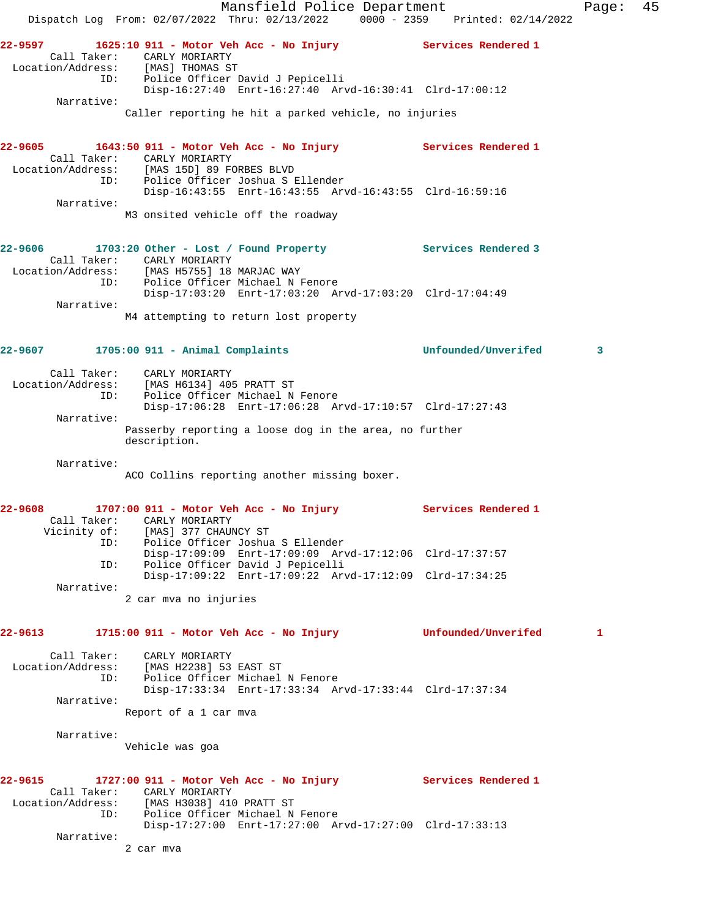Mansfield Police Department Fage: 45 Dispatch Log From: 02/07/2022 Thru: 02/13/2022 0000 - 2359 Printed: 02/14/2022 **22-9597 1625:10 911 - Motor Veh Acc - No Injury Services Rendered 1**  Call Taker: CARLY MORIARTY Location/Address: [MAS] THOMAS ST ID: Police Officer David J Pepicelli Disp-16:27:40 Enrt-16:27:40 Arvd-16:30:41 Clrd-17:00:12 Narrative: Caller reporting he hit a parked vehicle, no injuries **22-9605 1643:50 911 - Motor Veh Acc - No Injury Services Rendered 1**  Call Taker: CARLY MORIARTY Location/Address: [MAS 15D] 89 FORBES BLVD ID: Police Officer Joshua S Ellender Disp-16:43:55 Enrt-16:43:55 Arvd-16:43:55 Clrd-16:59:16 Narrative: M3 onsited vehicle off the roadway **22-9606 1703:20 Other - Lost / Found Property Services Rendered 3**  Call Taker: CARLY MORIARTY Location/Address: [MAS H5755] 18 MARJAC WAY ID: Police Officer Michael N Fenore Disp-17:03:20 Enrt-17:03:20 Arvd-17:03:20 Clrd-17:04:49 Narrative: M4 attempting to return lost property **22-9607 1705:00 911 - Animal Complaints Unfounded/Unverifed 3** Call Taker: CARLY MORIARTY Location/Address: [MAS H6134] 405 PRATT ST ID: Police Officer Michael N Fenore Disp-17:06:28 Enrt-17:06:28 Arvd-17:10:57 Clrd-17:27:43 Narrative: Passerby reporting a loose dog in the area, no further description. Narrative: ACO Collins reporting another missing boxer. **22-9608 1707:00 911 - Motor Veh Acc - No Injury Services Rendered 1**  Call Taker: CARLY MORIARTY Vicinity of: [MAS] 377 CHAUNCY ST ID: Police Officer Joshua S Ellender Disp-17:09:09 Enrt-17:09:09 Arvd-17:12:06 Clrd-17:37:57 ID: Police Officer David J Pepicelli Disp-17:09:22 Enrt-17:09:22 Arvd-17:12:09 Clrd-17:34:25 Narrative: 2 car mva no injuries **22-9613 1715:00 911 - Motor Veh Acc - No Injury Unfounded/Unverifed 1** Call Taker: CARLY MORIARTY Location/Address: [MAS H2238] 53 EAST ST ID: Police Officer Michael N Fenore Disp-17:33:34 Enrt-17:33:34 Arvd-17:33:44 Clrd-17:37:34 Narrative: Report of a 1 car mva Narrative: Vehicle was goa **22-9615 1727:00 911 - Motor Veh Acc - No Injury Services Rendered 1**  Call Taker: CARLY MORIARTY Location/Address: [MAS H3038] 410 PRATT ST ID: Police Officer Michael N Fenore Disp-17:27:00 Enrt-17:27:00 Arvd-17:27:00 Clrd-17:33:13 Narrative: 2 car mva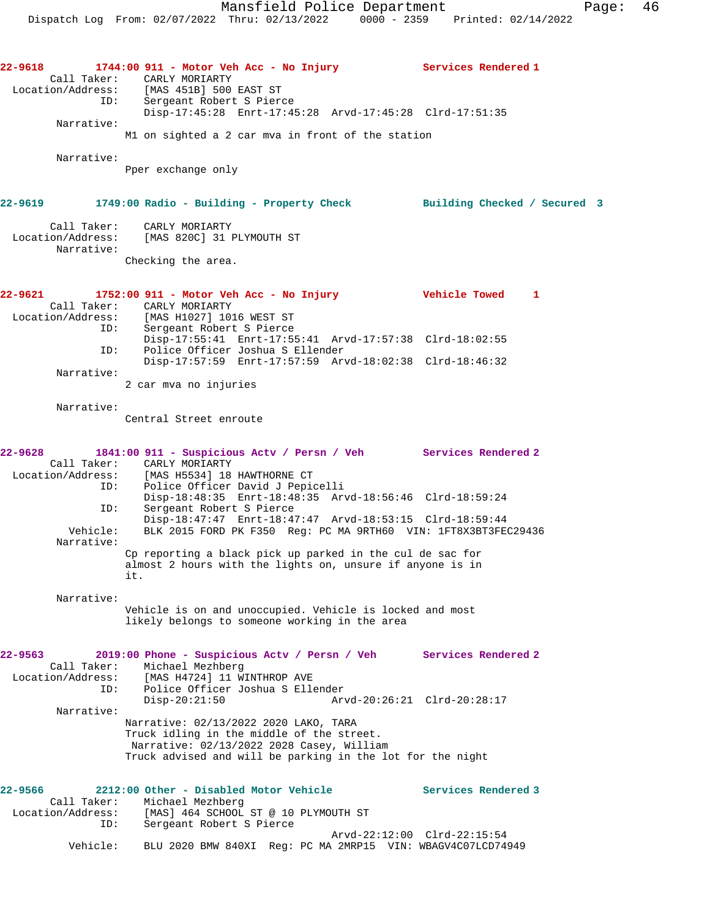**22-9618 1744:00 911 - Motor Veh Acc - No Injury Services Rendered 1** 

 Call Taker: CARLY MORIARTY Location/Address: [MAS 451B] 500 EAST ST ID: Sergeant Robert S Pierce Disp-17:45:28 Enrt-17:45:28 Arvd-17:45:28 Clrd-17:51:35 Narrative: M1 on sighted a 2 car mva in front of the station Narrative: Pper exchange only **22-9619 1749:00 Radio - Building - Property Check Building Checked / Secured 3** Call Taker: CARLY MORIARTY Location/Address: [MAS 820C] 31 PLYMOUTH ST Narrative: Checking the area. **22-9621 1752:00 911 - Motor Veh Acc - No Injury Vehicle Towed 1**  Call Taker: CARLY MORIARTY Location/Address: [MAS H1027] 1016 WEST ST ID: Sergeant Robert S Pierce Disp-17:55:41 Enrt-17:55:41 Arvd-17:57:38 Clrd-18:02:55 ID: Police Officer Joshua S Ellender Disp-17:57:59 Enrt-17:57:59 Arvd-18:02:38 Clrd-18:46:32 Narrative: 2 car mva no injuries Narrative: Central Street enroute **22-9628 1841:00 911 - Suspicious Actv / Persn / Veh Services Rendered 2**  Call Taker: CARLY MORIARTY Location/Address: [MAS H5534] 18 HAWTHORNE CT ID: Police Officer David J Pepicelli Disp-18:48:35 Enrt-18:48:35 Arvd-18:56:46 Clrd-18:59:24 ID: Sergeant Robert S Pierce Disp-18:47:47 Enrt-18:47:47 Arvd-18:53:15 Clrd-18:59:44 Vehicle: BLK 2015 FORD PK F350 Reg: PC MA 9RTH60 VIN: 1FT8X3BT3FEC29436 Narrative: Cp reporting a black pick up parked in the cul de sac for almost 2 hours with the lights on, unsure if anyone is in it. Narrative: Vehicle is on and unoccupied. Vehicle is locked and most likely belongs to someone working in the area **22-9563 2019:00 Phone - Suspicious Actv / Persn / Veh Services Rendered 2**  Call Taker: Michael Mezhberg Location/Address: [MAS H4724] 11 WINTHROP AVE ID: Police Officer Joshua S Ellender Arvd-20:26:21 Clrd-20:28:17 Narrative: Narrative: 02/13/2022 2020 LAKO, TARA Truck idling in the middle of the street. Narrative: 02/13/2022 2028 Casey, William Truck advised and will be parking in the lot for the night 22-9566 2212:00 Other - Disabled Motor Vehicle **Services Rendered 3**  Call Taker: Michael Mezhberg Location/Address: [MAS] 464 SCHOOL ST @ 10 PLYMOUTH ST ID: Sergeant Robert S Pierce Arvd-22:12:00 Clrd-22:15:54 Vehicle: BLU 2020 BMW 840XI Reg: PC MA 2MRP15 VIN: WBAGV4C07LCD74949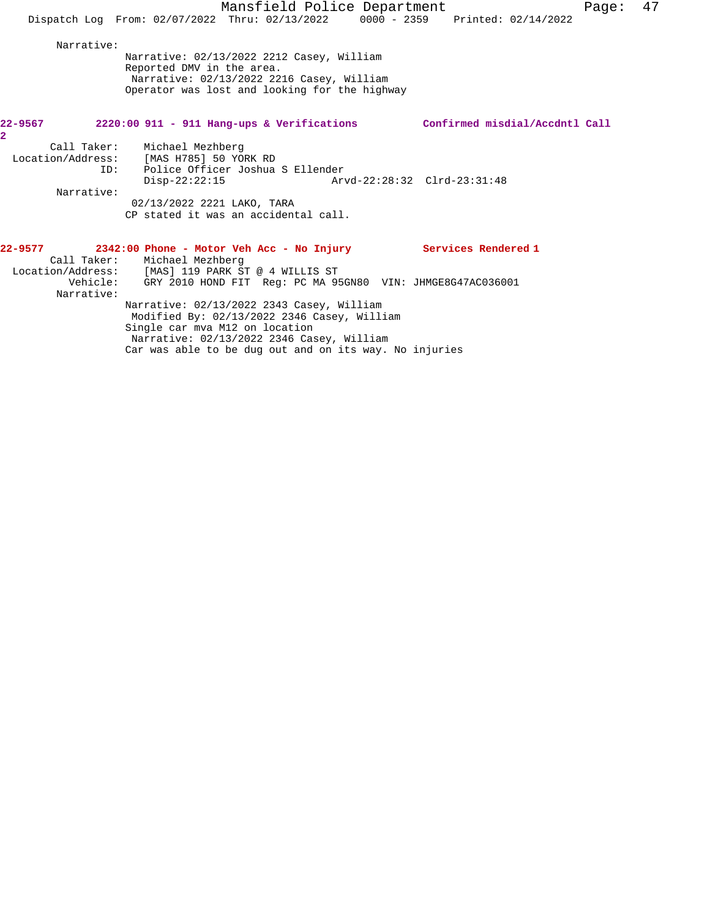|                | Mansfield Police Department                                                                                                                                                                                                       |                                | Page: | 47 |
|----------------|-----------------------------------------------------------------------------------------------------------------------------------------------------------------------------------------------------------------------------------|--------------------------------|-------|----|
|                | Dispatch Log From: 02/07/2022 Thru: 02/13/2022 0000 - 2359 Printed: 02/14/2022                                                                                                                                                    |                                |       |    |
| Narrative:     | Narrative: 02/13/2022 2212 Casey, William<br>Reported DMV in the area.<br>Narrative: 02/13/2022 2216 Casey, William<br>Operator was lost and looking for the highway                                                              |                                |       |    |
| $\overline{a}$ | 22-9567 2220:00 911 - 911 Hang-ups & Verifications                                                                                                                                                                                | Confirmed misdial/Accdntl Call |       |    |
| ID:            | Call Taker: Michael Mezhberg<br>Location/Address: [MAS H785] 50 YORK RD<br>Police Officer Joshua S Ellender<br>$Disp-22:22:15$                                                                                                    |                                |       |    |
| Narrative:     | 02/13/2022 2221 LAKO, TARA<br>CP stated it was an accidental call.                                                                                                                                                                |                                |       |    |
|                | 22-9577 2342:00 Phone - Motor Veh Acc - No Injury Services Rendered 1<br>Call Taker: Michael Mezhberg<br>Location/Address: [MAS] 119 PARK ST @ 4 WILLIS ST<br>Vehicle: GRY 2010 HOND FIT Req: PC MA 95GN80 VIN: JHMGE8G47AC036001 |                                |       |    |
| Narrative:     | Narrative: 02/13/2022 2343 Casey, William<br>Modified By: 02/13/2022 2346 Casey, William<br>Single car mva M12 on location<br>Narrative: 02/13/2022 2346 Casey, William                                                           |                                |       |    |

Car was able to be dug out and on its way. No injuries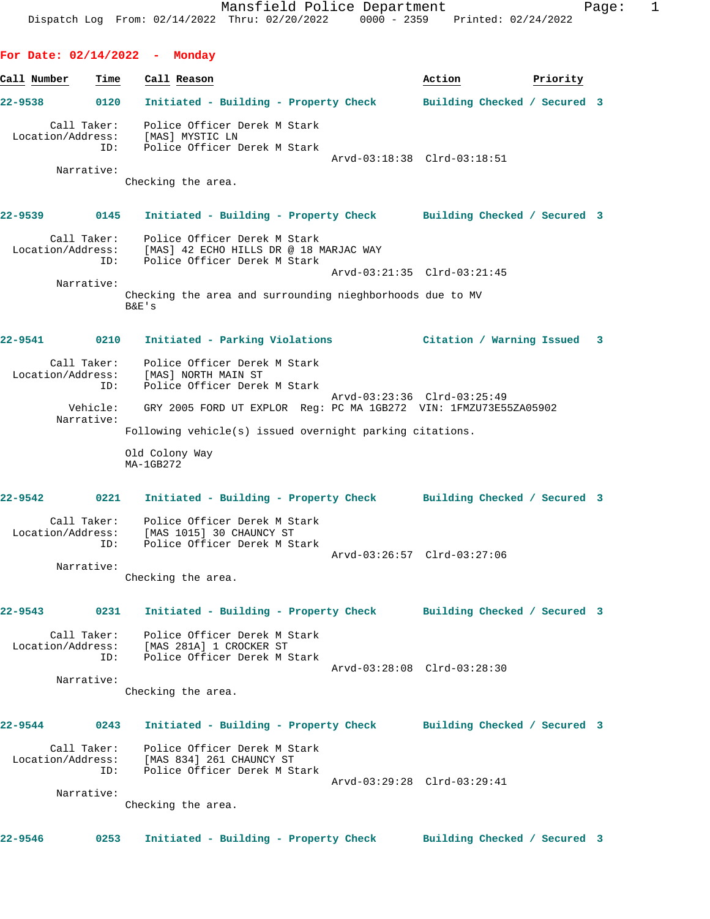**For Date: 02/14/2022 - Monday Call Number Time Call Reason Action Priority 22-9538 0120 Initiated - Building - Property Check Building Checked / Secured 3** Call Taker: Police Officer Derek M Stark Location/Address: [MAS] MYSTIC LN ID: Police Officer Derek M Stark Arvd-03:18:38 Clrd-03:18:51 Narrative: Checking the area. **22-9539 0145 Initiated - Building - Property Check Building Checked / Secured 3** Call Taker: Police Officer Derek M Stark Location/Address: [MAS] 42 ECHO HILLS DR @ 18 MARJAC WAY ID: Police Officer Derek M Stark Arvd-03:21:35 Clrd-03:21:45 Narrative: Checking the area and surrounding nieghborhoods due to MV B&E's **22-9541 0210 Initiated - Parking Violations Citation / Warning Issued 3** Call Taker: Police Officer Derek M Stark

 Location/Address: [MAS] NORTH MAIN ST ID: Police Officer Derek M Stark Arvd-03:23:36 Clrd-03:25:49 Vehicle: GRY 2005 FORD UT EXPLOR Reg: PC MA 1GB272 VIN: 1FMZU73E55ZA05902 Narrative: Following vehicle(s) issued overnight parking citations.

> Old Colony Way MA-1GB272

**22-9542 0221 Initiated - Building - Property Check Building Checked / Secured 3** Call Taker: Police Officer Derek M Stark Location/Address: [MAS 1015] 30 CHAUNCY ST

 ID: Police Officer Derek M Stark Arvd-03:26:57 Clrd-03:27:06 Narrative:

Checking the area.

**22-9543 0231 Initiated - Building - Property Check Building Checked / Secured 3**

 Call Taker: Police Officer Derek M Stark Location/Address: [MAS 281A] 1 CROCKER ST ID: Police Officer Derek M Stark

Arvd-03:28:08 Clrd-03:28:30

Checking the area.

**22-9544 0243 Initiated - Building - Property Check Building Checked / Secured 3**

Call Taker: Police Officer Derek M Stark<br>Location/Address: [MAS 834] 261 CHAUNCY ST<br>ID: Police Officer Derek M Stark [MAS 834] 261 CHAUNCY ST Police Officer Derek M Stark Arvd-03:29:28 Clrd-03:29:41

Narrative:

Narrative:

Checking the area.

**22-9546 0253 Initiated - Building - Property Check Building Checked / Secured 3**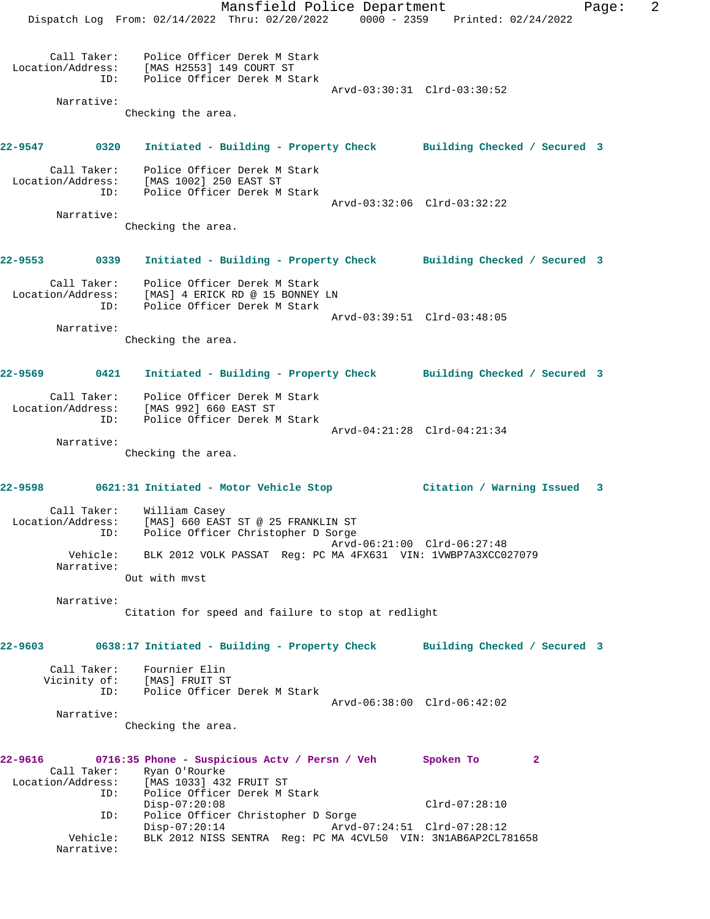Mansfield Police Department Fage: 2 Dispatch Log From: 02/14/2022 Thru: 02/20/2022 0000 - 2359 Printed: 02/24/2022 Call Taker: Police Officer Derek M Stark Location/Address: [MAS H2553] 149 COURT ST ID: Police Officer Derek M Stark Arvd-03:30:31 Clrd-03:30:52 Narrative: Checking the area. **22-9547 0320 Initiated - Building - Property Check Building Checked / Secured 3** Call Taker: Police Officer Derek M Stark Location/Address: [MAS 1002] 250 EAST ST ID: Police Officer Derek M Stark Arvd-03:32:06 Clrd-03:32:22 Narrative: Checking the area. **22-9553 0339 Initiated - Building - Property Check Building Checked / Secured 3** Call Taker: Police Officer Derek M Stark Location/Address: [MAS] 4 ERICK RD @ 15 BONNEY LN ID: Police Officer Derek M Stark Arvd-03:39:51 Clrd-03:48:05 Narrative: Checking the area. **22-9569 0421 Initiated - Building - Property Check Building Checked / Secured 3** Call Taker: Police Officer Derek M Stark Location/Address: [MAS 992] 660 EAST ST ID: Police Officer Derek M Stark Arvd-04:21:28 Clrd-04:21:34 Narrative: Checking the area. **22-9598 0621:31 Initiated - Motor Vehicle Stop Citation / Warning Issued 3** Call Taker: William Casey Location/Address: [MAS] 660 EAST ST @ 25 FRANKLIN ST ID: Police Officer Christopher D Sorge Arvd-06:21:00 Clrd-06:27:48 Vehicle: BLK 2012 VOLK PASSAT Reg: PC MA 4FX631 VIN: 1VWBP7A3XCC027079 Narrative: Out with mvst Narrative: Citation for speed and failure to stop at redlight **22-9603 0638:17 Initiated - Building - Property Check Building Checked / Secured 3** Call Taker: Fournier Elin Vicinity of: [MAS] FRUIT ST ID: Police Officer Derek M Stark [MAS] FRUIT ST<br>Police Officer Derek M Stark<br>Arvd-06:38:00 Clrd-06:42:02 Narrative: Checking the area. **22-9616 0716:35 Phone - Suspicious Actv / Persn / Veh Spoken To 2**  Call Taker: Ryan O'Rourke Location/Address: [MAS 1033] 432 FRUIT ST ID: Police Officer Derek M Stark Disp-07:20:08 Clrd-07:28:10 ID: Police Officer Christopher D Sorge<br>Disp-07:20:14 Arvd- Disp-07:20:14 Arvd-07:24:51 Clrd-07:28:12 Vehicle: BLK 2012 NISS SENTRA Reg: PC MA 4CVL50 VIN: 3N1AB6AP2CL781658 Narrative: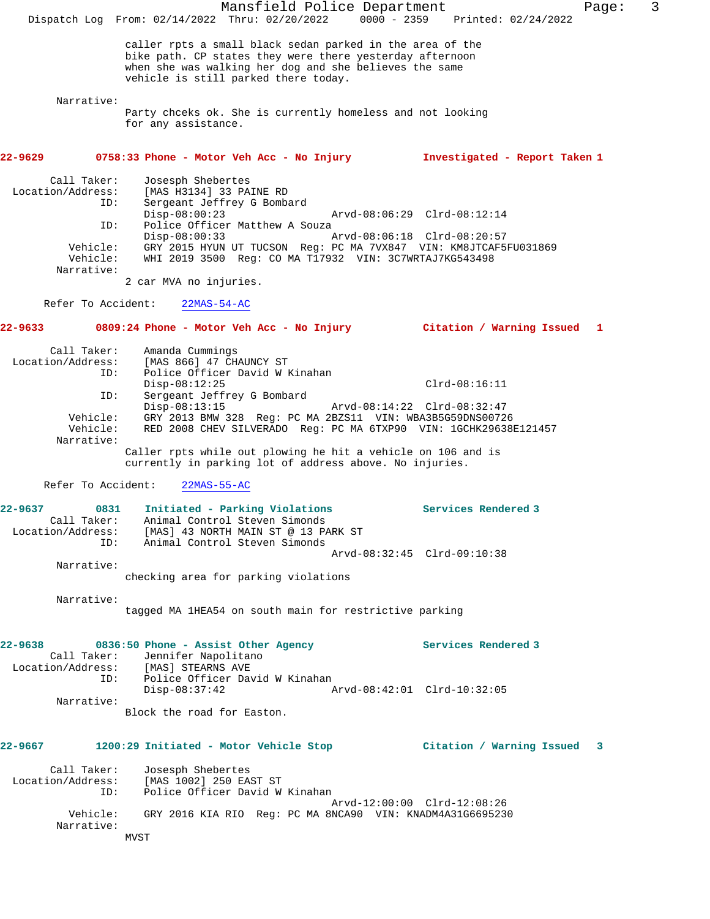Mansfield Police Department Fage: 3 Dispatch Log From: 02/14/2022 Thru: 02/20/2022 0000 - 2359 Printed: 02/24/2022 caller rpts a small black sedan parked in the area of the bike path. CP states they were there yesterday afternoon when she was walking her dog and she believes the same vehicle is still parked there today. Narrative: Party chceks ok. She is currently homeless and not looking for any assistance. **22-9629 0758:33 Phone - Motor Veh Acc - No Injury Investigated - Report Taken 1** Call Taker: Josesph Shebertes Location/Address: [MAS H3134] 33 PAINE RD Sergeant Jeffrey G Bombard<br>Disp-08:00:23 Disp-08:00:23 Arvd-08:06:29 Clrd-08:12:14<br>ID: Police Officer Matthew A Souza Police Officer Matthew A Souza<br>Disp-08:00:33 A Disp-08:00:33 Arvd-08:06:18 Clrd-08:20:57 Vehicle: GRY 2015 HYUN UT TUCSON Reg: PC MA 7VX847 VIN: KM8JTCAF5FU031869 Vehicle: WHI 2019 3500 Reg: CO MA T17932 VIN: 3C7WRTAJ7KG543498 Narrative: 2 car MVA no injuries. Refer To Accident: 22MAS-54-AC **22-9633 0809:24 Phone - Motor Veh Acc - No Injury Citation / Warning Issued 1** Call Taker: Amanda Cummings Location/Address: [MAS 866] 47 CHAUNCY ST ID: Police Officer David W Kinahan Disp-08:12:25 Clrd-08:16:11 ID: Sergeant Jeffrey G Bombard Disp-08:13:15 Arvd-08:14:22 Clrd-08:32:47 Vehicle: GRY 2013 BMW 328 Reg: PC MA 2BZS11 VIN: WBA3B5G59DNS00726 Vehicle: RED 2008 CHEV SILVERADO Reg: PC MA 6TXP90 VIN: 1GCHK29638E121457 Narrative: Caller rpts while out plowing he hit a vehicle on 106 and is currently in parking lot of address above. No injuries. Refer To Accident: 22MAS-55-AC **22-9637 0831 Initiated - Parking Violations Services Rendered 3**  Call Taker: Animal Control Steven Simonds Location/Address: [MAS] 43 NORTH MAIN ST @ 13 PARK ST ID: Animal Control Steven Simonds Arvd-08:32:45 Clrd-09:10:38 Narrative: checking area for parking violations Narrative: tagged MA 1HEA54 on south main for restrictive parking 22-9638 0836:50 Phone - Assist Other Agency **1988 Services Rendered 3**  Call Taker: Jennifer Napolitano Location/Address: [MAS] STEARNS AVE ess: [MAS] STEARNS AVE<br>ID: Police Officer David W Kinahan<br>Disp-08:37:42 A Disp-08:37:42 Arvd-08:42:01 Clrd-10:32:05 Narrative: Block the road for Easton. **22-9667 1200:29 Initiated - Motor Vehicle Stop Citation / Warning Issued 3** Call Taker: Josesph Shebertes Location/Address: [MAS 1002] 250 EAST ST ID: Police Officer David W Kinahan Arvd-12:00:00 Clrd-12:08:26 Vehicle: GRY 2016 KIA RIO Reg: PC MA 8NCA90 VIN: KNADM4A31G6695230 Narrative: MVST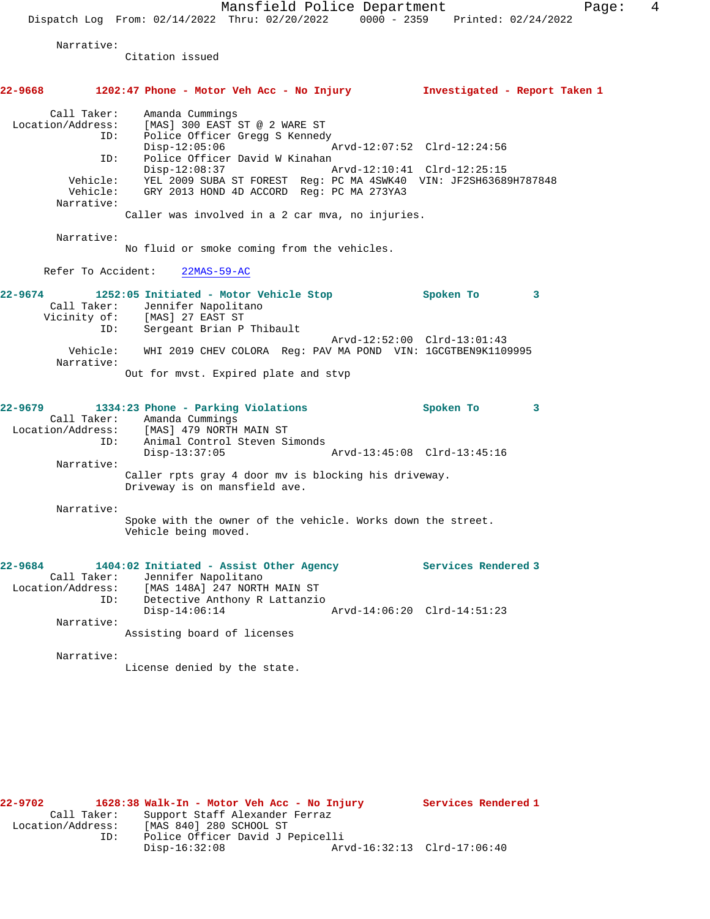Mansfield Police Department Fage: 4 Dispatch Log From: 02/14/2022 Thru: 02/20/2022 0000 - 2359 Printed: 02/24/2022 Narrative: Citation issued **22-9668 1202:47 Phone - Motor Veh Acc - No Injury Investigated - Report Taken 1** Call Taker: Amanda Cummings Location/Address: [MAS] 300 EAST ST @ 2 WARE ST ID: Police Officer Gregg S Kennedy<br>Disp-12:05:06 Disp-12:05:06 Arvd-12:07:52 Clrd-12:24:56<br>ID: Police Officer David W Kinahan Police Officer David W Kinahan<br>Disp-12:08:37 Arvd-12:10:41 Clrd-12:25:15 Vehicle: YEL 2009 SUBA ST FOREST Reg: PC MA 4SWK40 VIN: JF2SH63689H787848 Vehicle: GRY 2013 HOND 4D ACCORD Reg: PC MA 273YA3 Narrative: Caller was involved in a 2 car mva, no injuries. Narrative: No fluid or smoke coming from the vehicles. Refer To Accident: 22MAS-59-AC **22-9674 1252:05 Initiated - Motor Vehicle Stop Spoken To 3**  Call Taker: Jennifer Napolitano Vicinity of: [MAS] 27 EAST ST ID: Sergeant Brian P Thibault Arvd-12:52:00 Clrd-13:01:43 Vehicle: WHI 2019 CHEV COLORA Reg: PAV MA POND VIN: 1GCGTBEN9K1109995 Narrative: Out for mvst. Expired plate and stvp **22-9679 1334:23 Phone - Parking Violations Spoken To 3**  Call Taker: Amanda Cummings Location/Address: [MAS] 479 NORTH MAIN ST ID: Animal Control Steven Simonds Disp-13:37:05 Arvd-13:45:08 Clrd-13:45:16 Narrative: Caller rpts gray 4 door mv is blocking his driveway. Driveway is on mansfield ave. Narrative: Spoke with the owner of the vehicle. Works down the street. Vehicle being moved. **22-9684 1404:02 Initiated - Assist Other Agency Services Rendered 3**  Call Taker: Jennifer Napolitano Location/Address: [MAS 148A] 247 NORTH MAIN ST ID: Detective Anthony R Lattanzio Disp-14:06:14 Arvd-14:06:20 Clrd-14:51:23 Narrative: Assisting board of licenses Narrative: License denied by the state.

**22-9702 1628:38 Walk-In - Motor Veh Acc - No Injury Services Rendered 1**  Call Taker: Support Staff Alexander Ferraz Location/Address: [MAS 840] 280 SCHOOL ST ID: Police Officer David J Pepicelli Disp-16:32:08 Arvd-16:32:13 Clrd-17:06:40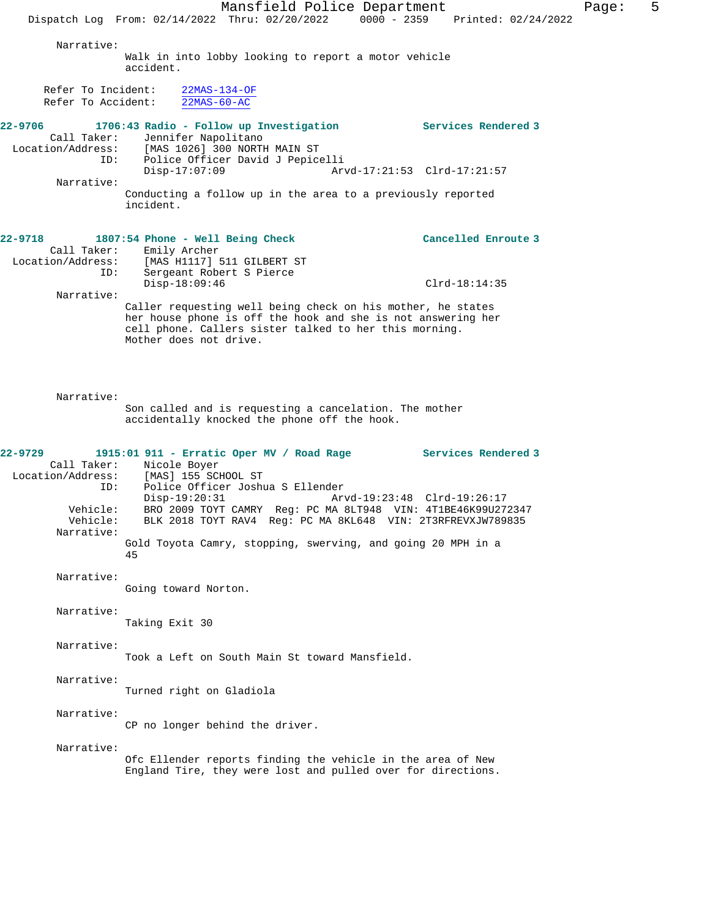Mansfield Police Department Fage: 5 Dispatch Log From: 02/14/2022 Thru: 02/20/2022 0000 - 2359 Printed: 02/24/2022 Narrative: Walk in into lobby looking to report a motor vehicle accident. Refer To Incident: 22MAS-134-OF<br>Refer To Accident: 22MAS-60-AC Refer To Accident: **22-9706 1706:43 Radio - Follow up Investigation Services Rendered 3**  Call Taker: Jennifer Napolitano Location/Address: [MAS 1026] 300 NORTH MAIN ST<br>ID: Police Officer David J Pepice Police Officer David J Pepicelli<br>Disp-17:07:09 Ar Disp-17:07:09 Arvd-17:21:53 Clrd-17:21:57 Narrative: Conducting a follow up in the area to a previously reported incident. **22-9718 1807:54 Phone - Well Being Check Cancelled Enroute 3**  Call Taker: Emily Archer<br>Location/Address: [MAS H1117] ess: [MAS H1117] 511 GILBERT ST<br>ID: Sergeant Robert S Pierce Sergeant Robert S Pierce Disp-18:09:46 Clrd-18:14:35 Narrative: Caller requesting well being check on his mother, he states her house phone is off the hook and she is not answering her cell phone. Callers sister talked to her this morning. Mother does not drive. Narrative: Son called and is requesting a cancelation. The mother accidentally knocked the phone off the hook. **22-9729 1915:01 911 - Erratic Oper MV / Road Rage Services Rendered 3**  Call Taker: Nicole Boyer<br>Location/Address: [MAS] 155 SC [MAS] 155 SCHOOL ST ID: Police Officer Joshua S Ellender Disp-19:20:31 Arvd-19:23:48 Clrd-19:26:17<br>Vehicle: RRO 2009 TOYT CAMRY Req: PC MA 81.7948 VIN: 4T1RE46K99U27 Vehicle: BRO 2009 TOYT CAMRY Reg: PC MA 8LT948 VIN: 4T1BE46K99U272347 BLK 2018 TOYT RAV4 Reg: PC MA 8KL648 VIN: 2T3RFREVXJW789835 Narrative: Gold Toyota Camry, stopping, swerving, and going 20 MPH in a 45 Narrative: Going toward Norton. Narrative: Taking Exit 30 Narrative: Took a Left on South Main St toward Mansfield. Narrative: Turned right on Gladiola Narrative: CP no longer behind the driver. Narrative: Ofc Ellender reports finding the vehicle in the area of New England Tire, they were lost and pulled over for directions.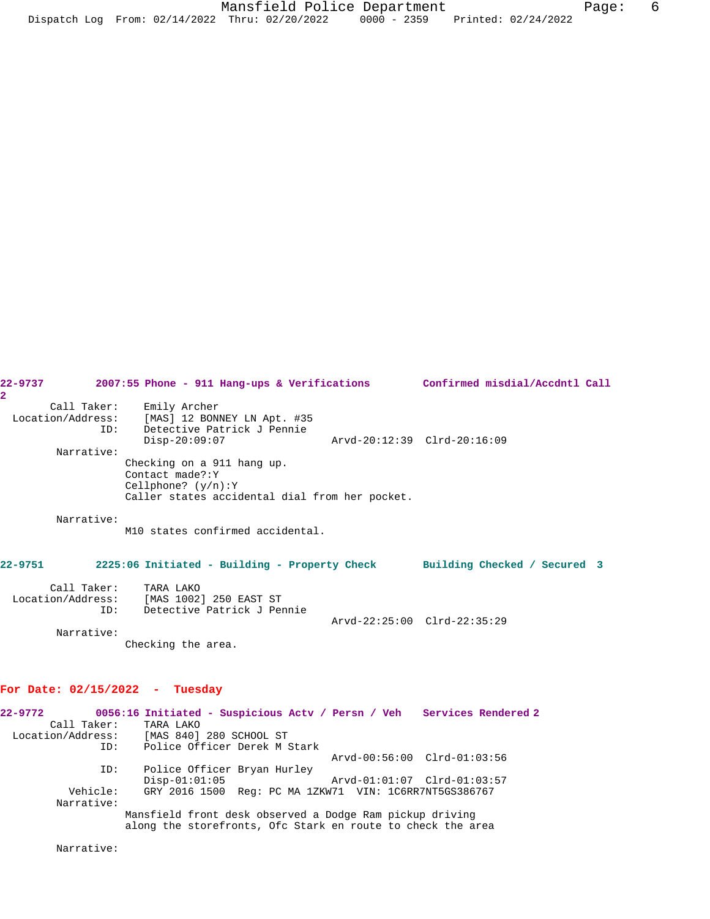| 22–9737<br>2. | 2007:55 Phone - 911 Hang-ups & Verifications Confirmed misdial/Accdntl Call                                                    |                             |  |
|---------------|--------------------------------------------------------------------------------------------------------------------------------|-----------------------------|--|
| Narrative:    | Call Taker: Emily Archer<br>Location/Address: [MAS] 12 BONNEY LN Apt. #35<br>ID: Detective Patrick J Pennie<br>$Disp-20:09:07$ | Arvd-20:12:39 Clrd-20:16:09 |  |
|               | Checking on a 911 hang up.<br>Contact made?: Y<br>Cellphone? $(y/n):Y$<br>Caller states accidental dial from her pocket.       |                             |  |
| Narrative:    | M10 states confirmed accidental.                                                                                               |                             |  |
| $22 - 9751$   | 2225:06 Initiated - Building - Property Check Building Checked / Secured 3                                                     |                             |  |
|               | Call Taker: TARA LAKO<br>Location/Address: [MAS 1002] 250 EAST ST<br>ID: Detective Patrick J Pennie                            | Arvd-22:25:00 Clrd-22:35:29 |  |
| Narrative:    | Checking the area.                                                                                                             |                             |  |

# **For Date: 02/15/2022 - Tuesday**

| $22 - 9772$ |                                                                                                                         | 0056:16 Initiated - Suspicious Actv / Persn / Veh Services Rendered 2 |                             |                             |  |  |
|-------------|-------------------------------------------------------------------------------------------------------------------------|-----------------------------------------------------------------------|-----------------------------|-----------------------------|--|--|
|             | Call Taker:                                                                                                             | TARA LAKO                                                             |                             |                             |  |  |
|             |                                                                                                                         | Location/Address: [MAS 840] 280 SCHOOL ST                             |                             |                             |  |  |
|             | ID:                                                                                                                     | Police Officer Derek M Stark                                          |                             |                             |  |  |
|             |                                                                                                                         |                                                                       |                             | Arvd-00:56:00 Clrd-01:03:56 |  |  |
|             | ID:                                                                                                                     | Police Officer Bryan Hurley                                           |                             |                             |  |  |
|             |                                                                                                                         | $Disp-01:01:05$                                                       | Arvd-01:01:07 Clrd-01:03:57 |                             |  |  |
|             | Vehicle:                                                                                                                | GRY 2016 1500 Req: PC MA 1ZKW71 VIN: 1C6RR7NT5GS386767                |                             |                             |  |  |
|             | Narrative:                                                                                                              |                                                                       |                             |                             |  |  |
|             | Mansfield front desk observed a Dodge Ram pickup driving<br>along the storefronts, Ofc Stark en route to check the area |                                                                       |                             |                             |  |  |

Narrative: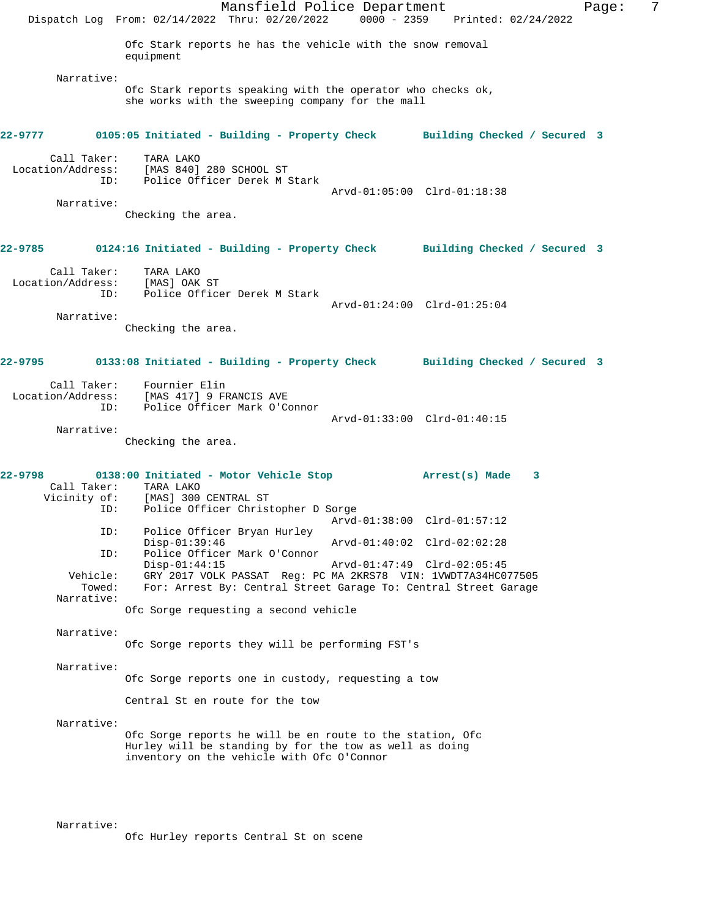|                                                      | Mansfield Police Department<br>Dispatch Log From: 02/14/2022 Thru: 02/20/2022 0000 - 2359 Printed: 02/24/2022                                                                      |  |                             |  | Page: | 7 |
|------------------------------------------------------|------------------------------------------------------------------------------------------------------------------------------------------------------------------------------------|--|-----------------------------|--|-------|---|
|                                                      | Ofc Stark reports he has the vehicle with the snow removal<br>equipment                                                                                                            |  |                             |  |       |   |
| Narrative:                                           | Ofc Stark reports speaking with the operator who checks ok,<br>she works with the sweeping company for the mall                                                                    |  |                             |  |       |   |
|                                                      | 22-9777 0105:05 Initiated - Building - Property Check Building Checked / Secured 3                                                                                                 |  |                             |  |       |   |
| Call Taker:<br>ID:<br>Narrative:                     | TARA LAKO<br>Location/Address: [MAS 840] 280 SCHOOL ST<br>Police Officer Derek M Stark                                                                                             |  | Arvd-01:05:00 Clrd-01:18:38 |  |       |   |
|                                                      | Checking the area.                                                                                                                                                                 |  |                             |  |       |   |
|                                                      | 22-9785 0124:16 Initiated - Building - Property Check Building Checked / Secured 3                                                                                                 |  |                             |  |       |   |
| Call Taker:<br>Location/Address: [MAS] OAK ST<br>ID: | TARA LAKO<br>Police Officer Derek M Stark                                                                                                                                          |  | Arvd-01:24:00 Clrd-01:25:04 |  |       |   |
| Narrative:                                           | Checking the area.                                                                                                                                                                 |  |                             |  |       |   |
|                                                      | 22-9795      0133:08 Initiated - Building - Property Check     Building Checked / Secured 3                                                                                        |  |                             |  |       |   |
| ID:                                                  | Call Taker: Fournier Elin<br>Location/Address: [MAS 417] 9 FRANCIS AVE<br>Police Officer Mark O'Connor                                                                             |  |                             |  |       |   |
| Narrative:                                           | Checking the area.                                                                                                                                                                 |  | Arvd-01:33:00 Clrd-01:40:15 |  |       |   |
| 22-9798                                              | Call Taker: TARA LAKO<br>Vicinity of: [MAS] 300 CENTRAL ST                                                                                                                         |  |                             |  |       |   |
| ID:<br>ID:                                           | Police Officer Christopher D Sorge<br>Police Officer Bryan Hurley                                                                                                                  |  |                             |  |       |   |
| ID:                                                  | $Disp-01:39:46$<br>Police Officer Mark O'Connor                                                                                                                                    |  | Arvd-01:40:02 Clrd-02:02:28 |  |       |   |
| Vehicle:<br>Towed:                                   | $Disp-01:44:15$<br>Arvd-01:47:49 Clrd-02:05:45<br>GRY 2017 VOLK PASSAT Req: PC MA 2KRS78 VIN: 1VWDT7A34HC077505<br>For: Arrest By: Central Street Garage To: Central Street Garage |  |                             |  |       |   |
| Narrative:                                           | Ofc Sorge requesting a second vehicle                                                                                                                                              |  |                             |  |       |   |
| Narrative:                                           | Ofc Sorge reports they will be performing FST's                                                                                                                                    |  |                             |  |       |   |
| Narrative:                                           | Ofc Sorge reports one in custody, requesting a tow                                                                                                                                 |  |                             |  |       |   |
|                                                      | Central St en route for the tow                                                                                                                                                    |  |                             |  |       |   |
| Narrative:                                           | Ofc Sorge reports he will be en route to the station, Ofc<br>Hurley will be standing by for the tow as well as doing<br>inventory on the vehicle with Ofc O'Connor                 |  |                             |  |       |   |
|                                                      |                                                                                                                                                                                    |  |                             |  |       |   |

Narrative:

Ofc Hurley reports Central St on scene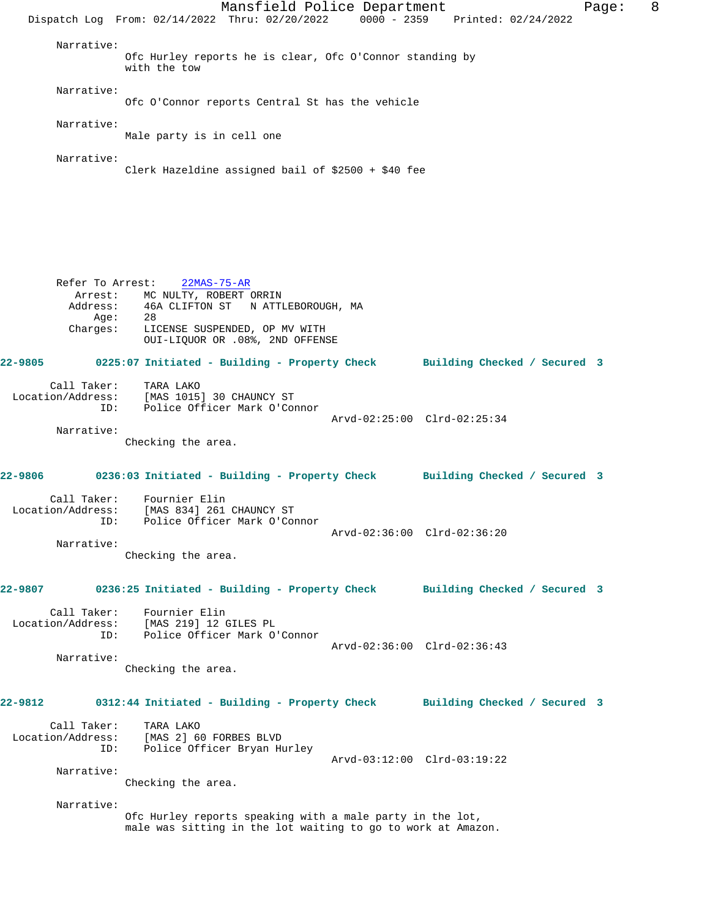Mansfield Police Department Fage: 8 Dispatch Log From: 02/14/2022 Thru: 02/20/2022 0000 - 2359 Printed: 02/24/2022 Narrative: Ofc Hurley reports he is clear, Ofc O'Connor standing by with the tow Narrative: Ofc O'Connor reports Central St has the vehicle Narrative: Male party is in cell one Narrative: Clerk Hazeldine assigned bail of \$2500 + \$40 fee Refer To Arrest: 22MAS-75-AR Arrest: MC NULTY, ROBERT ORRIN<br>Address: 46A CLIFTON ST N ATTI 46A CLIFTON ST N ATTLEBOROUGH, MA Age: Charges: LICENSE SUSPENDED, OP MV WITH OUI-LIQUOR OR .08%, 2ND OFFENSE **22-9805 0225:07 Initiated - Building - Property Check Building Checked / Secured 3** Call Taker: TARA LAKO Location/Address: [MAS 1015] 30 CHAUNCY ST ID: Police Officer Mark O'Connor Arvd-02:25:00 Clrd-02:25:34 Narrative: Checking the area. **22-9806 0236:03 Initiated - Building - Property Check Building Checked / Secured 3** Call Taker: Fournier Elin Location/Address: [MAS 834] 261 CHAUNCY ST ID: Police Officer Mark O'Connor Arvd-02:36:00 Clrd-02:36:20 Narrative: Checking the area. **22-9807 0236:25 Initiated - Building - Property Check Building Checked / Secured 3** Call Taker: Fournier Elin Location/Address: [MAS 219] 12 GILES PL ID: Police Officer Mark O'Connor Arvd-02:36:00 Clrd-02:36:43 Narrative: Checking the area. **22-9812 0312:44 Initiated - Building - Property Check Building Checked / Secured 3** Call Taker: TARA LAKO Location/Address: [MAS 2] 60 FORBES BLVD ID: Police Officer Bryan Hurley Arvd-03:12:00 Clrd-03:19:22 Narrative: Checking the area. Narrative: Ofc Hurley reports speaking with a male party in the lot, male was sitting in the lot waiting to go to work at Amazon.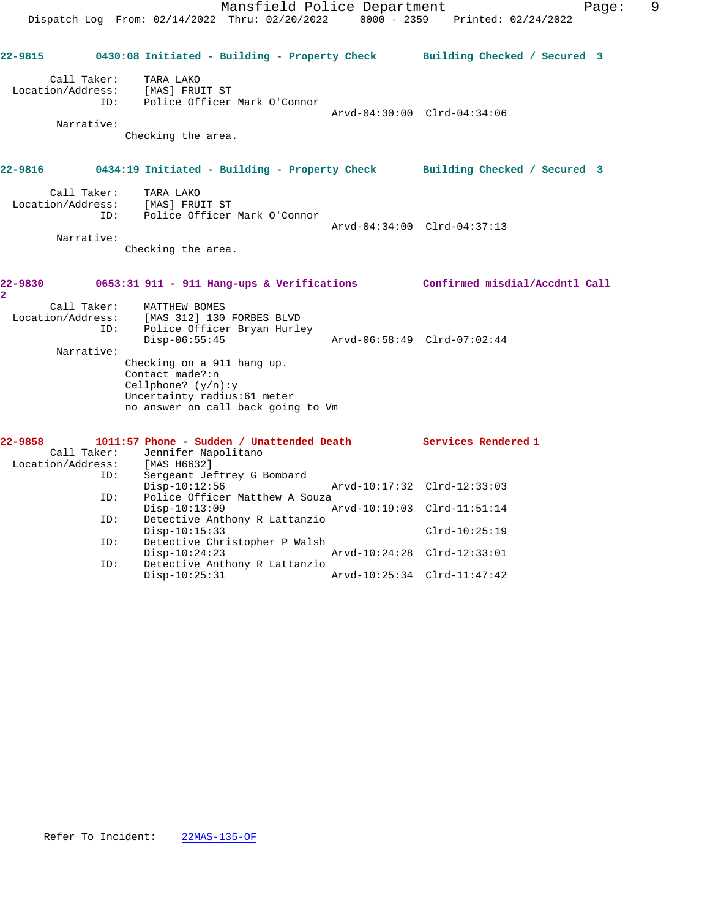|                                                         | Mansfield Police Department<br>Dispatch Log From: 02/14/2022 Thru: 02/20/2022 0000 - 2359 Printed: 02/24/2022                                                                                                                               |                             | Page:                                          | 9 |
|---------------------------------------------------------|---------------------------------------------------------------------------------------------------------------------------------------------------------------------------------------------------------------------------------------------|-----------------------------|------------------------------------------------|---|
|                                                         | 22-9815 0430:08 Initiated - Building - Property Check Building Checked / Secured 3                                                                                                                                                          |                             |                                                |   |
| Call Taker:<br>Location/Address:<br>Narrative:          | TARA LAKO<br>[MAS] FRUIT ST<br>ID: Police Officer Mark O'Connor<br>Checking the area.                                                                                                                                                       |                             | Arvd-04:30:00 Clrd-04:34:06                    |   |
|                                                         | 22-9816 		 0434:19 Initiated - Building - Property Check 		 Building Checked / Secured 3                                                                                                                                                    |                             |                                                |   |
| Call Taker:<br>Location/Address:<br>ID:<br>Narrative:   | TARA LAKO<br>[MAS] FRUIT ST<br>Police Officer Mark O'Connor<br>Checking the area.                                                                                                                                                           |                             | Arvd-04:34:00 Clrd-04:37:13                    |   |
| 22-9830<br>2                                            | 0653:31 911 - 911 Hang-ups & Verifications Confirmed misdial/Accdntl Call                                                                                                                                                                   |                             |                                                |   |
| Call Taker:<br>Location/Address:<br>ID:<br>Narrative:   | MATTHEW BOMES<br>[MAS 312] 130 FORBES BLVD<br>Police Officer Bryan Hurley<br>$Disp-06:55:45$<br>Checking on a 911 hang up.<br>Contact made?:n<br>Cellphone? $(y/n):y$<br>Uncertainty radius: 61 meter<br>no answer on call back going to Vm |                             | Arvd-06:58:49 Clrd-07:02:44                    |   |
| 22-9858<br>Call Taker:<br>Location/Address: [MAS H6632] | 1011:57 Phone - Sudden / Unattended Death Services Rendered 1<br>Jennifer Napolitano                                                                                                                                                        |                             |                                                |   |
| ID:<br>ID:                                              | Sergeant Jeffrey G Bombard<br>$Disp-10:12:56$<br>Police Officer Matthew A Souza                                                                                                                                                             | Arvd-10:17:32 Clrd-12:33:03 |                                                |   |
| ID:                                                     | $Disp-10:13:09$<br>Detective Anthony R Lattanzio<br>$Disp-10:15:33$                                                                                                                                                                         |                             | Arvd-10:19:03 Clrd-11:51:14<br>$Clrd-10:25:19$ |   |
| ID:                                                     | Detective Christopher P Walsh<br>$Disp-10:24:23$                                                                                                                                                                                            |                             | Arvd-10:24:28 Clrd-12:33:01                    |   |

ID: Detective Anthony R Lattanzio

Disp-10:25:31 Arvd-10:25:34 Clrd-11:47:42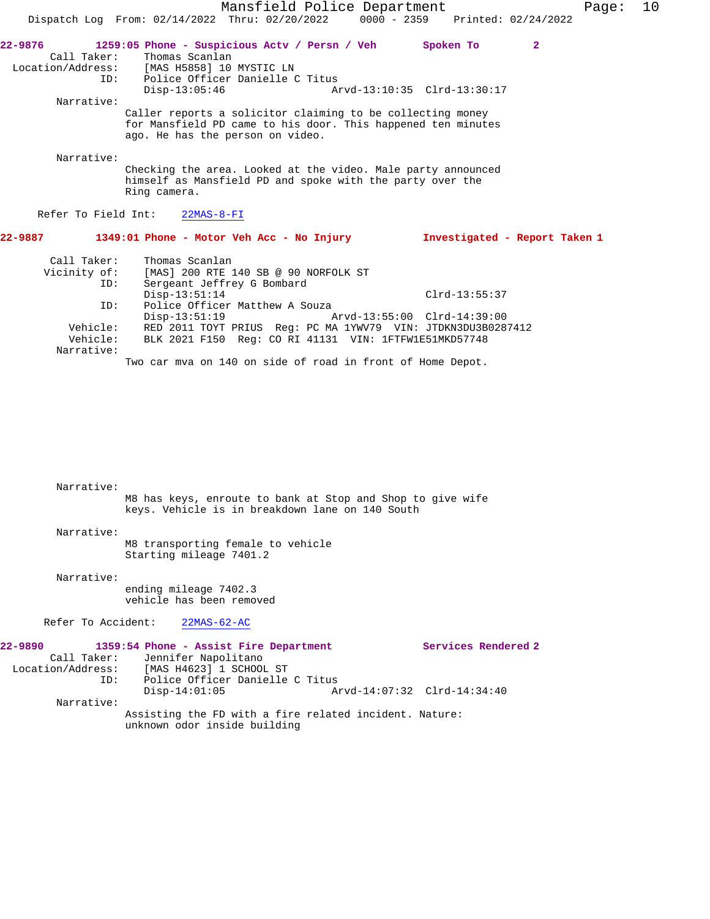|                                                                   |                                                                                                                                                                     | Mansfield Police Department     |                 | Page:                         | 10 |  |
|-------------------------------------------------------------------|---------------------------------------------------------------------------------------------------------------------------------------------------------------------|---------------------------------|-----------------|-------------------------------|----|--|
|                                                                   | Dispatch Log From: $02/14/2022$ Thru: $02/20/2022$                                                                                                                  | 0000 - 2359 Printed: 02/24/2022 |                 |                               |    |  |
| 22-9876<br>Call Taker:<br>ID:                                     | 1259:05 Phone - Suspicious Actv / Persn / Veh<br>Thomas Scanlan<br>Location/Address: [MAS H5858] 10 MYSTIC LN<br>Police Officer Danielle C Titus<br>$Disp-13:05:46$ | Arvd-13:10:35 Clrd-13:30:17     | Spoken To       | $\overline{2}$                |    |  |
| Narrative:                                                        |                                                                                                                                                                     |                                 |                 |                               |    |  |
|                                                                   | Caller reports a solicitor claiming to be collecting money<br>for Mansfield PD came to his door. This happened ten minutes<br>ago. He has the person on video.      |                                 |                 |                               |    |  |
| Narrative:                                                        |                                                                                                                                                                     |                                 |                 |                               |    |  |
|                                                                   | Checking the area. Looked at the video. Male party announced<br>himself as Mansfield PD and spoke with the party over the<br>Ring camera.                           |                                 |                 |                               |    |  |
|                                                                   | Refer To Field Int: 22MAS-8-FI                                                                                                                                      |                                 |                 |                               |    |  |
|                                                                   | 22-9887 1349:01 Phone - Motor Veh Acc - No Injury                                                                                                                   |                                 |                 | Investigated - Report Taken 1 |    |  |
| Call Taker:<br>Vicinity of:<br>ID:                                | Thomas Scanlan<br>[MAS] 200 RTE 140 SB @ 90 NORFOLK ST<br>Sergeant Jeffrey G Bombard                                                                                |                                 |                 |                               |    |  |
|                                                                   | $Disp-13:51:14$                                                                                                                                                     |                                 | $Clrd-13:55:37$ |                               |    |  |
| ID:                                                               | Police Officer Matthew A Souza<br>Disp-13:51:19 Arvd-13:55:00 Clrd-14:39:00                                                                                         |                                 |                 |                               |    |  |
| Vehicle:                                                          | RED 2011 TOYT PRIUS Req: PC MA 1YWV79 VIN: JTDKN3DU3B0287412                                                                                                        |                                 |                 |                               |    |  |
| Vehicle:<br>BLK 2021 F150 Req: CO RI 41131 VIN: 1FTFW1E51MKD57748 |                                                                                                                                                                     |                                 |                 |                               |    |  |
| Narrative:                                                        |                                                                                                                                                                     |                                 |                 |                               |    |  |
|                                                                   | Two car mva on 140 on side of road in front of Home Depot.                                                                                                          |                                 |                 |                               |    |  |
|                                                                   |                                                                                                                                                                     |                                 |                 |                               |    |  |
|                                                                   |                                                                                                                                                                     |                                 |                 |                               |    |  |
|                                                                   |                                                                                                                                                                     |                                 |                 |                               |    |  |

Narrative:

M8 has keys, enroute to bank at Stop and Shop to give wife keys. Vehicle is in breakdown lane on 140 South

Narrative:

M8 transporting female to vehicle Starting mileage 7401.2

Narrative:

ending mileage 7402.3 vehicle has been removed

Refer To Accident: 22MAS-62-AC

| 22-9890           |            |                 | 1359:54 Phone - Assist Fire Department                                                 |  |                             | Services Rendered 2 |
|-------------------|------------|-----------------|----------------------------------------------------------------------------------------|--|-----------------------------|---------------------|
|                   |            |                 | Call Taker: Jennifer Napolitano                                                        |  |                             |                     |
| Location/Address: |            |                 | [MAS H4623] 1 SCHOOL ST                                                                |  |                             |                     |
|                   | ID:        |                 | Police Officer Danielle C Titus                                                        |  |                             |                     |
|                   |            | $Disp-14:01:05$ |                                                                                        |  | Arvd-14:07:32 Clrd-14:34:40 |                     |
|                   | Narrative: |                 |                                                                                        |  |                             |                     |
|                   |            |                 | Assisting the FD with a fire related incident. Nature:<br>unknown odor inside building |  |                             |                     |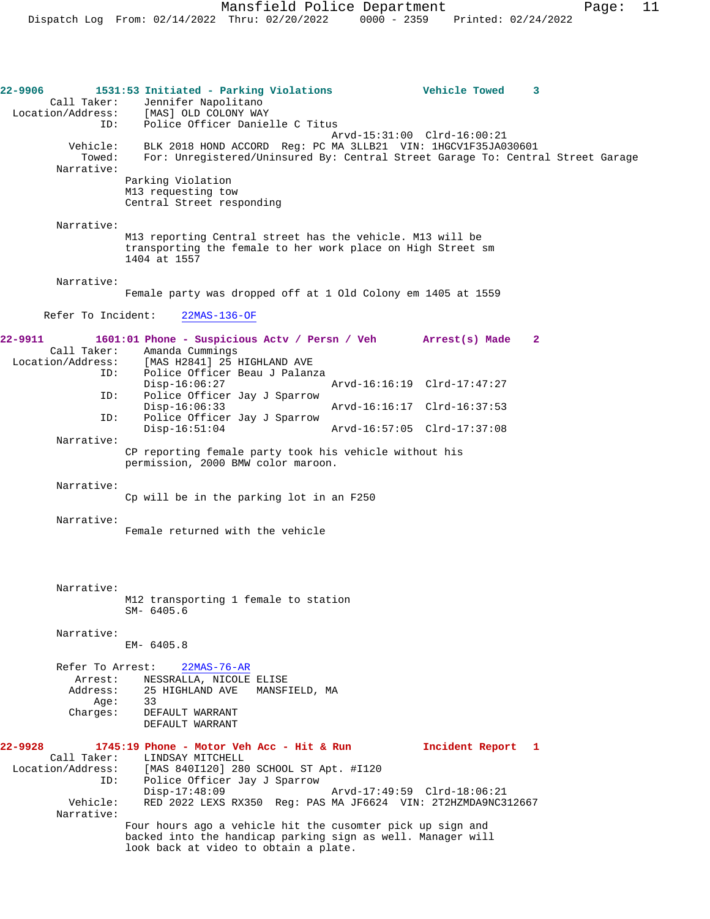**22-9906 1531:53 Initiated - Parking Violations Vehicle Towed 3**  Call Taker: Jennifer Napolitano Location/Address: [MAS] OLD COLONY WAY ID: Police Officer Danielle C Titus Arvd-15:31:00 Clrd-16:00:21<br>Vehicle: BLK 2018 HOND ACCORD Reg: PC MA 3LLB21 VIN: 1HGCV1F35JA0 BLK 2018 HOND ACCORD Reg: PC MA 3LLB21 VIN: 1HGCV1F35JA030601 Towed: For: Unregistered/Uninsured By: Central Street Garage To: Central Street Garage Narrative: Parking Violation M13 requesting tow Central Street responding Narrative: M13 reporting Central street has the vehicle. M13 will be transporting the female to her work place on High Street sm 1404 at 1557 Narrative: Female party was dropped off at 1 Old Colony em 1405 at 1559 Refer To Incident: 22MAS-136-OF **22-9911 1601:01 Phone - Suspicious Actv / Persn / Veh Arrest(s) Made 2**  Call Taker: Amanda Cummings<br>Location/Address: [MAS H2841] 25 I [MAS H2841] 25 HIGHLAND AVE ID: Police Officer Beau J Palanza Disp-16:06:27 Arvd-16:16:19 Clrd-17:47:27<br>TD: Police Officer Jav J Sparrow Police Officer Jay J Sparrow<br>Disp-16:06:33 Arvd-16:16:17 Clrd-16:37:53 ID: Police Officer Jay J Sparrow Disp-16:51:04 Arvd-16:57:05 Clrd-17:37:08 Narrative: CP reporting female party took his vehicle without his permission, 2000 BMW color maroon. Narrative: Cp will be in the parking lot in an F250 Narrative: Female returned with the vehicle Narrative: M12 transporting 1 female to station SM- 6405.6 Narrative: EM- 6405.8 Refer To Arrest: 22MAS-76-AR Arrest: NESSRALLA, NICOLE ELISE<br>Address: 25 HIGHLAND AVE MANSE 25 HIGHLAND AVE MANSFIELD, MA<br>33  $Age:$  Charges: DEFAULT WARRANT DEFAULT WARRANT **22-9928 1745:19 Phone - Motor Veh Acc - Hit & Run Incident Report 1**  Call Taker: LINDSAY MITCHELL<br>Location/Address: [MAS 840I120] 280 [MAS 840I120] 280 SCHOOL ST Apt. #I120 ID: Police Officer Jay J Sparrow Disp-17:48:09<br>Vehicle: RED 2022 LEXS RX350 Reg: PAS MA JE6624 VIN: 2T2HZMDA9NC3 RED 2022 LEXS RX350 Reg: PAS MA JF6624 VIN: 2T2HZMDA9NC312667 Narrative: Four hours ago a vehicle hit the cusomter pick up sign and backed into the handicap parking sign as well. Manager will look back at video to obtain a plate.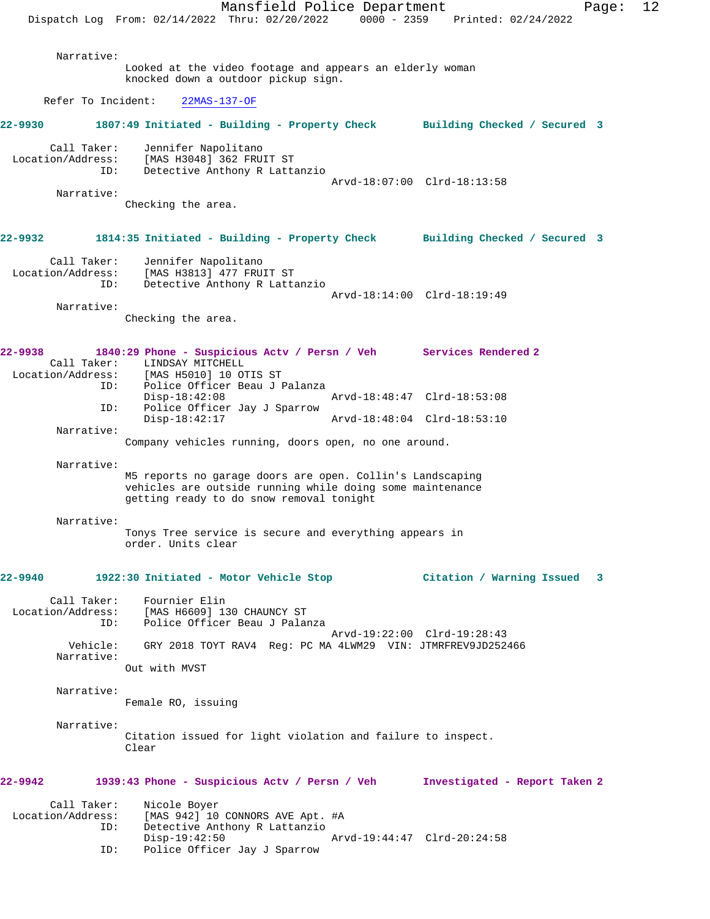Mansfield Police Department Page: 12 Dispatch Log From: 02/14/2022 Thru: 02/20/2022 0000 - 2359 Printed: 02/24/2022 Narrative: Looked at the video footage and appears an elderly woman knocked down a outdoor pickup sign. Refer To Incident: 22MAS-137-OF **22-9930 1807:49 Initiated - Building - Property Check Building Checked / Secured 3** Call Taker: Jennifer Napolitano<br>Location/Address: [MAS H3048] 362 FRUI ess: [MAS H3048] 362 FRUIT ST<br>ID: Detective Anthony R Latt Detective Anthony R Lattanzio Arvd-18:07:00 Clrd-18:13:58 Narrative: Checking the area. **22-9932 1814:35 Initiated - Building - Property Check Building Checked / Secured 3** Call Taker: Jennifer Napolitano Location/Address: [MAS H3813] 477 FRUIT ST ID: Detective Anthony R Lattanzio Arvd-18:14:00 Clrd-18:19:49 Narrative: Checking the area. **22-9938 1840:29 Phone - Suspicious Actv / Persn / Veh Services Rendered 2**  Call Taker: LINDSAY MITCHELL<br>Location/Address: [MAS H5010] 10 O [MAS H5010] 10 OTIS ST ID: Police Officer Beau J Palanza Disp-18:42:08 Arvd-18:48:47 Clrd-18:53:08<br>TD: Police Officer Jav J Sparrow Police Officer Jay J Sparrow Disp-18:42:17 Arvd-18:48:04 Clrd-18:53:10 Narrative: Company vehicles running, doors open, no one around. Narrative: M5 reports no garage doors are open. Collin's Landscaping vehicles are outside running while doing some maintenance getting ready to do snow removal tonight Narrative: Tonys Tree service is secure and everything appears in order. Units clear **22-9940 1922:30 Initiated - Motor Vehicle Stop Citation / Warning Issued 3** Call Taker: Fournier Elin Location/Address: [MAS H6609] 130 CHAUNCY ST ID: Police Officer Beau J Palanza Arvd-19:22:00 Clrd-19:28:43 Vehicle: GRY 2018 TOYT RAV4 Reg: PC MA 4LWM29 VIN: JTMRFREV9JD252466 Narrative: Out with MVST Narrative: Female RO, issuing Narrative: Citation issued for light violation and failure to inspect. Clear **22-9942 1939:43 Phone - Suspicious Actv / Persn / Veh Investigated - Report Taken 2** Call Taker: Nicole Boyer Location/Address: [MAS 942] 10 CONNORS AVE Apt. #A ID: Detective Anthony R Lattanzio Disp-19:42:50 Arvd-19:44:47 Clrd-20:24:58<br>TD: Police Officer Jav J Sparrow Police Officer Jay J Sparrow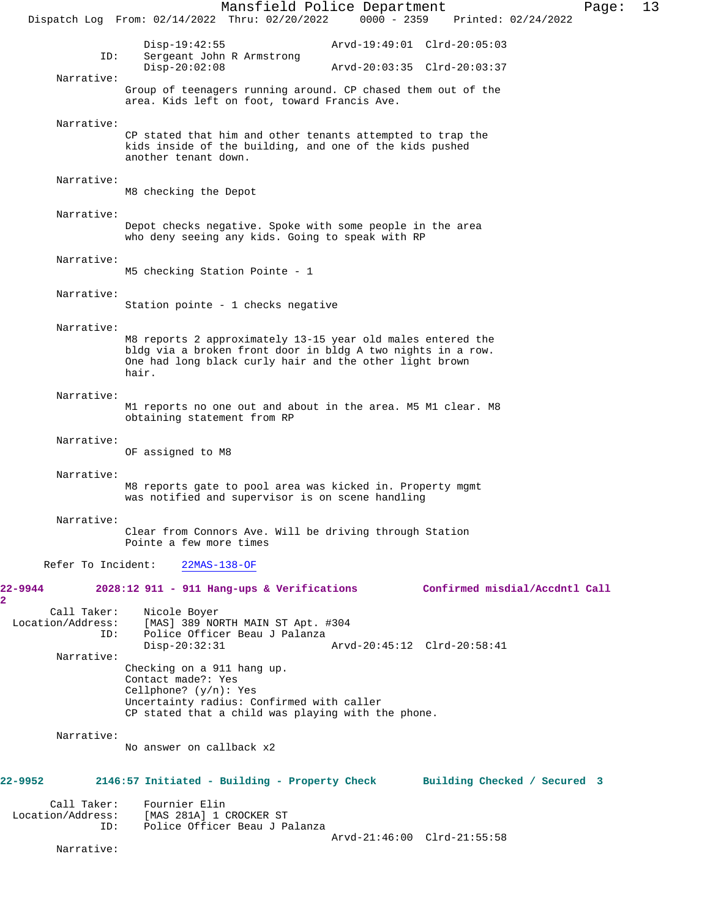Mansfield Police Department Page: 13 Dispatch Log From: 02/14/2022 Thru: 02/20/2022 0000 - 2359 Disp-19:42:55 <br>Disp-19:42:55 Arvd-19:49:01 Clrd-20:05:03<br>D: Sergeant John R Armstrong Sergeant John R Armstrong<br>Disp-20:02:08 Disp-20:02:08 Arvd-20:03:35 Clrd-20:03:37 Narrative: Group of teenagers running around. CP chased them out of the area. Kids left on foot, toward Francis Ave. Narrative: CP stated that him and other tenants attempted to trap the kids inside of the building, and one of the kids pushed another tenant down. Narrative: M8 checking the Depot Narrative: Depot checks negative. Spoke with some people in the area who deny seeing any kids. Going to speak with RP Narrative: M5 checking Station Pointe - 1 Narrative: Station pointe - 1 checks negative Narrative: M8 reports 2 approximately 13-15 year old males entered the bldg via a broken front door in bldg A two nights in a row. One had long black curly hair and the other light brown hair. Narrative: M1 reports no one out and about in the area. M5 M1 clear. M8 obtaining statement from RP Narrative: OF assigned to M8 Narrative: M8 reports gate to pool area was kicked in. Property mgmt was notified and supervisor is on scene handling Narrative: Clear from Connors Ave. Will be driving through Station Pointe a few more times Refer To Incident: 22MAS-138-OF **22-9944 2028:12 911 - 911 Hang-ups & Verifications Confirmed misdial/Accdntl Call** Call Taker: Nicole Boyer<br>Location/Address: [MAS] 389 NO ess: [MAS] 389 NORTH MAIN ST Apt. #304<br>ID: Police Officer Beau J Palanza Police Officer Beau J Palanza Disp-20:32:31 Arvd-20:45:12 Clrd-20:58:41 Narrative: Checking on a 911 hang up. Contact made?: Yes Cellphone? (y/n): Yes Uncertainty radius: Confirmed with caller CP stated that a child was playing with the phone. Narrative: No answer on callback x2 **22-9952 2146:57 Initiated - Building - Property Check Building Checked / Secured 3** Call Taker: Fournier Elin<br>Location/Address: [MAS 281A] 1 0 [MAS 281A] 1 CROCKER ST ID: Police Officer Beau J Palanza Arvd-21:46:00 Clrd-21:55:58 Narrative:

**2**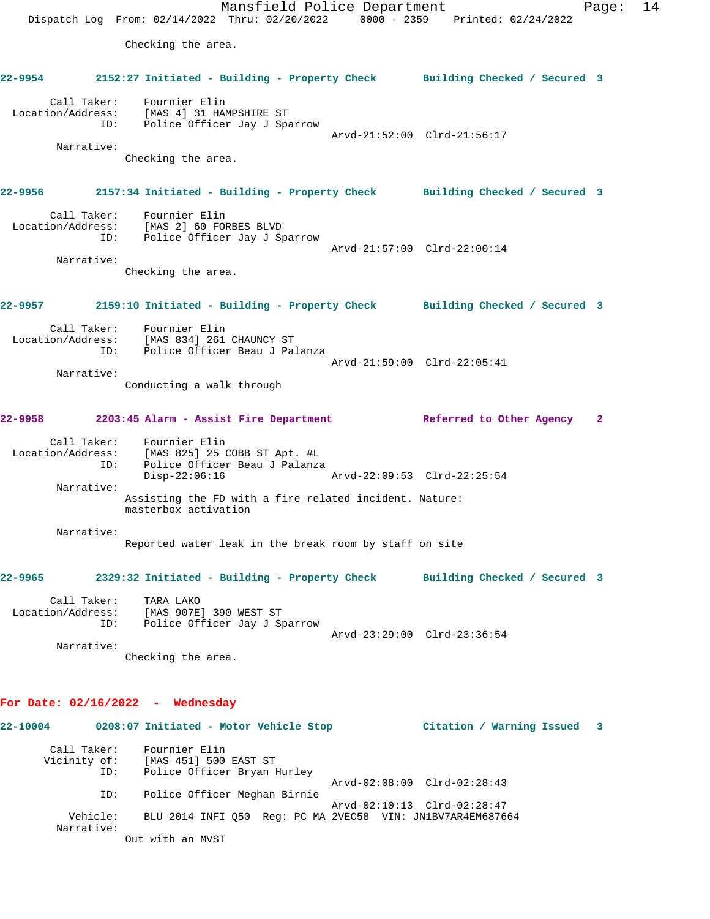Mansfield Police Department Fage: 14 Dispatch Log From: 02/14/2022 Thru: 02/20/2022 0000 - 2359 Printed: 02/24/2022 Checking the area. **22-9954 2152:27 Initiated - Building - Property Check Building Checked / Secured 3** Call Taker: Fournier Elin Location/Address: [MAS 4] 31 HAMPSHIRE ST ID: Police Officer Jay J Sparrow Arvd-21:52:00 Clrd-21:56:17 Narrative: Checking the area. **22-9956 2157:34 Initiated - Building - Property Check Building Checked / Secured 3** Call Taker: Fournier Elin Location/Address: [MAS 2] 60 FORBES BLVD ID: Police Officer Jay J Sparrow Arvd-21:57:00 Clrd-22:00:14 Narrative: Checking the area. **22-9957 2159:10 Initiated - Building - Property Check Building Checked / Secured 3** Call Taker: Fournier Elin Location/Address: [MAS 834] 261 CHAUNCY ST ID: Police Officer Beau J Palanza Arvd-21:59:00 Clrd-22:05:41 Narrative: Conducting a walk through **22-9958 2203:45 Alarm - Assist Fire Department Referred to Other Agency 2** Call Taker: Fournier Elin Location/Address: [MAS 825] 25 COBB ST Apt. #L ID: Police Officer Beau J Palanza Disp-22:06:16 Arvd-22:09:53 Clrd-22:25:54 Narrative: Assisting the FD with a fire related incident. Nature: masterbox activation Narrative: Reported water leak in the break room by staff on site **22-9965 2329:32 Initiated - Building - Property Check Building Checked / Secured 3** Call Taker: TARA LAKO Location/Address: [MAS 907E] 390 WEST ST ID: Police Officer Jay J Sparrow Arvd-23:29:00 Clrd-23:36:54 Narrative: Checking the area. **For Date: 02/16/2022 - Wednesday 22-10004 0208:07 Initiated - Motor Vehicle Stop Citation / Warning Issued 3** Call Taker: Fournier Elin Vicinity of: [MAS 451] 500 EAST ST<br>TD: Police Officer Bryan B Police Officer Bryan Hurley Arvd-02:08:00 Clrd-02:28:43 ID: Police Officer Meghan Birnie Arvd-02:10:13 Clrd-02:28:47

 Vehicle: BLU 2014 INFI Q50 Reg: PC MA 2VEC58 VIN: JN1BV7AR4EM687664 Narrative:

Out with an MVST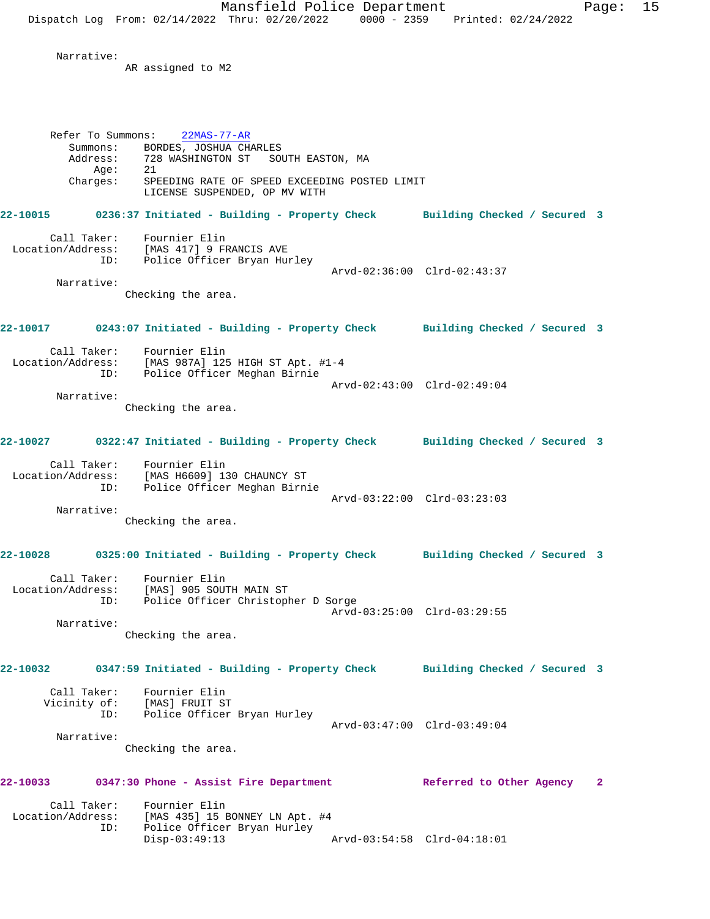Narrative:

AR assigned to M2

Refer To Summons: 22MAS-77-AR Summons: BORDES, JOSHUA CHARLES Address: 728 WASHINGTON ST SOUTH EASTON, MA Age: 21 Charges: SPEEDING RATE OF SPEED EXCEEDING POSTED LIMIT LICENSE SUSPENDED, OP MV WITH **22-10015 0236:37 Initiated - Building - Property Check Building Checked / Secured 3** Call Taker: Fournier Elin Location/Address: [MAS 417] 9 FRANCIS AVE ID: Police Officer Bryan Hurley Arvd-02:36:00 Clrd-02:43:37 Narrative: Checking the area. **22-10017 0243:07 Initiated - Building - Property Check Building Checked / Secured 3** Call Taker: Fournier Elin Location/Address: [MAS 987A] 125 HIGH ST Apt. #1-4 ID: Police Officer Meghan Birnie Arvd-02:43:00 Clrd-02:49:04 Narrative: Checking the area. **22-10027 0322:47 Initiated - Building - Property Check Building Checked / Secured 3** Call Taker: Fournier Elin Location/Address: [MAS H6609] 130 CHAUNCY ST ID: Police Officer Meghan Birnie Arvd-03:22:00 Clrd-03:23:03 Narrative: Checking the area. **22-10028 0325:00 Initiated - Building - Property Check Building Checked / Secured 3** Call Taker: Fournier Elin Location/Address: [MAS] 905 SOUTH MAIN ST<br>TD: Police Officer Christoph Police Officer Christopher D Sorge Arvd-03:25:00 Clrd-03:29:55 Narrative: Checking the area. **22-10032 0347:59 Initiated - Building - Property Check Building Checked / Secured 3** Call Taker: Fournier Elin Vicinity of: [MAS] FRUIT ST ID: Police Officer Bryan Hurley Arvd-03:47:00 Clrd-03:49:04 Narrative: Checking the area. **22-10033 0347:30 Phone - Assist Fire Department Referred to Other Agency 2** Call Taker: Fournier Elin Location/Address: [MAS 435] 15 BONNEY LN Apt. #4 Police Officer Bryan Hurley<br>Disp-03:49:13 Disp-03:49:13 Arvd-03:54:58 Clrd-04:18:01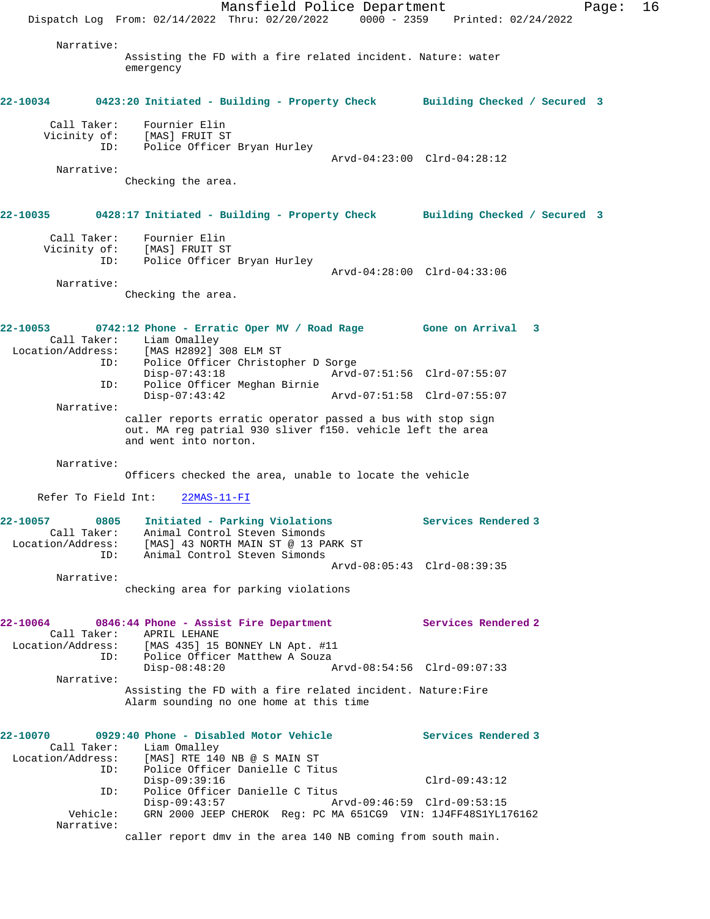Mansfield Police Department Fage: 16 Dispatch Log From: 02/14/2022 Thru: 02/20/2022 0000 - 2359 Printed: 02/24/2022 Narrative: Assisting the FD with a fire related incident. Nature: water emergency **22-10034 0423:20 Initiated - Building - Property Check Building Checked / Secured 3** Call Taker: Fournier Elin<br>Vicinity of: [MAS] FRUIT ST of: [MAS] FRUIT ST<br>ID: Police Officer Police Officer Bryan Hurley Arvd-04:23:00 Clrd-04:28:12 Narrative: Checking the area. **22-10035 0428:17 Initiated - Building - Property Check Building Checked / Secured 3** Call Taker: Fournier Elin Vicinity of: [MAS] FRUIT ST ID: Police Officer Bryan Hurley Arvd-04:28:00 Clrd-04:33:06 Narrative: Checking the area. **22-10053 0742:12 Phone - Erratic Oper MV / Road Rage Gone on Arrival 3**  Call Taker: Liam Omalley Location/Address: [MAS H2892] 308 ELM ST ID: Police Officer Christopher D Sorge Disp-07:43:18 Arvd-07:51:56 Clrd-07:55:07<br>ID: Police Officer Meghan Birnie Police Officer Meghan Birnie<br>Disp-07:43:42 Disp-07:43:42 Arvd-07:51:58 Clrd-07:55:07 Narrative: caller reports erratic operator passed a bus with stop sign out. MA reg patrial 930 sliver f150. vehicle left the area and went into norton. Narrative: Officers checked the area, unable to locate the vehicle Refer To Field Int: 22MAS-11-FI **22-10057 0805 Initiated - Parking Violations Services Rendered 3**  Call Taker: Animal Control Steven Simonds Location/Address: [MAS] 43 NORTH MAIN ST @ 13 PARK ST ID: Animal Control Steven Simonds Arvd-08:05:43 Clrd-08:39:35 Narrative: checking area for parking violations **22-10064 0846:44 Phone - Assist Fire Department Services Rendered 2**  Call Taker: APRIL LEHANE Location/Address: [MAS 435] 15 BONNEY LN Apt. #11 ID: Police Officer Matthew A Souza<br>Disp-08:48:20 A Disp-08:48:20 Arvd-08:54:56 Clrd-09:07:33 Narrative: Assisting the FD with a fire related incident. Nature:Fire Alarm sounding no one home at this time **22-10070 0929:40 Phone - Disabled Motor Vehicle Services Rendered 3**  Call Taker: Liam Omalley<br>Location/Address: [MAS] RTE 14 [MAS] RTE 140 NB @ S MAIN ST ID: Police Officer Danielle C Titus Disp-09:39:16 Clrd-09:43:12 ID: Police Officer Danielle C Titus Disp-09:43:57 Arvd-09:46:59 Clrd-09:53:15 Vehicle: GRN 2000 JEEP CHEROK Reg: PC MA 651CG9 VIN: 1J4FF48S1YL176162 Narrative: caller report dmv in the area 140 NB coming from south main.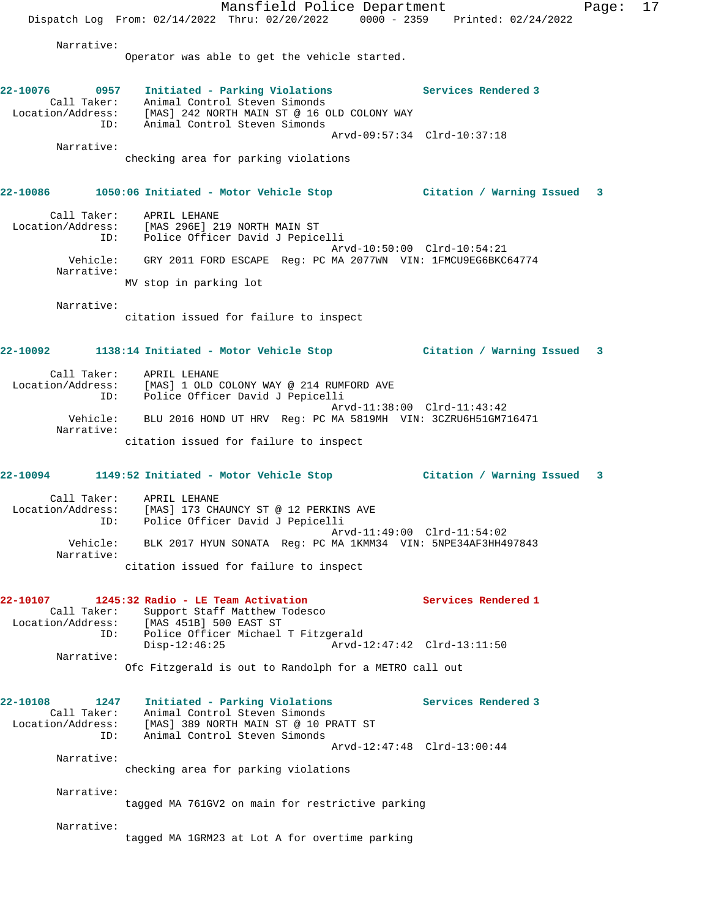Mansfield Police Department Fage: 17 Dispatch Log From: 02/14/2022 Thru: 02/20/2022 0000 - 2359 Printed: 02/24/2022 Narrative: Operator was able to get the vehicle started. **22-10076 0957 Initiated - Parking Violations Services Rendered 3**  Call Taker: Animal Control Steven Simonds Location/Address: [MAS] 242 NORTH MAIN ST @ 16 OLD COLONY WAY ID: Animal Control Steven Simonds Arvd-09:57:34 Clrd-10:37:18 Narrative: checking area for parking violations **22-10086 1050:06 Initiated - Motor Vehicle Stop Citation / Warning Issued 3** Call Taker: APRIL LEHANE Location/Address: [MAS 296E] 219 NORTH MAIN ST ID: Police Officer David J Pepicelli Arvd-10:50:00 Clrd-10:54:21 Vehicle: GRY 2011 FORD ESCAPE Reg: PC MA 2077WN VIN: 1FMCU9EG6BKC64774 Narrative: MV stop in parking lot Narrative: citation issued for failure to inspect **22-10092 1138:14 Initiated - Motor Vehicle Stop Citation / Warning Issued 3** Call Taker: APRIL LEHANE Location/Address: [MAS] 1 OLD COLONY WAY @ 214 RUMFORD AVE ID: Police Officer David J Pepicelli Arvd-11:38:00 Clrd-11:43:42 Vehicle: BLU 2016 HOND UT HRV Reg: PC MA 5819MH VIN: 3CZRU6H51GM716471 Narrative: citation issued for failure to inspect **22-10094 1149:52 Initiated - Motor Vehicle Stop Citation / Warning Issued 3** Call Taker: APRIL LEHANE Location/Address: [MAS] 173 CHAUNCY ST @ 12 PERKINS AVE ID: Police Officer David J Pepicelli Arvd-11:49:00 Clrd-11:54:02 Vehicle: BLK 2017 HYUN SONATA Reg: PC MA 1KMM34 VIN: 5NPE34AF3HH497843 Narrative: citation issued for failure to inspect **22-10107 1245:32 Radio - LE Team Activation Services Rendered 1**  Call Taker: Support Staff Matthew Todesco Location/Address: [MAS 451B] 500 EAST ST ID: Police Officer Michael T Fitzgerald Disp-12:46:25 Arvd-12:47:42 Clrd-13:11:50 Narrative: Ofc Fitzgerald is out to Randolph for a METRO call out **22-10108 1247 Initiated - Parking Violations Services Rendered 3**  Call Taker: Animal Control Steven Simonds Location/Address: [MAS] 389 NORTH MAIN ST @ 10 PRATT ST ID: Animal Control Steven Simonds Arvd-12:47:48 Clrd-13:00:44 Narrative: checking area for parking violations Narrative: tagged MA 761GV2 on main for restrictive parking Narrative: tagged MA 1GRM23 at Lot A for overtime parking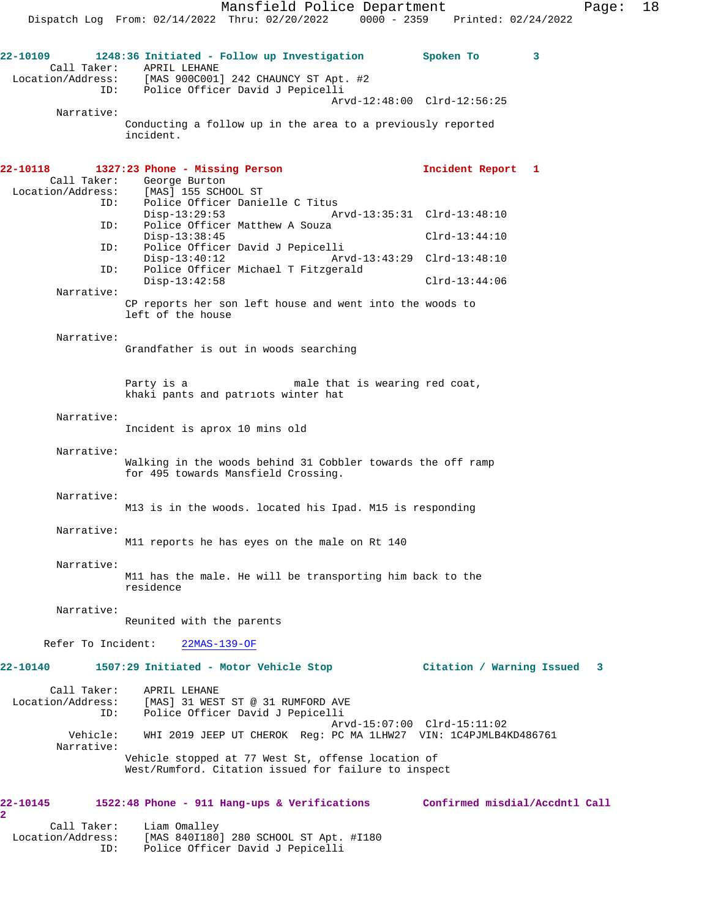Mansfield Police Department Page: 18 Dispatch Log From: 02/14/2022 Thru: 02/20/2022 0000 - 2359 Printed: 02/24/2022 **22-10109 1248:36 Initiated - Follow up Investigation Spoken To 3**  Call Taker: APRIL LEHANE Location/Address: [MAS 900C001] 242 CHAUNCY ST Apt. #2 ID: Police Officer David J Pepicelli Arvd-12:48:00 Clrd-12:56:25 Narrative: Conducting a follow up in the area to a previously reported incident. **22-10118 1327:23 Phone - Missing Person Incident Report 1**  Call Taker: George Burton Location/Address: [MAS] 155 SCHOOL ST<br>ID: Police Officer Danie Police Officer Danielle C Titus<br>Disp-13:29:53 Ar Disp-13:29:53 Arvd-13:35:31 Clrd-13:48:10 ID: Police Officer Matthew A Souza Disp-13:38:45 Clrd-13:44:10<br>TD: Police Officer David J Pepicelli Police Officer David J Pepicelli Disp-13:40:12 Arvd-13:43:29 Clrd-13:48:10<br>ID: Police Officer Michael T Fitzgerald Police Officer Michael T Fitzgerald Disp-13:42:58 Clrd-13:44:06 Narrative: CP reports her son left house and went into the woods to left of the house Narrative: Grandfather is out in woods searching Party is a male that is wearing red coat, khaki pants and patriots winter hat Narrative: Incident is aprox 10 mins old Narrative: Walking in the woods behind 31 Cobbler towards the off ramp for 495 towards Mansfield Crossing. Narrative: M13 is in the woods. located his Ipad. M15 is responding Narrative: M11 reports he has eyes on the male on Rt 140 Narrative: M11 has the male. He will be transporting him back to the residence Narrative: Reunited with the parents Refer To Incident: 22MAS-139-OF **22-10140 1507:29 Initiated - Motor Vehicle Stop Citation / Warning Issued 3** Call Taker: APRIL LEHANE Location/Address: [MAS] 31 WEST ST @ 31 RUMFORD AVE ID: Police Officer David J Pepicelli Arvd-15:07:00 Clrd-15:11:02 WHI 2019 JEEP UT CHEROK Reg: PC MA 1LHW27 VIN: 1C4PJMLB4KD486761 Narrative: Vehicle stopped at 77 West St, offense location of West/Rumford. Citation issued for failure to inspect **22-10145 1522:48 Phone - 911 Hang-ups & Verifications Confirmed misdial/Accdntl Call 2** 

 Call Taker: Liam Omalley Location/Address: [MAS 840I180] 280 SCHOOL ST Apt. #I180 ID: Police Officer David J Pepicelli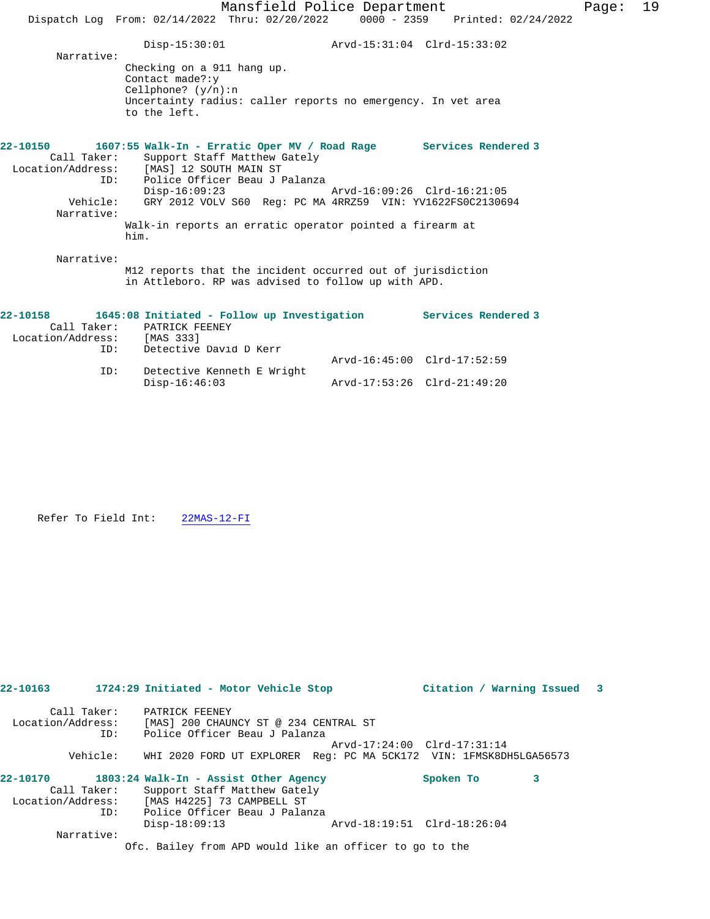|                                                                                                         |                                                                                                                   | Mansfield Police Department               |  |  |
|---------------------------------------------------------------------------------------------------------|-------------------------------------------------------------------------------------------------------------------|-------------------------------------------|--|--|
|                                                                                                         | Dispatch Log From: 02/14/2022 Thru: 02/20/2022 0000 - 2359 Printed: 02/24/2022                                    |                                           |  |  |
| Narrative:                                                                                              | $Disp-15:30:01$                                                                                                   |                                           |  |  |
|                                                                                                         | Checking on a 911 hang up.<br>Contact made?: $y$<br>Cellphone? $(y/n):n$                                          |                                           |  |  |
|                                                                                                         | Uncertainty radius: caller reports no emergency. In vet area<br>to the left.                                      |                                           |  |  |
| 22-10150 1607:55 Walk-In - Erratic Oper MV / Road Rage Services Rendered 3<br>Call Taker:               | Support Staff Matthew Gately<br>Location/Address: [MAS] 12 SOUTH MAIN ST<br>ID: Police Officer Beau J Palanza     |                                           |  |  |
| Narrative:                                                                                              | Vehicle: GRY 2012 VOLV S60 Reg: PC MA 4RRZ59 VIN: YV1622FS0C2130694                                               | Disp-16:09:23 Arvd-16:09:26 Clrd-16:21:05 |  |  |
|                                                                                                         | Walk-in reports an erratic operator pointed a firearm at<br>him.                                                  |                                           |  |  |
| Narrative:                                                                                              | M12 reports that the incident occurred out of jurisdiction<br>in Attleboro. RP was advised to follow up with APD. |                                           |  |  |
| 22-10158 1645:08 Initiated - Follow up Investigation Services Rendered 3<br>Location/Address: [MAS 333] | Call Taker: PATRICK FEENEY                                                                                        |                                           |  |  |

| Location/Address:<br>TD: | [MAS 333]<br>Detective David D Kerr |                             |                             |
|--------------------------|-------------------------------------|-----------------------------|-----------------------------|
|                          |                                     | Arvd-16:45:00 Clrd-17:52:59 |                             |
| ID:                      | Detective Kenneth E Wright          |                             |                             |
|                          | Disp-16:46:03                       |                             | Arvd-17:53:26 Clrd-21:49:20 |

Refer To Field Int: 22MAS-12-FI

| 22-10163          |             | 1724:29 Initiated - Motor Vehicle Stop                             | Citation / Warning Issued 3 |   |  |
|-------------------|-------------|--------------------------------------------------------------------|-----------------------------|---|--|
|                   | Call Taker: | PATRICK FEENEY                                                     |                             |   |  |
| Location/Address: |             | [MAS] 200 CHAUNCY ST @ 234 CENTRAL ST                              |                             |   |  |
|                   | ID:         | Police Officer Beau J Palanza                                      |                             |   |  |
|                   |             |                                                                    | Arvd-17:24:00 Clrd-17:31:14 |   |  |
|                   | Vehicle:    | WHI 2020 FORD UT EXPLORER Req: PC MA 5CK172 VIN: 1FMSK8DH5LGA56573 |                             |   |  |
| 22-10170          |             | 1803:24 Walk-In - Assist Other Agency                              | Spoken To                   | 3 |  |
|                   | Call Taker: | Support Staff Matthew Gately                                       |                             |   |  |
| Location/Address: |             | [MAS H4225] 73 CAMPBELL ST                                         |                             |   |  |
|                   | ID:         | Police Officer Beau J Palanza                                      |                             |   |  |
|                   |             | $Disp-18:09:13$                                                    | Arvd-18:19:51 Clrd-18:26:04 |   |  |
|                   | Narrative:  |                                                                    |                             |   |  |
|                   |             |                                                                    |                             |   |  |

Ofc. Bailey from APD would like an officer to go to the

Page:  $19$ <br> $^{12}$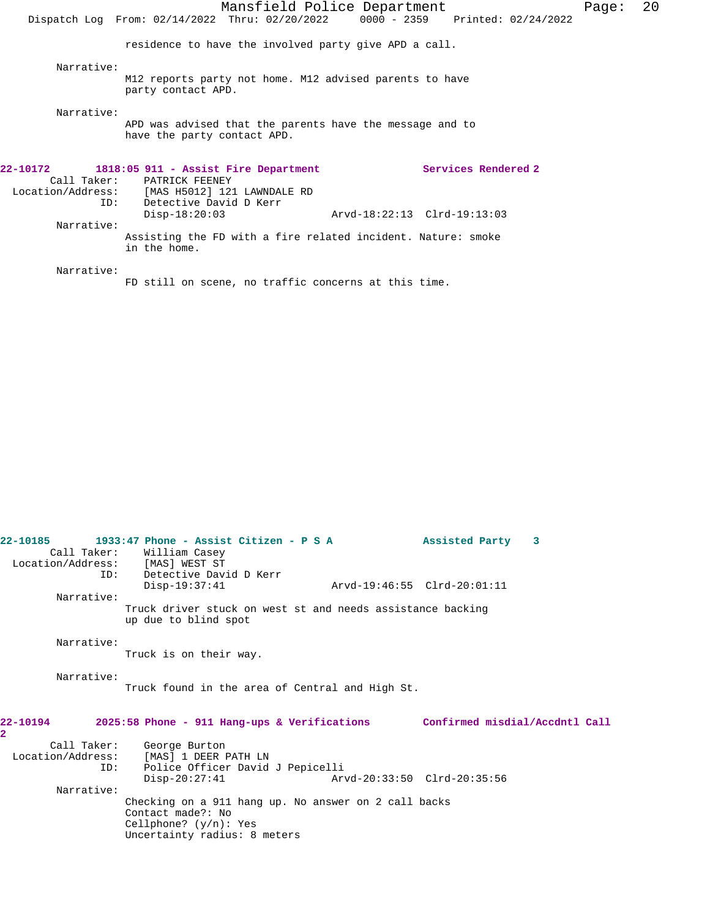|            | Dispatch Log From: 02/14/2022 Thru: 02/20/2022 0000 - 2359 Printed: 02/24/2022                                                                         | Mansfield Police Department |                     | Page: | 20 |
|------------|--------------------------------------------------------------------------------------------------------------------------------------------------------|-----------------------------|---------------------|-------|----|
|            | residence to have the involved party give APD a call.                                                                                                  |                             |                     |       |    |
| Narrative: | M12 reports party not home. M12 advised parents to have<br>party contact APD.                                                                          |                             |                     |       |    |
| Narrative: | APD was advised that the parents have the message and to<br>have the party contact APD.                                                                |                             |                     |       |    |
| ID:        | 22-10172 1818:05 911 - Assist Fire Department<br>Call Taker: PATRICK FEENEY<br>Location/Address: [MAS H5012] 121 LAWNDALE RD<br>Detective David D Kerr |                             | Services Rendered 2 |       |    |
| Narrative: | $Disp-18:20:03$                                                                                                                                        | Arvd-18:22:13 Clrd-19:13:03 |                     |       |    |
|            | Assisting the FD with a fire related incident. Nature: smoke<br>in the home.                                                                           |                             |                     |       |    |
| Narrative: |                                                                                                                                                        |                             |                     |       |    |
|            | FD still on scene, no traffic concerns at this time.                                                                                                   |                             |                     |       |    |

| 22-10185      | 1933:47 Phone - Assist Citizen - P S A<br>Call Taker: William Casey<br>Location/Address: [MAS] WEST ST<br>ID: Detective David D Kerr  |                             | Assisted Party 3                                                            |
|---------------|---------------------------------------------------------------------------------------------------------------------------------------|-----------------------------|-----------------------------------------------------------------------------|
|               | $Disp-19:37:41$                                                                                                                       | Arvd-19:46:55 Clrd-20:01:11 |                                                                             |
| Narrative:    |                                                                                                                                       |                             |                                                                             |
|               | Truck driver stuck on west st and needs assistance backing<br>up due to blind spot                                                    |                             |                                                                             |
| Narrative:    | Truck is on their way.                                                                                                                |                             |                                                                             |
| Narrative:    | Truck found in the area of Central and High St.                                                                                       |                             |                                                                             |
| 22-10194<br>2 |                                                                                                                                       |                             | 2025:58 Phone - 911 Hang-ups & Verifications Confirmed misdial/Accdntl Call |
|               | Call Taker: George Burton                                                                                                             |                             |                                                                             |
|               | Location/Address: [MAS] 1 DEER PATH LN                                                                                                |                             |                                                                             |
|               | ID: Police Officer David J Pepicelli                                                                                                  |                             |                                                                             |
| Narrative:    | $Disp-20:27:41$                                                                                                                       | Arvd-20:33:50 Clrd-20:35:56 |                                                                             |
|               | Checking on a 911 hang up. No answer on 2 call backs<br>Contact made?: No<br>Cellphone? $(y/n)$ : Yes<br>Uncertainty radius: 8 meters |                             |                                                                             |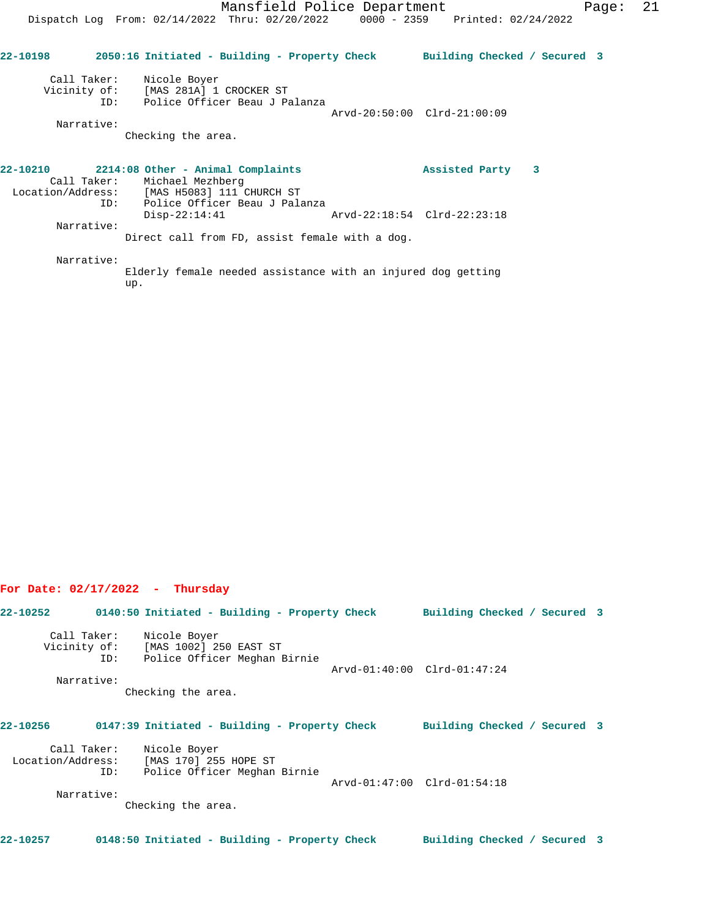**22-10198 2050:16 Initiated - Building - Property Check Building Checked / Secured 3** Call Taker: Nicole Boyer Vicinity of: [MAS 281A] 1 CROCKER ST ID: Police Officer Beau J Palanza Arvd-20:50:00 Clrd-21:00:09 Narrative: Checking the area. **22-10210 2214:08 Other - Animal Complaints Assisted Party 3**  Call Taker: Michael Mezhberg Location/Address: [MAS H5083] 111 CHURCH ST ID: Police Officer Beau J Palanza Disp-22:14:41 Arvd-22:18:54 Clrd-22:23:18 Narrative: Direct call from FD, assist female with a dog. Narrative:

Elderly female needed assistance with an injured dog getting up.

## **For Date: 02/17/2022 - Thursday**

**22-10252 0140:50 Initiated - Building - Property Check Building Checked / Secured 3** Call Taker: Nicole Boyer Vicinity of: [MAS 1002] 250 EAST ST ID: Police Officer Meghan Birnie Arvd-01:40:00 Clrd-01:47:24 Narrative: Checking the area. **22-10256 0147:39 Initiated - Building - Property Check Building Checked / Secured 3** Call Taker: Nicole Boyer Location/Address: [MAS 170] 255 HOPE ST<br>ID: Police Officer Meghan ID: Police Officer Meghan Birnie Arvd-01:47:00 Clrd-01:54:18 Narrative: Checking the area. **22-10257 0148:50 Initiated - Building - Property Check Building Checked / Secured 3**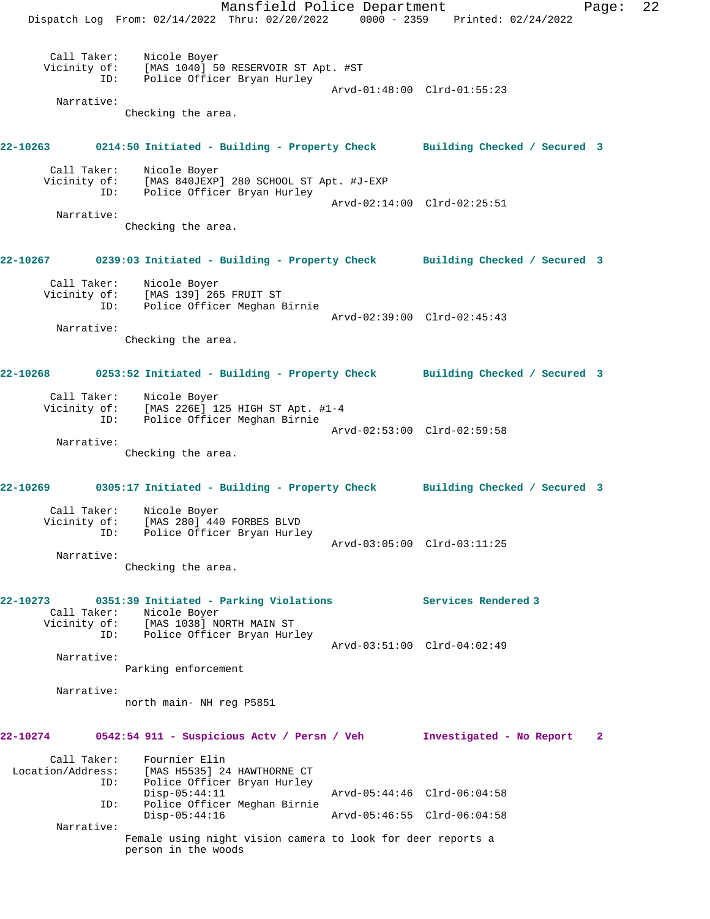Mansfield Police Department Page: 22 Dispatch Log From: 02/14/2022 Thru: 02/20/2022 0000 - 2359 Printed: 02/24/2022 Call Taker: Nicole Boyer Vicinity of: [MAS 1040] 50 RESERVOIR ST Apt. #ST ID: Police Officer Bryan Hurley Arvd-01:48:00 Clrd-01:55:23 Narrative: Checking the area. **22-10263 0214:50 Initiated - Building - Property Check Building Checked / Secured 3** Call Taker: Nicole Boyer Vicinity of: [MAS 840JEXP] 280 SCHOOL ST Apt. #J-EXP ID: Police Officer Bryan Hurley Arvd-02:14:00 Clrd-02:25:51 Narrative: Checking the area. **22-10267 0239:03 Initiated - Building - Property Check Building Checked / Secured 3** Call Taker: Nicole Boyer Vicinity of: [MAS 139]<sup>[265 FRUIT ST]</sup> ID: Police Officer Meghan Birnie Arvd-02:39:00 Clrd-02:45:43 Narrative: Checking the area. **22-10268 0253:52 Initiated - Building - Property Check Building Checked / Secured 3** Call Taker: Nicole Boyer Vicinity of: [MAS 226E] 125 HIGH ST Apt. #1-4 ID: Police Officer Meghan Birnie Arvd-02:53:00 Clrd-02:59:58 Narrative: Checking the area. **22-10269 0305:17 Initiated - Building - Property Check Building Checked / Secured 3** Call Taker: Nicole Boyer Vicinity of: [MAS 280] 440 FORBES BLVD ID: Police Officer Bryan Hurley Arvd-03:05:00 Clrd-03:11:25 Narrative: Checking the area. **22-10273 0351:39 Initiated - Parking Violations Services Rendered 3**  Call Taker: Nicole Boyer Vicinity of: [MAS 1038] NORTH MAIN ST ID: Police Officer Bryan Hurley Arvd-03:51:00 Clrd-04:02:49 Narrative: Parking enforcement Narrative: north main- NH reg P5851 **22-10274 0542:54 911 - Suspicious Actv / Persn / Veh Investigated - No Report 2** Call Taker: Fournier Elin<br>Location/Address: [MAS H5535] 24 ess: [MAS H5535] 24 HAWTHORNE CT<br>ID: Police Officer Brvan Hurlev Police Officer Bryan Hurley Disp-05:44:11 Arvd-05:44:46 Clrd-06:04:58 ID: Police Officer Meghan Birnie Arvd-05:46:55 Clrd-06:04:58 Narrative: Female using night vision camera to look for deer reports a person in the woods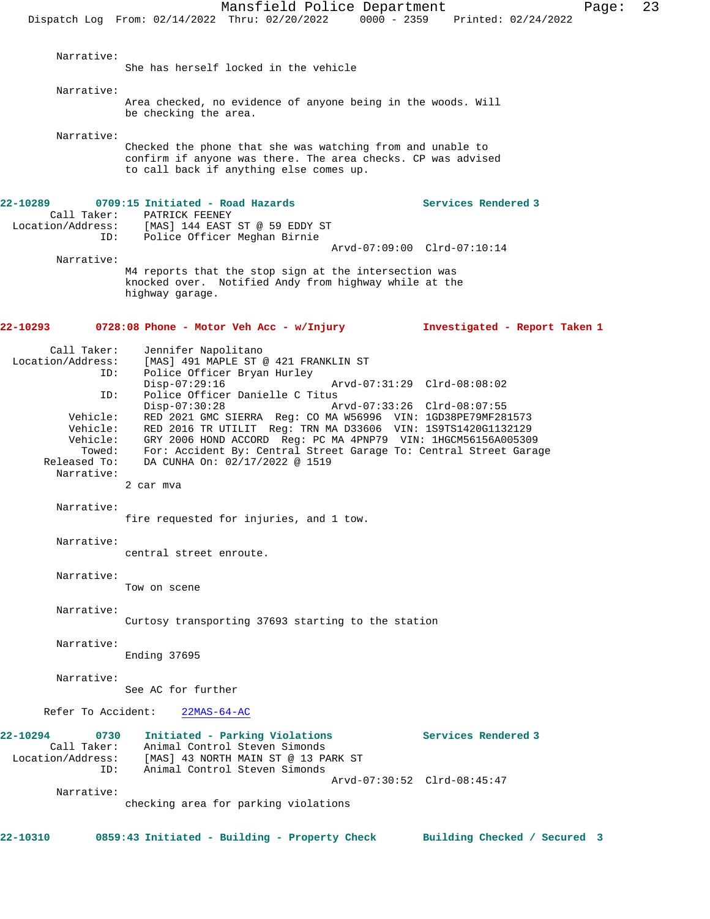She has herself locked in the vehicle

Narrative:

Area checked, no evidence of anyone being in the woods. Will be checking the area.

Narrative:

Checked the phone that she was watching from and unable to confirm if anyone was there. The area checks. CP was advised to call back if anything else comes up.

| 22-10289                         | 0709:15 Initiated - Road Hazards                                                                               | Services Rendered 3           |
|----------------------------------|----------------------------------------------------------------------------------------------------------------|-------------------------------|
| Call Taker:                      | PATRICK FEENEY                                                                                                 |                               |
| Location/Address:                | [MAS] 144 EAST ST @ 59 EDDY ST                                                                                 |                               |
| ID:                              | Police Officer Meghan Birnie                                                                                   |                               |
|                                  |                                                                                                                | Arvd-07:09:00 Clrd-07:10:14   |
| Narrative:                       |                                                                                                                |                               |
|                                  | M4 reports that the stop sign at the intersection was<br>knocked over. Notified Andy from highway while at the |                               |
|                                  | highway garage.                                                                                                |                               |
|                                  |                                                                                                                |                               |
|                                  |                                                                                                                |                               |
| 22-10293                         | $0728:08$ Phone - Motor Veh Acc - w/Injury                                                                     | Investigated - Report Taken 1 |
|                                  |                                                                                                                |                               |
| Call Taker:<br>Location/Address: | Jennifer Napolitano<br>[MAS] 491 MAPLE ST @ 421 FRANKLIN ST                                                    |                               |
| ID:                              | Police Officer Bryan Hurley                                                                                    |                               |
|                                  | $Disp-07:29:16$                                                                                                | Arvd-07:31:29 Clrd-08:08:02   |
| ID:                              | Police Officer Danielle C Titus                                                                                |                               |
|                                  | Disp-07:30:28                                                                                                  | Arvd-07:33:26 Clrd-08:07:55   |
| Vehicle:                         | RED 2021 GMC SIERRA Reg: CO MA W56996 VIN: 1GD38PE79MF281573                                                   |                               |
| Vehicle:                         | RED 2016 TR UTILIT Req: TRN MA D33606 VIN: 1S9TS1420G1132129                                                   |                               |
| Vehicle:                         | GRY 2006 HOND ACCORD Req: PC MA 4PNP79 VIN: 1HGCM56156A005309                                                  |                               |
| Towed:                           | For: Accident By: Central Street Garage To: Central Street Garage                                              |                               |
| Released To:                     | DA CUNHA On: 02/17/2022 @ 1519                                                                                 |                               |
| Narrative:                       |                                                                                                                |                               |
|                                  | 2 car mva                                                                                                      |                               |
| Narrative:                       |                                                                                                                |                               |
|                                  | fire requested for injuries, and 1 tow.                                                                        |                               |
|                                  |                                                                                                                |                               |
| Narrative:                       |                                                                                                                |                               |
|                                  | central street enroute.                                                                                        |                               |
|                                  |                                                                                                                |                               |
| Narrative:                       |                                                                                                                |                               |
|                                  | Tow on scene                                                                                                   |                               |
| Narrative:                       |                                                                                                                |                               |
|                                  | Curtosy transporting 37693 starting to the station                                                             |                               |
|                                  |                                                                                                                |                               |
| Narrative:                       |                                                                                                                |                               |
|                                  | Ending 37695                                                                                                   |                               |
|                                  |                                                                                                                |                               |
| Narrative:                       |                                                                                                                |                               |
|                                  | See AC for further                                                                                             |                               |
|                                  |                                                                                                                |                               |
| Refer To Accident:               | $22MAS-64-AC$                                                                                                  |                               |
| 22-10294<br>0730                 | Initiated - Parking Violations                                                                                 | Services Rendered 3           |
| Call Taker:                      | Animal Control Steven Simonds                                                                                  |                               |
| Location/Address:                | [MAS] 43 NORTH MAIN ST @ 13 PARK ST                                                                            |                               |
| ID:                              | Animal Control Steven Simonds                                                                                  |                               |
|                                  |                                                                                                                | Arvd-07:30:52 Clrd-08:45:47   |
| Narrative:                       |                                                                                                                |                               |
|                                  | checking area for parking violations                                                                           |                               |
|                                  |                                                                                                                |                               |
| 22-10310                         | 0859:43 Initiated - Building - Property Check                                                                  | Building Checked / Secured 3  |
|                                  |                                                                                                                |                               |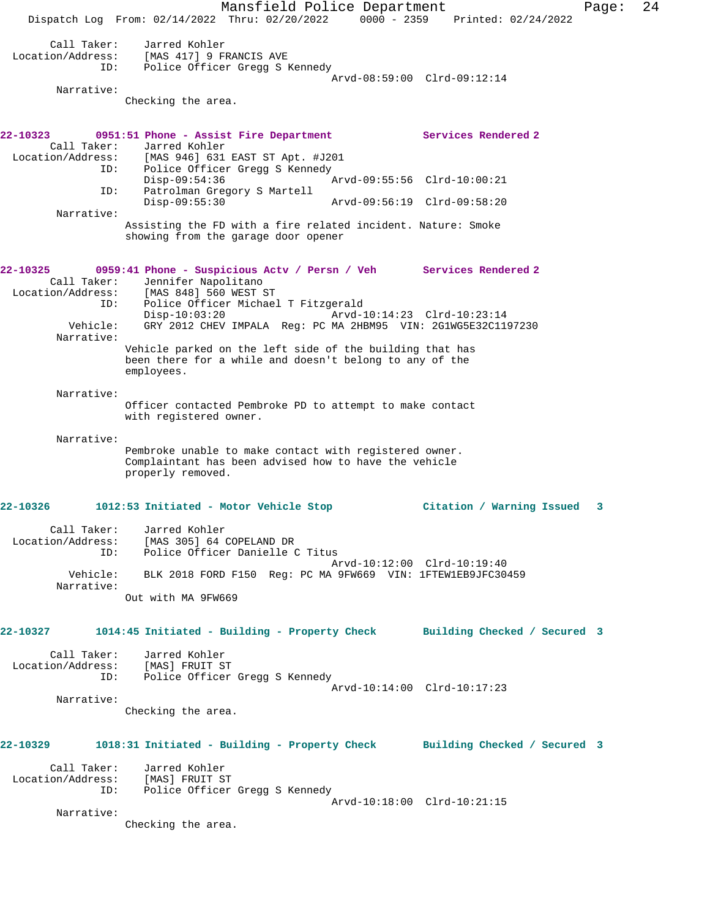Mansfield Police Department Page: 24 Dispatch Log From: 02/14/2022 Thru: 02/20/2022 0000 - 2359 Printed: 02/24/2022 Call Taker: Jarred Kohler Location/Address: [MAS 417] 9 FRANCIS AVE ID: Police Officer Gregg S Kennedy Arvd-08:59:00 Clrd-09:12:14 Narrative: Checking the area. **22-10323 0951:51 Phone - Assist Fire Department Services Rendered 2**  Call Taker: Jarred Kohler<br>Location/Address: [MAS 946] 631 [MAS 946] 631 EAST ST Apt. #J201 ID: Police Officer Gregg S Kennedy<br>Disp-09:54:36 Disp-09:54:36 Arvd-09:55:56 Clrd-10:00:21 ID: Patrolman Gregory S Martell Disp-09:55:30 Arvd-09:56:19 Clrd-09:58:20 Narrative: Assisting the FD with a fire related incident. Nature: Smoke showing from the garage door opener **22-10325 0959:41 Phone - Suspicious Actv / Persn / Veh Services Rendered 2**  Call Taker: Jennifer Napolitano Location/Address: [MAS 848] 560 WEST ST ID: Police Officer Michael T Fitzgerald<br>:-Disp-10:03:20 Arvd Arvd-10:14:23 Clrd-10:23:14 Vehicle: GRY 2012 CHEV IMPALA Reg: PC MA 2HBM95 VIN: 2G1WG5E32C1197230 Narrative: Vehicle parked on the left side of the building that has been there for a while and doesn't belong to any of the employees. Narrative: Officer contacted Pembroke PD to attempt to make contact with registered owner. Narrative: Pembroke unable to make contact with registered owner. Complaintant has been advised how to have the vehicle properly removed. **22-10326 1012:53 Initiated - Motor Vehicle Stop Citation / Warning Issued 3** Call Taker: Jarred Kohler Location/Address: [MAS 305] 64 COPELAND DR ID: Police Officer Danielle C Titus Arvd-10:12:00 Clrd-10:19:40 Vehicle: BLK 2018 FORD F150 Reg: PC MA 9FW669 VIN: 1FTEW1EB9JFC30459 Narrative: Out with MA 9FW669 **22-10327 1014:45 Initiated - Building - Property Check Building Checked / Secured 3** Call Taker: Jarred Kohler Location/Address: [MAS] FRUIT ST ID: Police Officer Gregg S Kennedy Arvd-10:14:00 Clrd-10:17:23 Narrative: Checking the area. **22-10329 1018:31 Initiated - Building - Property Check Building Checked / Secured 3** Call Taker: Jarred Kohler Location/Address: [MAS] FRUIT ST Police Officer Gregg S Kennedy Arvd-10:18:00 Clrd-10:21:15 Narrative: Checking the area.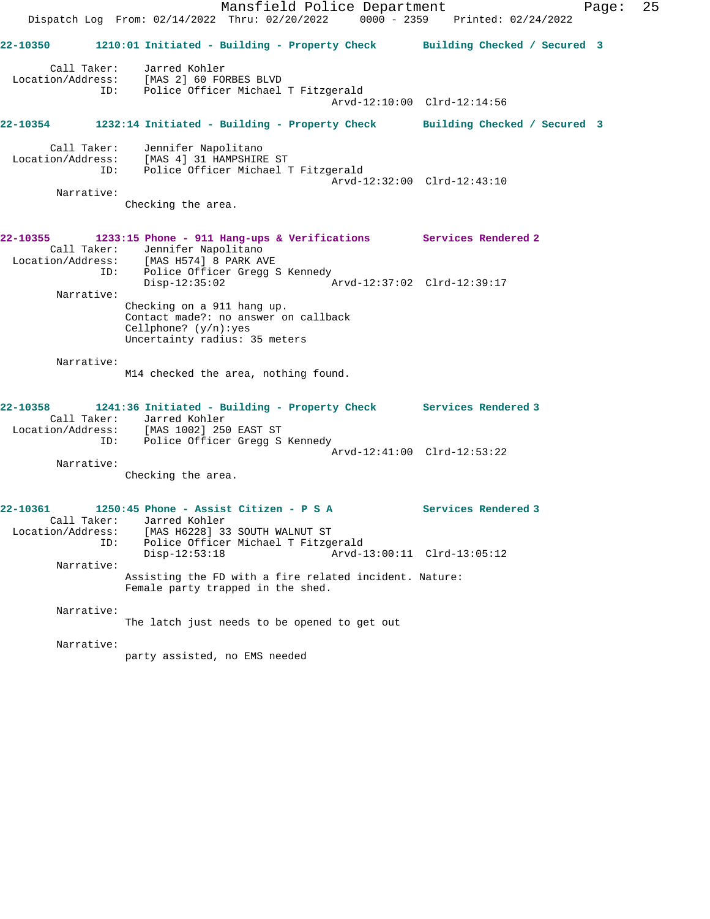Mansfield Police Department Page: 25 Dispatch Log From: 02/14/2022 Thru: 02/20/2022 0000 - 2359 Printed: 02/24/2022 **22-10350 1210:01 Initiated - Building - Property Check Building Checked / Secured 3** Call Taker: Jarred Kohler Location/Address: [MAS 2] 60 FORBES BLVD ID: Police Officer Michael T Fitzgerald Arvd-12:10:00 Clrd-12:14:56 **22-10354 1232:14 Initiated - Building - Property Check Building Checked / Secured 3** Call Taker: Jennifer Napolitano Location/Address: [MAS 4] 31 HAMPSHIRE ST ID: Police Officer Michael T Fitzgerald Arvd-12:32:00 Clrd-12:43:10 Narrative: Checking the area. **22-10355 1233:15 Phone - 911 Hang-ups & Verifications Services Rendered 2**  Call Taker: Jennifer Napolitano Location/Address: [MAS H574] 8 PARK AVE ID: Police Officer Gregg S Kennedy<br>Disp-12:35:02 Disp-12:35:02 Arvd-12:37:02 Clrd-12:39:17 Narrative: Checking on a 911 hang up. Contact made?: no answer on callback Cellphone? (y/n):yes Uncertainty radius: 35 meters Narrative: M14 checked the area, nothing found. **22-10358 1241:36 Initiated - Building - Property Check Services Rendered 3**  Call Taker: Jarred Kohler Location/Address: [MAS 1002] 250 EAST ST ID: Police Officer Gregg S Kennedy Arvd-12:41:00 Clrd-12:53:22 Narrative: Checking the area. **22-10361 1250:45 Phone - Assist Citizen - P S A Services Rendered 3**  Call Taker: Jarred Kohler Location/Address: [MAS H6228] 33 SOUTH WALNUT ST ID: Police Officer Michael T Fitzgerald Disp-12:53:18 Arvd-13:00:11 Clrd-13:05:12 Narrative: Assisting the FD with a fire related incident. Nature: Female party trapped in the shed. Narrative: The latch just needs to be opened to get out Narrative: party assisted, no EMS needed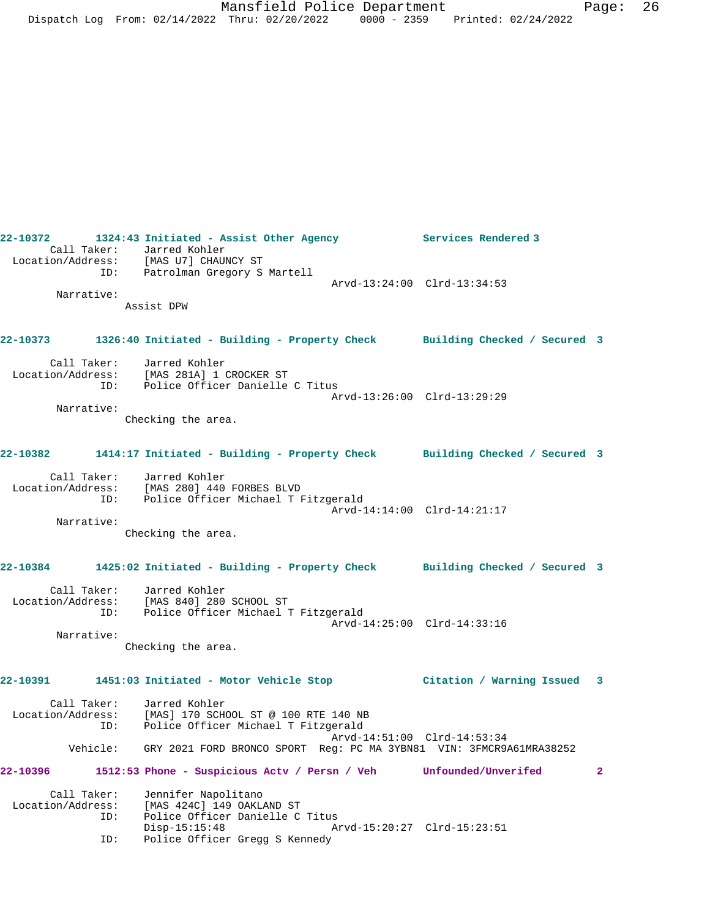**22-10372 1324:43 Initiated - Assist Other Agency Services Rendered 3**  Call Taker: Jarred Kohler Location/Address: [MAS U7] CHAUNCY ST ID: Patrolman Gregory S Martell Arvd-13:24:00 Clrd-13:34:53 Narrative: Assist DPW **22-10373 1326:40 Initiated - Building - Property Check Building Checked / Secured 3** Call Taker: Jarred Kohler Location/Address: [MAS 281A] 1 CROCKER ST ID: Police Officer Danielle C Titus Arvd-13:26:00 Clrd-13:29:29 Narrative: Checking the area. **22-10382 1414:17 Initiated - Building - Property Check Building Checked / Secured 3** Call Taker: Jarred Kohler Location/Address: [MAS 280] 440 FORBES BLVD ID: Police Officer Michael T Fitzgerald Arvd-14:14:00 Clrd-14:21:17 Narrative: Checking the area. **22-10384 1425:02 Initiated - Building - Property Check Building Checked / Secured 3** Call Taker: Jarred Kohler Location/Address: [MAS 840] 280 SCHOOL ST<br>TD: Police Officer Michael 1 Police Officer Michael T Fitzgerald Arvd-14:25:00 Clrd-14:33:16 Narrative: Checking the area. **22-10391 1451:03 Initiated - Motor Vehicle Stop Citation / Warning Issued 3** Call Taker: Jarred Kohler<br>Location/Address: [MAS] 170 SCH [MAS] 170 SCHOOL ST @ 100 RTE 140 NB ID: Police Officer Michael T Fitzgerald Arvd-14:51:00 Clrd-14:53:34 Vehicle: GRY 2021 FORD BRONCO SPORT Reg: PC MA 3YBN81 VIN: 3FMCR9A61MRA38252 **22-10396 1512:53 Phone - Suspicious Actv / Persn / Veh Unfounded/Unverifed 2** Call Taker: Jennifer Napolitano Location/Address: [MAS 424C] 149 OAKLAND ST ID: Police Officer Danielle C Titus Arvd-15:20:27 Clrd-15:23:51 ID: Police Officer Gregg S Kennedy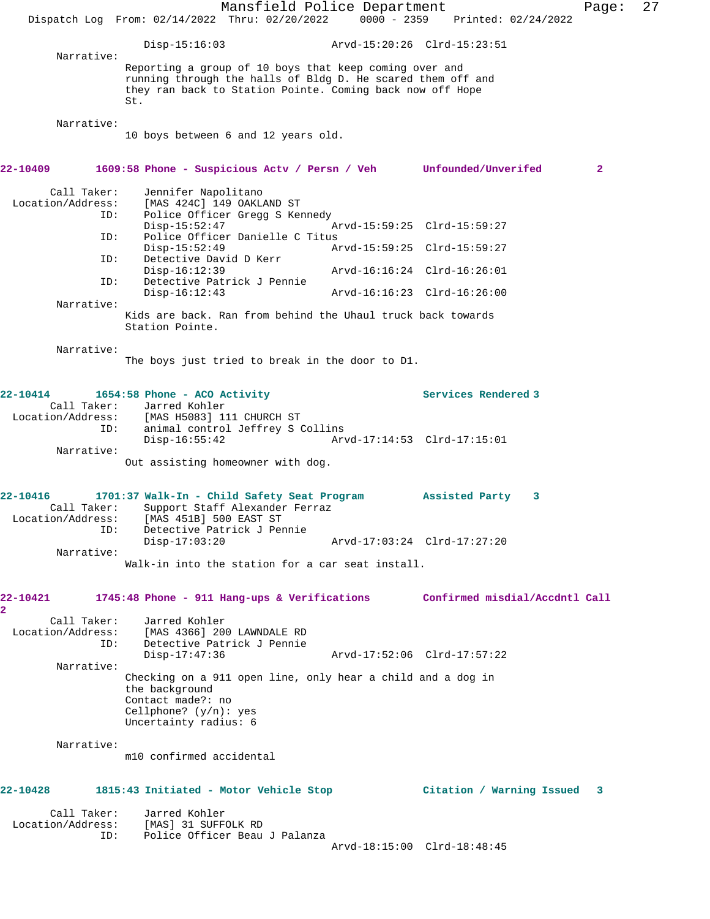|                                              |     | Mansfield Police Department<br>Dispatch Log From: 02/14/2022 Thru: 02/20/2022                                                                                                             | $0000 - 2359$ | Printed: 02/24/2022            | Page:        | 27 |
|----------------------------------------------|-----|-------------------------------------------------------------------------------------------------------------------------------------------------------------------------------------------|---------------|--------------------------------|--------------|----|
|                                              |     | $Disp-15:16:03$                                                                                                                                                                           |               | Arvd-15:20:26 Clrd-15:23:51    |              |    |
| Narrative:                                   |     | Reporting a group of 10 boys that keep coming over and<br>running through the halls of Bldg D. He scared them off and<br>they ran back to Station Pointe. Coming back now off Hope<br>St. |               |                                |              |    |
| Narrative:                                   |     | 10 boys between 6 and 12 years old.                                                                                                                                                       |               |                                |              |    |
| 22-10409                                     |     | 1609:58 Phone - Suspicious Actv / Persn / Veh Unfounded/Unverifed                                                                                                                         |               |                                | $\mathbf{2}$ |    |
| Call Taker:<br>Location/Address:             | ID: | Jennifer Napolitano<br>[MAS 424C] 149 OAKLAND ST<br>Police Officer Gregg S Kennedy<br>$Disp-15:52:47$                                                                                     |               | Arvd-15:59:25 Clrd-15:59:27    |              |    |
|                                              | ID: | Police Officer Danielle C Titus<br>$Disp-15:52:49$                                                                                                                                        |               | Arvd-15:59:25 Clrd-15:59:27    |              |    |
|                                              | ID: | Detective David D Kerr<br>Disp-16:12:39                                                                                                                                                   |               | Arvd-16:16:24 Clrd-16:26:01    |              |    |
|                                              | ID: | Detective Patrick J Pennie<br>$Disp-16:12:43$                                                                                                                                             |               | Arvd-16:16:23 Clrd-16:26:00    |              |    |
| Narrative:                                   |     | Kids are back. Ran from behind the Uhaul truck back towards<br>Station Pointe.                                                                                                            |               |                                |              |    |
| Narrative:                                   |     | The boys just tried to break in the door to D1.                                                                                                                                           |               |                                |              |    |
| 22-10414<br>Call Taker:                      |     | 1654:58 Phone - ACO Activity<br>Jarred Kohler<br>Location/Address: [MAS H5083] 111 CHURCH ST                                                                                              |               | Services Rendered 3            |              |    |
| Narrative:                                   | ID: | animal control Jeffrey S Collins<br>$Disp-16:55:42$                                                                                                                                       |               | Arvd-17:14:53 Clrd-17:15:01    |              |    |
|                                              |     | Out assisting homeowner with dog.                                                                                                                                                         |               |                                |              |    |
| 22-10416<br>Call Taker:<br>Location/Address: | ID: | 1701:37 Walk-In - Child Safety Seat Program<br>Support Staff Alexander Ferraz<br>[MAS 451B] 500 EAST ST<br>Detective Patrick J Pennie                                                     |               | Assisted Party<br>3            |              |    |
| Narrative:                                   |     | $Disp-17:03:20$                                                                                                                                                                           |               | Arvd-17:03:24 Clrd-17:27:20    |              |    |
|                                              |     | Walk-in into the station for a car seat install.                                                                                                                                          |               |                                |              |    |
| 22-10421<br>2                                |     | $1745:48$ Phone - 911 Hang-ups & Verifications                                                                                                                                            |               | Confirmed misdial/Accdntl Call |              |    |
| Call Taker:                                  | ID: | Jarred Kohler<br>Location/Address: [MAS 4366] 200 LAWNDALE RD<br>Detective Patrick J Pennie<br>$Disp-17:47:36$                                                                            |               | Arvd-17:52:06 Clrd-17:57:22    |              |    |
| Narrative:                                   |     |                                                                                                                                                                                           |               |                                |              |    |
|                                              |     | Checking on a 911 open line, only hear a child and a dog in<br>the background<br>Contact made?: no<br>Cellphone? $(y/n)$ : yes<br>Uncertainty radius: 6                                   |               |                                |              |    |
| Narrative:                                   |     | m10 confirmed accidental                                                                                                                                                                  |               |                                |              |    |
| 22-10428                                     |     | 1815:43 Initiated - Motor Vehicle Stop                                                                                                                                                    |               | Citation / Warning Issued      | 3            |    |
| Call Taker:<br>Location/Address:             |     | Jarred Kohler<br>[MAS] 31 SUFFOLK RD                                                                                                                                                      |               |                                |              |    |
|                                              | ID: | Police Officer Beau J Palanza                                                                                                                                                             |               | Arvd-18:15:00 Clrd-18:48:45    |              |    |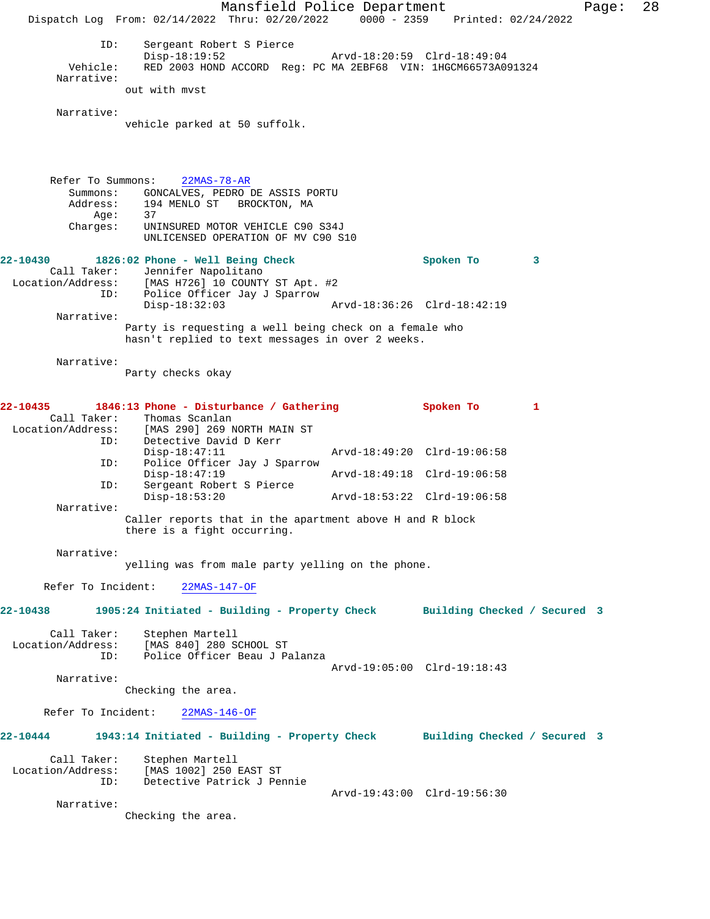Mansfield Police Department Page: 28 Dispatch Log From: 02/14/2022 Thru: 02/20/2022 0000 - 2359 Printed: 02/24/2022 ID: Sergeant Robert S Pierce Disp-18:19:52 <br>Vehicle: RED 2003 HOND ACCORD Reg: PC MA 2EBF68 VIN: 1HGCM66573A0 RED 2003 HOND ACCORD Reg: PC MA 2EBF68 VIN: 1HGCM66573A091324 Narrative: out with mvst Narrative: vehicle parked at 50 suffolk. Refer To Summons: 22MAS-78-AR Summons: GONCALVES, PEDRO DE ASSIS PORTU Address: 194 MENLO ST BROCKTON, MA<br>Age: 37 Age: Charges: UNINSURED MOTOR VEHICLE C90 S34J UNLICENSED OPERATION OF MV C90 S10 **22-10430 1826:02 Phone - Well Being Check Spoken To 3**  Call Taker: Jennifer Napolitano<br>Location/Address: [MAS H726] 10 COUNTY ess: [MAS H726] 10 COUNTY ST Apt. #2<br>ID: Police Officer Jay J Sparrow Police Officer Jay J Sparrow<br>Disp-18:32:03 Disp-18:32:03 Arvd-18:36:26 Clrd-18:42:19 Narrative: Party is requesting a well being check on a female who hasn't replied to text messages in over 2 weeks. Narrative: Party checks okay **22-10435 1846:13 Phone - Disturbance / Gathering Spoken To 1**  Call Taker: Thomas Scanlan<br>Location/Address: [MAS 290] 269 1 ess: [MAS 290] 269 NORTH MAIN ST<br>ID: Detective David D Kerr Detective David D Kerr<br>Disp-18:47:11 Disp-18:47:11 Arvd-18:49:20 Clrd-19:06:58<br>ID: Police Officer Jav J Sparrow Police Officer Jay J Sparrow<br>Disp-18:47:19 Disp-18:47:19 <br>
D: Sergeant Robert S Pierce<br>
D: Sergeant Robert S Pierce Sergeant Robert S Pierce<br>Disp-18:53:20 Disp-18:53:20 Arvd-18:53:22 Clrd-19:06:58 Narrative: Caller reports that in the apartment above H and R block there is a fight occurring. Narrative: yelling was from male party yelling on the phone. Refer To Incident: 22MAS-147-OF **22-10438 1905:24 Initiated - Building - Property Check Building Checked / Secured 3** Call Taker: Stephen Martell Location/Address: [MAS 840] 280 SCHOOL ST Police Officer Beau J Palanza Arvd-19:05:00 Clrd-19:18:43 Narrative: Checking the area. Refer To Incident: 22MAS-146-OF **22-10444 1943:14 Initiated - Building - Property Check Building Checked / Secured 3** Call Taker: Stephen Martell<br>Location/Address: [MAS 1002] 250 [MAS 1002] 250 EAST ST ID: Detective Patrick J Pennie Arvd-19:43:00 Clrd-19:56:30 Narrative: Checking the area.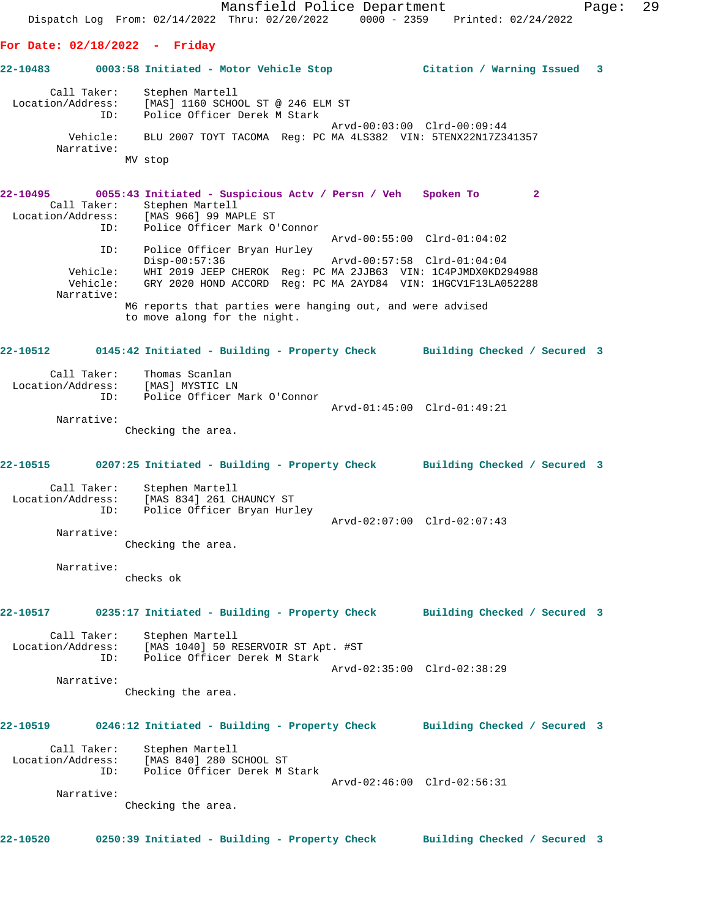Mansfield Police Department Page: 29 Dispatch Log From: 02/14/2022 Thru: 02/20/2022 0000 - 2359 Printed: 02/24/2022 **For Date: 02/18/2022 - Friday 22-10483 0003:58 Initiated - Motor Vehicle Stop Citation / Warning Issued 3** Call Taker: Stephen Martell Location/Address: [MAS] 1160 SCHOOL ST @ 246 ELM ST ID: Police Officer Derek M Stark Arvd-00:03:00 Clrd-00:09:44 Vehicle: BLU 2007 TOYT TACOMA Reg: PC MA 4LS382 VIN: 5TENX22N17Z341357 Narrative: MV stop **22-10495 0055:43 Initiated - Suspicious Actv / Persn / Veh Spoken To 2**  Call Taker: Stephen Martell Location/Address: [MAS 966] 99 MAPLE ST ID: Police Officer Mark O'Connor Arvd-00:55:00 Clrd-01:04:02 ID: Police Officer Bryan Hurley Disp-00:57:36 Arvd-00:57:58 Clrd-01:04:04 Vehicle: WHI 2019 JEEP CHEROK Reg: PC MA 2JJB63 VIN: 1C4PJMDX0KD294988 Vehicle: GRY 2020 HOND ACCORD Reg: PC MA 2AYD84 VIN: 1HGCV1F13LA052288 Narrative: M6 reports that parties were hanging out, and were advised to move along for the night. **22-10512 0145:42 Initiated - Building - Property Check Building Checked / Secured 3** Call Taker: Thomas Scanlan Location/Address: [MAS] MYSTIC LN ID: Police Officer Mark O'Connor Arvd-01:45:00 Clrd-01:49:21 Narrative: Checking the area. **22-10515 0207:25 Initiated - Building - Property Check Building Checked / Secured 3** Call Taker: Stephen Martell Location/Address: [MAS 834] 261 CHAUNCY ST ID: Police Officer Bryan Hurley Arvd-02:07:00 Clrd-02:07:43 Narrative: Checking the area. Narrative: checks ok **22-10517 0235:17 Initiated - Building - Property Check Building Checked / Secured 3** Call Taker: Stephen Martell Location/Address: [MAS 1040] 50 RESERVOIR ST Apt. #ST ID: Police Officer Derek M Stark Arvd-02:35:00 Clrd-02:38:29 Narrative: Checking the area. **22-10519 0246:12 Initiated - Building - Property Check Building Checked / Secured 3** Call Taker: Stephen Martell Location/Address: [MAS 840] 280 SCHOOL ST ID: Police Officer Derek M Stark Arvd-02:46:00 Clrd-02:56:31 Narrative: Checking the area. **22-10520 0250:39 Initiated - Building - Property Check Building Checked / Secured 3**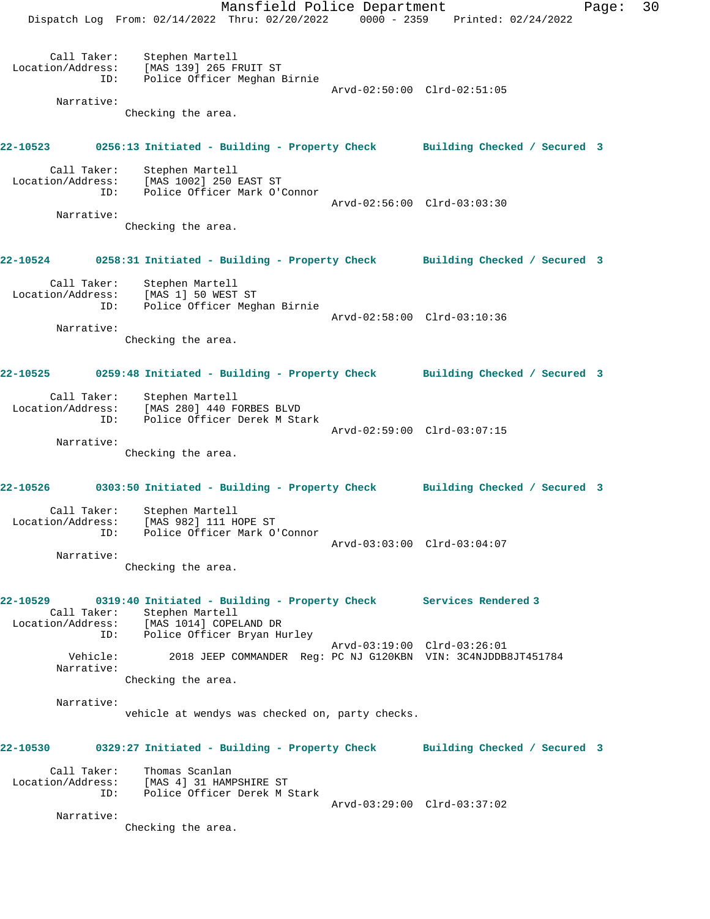Mansfield Police Department Page: 30 Dispatch Log From: 02/14/2022 Thru: 02/20/2022 0000 - 2359 Printed: 02/24/2022 Call Taker: Stephen Martell Location/Address: [MAS 139] 265 FRUIT ST ID: Police Officer Meghan Birnie Arvd-02:50:00 Clrd-02:51:05 Narrative: Checking the area. **22-10523 0256:13 Initiated - Building - Property Check Building Checked / Secured 3** Call Taker: Stephen Martell Location/Address: [MAS 1002] 250 EAST ST ID: Police Officer Mark O'Connor Arvd-02:56:00 Clrd-03:03:30 Narrative: Checking the area. **22-10524 0258:31 Initiated - Building - Property Check Building Checked / Secured 3** Call Taker: Stephen Martell Location/Address: [MAS 1] 50 WEST ST ID: Police Officer Meghan Birnie Arvd-02:58:00 Clrd-03:10:36 Narrative: Checking the area. **22-10525 0259:48 Initiated - Building - Property Check Building Checked / Secured 3** Call Taker: Stephen Martell Location/Address: [MAS 280] 440 FORBES BLVD ID: Police Officer Derek M Stark Arvd-02:59:00 Clrd-03:07:15 Narrative: Checking the area. **22-10526 0303:50 Initiated - Building - Property Check Building Checked / Secured 3** Call Taker: Stephen Martell Location/Address: [MAS 982] 111 HOPE ST ID: Police Officer Mark O'Connor Arvd-03:03:00 Clrd-03:04:07 Narrative: Checking the area. **22-10529 0319:40 Initiated - Building - Property Check Services Rendered 3**  Call Taker: Stephen Martell Location/Address: [MAS 1014] COPELAND DR ID: Police Officer Bryan Hurley Arvd-03:19:00 Clrd-03:26:01<br>Vehicle: 2018 JEEP COMMANDER Reg: PC NJ G120KBN VIN: 3C4NJDDB 2018 JEEP COMMANDER Reg: PC NJ G120KBN VIN: 3C4NJDDB8JT451784 Narrative: Checking the area. Narrative: vehicle at wendys was checked on, party checks. **22-10530 0329:27 Initiated - Building - Property Check Building Checked / Secured 3** Call Taker: Thomas Scanlan Location/Address: [MAS 4] 31 HAMPSHIRE ST ID: Police Officer Derek M Stark Arvd-03:29:00 Clrd-03:37:02 Narrative: Checking the area.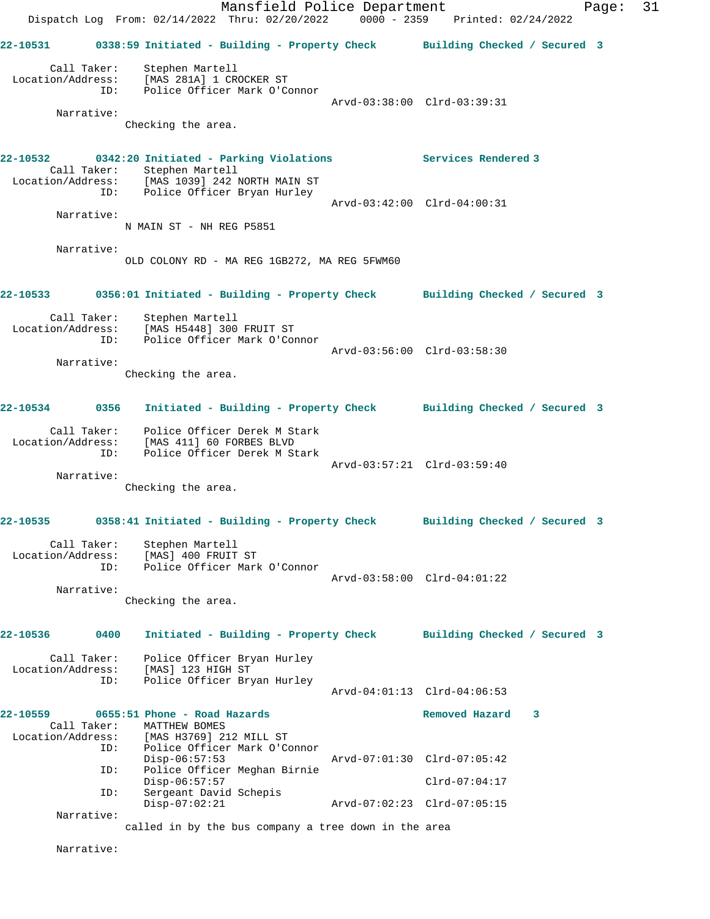|                               |                                  |                                                                                                                                              | Mansfield Police Department<br>Dispatch Log From: 02/14/2022 Thru: 02/20/2022 0000 - 2359 Printed: 02/24/2022 |                 |                  | Page: | 31 |
|-------------------------------|----------------------------------|----------------------------------------------------------------------------------------------------------------------------------------------|---------------------------------------------------------------------------------------------------------------|-----------------|------------------|-------|----|
|                               |                                  |                                                                                                                                              | 22-10531 0338:59 Initiated - Building - Property Check Building Checked / Secured 3                           |                 |                  |       |    |
|                               | Narrative:                       | Call Taker: Stephen Martell<br>Location/Address: [MAS 281A] 1 CROCKER ST<br>ID: Police Officer Mark O'Connor<br>Checking the area.           | Arvd-03:38:00 Clrd-03:39:31                                                                                   |                 |                  |       |    |
|                               |                                  | Call Taker: Stephen Martell<br>Location/Address: [MAS 1039] 242 NORTH MAIN ST<br>ID: Police Officer Bryan Hurley                             | 22-10532 0342:20 Initiated - Parking Violations Services Rendered 3                                           |                 |                  |       |    |
|                               | Narrative:                       | N MAIN ST - NH REG P5851                                                                                                                     | Arvd-03:42:00 Clrd-04:00:31                                                                                   |                 |                  |       |    |
|                               | Narrative:                       | OLD COLONY RD - MA REG 1GB272, MA REG 5FWM60                                                                                                 |                                                                                                               |                 |                  |       |    |
|                               |                                  |                                                                                                                                              | 22-10533 0356:01 Initiated - Building - Property Check Building Checked / Secured 3                           |                 |                  |       |    |
|                               | Narrative:                       | Call Taker: Stephen Martell<br>Location/Address: [MAS H5448] 300 FRUIT ST<br>ID: Police Officer Mark O'Connor<br>Checking the area.          | Arvd-03:56:00 Clrd-03:58:30                                                                                   |                 |                  |       |    |
|                               |                                  |                                                                                                                                              | 22-10534 0356 Initiated - Building - Property Check Building Checked / Secured 3                              |                 |                  |       |    |
|                               | ID:<br>Narrative:                | Call Taker: Police Officer Derek M Stark<br>Location/Address: [MAS 411] 60 FORBES BLVD<br>Police Officer Derek M Stark<br>Checking the area. | Arvd-03:57:21 Clrd-03:59:40                                                                                   |                 |                  |       |    |
| 22-10535                      |                                  |                                                                                                                                              | 0358:41 Initiated - Building - Property Check Building Checked / Secured 3                                    |                 |                  |       |    |
|                               | Call Taker:<br>ID:<br>Narrative: | Stephen Martell<br>Location/Address: [MAS] 400 FRUIT ST<br>Police Officer Mark O'Connor                                                      | Arvd-03:58:00 Clrd-04:01:22                                                                                   |                 |                  |       |    |
|                               |                                  | Checking the area.                                                                                                                           |                                                                                                               |                 |                  |       |    |
| 22-10536                      | 0400                             |                                                                                                                                              | Initiated - Building - Property Check Building Checked / Secured 3                                            |                 |                  |       |    |
| Location/Address:             | Call Taker:<br>ID:               | Police Officer Bryan Hurley<br>[MAS] 123 HIGH ST<br>Police Officer Bryan Hurley                                                              | Arvd-04:01:13 Clrd-04:06:53                                                                                   |                 |                  |       |    |
| 22-10559<br>Location/Address: | Call Taker:<br>ID:               | 0655:51 Phone - Road Hazards<br>MATTHEW BOMES<br>[MAS H3769] 212 MILL ST<br>Police Officer Mark O'Connor                                     |                                                                                                               |                 | Removed Hazard 3 |       |    |
|                               | ID:                              | $Disp-06:57:53$<br>Police Officer Meghan Birnie<br>$Disp-06:57:57$                                                                           | Arvd-07:01:30 Clrd-07:05:42                                                                                   | $Clrd-07:04:17$ |                  |       |    |
|                               | ID:<br>Narrative:                | Sergeant David Schepis<br>$Disp-07:02:21$                                                                                                    | Arvd-07:02:23 Clrd-07:05:15                                                                                   |                 |                  |       |    |
|                               |                                  |                                                                                                                                              | called in by the bus company a tree down in the area                                                          |                 |                  |       |    |

Narrative: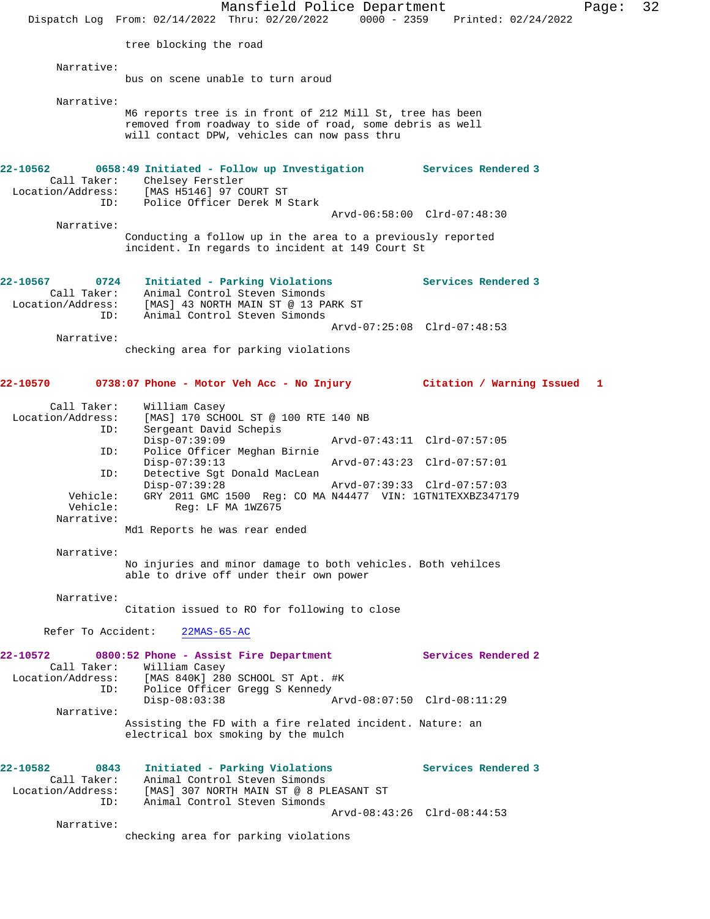|                                                                               |                                                                                                | Mansfield Police Department<br>Dispatch Log From: 02/14/2022 Thru: 02/20/2022                                                                                                           | $0000 - 2359$ | Printed: 02/24/2022                                                                       | Page: | 32 |
|-------------------------------------------------------------------------------|------------------------------------------------------------------------------------------------|-----------------------------------------------------------------------------------------------------------------------------------------------------------------------------------------|---------------|-------------------------------------------------------------------------------------------|-------|----|
|                                                                               | tree blocking the road                                                                         |                                                                                                                                                                                         |               |                                                                                           |       |    |
| Narrative:                                                                    |                                                                                                | bus on scene unable to turn aroud                                                                                                                                                       |               |                                                                                           |       |    |
| Narrative:                                                                    |                                                                                                | M6 reports tree is in front of 212 Mill St, tree has been<br>removed from roadway to side of road, some debris as well<br>will contact DPW, vehicles can now pass thru                  |               |                                                                                           |       |    |
| 22-10562<br>Call Taker:<br>Location/Address:<br>ID:                           | Chelsey Ferstler<br>[MAS H5146] 97 COURT ST                                                    | 0658:49 Initiated - Follow up Investigation<br>Police Officer Derek M Stark                                                                                                             |               | <b>Services Rendered 3</b>                                                                |       |    |
| Narrative:                                                                    |                                                                                                | Conducting a follow up in the area to a previously reported<br>incident. In regards to incident at 149 Court St                                                                         |               | Arvd-06:58:00 Clrd-07:48:30                                                               |       |    |
| 22-10567<br>0724<br>Call Taker:<br>Location/Address:<br>ID:                   |                                                                                                | Initiated - Parking Violations<br>Animal Control Steven Simonds<br>[MAS] 43 NORTH MAIN ST @ 13 PARK ST<br>Animal Control Steven Simonds                                                 |               | Services Rendered 3                                                                       |       |    |
| Narrative:                                                                    |                                                                                                | checking area for parking violations                                                                                                                                                    |               | Arvd-07:25:08 Clrd-07:48:53                                                               |       |    |
| 22-10570                                                                      |                                                                                                | 0738:07 Phone - Motor Veh Acc - No Injury                                                                                                                                               |               | Citation / Warning Issued 1                                                               |       |    |
| Call Taker:<br>Location/Address:<br>ID:<br>ID:<br>ID:<br>Vehicle:<br>Vehicle: | William Casey<br>Sergeant David Schepis<br>Disp-07:39:09<br>$Disp-07:39:13$<br>$Disp-07:39:28$ | [MAS] 170 SCHOOL ST @ 100 RTE 140 NB<br>Police Officer Meghan Birnie<br>Detective Sqt Donald MacLean<br>GRY 2011 GMC 1500 Req: CO MA N44477 VIN: 1GTN1TEXXBZ347179<br>Reg: LF MA 1WZ675 |               | Arvd-07:43:11 Clrd-07:57:05<br>Arvd-07:43:23 Clrd-07:57:01<br>Arvd-07:39:33 Clrd-07:57:03 |       |    |
| Narrative:                                                                    | Mdl Reports he was rear ended                                                                  |                                                                                                                                                                                         |               |                                                                                           |       |    |
| Narrative:                                                                    |                                                                                                | No injuries and minor damage to both vehicles. Both vehilces<br>able to drive off under their own power                                                                                 |               |                                                                                           |       |    |
| Narrative:                                                                    |                                                                                                | Citation issued to RO for following to close                                                                                                                                            |               |                                                                                           |       |    |
| Refer To Accident:                                                            | $22MAS-65-AC$                                                                                  |                                                                                                                                                                                         |               |                                                                                           |       |    |
| 22-10572<br>Location/Address: [MAS 840K] 280 SCHOOL ST Apt. #K<br>ID:         | Call Taker: William Casey<br>$Disp-08:03:38$                                                   | 0800:52 Phone - Assist Fire Department<br>Police Officer Gregg S Kennedy                                                                                                                |               | Services Rendered 2<br>Arvd-08:07:50 Clrd-08:11:29                                        |       |    |
| Narrative:                                                                    |                                                                                                | Assisting the FD with a fire related incident. Nature: an<br>electrical box smoking by the mulch                                                                                        |               |                                                                                           |       |    |
| 22-10582<br>0843<br>Call Taker:<br>Location/Address:<br>ID:                   |                                                                                                | Initiated - Parking Violations<br>Animal Control Steven Simonds<br>[MAS] 307 NORTH MAIN ST @ 8 PLEASANT ST<br>Animal Control Steven Simonds                                             |               | Services Rendered 3<br>Arvd-08:43:26 Clrd-08:44:53                                        |       |    |
| Narrative:                                                                    |                                                                                                | checking area for parking violations                                                                                                                                                    |               |                                                                                           |       |    |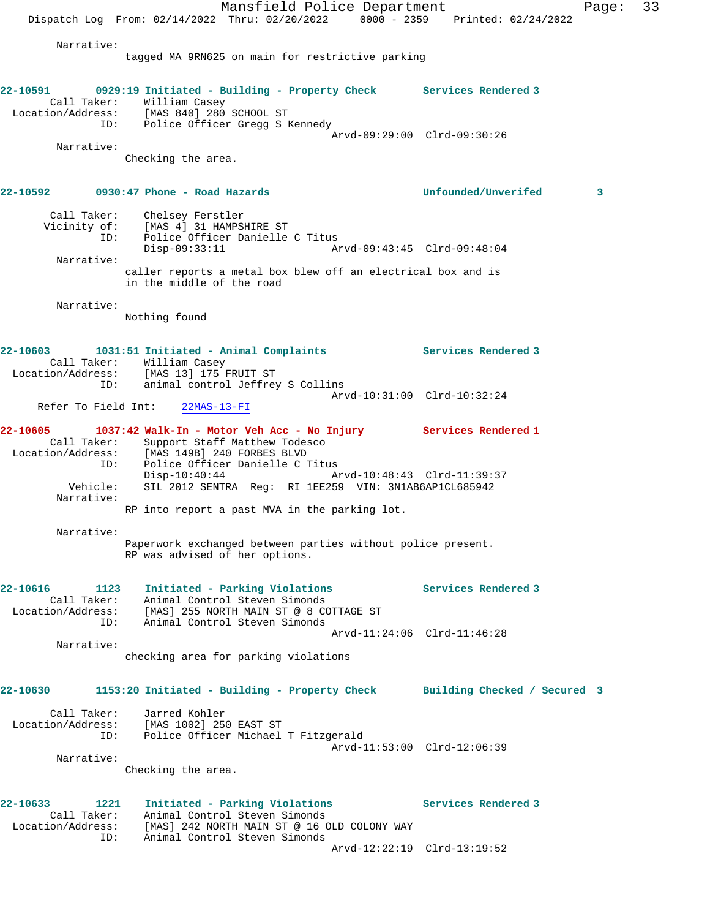Mansfield Police Department Page: 33 Dispatch Log From: 02/14/2022 Thru: 02/20/2022 0000 - 2359 Printed: 02/24/2022 Narrative: tagged MA 9RN625 on main for restrictive parking **22-10591 0929:19 Initiated - Building - Property Check Services Rendered 3**  Call Taker: William Casey Location/Address: [MAS 840] 280 SCHOOL ST ID: Police Officer Gregg S Kennedy Arvd-09:29:00 Clrd-09:30:26 Narrative: Checking the area. **22-10592 0930:47 Phone - Road Hazards Unfounded/Unverifed 3** Call Taker: Chelsey Ferstler Vicinity of: [MAS 4] 31 HAMPSHIRE ST ID: Police Officer Danielle C Titus Disp-09:33:11 Arvd-09:43:45 Clrd-09:48:04 Narrative: caller reports a metal box blew off an electrical box and is in the middle of the road Narrative: Nothing found **22-10603 1031:51 Initiated - Animal Complaints Services Rendered 3**  Call Taker: William Casey Location/Address: [MAS 13] 175 FRUIT ST ID: animal control Jeffrey S Collins<br>ID: animal control Jeffrey S Collins Arvd-10:31:00 Clrd-10:32:24 Refer To Field Int: 22MAS-13-FI **22-10605 1037:42 Walk-In - Motor Veh Acc - No Injury Services Rendered 1**  Call Taker: Support Staff Matthew Todesco Location/Address: [MAS 149B] 240 FORBES BLVD ID: Police Officer Danielle C Titus Disp-10:40:44 Arvd-10:48:43 Clrd-11:39:37 Vehicle: SIL 2012 SENTRA Reg: RI 1EE259 VIN: 3N1AB6AP1CL685942 Narrative: RP into report a past MVA in the parking lot. Narrative: Paperwork exchanged between parties without police present. RP was advised of her options. **22-10616 1123 Initiated - Parking Violations Services Rendered 3**  Call Taker: Animal Control Steven Simonds Location/Address: [MAS] 255 NORTH MAIN ST @ 8 COTTAGE ST ID: Animal Control Steven Simonds Arvd-11:24:06 Clrd-11:46:28 Narrative: checking area for parking violations **22-10630 1153:20 Initiated - Building - Property Check Building Checked / Secured 3** Call Taker: Jarred Kohler Location/Address: [MAS 1002] 250 EAST ST ID: Police Officer Michael T Fitzgerald Arvd-11:53:00 Clrd-12:06:39 Narrative: Checking the area. **22-10633 1221 Initiated - Parking Violations Services Rendered 3**  Call Taker: Animal Control Steven Simonds Location/Address: [MAS] 242 NORTH MAIN ST @ 16 OLD COLONY WAY ID: Animal Control Steven Simonds Arvd-12:22:19 Clrd-13:19:52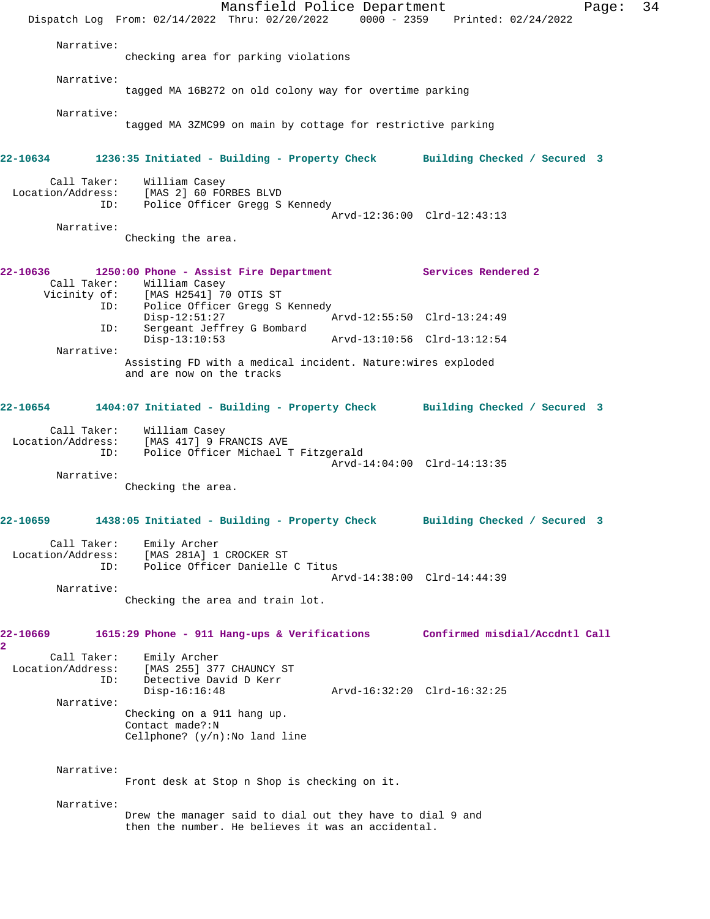Dispatch Log From: 02/14/2022 Thru: 02/20/2022 0000 - 2359 Printed: 02/24/2022 Narrative: checking area for parking violations Narrative: tagged MA 16B272 on old colony way for overtime parking Narrative: tagged MA 3ZMC99 on main by cottage for restrictive parking **22-10634 1236:35 Initiated - Building - Property Check Building Checked / Secured 3** Call Taker: William Casey Location/Address: [MAS 2] 60 FORBES BLVD ID: Police Officer Gregg S Kennedy Arvd-12:36:00 Clrd-12:43:13 Narrative: Checking the area. **22-10636 1250:00 Phone - Assist Fire Department Services Rendered 2**  Call Taker: William Casey Vicinity of: [MAS H2541] 70 OTIS ST<br>ID: Police Officer Gregg S<br>Disp-12:51:27 Police Officer Gregg S Kennedy Disp-12:51:27 Arvd-12:55:50 Clrd-13:24:49 ID: Sergeant Jeffrey G Bombard Disp-13:10:53 Arvd-13:10:56 Clrd-13:12:54 Narrative: Assisting FD with a medical incident. Nature:wires exploded and are now on the tracks **22-10654 1404:07 Initiated - Building - Property Check Building Checked / Secured 3** Call Taker: William Casey Location/Address: [MAS 417] 9 FRANCIS AVE ID: Police Officer Michael T Fitzgerald Arvd-14:04:00 Clrd-14:13:35 Narrative: Checking the area. **22-10659 1438:05 Initiated - Building - Property Check Building Checked / Secured 3** Call Taker: Emily Archer Location/Address: [MAS 281A] 1 CROCKER ST ID: Police Officer Danielle C Titus Arvd-14:38:00 Clrd-14:44:39 Narrative: Checking the area and train lot. **22-10669 1615:29 Phone - 911 Hang-ups & Verifications Confirmed misdial/Accdntl Call 2**  Call Taker: Emily Archer Location/Address: [MAS 255] 377 CHAUNCY ST ID: Detective David D Kerr Disp-16:16:48 Arvd-16:32:20 Clrd-16:32:25 Narrative: Checking on a 911 hang up. Contact made?:N Cellphone? (y/n):No land line Narrative: Front desk at Stop n Shop is checking on it. Narrative: Drew the manager said to dial out they have to dial 9 and then the number. He believes it was an accidental.

Mansfield Police Department Page: 34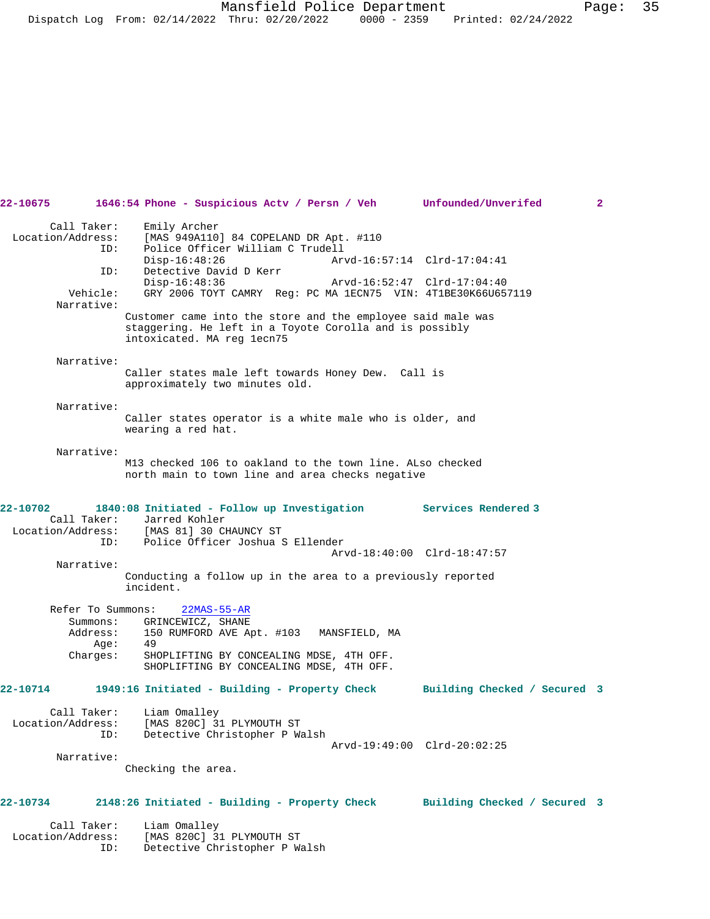| 22-10675 1646:54 Phone - Suspicious Actv / Persn / Veh Unfounded/Unverifed |     |                          |                                  |  |                                                                                                                |  | 2 |
|----------------------------------------------------------------------------|-----|--------------------------|----------------------------------|--|----------------------------------------------------------------------------------------------------------------|--|---|
|                                                                            |     | Call Taker: Emily Archer |                                  |  |                                                                                                                |  |   |
| Location/Address: [MAS 949A110] 84 COPELAND DR Apt. #110                   |     |                          |                                  |  |                                                                                                                |  |   |
|                                                                            | ID: |                          | Police Officer William C Trudell |  |                                                                                                                |  |   |
|                                                                            |     |                          |                                  |  | Disp-16:48:26 Arvd-16:57:14 Clrd-17:04:41                                                                      |  |   |
|                                                                            | ID: |                          | Detective David D Kerr           |  |                                                                                                                |  |   |
|                                                                            |     |                          |                                  |  | Disp-16:48:36 Arvd-16:52:47 Clrd-17:04:40                                                                      |  |   |
|                                                                            |     |                          |                                  |  | Vehicle: GRY 2006 TOYT CAMRY Reg: PC MA 1ECN75 VIN: 4T1BE30K66U657119                                          |  |   |
| Narrative:                                                                 |     |                          |                                  |  | An approximation of the state of the state of the state of the state of the state of the state of the state of |  |   |
|                                                                            |     |                          |                                  |  |                                                                                                                |  |   |

| Narrative: |                                                             |
|------------|-------------------------------------------------------------|
|            | Customer came into the store and the employee said male was |
|            | staggering. He left in a Toyote Corolla and is possibly     |
|            | intoxicated. MA reg lecn75                                  |
|            |                                                             |

## Narrative:

## Caller states male left towards Honey Dew. Call is approximately two minutes old.

## Narrative:

Caller states operator is a white male who is older, and wearing a red hat.

#### Narrative:

Narrative:

M13 checked 106 to oakland to the town line. ALso checked north main to town line and area checks negative

#### **22-10702 1840:08 Initiated - Follow up Investigation Services Rendered 3**  Call Taker: Jarred Kohler Location/Address: [MAS 81] 30 CHAUNCY ST ID: Police Officer Joshua S Ellender Arvd-18:40:00 Clrd-18:47:57

Conducting a follow up in the area to a previously reported incident.

 Refer To Summons: 22MAS-55-AR Summons: GRINCEWICZ, SHANE Address: 150 RUMFORD AVE Apt. #103 MANSFIELD, MA Age: 49<br>Charges: SHO SHOPLIFTING BY CONCEALING MDSE, 4TH OFF. SHOPLIFTING BY CONCEALING MDSE, 4TH OFF.

# **22-10714 1949:16 Initiated - Building - Property Check Building Checked / Secured 3**

| Call Taker:       | Liam Omalley                  |                             |  |
|-------------------|-------------------------------|-----------------------------|--|
| Location/Address: | [MAS 820C] 31 PLYMOUTH ST     |                             |  |
| TD:               | Detective Christopher P Walsh |                             |  |
|                   |                               | Arvd-19:49:00 Clrd-20:02:25 |  |

Narrative:

Checking the area.

# **22-10734 2148:26 Initiated - Building - Property Check Building Checked / Secured 3**

 Call Taker: Liam Omalley Location/Address: [MAS 820C] 31 PLYMOUTH ST ID: Detective Christopher P Walsh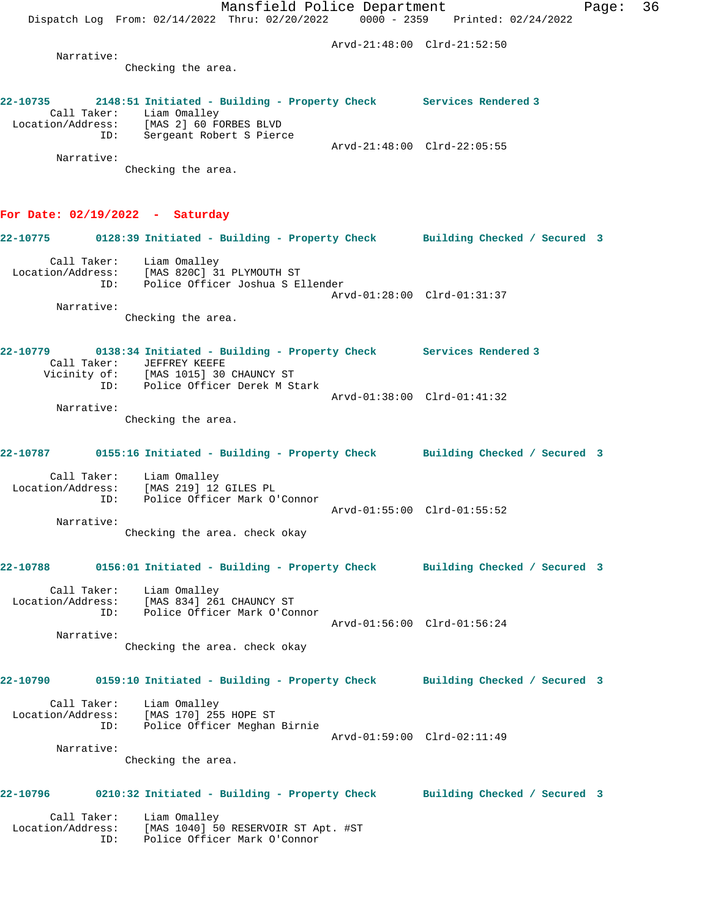Mansfield Police Department Fage: 36 Dispatch Log From: 02/14/2022 Thru: 02/20/2022 0000 - 2359 Printed: 02/24/2022 Arvd-21:48:00 Clrd-21:52:50 Narrative: Checking the area. **22-10735 2148:51 Initiated - Building - Property Check Services Rendered 3**  Call Taker: Liam Omalley Location/Address: [MAS 2] 60 FORBES BLVD ID: Sergeant Robert S Pierce Arvd-21:48:00 Clrd-22:05:55 Narrative: Checking the area. **For Date: 02/19/2022 - Saturday 22-10775 0128:39 Initiated - Building - Property Check Building Checked / Secured 3** Call Taker: Liam Omalley Location/Address: [MAS 820C] 31 PLYMOUTH ST ID: Police Officer Joshua S Ellender Arvd-01:28:00 Clrd-01:31:37 Narrative: Checking the area. **22-10779 0138:34 Initiated - Building - Property Check Services Rendered 3**  Call Taker: JEFFREY KEEFE Vicinity of: [MAS 1015] 30 CHAUNCY ST ID: Police Officer Derek M Stark Arvd-01:38:00 Clrd-01:41:32 Narrative: Checking the area. **22-10787 0155:16 Initiated - Building - Property Check Building Checked / Secured 3** Call Taker: Liam Omalley Location/Address: [MAS 219] 12 GILES PL ID: Police Officer Mark O'Connor Arvd-01:55:00 Clrd-01:55:52 Narrative: Checking the area. check okay **22-10788 0156:01 Initiated - Building - Property Check Building Checked / Secured 3** Call Taker: Liam Omalley Location/Address: [MAS 834] 261 CHAUNCY ST<br>TD: Police Officer Mark O'Con Police Officer Mark O'Connor Arvd-01:56:00 Clrd-01:56:24 Narrative: Checking the area. check okay **22-10790 0159:10 Initiated - Building - Property Check Building Checked / Secured 3** Call Taker: Liam Omalley Location/Address: [MAS 170] 255 HOPE ST ID: Police Officer Meghan Birnie Arvd-01:59:00 Clrd-02:11:49 Narrative: Checking the area. **22-10796 0210:32 Initiated - Building - Property Check Building Checked / Secured 3** Call Taker: Liam Omalley Location/Address: [MAS 1040] 50 RESERVOIR ST Apt. #ST ID: Police Officer Mark O'Connor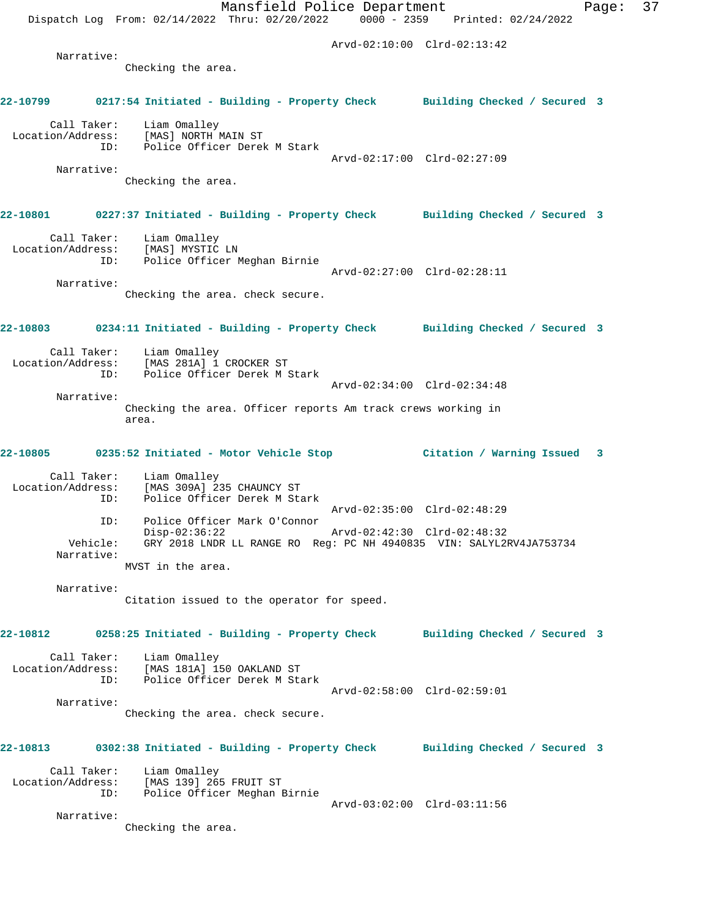Mansfield Police Department Page: 37 Dispatch Log From: 02/14/2022 Thru: 02/20/2022 0000 - 2359 Printed: 02/24/2022 Arvd-02:10:00 Clrd-02:13:42 Narrative: Checking the area. **22-10799 0217:54 Initiated - Building - Property Check Building Checked / Secured 3** Call Taker: Liam Omalley Location/Address: [MAS] NORTH MAIN ST<br>TD: Police Officer Derek Police Officer Derek M Stark Arvd-02:17:00 Clrd-02:27:09 Narrative: Checking the area. **22-10801 0227:37 Initiated - Building - Property Check Building Checked / Secured 3** Call Taker: Liam Omalley Location/Address: [MAS] MYSTIC LN ID: Police Officer Meghan Birnie Arvd-02:27:00 Clrd-02:28:11 Narrative: Checking the area. check secure. **22-10803 0234:11 Initiated - Building - Property Check Building Checked / Secured 3** Call Taker: Liam Omalley Location/Address: [MAS 281A] 1 CROCKER ST ID: Police Officer Derek M Stark Arvd-02:34:00 Clrd-02:34:48 Narrative: Checking the area. Officer reports Am track crews working in area. **22-10805 0235:52 Initiated - Motor Vehicle Stop Citation / Warning Issued 3** Call Taker: Liam Omalley Location/Address: [MAS 309A] 235 CHAUNCY ST ID: Police Officer Derek M Stark Arvd-02:35:00 Clrd-02:48:29 ID: Police Officer Mark O'Connor Disp-02:36:22 Arvd-02:42:30 Clrd-02:48:32 Vehicle: GRY 2018 LNDR LL RANGE RO Reg: PC NH 4940835 VIN: SALYL2RV4JA753734 Narrative: MVST in the area. Narrative: Citation issued to the operator for speed. **22-10812 0258:25 Initiated - Building - Property Check Building Checked / Secured 3** Call Taker: Liam Omalley Location/Address: [MAS 181A] 150 OAKLAND ST ID: Police Officer Derek M Stark Arvd-02:58:00 Clrd-02:59:01 Narrative: Checking the area. check secure. **22-10813 0302:38 Initiated - Building - Property Check Building Checked / Secured 3** Call Taker: Liam Omalley Location/Address: [MAS 139] 265 FRUIT ST ID: Police Officer Meghan Birnie Arvd-03:02:00 Clrd-03:11:56 Narrative: Checking the area.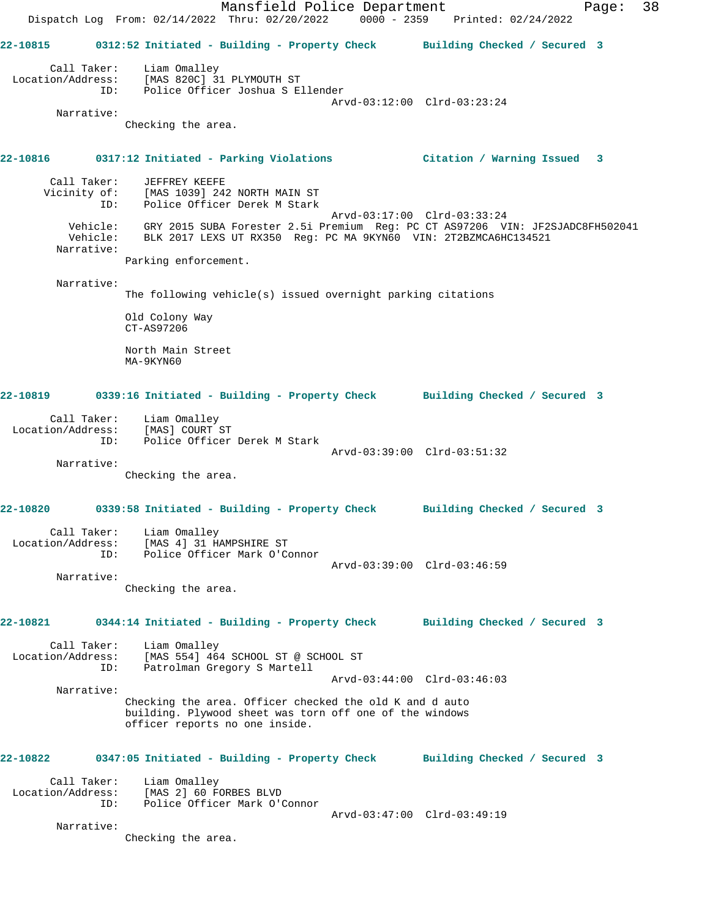Mansfield Police Department Fage: 38 Dispatch Log From: 02/14/2022 Thru: 02/20/2022 0000 - 2359 Printed: 02/24/2022 **22-10815 0312:52 Initiated - Building - Property Check Building Checked / Secured 3** Call Taker: Liam Omalley Location/Address: [MAS 820C] 31 PLYMOUTH ST ID: Police Officer Joshua S Ellender Arvd-03:12:00 Clrd-03:23:24 Narrative: Checking the area. **22-10816 0317:12 Initiated - Parking Violations Citation / Warning Issued 3** Call Taker: JEFFREY KEEFE Vicinity of: [MAS 1039] 242 NORTH MAIN ST ID: Police Officer Derek M Stark Arvd-03:17:00 Clrd-03:33:24 Vehicle: GRY 2015 SUBA Forester 2.5i Premium Reg: PC CT AS97206 VIN: JF2SJADC8FH502041 Vehicle: BLK 2017 LEXS UT RX350 Reg: PC MA 9KYN60 VIN: 2T2BZMCA6HC134521 Narrative: Parking enforcement. Narrative: The following vehicle(s) issued overnight parking citations Old Colony Way CT-AS97206 North Main Street MA-9KYN60 **22-10819 0339:16 Initiated - Building - Property Check Building Checked / Secured 3** Call Taker: Liam Omalley Location/Address: [MAS] COURT ST Police Officer Derek M Stark Arvd-03:39:00 Clrd-03:51:32 Narrative: Checking the area. **22-10820 0339:58 Initiated - Building - Property Check Building Checked / Secured 3** Call Taker: Liam Omalley Location/Address: [MAS 4] 31 HAMPSHIRE ST ID: Police Officer Mark O'Connor Arvd-03:39:00 Clrd-03:46:59 Narrative: Checking the area. **22-10821 0344:14 Initiated - Building - Property Check Building Checked / Secured 3** Call Taker: Liam Omalley Location/Address: [MAS 554] 464 SCHOOL ST @ SCHOOL ST ID: Patrolman Gregory S Martell Arvd-03:44:00 Clrd-03:46:03 Narrative: Checking the area. Officer checked the old K and d auto building. Plywood sheet was torn off one of the windows officer reports no one inside. **22-10822 0347:05 Initiated - Building - Property Check Building Checked / Secured 3** Call Taker: Liam Omalley Location/Address: [MAS 2] 60 FORBES BLVD ID: Police Officer Mark O'Connor Arvd-03:47:00 Clrd-03:49:19 Narrative: Checking the area.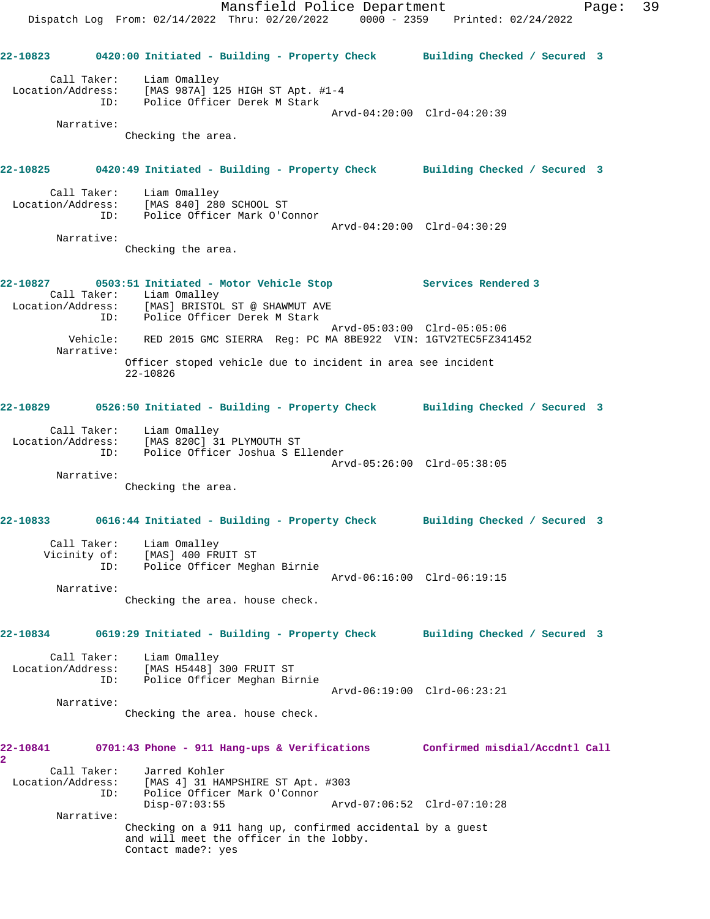Mansfield Police Department Page: 39 Dispatch Log From: 02/14/2022 Thru: 02/20/2022 0000 - 2359 Printed: 02/24/2022 **22-10823 0420:00 Initiated - Building - Property Check Building Checked / Secured 3** Call Taker: Liam Omalley Location/Address: [MAS 987A] 125 HIGH ST Apt. #1-4 ID: Police Officer Derek M Stark Arvd-04:20:00 Clrd-04:20:39 Narrative: Checking the area. **22-10825 0420:49 Initiated - Building - Property Check Building Checked / Secured 3** Call Taker: Liam Omalley Location/Address: [MAS 840] 280 SCHOOL ST ID: Police Officer Mark O'Connor Arvd-04:20:00 Clrd-04:30:29 Narrative: Checking the area. **22-10827 0503:51 Initiated - Motor Vehicle Stop Services Rendered 3**  Call Taker: Liam Omalley Location/Address: [MAS] BRISTOL ST @ SHAWMUT AVE ID: Police Officer Derek M Stark Arvd-05:03:00 Clrd-05:05:06 Vehicle: RED 2015 GMC SIERRA Reg: PC MA 8BE922 VIN: 1GTV2TEC5FZ341452 Narrative: Officer stoped vehicle due to incident in area see incident 22-10826 **22-10829 0526:50 Initiated - Building - Property Check Building Checked / Secured 3** Call Taker: Liam Omalley Location/Address: [MAS 820C] 31 PLYMOUTH ST ID: Police Officer Joshua S Ellender Arvd-05:26:00 Clrd-05:38:05 Narrative: Checking the area. **22-10833 0616:44 Initiated - Building - Property Check Building Checked / Secured 3** Call Taker: Liam Omalley Vicinity of: [MAS] 400 FRUIT ST ID: Police Officer Meghan Birnie Arvd-06:16:00 Clrd-06:19:15 Narrative: Checking the area. house check. **22-10834 0619:29 Initiated - Building - Property Check Building Checked / Secured 3** Call Taker: Liam Omalley Location/Address: [MAS H5448] 300 FRUIT ST ID: Police Officer Meghan Birnie Arvd-06:19:00 Clrd-06:23:21 Narrative: Checking the area. house check. **22-10841 0701:43 Phone - 911 Hang-ups & Verifications Confirmed misdial/Accdntl Call 2**  Call Taker: Jarred Kohler Location/Address: [MAS 4] 31 HAMPSHIRE ST Apt. #303 ID: Police Officer Mark O'Connor Disp-07:03:55 Arvd-07:06:52 Clrd-07:10:28 Narrative: Checking on a 911 hang up, confirmed accidental by a guest and will meet the officer in the lobby. Contact made?: yes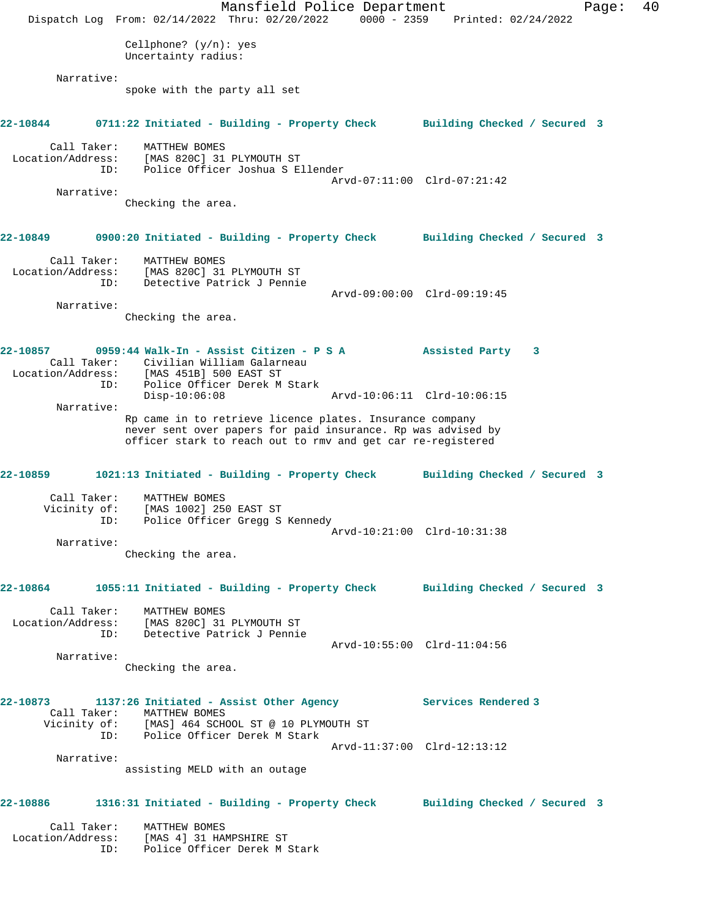Mansfield Police Department Fage: 40 Dispatch Log From: 02/14/2022 Thru: 02/20/2022 0000 - 2359 Printed: 02/24/2022 Cellphone? (y/n): yes Uncertainty radius: Narrative: spoke with the party all set **22-10844 0711:22 Initiated - Building - Property Check Building Checked / Secured 3** Call Taker: MATTHEW BOMES Location/Address: [MAS 820C] 31 PLYMOUTH ST ID: Police Officer Joshua S Ellender Arvd-07:11:00 Clrd-07:21:42 Narrative: Checking the area. **22-10849 0900:20 Initiated - Building - Property Check Building Checked / Secured 3** Call Taker: MATTHEW BOMES Location/Address: [MAS 820C] 31 PLYMOUTH ST ID: Detective Patrick J Pennie Arvd-09:00:00 Clrd-09:19:45 Narrative: Checking the area. **22-10857 0959:44 Walk-In - Assist Citizen - P S A Assisted Party 3**  Call Taker: Civilian William Galarneau Location/Address: [MAS 451B] 500 EAST ST ID: Police Officer Derek M Stark<br>Disp-10:06:08 Disp-10:06:08 Arvd-10:06:11 Clrd-10:06:15 Narrative: Rp came in to retrieve licence plates. Insurance company never sent over papers for paid insurance. Rp was advised by officer stark to reach out to rmv and get car re-registered **22-10859 1021:13 Initiated - Building - Property Check Building Checked / Secured 3** Call Taker: MATTHEW BOMES Vicinity of: [MAS 1002] 250 EAST ST ID: Police Officer Gregg S Kennedy Arvd-10:21:00 Clrd-10:31:38 Narrative: Checking the area. **22-10864 1055:11 Initiated - Building - Property Check Building Checked / Secured 3** Call Taker: MATTHEW BOMES Location/Address: [MAS 820C] 31 PLYMOUTH ST ID: Detective Patrick J Pennie Arvd-10:55:00 Clrd-11:04:56 Narrative: Checking the area. **22-10873 1137:26 Initiated - Assist Other Agency Services Rendered 3**  Call Taker: MATTHEW BOMES Vicinity of: [MAS] 464 SCHOOL ST @ 10 PLYMOUTH ST<br>TD: Police Officer Derek M Stark Police Officer Derek M Stark Arvd-11:37:00 Clrd-12:13:12 Narrative: assisting MELD with an outage **22-10886 1316:31 Initiated - Building - Property Check Building Checked / Secured 3** Call Taker: MATTHEW BOMES Location/Address: [MAS 4] 31 HAMPSHIRE ST ID: Police Officer Derek M Stark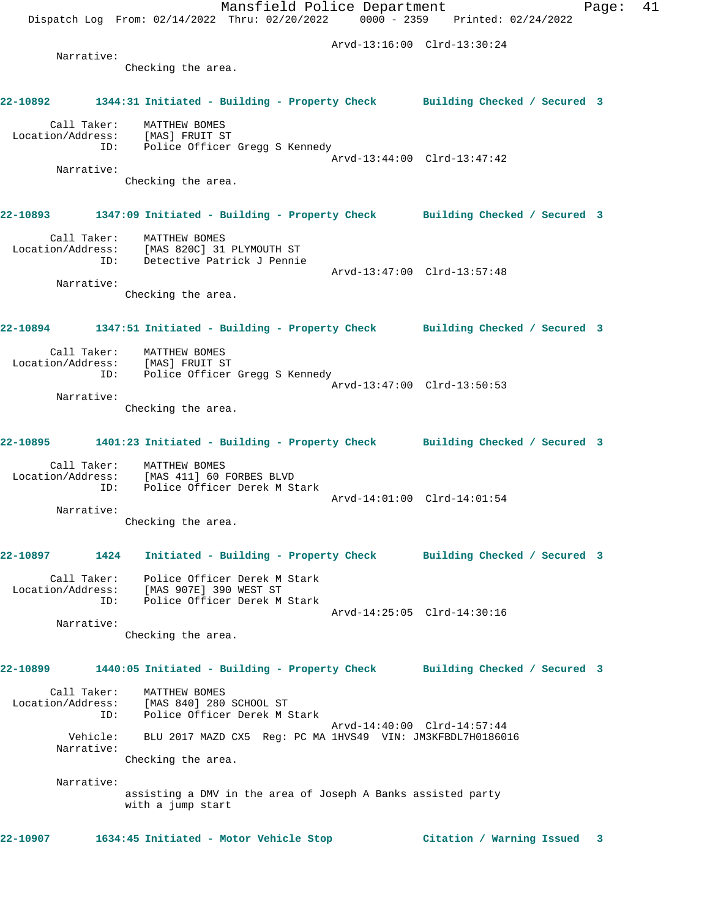Mansfield Police Department Fage: 41 Dispatch Log From: 02/14/2022 Thru: 02/20/2022 0000 - 2359 Printed: 02/24/2022 Arvd-13:16:00 Clrd-13:30:24 Narrative: Checking the area. **22-10892 1344:31 Initiated - Building - Property Check Building Checked / Secured 3** Call Taker: MATTHEW BOMES Location/Address: [MAS] FRUIT ST ID: Police Officer Gregg S Kennedy Arvd-13:44:00 Clrd-13:47:42 Narrative: Checking the area. **22-10893 1347:09 Initiated - Building - Property Check Building Checked / Secured 3** Call Taker: MATTHEW BOMES Location/Address: [MAS 820C] 31 PLYMOUTH ST ID: Detective Patrick J Pennie Arvd-13:47:00 Clrd-13:57:48 Narrative: Checking the area. **22-10894 1347:51 Initiated - Building - Property Check Building Checked / Secured 3** Call Taker: MATTHEW BOMES Location/Address: [MAS] FRUIT ST ID: Police Officer Gregg S Kennedy Arvd-13:47:00 Clrd-13:50:53 Narrative: Checking the area. **22-10895 1401:23 Initiated - Building - Property Check Building Checked / Secured 3** Call Taker: MATTHEW BOMES Location/Address: [MAS 411] 60 FORBES BLVD ID: Police Officer Derek M Stark Arvd-14:01:00 Clrd-14:01:54 Narrative: Checking the area. **22-10897 1424 Initiated - Building - Property Check Building Checked / Secured 3** Call Taker: Police Officer Derek M Stark Location/Address: [MAS 907E] 390 WEST ST ID: Police Officer Derek M Stark Arvd-14:25:05 Clrd-14:30:16 Narrative: Checking the area. **22-10899 1440:05 Initiated - Building - Property Check Building Checked / Secured 3** Call Taker: MATTHEW BOMES Location/Address: [MAS 840] 280 SCHOOL ST ID: Police Officer Derek M Stark Arvd-14:40:00 Clrd-14:57:44 Vehicle: BLU 2017 MAZD CX5 Reg: PC MA 1HVS49 VIN: JM3KFBDL7H0186016 Narrative: Checking the area. Narrative: assisting a DMV in the area of Joseph A Banks assisted party with a jump start **22-10907 1634:45 Initiated - Motor Vehicle Stop Citation / Warning Issued 3**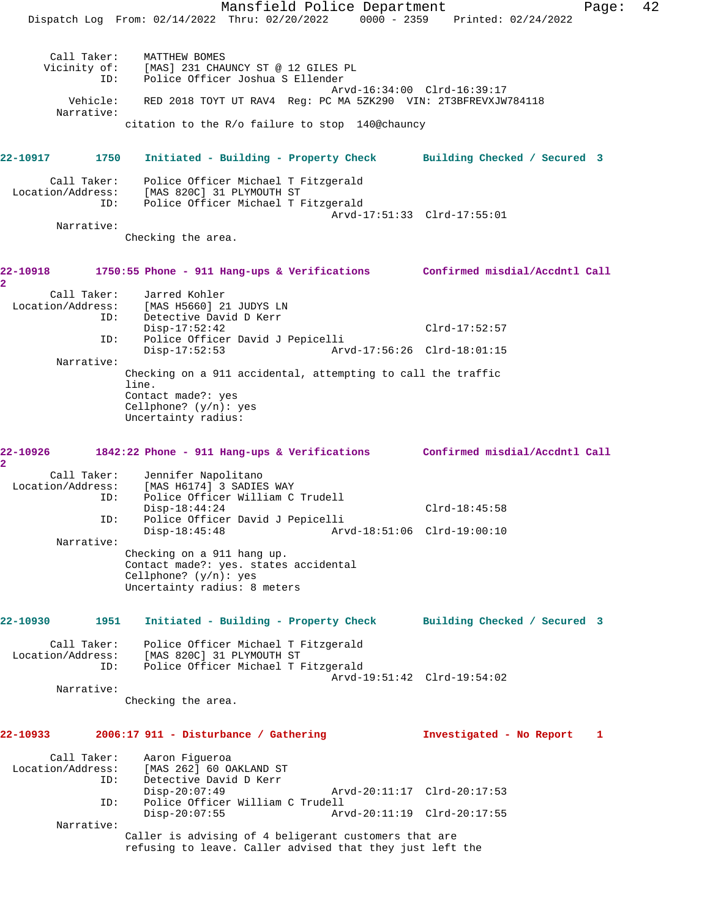Mansfield Police Department Page: 42 Dispatch Log From: 02/14/2022 Thru: 02/20/2022 0000 - 2359 Printed: 02/24/2022 Call Taker: MATTHEW BOMES Vicinity of: [MAS] 231 CHAUNCY ST @ 12 GILES PL ID: Police Officer Joshua S Ellender Arvd-16:34:00 Clrd-16:39:17 Vehicle: RED 2018 TOYT UT RAV4 Reg: PC MA 5ZK290 VIN: 2T3BFREVXJW784118 Narrative: citation to the R/o failure to stop 140@chauncy **22-10917 1750 Initiated - Building - Property Check Building Checked / Secured 3** Call Taker: Police Officer Michael T Fitzgerald Location/Address: [MAS 820C] 31 PLYMOUTH ST ID: Police Officer Michael T Fitzgerald Arvd-17:51:33 Clrd-17:55:01 Narrative: Checking the area. **22-10918 1750:55 Phone - 911 Hang-ups & Verifications Confirmed misdial/Accdntl Call 2**  Call Taker: Jarred Kohler<br>Location/Address: [MAS H5660] 21 [MAS H5660] 21 JUDYS LN ESS. ITHE HOUSE IT THE THE Disp-17:52:42 Clrd-17:52:57 ID: Police Officer David J Pepicelli Disp-17:52:53 Arvd-17:56:26 Clrd-18:01:15 Narrative: Checking on a 911 accidental, attempting to call the traffic line. Contact made?: yes Cellphone? (y/n): yes Uncertainty radius: **22-10926 1842:22 Phone - 911 Hang-ups & Verifications Confirmed misdial/Accdntl Call 2**  Call Taker: Jennifer Napolitano Location/Address: [MAS H6174] 3 SADIES WAY ID: Police Officer William C Trudell Disp-18:44:24 Clrd-18:45:58 ID: Police Officer David J Pepicelli Disp-18:45:48 Arvd-18:51:06 Clrd-19:00:10 Narrative: Checking on a 911 hang up. Contact made?: yes. states accidental Cellphone? (y/n): yes Uncertainty radius: 8 meters **22-10930 1951 Initiated - Building - Property Check Building Checked / Secured 3** Call Taker: Police Officer Michael T Fitzgerald Location/Address: [MAS 820C] 31 PLYMOUTH ST ID: Police Officer Michael T Fitzgerald Arvd-19:51:42 Clrd-19:54:02 Narrative: Checking the area. **22-10933 2006:17 911 - Disturbance / Gathering Investigated - No Report 1** Call Taker: Aaron Figueroa Location/Address: [MAS 262] 60 OAKLAND ST ID: Detective David D Kerr<br>Disp-20:07:49 Disp-20:07:49 Arvd-20:11:17 Clrd-20:17:53 ID: Police Officer William C Trudell Disp-20:07:55 Arvd-20:11:19 Clrd-20:17:55 Narrative: Caller is advising of 4 beligerant customers that are refusing to leave. Caller advised that they just left the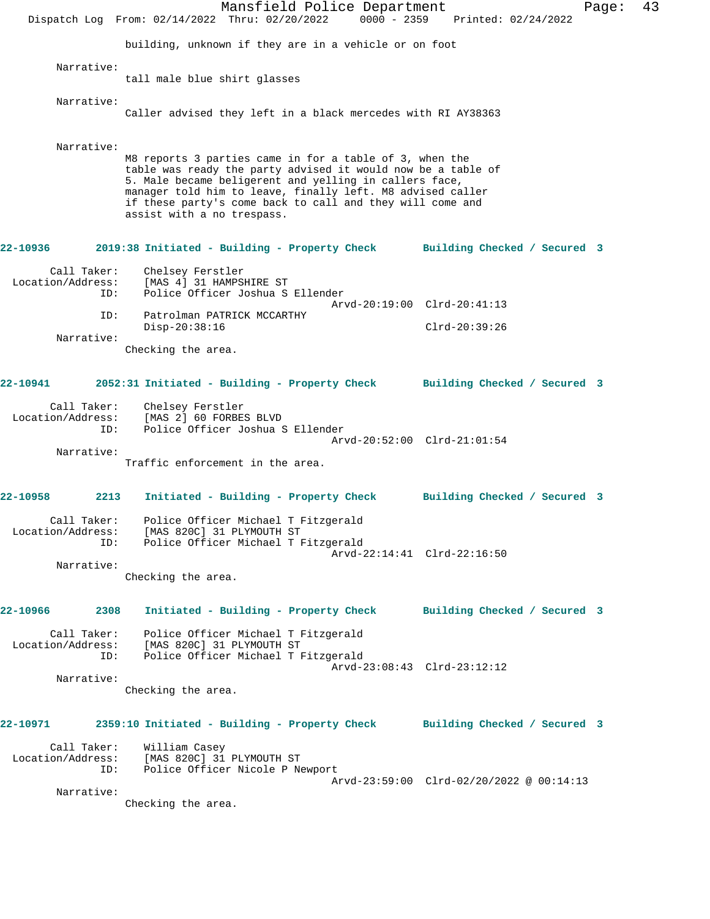Mansfield Police Department Fage: 43 Dispatch Log From: 02/14/2022 Thru: 02/20/2022 0000 - 2359 Printed: 02/24/2022 building, unknown if they are in a vehicle or on foot Narrative: tall male blue shirt glasses Narrative: Caller advised they left in a black mercedes with RI AY38363 Narrative: M8 reports 3 parties came in for a table of 3, when the table was ready the party advised it would now be a table of 5. Male became beligerent and yelling in callers face, manager told him to leave, finally left. M8 advised caller if these party's come back to call and they will come and assist with a no trespass. **22-10936 2019:38 Initiated - Building - Property Check Building Checked / Secured 3** Call Taker: Chelsey Ferstler Location/Address: [MAS 4] 31 HAMPSHIRE ST ID: Police Officer Joshua S Ellender Arvd-20:19:00 Clrd-20:41:13 ID: Patrolman PATRICK MCCARTHY Disp-20:38:16 Clrd-20:39:26 Narrative: Checking the area. **22-10941 2052:31 Initiated - Building - Property Check Building Checked / Secured 3** Call Taker: Chelsey Ferstler Location/Address: [MAS 2] 60 FORBES BLVD<br>TD: Police Officer Joshua S Police Officer Joshua S Ellender Arvd-20:52:00 Clrd-21:01:54 Narrative: Traffic enforcement in the area. **22-10958 2213 Initiated - Building - Property Check Building Checked / Secured 3** Call Taker: Police Officer Michael T Fitzgerald Location/Address: [MAS 820C] 31 PLYMOUTH ST ID: Police Officer Michael T Fitzgerald Arvd-22:14:41 Clrd-22:16:50 Narrative: Checking the area. **22-10966 2308 Initiated - Building - Property Check Building Checked / Secured 3** Call Taker: Police Officer Michael T Fitzgerald Location/Address: [MAS 820C] 31 PLYMOUTH ST ID: Police Officer Michael T Fitzgerald Arvd-23:08:43 Clrd-23:12:12 Narrative: Checking the area. **22-10971 2359:10 Initiated - Building - Property Check Building Checked / Secured 3** Call Taker: William Casey Location/Address: [MAS 820C] 31 PLYMOUTH ST ID: Police Officer Nicole P Newport Arvd-23:59:00 Clrd-02/20/2022 @ 00:14:13 Narrative: Checking the area.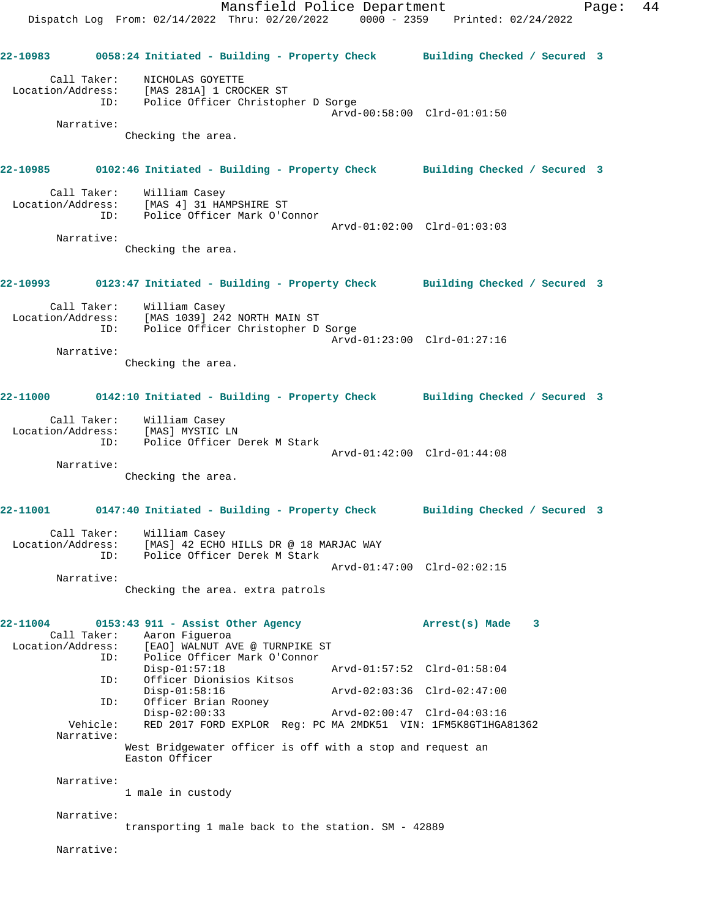Mansfield Police Department Fage: 44 Dispatch Log From: 02/14/2022 Thru: 02/20/2022 0000 - 2359 Printed: 02/24/2022 **22-10983 0058:24 Initiated - Building - Property Check Building Checked / Secured 3** Call Taker: NICHOLAS GOYETTE Location/Address: [MAS 281A] 1 CROCKER ST ID: Police Officer Christopher D Sorge Arvd-00:58:00 Clrd-01:01:50 Narrative: Checking the area. **22-10985 0102:46 Initiated - Building - Property Check Building Checked / Secured 3** Call Taker: William Casey Location/Address: [MAS 4] 31 HAMPSHIRE ST ID: Police Officer Mark O'Connor Arvd-01:02:00 Clrd-01:03:03 Narrative: Checking the area. **22-10993 0123:47 Initiated - Building - Property Check Building Checked / Secured 3** Call Taker: William Casey Location/Address: [MAS 1039] 242 NORTH MAIN ST ID: Police Officer Christopher D Sorge Arvd-01:23:00 Clrd-01:27:16 Narrative: Checking the area. **22-11000 0142:10 Initiated - Building - Property Check Building Checked / Secured 3** Call Taker: William Casey Location/Address: [MAS] MYSTIC LN ID: Police Officer Derek M Stark Arvd-01:42:00 Clrd-01:44:08 Narrative: Checking the area. **22-11001 0147:40 Initiated - Building - Property Check Building Checked / Secured 3** Call Taker: William Casey Location/Address: [MAS] 42 ECHO HILLS DR @ 18 MARJAC WAY ID: Police Officer Derek M Stark Arvd-01:47:00 Clrd-02:02:15 Narrative: Checking the area. extra patrols **22-11004 0153:43 911 - Assist Other Agency Arrest(s) Made 3**  Call Taker: Aaron Figueroa Location/Address: [EAO] WALNUT AVE @ TURNPIKE ST ID: Police Officer Mark O'Connor Disp-01:57:18 Arvd-01:57:52 Clrd-01:58:04<br>ID: Officer Dionisios Kitsos Officer Dionisios Kitsos<br>Disp-01:58:16 Disp-01:58:16 Arvd-02:03:36 Clrd-02:47:00 ID: Officer Brian Rooney<br>Disp-02:00:33 Disp-02:00:33 Arvd-02:00:47 Clrd-04:03:16 Vehicle: RED 2017 FORD EXPLOR Reg: PC MA 2MDK51 VIN: 1FM5K8GT1HGA81362 Narrative: West Bridgewater officer is off with a stop and request an Easton Officer Narrative: 1 male in custody Narrative: transporting 1 male back to the station. SM - 42889

Narrative: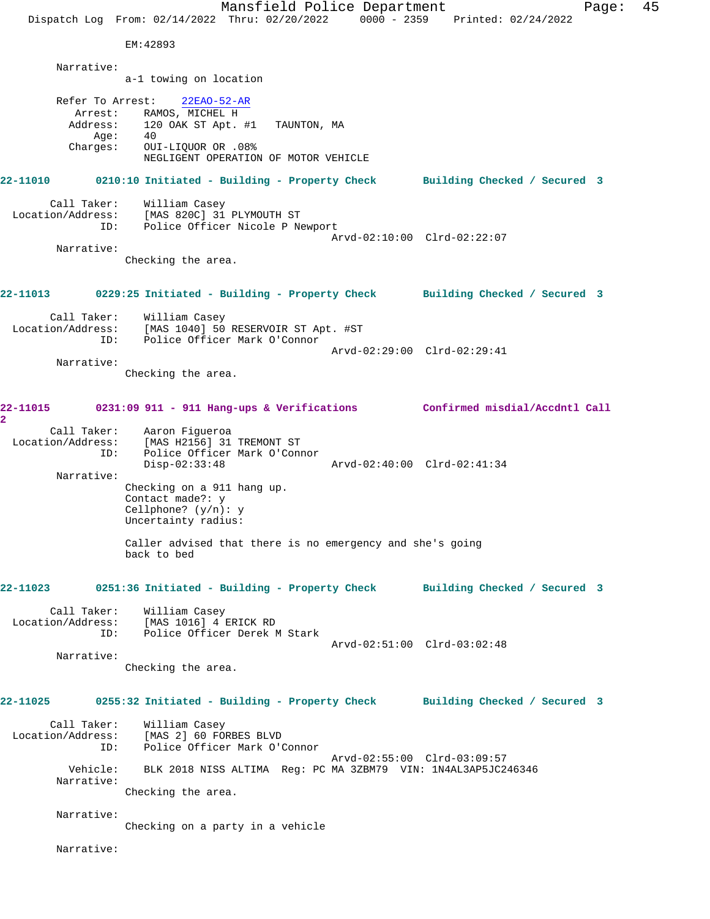Mansfield Police Department Fage: 45 Dispatch Log From: 02/14/2022 Thru: 02/20/2022 0000 - 2359 Printed: 02/24/2022 EM:42893 Narrative: a-1 towing on location Refer To Arrest: 22EAO-52-AR Arrest: RAMOS, MICHEL H Address: 120 OAK ST Apt. #1 TAUNTON, MA Age: 40<br>Charges: 0UI OUI-LIQUOR OR .08% NEGLIGENT OPERATION OF MOTOR VEHICLE **22-11010 0210:10 Initiated - Building - Property Check Building Checked / Secured 3** Call Taker: William Casey Location/Address: [MAS 820C] 31 PLYMOUTH ST ID: Police Officer Nicole P Newport Arvd-02:10:00 Clrd-02:22:07 Narrative: Checking the area. **22-11013 0229:25 Initiated - Building - Property Check Building Checked / Secured 3** Call Taker: William Casey Location/Address: [MAS 1040] 50 RESERVOIR ST Apt. #ST ID: Police Officer Mark O'Connor Arvd-02:29:00 Clrd-02:29:41 Narrative: Checking the area. **22-11015 0231:09 911 - 911 Hang-ups & Verifications Confirmed misdial/Accdntl Call 2**  Call Taker: Aaron Figueroa Location/Address: [MAS H2156] 31 TREMONT ST ID: Police Officer Mark O'Connor Disp-02:33:48 Arvd-02:40:00 Clrd-02:41:34 Narrative: Checking on a 911 hang up. Contact made?: y Cellphone? (y/n): y Uncertainty radius: Caller advised that there is no emergency and she's going back to bed **22-11023 0251:36 Initiated - Building - Property Check Building Checked / Secured 3** Call Taker: William Casey Location/Address: [MAS 1016] 4 ERICK RD ID: Police Officer Derek M Stark Arvd-02:51:00 Clrd-03:02:48 Narrative: Checking the area. **22-11025 0255:32 Initiated - Building - Property Check Building Checked / Secured 3** Call Taker: William Casey Location/Address: [MAS 2] 60 FORBES BLVD ID: Police Officer Mark O'Connor Arvd-02:55:00 Clrd-03:09:57 Vehicle: BLK 2018 NISS ALTIMA Reg: PC MA 3ZBM79 VIN: 1N4AL3AP5JC246346 Narrative: Checking the area. Narrative: Checking on a party in a vehicle Narrative: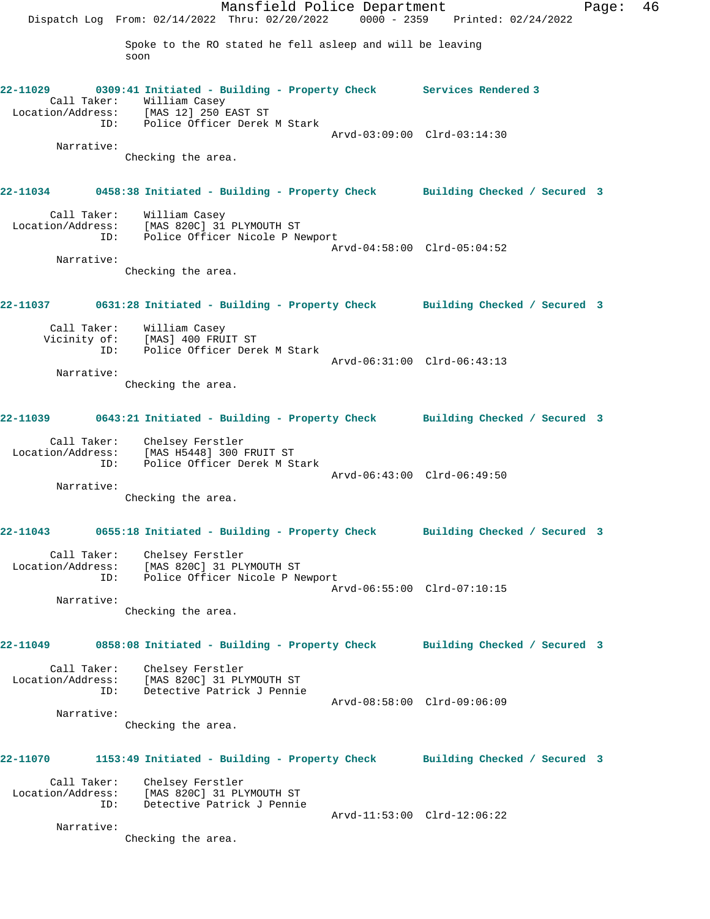Mansfield Police Department Fage: 46 Dispatch Log From: 02/14/2022 Thru: 02/20/2022 0000 - 2359 Printed: 02/24/2022 Spoke to the RO stated he fell asleep and will be leaving soon **22-11029 0309:41 Initiated - Building - Property Check Services Rendered 3**  Call Taker: William Casey Location/Address: [MAS 12] 250 EAST ST ID: Police Officer Derek M Stark Arvd-03:09:00 Clrd-03:14:30 Narrative: Checking the area. **22-11034 0458:38 Initiated - Building - Property Check Building Checked / Secured 3** Call Taker: William Casey Location/Address: [MAS 820C] 31 PLYMOUTH ST ID: Police Officer Nicole P Newport Arvd-04:58:00 Clrd-05:04:52 Narrative: Checking the area. **22-11037 0631:28 Initiated - Building - Property Check Building Checked / Secured 3** Call Taker: William Casey Vicinity of: [MAS] 400 FRUIT ST ID: Police Officer Derek M Stark Arvd-06:31:00 Clrd-06:43:13 Narrative: Checking the area. **22-11039 0643:21 Initiated - Building - Property Check Building Checked / Secured 3** Call Taker: Chelsey Ferstler Location/Address: [MAS H5448] 300 FRUIT ST ID: Police Officer Derek M Stark Arvd-06:43:00 Clrd-06:49:50 Narrative: Checking the area. **22-11043 0655:18 Initiated - Building - Property Check Building Checked / Secured 3** Call Taker: Chelsey Ferstler Location/Address: [MAS 820C] 31 PLYMOUTH ST ID: Police Officer Nicole P Newport Arvd-06:55:00 Clrd-07:10:15 Narrative: Checking the area. **22-11049 0858:08 Initiated - Building - Property Check Building Checked / Secured 3** Call Taker: Chelsey Ferstler Location/Address: [MAS 820C] 31 PLYMOUTH ST ID: Detective Patrick J Pennie Arvd-08:58:00 Clrd-09:06:09 Narrative: Checking the area. **22-11070 1153:49 Initiated - Building - Property Check Building Checked / Secured 3** Call Taker: Chelsey Ferstler Location/Address: [MAS 820C] 31 PLYMOUTH ST ID: Detective Patrick J Pennie Arvd-11:53:00 Clrd-12:06:22 Narrative: Checking the area.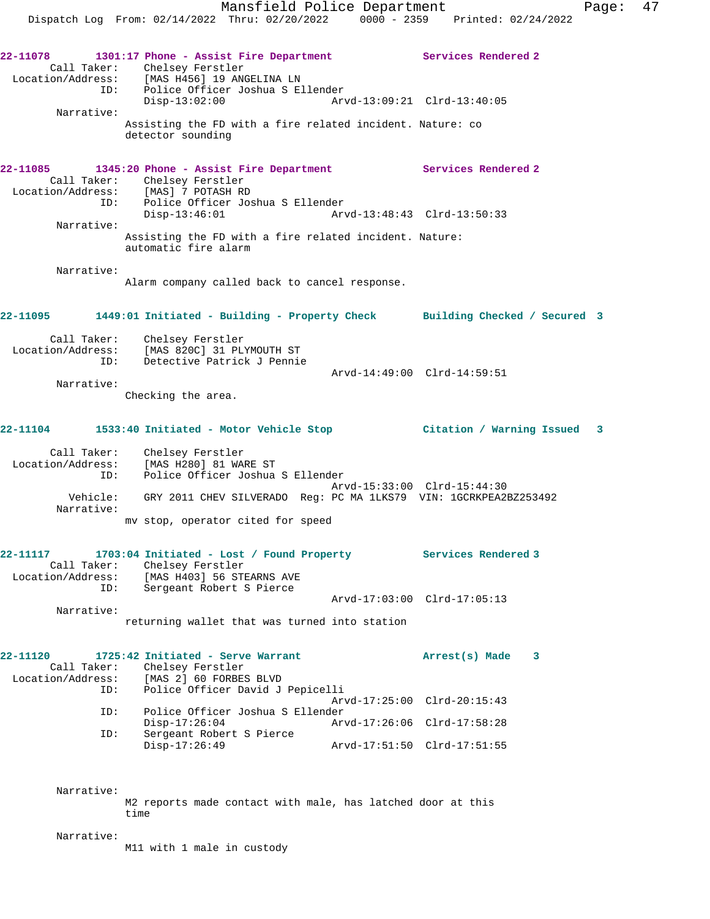**22-11078 1301:17 Phone - Assist Fire Department Services Rendered 2**  Call Taker: Chelsey Ferstler Location/Address: [MAS H456] 19 ANGELINA LN ID: Police Officer Joshua S Ellender Disp-13:02:00 Arvd-13:09:21 Clrd-13:40:05 Narrative: Assisting the FD with a fire related incident. Nature: co detector sounding **22-11085 1345:20 Phone - Assist Fire Department Services Rendered 2**  Call Taker: Chelsey Ferstler Location/Address: [MAS] 7 POTASH RD ID: Police Officer Joshua S Ellender Arvd-13:48:43 Clrd-13:50:33 Narrative: Assisting the FD with a fire related incident. Nature: automatic fire alarm Narrative: Alarm company called back to cancel response. **22-11095 1449:01 Initiated - Building - Property Check Building Checked / Secured 3** Call Taker: Chelsey Ferstler Location/Address: [MAS 820C] 31 PLYMOUTH ST ID: Detective Patrick J Pennie Arvd-14:49:00 Clrd-14:59:51 Narrative: Checking the area. **22-11104 1533:40 Initiated - Motor Vehicle Stop Citation / Warning Issued 3** Call Taker: Chelsey Ferstler Location/Address: [MAS H280] 81 WARE ST ID: Police Officer Joshua S Ellender Arvd-15:33:00 Clrd-15:44:30 Vehicle: GRY 2011 CHEV SILVERADO Reg: PC MA 1LKS79 VIN: 1GCRKPEA2BZ253492 Narrative: mv stop, operator cited for speed **22-11117 1703:04 Initiated - Lost / Found Property Services Rendered 3** 

 Call Taker: Chelsey Ferstler Location/Address: [MAS H403] 56 STEARNS AVE ID: Sergeant Robert S Pierce Arvd-17:03:00 Clrd-17:05:13 Narrative: returning wallet that was turned into station

**22-11120 1725:42 Initiated - Serve Warrant Arrest(s) Made 3**  Call Taker: Chelsey Ferstler Location/Address: [MAS 2] 60 FORBES BLVD ID: Police Officer David J Pepicelli Arvd-17:25:00 Clrd-20:15:43 ID: Police Officer Joshua S Ellender Disp-17:26:04 Arvd-17:26:06 Clrd-17:58:28 ID: Sergeant Robert S Pierce Disp-17:26:49 Arvd-17:51:50 Clrd-17:51:55

> Narrative: M2 reports made contact with male, has latched door at this time

Narrative:

M11 with 1 male in custody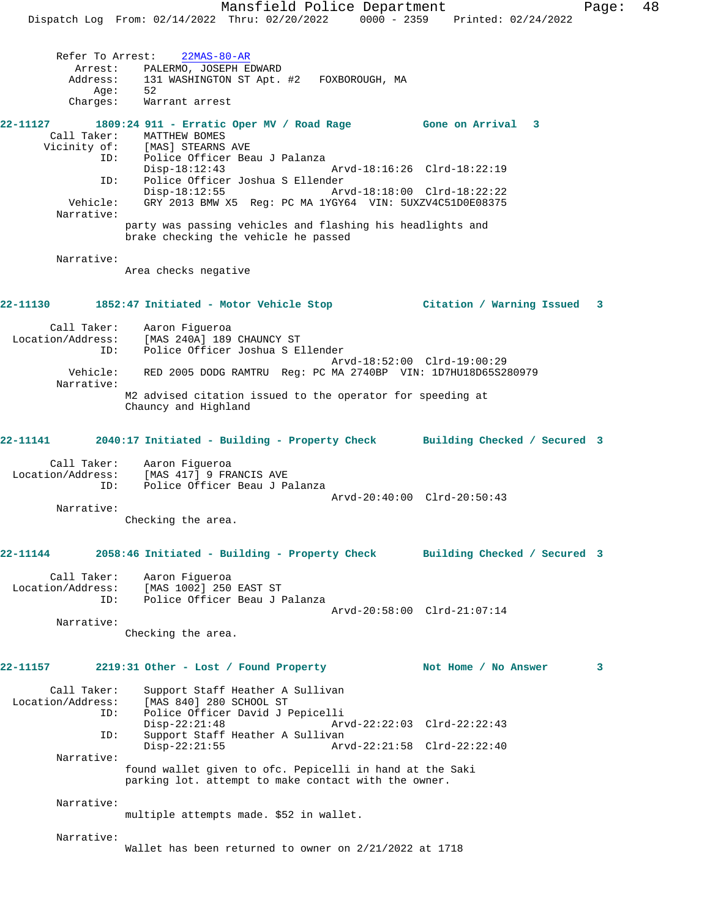Mansfield Police Department Fage: 48 Dispatch Log From: 02/14/2022 Thru: 02/20/2022 0000 - 2359 Printed: 02/24/2022 Refer To Arrest: 22MAS-80-AR Arrest: PALERMO, JOSEPH EDWARD Address: 131 WASHINGTON ST Apt. #2 FOXBOROUGH, MA<br>Age: 52  $Age:$  Charges: Warrant arrest **22-11127 1809:24 911 - Erratic Oper MV / Road Rage Gone on Arrival 3**  Call Taker: MATTHEW BOMES<br>Vicinity of: [MAS] STEARNS UPIES<br>Of: [MAS] STEARNS AVE<br>ID: Police Officer Bea Police Officer Beau J Palanza<br>Disp-18:12:43 Disp-18:12:43 Arvd-18:16:26 Clrd-18:22:19 ID: Police Officer Joshua S Ellender Disp-18:12:55 Arvd-18:18:00 Clrd-18:22:22 Vehicle: GRY 2013 BMW X5 Reg: PC MA 1YGY64 VIN: 5UXZV4C51D0E08375 Narrative: party was passing vehicles and flashing his headlights and brake checking the vehicle he passed Narrative: Area checks negative **22-11130 1852:47 Initiated - Motor Vehicle Stop Citation / Warning Issued 3** Call Taker: Aaron Figueroa Location/Address: [MAS 240A] 189 CHAUNCY ST ID: Police Officer Joshua S Ellender Arvd-18:52:00 Clrd-19:00:29 Vehicle: RED 2005 DODG RAMTRU Reg: PC MA 2740BP VIN: 1D7HU18D65S280979 Narrative: M2 advised citation issued to the operator for speeding at Chauncy and Highland **22-11141 2040:17 Initiated - Building - Property Check Building Checked / Secured 3** Call Taker: Aaron Figueroa Location/Address: [MAS 417] 9 FRANCIS AVE ID: Police Officer Beau J Palanza Arvd-20:40:00 Clrd-20:50:43 Narrative: Checking the area. **22-11144 2058:46 Initiated - Building - Property Check Building Checked / Secured 3** Call Taker: Aaron Figueroa Location/Address: [MAS 1002] 250 EAST ST ID: Police Officer Beau J Palanza Arvd-20:58:00 Clrd-21:07:14 Narrative: Checking the area. **22-11157 2219:31 Other - Lost / Found Property Not Home / No Answer 3** Call Taker: Support Staff Heather A Sullivan Location/Address: [MAS 840] 280 SCHOOL ST ID: Police Officer David J Pepicelli Disp-22:21:48 Arvd-22:22:03 Clrd-22:22:43<br>ID: Support Staff Heather A Sullivan Support Staff Heather A Sullivan Disp-22:21:55 Arvd-22:21:58 Clrd-22:22:40 Narrative: found wallet given to ofc. Pepicelli in hand at the Saki parking lot. attempt to make contact with the owner. Narrative: multiple attempts made. \$52 in wallet. Narrative: Wallet has been returned to owner on 2/21/2022 at 1718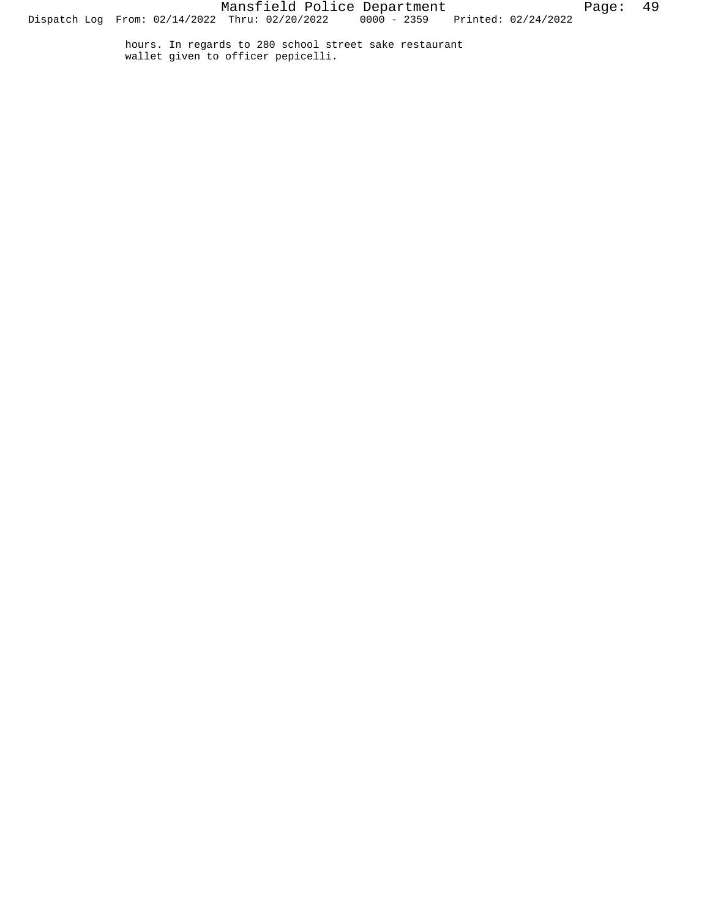hours. In regards to 280 school street sake restaurant wallet given to officer pepicelli.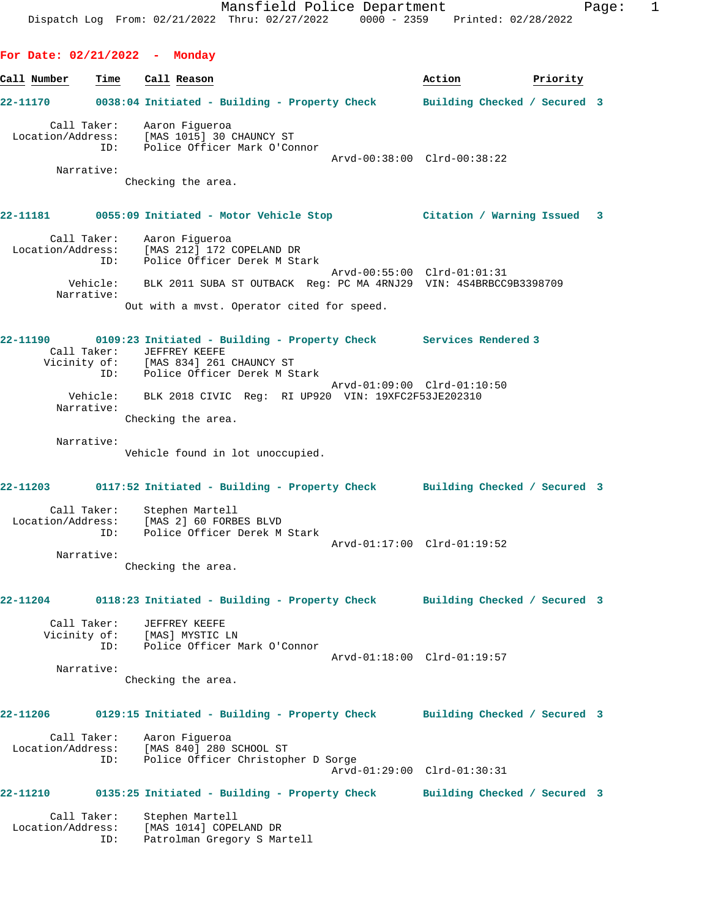**For Date: 02/21/2022 - Monday**

**Call Number Time Call Reason Action Priority 22-11170 0038:04 Initiated - Building - Property Check Building Checked / Secured 3** Call Taker: Aaron Figueroa Location/Address: [MAS 1015] 30 CHAUNCY ST ID: Police Officer Mark O'Connor Arvd-00:38:00 Clrd-00:38:22 Narrative: Checking the area. **22-11181 0055:09 Initiated - Motor Vehicle Stop Citation / Warning Issued 3** Call Taker: Aaron Figueroa Location/Address: [MAS 212] 172 COPELAND DR ID: Police Officer Derek M Stark Arvd-00:55:00 Clrd-01:01:31 Vehicle: BLK 2011 SUBA ST OUTBACK Reg: PC MA 4RNJ29 VIN: 4S4BRBCC9B3398709 Narrative: Out with a mvst. Operator cited for speed. **22-11190 0109:23 Initiated - Building - Property Check Services Rendered 3**  Call Taker: JEFFREY KEEFE Vicinity of: [MAS 834] 261 CHAUNCY ST ID: Police Officer Derek M Stark Arvd-01:09:00 Clrd-01:10:50 Vehicle: BLK 2018 CIVIC Reg: RI UP920 VIN: 19XFC2F53JE202310 Narrative: Checking the area. Narrative: Vehicle found in lot unoccupied. **22-11203 0117:52 Initiated - Building - Property Check Building Checked / Secured 3** Call Taker: Stephen Martell Location/Address: [MAS 2] 60 FORBES BLVD ID: Police Officer Derek M Stark Arvd-01:17:00 Clrd-01:19:52 Narrative: Checking the area. **22-11204 0118:23 Initiated - Building - Property Check Building Checked / Secured 3** Call Taker: JEFFREY KEEFE Vicinity of: [MAS] MYSTIC LN ID: Police Officer Mark O'Connor Arvd-01:18:00 Clrd-01:19:57 Narrative: Checking the area. **22-11206 0129:15 Initiated - Building - Property Check Building Checked / Secured 3** Call Taker: Aaron Figueroa Location/Address: [MAS 840] 280 SCHOOL ST<br>TD: Police Officer Christoph Police Officer Christopher D Sorge Arvd-01:29:00 Clrd-01:30:31 **22-11210 0135:25 Initiated - Building - Property Check Building Checked / Secured 3** Call Taker: Stephen Martell Location/Address: [MAS 1014] COPELAND DR ID: Patrolman Gregory S Martell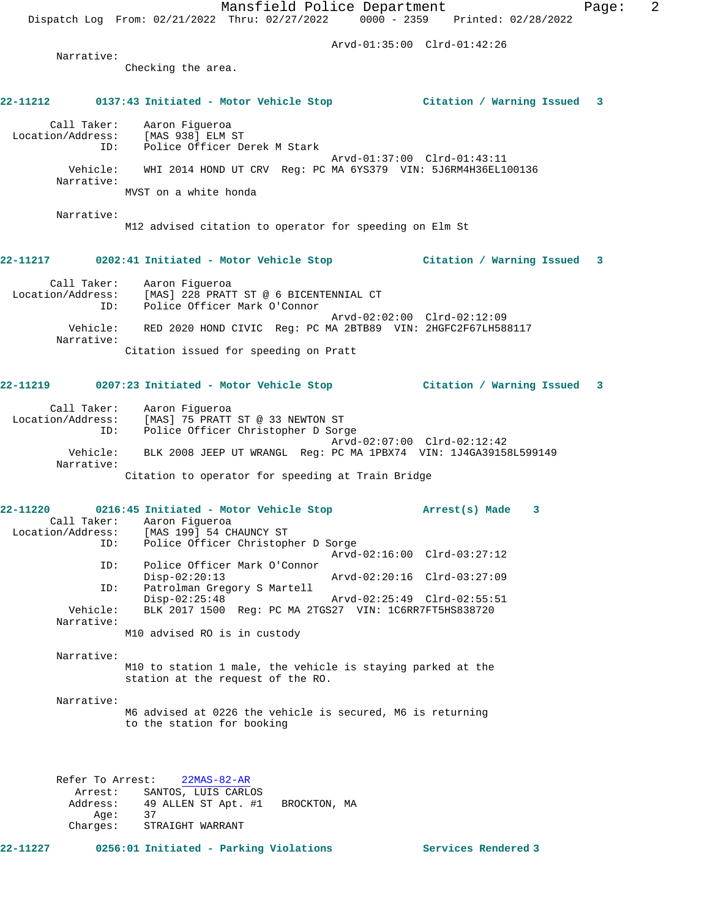Mansfield Police Department Fage: 2 Dispatch Log From: 02/21/2022 Thru: 02/27/2022 0000 - 2359 Printed: 02/28/2022 Arvd-01:35:00 Clrd-01:42:26 Narrative: Checking the area. **22-11212 0137:43 Initiated - Motor Vehicle Stop Citation / Warning Issued 3** Call Taker: Aaron Figueroa Location/Address: [MAS 938] ELM ST<br>
TD: Police Officer De Police Officer Derek M Stark Arvd-01:37:00 Clrd-01:43:11 Vehicle: WHI 2014 HOND UT CRV Reg: PC MA 6YS379 VIN: 5J6RM4H36EL100136 Narrative: MVST on a white honda Narrative: M12 advised citation to operator for speeding on Elm St **22-11217 0202:41 Initiated - Motor Vehicle Stop Citation / Warning Issued 3** Call Taker: Aaron Figueroa Location/Address: [MAS] 228 PRATT ST @ 6 BICENTENNIAL CT ID: Police Officer Mark O'Connor Arvd-02:02:00 Clrd-02:12:09 Vehicle: RED 2020 HOND CIVIC Reg: PC MA 2BTB89 VIN: 2HGFC2F67LH588117 Narrative: Citation issued for speeding on Pratt **22-11219 0207:23 Initiated - Motor Vehicle Stop Citation / Warning Issued 3** Call Taker: Aaron Figueroa Location/Address: [MAS] 75 PRATT ST @ 33 NEWTON ST ID: Police Officer Christopher D Sorge Arvd-02:07:00 Clrd-02:12:42 Vehicle: BLK 2008 JEEP UT WRANGL Reg: PC MA 1PBX74 VIN: 1J4GA39158L599149 Narrative: Citation to operator for speeding at Train Bridge **22-11220 0216:45 Initiated - Motor Vehicle Stop Arrest(s) Made 3**  Call Taker: Aaron Figueroa Location/Address: [MAS 199] 54 CHAUNCY ST ID: Police Officer Christopher D Sorge Arvd-02:16:00 Clrd-03:27:12 ID: Police Officer Mark O'Connor Disp-02:20:13 Arvd-02:20:16 Clrd-03:27:09<br>ID: Patrolman Gregory S Martell Patrolman Gregory S Martell<br>Disp-02:25:48 Disp-02:25:48 Arvd-02:25:49 Clrd-02:55:51 Vehicle: BLK 2017 1500 Reg: PC MA 2TGS27 VIN: 1C6RR7FT5HS838720 Narrative: M10 advised RO is in custody Narrative: M10 to station 1 male, the vehicle is staying parked at the station at the request of the RO. Narrative: M6 advised at 0226 the vehicle is secured, M6 is returning to the station for booking Refer To Arrest: 22MAS-82-AR Arrest: SANTOS, LUIS CARLOS 49 ALLEN ST Apt. #1 BROCKTON, MA Age: 37 Charges: STRAIGHT WARRANT

**22-11227 0256:01 Initiated - Parking Violations Services Rendered 3**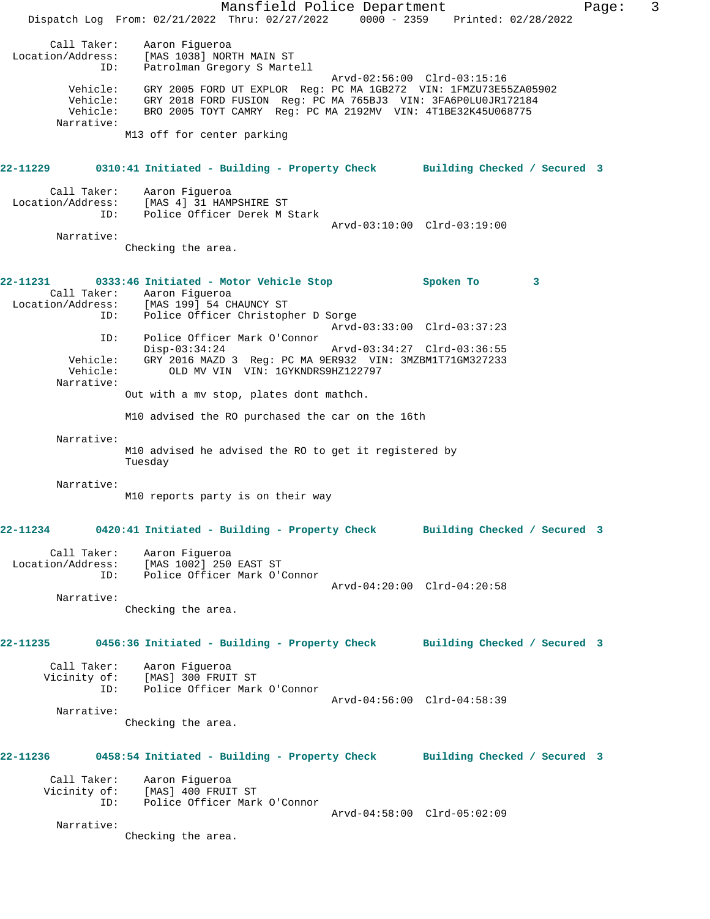Mansfield Police Department Fage: 3 Dispatch Log From: 02/21/2022 Thru: 02/27/2022 0000 - 2359 Printed: 02/28/2022 Call Taker: Aaron Figueroa Location/Address: [MAS 1038] NORTH MAIN ST ID: Patrolman Gregory S Martell Arvd-02:56:00 Clrd-03:15:16 Vehicle: GRY 2005 FORD UT EXPLOR Reg: PC MA 1GB272 VIN: 1FMZU73E55ZA05902 Vehicle: GRY 2018 FORD FUSION Reg: PC MA 765BJ3 VIN: 3FA6P0LU0JR172184 Vehicle: BRO 2005 TOYT CAMRY Reg: PC MA 2192MV VIN: 4T1BE32K45U068775 Narrative: M13 off for center parking **22-11229 0310:41 Initiated - Building - Property Check Building Checked / Secured 3** Call Taker: Aaron Figueroa Location/Address: [MAS 4] 31 HAMPSHIRE ST ID: Police Officer Derek M Stark Arvd-03:10:00 Clrd-03:19:00 Narrative: Checking the area. **22-11231 0333:46 Initiated - Motor Vehicle Stop Spoken To 3**  Call Taker: Aaron Figueroa<br>Location/Address: [MAS 199] 54 C [MAS 199] 54 CHAUNCY ST ID: Police Officer Christopher D Sorge Arvd-03:33:00 Clrd-03:37:23 ID: Police Officer Mark O'Connor Disp-03:34:24 Arvd-03:34:27 Clrd-03:36:55 Vehicle: GRY 2016 MAZD 3 Reg: PC MA 9ER932 VIN: 3MZBM1T71GM327233 Vehicle: OLD MV VIN VIN: 1GYKNDRS9HZ122797 Narrative: Out with a mv stop, plates dont mathch. M10 advised the RO purchased the car on the 16th Narrative: M10 advised he advised the RO to get it registered by Tuesday Narrative: M10 reports party is on their way **22-11234 0420:41 Initiated - Building - Property Check Building Checked / Secured 3** Call Taker: Aaron Figueroa Location/Address: [MAS 1002] 250 EAST ST ID: Police Officer Mark O'Connor Arvd-04:20:00 Clrd-04:20:58 Narrative: Checking the area. **22-11235 0456:36 Initiated - Building - Property Check Building Checked / Secured 3** Call Taker: Aaron Figueroa Vicinity of: [MAS] 300 FRUIT ST ID: Police Officer Mark O'Connor Arvd-04:56:00 Clrd-04:58:39 Narrative: Checking the area. **22-11236 0458:54 Initiated - Building - Property Check Building Checked / Secured 3** Call Taker: Aaron Figueroa Vicinity of: [MAS] 400 FRUIT ST ID: Police Officer Mark O'Connor Arvd-04:58:00 Clrd-05:02:09 Narrative: Checking the area.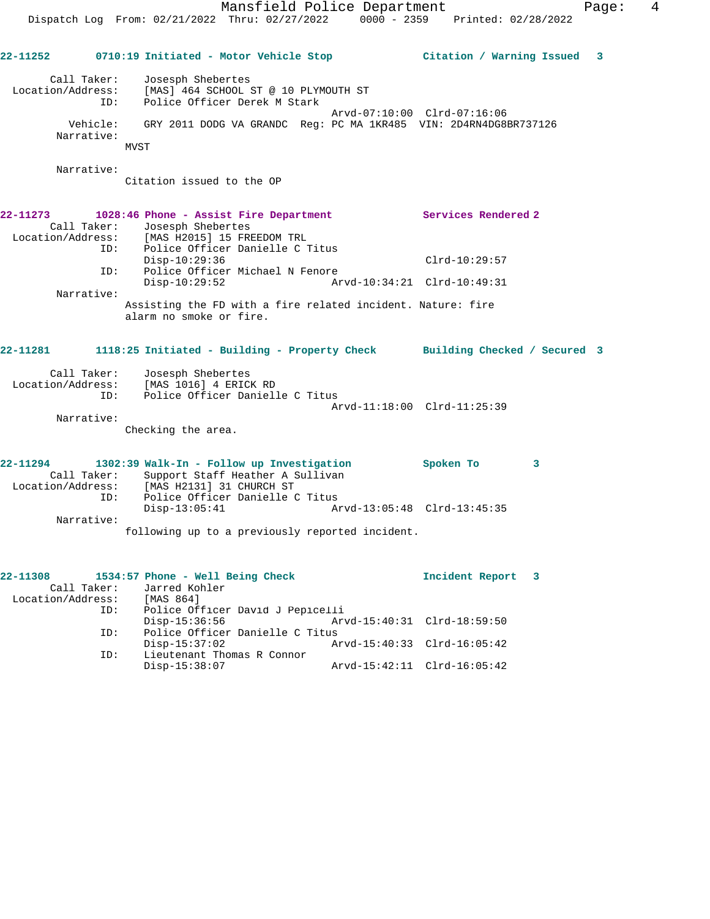| 22-11252                      |                                  | 0710:19 Initiated - Motor Vehicle Stop                                                                                                                                                           | Citation / Warning Issued   |              | $\mathbf{3}$ |
|-------------------------------|----------------------------------|--------------------------------------------------------------------------------------------------------------------------------------------------------------------------------------------------|-----------------------------|--------------|--------------|
|                               | Call Taker:<br>ID:<br>Narrative: | Josesph Shebertes<br>Location/Address: [MAS] 464 SCHOOL ST @ 10 PLYMOUTH ST<br>Police Officer Derek M Stark<br>Vehicle: GRY 2011 DODG VA GRANDC Req: PC MA 1KR485 VIN: 2D4RN4DG8BR737126<br>MVST | Arvd-07:10:00 Clrd-07:16:06 |              |              |
|                               | Narrative:                       | Citation issued to the OP                                                                                                                                                                        |                             |              |              |
| 22-11273                      |                                  | 1028:46 Phone - Assist Fire Department                                                                                                                                                           | Services Rendered 2         |              |              |
|                               | Call Taker:<br>ID:               | Josesph Shebertes<br>Location/Address: [MAS H2015] 15 FREEDOM TRL<br>Police Officer Danielle C Titus                                                                                             |                             |              |              |
|                               | ID:                              | $Disp-10:29:36$<br>Police Officer Michael N Fenore                                                                                                                                               | $Clrd-10:29:57$             |              |              |
|                               | Narrative:                       | $Disp-10:29:52$<br>Assisting the FD with a fire related incident. Nature: fire                                                                                                                   | Arvd-10:34:21 Clrd-10:49:31 |              |              |
|                               |                                  | alarm no smoke or fire.                                                                                                                                                                          |                             |              |              |
| 22-11281                      |                                  | 1118:25 Initiated - Building - Property Check Building Checked / Secured 3                                                                                                                       |                             |              |              |
| Location/Address:             | Call Taker:<br>ID:               | Josesph Shebertes<br>[MAS 1016] 4 ERICK RD<br>Police Officer Danielle C Titus                                                                                                                    | Arvd-11:18:00 Clrd-11:25:39 |              |              |
|                               | Narrative:                       | Checking the area.                                                                                                                                                                               |                             |              |              |
| 22-11294                      | ID:                              | 1302:39 Walk-In - Follow up Investigation<br>Call Taker: Support Staff Heather A Sullivan<br>Location/Address: [MAS H2131] 31 CHURCH ST<br>Police Officer Danielle C Titus                       | Spoken To                   | $\mathbf{3}$ |              |
|                               | Narrative:                       | $Disp-13:05:41$<br>following up to a previously reported incident.                                                                                                                               |                             |              |              |
|                               |                                  |                                                                                                                                                                                                  |                             |              |              |
| 22-11308<br>Location/Address: |                                  | 1534:57 Phone - Well Being Check<br>Call Taker: Jarred Kohler<br>[MAS 864]                                                                                                                       | Incident Report             | 3            |              |

| Location/Address: | [MAS 864]                        |                             |                             |  |
|-------------------|----------------------------------|-----------------------------|-----------------------------|--|
| ID:               | Police Officer David J Pepicelli |                             |                             |  |
|                   | Disp-15:36:56                    | Arvd-15:40:31 Clrd-18:59:50 |                             |  |
| ID:               | Police Officer Danielle C Titus  |                             |                             |  |
|                   | Disp-15:37:02                    |                             | Arvd-15:40:33 Clrd-16:05:42 |  |
| ID:               | Lieutenant Thomas R Connor       |                             |                             |  |
|                   | Disp-15:38:07                    |                             | Arvd-15:42:11 Clrd-16:05:42 |  |
|                   |                                  |                             |                             |  |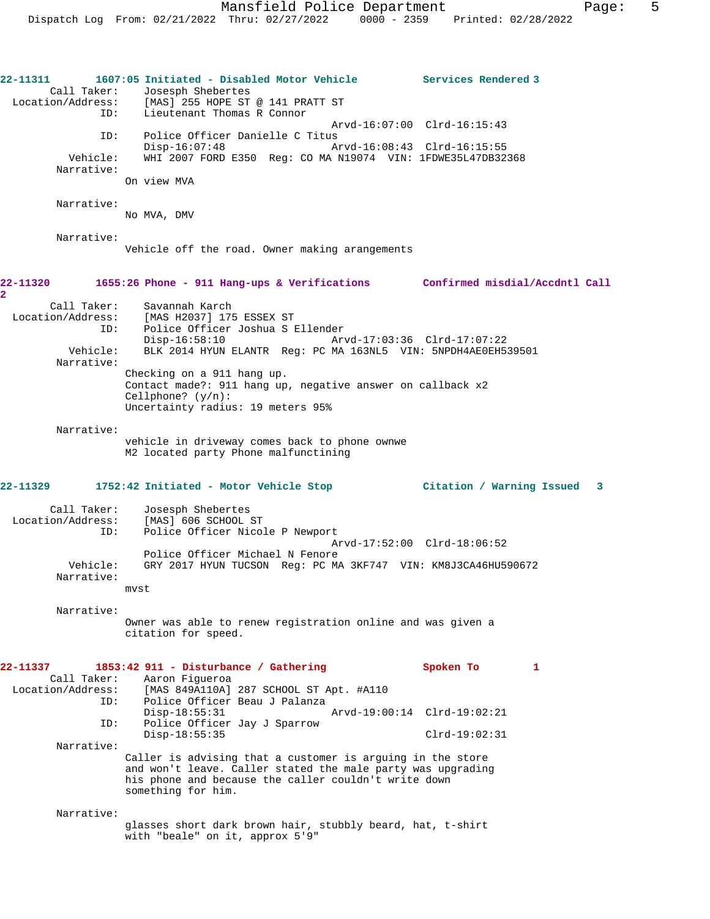| 22-11311<br>Call Taker:                 | 1607:05 Initiated - Disabled Motor Vehicle<br>Josesph Shebertes<br>Location/Address: [MAS] 255 HOPE ST @ 141 PRATT ST                                 | Services Rendered 3         |
|-----------------------------------------|-------------------------------------------------------------------------------------------------------------------------------------------------------|-----------------------------|
| ID:                                     | Lieutenant Thomas R Connor                                                                                                                            | Arvd-16:07:00 Clrd-16:15:43 |
| ID:<br>Vehicle:                         | Police Officer Danielle C Titus<br>$Disp-16:07:48$<br>WHI 2007 FORD E350 Reg: CO MA N19074 VIN: 1FDWE35L47DB32368                                     | Arvd-16:08:43 Clrd-16:15:55 |
| Narrative:                              | On view MVA                                                                                                                                           |                             |
|                                         |                                                                                                                                                       |                             |
| Narrative:                              | No MVA, DMV                                                                                                                                           |                             |
| Narrative:                              | Vehicle off the road. Owner making arangements                                                                                                        |                             |
| 22-11320<br>2                           | 1655:26 Phone - 911 Hang-ups & Verifications Confirmed misdial/Accdntl Call                                                                           |                             |
| Call Taker:<br>Location/Address:<br>ID: | Savannah Karch<br>[MAS H2037] 175 ESSEX ST<br>Police Officer Joshua S Ellender<br>$Disp-16:58:10$                                                     | Arvd-17:03:36 Clrd-17:07:22 |
| Vehicle:<br>Narrative:                  | BLK 2014 HYUN ELANTR Reg: PC MA 163NL5 VIN: 5NPDH4AE0EH539501                                                                                         |                             |
|                                         | Checking on a 911 hang up.<br>Contact made?: 911 hang up, negative answer on callback x2<br>Cellphone? $(y/n)$ :<br>Uncertainty radius: 19 meters 95% |                             |
| Narrative:                              | vehicle in driveway comes back to phone ownwe<br>M2 located party Phone malfunctining                                                                 |                             |
| 22-11329                                | 1752:42 Initiated - Motor Vehicle Stop                                                                                                                | Citation / Warning Issued 3 |
| Call Taker:<br>Location/Address:<br>ID: | Josesph Shebertes<br>[MAS] 606 SCHOOL ST<br>Police Officer Nicole P Newport                                                                           | Arvd-17:52:00 Clrd-18:06:52 |
| Vehicle:<br>Narrative:                  | Police Officer Michael N Fenore<br>GRY 2017 HYUN TUCSON Reg: PC MA 3KF747 VIN: KM8J3CA46HU590672<br>mvst                                              |                             |
| Narrative:                              | Owner was able to renew registration online and was given a<br>citation for speed.                                                                    |                             |
| 22-11337<br>Call Taker:                 | 1853:42 911 - Disturbance / Gathering<br>Aaron Fiqueroa                                                                                               | Spoken To<br>1              |
| Location/Address:<br>ID:                | [MAS 849A110A] 287 SCHOOL ST Apt. #A110<br>Police Officer Beau J Palanza<br>$Disp-18:55:31$                                                           | Arvd-19:00:14 Clrd-19:02:21 |
| ID:                                     | Police Officer Jay J Sparrow<br>$Disp-18:55:35$                                                                                                       | $Clrd-19:02:31$             |
| Narrative:                              | Caller is advising that a customer is arguing in the store                                                                                            |                             |
|                                         | and won't leave. Caller stated the male party was upgrading<br>his phone and because the caller couldn't write down<br>something for him.             |                             |
| Narrative:                              |                                                                                                                                                       |                             |
|                                         | glasses short dark brown hair, stubbly beard, hat, t-shirt<br>with "beale" on it, approx 5'9"                                                         |                             |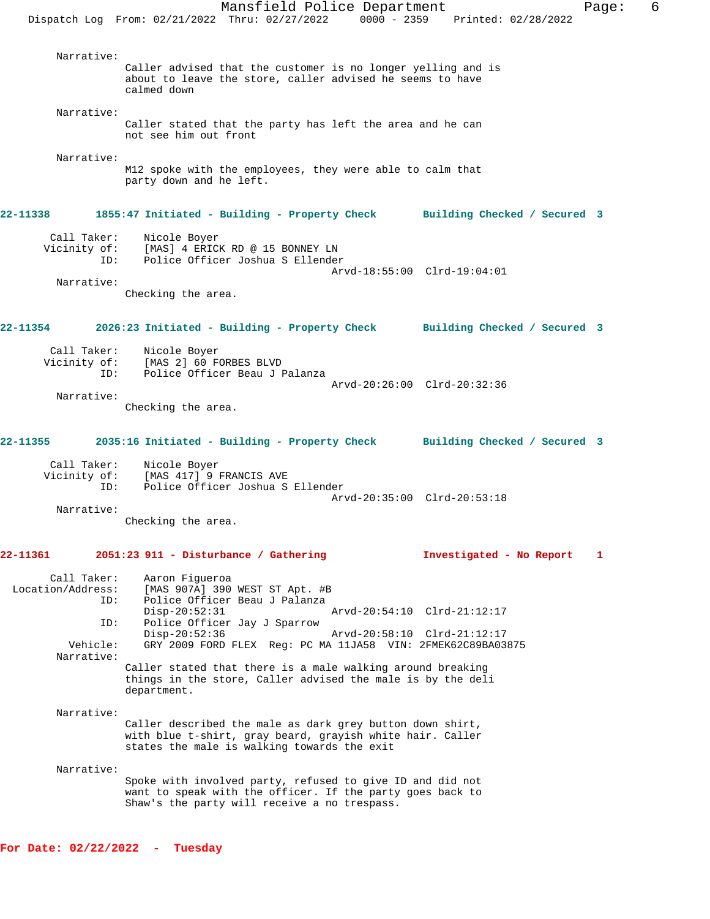Dispatch Log From: 02/21/2022 Thru: 02/27/2022 0000 - 2359 Printed: 02/28/2022 Narrative: Caller advised that the customer is no longer yelling and is about to leave the store, caller advised he seems to have calmed down Narrative: Caller stated that the party has left the area and he can not see him out front Narrative: M12 spoke with the employees, they were able to calm that party down and he left. **22-11338 1855:47 Initiated - Building - Property Check Building Checked / Secured 3** Call Taker: Nicole Boyer Vicinity of: [MAS] 4 ERICK RD @ 15 BONNEY LN ID: Police Officer Joshua S Ellender Arvd-18:55:00 Clrd-19:04:01 Narrative: Checking the area. **22-11354 2026:23 Initiated - Building - Property Check Building Checked / Secured 3** Call Taker: Nicole Boyer Vicinity of: [MAS 2] 60 FORBES BLVD ID: Police Officer Beau J Palanza Arvd-20:26:00 Clrd-20:32:36 Narrative: Checking the area. **22-11355 2035:16 Initiated - Building - Property Check Building Checked / Secured 3** Call Taker: Nicole Boyer<br>Vicinity of: [MAS 417] 9: [MAS 417] 9 FRANCIS AVE ID: Police Officer Joshua S Ellender Arvd-20:35:00 Clrd-20:53:18 Narrative: Checking the area. **22-11361 2051:23 911 - Disturbance / Gathering Investigated - No Report 1** Call Taker: Aaron Figueroa<br>Location/Address: [MAS 907A] 390 ess: [MAS 907A] 390 WEST ST Apt. #B<br>ID: Police Officer Beau J Palanza Police Officer Beau J Palanza<br>Disp-20:52:31 Disp-20:52:31 Arvd-20:54:10 Clrd-21:12:17 ID: Police Officer Jay J Sparrow Disp-20:52:36 Arvd-20:58:10 Clrd-21:12:17<br>Vehicle: GRY 2009 FORD FLEX Req: PC MA 11JA58 VIN: 2FMEK62C89BA03 GRY 2009 FORD FLEX Reg: PC MA 11JA58 VIN: 2FMEK62C89BA03875 Narrative: Caller stated that there is a male walking around breaking things in the store, Caller advised the male is by the deli department. Narrative: Caller described the male as dark grey button down shirt, with blue t-shirt, gray beard, grayish white hair. Caller states the male is walking towards the exit Narrative: Spoke with involved party, refused to give ID and did not want to speak with the officer. If the party goes back to Shaw's the party will receive a no trespass.

Mansfield Police Department Fage: 6

**For Date: 02/22/2022 - Tuesday**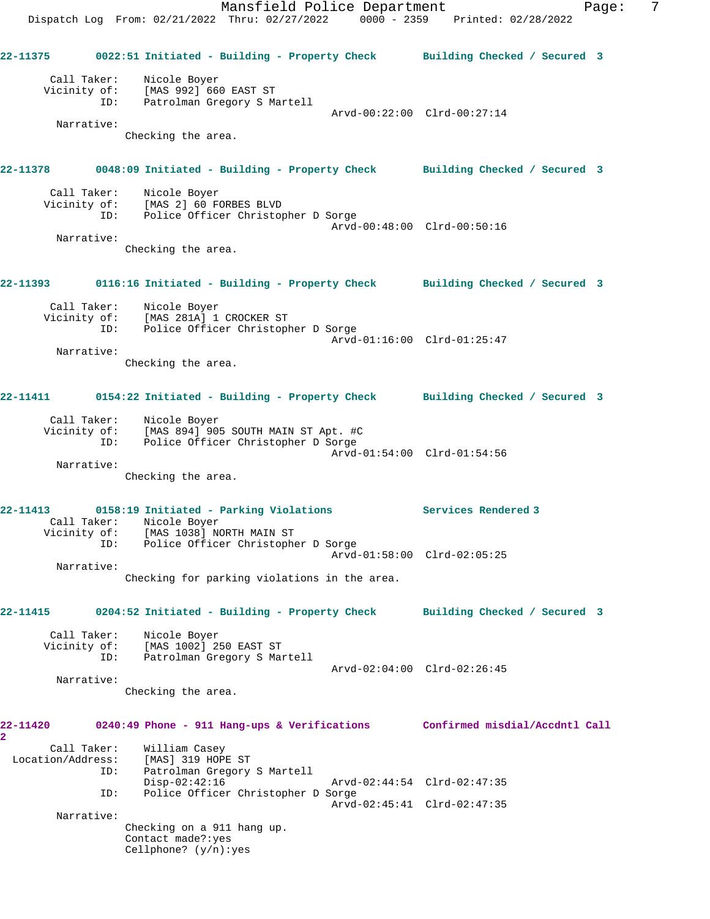Mansfield Police Department Fage: 7 Dispatch Log From: 02/21/2022 Thru: 02/27/2022 0000 - 2359 Printed: 02/28/2022 **22-11375 0022:51 Initiated - Building - Property Check Building Checked / Secured 3** Call Taker: Nicole Boyer Vicinity of: [MAS 992] 660 EAST ST ID: Patrolman Gregory S Martell Arvd-00:22:00 Clrd-00:27:14 Narrative: Checking the area. **22-11378 0048:09 Initiated - Building - Property Check Building Checked / Secured 3** Call Taker: Nicole Boyer Vicinity of: [MAS 2] 60 FORBES BLVD ID: Police Officer Christopher D Sorge Arvd-00:48:00 Clrd-00:50:16 Narrative: Checking the area. **22-11393 0116:16 Initiated - Building - Property Check Building Checked / Secured 3** Call Taker: Nicole Boyer Vicinity of: [MAS 281A] 1 CROCKER ST Police Officer Christopher D Sorge Arvd-01:16:00 Clrd-01:25:47 Narrative: Checking the area. **22-11411 0154:22 Initiated - Building - Property Check Building Checked / Secured 3** Call Taker: Nicole Boyer Vicinity of: [MAS 894] 905 SOUTH MAIN ST Apt. #C ID: Police Officer Christopher D Sorge Arvd-01:54:00 Clrd-01:54:56 Narrative: Checking the area. **22-11413 0158:19 Initiated - Parking Violations Services Rendered 3**  Call Taker: Nicole Boyer Vicinity of: [MAS 1038] NORTH MAIN ST ID: Police Officer Christopher D Sorge Arvd-01:58:00 Clrd-02:05:25 Narrative: Checking for parking violations in the area. **22-11415 0204:52 Initiated - Building - Property Check Building Checked / Secured 3** Call Taker: Nicole Boyer Vicinity of: [MAS 1002] 250 EAST ST ID: Patrolman Gregory S Martell Arvd-02:04:00 Clrd-02:26:45 Narrative: Checking the area. **22-11420 0240:49 Phone - 911 Hang-ups & Verifications Confirmed misdial/Accdntl Call 2**  Call Taker: William Casey<br>Location/Address: [MAS] 319 HOPP Lou Casey .....................<br>Sas: [MAS] 319 HOPE ST:<br>ID: Patrolman Gregory Patrolman Gregory S Martell<br>Disp-02:42:16 Arvd-02:44:54 Clrd-02:47:35 ID: Police Officer Christopher D Sorge Arvd-02:45:41 Clrd-02:47:35 Narrative: Checking on a 911 hang up. Contact made?:yes Cellphone? (y/n):yes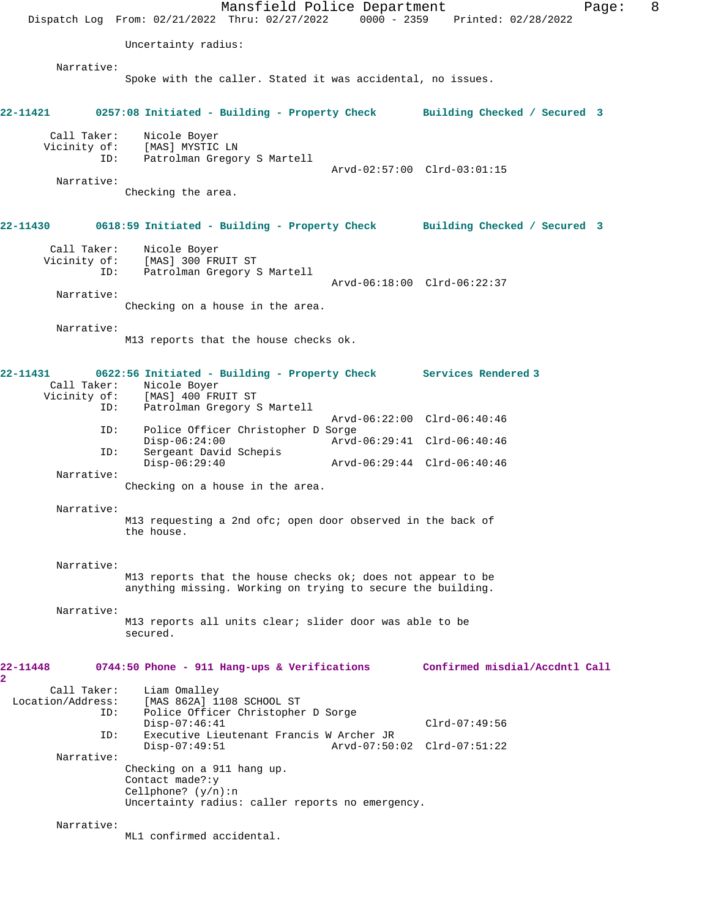Mansfield Police Department Form Page: 8 Dispatch Log From: 02/21/2022 Thru: 02/27/2022 0000 - 2359 Printed: 02/28/2022 Uncertainty radius: Narrative: Spoke with the caller. Stated it was accidental, no issues. **22-11421 0257:08 Initiated - Building - Property Check Building Checked / Secured 3** Call Taker: Nicole Boyer Vicinity of: [MAS] MYSTIC LN ID: Patrolman Gregory S Martell Arvd-02:57:00 Clrd-03:01:15 Narrative: Checking the area. **22-11430 0618:59 Initiated - Building - Property Check Building Checked / Secured 3** Call Taker: Nicole Boyer Vicinity of: [MAS] 300 FRUIT ST ID: Patrolman Gregory S Martell Arvd-06:18:00 Clrd-06:22:37 Narrative: Checking on a house in the area. Narrative: M13 reports that the house checks ok. **22-11431 0622:56 Initiated - Building - Property Check Services Rendered 3**  Call Taker: Nicole Boyer Vicinity of: [MAS] 400 FRUIT ST ID: Patrolman Gregory S Martell Arvd-06:22:00 Clrd-06:40:46 ID: Police Officer Christopher D Sorge Disp-06:24:00 Arvd-06:29:41 Clrd-06:40:46 ID: Sergeant David Schepis Disp-06:29:40 Arvd-06:29:44 Clrd-06:40:46 Narrative: Checking on a house in the area. Narrative: M13 requesting a 2nd ofc; open door observed in the back of the house. Narrative: M13 reports that the house checks ok; does not appear to be anything missing. Working on trying to secure the building. Narrative: M13 reports all units clear; slider door was able to be secured. **22-11448 0744:50 Phone - 911 Hang-ups & Verifications Confirmed misdial/Accdntl Call 2**  Call Taker: Liam Omalley Location/Address: [MAS 862A] 1108 SCHOOL ST ID: Police Officer Christopher D Sorge Disp-07:46:41 Clrd-07:49:56<br>ID: Executive Lieutenant Francis W Archer JR ID: Executive Lieutenant Francis W Archer JR Disp-07:49:51 Arvd-07:50:02 Clrd-07:51:22 Narrative: Checking on a 911 hang up. Contact made?:y Cellphone? (y/n):n Uncertainty radius: caller reports no emergency. Narrative: ML1 confirmed accidental.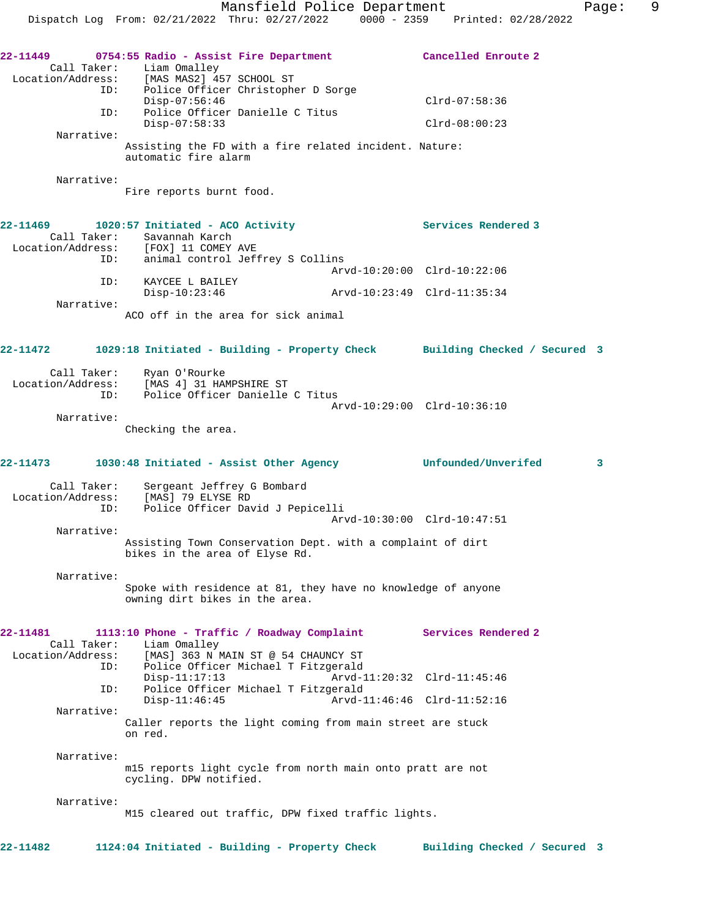| 22-11449   | 0754:55 Radio - Assist Fire Department<br>Call Taker: Liam Omalley<br>Location/Address: [MAS MAS2] 457 SCHOOL ST | Cancelled Enroute 2                                                        |
|------------|------------------------------------------------------------------------------------------------------------------|----------------------------------------------------------------------------|
|            | ID: Police Officer Christopher D Sorge<br>$Disp-07:56:46$<br>Police Officer Danielle C Titus                     | $Clrd-07:58:36$                                                            |
| ID:        | $Disp-07:58:33$                                                                                                  | $Clrd-08:00:23$                                                            |
| Narrative: | Assisting the FD with a fire related incident. Nature:<br>automatic fire alarm                                   |                                                                            |
| Narrative: | Fire reports burnt food.                                                                                         |                                                                            |
| 22-11469   | 1020:57 Initiated - ACO Activity                                                                                 | Services Rendered 3                                                        |
|            | Call Taker: Savannah Karch<br>Location/Address: [FOX] 11 COMEY AVE<br>ID: animal control Jef:                    |                                                                            |
|            | animal control Jeffrey S Collins                                                                                 |                                                                            |
| ID:        | KAYCEE L BAILEY                                                                                                  | Arvd-10:20:00 Clrd-10:22:06                                                |
| Narrative: | $Disp-10:23:46$                                                                                                  |                                                                            |
|            | ACO off in the area for sick animal                                                                              |                                                                            |
| 22-11472   |                                                                                                                  | 1029:18 Initiated - Building - Property Check Building Checked / Secured 3 |
|            | Call Taker: Ryan O'Rourke                                                                                        |                                                                            |
|            | Location/Address: [MAS 4] 31 HAMPSHIRE ST<br>Police Officer Danielle C Titus<br>ID:                              |                                                                            |
|            |                                                                                                                  | Arvd-10:29:00 Clrd-10:36:10                                                |
| Narrative: | Checking the area.                                                                                               |                                                                            |
| 22-11473   | 1030:48 Initiated - Assist Other Agency 60 Unfounded/Unverifed                                                   | 3                                                                          |
|            | Call Taker: Sergeant Jeffrey (<br>Location/Address: [MAS] 79 ELYSE RD<br>Sergeant Jeffrey G Bombard              |                                                                            |
| ID:        | Police Officer David J Pepicelli                                                                                 | Arvd-10:30:00 Clrd-10:47:51                                                |
| Narrative: |                                                                                                                  |                                                                            |
|            | Assisting Town Conservation Dept. with a complaint of dirt<br>bikes in the area of Elyse Rd.                     |                                                                            |
| Narrative: | Spoke with residence at 81, they have no knowledge of anyone<br>owning dirt bikes in the area.                   |                                                                            |
| 22-11481   | 1113:10 Phone - Traffic / Roadway Complaint<br>Call Taker: Liam Omalley                                          | Services Rendered 2                                                        |
| ID:        | Location/Address: [MAS] 363 N MAIN ST @ 54 CHAUNCY ST<br>Police Officer Michael T Fitzgerald                     |                                                                            |
|            | $Disp-11:17:13$                                                                                                  | Arvd-11:20:32 Clrd-11:45:46                                                |
| ID:        | Police Officer Michael T Fitzgerald<br>$Disp-11:46:45$                                                           | Arvd-11:46:46 Clrd-11:52:16                                                |
| Narrative: | Caller reports the light coming from main street are stuck<br>on red.                                            |                                                                            |
| Narrative: |                                                                                                                  |                                                                            |
|            | m15 reports light cycle from north main onto pratt are not<br>cycling. DPW notified.                             |                                                                            |
| Narrative: |                                                                                                                  |                                                                            |
|            | M15 cleared out traffic, DPW fixed traffic lights.                                                               |                                                                            |
| 22-11482   | 1124:04 Initiated - Building - Property Check                                                                    | Building Checked / Secured 3                                               |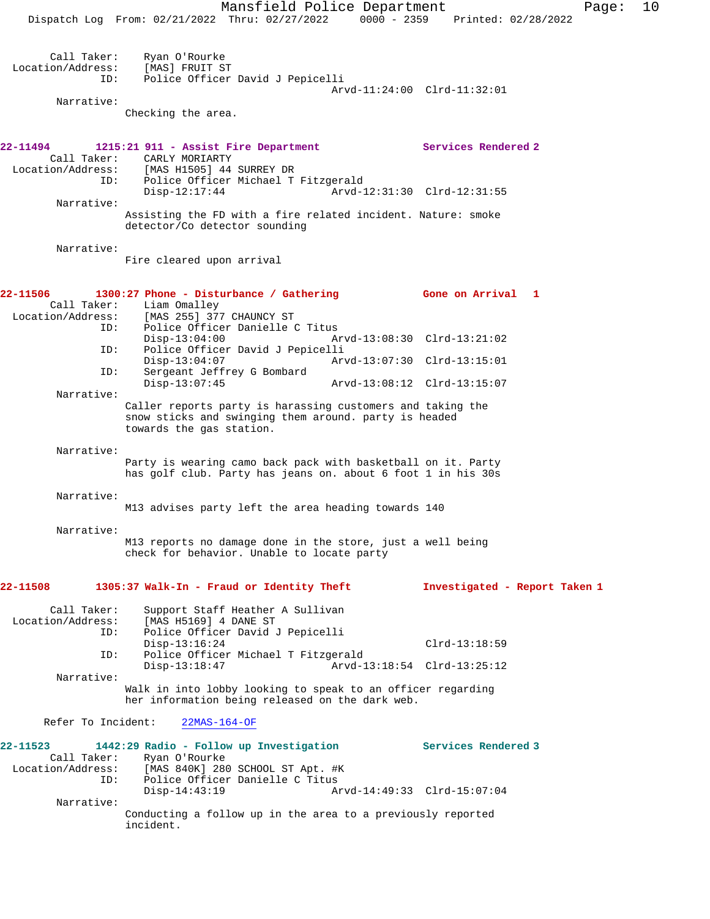Mansfield Police Department Page: 10 Dispatch Log From: 02/21/2022 Thru: 02/27/2022 0000 - 2359 Printed: 02/28/2022 Call Taker: Ryan O'Rourke Location/Address: [MAS] FRUIT ST ID: Police Officer David J Pepicelli Arvd-11:24:00 Clrd-11:32:01 Narrative: Checking the area. **22-11494 1215:21 911 - Assist Fire Department Services Rendered 2**  Call Taker: CARLY MORIARTY Location/Address: [MAS H1505] 44 SURREY DR ID: Police Officer Michael T Fitzgerald Disp-12:17:44 Arvd-12:31:30 Clrd-12:31:55 Narrative: Assisting the FD with a fire related incident. Nature: smoke detector/Co detector sounding Narrative: Fire cleared upon arrival **22-11506 1300:27 Phone - Disturbance / Gathering Gone on Arrival 1**  Call Taker: Liam Omalley<br>Location/Address: [MAS 255] 37 [MAS 255] 377 CHAUNCY ST ID: Police Officer Danielle C Titus<br>Disp-13:04:00 Am Disp-13:04:00 Arvd-13:08:30 Clrd-13:21:02<br>ID: Police Officer David J Pepicelli ID: Police Officer David J Pepicelli Disp-13:04:07 Arvd-13:07:30 Clrd-13:15:01 ID: Sergeant Jeffrey G Bombard Disp-13:07:45 Arvd-13:08:12 Clrd-13:15:07 Narrative: Caller reports party is harassing customers and taking the snow sticks and swinging them around. party is headed towards the gas station. Narrative: Party is wearing camo back pack with basketball on it. Party has golf club. Party has jeans on. about 6 foot 1 in his 30s Narrative: M13 advises party left the area heading towards 140 Narrative: M13 reports no damage done in the store, just a well being check for behavior. Unable to locate party **22-11508 1305:37 Walk-In - Fraud or Identity Theft Investigated - Report Taken 1** Call Taker: Support Staff Heather A Sullivan Location/Address: [MAS H5169] 4 DANE ST ID: Police Officer David J Pepicelli Disp-13:16:24 Clrd-13:18:59 ID: Police Officer Michael T Fitzgerald Disp-13:18:47 Arvd-13:18:54 Clrd-13:25:12 Narrative: Walk in into lobby looking to speak to an officer regarding her information being released on the dark web. Refer To Incident: 22MAS-164-OF **22-11523 1442:29 Radio - Follow up Investigation Services Rendered 3**  Call Taker: Ryan O'Rourke Location/Address: [MAS 840K] 280 SCHOOL ST Apt. #K ID: Police Officer Danielle C Titus Disp-14:43:19 Arvd-14:49:33 Clrd-15:07:04 Narrative: Conducting a follow up in the area to a previously reported incident.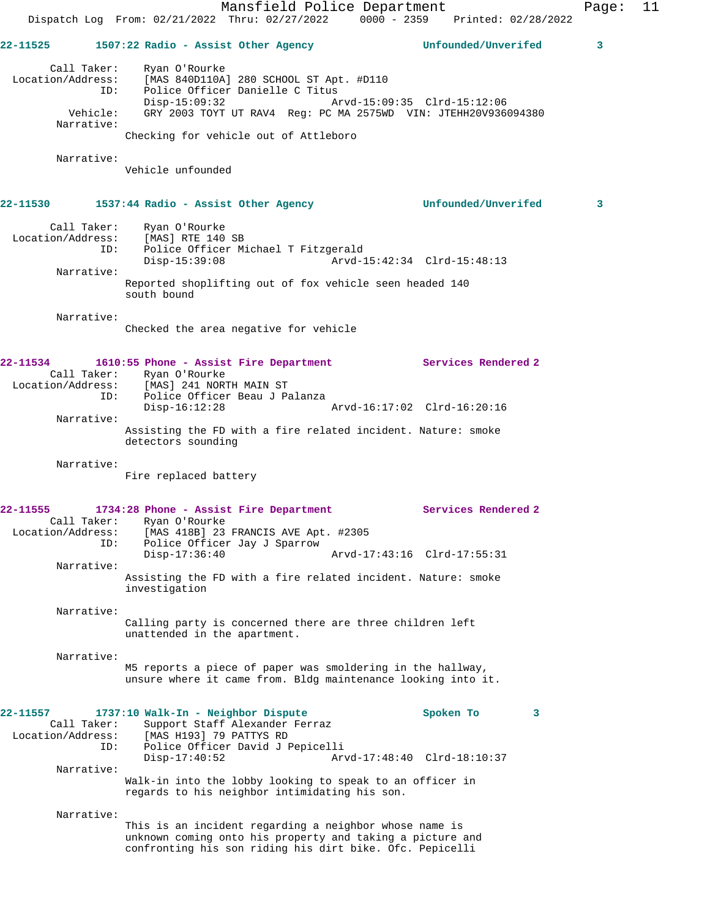|                                                     | Mansfield Police Department<br>Dispatch Log From: 02/21/2022 Thru: 02/27/2022 0000 - 2359<br>Printed: 02/28/2022                                                                                                                  | Page: | 11 |
|-----------------------------------------------------|-----------------------------------------------------------------------------------------------------------------------------------------------------------------------------------------------------------------------------------|-------|----|
| 22-11525                                            | Unfounded/Unverifed<br>1507:22 Radio - Assist Other Agency                                                                                                                                                                        | 3     |    |
| Call Taker:<br>ID:<br>Vehicle:                      | Ryan O'Rourke<br>Location/Address: [MAS 840D110A] 280 SCHOOL ST Apt. #D110<br>Police Officer Danielle C Titus<br>$Disp-15:09:32$<br>Arvd-15:09:35 Clrd-15:12:06<br>GRY 2003 TOYT UT RAV4 Reg: PC MA 2575WD VIN: JTEHH20V936094380 |       |    |
| Narrative:                                          | Checking for vehicle out of Attleboro                                                                                                                                                                                             |       |    |
| Narrative:                                          | Vehicle unfounded                                                                                                                                                                                                                 |       |    |
| <b>22-11530</b>                                     | Unfounded/Unverifed<br>1537:44 Radio - Assist Other Agency                                                                                                                                                                        | 3     |    |
| Call Taker:<br>ID:                                  | Ryan O'Rourke<br>Location/Address: [MAS] RTE 140 SB<br>Police Officer Michael T Fitzgerald<br>$Disp-15:39:08$<br>Arvd-15:42:34 Clrd-15:48:13                                                                                      |       |    |
| Narrative:                                          | Reported shoplifting out of fox vehicle seen headed 140<br>south bound                                                                                                                                                            |       |    |
| Narrative:                                          | Checked the area negative for vehicle                                                                                                                                                                                             |       |    |
| 22-11534<br>ID:                                     | Services Rendered 2<br>1610:55 Phone - Assist Fire Department<br>Call Taker: Ryan O'Rourke<br>Location/Address: [MAS] 241 NORTH MAIN ST<br>Police Officer Beau J Palanza<br>$Disp-16:12:28$<br>Arvd-16:17:02 Clrd-16:20:16        |       |    |
| Narrative:                                          | Assisting the FD with a fire related incident. Nature: smoke<br>detectors sounding                                                                                                                                                |       |    |
| Narrative:                                          | Fire replaced battery                                                                                                                                                                                                             |       |    |
| 22-11555<br>Call Taker:<br>Location/Address:<br>ID: | 1734:28 Phone - Assist Fire Department<br>Services Rendered 2<br>Ryan O'Rourke<br>[MAS 418B] 23 FRANCIS AVE Apt. #2305<br>Police Officer Jay J Sparrow<br>$Disp-17:36:40$<br>Arvd-17:43:16 Clrd-17:55:31                          |       |    |
| Narrative:                                          | Assisting the FD with a fire related incident. Nature: smoke<br>investigation                                                                                                                                                     |       |    |
| Narrative:                                          | Calling party is concerned there are three children left<br>unattended in the apartment.                                                                                                                                          |       |    |
| Narrative:                                          | M5 reports a piece of paper was smoldering in the hallway,<br>unsure where it came from. Bldg maintenance looking into it.                                                                                                        |       |    |
| 22-11557<br>Call Taker:<br>Location/Address:<br>ID: | 1737:10 Walk-In - Neighbor Dispute<br>Spoken To<br>3<br>Support Staff Alexander Ferraz<br>[MAS H193] 79 PATTYS RD<br>Police Officer David J Pepicelli<br>$Disp-17:40:52$<br>Arvd-17:48:40 Clrd-18:10:37                           |       |    |
| Narrative:                                          | Walk-in into the lobby looking to speak to an officer in<br>regards to his neighbor intimidating his son.                                                                                                                         |       |    |
| Narrative:                                          | This is an incident regarding a neighbor whose name is<br>unknown coming onto his property and taking a picture and<br>confronting his son riding his dirt bike. Ofc. Pepicelli                                                   |       |    |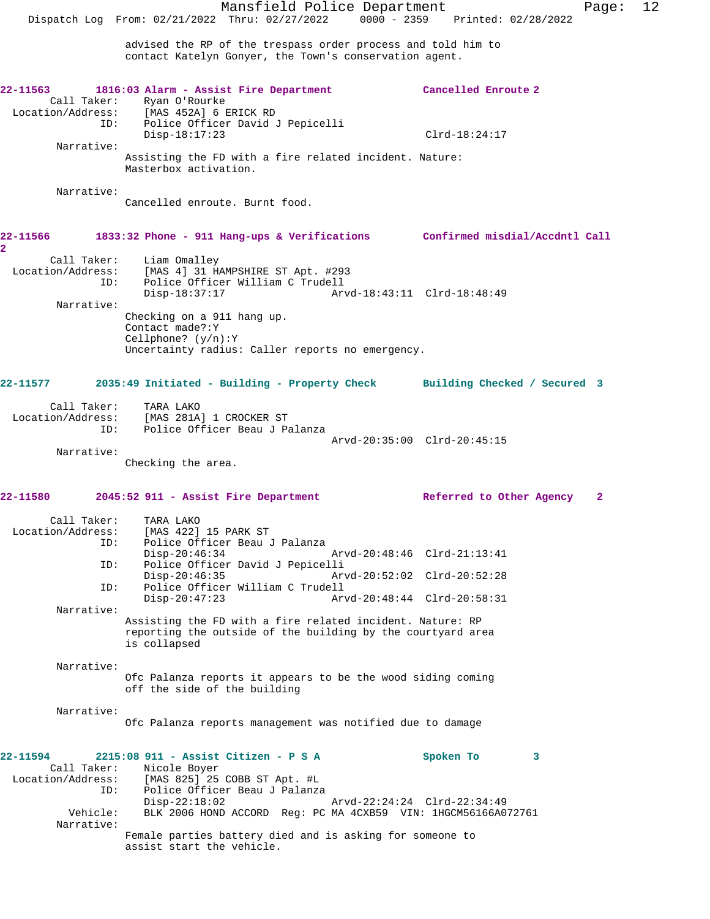advised the RP of the trespass order process and told him to contact Katelyn Gonyer, the Town's conservation agent.

| 22-11563                                           |                                                                                                                                                                       |                             |
|----------------------------------------------------|-----------------------------------------------------------------------------------------------------------------------------------------------------------------------|-----------------------------|
| ID:                                                | 1816:03 Alarm - Assist Fire Department<br>Call Taker: Ryan O'Rourke<br>Location/Address: [MAS 452A] 6 ERICK RD<br>Police Officer David J Pepicelli                    | Cancelled Enroute 2         |
| Narrative:                                         | $Disp-18:17:23$                                                                                                                                                       | $Clrd-18:24:17$             |
|                                                    | Assisting the FD with a fire related incident. Nature:<br>Masterbox activation.                                                                                       |                             |
| Narrative:                                         | Cancelled enroute. Burnt food.                                                                                                                                        |                             |
| 2                                                  | 22-11566 1833:32 Phone - 911 Hang-ups & Verifications Confirmed misdial/Accdntl Call                                                                                  |                             |
| ID:                                                | Call Taker: Liam Omalley<br>Location/Address: [MAS 4] 31 HAMPSHIRE ST Apt. #293<br>Police Officer William C Trudell<br>$Disp-18:37:17$<br>Arvd-18:43:11 Clrd-18:48:49 |                             |
| Narrative:                                         | Checking on a 911 hang up.<br>Contact made?: Y<br>Cellphone? $(y/n):Y$                                                                                                |                             |
|                                                    | Uncertainty radius: Caller reports no emergency.                                                                                                                      |                             |
|                                                    | 22-11577 2035:49 Initiated - Building - Property Check Building Checked / Secured 3                                                                                   |                             |
| Call Taker:                                        | TARA LAKO<br>Location/Address: [MAS 281A] 1 CROCKER ST<br>ID: Police Officer Beau J Pa<br>Police Officer Beau J Palanza                                               |                             |
| Narrative:                                         | Arvd-20:35:00 Clrd-20:45:15<br>Checking the area.                                                                                                                     |                             |
| 22-11580                                           | 2045:52 911 - Assist Fire Department                                                                                                                                  | Referred to Other Agency 2  |
| Call Taker:                                        | TARA LAKO<br>Location/Address: [MAS 422] 15 PARK ST                                                                                                                   |                             |
| ID:<br>ID:                                         | Police Officer Beau J Palanza<br>$Disp-20:46:34$<br>Arvd-20:48:46 Clrd-21:13:41<br>Police Officer David J Pepicelli                                                   |                             |
| ID:                                                | $Disp-20:46:35$<br>Arvd-20:52:02 Clrd-20:52:28<br>Police Officer William C Trudell                                                                                    |                             |
| Narrative:                                         | $Disp-20:47:23$<br>Arvd-20:48:44 Clrd-20:58:31<br>Assisting the FD with a fire related incident. Nature: RP                                                           |                             |
|                                                    | reporting the outside of the building by the courtyard area<br>is collapsed                                                                                           |                             |
| Narrative:                                         | Ofc Palanza reports it appears to be the wood siding coming<br>off the side of the building                                                                           |                             |
|                                                    |                                                                                                                                                                       |                             |
| Narrative:                                         | Ofc Palanza reports management was notified due to damage                                                                                                             |                             |
| 22-11594<br>Call Taker:                            | 2215:08 911 - Assist Citizen - P S A<br>Nicole Boyer                                                                                                                  | Spoken To<br>3              |
| Location/Address:<br>ID:<br>Vehicle:<br>Narrative: | [MAS 825] 25 COBB ST Apt. #L<br>Police Officer Beau J Palanza<br>$Disp-22:18:02$<br>BLK 2006 HOND ACCORD Req: PC MA 4CXB59 VIN: 1HGCM56166A072761                     | Arvd-22:24:24 Clrd-22:34:49 |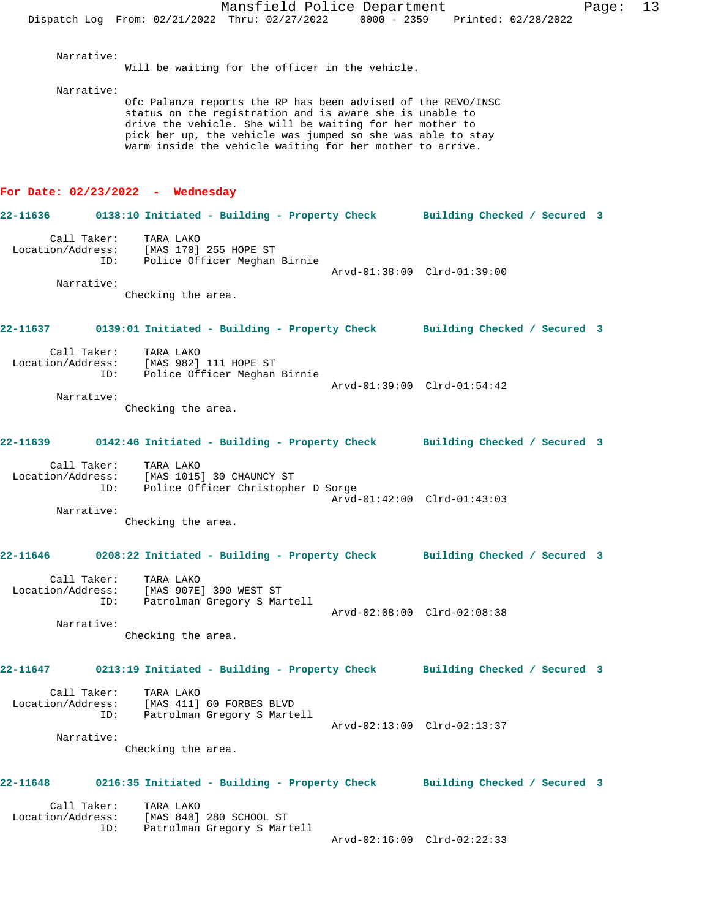Narrative:

Will be waiting for the officer in the vehicle.

Narrative:

Ofc Palanza reports the RP has been advised of the REVO/INSC status on the registration and is aware she is unable to drive the vehicle. She will be waiting for her mother to pick her up, the vehicle was jumped so she was able to stay warm inside the vehicle waiting for her mother to arrive.

### **For Date: 02/23/2022 - Wednesday**

**22-11636 0138:10 Initiated - Building - Property Check Building Checked / Secured 3** Call Taker: TARA LAKO Location/Address: [MAS 170] 255 HOPE ST ID: Police Officer Meghan Birnie Arvd-01:38:00 Clrd-01:39:00 Narrative: Checking the area. **22-11637 0139:01 Initiated - Building - Property Check Building Checked / Secured 3** Call Taker: TARA LAKO Location/Address: [MAS 982] 111 HOPE ST ID: Police Officer Meghan Birnie Arvd-01:39:00 Clrd-01:54:42 Narrative: Checking the area. **22-11639 0142:46 Initiated - Building - Property Check Building Checked / Secured 3** Call Taker: TARA LAKO Location/Address: [MAS 1015] 30 CHAUNCY ST ID: Police Officer Christopher D Sorge Arvd-01:42:00 Clrd-01:43:03 Narrative: Checking the area. **22-11646 0208:22 Initiated - Building - Property Check Building Checked / Secured 3** Call Taker: TARA LAKO Location/Address: [MAS 907E] 390 WEST ST ID: Patrolman Gregory S Martell Arvd-02:08:00 Clrd-02:08:38 Narrative: Checking the area. **22-11647 0213:19 Initiated - Building - Property Check Building Checked / Secured 3** Call Taker: TARA LAKO Location/Address: [MAS 411] 60 FORBES BLVD ID: Patrolman Gregory S Martell Arvd-02:13:00 Clrd-02:13:37 Narrative: Checking the area. **22-11648 0216:35 Initiated - Building - Property Check Building Checked / Secured 3** Call Taker: TARA LAKO Location/Address: [MAS 840] 280 SCHOOL ST ID: Patrolman Gregory S Martell Arvd-02:16:00 Clrd-02:22:33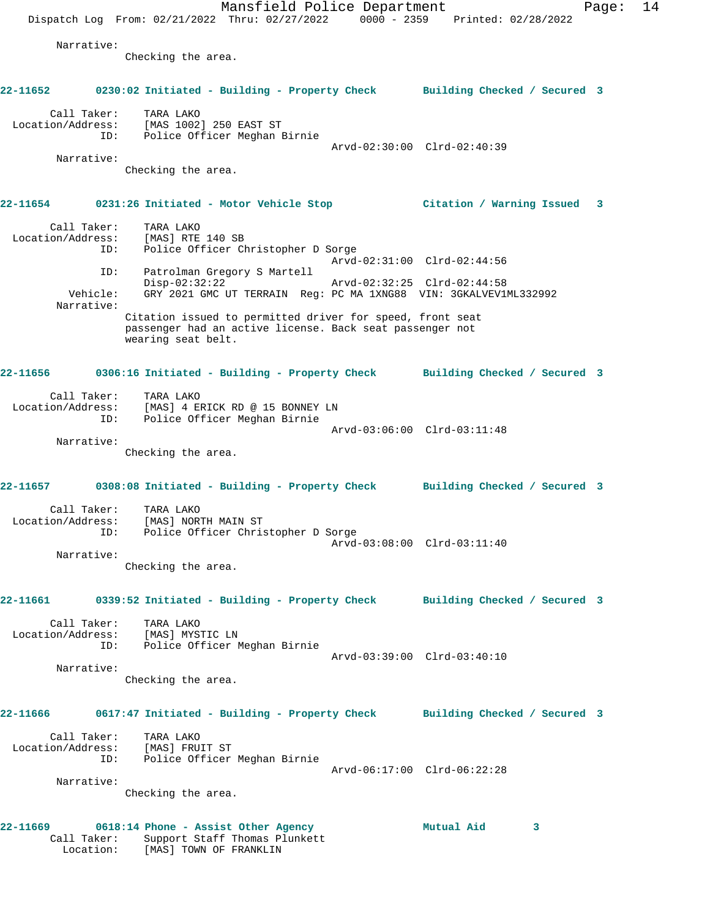Mansfield Police Department Page: 14 Dispatch Log From: 02/21/2022 Thru: 02/27/2022 0000 - 2359 Printed: 02/28/2022 Narrative: Checking the area. **22-11652 0230:02 Initiated - Building - Property Check Building Checked / Secured 3** Call Taker: TARA LAKO Location/Address: [MAS 1002] 250 EAST ST ID: Police Officer Meghan Birnie Arvd-02:30:00 Clrd-02:40:39 Narrative: Checking the area. **22-11654 0231:26 Initiated - Motor Vehicle Stop Citation / Warning Issued 3** Call Taker: TARA LAKO Location/Address: [MAS] RTE 140 SB ID: Police Officer Christopher D Sorge Arvd-02:31:00 Clrd-02:44:56 ID: Patrolman Gregory S Martell Disp-02:32:22 Arvd-02:32:25 Clrd-02:44:58 Vehicle: GRY 2021 GMC UT TERRAIN Reg: PC MA 1XNG88 VIN: 3GKALVEV1ML332992 Narrative: Citation issued to permitted driver for speed, front seat passenger had an active license. Back seat passenger not wearing seat belt. **22-11656 0306:16 Initiated - Building - Property Check Building Checked / Secured 3** Call Taker: TARA LAKO Location/Address: [MAS] 4 ERICK RD @ 15 BONNEY LN ID: Police Officer Meghan Birnie Arvd-03:06:00 Clrd-03:11:48 Narrative: Checking the area. **22-11657 0308:08 Initiated - Building - Property Check Building Checked / Secured 3** Call Taker: TARA LAKO Location/Address: [MAS] NORTH MAIN ST ID: Police Officer Christopher D Sorge Arvd-03:08:00 Clrd-03:11:40 Narrative: Checking the area. **22-11661 0339:52 Initiated - Building - Property Check Building Checked / Secured 3** Call Taker: TARA LAKO Location/Address: [MAS] MYSTIC LN ID: Police Officer Meghan Birnie Arvd-03:39:00 Clrd-03:40:10 Narrative: Checking the area. **22-11666 0617:47 Initiated - Building - Property Check Building Checked / Secured 3** Call Taker: TARA LAKO Location/Address: [MAS] FRUIT ST ID: Police Officer Meghan Birnie Arvd-06:17:00 Clrd-06:22:28 Narrative: Checking the area. **22-11669 0618:14 Phone - Assist Other Agency Mutual Aid 3**  Call Taker: Support Staff Thomas Plunkett Location: [MAS] TOWN OF FRANKLIN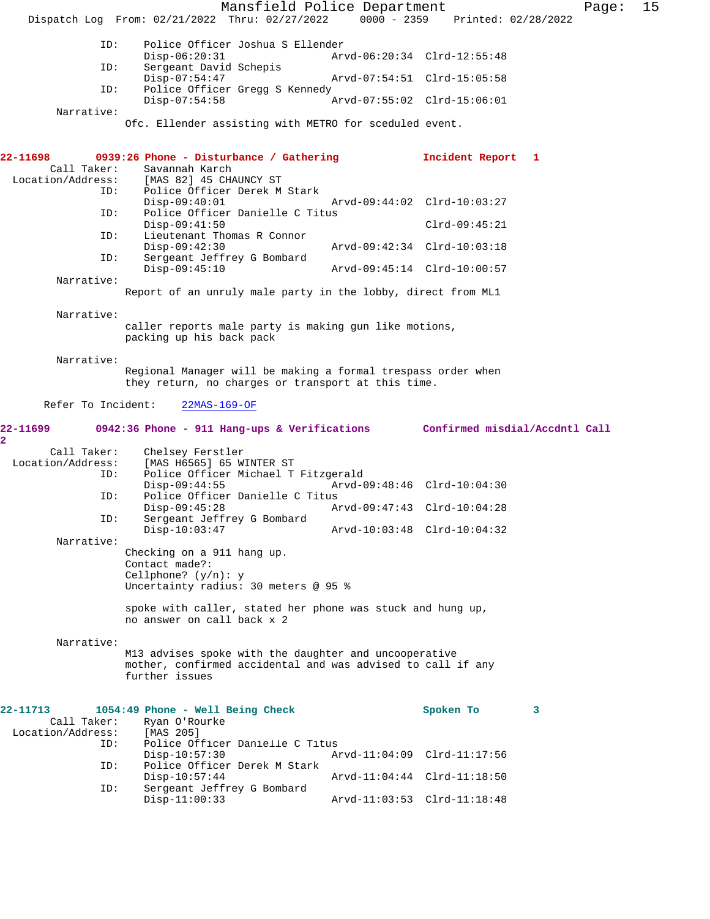Mansfield Police Department Fage: 15 Dispatch Log From: 02/21/2022 Thru: 02/27/2022 0000 - 2359 Printed: 02/28/2022 ID: Police Officer Joshua S Ellender Disp-06:20:31 Arvd-06:20:34 Clrd-12:55:48<br>ID: Sergeant David Schepis Sergeant David Schepis Disp-07:54:47 Arvd-07:54:51 Clrd-15:05:58<br>ID: Police Officer Gregg S Kennedy Police Officer Gregg S Kennedy Disp-07:54:58 Arvd-07:55:02 Clrd-15:06:01 Narrative: Ofc. Ellender assisting with METRO for sceduled event. **22-11698 0939:26 Phone - Disturbance / Gathering Incident Report 1**  Call Taker: Savannah Karch<br>Location/Address: [MAS 82] 45 CHA [MAS 82] 45 CHAUNCY ST ID: Police Officer Derek M Stark Disp-09:40:01 Arvd-09:44:02 Clrd-10:03:27 ID: Police Officer Danielle C Titus Disp-09:41:50 Clrd-09:45:21<br>ID: Lieutenant Thomas R Connor Lieutenant Thomas R Connor Disp-09:42:30 Arvd-09:42:34 Clrd-10:03:18<br>ID: Sergeant Jeffrey G Bombard Sergeant Jeffrey G Bombard<br>Disp-09:45:10 Disp-09:45:10 Arvd-09:45:14 Clrd-10:00:57 Narrative: Report of an unruly male party in the lobby, direct from ML1 Narrative: caller reports male party is making gun like motions, packing up his back pack Narrative: Regional Manager will be making a formal trespass order when they return, no charges or transport at this time. Refer To Incident: 22MAS-169-OF **22-11699 0942:36 Phone - 911 Hang-ups & Verifications Confirmed misdial/Accdntl Call 2**  Call Taker: Chelsey Ferstler<br>Location/Address: [MAS H6565] 65 W. [MAS H6565] 65 WINTER ST ID: Police Officer Michael T Fitzgerald Disp-09:44:55 Arvd-09:48:46 Clrd-10:04:30<br>ID: Police Officer Danielle C Titus Police Officer Danielle C Titus Disp-09:45:28 Arvd-09:47:43 Clrd-10:04:28 ID: Sergeant Jeffrey G Bombard Disp-10:03:47 Arvd-10:03:48 Clrd-10:04:32 Narrative: Checking on a 911 hang up. Contact made?: Cellphone? (y/n): y Uncertainty radius: 30 meters @ 95 % spoke with caller, stated her phone was stuck and hung up, no answer on call back x 2 Narrative: M13 advises spoke with the daughter and uncooperative mother, confirmed accidental and was advised to call if any further issues **22-11713 1054:49 Phone - Well Being Check Spoken To 3**  Call Taker: Ryan O'Rourke<br>ion/Address: [MAS 205] Location/Address: ID: Police Officer Danielle C Titus Disp-10:57:30 Arvd-11:04:09 Clrd-11:17:56<br>ID: Police Officer Derek M Stark Police Officer Derek M Stark<br>Disp-10:57:44 Disp-10:57:44 Arvd-11:04:44 Clrd-11:18:50 ID: Sergeant Jeffrey G Bombard Disp-11:00:33 Arvd-11:03:53 Clrd-11:18:48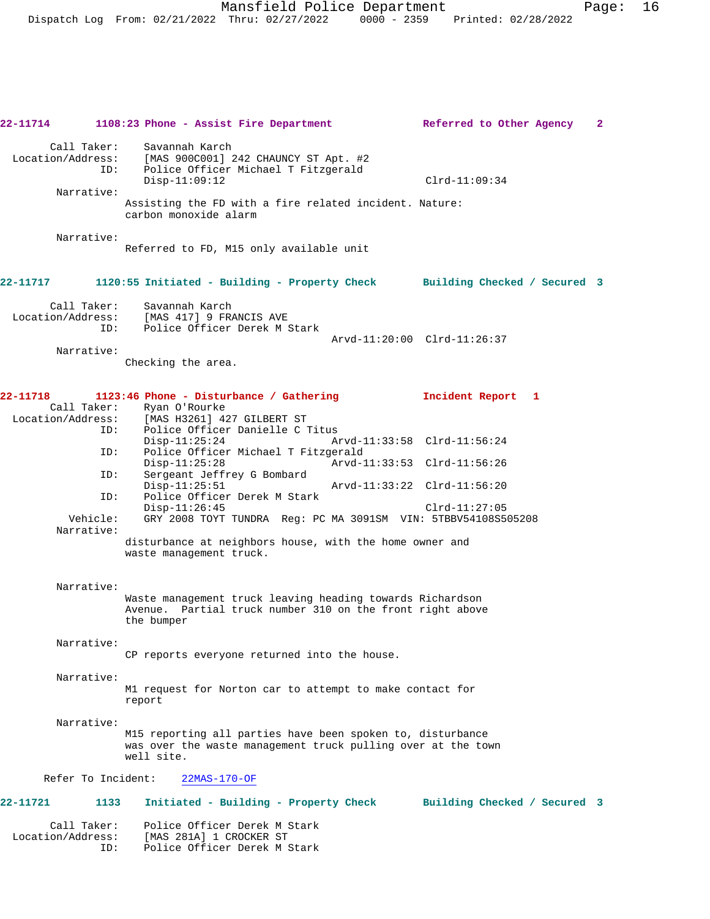**22-11714 1108:23 Phone - Assist Fire Department Referred to Other Agency 2** Call Taker: Savannah Karch<br>Location/Address: [MAS 900C001] 2 ess: [MAS 900C001] 242 CHAUNCY ST Apt. #2<br>ID: Police Officer Michael T Fitzgerald Police Officer Michael T Fitzgerald Disp-11:09:12 Clrd-11:09:34 Narrative: Assisting the FD with a fire related incident. Nature: carbon monoxide alarm Narrative: Referred to FD, M15 only available unit **22-11717 1120:55 Initiated - Building - Property Check Building Checked / Secured 3** Call Taker: Savannah Karch Location/Address: [MAS 417] 9 FRANCIS AVE ID: Police Officer Derek M Stark Arvd-11:20:00 Clrd-11:26:37 Narrative: Checking the area. **22-11718 1123:46 Phone - Disturbance / Gathering Incident Report 1**  Call Taker: Ryan O'Rourke<br>Location/Address: [MAS H3261] 4: ess: [MAS H3261] 427 GILBERT ST<br>TD: Police Officer Danielle C ' Police Officer Danielle C Titus<br>Disp-11:25:24 A Disp-11:25:24 Arvd-11:33:58 Clrd-11:56:24 ID: Police Officer Michael T Fitzgerald Disp-11:25:28 Arvd-11:33:53 Clrd-11:56:26 ID: Sergeant Jeffrey G Bombard Disp-11:25:51 Arvd-11:33:22 Clrd-11:56:20<br>TD: Police Officer Derek M Stark Police Officer Derek M Stark Disp-11:26:45 Clrd-11:27:05 Vehicle: GRY 2008 TOYT TUNDRA Reg: PC MA 3091SM VIN: 5TBBV54108S505208 Narrative: disturbance at neighbors house, with the home owner and waste management truck. Narrative: Waste management truck leaving heading towards Richardson Avenue. Partial truck number 310 on the front right above the bumper Narrative: CP reports everyone returned into the house. Narrative: M1 request for Norton car to attempt to make contact for report Narrative: M15 reporting all parties have been spoken to, disturbance was over the waste management truck pulling over at the town well site. Refer To Incident: 22MAS-170-OF **22-11721 1133 Initiated - Building - Property Check Building Checked / Secured 3** Call Taker: Police Officer Derek M Stark<br>Location/Address: [MAS 281A] 1 CROCKER ST

ess: [MAS 281A] 1 CROCKER ST<br>ID: Police Officer Derek M S Police Officer Derek M Stark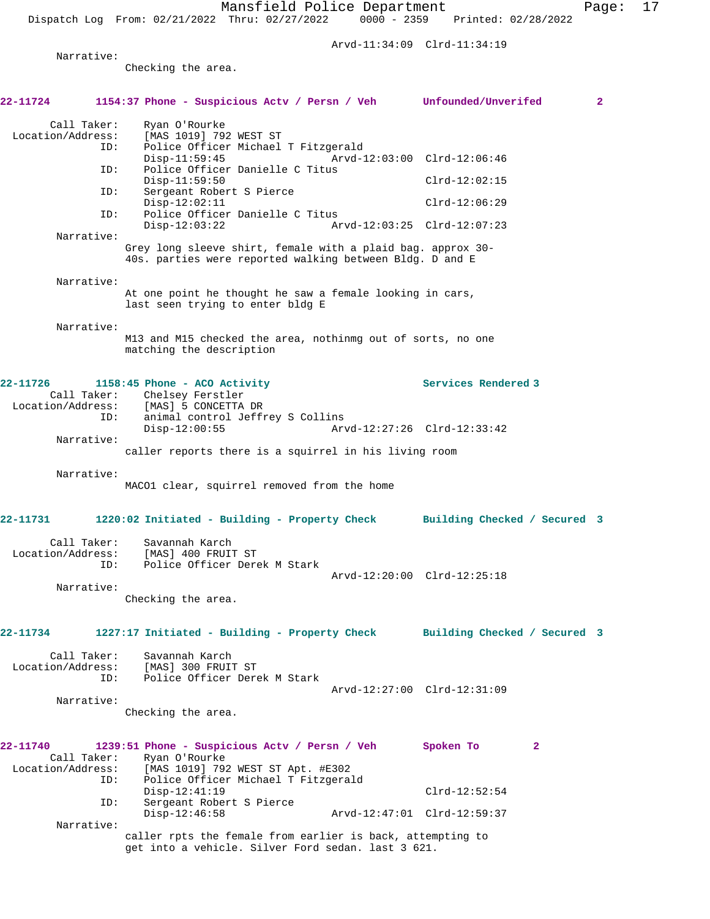Arvd-11:34:09 Clrd-11:34:19

Narrative:

Checking the area.

| 22-11724                |             | 1154:37 Phone - Suspicious Actv / Persn / Veh Unfounded/Unverifed                                                       |                             |                              |              | $\overline{a}$ |
|-------------------------|-------------|-------------------------------------------------------------------------------------------------------------------------|-----------------------------|------------------------------|--------------|----------------|
| Call Taker:             |             | Ryan O'Rourke                                                                                                           |                             |                              |              |                |
| Location/Address:       | ID:         | [MAS 1019] 792 WEST ST<br>Police Officer Michael T Fitzgerald                                                           |                             |                              |              |                |
|                         |             | $Disp-11:59:45$                                                                                                         | Arvd-12:03:00 Clrd-12:06:46 |                              |              |                |
|                         | ID:         | Police Officer Danielle C Titus<br>$Disp-11:59:50$                                                                      |                             | $Clrd-12:02:15$              |              |                |
|                         | ID:         | Sergeant Robert S Pierce<br>$Disp-12:02:11$                                                                             |                             | $Clrd-12:06:29$              |              |                |
|                         | ID:         | Police Officer Danielle C Titus<br>$Disp-12:03:22$                                                                      |                             | Arvd-12:03:25 Clrd-12:07:23  |              |                |
|                         | Narrative:  |                                                                                                                         |                             |                              |              |                |
|                         |             | Grey long sleeve shirt, female with a plaid bag. approx 30-<br>40s. parties were reported walking between Bldg. D and E |                             |                              |              |                |
|                         | Narrative:  |                                                                                                                         |                             |                              |              |                |
|                         |             | At one point he thought he saw a female looking in cars,<br>last seen trying to enter bldg E                            |                             |                              |              |                |
|                         | Narrative:  |                                                                                                                         |                             |                              |              |                |
|                         |             | M13 and M15 checked the area, nothinmq out of sorts, no one<br>matching the description                                 |                             |                              |              |                |
| 22-11726                |             | 1158:45 Phone - ACO Activity                                                                                            |                             | Services Rendered 3          |              |                |
|                         |             | Call Taker: Chelsey Ferstler<br>Location/Address: [MAS] 5 CONCETTA DR                                                   |                             |                              |              |                |
|                         | ID:         | animal control Jeffrey S Collins<br>$Disp-12:00:55$                                                                     |                             | Arvd-12:27:26 Clrd-12:33:42  |              |                |
|                         | Narrative:  |                                                                                                                         |                             |                              |              |                |
|                         |             | caller reports there is a squirrel in his living room                                                                   |                             |                              |              |                |
|                         | Narrative:  | MACO1 clear, squirrel removed from the home                                                                             |                             |                              |              |                |
|                         |             |                                                                                                                         |                             |                              |              |                |
| 22-11731                |             | 1220:02 Initiated - Building - Property Check Building Checked / Secured 3                                              |                             |                              |              |                |
|                         | Call Taker: | Savannah Karch                                                                                                          |                             |                              |              |                |
| Location/Address:       | ID:         | [MAS] 400 FRUIT ST<br>Police Officer Derek M Stark                                                                      |                             |                              |              |                |
|                         |             |                                                                                                                         |                             | Arvd-12:20:00 Clrd-12:25:18  |              |                |
|                         | Narrative:  | Checking the area.                                                                                                      |                             |                              |              |                |
|                         |             |                                                                                                                         |                             |                              |              |                |
| 22-11734                |             | 1227:17 Initiated - Building - Property Check                                                                           |                             | Building Checked / Secured 3 |              |                |
| Call Taker:             |             | Savannah Karch                                                                                                          |                             |                              |              |                |
| Location/Address:       | ID:         | [MAS] 300 FRUIT ST<br>Police Officer Derek M Stark                                                                      |                             |                              |              |                |
|                         |             |                                                                                                                         |                             | Arvd-12:27:00 Clrd-12:31:09  |              |                |
|                         | Narrative:  |                                                                                                                         |                             |                              |              |                |
|                         |             | Checking the area.                                                                                                      |                             |                              |              |                |
| 22-11740<br>Call Taker: |             | 1239:51 Phone - Suspicious Actv / Persn / Veh<br>Ryan O'Rourke                                                          |                             | Spoken To                    | $\mathbf{2}$ |                |
| Location/Address:       |             | [MAS 1019] 792 WEST ST Apt. #E302                                                                                       |                             |                              |              |                |
|                         | ID:         | Police Officer Michael T Fitzgerald<br>$Disp-12:41:19$                                                                  |                             | $Clrd-12:52:54$              |              |                |
|                         | ID:         | Sergeant Robert S Pierce                                                                                                |                             |                              |              |                |
|                         | Narrative:  | $Disp-12:46:58$                                                                                                         |                             | Arvd-12:47:01 Clrd-12:59:37  |              |                |
|                         |             | caller rpts the female from earlier is back, attempting to<br>get into a vehicle. Silver Ford sedan. last 3 621.        |                             |                              |              |                |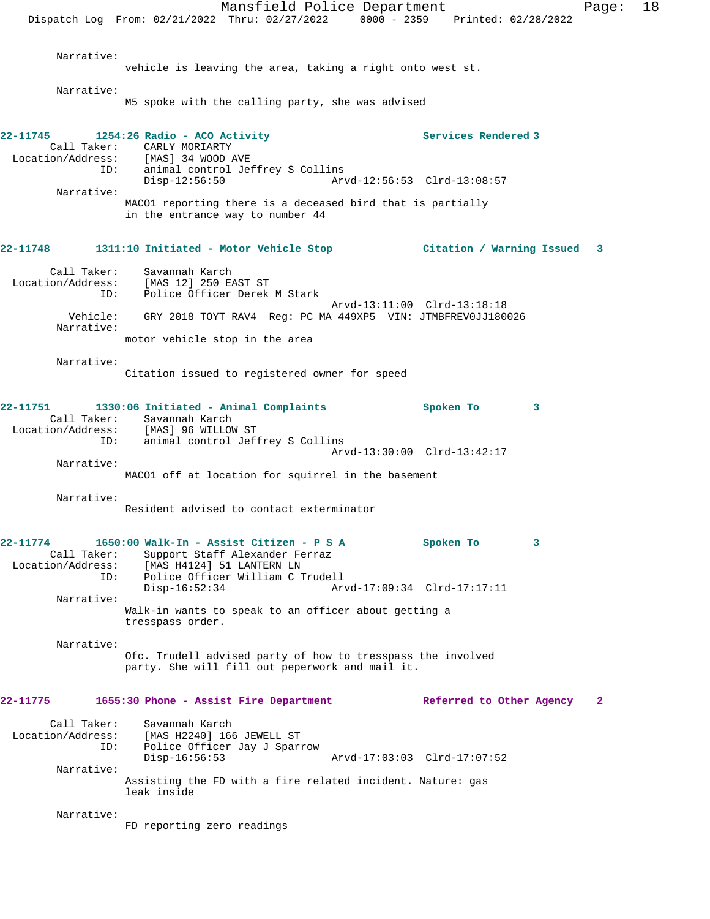Mansfield Police Department Fage: 18 Dispatch Log From: 02/21/2022 Thru: 02/27/2022 0000 - 2359 Printed: 02/28/2022 Narrative: vehicle is leaving the area, taking a right onto west st. Narrative: M5 spoke with the calling party, she was advised 22-11745 1254:26 Radio - ACO Activity **1254:26 Rendered 3** Call Taker: CARLY MORIARTY<br>Location/Address: [MAS] 34 WOOD 1 [MAS] 34 WOOD AVE ID: animal control Jeffrey S Collins<br>Disp-12:56:50 Art Disp-12:56:50 Arvd-12:56:53 Clrd-13:08:57 Narrative: MACO1 reporting there is a deceased bird that is partially in the entrance way to number 44 **22-11748 1311:10 Initiated - Motor Vehicle Stop Citation / Warning Issued 3** Call Taker: Savannah Karch Location/Address: [MAS 12] 250 EAST ST Police Officer Derek M Stark Arvd-13:11:00 Clrd-13:18:18 Vehicle: GRY 2018 TOYT RAV4 Reg: PC MA 449XP5 VIN: JTMBFREV0JJ180026 Narrative: motor vehicle stop in the area Narrative: Citation issued to registered owner for speed **22-11751 1330:06 Initiated - Animal Complaints Spoken To 3**  Call Taker: Savannah Karch Location/Address: [MAS] 96 WILLOW ST<br>ID: animal control Jef: animal control Jeffrey S Collins Arvd-13:30:00 Clrd-13:42:17 Narrative: MACO1 off at location for squirrel in the basement Narrative: Resident advised to contact exterminator **22-11774 1650:00 Walk-In - Assist Citizen - P S A Spoken To 3**  Call Taker: Support Staff Alexander Ferraz Location/Address: [MAS H4124] 51 LANTERN LN ID: Police Officer William C Trudell Disp-16:52:34 Arvd-17:09:34 Clrd-17:17:11 Narrative: Walk-in wants to speak to an officer about getting a tresspass order. Narrative: Ofc. Trudell advised party of how to tresspass the involved party. She will fill out peperwork and mail it. **22-11775 1655:30 Phone - Assist Fire Department Referred to Other Agency 2** Call Taker: Savannah Karch<br>Location/Address: [MAS H2240] 166 ess: [MAS H2240] 166 JEWELL ST<br>ID: Police Officer Jay J Spar: Police Officer Jay J Sparrow<br>Disp-16:56:53 Disp-16:56:53 Arvd-17:03:03 Clrd-17:07:52 Narrative: Assisting the FD with a fire related incident. Nature: gas leak inside Narrative: FD reporting zero readings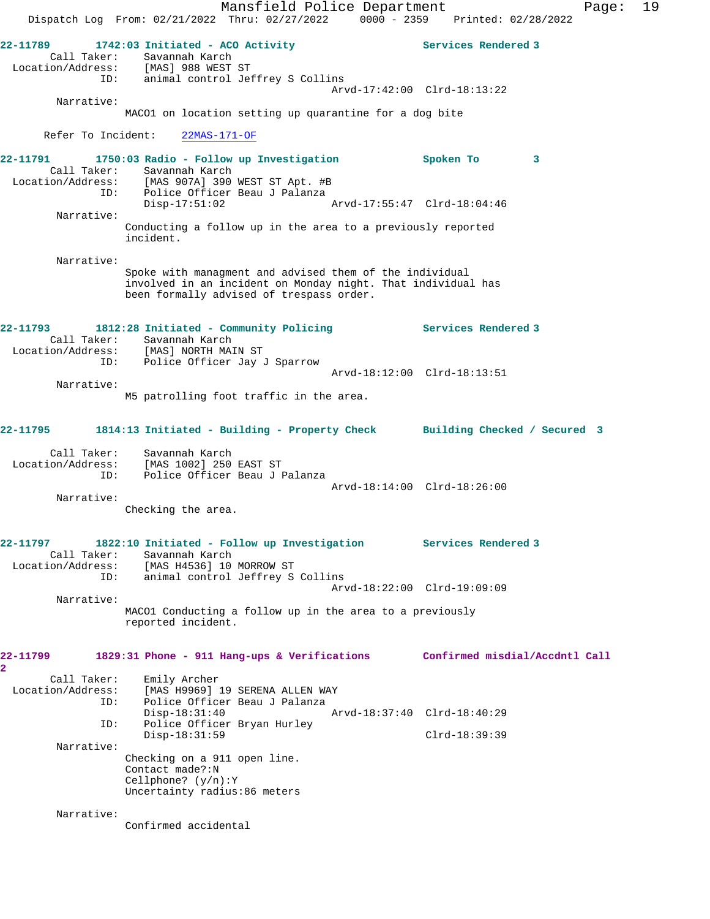Mansfield Police Department Fage: 19 Dispatch Log From: 02/21/2022 Thru: 02/27/2022 0000 - 2359 Printed: 02/28/2022 **22-11789 1742:03 Initiated - ACO Activity Services Rendered 3**  Call Taker: Savannah Karch Location/Address: [MAS] 988 WEST ST ID: animal control Jeffrey S Collins Arvd-17:42:00 Clrd-18:13:22 Narrative: MACO1 on location setting up quarantine for a dog bite Refer To Incident: 22MAS-171-OF **22-11791 1750:03 Radio - Follow up Investigation Spoken To 3**  Call Taker: Savannah Karch Location/Address: [MAS 907A] 390 WEST ST Apt. #B ID: Police Officer Beau J Palanza Disp-17:51:02 Arvd-17:55:47 Clrd-18:04:46 Narrative: Conducting a follow up in the area to a previously reported incident. Narrative: Spoke with managment and advised them of the individual involved in an incident on Monday night. That individual has been formally advised of trespass order. **22-11793 1812:28 Initiated - Community Policing Services Rendered 3**  Call Taker: Savannah Karch Location/Address: [MAS] NORTH MAIN ST ID: Police Officer Jay J Sparrow Arvd-18:12:00 Clrd-18:13:51 Narrative: M5 patrolling foot traffic in the area. **22-11795 1814:13 Initiated - Building - Property Check Building Checked / Secured 3** Call Taker: Savannah Karch Location/Address: [MAS 1002] 250 EAST ST ID: Police Officer Beau J Palanza Arvd-18:14:00 Clrd-18:26:00 Narrative: Checking the area. **22-11797 1822:10 Initiated - Follow up Investigation Services Rendered 3**  Call Taker: Savannah Karch Location/Address: [MAS H4536] 10 MORROW ST ID: animal control Jeffrey S Collins Arvd-18:22:00 Clrd-19:09:09 Narrative: MACO1 Conducting a follow up in the area to a previously reported incident. **22-11799 1829:31 Phone - 911 Hang-ups & Verifications Confirmed misdial/Accdntl Call 2**  Call Taker: Emily Archer Location/Address: [MAS H9969] 19 SERENA ALLEN WAY ID: Police Officer Beau J Palanza Disp-18:31:40 Arvd-18:37:40 Clrd-18:40:29 ID: Police Officer Bryan Hurley Disp-18:31:59 Clrd-18:39:39 Narrative: Checking on a 911 open line. Contact made?:N Cellphone? (y/n):Y Uncertainty radius:86 meters Narrative: Confirmed accidental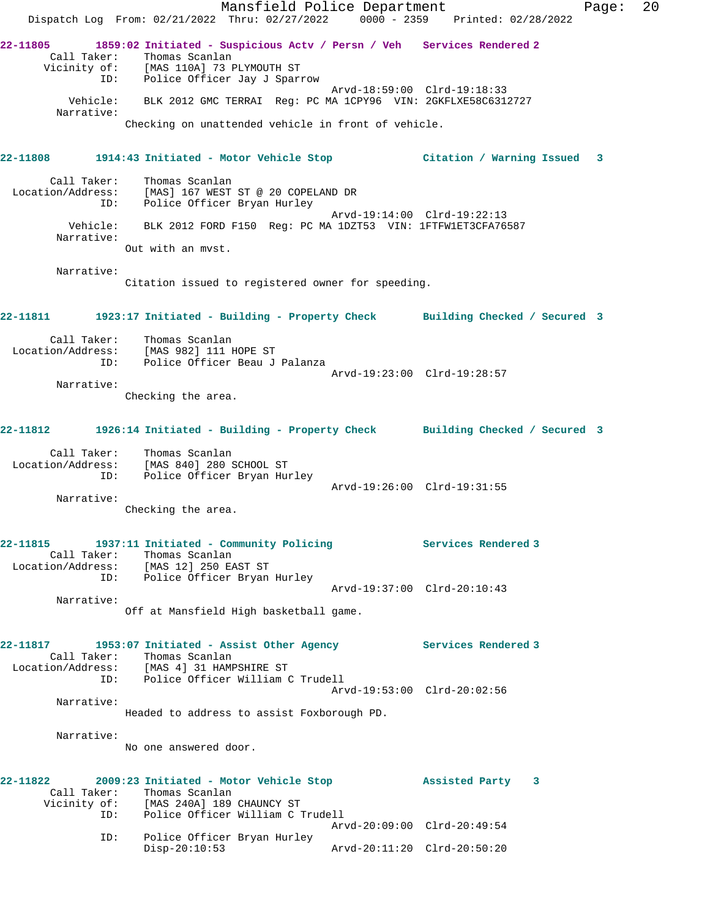|                                  |                                                                                                                                                            | Mansfield Police Department                         |                             | Dispatch Log From: 02/21/2022 Thru: 02/27/2022 0000 - 2359 Printed: 02/28/2022             | Page: | 20 |
|----------------------------------|------------------------------------------------------------------------------------------------------------------------------------------------------------|-----------------------------------------------------|-----------------------------|--------------------------------------------------------------------------------------------|-------|----|
|                                  | Call Taker: Thomas Scanlan<br>Vicinity of: [MAS 110A] /3 FILMONALE -<br>ID: Police Officer Jay J Sparrow                                                   |                                                     |                             | 22-11805 1859:02 Initiated - Suspicious Actv / Persn / Veh Services Rendered 2             |       |    |
| Narrative:                       | Vehicle: BLK 2012 GMC TERRAI Req: PC MA 1CPY96 VIN: 2GKFLXE58C6312727                                                                                      |                                                     |                             | Arvd-18:59:00 Clrd-19:18:33                                                                |       |    |
|                                  |                                                                                                                                                            | Checking on unattended vehicle in front of vehicle. |                             |                                                                                            |       |    |
|                                  |                                                                                                                                                            |                                                     |                             | 22-11808 1914:43 Initiated - Motor Vehicle Stop 6 (itation / Warning Issued 3              |       |    |
| Call Taker:<br>Location/Address: | Thomas Scanlan<br>Police Officer Bryan Hurley<br>ID:                                                                                                       | [MAS] 167 WEST ST @ 20 COPELAND DR                  |                             |                                                                                            |       |    |
| Vehicle:<br>Narrative:           |                                                                                                                                                            |                                                     |                             | Arvd-19:14:00 Clrd-19:22:13<br>BLK 2012 FORD F150 Reg: PC MA 1DZT53 VIN: 1FTFW1ET3CFA76587 |       |    |
|                                  | Out with an myst.                                                                                                                                          |                                                     |                             |                                                                                            |       |    |
| Narrative:                       |                                                                                                                                                            | Citation issued to registered owner for speeding.   |                             |                                                                                            |       |    |
|                                  |                                                                                                                                                            |                                                     |                             | 22-11811 1923:17 Initiated - Building - Property Check Building Checked / Secured 3        |       |    |
|                                  | Call Taker: Thomas Scanlan<br>Location/Address: [MAS 982] 111 HOPE ST<br>ID:                                                                               | Police Officer Beau J Palanza                       |                             |                                                                                            |       |    |
| Narrative:                       |                                                                                                                                                            |                                                     |                             | Arvd-19:23:00 Clrd-19:28:57                                                                |       |    |
|                                  | Checking the area.                                                                                                                                         |                                                     |                             |                                                                                            |       |    |
|                                  |                                                                                                                                                            |                                                     |                             | 22-11812    1926:14 Initiated - Building - Property Check    Building Checked / Secured 3  |       |    |
| Call Taker:<br>Location/Address: | Thomas Scanlan<br>[MAS 840] 280 SCHOOL ST<br>Police Officer Bryan Hurley<br>ID:                                                                            |                                                     |                             | Arvd-19:26:00 Clrd-19:31:55                                                                |       |    |
| Narrative:                       | Checking the area.                                                                                                                                         |                                                     |                             |                                                                                            |       |    |
|                                  | Call Taker: Thomas Scanlan<br>Location/Address: [MAS 12] 250 EAST ST<br>Police Officer Bryan Hurley<br>ID:                                                 |                                                     |                             | 22-11815 1937:11 Initiated - Community Policing Services Rendered 3                        |       |    |
| Narrative:                       |                                                                                                                                                            |                                                     |                             | Arvd-19:37:00 Clrd-20:10:43                                                                |       |    |
|                                  |                                                                                                                                                            | Off at Mansfield High basketball game.              |                             |                                                                                            |       |    |
| 22-11817                         | 1953:07 Initiated - Assist Other Agency<br>Call Taker: Thomas Scanlan<br>Location/Address: [MAS 4] 31 HAMPSHIRE ST<br>ID: Police Officer William C Trudell |                                                     |                             | Services Rendered 3                                                                        |       |    |
| Narrative:                       |                                                                                                                                                            | Headed to address to assist Foxborough PD.          |                             | Arvd-19:53:00 Clrd-20:02:56                                                                |       |    |
| Narrative:                       |                                                                                                                                                            |                                                     |                             |                                                                                            |       |    |
|                                  | No one answered door.                                                                                                                                      |                                                     |                             |                                                                                            |       |    |
|                                  | 22-11822 2009:23 Initiated - Motor Vehicle Stop<br>Call Taker: Thomas Scanlan<br>Vicinity of: [MAS 240A] 189 CHAUNCY ST                                    |                                                     |                             | Assisted Party 3                                                                           |       |    |
|                                  | ID:                                                                                                                                                        | Police Officer William C Trudell                    |                             | Arvd-20:09:00 Clrd-20:49:54                                                                |       |    |
|                                  | ID:<br>$Disp-20:10:53$                                                                                                                                     | Police Officer Bryan Hurley                         | Arvd-20:11:20 Clrd-20:50:20 |                                                                                            |       |    |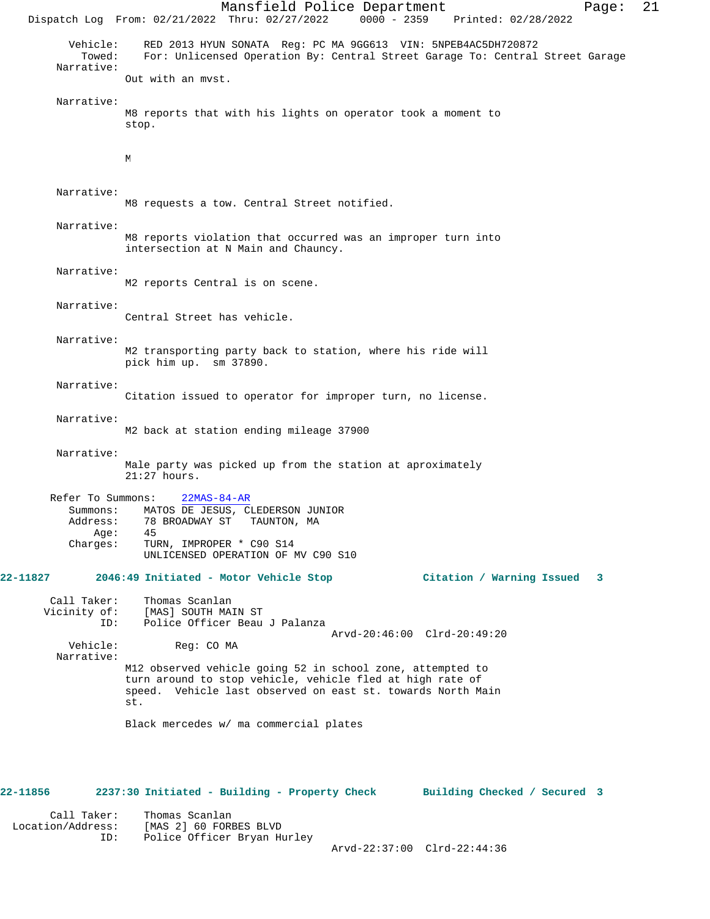Mansfield Police Department Page: 21 Dispatch Log From: 02/21/2022 Thru: 02/27/2022 0000 - 2359 Printed: 02/28/2022 Vehicle: RED 2013 HYUN SONATA Reg: PC MA 9GG613 VIN: 5NPEB4AC5DH720872 For: Unlicensed Operation By: Central Street Garage To: Central Street Garage Narrative: Out with an mvst. Narrative: M8 reports that with his lights on operator took a moment to stop.  $\mathbf{M}$  Narrative: M8 requests a tow. Central Street notified. Narrative: M8 reports violation that occurred was an improper turn into intersection at N Main and Chauncy. Narrative: M2 reports Central is on scene. Narrative: Central Street has vehicle. Narrative: M2 transporting party back to station, where his ride will pick him up. sm 37890. Narrative: Citation issued to operator for improper turn, no license. Narrative: M2 back at station ending mileage 37900 Narrative: Male party was picked up from the station at aproximately 21:27 hours. Refer To Summons: 22MAS-84-AR Summons: MATOS DE JESUS, CLEDERSON JUNIOR<br>Address: 78 BROADWAY ST TAUNTON, MA 78 BROADWAY ST TAUNTON, MA<br>45  $Age:$  Charges: TURN, IMPROPER \* C90 S14 UNLICENSED OPERATION OF MV C90 S10 **22-11827 2046:49 Initiated - Motor Vehicle Stop Citation / Warning Issued 3** Call Taker: Thomas Scanlan<br>Vicinity of: [MAS] SOUTH MA: of: [MAS] SOUTH MAIN ST<br>ID: Police Officer Beau Police Officer Beau J Palanza Vehicle: Reg: CO MA  $Arvd-20:46:00$  Clrd-20:49:20 Reg: CO MA Narrative: M12 observed vehicle going 52 in school zone, attempted to turn around to stop vehicle, vehicle fled at high rate of speed. Vehicle last observed on east st. towards North Main st. Black mercedes w/ ma commercial plates **22-11856 2237:30 Initiated - Building - Property Check Building Checked / Secured 3**

 Call Taker: Thomas Scanlan Location/Address: [MAS 2] 60 FORBES BLVD ID: Police Officer Bryan Hurley

Arvd-22:37:00 Clrd-22:44:36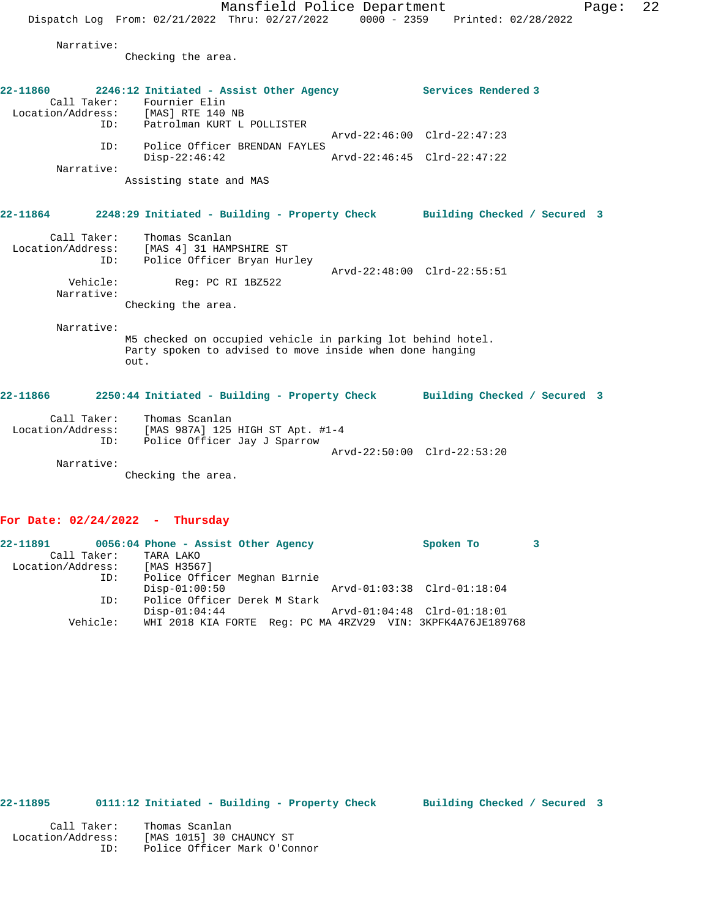Mansfield Police Department Fage: 22 Dispatch Log From: 02/21/2022 Thru: 02/27/2022 0000 - 2359 Printed: 02/28/2022 Narrative: Checking the area. **22-11860 2246:12 Initiated - Assist Other Agency Services Rendered 3**  Call Taker: Fournier Elin Location/Address: [MAS] RTE 140 NB<br>ID: Patrolman KURT L POLLISTER ID: Patrolman KURT L POLLISTER Arvd-22:46:00 Clrd-22:47:23 ID: Police Officer BRENDAN FAYLES Disp-22:46:42 Arvd-22:46:45 Clrd-22:47:22 Narrative: Assisting state and MAS **22-11864 2248:29 Initiated - Building - Property Check Building Checked / Secured 3** Call Taker: Thomas Scanlan Location/Address: [MAS 4] 31 HAMPSHIRE ST ID: Police Officer Bryan Hurley Arvd-22:48:00 Clrd-22:55:51<br>Vehicle: Reg: PC RI 1BZ522 Reg: PC RI 1BZ522 Narrative: Checking the area. Narrative: M5 checked on occupied vehicle in parking lot behind hotel. Party spoken to advised to move inside when done hanging out. **22-11866 2250:44 Initiated - Building - Property Check Building Checked / Secured 3** Call Taker: Thomas Scanlan Location/Address: [MAS 987A] 125 HIGH ST Apt. #1-4 ID: Police Officer Jay J Sparrow Arvd-22:50:00 Clrd-22:53:20 Narrative: Checking the area.

#### **For Date: 02/24/2022 - Thursday**

| 22-11891          |             | 0056:04 Phone - Assist Other Agency                         |  |  | Spoken To                   |  |
|-------------------|-------------|-------------------------------------------------------------|--|--|-----------------------------|--|
|                   | Call Taker: | TARA LAKO                                                   |  |  |                             |  |
| Location/Address: |             | [MAS H3567]                                                 |  |  |                             |  |
|                   | ID:         | Police Officer Meghan Birnie                                |  |  |                             |  |
|                   |             | $Disp-01:00:50$                                             |  |  | Arvd-01:03:38 Clrd-01:18:04 |  |
|                   | ID:         | Police Officer Derek M Stark                                |  |  |                             |  |
|                   |             | $Disp-01:04:44$                                             |  |  | Arvd-01:04:48 Clrd-01:18:01 |  |
|                   | Vehicle:    | WHI 2018 KIA FORTE Req: PC MA 4RZV29 VIN: 3KPFK4A76JE189768 |  |  |                             |  |
|                   |             |                                                             |  |  |                             |  |

## **22-11895 0111:12 Initiated - Building - Property Check Building Checked / Secured 3**

| Call Taker:       | Thomas Scanlan               |
|-------------------|------------------------------|
| Location/Address: | [MAS 1015] 30 CHAUNCY ST     |
| TD:               | Police Officer Mark O'Connor |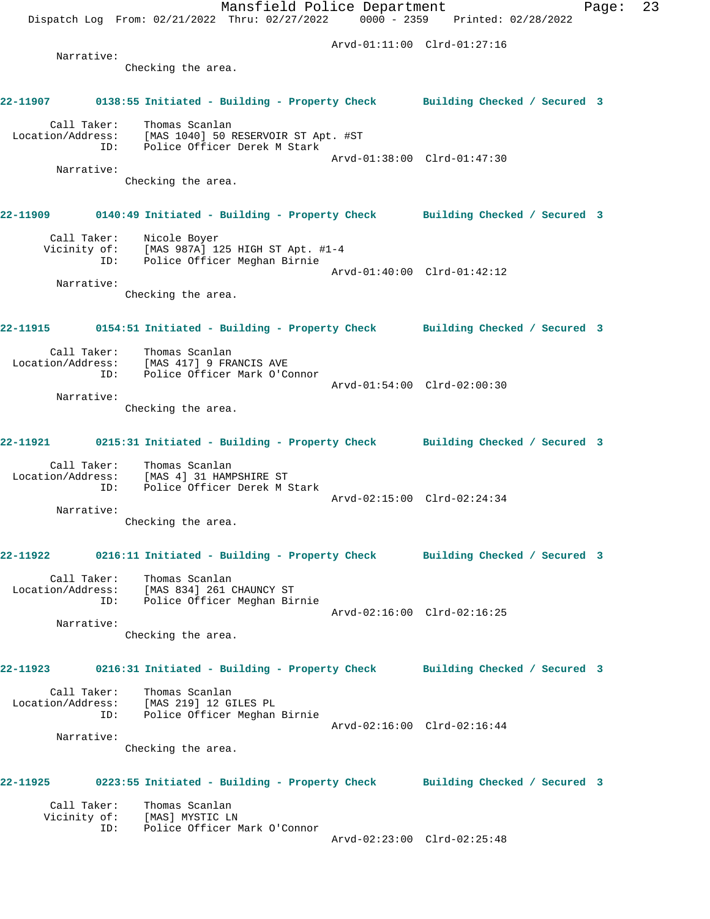Mansfield Police Department Fage: 23 Dispatch Log From: 02/21/2022 Thru: 02/27/2022 0000 - 2359 Printed: 02/28/2022 Arvd-01:11:00 Clrd-01:27:16 Narrative: Checking the area. **22-11907 0138:55 Initiated - Building - Property Check Building Checked / Secured 3** Call Taker: Thomas Scanlan Location/Address: [MAS 1040] 50 RESERVOIR ST Apt. #ST ID: Police Officer Derek M Stark Arvd-01:38:00 Clrd-01:47:30 Narrative: Checking the area. **22-11909 0140:49 Initiated - Building - Property Check Building Checked / Secured 3** Call Taker: Nicole Boyer Vicinity of: [MAS 987A] 125 HIGH ST Apt. #1-4 ID: Police Officer Meghan Birnie Arvd-01:40:00 Clrd-01:42:12 Narrative: Checking the area. **22-11915 0154:51 Initiated - Building - Property Check Building Checked / Secured 3** Call Taker: Thomas Scanlan Location/Address: [MAS 417] 9 FRANCIS AVE ID: Police Officer Mark O'Connor Arvd-01:54:00 Clrd-02:00:30 Narrative: Checking the area. **22-11921 0215:31 Initiated - Building - Property Check Building Checked / Secured 3** Call Taker: Thomas Scanlan Location/Address: [MAS 4] 31 HAMPSHIRE ST ID: Police Officer Derek M Stark Arvd-02:15:00 Clrd-02:24:34 Narrative: Checking the area. **22-11922 0216:11 Initiated - Building - Property Check Building Checked / Secured 3** Call Taker: Thomas Scanlan Location/Address: [MAS 834] 261 CHAUNCY ST ID: Police Officer Meghan Birnie Arvd-02:16:00 Clrd-02:16:25 Narrative: Checking the area. **22-11923 0216:31 Initiated - Building - Property Check Building Checked / Secured 3** Call Taker: Thomas Scanlan Location/Address: [MAS 219] 12 GILES PL ID: Police Officer Meghan Birnie Arvd-02:16:00 Clrd-02:16:44 Narrative: Checking the area. **22-11925 0223:55 Initiated - Building - Property Check Building Checked / Secured 3** Call Taker: Thomas Scanlan Vicinity of: [MAS] MYSTIC LN ID: Police Officer Mark O'Connor Arvd-02:23:00 Clrd-02:25:48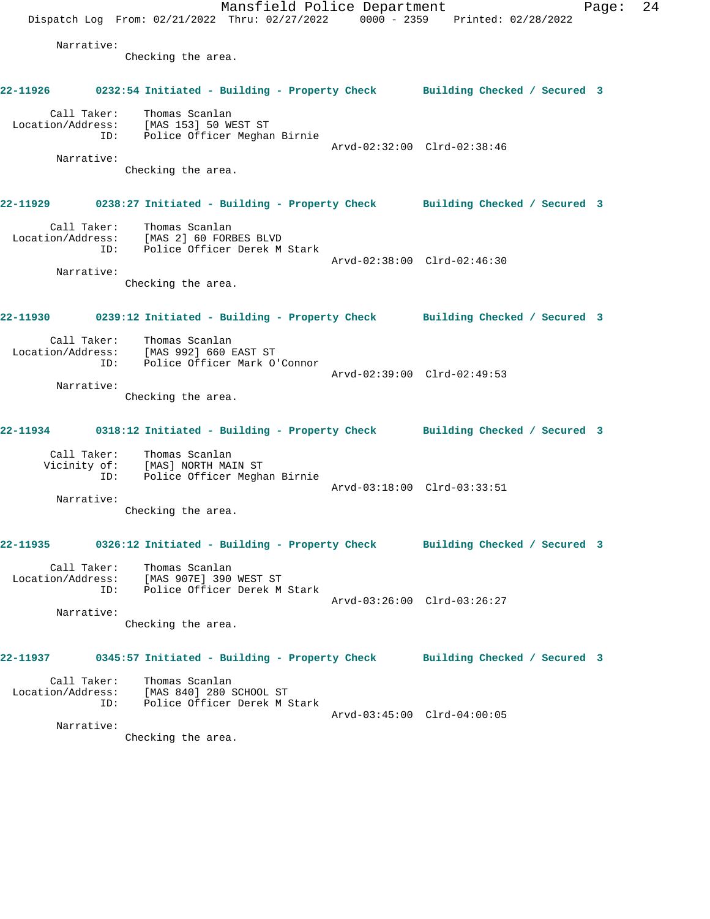Mansfield Police Department Page: 24 Dispatch Log From: 02/21/2022 Thru: 02/27/2022 0000 - 2359 Printed: 02/28/2022 Narrative: Checking the area. **22-11926 0232:54 Initiated - Building - Property Check Building Checked / Secured 3** Call Taker: Thomas Scanlan Location/Address: [MAS 153] 50 WEST ST ID: Police Officer Meghan Birnie Arvd-02:32:00 Clrd-02:38:46 Narrative: Checking the area. **22-11929 0238:27 Initiated - Building - Property Check Building Checked / Secured 3** Call Taker: Thomas Scanlan Location/Address: [MAS 2] 60 FORBES BLVD ID: Police Officer Derek M Stark Arvd-02:38:00 Clrd-02:46:30 Narrative: Checking the area. **22-11930 0239:12 Initiated - Building - Property Check Building Checked / Secured 3** Call Taker: Thomas Scanlan Location/Address: [MAS 992] 660 EAST ST ID: Police Officer Mark O'Connor Arvd-02:39:00 Clrd-02:49:53 Narrative: Checking the area. **22-11934 0318:12 Initiated - Building - Property Check Building Checked / Secured 3** Call Taker: Thomas Scanlan Vicinity of: [MAS] NORTH MAIN ST ID: Police Officer Meghan Birnie Arvd-03:18:00 Clrd-03:33:51 Narrative: Checking the area. **22-11935 0326:12 Initiated - Building - Property Check Building Checked / Secured 3** Call Taker: Thomas Scanlan Location/Address: [MAS 907E] 390 WEST ST ID: Police Officer Derek M Stark Arvd-03:26:00 Clrd-03:26:27 Narrative: Checking the area. **22-11937 0345:57 Initiated - Building - Property Check Building Checked / Secured 3** Call Taker: Thomas Scanlan Location/Address: [MAS 840] 280 SCHOOL ST ID: Police Officer Derek M Stark Arvd-03:45:00 Clrd-04:00:05 Narrative: Checking the area.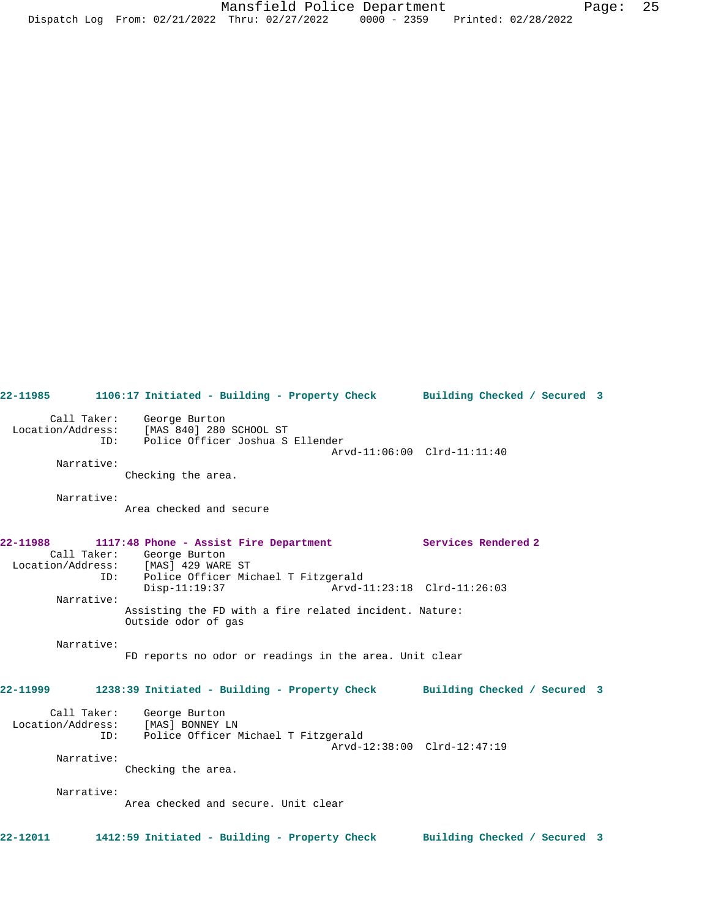**22-11985 1106:17 Initiated - Building - Property Check Building Checked / Secured 3** Call Taker: George Burton Location/Address: [MAS 840] 280 SCHOOL ST ID: Police Officer Joshua S Ellender Arvd-11:06:00 Clrd-11:11:40 Narrative: Checking the area. Narrative: Area checked and secure **22-11988 1117:48 Phone - Assist Fire Department Services Rendered 2**  Call Taker: George Burton Location/Address: [MAS] 429 WARE ST ID: Police Officer Michael T Fitzgerald Arvd-11:23:18 Clrd-11:26:03 Narrative: Assisting the FD with a fire related incident. Nature: Outside odor of gas Narrative: FD reports no odor or readings in the area. Unit clear **22-11999 1238:39 Initiated - Building - Property Check Building Checked / Secured 3** Call Taker: George Burton Location/Address: [MAS] BONNEY LN ID: Police Officer Michael T Fitzgerald Arvd-12:38:00 Clrd-12:47:19 Narrative: Checking the area. Narrative: Area checked and secure. Unit clear **22-12011 1412:59 Initiated - Building - Property Check Building Checked / Secured 3**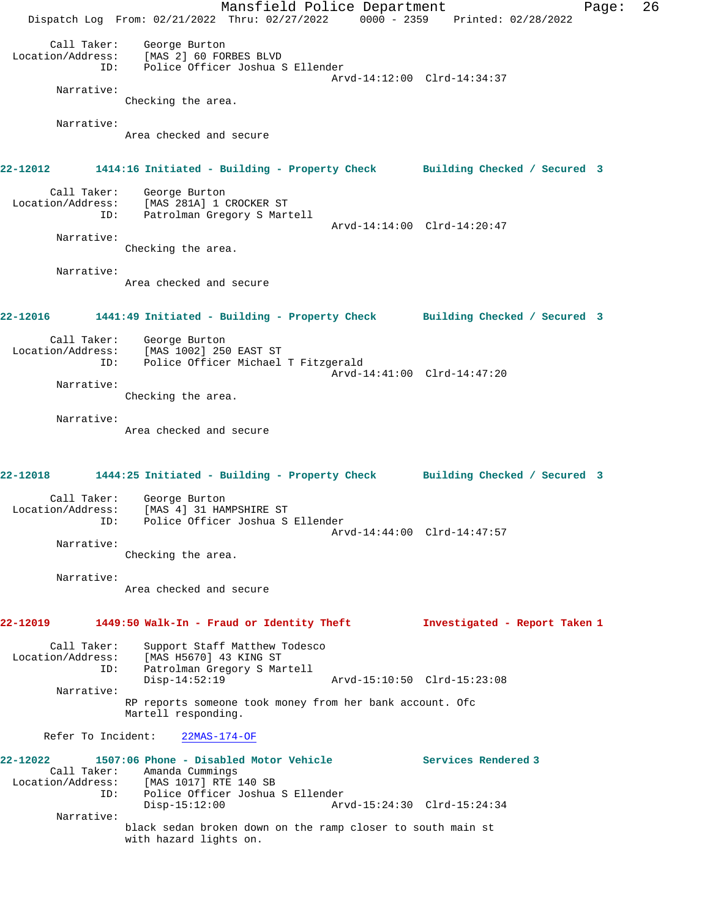Mansfield Police Department Fage: 26 Dispatch Log From: 02/21/2022 Thru: 02/27/2022 0000 - 2359 Printed: 02/28/2022 Call Taker: George Burton Location/Address: [MAS 2] 60 FORBES BLVD ID: Police Officer Joshua S Ellender Arvd-14:12:00 Clrd-14:34:37 Narrative: Checking the area. Narrative: Area checked and secure **22-12012 1414:16 Initiated - Building - Property Check Building Checked / Secured 3** Call Taker: George Burton Location/Address: [MAS 281A] 1 CROCKER ST ID: Patrolman Gregory S Martell Arvd-14:14:00 Clrd-14:20:47 Narrative: Checking the area. Narrative: Area checked and secure **22-12016 1441:49 Initiated - Building - Property Check Building Checked / Secured 3** Call Taker: George Burton Location/Address: [MAS 1002] 250 EAST ST ID: Police Officer Michael T Fitzgerald Arvd-14:41:00 Clrd-14:47:20 Narrative: Checking the area. Narrative: Area checked and secure **22-12018 1444:25 Initiated - Building - Property Check Building Checked / Secured 3** Call Taker: George Burton Location/Address: [MAS 4] 31 HAMPSHIRE ST ID: Police Officer Joshua S Ellender Arvd-14:44:00 Clrd-14:47:57 Narrative: Checking the area. Narrative: Area checked and secure **22-12019 1449:50 Walk-In - Fraud or Identity Theft Investigated - Report Taken 1** Call Taker: Support Staff Matthew Todesco Location/Address: [MAS H5670] 43 KING ST ID: Patrolman Gregory S Martell Arvd-15:10:50 Clrd-15:23:08 Narrative: RP reports someone took money from her bank account. Ofc Martell responding. Refer To Incident: 22MAS-174-OF **22-12022 1507:06 Phone - Disabled Motor Vehicle Services Rendered 3**  Call Taker: Amanda Cummings Location/Address: [MAS 1017] RTE 140 SB ID: Police Officer Joshua S Ellender Disp-15:12:00 Arvd-15:24:30 Clrd-15:24:34 Narrative: black sedan broken down on the ramp closer to south main st with hazard lights on.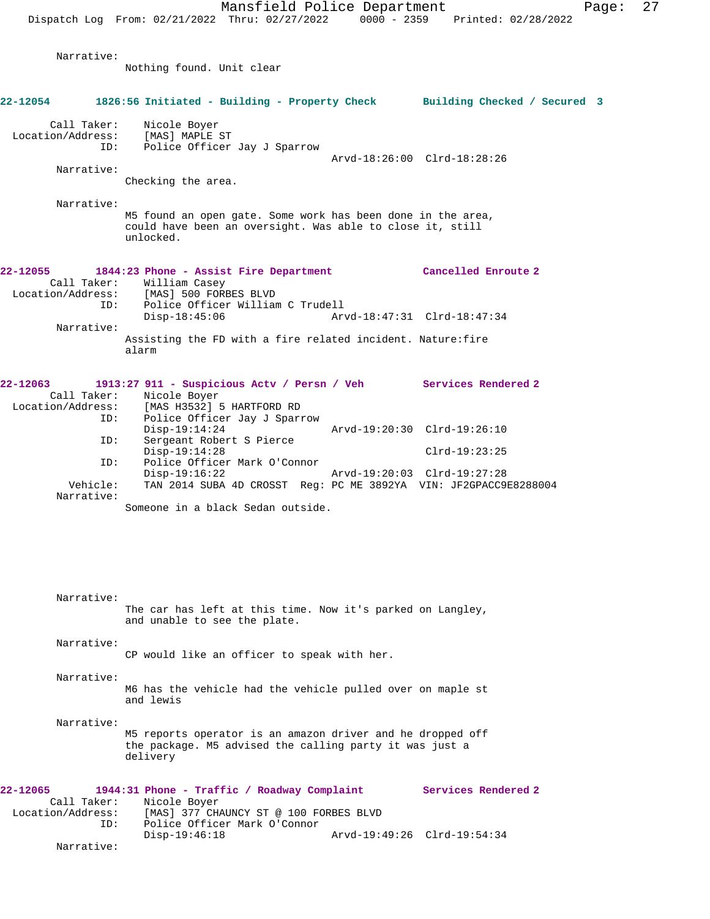Narrative: Nothing found. Unit clear

Narrative:

**22-12054 1826:56 Initiated - Building - Property Check Building Checked / Secured 3** Call Taker: Nicole Boyer<br>.on/Address: [MAS] MAPLE ST Location/Address:<br>ID: Police Officer Jay J Sparrow Arvd-18:26:00 Clrd-18:28:26 Narrative: Checking the area. Narrative: M5 found an open gate. Some work has been done in the area, could have been an oversight. Was able to close it, still unlocked. **22-12055 1844:23 Phone - Assist Fire Department Cancelled Enroute 2**  Call Taker: William Casey<br>Location/Address: [MAS] 500 FORI ess: [MAS] 500 FORBES BLVD<br>ID: Police Officer William Police Officer William C Trudell<br>Disp-18:45:06 Ar Disp-18:45:06 Arvd-18:47:31 Clrd-18:47:34 Narrative: Assisting the FD with a fire related incident. Nature:fire alarm **22-12063 1913:27 911 - Suspicious Actv / Persn / Veh Services Rendered 2**  Call Taker: Nicole Boyer Location/Address: [MAS H3532] 5 HARTFORD RD ID: Police Officer Jay J Sparrow Disp-19:14:24 Arvd-19:20:30 Clrd-19:26:10<br>ID: Sergeant Robert S Pierce Sergeant Robert S Pierce Disp-19:14:28 Clrd-19:23:25 ID: Police Officer Mark O'Connor Disp-19:16:22 Arvd-19:20:03 Clrd-19:27:28<br>Vehicle: TAN 2014 SUBA 4D CROSST Reg: PC ME 3892YA VIN: JE2GPACC9 TAN 2014 SUBA 4D CROSST Reg: PC ME 3892YA VIN: JF2GPACC9E8288004 Narrative: Someone in a black Sedan outside. Narrative: The car has left at this time. Now it's parked on Langley, and unable to see the plate. Narrative: CP would like an officer to speak with her. Narrative: M6 has the vehicle had the vehicle pulled over on maple st and lewis Narrative: M5 reports operator is an amazon driver and he dropped off the package. M5 advised the calling party it was just a delivery **22-12065 1944:31 Phone - Traffic / Roadway Complaint Services Rendered 2**  Call Taker: Nicole Boyer<br>Location/Address: [MAS] 377 CH. ess: [MAS] 377 CHAUNCY ST @ 100 FORBES BLVD<br>ID: Police Officer Mark O'Connor Police Officer Mark O'Connor

Disp-19:46:18 Arvd-19:49:26 Clrd-19:54:34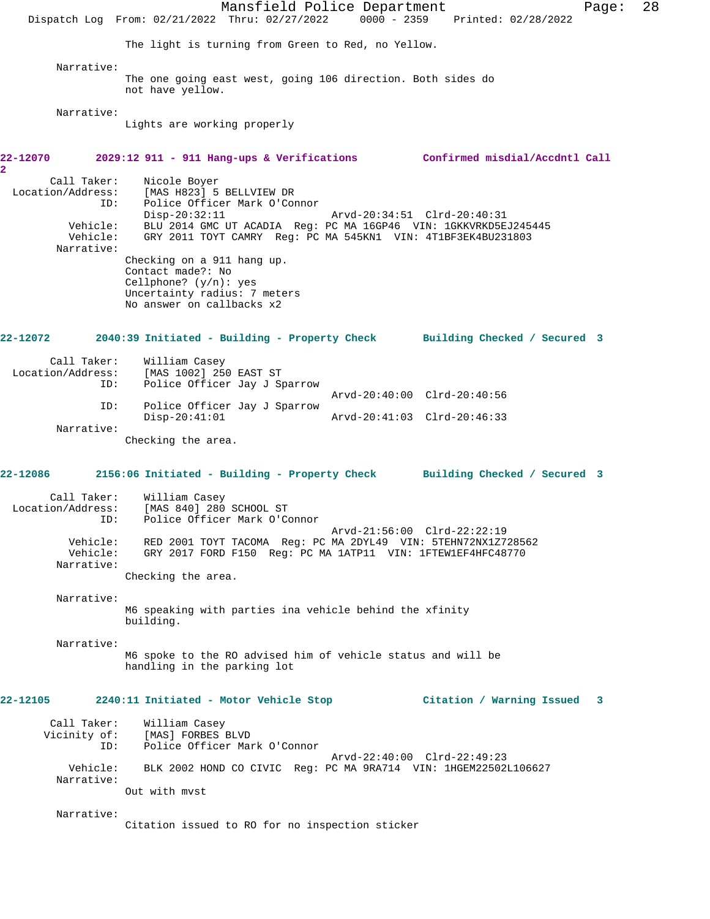Mansfield Police Department Form Page: 28 Dispatch Log From: 02/21/2022 Thru: 02/27/2022 0000 - 2359 Printed: 02/28/2022 The light is turning from Green to Red, no Yellow. Narrative: The one going east west, going 106 direction. Both sides do not have yellow. Narrative: Lights are working properly **22-12070 2029:12 911 - 911 Hang-ups & Verifications Confirmed misdial/Accdntl Call** Call Taker: Nicole Boyer Location/Address: [MAS H823] 5 BELLVIEW DR ID: Police Officer Mark O'Connor Disp-20:32:11 Arvd-20:34:51 Clrd-20:40:31 Vehicle: BLU 2014 GMC UT ACADIA Reg: PC MA 16GP46 VIN: 1GKKVRKD5EJ245445 Vehicle: GRY 2011 TOYT CAMRY Reg: PC MA 545KN1 VIN: 4T1BF3EK4BU231803 Narrative: Checking on a 911 hang up. Contact made?: No Cellphone? (y/n): yes Uncertainty radius: 7 meters No answer on callbacks x2 **22-12072 2040:39 Initiated - Building - Property Check Building Checked / Secured 3** Call Taker: William Casey Location/Address: [MAS 1002] 250 EAST ST ID: Police Officer Jay J Sparrow Arvd-20:40:00 Clrd-20:40:56 ID: Police Officer Jay J Sparrow Disp-20:41:01 Arvd-20:41:03 Clrd-20:46:33 Narrative: Checking the area. **22-12086 2156:06 Initiated - Building - Property Check Building Checked / Secured 3** Call Taker: William Casey Location/Address: [MAS 840] 280 SCHOOL ST ID: Police Officer Mark O'Connor Arvd-21:56:00 Clrd-22:22:19 Vehicle: RED 2001 TOYT TACOMA Reg: PC MA 2DYL49 VIN: 5TEHN72NX1Z728562 Vehicle: GRY 2017 FORD F150 Reg: PC MA 1ATP11 VIN: 1FTEW1EF4HFC48770 Narrative: Checking the area. Narrative: M6 speaking with parties ina vehicle behind the xfinity building. Narrative: M6 spoke to the RO advised him of vehicle status and will be handling in the parking lot **22-12105 2240:11 Initiated - Motor Vehicle Stop Citation / Warning Issued 3** Call Taker: William Casey<br>Vicinity of: [MAS] FORBES 1 Of: [MAS] FORBES BLVD<br>ID: Police Officer Mar Police Officer Mark O'Connor Arvd-22:40:00 Clrd-22:49:23 Vehicle: BLK 2002 HOND CO CIVIC Reg: PC MA 9RA714 VIN: 1HGEM22502L106627 Narrative: Out with mvst Narrative: Citation issued to RO for no inspection sticker

**2**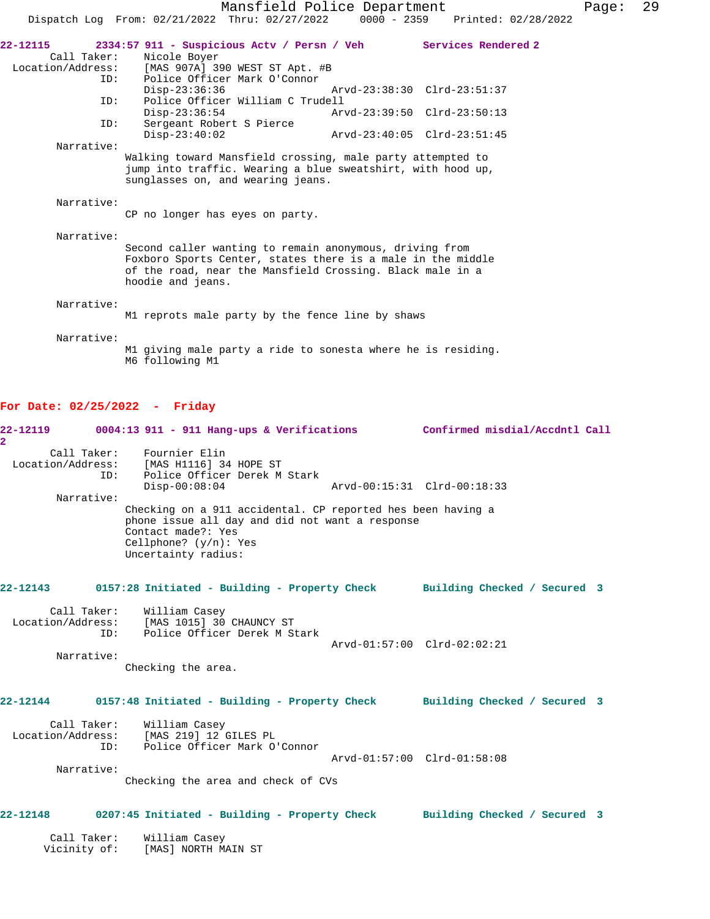|                                                     | Mansfield Police Department                                                                                                                                                                              |                             |                                 | Page: | 29 |
|-----------------------------------------------------|----------------------------------------------------------------------------------------------------------------------------------------------------------------------------------------------------------|-----------------------------|---------------------------------|-------|----|
|                                                     | Dispatch Log From: 02/21/2022 Thru: 02/27/2022                                                                                                                                                           |                             | 0000 - 2359 Printed: 02/28/2022 |       |    |
| 22-12115<br>Call Taker:<br>Location/Address:<br>ID: | 2334:57 911 - Suspicious Actv / Persn / Veh<br>Nicole Boyer<br>[MAS 907A] 390 WEST ST Apt. #B<br>Police Officer Mark O'Connor                                                                            |                             | Services Rendered 2             |       |    |
|                                                     | $Disp-23:36:36$                                                                                                                                                                                          | Arvd-23:38:30 Clrd-23:51:37 |                                 |       |    |
| ID:                                                 | Police Officer William C Trudell<br>$Disp-23:36:54$                                                                                                                                                      | Arvd-23:39:50 Clrd-23:50:13 |                                 |       |    |
| ID:                                                 | Sergeant Robert S Pierce<br>$Disp-23:40:02$                                                                                                                                                              | Arvd-23:40:05 Clrd-23:51:45 |                                 |       |    |
| Narrative:                                          | Walking toward Mansfield crossing, male party attempted to<br>jump into traffic. Wearing a blue sweatshirt, with hood up,<br>sunglasses on, and wearing jeans.                                           |                             |                                 |       |    |
| Narrative:                                          | CP no longer has eyes on party.                                                                                                                                                                          |                             |                                 |       |    |
| Narrative:                                          | Second caller wanting to remain anonymous, driving from<br>Foxboro Sports Center, states there is a male in the middle<br>of the road, near the Mansfield Crossing. Black male in a<br>hoodie and jeans. |                             |                                 |       |    |
| Narrative:                                          | M1 reprots male party by the fence line by shaws                                                                                                                                                         |                             |                                 |       |    |
| Narrative:                                          | M1 giving male party a ride to sonesta where he is residing.<br>M6 following M1                                                                                                                          |                             |                                 |       |    |
|                                                     |                                                                                                                                                                                                          |                             |                                 |       |    |

# **For Date: 02/25/2022 - Friday**

| 22-12119          |                                  | $0004:13$ 911 - 911 Hang-ups & Verifications                                                                                                                                                                                                                                                           | Confirmed misdial/Accdntl Call |  |
|-------------------|----------------------------------|--------------------------------------------------------------------------------------------------------------------------------------------------------------------------------------------------------------------------------------------------------------------------------------------------------|--------------------------------|--|
| 2                 | Call Taker:<br>TD:<br>Narrative: | Fournier Elin<br>Location/Address: [MAS H1116] 34 HOPE ST<br>Police Officer Derek M Stark<br>$Disp-00:08:04$<br>Checking on a 911 accidental. CP reported hes been having a<br>phone issue all day and did not want a response<br>Contact made?: Yes<br>Cellphone? $(y/n):$ Yes<br>Uncertainty radius: | Arvd-00:15:31 Clrd-00:18:33    |  |
| 22-12143          |                                  | 0157:28 Initiated - Building - Property Check Building Checked / Secured 3                                                                                                                                                                                                                             |                                |  |
| Location/Address: | Call Taker:<br>ID:<br>Narrative: | William Casey<br>[MAS 1015] 30 CHAUNCY ST<br>Police Officer Derek M Stark<br>Checking the area.                                                                                                                                                                                                        | Arvd-01:57:00 Clrd-02:02:21    |  |
| 22-12144          |                                  | 0157:48 Initiated - Building - Property Check                                                                                                                                                                                                                                                          | Building Checked / Secured 3   |  |
| Location/Address: | Call Taker:<br>ID:<br>Narrative: | William Casey<br>[MAS 219] 12 GILES PL<br>Police Officer Mark O'Connor<br>Checking the area and check of CVs                                                                                                                                                                                           | Arvd-01:57:00 Clrd-01:58:08    |  |
| 22-12148          |                                  | 0207:45 Initiated - Building - Property Check                                                                                                                                                                                                                                                          | Building Checked / Secured 3   |  |
|                   | Call Taker:<br>Vicinity of:      | William Casey<br>[MAS] NORTH MAIN ST                                                                                                                                                                                                                                                                   |                                |  |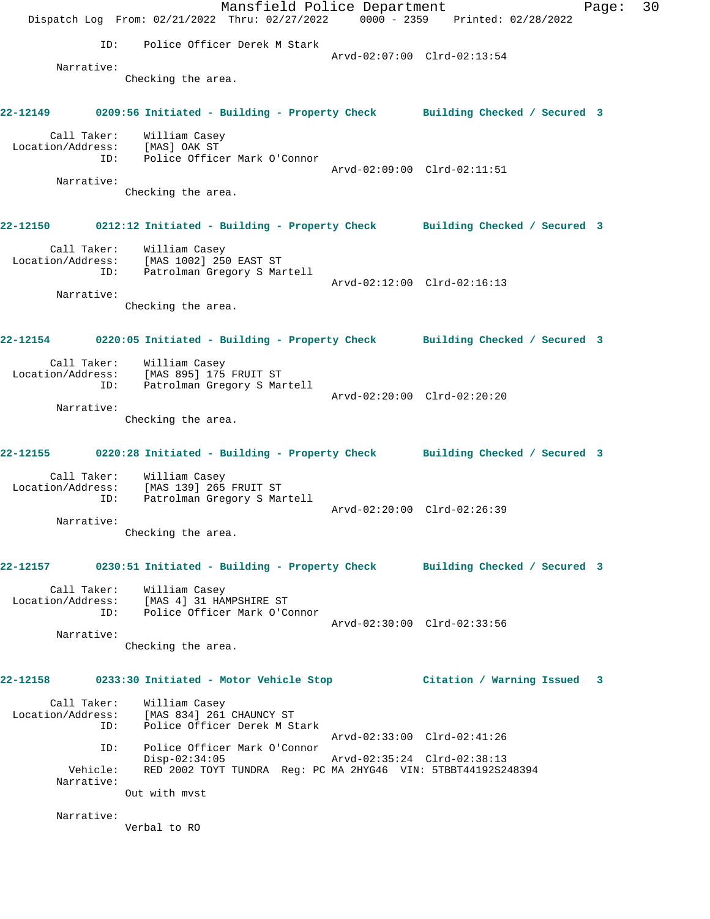Mansfield Police Department Fage: 30 Dispatch Log From: 02/21/2022 Thru: 02/27/2022 0000 - 2359 Printed: 02/28/2022 ID: Police Officer Derek M Stark Arvd-02:07:00 Clrd-02:13:54 Narrative: Checking the area. **22-12149 0209:56 Initiated - Building - Property Check Building Checked / Secured 3** Call Taker: William Casey Location/Address: [MAS] OAK ST ID: Police Officer Mark O'Connor Arvd-02:09:00 Clrd-02:11:51 Narrative: Checking the area. **22-12150 0212:12 Initiated - Building - Property Check Building Checked / Secured 3** Call Taker: William Casey Location/Address: [MAS 1002] 250 EAST ST ID: Patrolman Gregory S Martell Arvd-02:12:00 Clrd-02:16:13 Narrative: Checking the area. **22-12154 0220:05 Initiated - Building - Property Check Building Checked / Secured 3** Call Taker: William Casey Location/Address: [MAS 895] 175 FRUIT ST ID: Patrolman Gregory S Martell Arvd-02:20:00 Clrd-02:20:20 Narrative: Checking the area. **22-12155 0220:28 Initiated - Building - Property Check Building Checked / Secured 3** Call Taker: William Casey Location/Address: [MAS 139] 265 FRUIT ST ID: Patrolman Gregory S Martell Arvd-02:20:00 Clrd-02:26:39 Narrative: Checking the area. **22-12157 0230:51 Initiated - Building - Property Check Building Checked / Secured 3** Call Taker: William Casey Location/Address: [MAS 4] 31 HAMPSHIRE ST ID: Police Officer Mark O'Connor Arvd-02:30:00 Clrd-02:33:56 Narrative: Checking the area. **22-12158 0233:30 Initiated - Motor Vehicle Stop Citation / Warning Issued 3** Call Taker: William Casey Location/Address: [MAS 834] 261 CHAUNCY ST ID: Police Officer Derek M Stark Arvd-02:33:00 Clrd-02:41:26 ID: Police Officer Mark O'Connor Disp-02:34:05 Arvd-02:35:24 Clrd-02:38:13 Vehicle: RED 2002 TOYT TUNDRA Reg: PC MA 2HYG46 VIN: 5TBBT44192S248394 Narrative: Out with mvst Narrative: Verbal to RO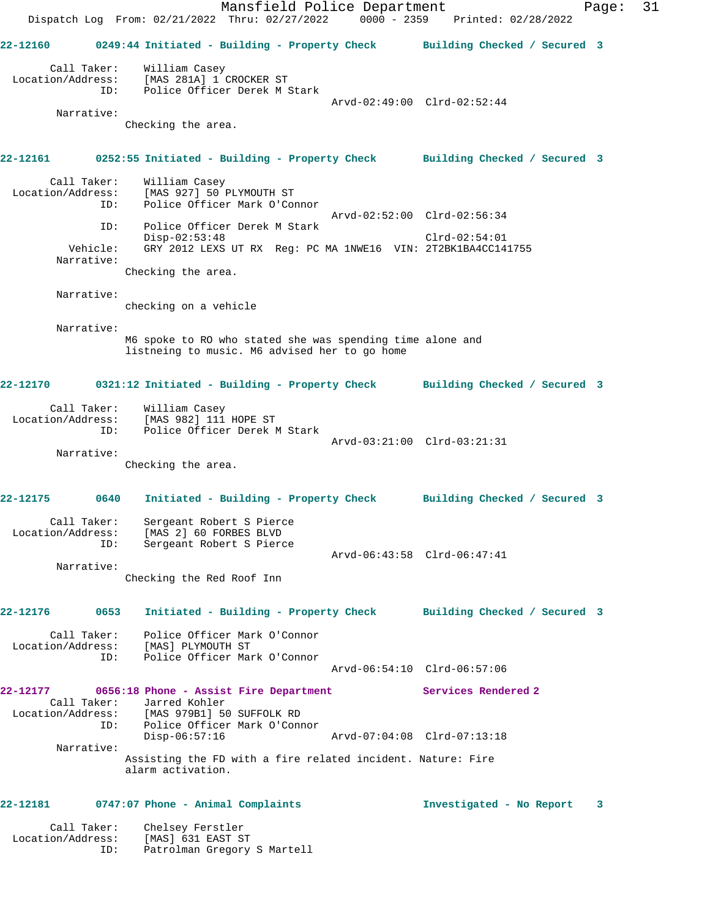Mansfield Police Department Page: 31 Dispatch Log From: 02/21/2022 Thru: 02/27/2022 0000 - 2359 Printed: 02/28/2022 **22-12160 0249:44 Initiated - Building - Property Check Building Checked / Secured 3** Call Taker: William Casey Location/Address: [MAS 281A] 1 CROCKER ST ID: Police Officer Derek M Stark Arvd-02:49:00 Clrd-02:52:44 Narrative: Checking the area. **22-12161 0252:55 Initiated - Building - Property Check Building Checked / Secured 3** Call Taker: William Casey Location/Address: [MAS 927] 50 PLYMOUTH ST ID: Police Officer Mark O'Connor Arvd-02:52:00 Clrd-02:56:34 ID: Police Officer Derek M Stark Disp-02:53:48 Clrd-02:54:01 Vehicle: GRY 2012 LEXS UT RX Reg: PC MA 1NWE16 VIN: 2T2BK1BA4CC141755 Narrative: Checking the area. Narrative: checking on a vehicle Narrative: M6 spoke to RO who stated she was spending time alone and listneing to music. M6 advised her to go home **22-12170 0321:12 Initiated - Building - Property Check Building Checked / Secured 3** Call Taker: William Casey Location/Address: [MAS 982] 111 HOPE ST ID: Police Officer Derek M Stark Arvd-03:21:00 Clrd-03:21:31 Narrative: Checking the area. **22-12175 0640 Initiated - Building - Property Check Building Checked / Secured 3** Call Taker: Sergeant Robert S Pierce Location/Address: [MAS 2] 60 FORBES BLVD ID: Sergeant Robert S Pierce Arvd-06:43:58 Clrd-06:47:41 Narrative: Checking the Red Roof Inn **22-12176 0653 Initiated - Building - Property Check Building Checked / Secured 3** Call Taker: Police Officer Mark O'Connor Location/Address: [MAS] PLYMOUTH ST ID: Police Officer Mark O'Connor Arvd-06:54:10 Clrd-06:57:06 **22-12177 0656:18 Phone - Assist Fire Department Services Rendered 2**  Call Taker: Jarred Kohler Location/Address: [MAS 979B1] 50 SUFFOLK RD ID: Police Officer Mark O'Connor<br>Disp-06:57:16 Disp-06:57:16 Arvd-07:04:08 Clrd-07:13:18 Narrative: Assisting the FD with a fire related incident. Nature: Fire alarm activation. **22-12181 0747:07 Phone - Animal Complaints Investigated - No Report 3** Call Taker: Chelsey Ferstler Location/Address: [MAS] 631 EAST ST

ID: Patrolman Gregory S Martell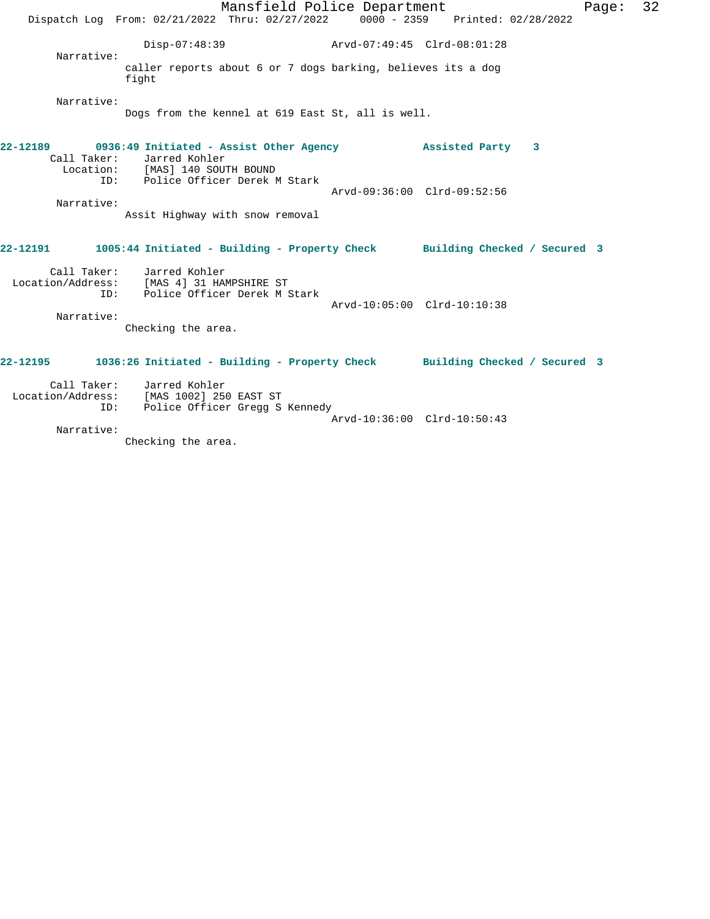|                    | Mansfield Police Department<br>Dispatch Log From: 02/21/2022 Thru: 02/27/2022 0000 - 2359 Printed: 02/28/2022                                                           |                             | Page:                       | 32 |
|--------------------|-------------------------------------------------------------------------------------------------------------------------------------------------------------------------|-----------------------------|-----------------------------|----|
| Narrative:         | $Disp-07:48:39$                                                                                                                                                         | Arvd-07:49:45 Clrd-08:01:28 |                             |    |
|                    | caller reports about 6 or 7 dogs barking, believes its a dog<br>fight                                                                                                   |                             |                             |    |
| Narrative:         | Dogs from the kennel at 619 East St, all is well.                                                                                                                       |                             |                             |    |
|                    | 22-12189 0936:49 Initiated - Assist Other Agency 3 Assisted Party 3<br>Call Taker: Jarred Kohler<br>Location: [MAS] 140 SOUTH BOUND<br>ID: Police Officer Derek M Stark |                             |                             |    |
| Narrative:         | Assit Highway with snow removal                                                                                                                                         |                             | Arvd-09:36:00 Clrd-09:52:56 |    |
|                    | 22-12191 1005:44 Initiated - Building - Property Check Building Checked / Secured 3                                                                                     |                             |                             |    |
| Narrative:         | Call Taker: Jarred Kohler<br>Location/Address: [MAS 4] 31 HAMPSHIRE ST<br>ID: Police Officer Derek M Stark<br>Checking the area.                                        |                             | Arvd-10:05:00 Clrd-10:10:38 |    |
|                    | 22-12195 1036:26 Initiated - Building - Property Check Building Checked / Secured 3                                                                                     |                             |                             |    |
| Call Taker:<br>ID: | Jarred Kohler<br>Location/Address: [MAS 1002] 250 EAST ST<br>Police Officer Gregg S Kennedy                                                                             |                             | Arvd-10:36:00 Clrd-10:50:43 |    |
| Narrative:         |                                                                                                                                                                         |                             |                             |    |

Checking the area.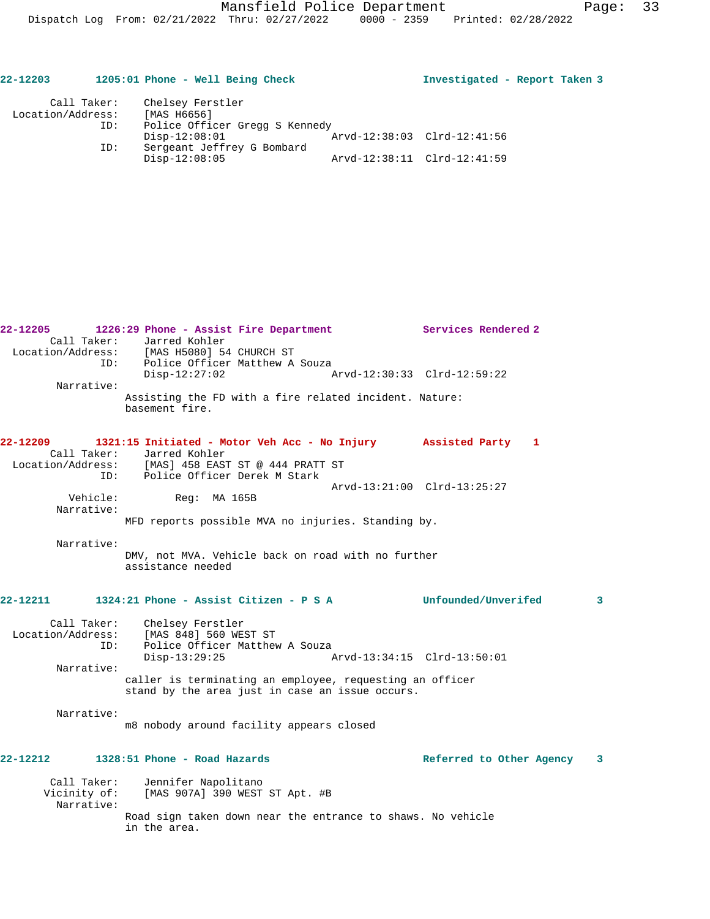| 22-12203          |     | 1205:01 Phone - Well Being Check              |                             | Investigated - Report Taken 3 |  |
|-------------------|-----|-----------------------------------------------|-----------------------------|-------------------------------|--|
| Call Taker:       |     | Chelsey Ferstler                              |                             |                               |  |
| Location/Address: |     | [MAS H6656]                                   |                             |                               |  |
|                   | ID: | Police Officer Gregg S Kennedy                |                             |                               |  |
|                   |     | $Disp-12:08:01$                               | Arvd-12:38:03 Clrd-12:41:56 |                               |  |
|                   | ID: | Sergeant Jeffrey G Bombard<br>$Disp-12:08:05$ | Arvd-12:38:11 Clrd-12:41:59 |                               |  |

| 22-12205          | 1226:29 Phone - Assist Fire Department                                           | Services Rendered 2         |              |
|-------------------|----------------------------------------------------------------------------------|-----------------------------|--------------|
| Call Taker:       | Jarred Kohler                                                                    |                             |              |
|                   |                                                                                  |                             |              |
|                   | Location/Address: [MAS H5080] 54 CHURCH ST<br>ID: Police Officer Matthew A Souza |                             |              |
|                   | $Disp-12:27:02$                                                                  | Arvd-12:30:33 Clrd-12:59:22 |              |
| Narrative:        |                                                                                  |                             |              |
|                   | Assisting the FD with a fire related incident. Nature:                           |                             |              |
|                   | basement fire.                                                                   |                             |              |
|                   |                                                                                  |                             |              |
|                   |                                                                                  |                             |              |
| 22-12209          | 1321:15 Initiated - Motor Veh Acc - No Injury Assisted Party 1                   |                             |              |
| Call Taker:       | Jarred Kohler<br>Location/Address: [MAS] 458 EAST ST @ 444 PRATT ST              |                             |              |
|                   |                                                                                  |                             |              |
|                   | ID: Police Officer Derek M Stark                                                 |                             |              |
|                   |                                                                                  | Arvd-13:21:00 Clrd-13:25:27 |              |
| Vehicle:          | Req: MA 165B                                                                     |                             |              |
| Narrative:        |                                                                                  |                             |              |
|                   | MFD reports possible MVA no injuries. Standing by.                               |                             |              |
|                   |                                                                                  |                             |              |
| Narrative:        |                                                                                  |                             |              |
|                   | DMV, not MVA. Vehicle back on road with no further                               |                             |              |
|                   | assistance needed                                                                |                             |              |
|                   |                                                                                  |                             |              |
| 22-12211          | 1324:21 Phone - Assist Citizen - P S A                                           | Unfounded/Unverifed         | $\mathbf{3}$ |
|                   |                                                                                  |                             |              |
|                   | Call Taker: Chelsey Ferstler                                                     |                             |              |
| Location/Address: | [MAS 848] 560 WEST ST                                                            |                             |              |
| ID:               | Police Officer Matthew A Souza                                                   |                             |              |
|                   | $Disp-13:29:25$                                                                  | Arvd-13:34:15 Clrd-13:50:01 |              |
| Narrative:        |                                                                                  |                             |              |
|                   | caller is terminating an employee, requesting an officer                         |                             |              |
|                   |                                                                                  |                             |              |
|                   | stand by the area just in case an issue occurs.                                  |                             |              |
| Narrative:        |                                                                                  |                             |              |
|                   | m8 nobody around facility appears closed                                         |                             |              |
|                   |                                                                                  |                             |              |
|                   |                                                                                  |                             |              |
| 22-12212          | 1328:51 Phone - Road Hazards                                                     | Referred to Other Agency 3  |              |
|                   |                                                                                  |                             |              |
| Call Taker:       | Jennifer Napolitano                                                              |                             |              |
| Vicinity of:      | [MAS 907A] 390 WEST ST Apt. #B                                                   |                             |              |
| Narrative:        |                                                                                  |                             |              |
|                   | Road sign taken down near the entrance to shaws. No vehicle                      |                             |              |
|                   | in the area.                                                                     |                             |              |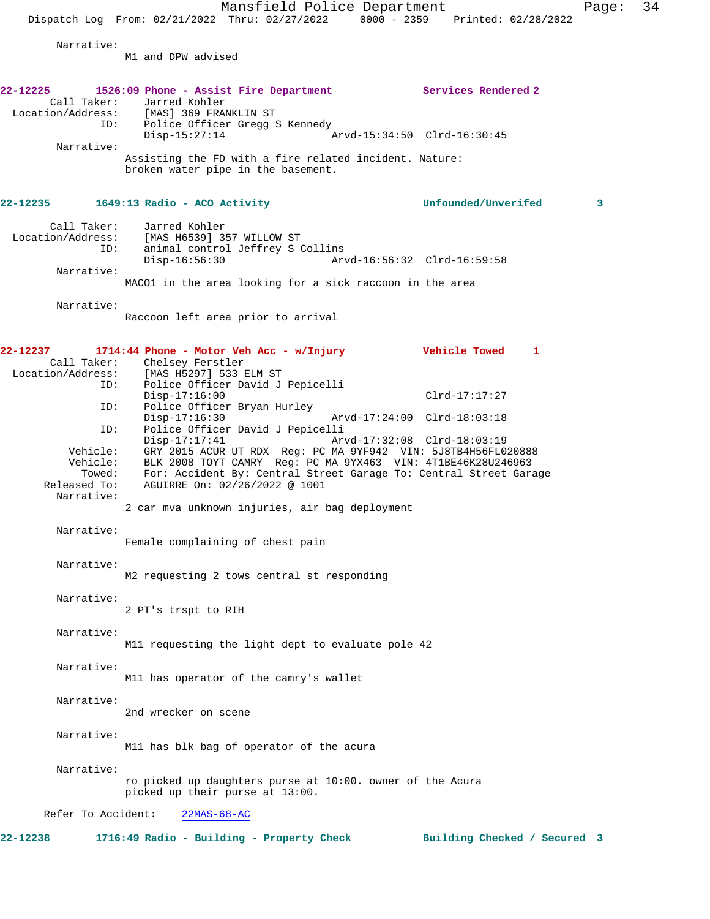Mansfield Police Department Page: 34 Dispatch Log From: 02/21/2022 Thru: 02/27/2022 0000 - 2359 Printed: 02/28/2022 Narrative: M1 and DPW advised **22-12225 1526:09 Phone - Assist Fire Department Services Rendered 2**  Call Taker: Jarred Kohler<br>Location/Address: [MAS] 369 FRAI [MAS] 369 FRANKLIN ST ID: Police Officer Gregg S Kennedy Disp-15:27:14 Arvd-15:34:50 Clrd-16:30:45 Narrative: Assisting the FD with a fire related incident. Nature: broken water pipe in the basement. **22-12235 1649:13 Radio - ACO Activity Unfounded/Unverifed 3** Call Taker: Jarred Kohler Location/Address: [MAS H6539] 357 WILLOW ST ID: animal control Jeffrey S Collins Disp-16:56:30 Arvd-16:56:32 Clrd-16:59:58 Narrative: MACO1 in the area looking for a sick raccoon in the area Narrative: Raccoon left area prior to arrival **22-12237 1714:44 Phone - Motor Veh Acc - w/Injury Vehicle Towed 1**  Call Taker: Chelsey Ferstler<br>Location/Address: [MAS H5297] 533 B ess: [MAS H5297] 533 ELM ST<br>ID: Police Officer David J Police Officer David J Pepicelli Disp-17:16:00 Clrd-17:17:27 ID: Police Officer Bryan Hurley Disp-17:16:30 Arvd-17:24:00 Clrd-18:03:18<br>ID: Police Officer David J Pepicelli Police Officer David J Pepicelli<br>Disp-17:17:41 Ar Disp-17:17:41 Arvd-17:32:08 Clrd-18:03:19<br>Vehicle: GRY 2015 ACUR UT RDX Reg: PC MA 9YF942 VIN: 5J8TB4H56FL0 GRY 2015 ACUR UT RDX Reg: PC MA 9YF942 VIN: 5J8TB4H56FL020888 Vehicle: BLK 2008 TOYT CAMRY Reg: PC MA 9YX463 VIN: 4T1BE46K28U246963 Towed: For: Accident By: Central Street Garage To: Central Street Garage Released To: AGUIRRE On: 02/26/2022 @ 1001 Narrative: 2 car mva unknown injuries, air bag deployment Narrative: Female complaining of chest pain Narrative: M2 requesting 2 tows central st responding Narrative: 2 PT's trspt to RIH Narrative: M11 requesting the light dept to evaluate pole 42 Narrative: M11 has operator of the camry's wallet Narrative: 2nd wrecker on scene Narrative: M11 has blk bag of operator of the acura Narrative: ro picked up daughters purse at 10:00. owner of the Acura picked up their purse at 13:00. Refer To Accident: 22MAS-68-AC 22-12238 1716:49 Radio - Building - Property Check Building Checked / Secured 3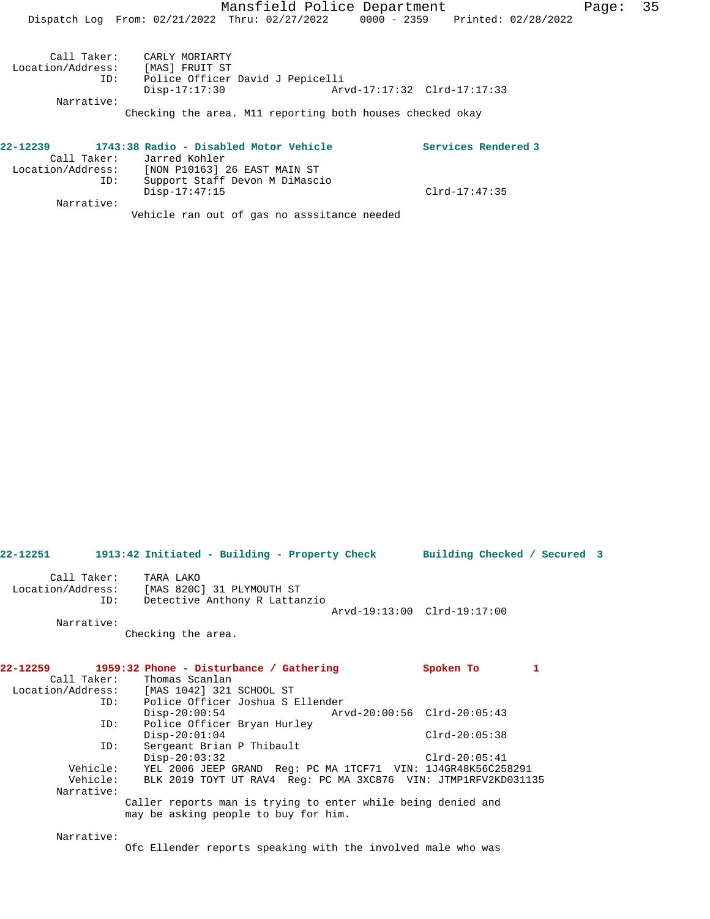| Call Taker:<br>Location/Address:<br>ID: | CARLY MORIARTY<br>[MAS] FRUIT ST<br>Police Officer David J Pepicelli<br>Disp-17:17:30 |  |
|-----------------------------------------|---------------------------------------------------------------------------------------|--|
| Narrative:                              |                                                                                       |  |

Checking the area. M11 reporting both houses checked okay

| 22-12239          |     | 1743:38 Radio - Disabled Motor Vehicle      |               | Services Rendered 3 |
|-------------------|-----|---------------------------------------------|---------------|---------------------|
|                   |     | Call Taker: Jarred Kohler                   |               |                     |
| Location/Address: |     | [NON P10163] 26 EAST MAIN ST                |               |                     |
|                   | ID: | Support Staff Devon M DiMascio              |               |                     |
|                   |     | $Disp-17:47:15$                             | Clrd-17:47:35 |                     |
| Narrative:        |     |                                             |               |                     |
|                   |     | Vehicle ran out of gas no asssitance needed |               |                     |

**22-12251 1913:42 Initiated - Building - Property Check Building Checked / Secured 3** Call Taker: TARA LAKO Location/Address: [MAS 820C] 31 PLYMOUTH ST ID: Detective Anthony R Lattanzio Arvd-19:13:00 Clrd-19:17:00 Narrative: Checking the area. **22-12259 1959:32 Phone - Disturbance / Gathering Spoken To 1**  Call Taker: Thomas Scanlan Location/Address: [MAS 1042] 321 SCHOOL ST Police Officer Joshua S Ellender<br>Disp-20:00:54 Arv Disp-20:00:54 Arvd-20:00:56 Clrd-20:05:43 ID: Police Officer Bryan Hurley Disp-20:01:04 Clrd-20:05:38<br>ID: Sergeant Brian P Thibault Sergeant Brian P Thibault Disp-20:03:32 Clrd-20:05:41<br>Vehicle: YEL 2006 JEEP GRAND Req: PC MA 1TCF71 VIN: 1J4GR48K56C25 Vehicle: YEL 2006 JEEP GRAND Reg: PC MA 1TCF71 VIN: 1J4GR48K56C258291<br>Vehicle: BLK 2019 TOYT UT RAV4 Reg: PC MA 3XC876 VIN: JTMP1RFV2KD0311 BLK 2019 TOYT UT RAV4 Reg: PC MA 3XC876 VIN: JTMP1RFV2KD031135 Narrative: Caller reports man is trying to enter while being denied and may be asking people to buy for him. Narrative:

Ofc Ellender reports speaking with the involved male who was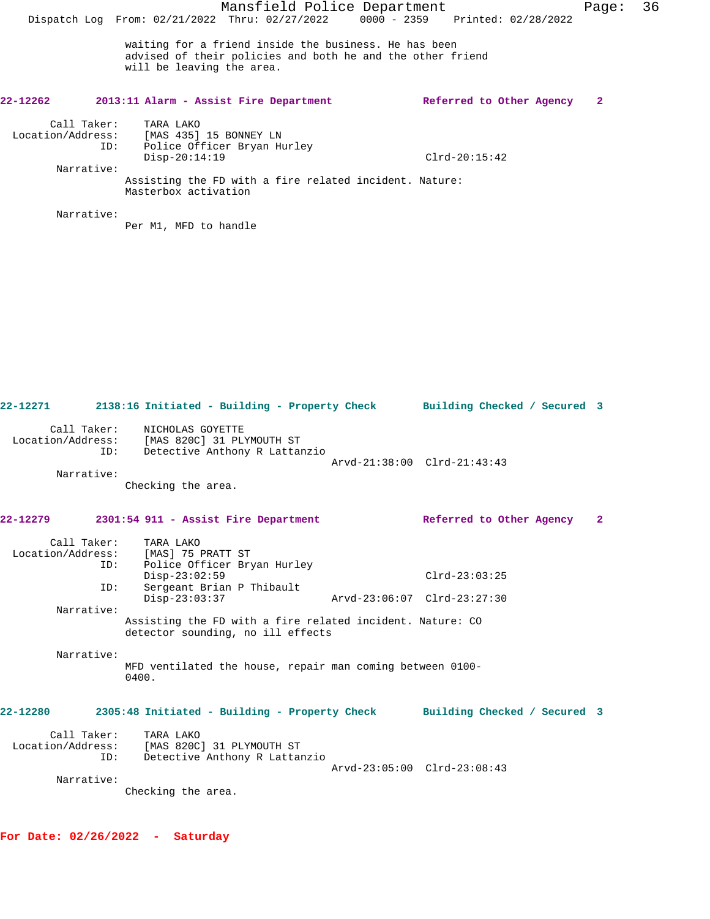# **22-12262 2013:11 Alarm - Assist Fire Department Referred to Other Agency 2** Call Taker: TARA LAKO Location/Address: [MAS 435] 15 BONNEY LN ID: Police Officer Bryan Hurley Disp-20:14:19 Clrd-20:15:42

Narrative:

Assisting the FD with a fire related incident. Nature: Masterbox activation

Narrative:

Per M1, MFD to handle

| 22-12271     |                    | 2138:16 Initiated - Building - Property Check Building Checked / Secured 3                       |                             |              |
|--------------|--------------------|--------------------------------------------------------------------------------------------------|-----------------------------|--------------|
|              | Call Taker:<br>ID: | NICHOLAS GOYETTE<br>Location/Address: [MAS 820C] 31 PLYMOUTH ST<br>Detective Anthony R Lattanzio | Arvd-21:38:00 Clrd-21:43:43 |              |
|              | Narrative:         | Checking the area.                                                                               |                             |              |
| $22 - 12279$ |                    | 2301:54 911 - Assist Fire Department                                                             | Referred to Other Agency    | $\mathbf{2}$ |
|              | Call Taker:<br>ID: | TARA LAKO<br>Location/Address: [MAS] 75 PRATT ST<br>Police Officer Bryan Hurley                  |                             |              |
|              | ID:                | $Disp-23:02:59$<br>Sergeant Brian P Thibault                                                     | $Clrd-23:03:25$             |              |
|              | Narrative:         | $Disp-23:03:37$                                                                                  | Arvd-23:06:07 Clrd-23:27:30 |              |
|              |                    | Assisting the FD with a fire related incident. Nature: CO<br>detector sounding, no ill effects   |                             |              |
|              | Narrative:         | MFD ventilated the house, repair man coming between 0100-<br>0400.                               |                             |              |
| 22-12280     |                    | 2305:48 Initiated - Building - Property Check Building Checked / Secured 3                       |                             |              |
|              | Call Taker:<br>ID: | TARA LAKO<br>Location/Address: [MAS 820C] 31 PLYMOUTH ST<br>Detective Anthony R Lattanzio        | Arvd-23:05:00 Clrd-23:08:43 |              |
|              | Narrative:         | Checking the area.                                                                               |                             |              |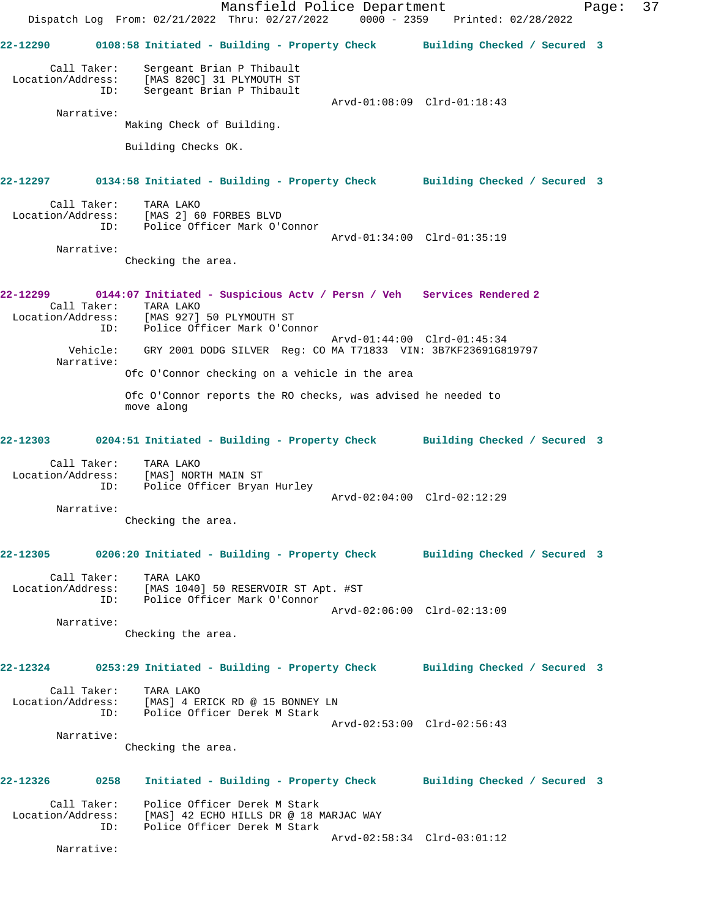|                                                                                                           |     | Dispatch Log From: 02/21/2022 Thru: 02/27/2022 0000 - 2359 Printed: 02/28/2022                                                                             |  | Mansfield Police Department                                        |  | Page: | 37 |
|-----------------------------------------------------------------------------------------------------------|-----|------------------------------------------------------------------------------------------------------------------------------------------------------------|--|--------------------------------------------------------------------|--|-------|----|
| 22-12290                                                                                                  |     | 0108:58 Initiated - Building - Property Check Building Checked / Secured 3                                                                                 |  |                                                                    |  |       |    |
| Call Taker:<br>Location/Address:<br>Narrative:                                                            | ID: | Sergeant Brian P Thibault<br>[MAS 820C] 31 PLYMOUTH ST<br>Sergeant Brian P Thibault<br>Making Check of Building.                                           |  | Arvd-01:08:09 Clrd-01:18:43                                        |  |       |    |
|                                                                                                           |     | Building Checks OK.                                                                                                                                        |  |                                                                    |  |       |    |
| 22-12297 0134:58 Initiated - Building - Property Check Building Checked / Secured 3                       |     |                                                                                                                                                            |  |                                                                    |  |       |    |
| Call Taker:<br>Location/Address: [MAS 2] 60 FORBES BLVD<br>ID: Police Officer Mark O'Connor<br>Narrative: |     | TARA LAKO                                                                                                                                                  |  | Arvd-01:34:00 Clrd-01:35:19                                        |  |       |    |
|                                                                                                           |     | Checking the area.                                                                                                                                         |  |                                                                    |  |       |    |
| Location/Address:                                                                                         | ID: | 0144:07 Initiated - Suspicious Actv / Persn / Veh Services Rendered 2<br>Call Taker: TARA LAKO<br>[MAS 927] 50 PLYMOUTH ST<br>Police Officer Mark O'Connor |  | Arvd-01:44:00 Clrd-01:45:34                                        |  |       |    |
| Vehicle:<br>Narrative:                                                                                    |     | GRY 2001 DODG SILVER Reg: CO MA T71833 VIN: 3B7KF23691G819797                                                                                              |  |                                                                    |  |       |    |
|                                                                                                           |     | Ofc O'Connor checking on a vehicle in the area                                                                                                             |  |                                                                    |  |       |    |
|                                                                                                           |     | Ofc O'Connor reports the RO checks, was advised he needed to<br>move along                                                                                 |  |                                                                    |  |       |    |
| 22-12303 0204:51 Initiated - Building - Property Check Building Checked / Secured 3                       |     |                                                                                                                                                            |  |                                                                    |  |       |    |
| Call Taker:<br>Location/Address:<br>Narrative:                                                            | ID: | TARA LAKO<br>[MAS] NORTH MAIN ST<br>Police Officer Bryan Hurley<br>Checking the area.                                                                      |  | Arvd-02:04:00 Clrd-02:12:29                                        |  |       |    |
| 22-12305                                                                                                  |     | 0206:20 Initiated - Building - Property Check Building Checked / Secured 3                                                                                 |  |                                                                    |  |       |    |
| Call Taker:<br>Location/Address: [MAS 1040] 50 RESERVOIR ST Apt. #ST                                      | ID: | TARA LAKO<br>Police Officer Mark O'Connor                                                                                                                  |  | Arvd-02:06:00 Clrd-02:13:09                                        |  |       |    |
| Narrative:                                                                                                |     | Checking the area.                                                                                                                                         |  |                                                                    |  |       |    |
| 22-12324     0253:29 Initiated - Building - Property Check     Building Checked / Secured 3               |     |                                                                                                                                                            |  |                                                                    |  |       |    |
| Call Taker:<br>Location/Address:                                                                          | ID: | TARA LAKO<br>[MAS] 4 ERICK RD @ 15 BONNEY LN<br>Police Officer Derek M Stark                                                                               |  | Arvd-02:53:00 Clrd-02:56:43                                        |  |       |    |
| Narrative:                                                                                                |     | Checking the area.                                                                                                                                         |  |                                                                    |  |       |    |
| 22-12326 0258                                                                                             |     |                                                                                                                                                            |  | Initiated - Building - Property Check Building Checked / Secured 3 |  |       |    |
| Location/Address: [MAS] 42 ECHO HILLS DR @ 18 MARJAC WAY                                                  | ID: | Call Taker: Police Officer Derek M Stark<br>Police Officer Derek M Stark                                                                                   |  | Arvd-02:58:34 Clrd-03:01:12                                        |  |       |    |
| Narrative:                                                                                                |     |                                                                                                                                                            |  |                                                                    |  |       |    |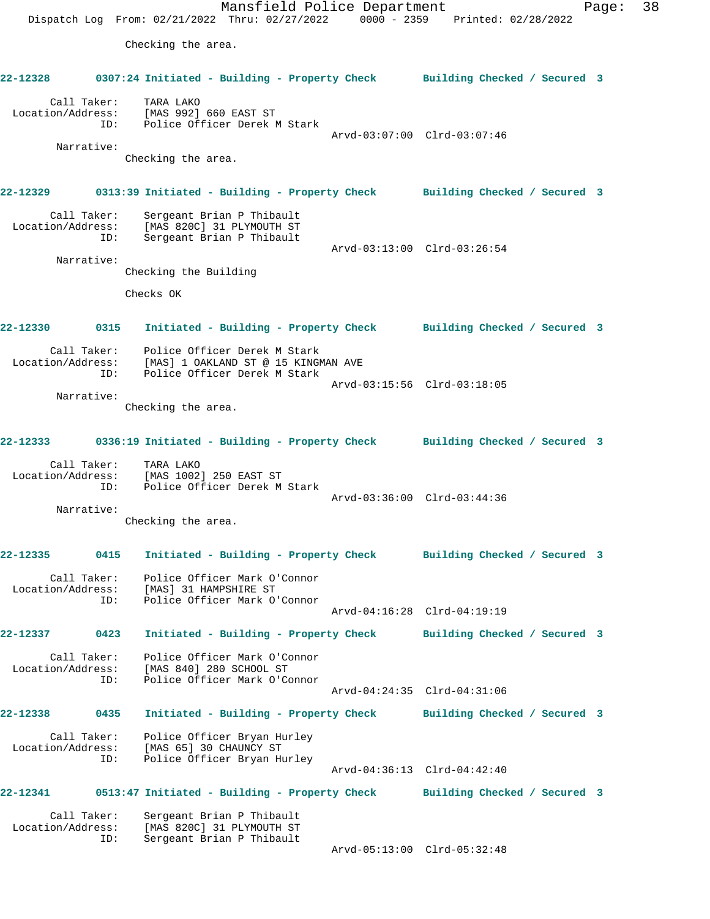Mansfield Police Department Page: 38 Dispatch Log From: 02/21/2022 Thru: 02/27/2022 0000 - 2359 Printed: 02/28/2022 Checking the area. **22-12328 0307:24 Initiated - Building - Property Check Building Checked / Secured 3** Call Taker: TARA LAKO Location/Address: [MAS 992] 660 EAST ST ID: Police Officer Derek M Stark Arvd-03:07:00 Clrd-03:07:46 Narrative: Checking the area. **22-12329 0313:39 Initiated - Building - Property Check Building Checked / Secured 3** Call Taker: Sergeant Brian P Thibault Location/Address: [MAS 820C] 31 PLYMOUTH ST ID: Sergeant Brian P Thibault Arvd-03:13:00 Clrd-03:26:54 Narrative: Checking the Building Checks OK **22-12330 0315 Initiated - Building - Property Check Building Checked / Secured 3** Call Taker: Police Officer Derek M Stark Location/Address: [MAS] 1 OAKLAND ST @ 15 KINGMAN AVE ID: Police Officer Derek M Stark Arvd-03:15:56 Clrd-03:18:05 Narrative: Checking the area. **22-12333 0336:19 Initiated - Building - Property Check Building Checked / Secured 3** Call Taker: TARA LAKO Location/Address: [MAS 1002] 250 EAST ST ID: Police Officer Derek M Stark Arvd-03:36:00 Clrd-03:44:36 Narrative: Checking the area. **22-12335 0415 Initiated - Building - Property Check Building Checked / Secured 3** Call Taker: Police Officer Mark O'Connor Location/Address: [MAS] 31 HAMPSHIRE ST<br>TD: Police Officer Mark O'O Police Officer Mark O'Connor Arvd-04:16:28 Clrd-04:19:19 **22-12337 0423 Initiated - Building - Property Check Building Checked / Secured 3** Call Taker: Police Officer Mark O'Connor Location/Address: [MAS 840] 280 SCHOOL ST ID: Police Officer Mark O'Connor Arvd-04:24:35 Clrd-04:31:06 **22-12338 0435 Initiated - Building - Property Check Building Checked / Secured 3** Call Taker: Police Officer Bryan Hurley Location/Address: [MAS 65] 30 CHAUNCY ST ID: Police Officer Bryan Hurley [MAS 65] 30 CHAONCI DI<br>Police Officer Bryan Hurley<br>Arvd-04:36:13 Clrd-04:42:40 **22-12341 0513:47 Initiated - Building - Property Check Building Checked / Secured 3** Call Taker: Sergeant Brian P Thibault Location/Address: [MAS 820C] 31 PLYMOUTH ST ID: Sergeant Brian P Thibault

Arvd-05:13:00 Clrd-05:32:48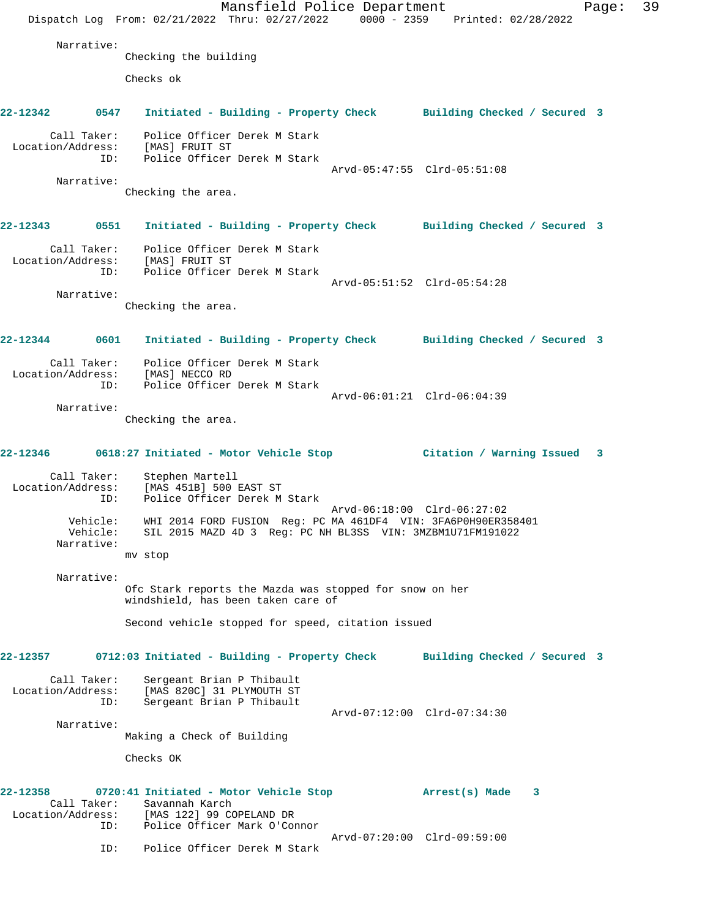Mansfield Police Department Page: 39 Dispatch Log From: 02/21/2022 Thru: 02/27/2022 0000 - 2359 Printed: 02/28/2022 Narrative: Checking the building Checks ok **22-12342 0547 Initiated - Building - Property Check Building Checked / Secured 3** Call Taker: Police Officer Derek M Stark Location/Address: [MAS] FRUIT ST ID: Police Officer Derek M Stark Arvd-05:47:55 Clrd-05:51:08 Narrative: Checking the area. **22-12343 0551 Initiated - Building - Property Check Building Checked / Secured 3** Call Taker: Police Officer Derek M Stark Location/Address: [MAS] FRUIT ST ID: Police Officer Derek M Stark Arvd-05:51:52 Clrd-05:54:28 Narrative: Checking the area. **22-12344 0601 Initiated - Building - Property Check Building Checked / Secured 3** Call Taker: Police Officer Derek M Stark Location/Address: [MAS] NECCO RD ID: Police Officer Derek M Stark Arvd-06:01:21 Clrd-06:04:39 Narrative: Checking the area. **22-12346 0618:27 Initiated - Motor Vehicle Stop Citation / Warning Issued 3** Call Taker: Stephen Martell Location/Address: [MAS 451B] 500 EAST ST ID: Police Officer Derek M Stark Arvd-06:18:00 Clrd-06:27:02 Vehicle: WHI 2014 FORD FUSION Reg: PC MA 461DF4 VIN: 3FA6P0H90ER358401 Vehicle: SIL 2015 MAZD 4D 3 Reg: PC NH BL3SS VIN: 3MZBM1U71FM191022 Narrative: mv stop Narrative: Ofc Stark reports the Mazda was stopped for snow on her windshield, has been taken care of Second vehicle stopped for speed, citation issued **22-12357 0712:03 Initiated - Building - Property Check Building Checked / Secured 3** Call Taker: Sergeant Brian P Thibault Location/Address: [MAS 820C] 31 PLYMOUTH ST ID: Sergeant Brian P Thibault Arvd-07:12:00 Clrd-07:34:30 Narrative: Making a Check of Building Checks OK **22-12358 0720:41 Initiated - Motor Vehicle Stop Arrest(s) Made 3**  Call Taker: Savannah Karch Location/Address: [MAS 122] 99 COPELAND DR ID: Police Officer Mark O'Connor Arvd-07:20:00 Clrd-09:59:00 ID: Police Officer Derek M Stark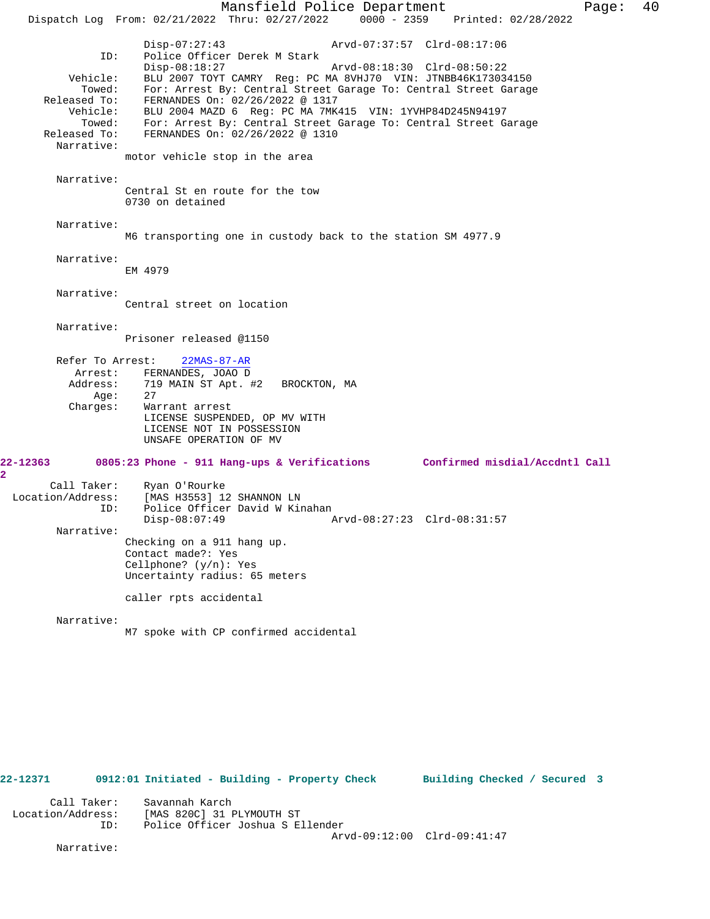Mansfield Police Department Page: 40 Dispatch Log From: 02/21/2022 Thru: 02/27/2022 0000 - 2359 Printed: 02/28/2022 Disp-07:27:43 Arvd-07:37:57 Clrd-08:17:06 Police Officer Derek M Stark<br>Disp-08:18:27 Disp-08:18:27 Arvd-08:18:30 Clrd-08:50:22 Vehicle: BLU 2007 TOYT CAMRY Reg: PC MA 8VHJ70 VIN: JTNBB46K173034150 Towed: For: Arrest By: Central Street Garage To: Central Street Garage Released To: FERNANDES On: 02/26/2022 @ 1317 Vehicle: BLU 2004 MAZD 6 Reg: PC MA 7MK415 VIN: 1YVHP84D245N94197 Towed: For: Arrest By: Central Street Garage To: Central Street Garage Released To: FERNANDES On: 02/26/2022 @ 1310 Narrative: motor vehicle stop in the area Narrative: Central St en route for the tow 0730 on detained Narrative: M6 transporting one in custody back to the station SM 4977.9 Narrative: EM 4979 Narrative: Central street on location Narrative: Prisoner released @1150 Refer To Arrest: 22MAS-87-AR Arrest: FERNANDES, JOAO D Address: 719 MAIN ST Apt. #2 BROCKTON, MA Age:<br>:Charges Warrant arrest LICENSE SUSPENDED, OP MV WITH LICENSE NOT IN POSSESSION UNSAFE OPERATION OF MV **22-12363 0805:23 Phone - 911 Hang-ups & Verifications Confirmed misdial/Accdntl Call** Call Taker: Ryan O'Rourke<br>Location/Address: [MAS H3553] 12 ess: [MAS H3553] 12 SHANNON LN<br>ID: Police Officer David W Kin Police Officer David W Kinahan Disp-08:07:49 Arvd-08:27:23 Clrd-08:31:57 Narrative: Checking on a 911 hang up. Contact made?: Yes Cellphone? (y/n): Yes Uncertainty radius: 65 meters caller rpts accidental Narrative: M7 spoke with CP confirmed accidental

**22-12371 0912:01 Initiated - Building - Property Check Building Checked / Secured 3** Call Taker: Savannah Karch Location/Address: [MAS 820C] 31 PLYMOUTH ST Police Officer Joshua S Ellender Arvd-09:12:00 Clrd-09:41:47

Narrative:

**2**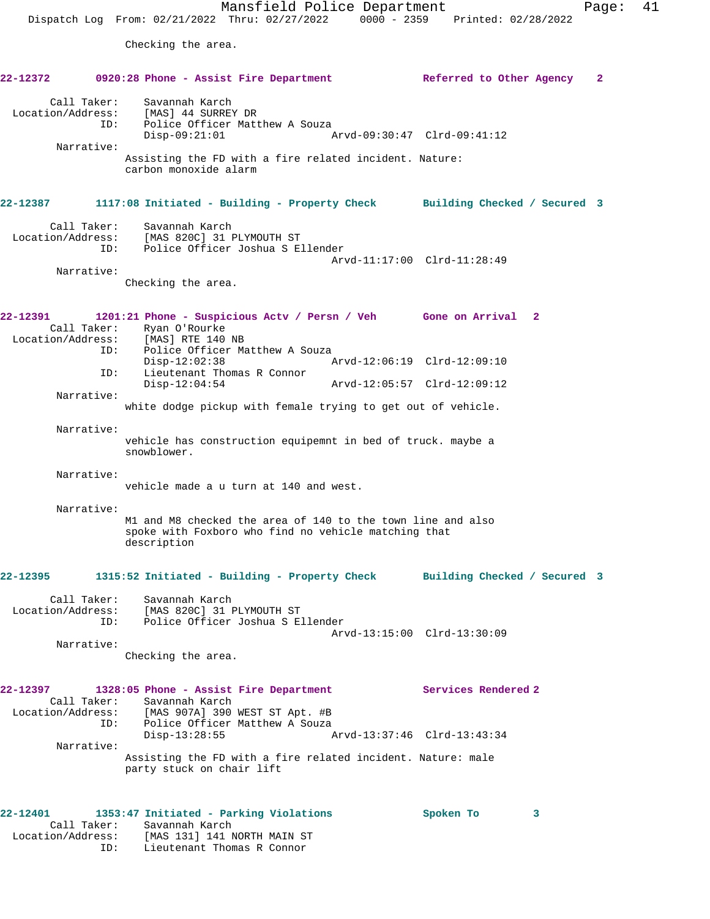| 22-12372                                                                 |     | 0920:28 Phone - Assist Fire Department                                                     |                                                                                           |  |                                                                                                                     |                     | Referred to Other Agency | $\mathbf{2}$ |
|--------------------------------------------------------------------------|-----|--------------------------------------------------------------------------------------------|-------------------------------------------------------------------------------------------|--|---------------------------------------------------------------------------------------------------------------------|---------------------|--------------------------|--------------|
| Call Taker:<br>Location/Address:                                         | ID: |                                                                                            | Savannah Karch<br>[MAS] 44 SURREY DR<br>Police Officer Matthew A Souza<br>$Disp-09:21:01$ |  | Arvd-09:30:47 Clrd-09:41:12                                                                                         |                     |                          |              |
| Narrative:                                                               |     | carbon monoxide alarm                                                                      |                                                                                           |  | Assisting the FD with a fire related incident. Nature:                                                              |                     |                          |              |
| 22-12387                                                                 |     |                                                                                            |                                                                                           |  | 1117:08 Initiated - Building - Property Check Building Checked / Secured 3                                          |                     |                          |              |
| Call Taker:<br>Location/Address:                                         | ID: |                                                                                            | Savannah Karch<br>[MAS 820C] 31 PLYMOUTH ST<br>Police Officer Joshua S Ellender           |  | Arvd-11:17:00 Clrd-11:28:49                                                                                         |                     |                          |              |
| Narrative:                                                               |     | Checking the area.                                                                         |                                                                                           |  |                                                                                                                     |                     |                          |              |
| 22-12391<br>Call Taker:<br>Location/Address: [MAS] RTE 140 NB            | ID: | Ryan O'Rourke                                                                              | Police Officer Matthew A Souza                                                            |  | 1201:21 Phone - Suspicious Actv / Persn / Veh Gone on Arrival 2                                                     |                     |                          |              |
|                                                                          |     | $Disp-12:02:38$                                                                            |                                                                                           |  | Arvd-12:06:19 Clrd-12:09:10                                                                                         |                     |                          |              |
|                                                                          | ID: |                                                                                            | Lieutenant Thomas R Connor<br>$Disp-12:04:54$                                             |  | Arvd-12:05:57 Clrd-12:09:12                                                                                         |                     |                          |              |
| Narrative:                                                               |     |                                                                                            |                                                                                           |  | white dodge pickup with female trying to get out of vehicle.                                                        |                     |                          |              |
| Narrative:                                                               |     |                                                                                            |                                                                                           |  |                                                                                                                     |                     |                          |              |
|                                                                          |     | snowblower.                                                                                |                                                                                           |  | vehicle has construction equipemnt in bed of truck. maybe a                                                         |                     |                          |              |
| Narrative:                                                               |     | vehicle made a u turn at 140 and west.                                                     |                                                                                           |  |                                                                                                                     |                     |                          |              |
| Narrative:                                                               |     | description                                                                                |                                                                                           |  | M1 and M8 checked the area of 140 to the town line and also<br>spoke with Foxboro who find no vehicle matching that |                     |                          |              |
| 22-12395                                                                 |     |                                                                                            |                                                                                           |  | 1315:52 Initiated - Building - Property Check Building Checked / Secured 3                                          |                     |                          |              |
| Call Taker:<br>Location/Address:                                         | ID: |                                                                                            | Savannah Karch<br>[MAS 820C] 31 PLYMOUTH ST<br>Police Officer Joshua S Ellender           |  | Arvd-13:15:00 Clrd-13:30:09                                                                                         |                     |                          |              |
| Narrative:                                                               |     | Checking the area.                                                                         |                                                                                           |  |                                                                                                                     |                     |                          |              |
| 22-12397<br>Call Taker:<br>Location/Address:                             | ID: | 1328:05 Phone - Assist Fire Department<br>Savannah Karch<br>[MAS 907A] 390 WEST ST Apt. #B | Police Officer Matthew A Souza                                                            |  |                                                                                                                     | Services Rendered 2 |                          |              |
| Narrative:                                                               |     | party stuck on chair lift                                                                  | $Disp-13:28:55$                                                                           |  | Arvd-13:37:46 Clrd-13:43:34<br>Assisting the FD with a fire related incident. Nature: male                          |                     |                          |              |
| 22-12401<br>Call Taker:<br>Location/Address: [MAS 131] 141 NORTH MAIN ST | ID: | 1353:47 Initiated - Parking Violations                                                     | Savannah Karch<br>Lieutenant Thomas R Connor                                              |  |                                                                                                                     | Spoken To           | 3                        |              |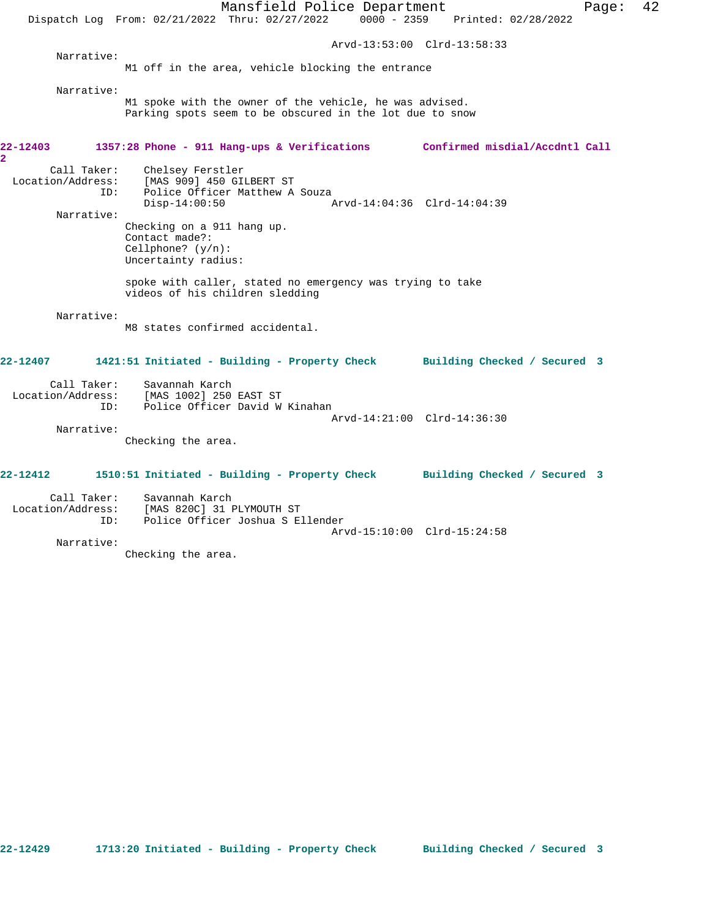Mansfield Police Department Form Page: 42 Dispatch Log From: 02/21/2022 Thru: 02/27/2022 0000 - 2359 Printed: 02/28/2022 Arvd-13:53:00 Clrd-13:58:33 Narrative: M1 off in the area, vehicle blocking the entrance Narrative: M1 spoke with the owner of the vehicle, he was advised. Parking spots seem to be obscured in the lot due to snow **22-12403 1357:28 Phone - 911 Hang-ups & Verifications Confirmed misdial/Accdntl Call 2**  Call Taker: Chelsey Ferstler Location/Address: [MAS 909] 450 GILBERT ST ID: Police Officer Matthew A Souza<br>Disp-14:00:50 Disp-14:00:50 Arvd-14:04:36 Clrd-14:04:39 Narrative: Checking on a 911 hang up. Contact made?: Cellphone? (y/n): Uncertainty radius: spoke with caller, stated no emergency was trying to take videos of his children sledding Narrative: M8 states confirmed accidental. **22-12407 1421:51 Initiated - Building - Property Check Building Checked / Secured 3** Call Taker: Savannah Karch Location/Address: [MAS 1002] 250 EAST ST ID: Police Officer David W Kinahan Arvd-14:21:00 Clrd-14:36:30 Narrative: Checking the area. **22-12412 1510:51 Initiated - Building - Property Check Building Checked / Secured 3** Call Taker: Savannah Karch Location/Address: [MAS 820C] 31 PLYMOUTH ST

 ID: Police Officer Joshua S Ellender Arvd-15:10:00 Clrd-15:24:58 Narrative:

Checking the area.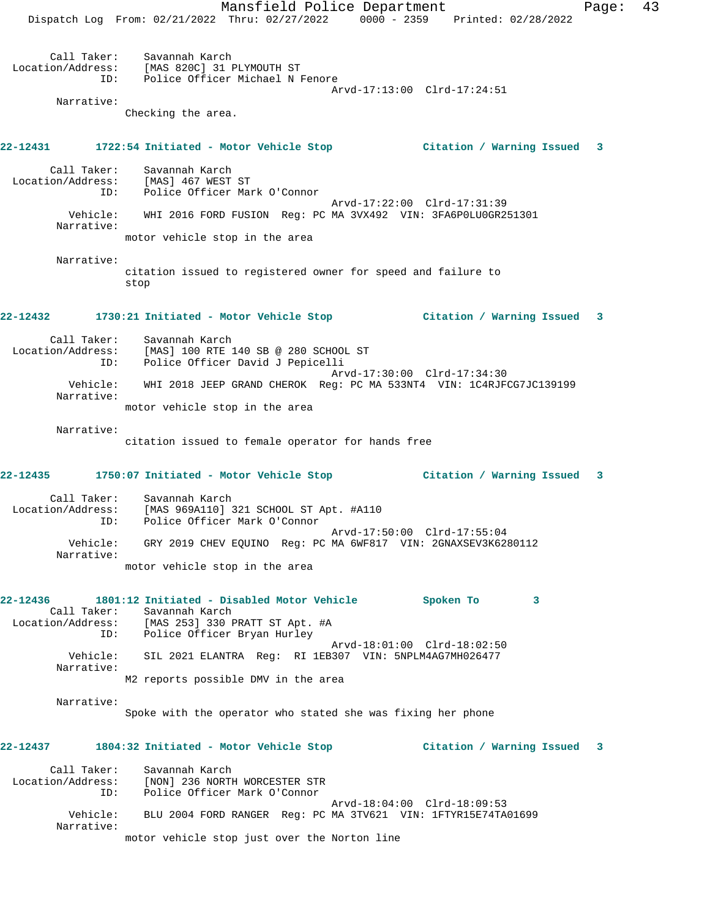Mansfield Police Department Fage: 43 Dispatch Log From: 02/21/2022 Thru: 02/27/2022 0000 - 2359 Printed: 02/28/2022 Call Taker: Savannah Karch Location/Address: [MAS 820C] 31 PLYMOUTH ST ID: Police Officer Michael N Fenore Arvd-17:13:00 Clrd-17:24:51 Narrative: Checking the area. **22-12431 1722:54 Initiated - Motor Vehicle Stop Citation / Warning Issued 3** Call Taker: Savannah Karch Location/Address: [MAS] 467 WEST ST ID: Police Officer Mark O'Connor Arvd-17:22:00 Clrd-17:31:39 Vehicle: WHI 2016 FORD FUSION Reg: PC MA 3VX492 VIN: 3FA6P0LU0GR251301 Narrative: motor vehicle stop in the area Narrative: citation issued to registered owner for speed and failure to stop **22-12432 1730:21 Initiated - Motor Vehicle Stop Citation / Warning Issued 3** Call Taker: Savannah Karch Location/Address: [MAS] 100 RTE 140 SB @ 280 SCHOOL ST ID: Police Officer David J Pepicelli Arvd-17:30:00 Clrd-17:34:30 Vehicle: WHI 2018 JEEP GRAND CHEROK Reg: PC MA 533NT4 VIN: 1C4RJFCG7JC139199 Narrative: motor vehicle stop in the area Narrative: citation issued to female operator for hands free **22-12435 1750:07 Initiated - Motor Vehicle Stop Citation / Warning Issued 3** Call Taker: Savannah Karch Location/Address: [MAS 969A110] 321 SCHOOL ST Apt. #A110 ID: Police Officer Mark O'Connor Arvd-17:50:00 Clrd-17:55:04 Vehicle: GRY 2019 CHEV EQUINO Reg: PC MA 6WF817 VIN: 2GNAXSEV3K6280112 Narrative: motor vehicle stop in the area **22-12436 1801:12 Initiated - Disabled Motor Vehicle Spoken To 3**  Call Taker: Savannah Karch Location/Address: [MAS 253] 330 PRATT ST Apt. #A ID: Police Officer Bryan Hurley Arvd-18:01:00 Clrd-18:02:50 Vehicle: SIL 2021 ELANTRA Reg: RI 1EB307 VIN: 5NPLM4AG7MH026477 Narrative: M2 reports possible DMV in the area Narrative: Spoke with the operator who stated she was fixing her phone **22-12437 1804:32 Initiated - Motor Vehicle Stop Citation / Warning Issued 3** Call Taker: Savannah Karch Location/Address: [NON] 236 NORTH WORCESTER STR ID: Police Officer Mark O'Connor Arvd-18:04:00 Clrd-18:09:53 Vehicle: BLU 2004 FORD RANGER Reg: PC MA 3TV621 VIN: 1FTYR15E74TA01699 Narrative: motor vehicle stop just over the Norton line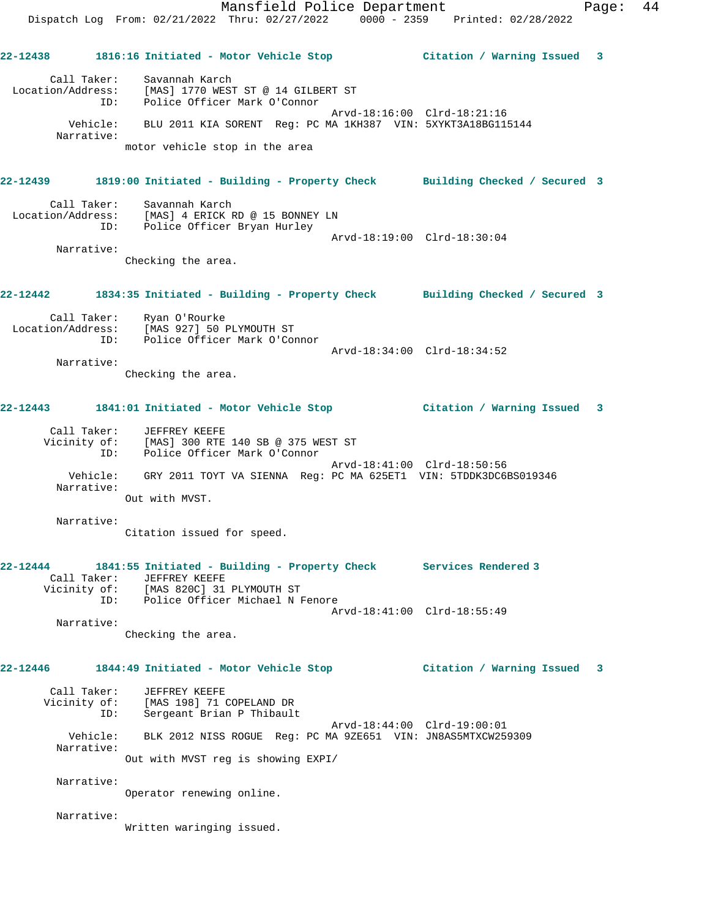Mansfield Police Department Fage: 44 Dispatch Log From: 02/21/2022 Thru: 02/27/2022 0000 - 2359 Printed: 02/28/2022 **22-12438 1816:16 Initiated - Motor Vehicle Stop Citation / Warning Issued 3** Call Taker: Savannah Karch Location/Address: [MAS] 1770 WEST ST @ 14 GILBERT ST ID: Police Officer Mark O'Connor Arvd-18:16:00 Clrd-18:21:16 Vehicle: BLU 2011 KIA SORENT Reg: PC MA 1KH387 VIN: 5XYKT3A18BG115144 Narrative: motor vehicle stop in the area **22-12439 1819:00 Initiated - Building - Property Check Building Checked / Secured 3** Call Taker: Savannah Karch Location/Address: [MAS] 4 ERICK RD @ 15 BONNEY LN ID: Police Officer Bryan Hurley Arvd-18:19:00 Clrd-18:30:04 Narrative: Checking the area. **22-12442 1834:35 Initiated - Building - Property Check Building Checked / Secured 3** Call Taker: Ryan O'Rourke Location/Address: [MAS 927] 50 PLYMOUTH ST ID: Police Officer Mark O'Connor Arvd-18:34:00 Clrd-18:34:52 Narrative: Checking the area. **22-12443 1841:01 Initiated - Motor Vehicle Stop Citation / Warning Issued 3** Call Taker: JEFFREY KEEFE Vicinity of: [MAS] 300 RTE 140 SB @ 375 WEST ST ID: Police Officer Mark O'Connor Arvd-18:41:00 Clrd-18:50:56 Vehicle: GRY 2011 TOYT VA SIENNA Reg: PC MA 625ET1 VIN: 5TDDK3DC6BS019346 Narrative: Out with MVST. Narrative: Citation issued for speed. **22-12444 1841:55 Initiated - Building - Property Check Services Rendered 3**  Call Taker: JEFFREY KEEFE Vicinity of: [MAS 820C] 31 PLYMOUTH ST ID: Police Officer Michael N Fenore Arvd-18:41:00 Clrd-18:55:49 Narrative: Checking the area. **22-12446 1844:49 Initiated - Motor Vehicle Stop Citation / Warning Issued 3** Call Taker: JEFFREY KEEFE Vicinity of: [MAS 198] 71 COPELAND DR ID: Sergeant Brian P Thibault Arvd-18:44:00 Clrd-19:00:01 Vehicle: BLK 2012 NISS ROGUE Reg: PC MA 9ZE651 VIN: JN8AS5MTXCW259309 Narrative: Out with MVST reg is showing EXPI/ Narrative: Operator renewing online. Narrative: Written waringing issued.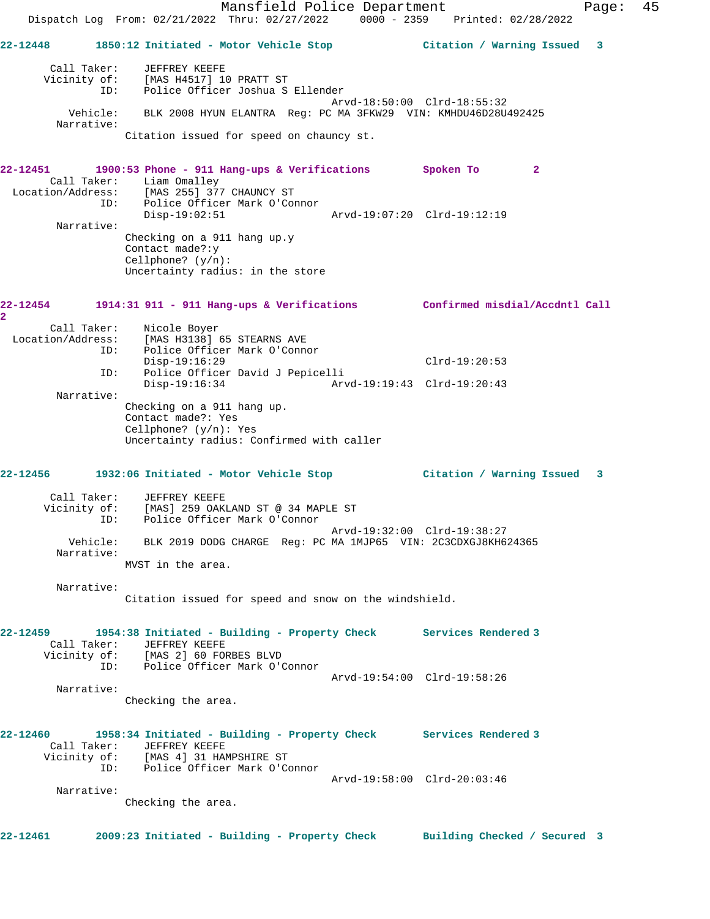Mansfield Police Department Fage: 45 Dispatch Log From: 02/21/2022 Thru: 02/27/2022 0000 - 2359 Printed: 02/28/2022 **22-12448 1850:12 Initiated - Motor Vehicle Stop Citation / Warning Issued 3** Call Taker: JEFFREY KEEFE Vicinity of: [MAS H4517] 10 PRATT ST ID: Police Officer Joshua S Ellender Arvd-18:50:00 Clrd-18:55:32 Vehicle: BLK 2008 HYUN ELANTRA Reg: PC MA 3FKW29 VIN: KMHDU46D28U492425 Narrative: Citation issued for speed on chauncy st. **22-12451 1900:53 Phone - 911 Hang-ups & Verifications Spoken To 2**  Call Taker: Liam Omalley Location/Address: [MAS 255] 377 CHAUNCY ST ID: Police Officer Mark O'Connor

 Disp-19:02:51 Arvd-19:07:20 Clrd-19:12:19 Narrative: Checking on a 911 hang up.y Contact made?:y Cellphone? (y/n): Uncertainty radius: in the store

**22-12454 1914:31 911 - 911 Hang-ups & Verifications Confirmed misdial/Accdntl Call 2**  Call Taker: Nicole Boyer Location/Address: [MAS H3138] 65 STEARNS AVE ID: Police Officer Mark O'Connor Disp-19:16:29 Clrd-19:20:53 ID: Police Officer David J Pepicelli Disp-19:16:34 Arvd-19:19:43 Clrd-19:20:43 Narrative: Checking on a 911 hang up. Contact made?: Yes Cellphone? (y/n): Yes Uncertainty radius: Confirmed with caller

 Call Taker: JEFFREY KEEFE Vicinity of: [MAS] 259 OAKLAND ST @ 34 MAPLE ST ID: Police Officer Mark O'Connor Arvd-19:32:00 Clrd-19:38:27 Vehicle: BLK 2019 DODG CHARGE Reg: PC MA 1MJP65 VIN: 2C3CDXGJ8KH624365 Narrative: MVST in the area.

**22-12456 1932:06 Initiated - Motor Vehicle Stop Citation / Warning Issued 3**

 Narrative: Citation issued for speed and snow on the windshield.

**22-12459 1954:38 Initiated - Building - Property Check Services Rendered 3**  Call Taker: JEFFREY KEEFE Vicinity of: [MAS 2] 60 FORBES BLVD ID: Police Officer Mark O'Connor Arvd-19:54:00 Clrd-19:58:26

 Narrative: Checking the area.

**22-12460 1958:34 Initiated - Building - Property Check Services Rendered 3**  Call Taker: JEFFREY KEEFE Vicinity of: [MAS 4] 31 HAMPSHIRE ST ID: Police Officer Mark O'Connor Arvd-19:58:00 Clrd-20:03:46 Narrative:

Checking the area.

**22-12461 2009:23 Initiated - Building - Property Check Building Checked / Secured 3**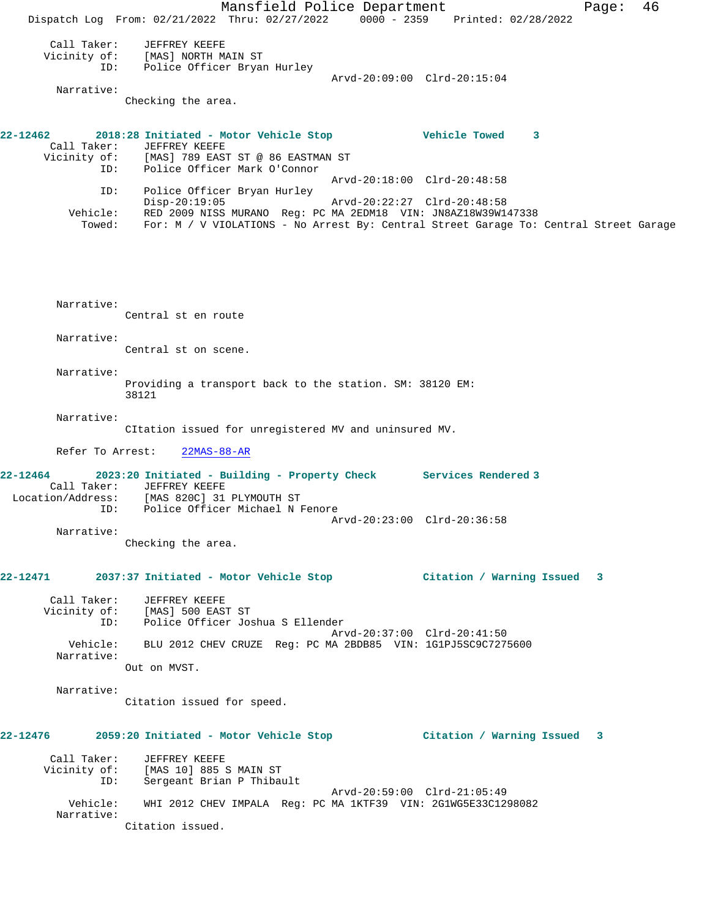Mansfield Police Department Fage: 46 Dispatch Log From: 02/21/2022 Thru: 02/27/2022 0000 - 2359 Printed: 02/28/2022 Call Taker: JEFFREY KEEFE Vicinity of: [MAS] NORTH MAIN ST ID: Police Officer Bryan Hurley Arvd-20:09:00 Clrd-20:15:04 Narrative: Checking the area. **22-12462 2018:28 Initiated - Motor Vehicle Stop Vehicle Towed 3**  Call Taker: JEFFREY KEEFE<br>Vicinity of: [MAS] 789 EASI [MAS] 789 EAST ST @ 86 EASTMAN ST ID: Police Officer Mark O'Connor Arvd-20:18:00 Clrd-20:48:58 ID: Police Officer Bryan Hurley Disp-20:19:05 Arvd-20:22:27 Clrd-20:48:58 Vehicle: RED 2009 NISS MURANO Reg: PC MA 2EDM18 VIN: JN8AZ18W39W147338 Towed: For: M / V VIOLATIONS - No Arrest By: Central Street Garage To: Central Street Garage Narrative: Central st en route Narrative: Central st on scene. Narrative: Providing a transport back to the station. SM: 38120 EM: 38121 Narrative: CItation issued for unregistered MV and uninsured MV. Refer To Arrest: 22MAS-88-AR **22-12464 2023:20 Initiated - Building - Property Check Services Rendered 3**  Call Taker: JEFFREY KEEFE Location/Address: [MAS 820C] 31 PLYMOUTH ST ID: Police Officer Michael N Fenore Arvd-20:23:00 Clrd-20:36:58 Narrative: Checking the area. **22-12471 2037:37 Initiated - Motor Vehicle Stop Citation / Warning Issued 3** Call Taker: JEFFREY KEEFE Vicinity of: [MAS] 500 EAST ST ID: Police Officer Joshua S Ellender Arvd-20:37:00 Clrd-20:41:50 Vehicle: BLU 2012 CHEV CRUZE Reg: PC MA 2BDB85 VIN: 1G1PJ5SC9C7275600 Narrative: Out on MVST. Narrative: Citation issued for speed. **22-12476 2059:20 Initiated - Motor Vehicle Stop Citation / Warning Issued 3** Call Taker: JEFFREY KEEFE Vicinity of: [MAS 10] 885 S MAIN ST ID: Sergeant Brian P Thibault Arvd-20:59:00 Clrd-21:05:49 Vehicle: WHI 2012 CHEV IMPALA Reg: PC MA 1KTF39 VIN: 2G1WG5E33C1298082 Narrative: Citation issued.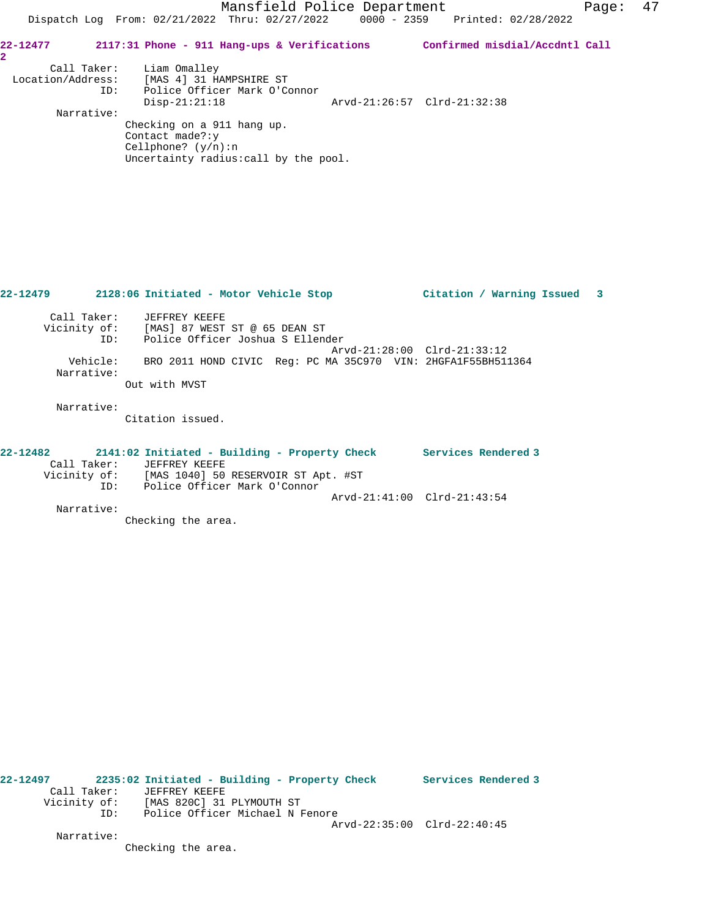Mansfield Police Department Fage: 47 Dispatch Log From: 02/21/2022 Thru: 02/27/2022 0000 - 2359 Printed: 02/28/2022 **22-12477 2117:31 Phone - 911 Hang-ups & Verifications Confirmed misdial/Accdntl Call 2**  Call Taker: Liam Omalley Location/Address: [MAS 4] 31 HAMPSHIRE ST ID: Police Officer Mark O'Connor Disp-21:21:18 Arvd-21:26:57 Clrd-21:32:38 Narrative: Checking on a 911 hang up. Contact made?:y Cellphone? (y/n):n Uncertainty radius:call by the pool. **22-12479 2128:06 Initiated - Motor Vehicle Stop Citation / Warning Issued 3** Call Taker: JEFFREY KEEFE Vicinity of: [MAS] 87 WEST ST @ 65 DEAN ST ID: Police Officer Joshua S Ellender Arvd-21:28:00 Clrd-21:33:12 Vehicle: BRO 2011 HOND CIVIC Reg: PC MA 35C970 VIN: 2HGFA1F55BH511364 Narrative:

Out with MVST

Narrative:

Citation issued.

## **22-12482 2141:02 Initiated - Building - Property Check Services Rendered 3**  Call Taker: JEFFREY KEEFE Vicinity of: [MAS 1040] 50 RESERVOIR ST Apt. #ST ID: Police Officer Mark O'Connor Arvd-21:41:00 Clrd-21:43:54 Narrative:

Checking the area.

**22-12497 2235:02 Initiated - Building - Property Check Services Rendered 3**  Call Taker: JEFFREY KEEFE<br>Vicinity of: [MAS 820C] 31 Vicinity of: [MAS 820C] 31 PLYMOUTH ST ID: Police Officer Michael N Fenore Arvd-22:35:00 Clrd-22:40:45 Narrative:

Checking the area.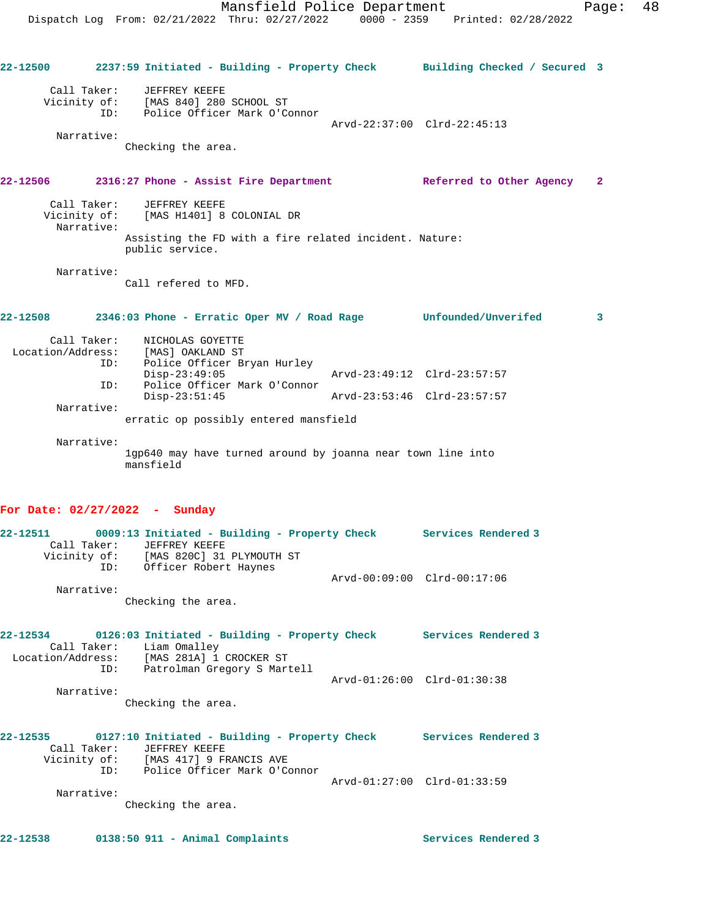**22-12500 2237:59 Initiated - Building - Property Check Building Checked / Secured 3** Call Taker: JEFFREY KEEFE Vicinity of: [MAS 840] 280 SCHOOL ST ID: Police Officer Mark O'Connor Arvd-22:37:00 Clrd-22:45:13 Narrative: Checking the area. **22-12506 2316:27 Phone - Assist Fire Department Referred to Other Agency 2** Call Taker: JEFFREY KEEFE Vicinity of: [MAS H1401] 8 COLONIAL DR Narrative: Assisting the FD with a fire related incident. Nature: public service. Narrative: Call refered to MFD. **22-12508 2346:03 Phone - Erratic Oper MV / Road Rage Unfounded/Unverifed 3** Call Taker: NICHOLAS GOYETTE Location/Address: [MAS] OAKLAND ST ID: Police Officer Bryan Hurley Disp-23:49:05 Arvd-23:49:12 Clrd-23:57:57 ID: Police Officer Mark O'Connor Disp-23:51:45 Arvd-23:53:46 Clrd-23:57:57 Narrative: erratic op possibly entered mansfield Narrative: 1gp640 may have turned around by joanna near town line into mansfield **For Date: 02/27/2022 - Sunday 22-12511 0009:13 Initiated - Building - Property Check Services Rendered 3**  Call Taker: JEFFREY KEEFE Vicinity of: [MAS 820C] 31 PLYMOUTH ST ID: Officer Robert Haynes Arvd-00:09:00 Clrd-00:17:06 Narrative: Checking the area. **22-12534 0126:03 Initiated - Building - Property Check Services Rendered 3**  Call Taker: Liam Omalley Location/Address: [MAS 281A] 1 CROCKER ST ID: Patrolman Gregory S Martell Arvd-01:26:00 Clrd-01:30:38 Narrative: Checking the area. **22-12535 0127:10 Initiated - Building - Property Check Services Rendered 3**  Call Taker: JEFFREY KEEFE Vicinity of: [MAS 417] 9 FRANCIS AVE ID: Police Officer Mark O'Connor Arvd-01:27:00 Clrd-01:33:59 Narrative: Checking the area.

**22-12538 0138:50 911 - Animal Complaints Services Rendered 3**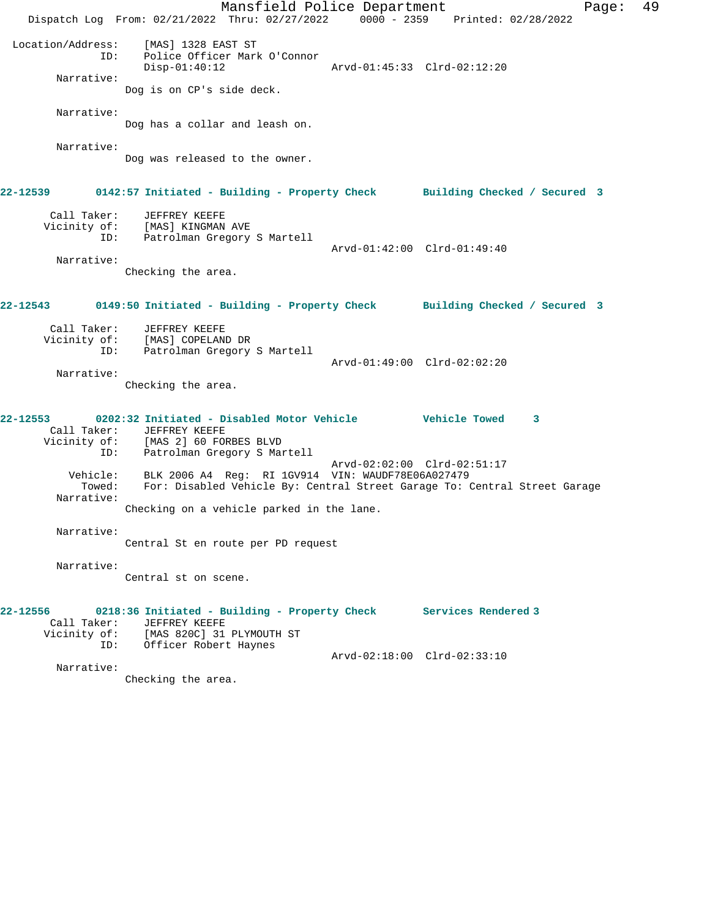Mansfield Police Department Fage: 49 Dispatch Log From: 02/21/2022 Thru: 02/27/2022 0000 - 2359 Printed: 02/28/2022 Location/Address: [MAS] 1328 EAST ST ID: Police Officer Mark O'Connor Disp-01:40:12 Arvd-01:45:33 Clrd-02:12:20 Narrative: Dog is on CP's side deck. Narrative: Dog has a collar and leash on. Narrative: Dog was released to the owner. **22-12539 0142:57 Initiated - Building - Property Check Building Checked / Secured 3** Call Taker: JEFFREY KEEFE Vicinity of: [MAS] KINGMAN AVE ID: Patrolman Gregory S Martell Arvd-01:42:00 Clrd-01:49:40 Narrative: Checking the area. **22-12543 0149:50 Initiated - Building - Property Check Building Checked / Secured 3** Call Taker: JEFFREY KEEFE Vicinity of: [MAS] COPELAND DR ID: Patrolman Gregory S Martell Arvd-01:49:00 Clrd-02:02:20 Narrative: Checking the area. **22-12553 0202:32 Initiated - Disabled Motor Vehicle Vehicle Towed 3**  Call Taker: JEFFREY KEEFE Vicinity of: [MAS 2] 60 FORBES BLVD ID: Patrolman Gregory S Martell Arvd-02:02:00 Clrd-02:51:17 Vehicle: BLK 2006 A4 Reg: RI 1GV914 VIN: WAUDF78E06A027479 Towed: For: Disabled Vehicle By: Central Street Garage To: Central Street Garage Narrative: Checking on a vehicle parked in the lane. Narrative: Central St en route per PD request Narrative: Central st on scene. **22-12556 0218:36 Initiated - Building - Property Check Services Rendered 3**  Call Taker: JEFFREY KEEFE Vicinity of: [MAS 820C] 31 PLYMOUTH ST ID: Officer Robert Haynes Arvd-02:18:00 Clrd-02:33:10 Narrative: Checking the area.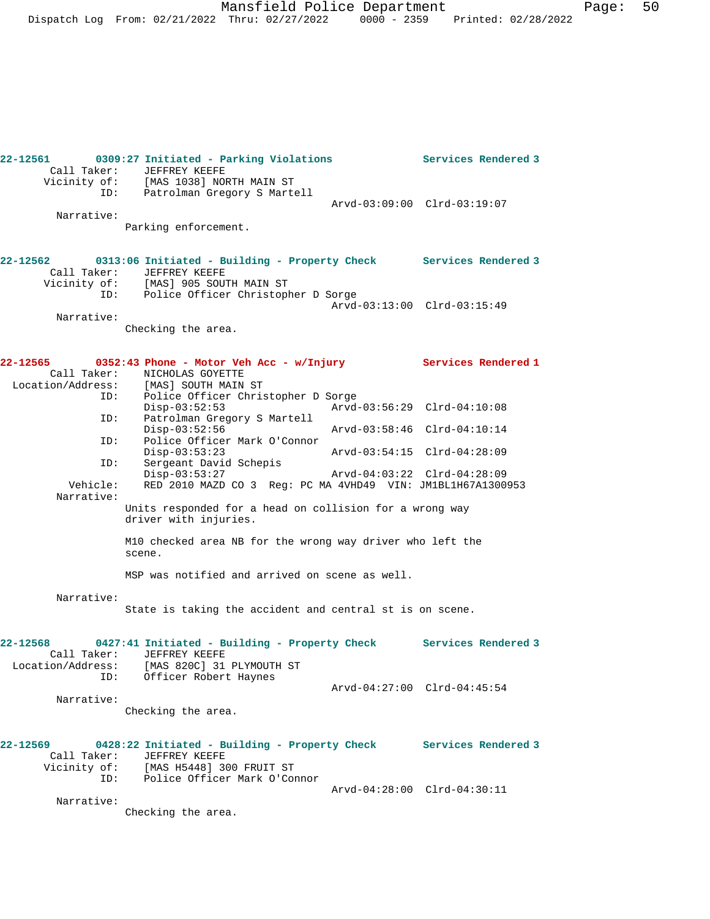Mansfield Police Department Page: 50 Dispatch Log From: 02/21/2022 Thru: 02/27/2022 0000 - 2359 Printed: 02/28/2022

| Call Taker:                                  | 22-12561 0309:27 Initiated - Parking Violations<br><b>JEFFREY KEEFE</b><br>Vicinity of: [MAS 1038] NORTH MAIN ST                     |  | Services Rendered 3         |  |  |
|----------------------------------------------|--------------------------------------------------------------------------------------------------------------------------------------|--|-----------------------------|--|--|
| ID:                                          | Patrolman Gregory S Martell                                                                                                          |  | Arvd-03:09:00 Clrd-03:19:07 |  |  |
| Narrative:                                   | Parking enforcement.                                                                                                                 |  |                             |  |  |
| Call Taker:                                  | 22-12562 0313:06 Initiated - Building - Property Check Services Rendered 3<br>JEFFREY KEEFE                                          |  |                             |  |  |
| Vicinity of:<br>ID:                          | [MAS] 905 SOUTH MAIN ST<br>Police Officer Christopher D Sorge                                                                        |  | Arvd-03:13:00 Clrd-03:15:49 |  |  |
| Narrative:                                   | Checking the area.                                                                                                                   |  |                             |  |  |
|                                              | 22-12565 0352:43 Phone - Motor Veh Acc - w/Injury                                                                                    |  | Services Rendered 1         |  |  |
| Call Taker:<br>ID:                           | NICHOLAS GOYETTE<br>Location/Address: [MAS] SOUTH MAIN ST<br>Police Officer Christopher D Sorge                                      |  |                             |  |  |
| ID:                                          | $Disp-03:52:53$<br>Patrolman Gregory S Martell                                                                                       |  | Arvd-03:56:29 Clrd-04:10:08 |  |  |
| ID:                                          | $Disp-03:52:56$<br>Police Officer Mark O'Connor                                                                                      |  | Arvd-03:58:46 Clrd-04:10:14 |  |  |
| ID:                                          | $Disp-03:53:23$<br>Sergeant David Schepis                                                                                            |  | Arvd-03:54:15 Clrd-04:28:09 |  |  |
| Vehicle:<br>Narrative:                       | $Disp-03:53:27$<br>RED 2010 MAZD CO 3 Req: PC MA 4VHD49 VIN: JM1BL1H67A1300953                                                       |  | Arvd-04:03:22 Clrd-04:28:09 |  |  |
|                                              | Units responded for a head on collision for a wrong way<br>driver with injuries.                                                     |  |                             |  |  |
|                                              | M10 checked area NB for the wrong way driver who left the<br>scene.                                                                  |  |                             |  |  |
|                                              | MSP was notified and arrived on scene as well.                                                                                       |  |                             |  |  |
| Narrative:                                   | State is taking the accident and central st is on scene.                                                                             |  |                             |  |  |
| 22-12568<br>Call Taker:<br>Location/Address: | 0427:41 Initiated - Building - Property Check<br>JEFFREY KEEFE<br>[MAS 820C] 31 PLYMOUTH ST<br>ID:<br>Officer Robert Haynes          |  | Services Rendered 3         |  |  |
| Narrative:                                   |                                                                                                                                      |  | Arvd-04:27:00 Clrd-04:45:54 |  |  |
|                                              | Checking the area.                                                                                                                   |  |                             |  |  |
| Call Taker:                                  | 22-12569 0428:22 Initiated - Building - Property Check Services Rendered 3<br>JEFFREY KEEFE<br>Vicinity of: [MAS H5448] 300 FRUIT ST |  |                             |  |  |
| ID:<br>Narrative:                            | Police Officer Mark O'Connor                                                                                                         |  | Arvd-04:28:00 Clrd-04:30:11 |  |  |
|                                              |                                                                                                                                      |  |                             |  |  |

Checking the area.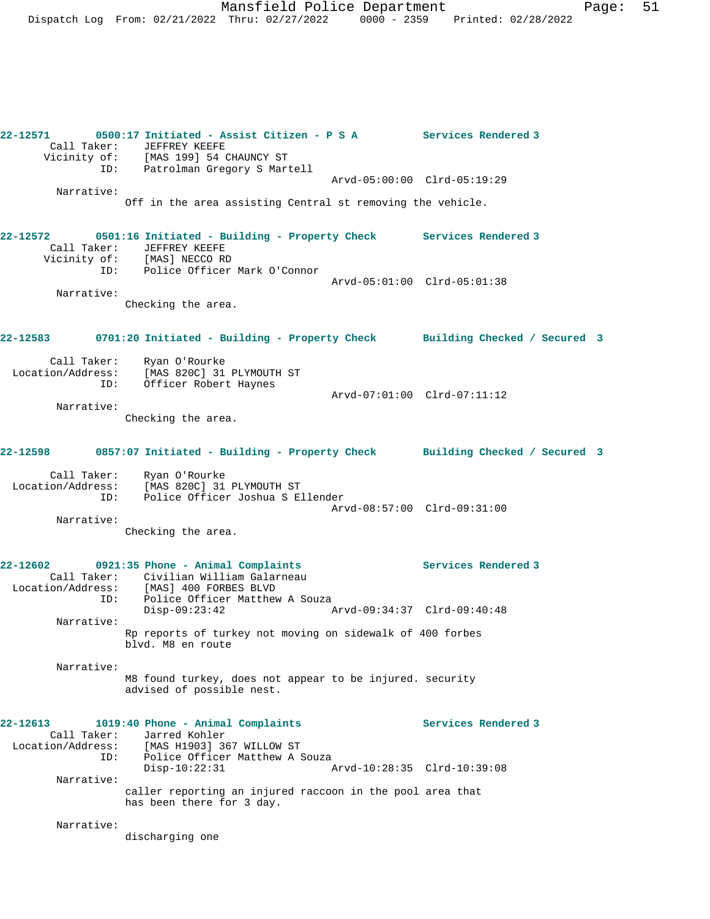**22-12571 0500:17 Initiated - Assist Citizen - P S A Services Rendered 3**  Call Taker: JEFFREY KEEFE Vicinity of: [MAS 199] 54 CHAUNCY ST ID: Patrolman Gregory S Martell Arvd-05:00:00 Clrd-05:19:29 Narrative: Off in the area assisting Central st removing the vehicle. **22-12572 0501:16 Initiated - Building - Property Check Services Rendered 3**  Call Taker: JEFFREY KEEFE Vicinity of: [MAS] NECCO RD ID: Police Officer Mark O'Connor Arvd-05:01:00 Clrd-05:01:38 Narrative: Checking the area. **22-12583 0701:20 Initiated - Building - Property Check Building Checked / Secured 3** Call Taker: Ryan O'Rourke Location/Address: [MAS 820C] 31 PLYMOUTH ST ID: Officer Robert Haynes Arvd-07:01:00 Clrd-07:11:12 Narrative: Checking the area. **22-12598 0857:07 Initiated - Building - Property Check Building Checked / Secured 3** Call Taker: Ryan O'Rourke Location/Address: [MAS 820C] 31 PLYMOUTH ST ID: Police Officer Joshua S Ellender Arvd-08:57:00 Clrd-09:31:00 Narrative: Checking the area. **22-12602 0921:35 Phone - Animal Complaints Services Rendered 3**  Call Taker: Civilian William Galarneau Location/Address: [MAS] 400 FORBES BLVD ID: Police Officer Matthew A Souza Disp-09:23:42 Arvd-09:34:37 Clrd-09:40:48 Narrative: Rp reports of turkey not moving on sidewalk of 400 forbes blvd. M8 en route Narrative: M8 found turkey, does not appear to be injured. security advised of possible nest. **22-12613 1019:40 Phone - Animal Complaints Services Rendered 3**  Call Taker: Jarred Kohler<br>Location/Address: [MAS H1903] 3 [MAS H1903] 367 WILLOW ST ID: Police Officer Matthew A Souza<br>Disp-10:22:31 A Disp-10:22:31 Arvd-10:28:35 Clrd-10:39:08 Narrative: caller reporting an injured raccoon in the pool area that has been there for 3 day. Narrative: discharging one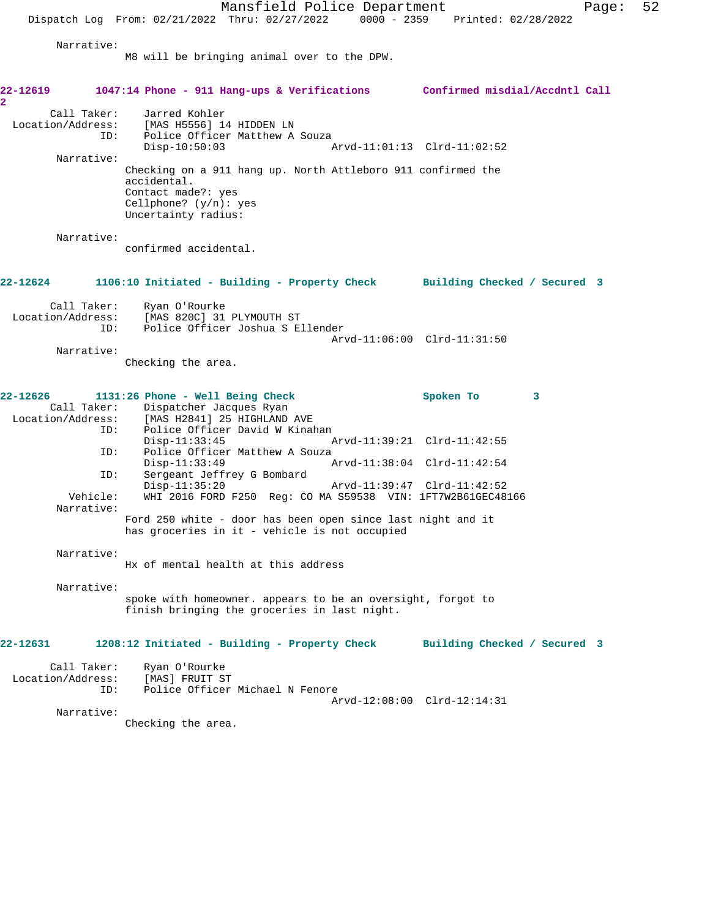Mansfield Police Department Page: 52 Dispatch Log From: 02/21/2022 Thru: 02/27/2022 0000 - 2359 Printed: 02/28/2022 Narrative: M8 will be bringing animal over to the DPW. **22-12619 1047:14 Phone - 911 Hang-ups & Verifications Confirmed misdial/Accdntl Call 2**  Call Taker: Jarred Kohler Location/Address: [MAS H5556] 14 HIDDEN LN ID: Police Officer Matthew A Souza<br>Disp-10:50:03 Disp-10:50:03 Arvd-11:01:13 Clrd-11:02:52 Narrative: Checking on a 911 hang up. North Attleboro 911 confirmed the accidental. Contact made?: yes Cellphone? (y/n): yes Uncertainty radius: Narrative: confirmed accidental. **22-12624 1106:10 Initiated - Building - Property Check Building Checked / Secured 3** Call Taker: Ryan O'Rourke Location/Address: [MAS 820C] 31 PLYMOUTH ST ID: Police Officer Joshua S Ellender Arvd-11:06:00 Clrd-11:31:50 Narrative: Checking the area. **22-12626 1131:26 Phone - Well Being Check Spoken To 3**  Call Taker: Dispatcher Jacques Ryan Location/Address: [MAS H2841] 25 HIGHLAND AVE ID: Police Officer David W Kinahan<br>Disp-11:33:45 Disp-11:33:45 Arvd-11:39:21 Clrd-11:42:55 ID: Police Officer Matthew A Souza<br>Disp-11:33:49 Disp-11:33:49 Arvd-11:38:04 Clrd-11:42:54<br>ID: Sergeant Jeffrey G Bombard Sergeant Jeffrey G Bombard<br>Disp-11:35:20 Disp-11:35:20 Arvd-11:39:47 Clrd-11:42:52<br>Vehicle: WHI 2016 FORD F250 Reg: CO MA S59538 VIN: 1FT7W2B61GEC48 WHI 2016 FORD F250 Reg: CO MA S59538 VIN: 1FT7W2B61GEC48166 Narrative: Ford 250 white - door has been open since last night and it has groceries in it - vehicle is not occupied Narrative: Hx of mental health at this address Narrative: spoke with homeowner. appears to be an oversight, forgot to finish bringing the groceries in last night. **22-12631 1208:12 Initiated - Building - Property Check Building Checked / Secured 3** Call Taker: Ryan O'Rourke Location/Address: [MAS] FRUIT ST ID: Police Officer Michael N Fenore Arvd-12:08:00 Clrd-12:14:31 Narrative: Checking the area.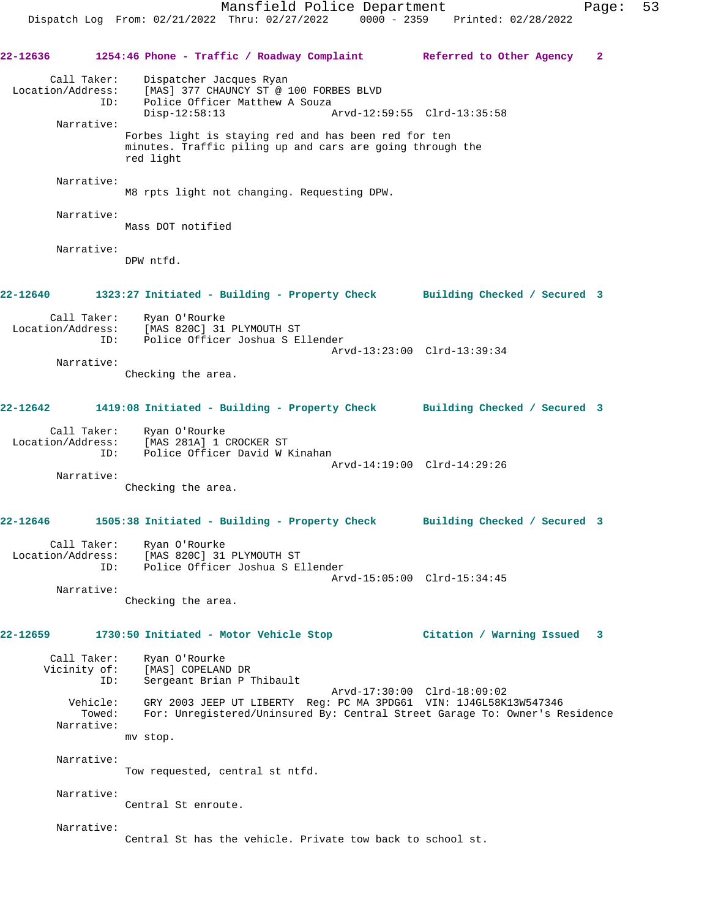**22-12636 1254:46 Phone - Traffic / Roadway Complaint Referred to Other Agency 2** Call Taker: Dispatcher Jacques Ryan Location/Address: [MAS] 377 CHAUNCY ST @ 100 FORBES BLVD ID: Police Officer Matthew A Souza<br>Disp-12:58:13 A Disp-12:58:13 Arvd-12:59:55 Clrd-13:35:58 Narrative: Forbes light is staying red and has been red for ten minutes. Traffic piling up and cars are going through the red light Narrative: M8 rpts light not changing. Requesting DPW. Narrative: Mass DOT notified Narrative: DPW ntfd. **22-12640 1323:27 Initiated - Building - Property Check Building Checked / Secured 3** Call Taker: Ryan O'Rourke<br>Location/Address: [MAS 820C] 31 [MAS 820C] 31 PLYMOUTH ST ID: Police Officer Joshua S Ellender Arvd-13:23:00 Clrd-13:39:34 Narrative: Checking the area. **22-12642 1419:08 Initiated - Building - Property Check Building Checked / Secured 3** Call Taker: Ryan O'Rourke Location/Address: [MAS 281A] 1 CROCKER ST<br>TD: Police Officer David W 1 Police Officer David W Kinahan Arvd-14:19:00 Clrd-14:29:26 Narrative: Checking the area. **22-12646 1505:38 Initiated - Building - Property Check Building Checked / Secured 3** Call Taker: Ryan O'Rourke Location/Address: [MAS 820C] 31 PLYMOUTH ST ID: Police Officer Joshua S Ellender Arvd-15:05:00 Clrd-15:34:45 Narrative: Checking the area. **22-12659 1730:50 Initiated - Motor Vehicle Stop Citation / Warning Issued 3** Call Taker: Ryan O'Rourke Vicinity of: [MAS] COPELAND DR ID: Sergeant Brian P Thibault Arvd-17:30:00 Clrd-18:09:02 Vehicle: GRY 2003 JEEP UT LIBERTY Reg: PC MA 3PDG61 VIN: 1J4GL58K13W547346 Towed: For: Unregistered/Uninsured By: Central Street Garage To: Owner's Residence Narrative: mv stop. Narrative: Tow requested, central st ntfd. Narrative: Central St enroute. Narrative: Central St has the vehicle. Private tow back to school st.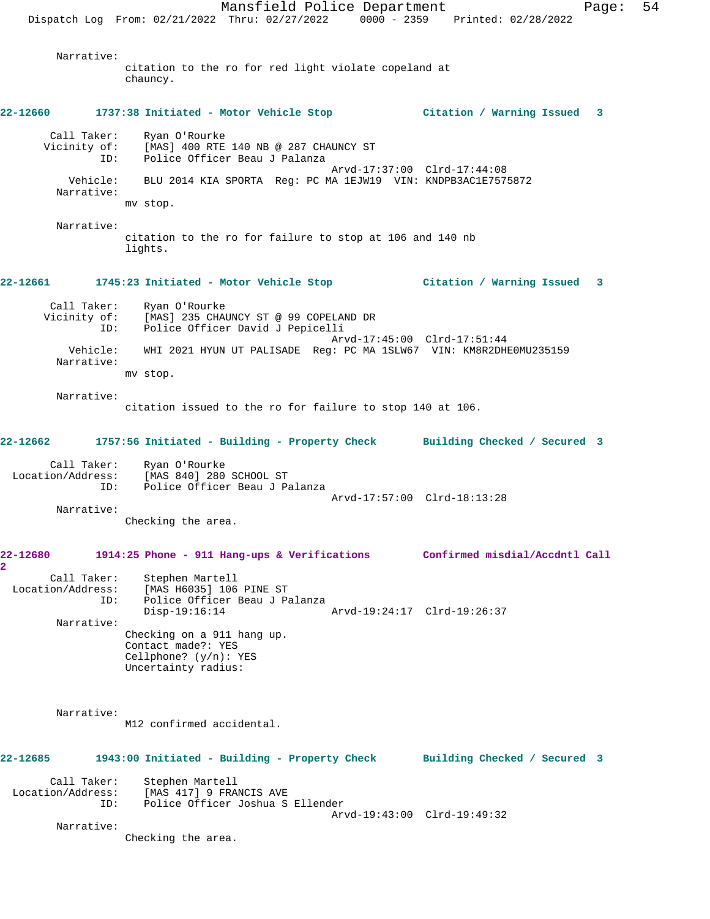Mansfield Police Department Page: 54 Dispatch Log From: 02/21/2022 Thru: 02/27/2022 0000 - 2359 Printed: 02/28/2022 Narrative: citation to the ro for red light violate copeland at chauncy. **22-12660 1737:38 Initiated - Motor Vehicle Stop Citation / Warning Issued 3** Call Taker: Ryan O'Rourke Vicinity of: [MAS] 400 RTE 140 NB @ 287 CHAUNCY ST ID: Police Officer Beau J Palanza Arvd-17:37:00 Clrd-17:44:08 Vehicle: BLU 2014 KIA SPORTA Reg: PC MA 1EJW19 VIN: KNDPB3AC1E7575872 Narrative: mv stop. Narrative: citation to the ro for failure to stop at 106 and 140 nb lights. **22-12661 1745:23 Initiated - Motor Vehicle Stop Citation / Warning Issued 3** Call Taker: Ryan O'Rourke Vicinity of: [MAS] 235 CHAUNCY ST @ 99 COPELAND DR ID: Police Officer David J Pepicelli Arvd-17:45:00 Clrd-17:51:44 Vehicle: WHI 2021 HYUN UT PALISADE Reg: PC MA 1SLW67 VIN: KM8R2DHE0MU235159 Narrative: mv stop. Narrative: citation issued to the ro for failure to stop 140 at 106. **22-12662 1757:56 Initiated - Building - Property Check Building Checked / Secured 3** Call Taker: Ryan O'Rourke<br>Location/Address: [MAS 840] 280 [MAS 840] 280 SCHOOL ST ID: Police Officer Beau J Palanza Arvd-17:57:00 Clrd-18:13:28 Narrative: Checking the area. **22-12680 1914:25 Phone - 911 Hang-ups & Verifications Confirmed misdial/Accdntl Call 2**  Call Taker: Stephen Martell Location/Address: [MAS H6035] 106 PINE ST<br>ID: Police Officer Beau J Pa Police Officer Beau J Palanza<br>Disp-19:16:14 Disp-19:16:14 Arvd-19:24:17 Clrd-19:26:37 Narrative: Checking on a 911 hang up. Contact made?: YES Cellphone? (y/n): YES Uncertainty radius: Narrative: M12 confirmed accidental. **22-12685 1943:00 Initiated - Building - Property Check Building Checked / Secured 3** Call Taker: Stephen Martell Location/Address: [MAS 417] 9 FRANCIS AVE ID: Police Officer Joshua S Ellender Arvd-19:43:00 Clrd-19:49:32 Narrative: Checking the area.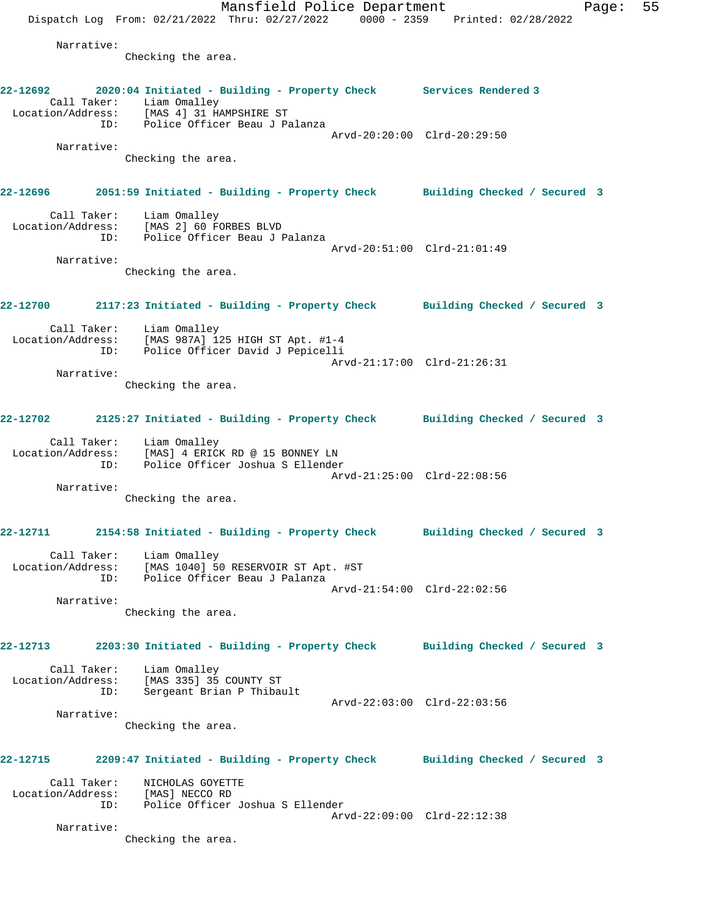Mansfield Police Department Fage: 55 Dispatch Log From: 02/21/2022 Thru: 02/27/2022 0000 - 2359 Printed: 02/28/2022 Narrative: Checking the area. **22-12692 2020:04 Initiated - Building - Property Check Services Rendered 3**  Call Taker: Liam Omalley Location/Address: [MAS 4] 31 HAMPSHIRE ST ID: Police Officer Beau J Palanza Arvd-20:20:00 Clrd-20:29:50 Narrative: Checking the area. **22-12696 2051:59 Initiated - Building - Property Check Building Checked / Secured 3** Call Taker: Liam Omalley Location/Address: [MAS 2] 60 FORBES BLVD ID: Police Officer Beau J Palanza Arvd-20:51:00 Clrd-21:01:49 Narrative: Checking the area. **22-12700 2117:23 Initiated - Building - Property Check Building Checked / Secured 3** Call Taker: Liam Omalley Location/Address: [MAS 987A] 125 HIGH ST Apt. #1-4 ID: Police Officer David J Pepicelli Arvd-21:17:00 Clrd-21:26:31 Narrative: Checking the area. **22-12702 2125:27 Initiated - Building - Property Check Building Checked / Secured 3** Call Taker: Liam Omalley Location/Address: [MAS] 4 ERICK RD @ 15 BONNEY LN ID: Police Officer Joshua S Ellender Arvd-21:25:00 Clrd-22:08:56 Narrative: Checking the area. **22-12711 2154:58 Initiated - Building - Property Check Building Checked / Secured 3** Call Taker: Liam Omalley Location/Address: [MAS 1040] 50 RESERVOIR ST Apt. #ST ID: Police Officer Beau J Palanza Arvd-21:54:00 Clrd-22:02:56 Narrative: Checking the area. **22-12713 2203:30 Initiated - Building - Property Check Building Checked / Secured 3** Call Taker: Liam Omalley Location/Address: [MAS 335] 35 COUNTY ST ID: Sergeant Brian P Thibault Arvd-22:03:00 Clrd-22:03:56 Narrative: Checking the area. **22-12715 2209:47 Initiated - Building - Property Check Building Checked / Secured 3** Call Taker: NICHOLAS GOYETTE Location/Address: [MAS] NECCO RD ID: Police Officer Joshua S Ellender Arvd-22:09:00 Clrd-22:12:38 Narrative: Checking the area.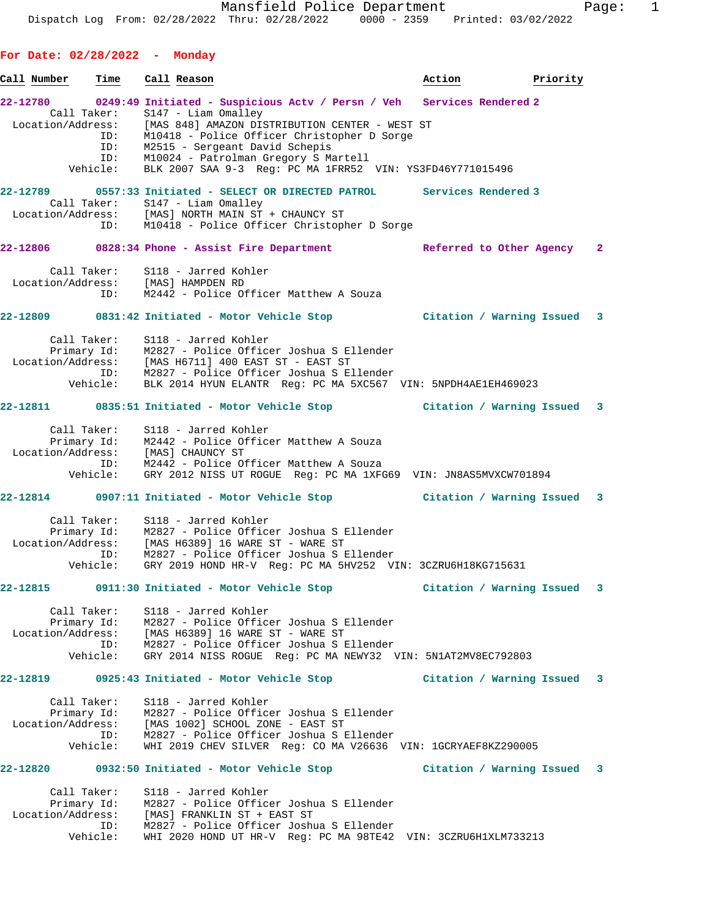**For Date: 02/28/2022 - Monday** Call Number Time Call Reason **Business Call Reason** Action **Priority 22-12780 0249:49 Initiated - Suspicious Actv / Persn / Veh Services Rendered 2**  Call Taker: S147 - Liam Omalley Location/Address: [MAS 848] AMAZON DISTRIBUTION CENTER - WEST ST ID: M10418 - Police Officer Christopher D Sorge ID: M2515 - Sergeant David Schepis ID: M10024 - Patrolman Gregory S Martell Vehicle: BLK 2007 SAA 9-3 Reg: PC MA 1FRR52 VIN: YS3FD46Y771015496 **22-12789 0557:33 Initiated - SELECT OR DIRECTED PATROL Services Rendered 3**  Call Taker: S147 - Liam Omalley Location/Address: [MAS] NORTH MAIN ST + CHAUNCY ST ID: M10418 - Police Officer Christopher D Sorge **22-12806 0828:34 Phone - Assist Fire Department Referred to Other Agency 2** Call Taker: S118 - Jarred Kohler Location/Address: [MAS] HAMPDEN RD ID: M2442 - Police Officer Matthew A Souza **22-12809 0831:42 Initiated - Motor Vehicle Stop Citation / Warning Issued 3** Call Taker: S118 - Jarred Kohler Primary Id: M2827 - Police Officer Joshua S Ellender Location/Address: [MAS H6711] 400 EAST ST - EAST ST ID: M2827 - Police Officer Joshua S Ellender Vehicle: BLK 2014 HYUN ELANTR Reg: PC MA 5XC567 VIN: 5NPDH4AE1EH469023 **22-12811 0835:51 Initiated - Motor Vehicle Stop Citation / Warning Issued 3** Call Taker: S118 - Jarred Kohler Primary Id: M2442 - Police Officer Matthew A Souza Location/Address: [MAS] CHAUNCY ST ID: M2442 - Police Officer Matthew A Souza Vehicle: GRY 2012 NISS UT ROGUE Reg: PC MA 1XFG69 VIN: JN8AS5MVXCW701894 **22-12814 0907:11 Initiated - Motor Vehicle Stop Citation / Warning Issued 3** Call Taker: S118 - Jarred Kohler Primary Id: M2827 - Police Officer Joshua S Ellender Location/Address: [MAS H6389] 16 WARE ST - WARE ST ID: M2827 - Police Officer Joshua S Ellender Vehicle: GRY 2019 HOND HR-V Reg: PC MA 5HV252 VIN: 3CZRU6H18KG715631 **22-12815 0911:30 Initiated - Motor Vehicle Stop Citation / Warning Issued 3** Call Taker: S118 - Jarred Kohler Primary Id: M2827 - Police Officer Joshua S Ellender Location/Address: [MAS H6389] 16 WARE ST - WARE ST ID: M2827 - Police Officer Joshua S Ellender Vehicle: GRY 2014 NISS ROGUE Reg: PC MA NEWY32 VIN: 5N1AT2MV8EC792803 **22-12819 0925:43 Initiated - Motor Vehicle Stop Citation / Warning Issued 3** Call Taker: S118 - Jarred Kohler Primary Id: M2827 - Police Officer Joshua S Ellender Location/Address: [MAS 1002] SCHOOL ZONE - EAST ST ID: M2827 - Police Officer Joshua S Ellender Vehicle: WHI 2019 CHEV SILVER Reg: CO MA V26636 VIN: 1GCRYAEF8KZ290005 **22-12820 0932:50 Initiated - Motor Vehicle Stop Citation / Warning Issued 3** Call Taker: S118 - Jarred Kohler Primary Id: M2827 - Police Officer Joshua S Ellender Location/Address: [MAS] FRANKLIN ST + EAST ST ID: M2827 - Police Officer Joshua S Ellender Vehicle: WHI 2020 HOND UT HR-V Reg: PC MA 98TE42 VIN: 3CZRU6H1XLM733213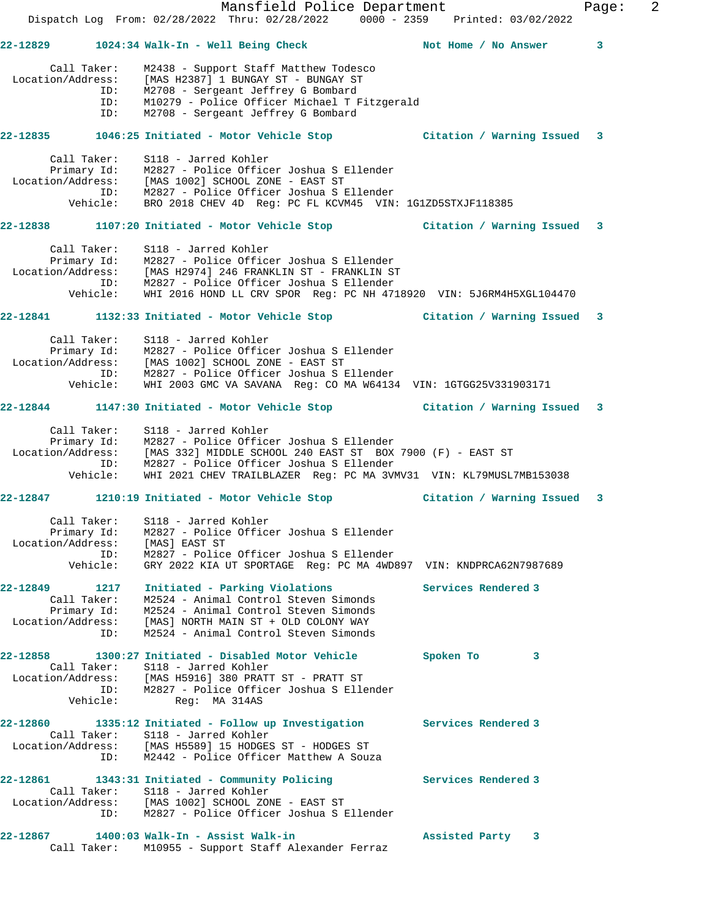|                            | Mansfield Police Department<br>Dispatch Log From: 02/28/2022 Thru: 02/28/2022 0000 - 2359 Printed: 03/02/2022                |                           | Page: | 2 |
|----------------------------|------------------------------------------------------------------------------------------------------------------------------|---------------------------|-------|---|
|                            | 22-12829 1024:34 Walk-In - Well Being Check Not Home / No Answer                                                             |                           | 3     |   |
| Call Taker:                | M2438 - Support Staff Matthew Todesco                                                                                        |                           |       |   |
| Location/Address:          | [MAS H2387] 1 BUNGAY ST - BUNGAY ST                                                                                          |                           |       |   |
|                            | ID: M2708 - Sergeant Jeffrey G Bombard                                                                                       |                           |       |   |
| ID:                        | M10279 - Police Officer Michael T Fitzgerald                                                                                 |                           |       |   |
| ID:                        | M2708 - Sergeant Jeffrey G Bombard                                                                                           |                           |       |   |
|                            | 22-12835 1046:25 Initiated - Motor Vehicle Stop 6 (itation / Warning Issued                                                  |                           | 3     |   |
| Call Taker:                | S118 - Jarred Kohler<br>Primary Id: M2827 - Police Officer Joshua S Ellender                                                 |                           |       |   |
|                            |                                                                                                                              |                           |       |   |
|                            | Location/Address: [MAS 1002] SCHOOL ZONE - EAST ST<br>ID: M2827 - Police Officer Joshua S Ellender                           |                           |       |   |
| Vehicle:                   | BRO 2018 CHEV 4D Req: PC FL KCVM45 VIN: 1G1ZD5STXJF118385                                                                    |                           |       |   |
|                            | 22-12838 1107:20 Initiated - Motor Vehicle Stop [121] Citation / Warning Issued                                              |                           | 3     |   |
| Call Taker:                | S118 - Jarred Kohler                                                                                                         |                           |       |   |
|                            | Primary Id: M2827 - Police Officer Joshua S Ellender                                                                         |                           |       |   |
|                            | Location/Address: [MAS H2974] 246 FRANKLIN ST - FRANKLIN ST<br>ID: M2827 - Police Officer Joshua S Ellender                  |                           |       |   |
| Vehicle:                   | WHI 2016 HOND LL CRV SPOR Reg: PC NH 4718920 VIN: 5J6RM4H5XGL104470                                                          |                           |       |   |
|                            | 22-12841 1132:33 Initiated - Motor Vehicle Stop Citation / Warning Issued                                                    |                           | 3     |   |
| Call Taker:                | S118 - Jarred Kohler                                                                                                         |                           |       |   |
|                            | Primary Id: M2827 - Police Officer Joshua S Ellender                                                                         |                           |       |   |
|                            | Location/Address: [MAS 1002] SCHOOL ZONE - EAST ST<br>ID: M2827 - Police Officer Joshua S Ellender                           |                           |       |   |
| Vehicle:                   | WHI 2003 GMC VA SAVANA Req: CO MA W64134 VIN: 1GTGG25V331903171                                                              |                           |       |   |
|                            | 22-12844 1147:30 Initiated - Motor Vehicle Stop Citation / Warning Issued 3                                                  |                           |       |   |
| Call Taker:                | S118 - Jarred Kohler                                                                                                         |                           |       |   |
|                            | Primary Id: M2827 - Police Officer Joshua S Ellender                                                                         |                           |       |   |
|                            | Location/Address: [MAS 332] MIDDLE SCHOOL 240 EAST ST BOX 7900 (F) - EAST ST<br>ID: M2827 - Police Officer Joshua S Ellender |                           |       |   |
| Vehicle:                   | WHI 2021 CHEV TRAILBLAZER Reg: PC MA 3VMV31 VIN: KL79MUSL7MB153038                                                           |                           |       |   |
|                            | 22-12847 1210:19 Initiated - Motor Vehicle Stop                                                                              | Citation / Warning Issued | 3     |   |
| Call Taker:                | S118 - Jarred Kohler                                                                                                         |                           |       |   |
| Primary Id:                | M2827 - Police Officer Joshua S Ellender                                                                                     |                           |       |   |
| Location/Address:          | [MAS] EAST ST                                                                                                                |                           |       |   |
| ID:<br>Vehicle:            | M2827 - Police Officer Joshua S Ellender<br>GRY 2022 KIA UT SPORTAGE Req: PC MA 4WD897 VIN: KNDPRCA62N7987689                |                           |       |   |
|                            |                                                                                                                              |                           |       |   |
| 22-12849 1217              | Initiated - Parking Violations                                                                                               | Services Rendered 3       |       |   |
| Call Taker:<br>Primary Id: | M2524 - Animal Control Steven Simonds<br>M2524 - Animal Control Steven Simonds                                               |                           |       |   |
| Location/Address:          | [MAS] NORTH MAIN ST + OLD COLONY WAY                                                                                         |                           |       |   |
| ID:                        | M2524 - Animal Control Steven Simonds                                                                                        |                           |       |   |
|                            | 22-12858 1300:27 Initiated - Disabled Motor Vehicle                                                                          | Spoken To<br>3            |       |   |
|                            | Call Taker: S118 - Jarred Kohler                                                                                             |                           |       |   |
| ID:                        | Location/Address: [MAS H5916] 380 PRATT ST - PRATT ST<br>M2827 - Police Officer Joshua S Ellender                            |                           |       |   |
| Vehicle:                   | Req: MA 314AS                                                                                                                |                           |       |   |
| 22-12860                   | 1335:12 Initiated - Follow up Investigation Services Rendered 3                                                              |                           |       |   |
|                            | Call Taker: S118 - Jarred Kohler                                                                                             |                           |       |   |
| ID:                        | Location/Address: [MAS H5589] 15 HODGES ST - HODGES ST<br>M2442 - Police Officer Matthew A Souza                             |                           |       |   |
|                            | 22-12861 1343:31 Initiated - Community Policing                                                                              | Services Rendered 3       |       |   |
|                            | Call Taker: S118 - Jarred Kohler                                                                                             |                           |       |   |
|                            | Location/Address: [MAS 1002] SCHOOL ZONE - EAST ST                                                                           |                           |       |   |
| ID:                        | M2827 - Police Officer Joshua S Ellender                                                                                     |                           |       |   |
|                            | 22-12867 1400:03 Walk-In - Assist Walk-in                                                                                    | Assisted Party 3          |       |   |
| Call Taker:                | M10955 - Support Staff Alexander Ferraz                                                                                      |                           |       |   |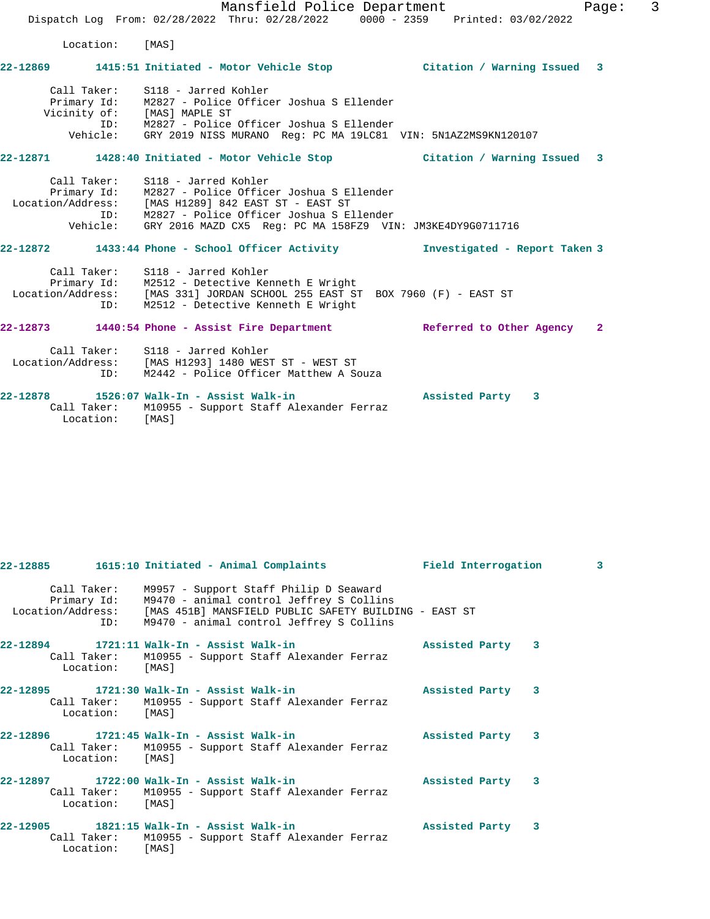Mansfield Police Department Fage: 3 Dispatch Log From: 02/28/2022 Thru: 02/28/2022 0000 - 2359 Printed: 03/02/2022 Location: [MAS] **22-12869 1415:51 Initiated - Motor Vehicle Stop Citation / Warning Issued 3** Call Taker: S118 - Jarred Kohler Primary Id: M2827 - Police Officer Joshua S Ellender Vicinity of: [MAS] MAPLE ST ID: M2827 - Police Officer Joshua S Ellender Vehicle: GRY 2019 NISS MURANO Reg: PC MA 19LC81 VIN: 5N1AZ2MS9KN120107 **22-12871 1428:40 Initiated - Motor Vehicle Stop Citation / Warning Issued 3** Call Taker: S118 - Jarred Kohler Primary Id: M2827 - Police Officer Joshua S Ellender Location/Address: [MAS H1289] 842 EAST ST - EAST ST ID: M2827 - Police Officer Joshua S Ellender Vehicle: GRY 2016 MAZD CX5 Reg: PC MA 158FZ9 VIN: JM3KE4DY9G0711716 **22-12872 1433:44 Phone - School Officer Activity Investigated - Report Taken 3** Call Taker: S118 - Jarred Kohler Primary Id: M2512 - Detective Kenneth E Wright Location/Address: [MAS 331] JORDAN SCHOOL 255 EAST ST BOX 7960 (F) - EAST ST ID: M2512 - Detective Kenneth E Wright **22-12873 1440:54 Phone - Assist Fire Department Referred to Other Agency 2** Call Taker: S118 - Jarred Kohler Location/Address: [MAS H1293] 1480 WEST ST - WEST ST ID: M2442 - Police Officer Matthew A Souza **22-12878 1526:07 Walk-In - Assist Walk-in Assisted Party 3**  Call Taker: M10955 - Support Staff Alexander Ferraz Location: [MAS]

|                 | 22-12885 1615:10 Initiated - Animal Complaints Field Interrogation                                                                                                                                                                    |  |                  | $\overline{3}$ |
|-----------------|---------------------------------------------------------------------------------------------------------------------------------------------------------------------------------------------------------------------------------------|--|------------------|----------------|
|                 | Call Taker: M9957 - Support Staff Philip D Seaward<br>Primary Id: M9470 - animal control Jeffrey S Collins<br>Location/Address: [MAS 451B] MANSFIELD PUBLIC SAFETY BUILDING - EAST ST<br>ID: M9470 - animal control Jeffrey S Collins |  |                  |                |
| Location: [MAS] | Call Taker: M10955 - Support Staff Alexander Ferraz                                                                                                                                                                                   |  | Assisted Party 3 |                |
| Location: [MAS] | 22-12895 1721:30 Walk-In - Assist Walk-in Nasisted Party 3<br>Call Taker: M10955 - Support Staff Alexander Ferraz                                                                                                                     |  |                  |                |
| Location: [MAS] | 22-12896 1721:45 Walk-In - Assist Walk-in<br>Call Taker: M10955 - Support Staff Alexander Ferraz                                                                                                                                      |  | Assisted Party 3 |                |
| Location: [MAS] | Call Taker: M10955 - Support Staff Alexander Ferraz                                                                                                                                                                                   |  | Assisted Party 3 |                |
| Location: [MAS] | 22-12905 1821:15 Walk-In - Assist Walk-in<br>Call Taker: M10955 - Support Staff Alexander Ferraz                                                                                                                                      |  | Assisted Party 3 |                |